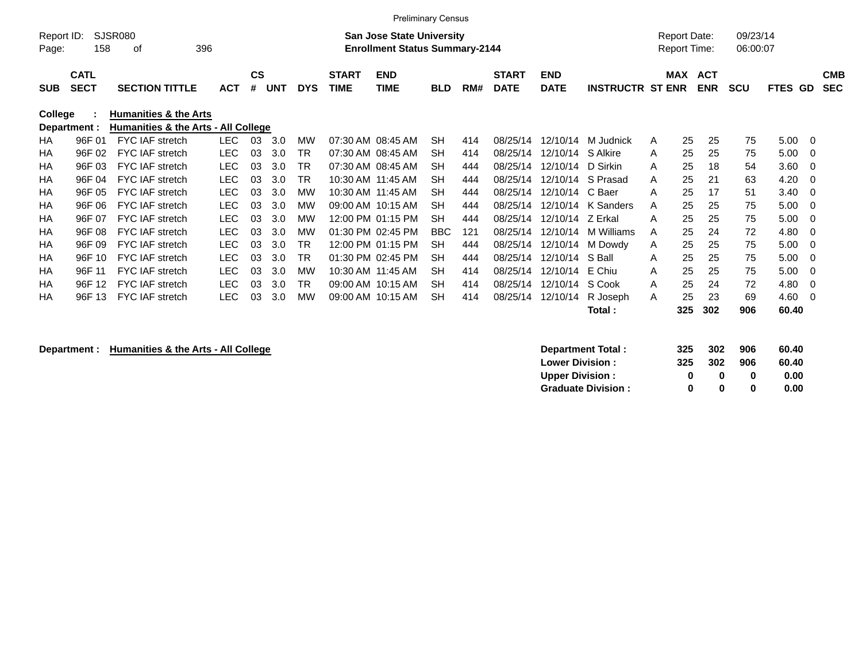|                     |                            |                                     |            |                |            |            |                             | <b>Preliminary Census</b>                                                 |            |     |                             |                           |                         |                                            |                          |                      |                          |                          |
|---------------------|----------------------------|-------------------------------------|------------|----------------|------------|------------|-----------------------------|---------------------------------------------------------------------------|------------|-----|-----------------------------|---------------------------|-------------------------|--------------------------------------------|--------------------------|----------------------|--------------------------|--------------------------|
| Report ID:<br>Page: | 158                        | <b>SJSR080</b><br>396<br>οf         |            |                |            |            |                             | <b>San Jose State University</b><br><b>Enrollment Status Summary-2144</b> |            |     |                             |                           |                         | <b>Report Date:</b><br><b>Report Time:</b> |                          | 09/23/14<br>06:00:07 |                          |                          |
| <b>SUB</b>          | <b>CATL</b><br><b>SECT</b> | <b>SECTION TITTLE</b>               | <b>ACT</b> | <b>CS</b><br># | <b>UNT</b> | <b>DYS</b> | <b>START</b><br><b>TIME</b> | <b>END</b><br>TIME                                                        | <b>BLD</b> | RM# | <b>START</b><br><b>DATE</b> | <b>END</b><br><b>DATE</b> | <b>INSTRUCTR ST ENR</b> | <b>MAX</b>                                 | <b>ACT</b><br><b>ENR</b> | <b>SCU</b>           | <b>FTES</b><br><b>GD</b> | <b>CMB</b><br><b>SEC</b> |
| College             |                            | <b>Humanities &amp; the Arts</b>    |            |                |            |            |                             |                                                                           |            |     |                             |                           |                         |                                            |                          |                      |                          |                          |
|                     | Department :               | Humanities & the Arts - All College |            |                |            |            |                             |                                                                           |            |     |                             |                           |                         |                                            |                          |                      |                          |                          |
| HA                  | 96F 01                     | FYC IAF stretch                     | <b>LEC</b> | 03             | 3.0        | MW         | 07:30 AM 08:45 AM           |                                                                           | SH         | 414 | 08/25/14                    | 12/10/14                  | M Judnick               | 25<br>A                                    | 25                       | 75                   | 5.00                     | - 0                      |
| HA                  | 96F 02                     | <b>FYC IAF stretch</b>              | <b>LEC</b> | 03             | 3.0        | <b>TR</b>  | 07:30 AM 08:45 AM           |                                                                           | <b>SH</b>  | 414 | 08/25/14                    | 12/10/14                  | S Alkire                | 25<br>A                                    | 25                       | 75                   | 5.00                     | - 0                      |
| HA                  | 96F 03                     | <b>FYC IAF stretch</b>              | <b>LEC</b> | 03             | 3.0        | TR         | 07:30 AM 08:45 AM           |                                                                           | <b>SH</b>  | 444 | 08/25/14                    | 12/10/14                  | D Sirkin                | 25<br>A                                    | 18                       | 54                   | 3.60                     | -0                       |
| HA                  | 96F 04                     | <b>FYC IAF stretch</b>              | <b>LEC</b> | 03             | 3.0        | <b>TR</b>  | 10:30 AM 11:45 AM           |                                                                           | <b>SH</b>  | 444 | 08/25/14                    | 12/10/14                  | S Prasad                | 25<br>A                                    | 21                       | 63                   | 4.20                     | - 0                      |
| HA                  | 96F 05                     | FYC IAF stretch                     | <b>LEC</b> | 03             | 3.0        | <b>MW</b>  |                             | 10:30 AM 11:45 AM                                                         | <b>SH</b>  | 444 | 08/25/14                    | 12/10/14                  | C Baer                  | 25<br>A                                    | 17                       | 51                   | 3.40                     | - 0                      |
| HA                  | 96F 06                     | <b>FYC IAF stretch</b>              | <b>LEC</b> | 03             | 3.0        | MW         | 09:00 AM 10:15 AM           |                                                                           | <b>SH</b>  | 444 | 08/25/14                    | 12/10/14                  | K Sanders               | 25<br>A                                    | 25                       | 75                   | 5.00                     | -0                       |
| <b>HA</b>           | 96F 07                     | <b>FYC IAF stretch</b>              | <b>LEC</b> | 03             | 3.0        | MW         |                             | 12:00 PM 01:15 PM                                                         | <b>SH</b>  | 444 | 08/25/14                    | 12/10/14                  | Z Erkal                 | 25<br>A                                    | 25                       | 75                   | 5.00                     | - 0                      |
| HA                  | 96F 08                     | <b>FYC IAF stretch</b>              | LEC        | 03             | 3.0        | MW         | 01:30 PM 02:45 PM           |                                                                           | <b>BBC</b> | 121 | 08/25/14                    | 12/10/14                  | M Williams              | 25<br>A                                    | 24                       | 72                   | 4.80                     | -0                       |
| HA                  | 96F 09                     | FYC IAF stretch                     | <b>LEC</b> | 03             | 3.0        | <b>TR</b>  |                             | 12:00 PM 01:15 PM                                                         | <b>SH</b>  | 444 | 08/25/14                    | 12/10/14                  | M Dowdy                 | 25<br>A                                    | 25                       | 75                   | 5.00                     | -0                       |
| HA                  | 96F 10                     | FYC IAF stretch                     | <b>LEC</b> | 03             | 3.0        | <b>TR</b>  | 01:30 PM 02:45 PM           |                                                                           | <b>SH</b>  | 444 | 08/25/14                    | 12/10/14                  | S Ball                  | 25<br>A                                    | 25                       | 75                   | 5.00                     | - 0                      |
| HA                  | 96F 11                     | <b>FYC IAF stretch</b>              | LEC        | 03             | 3.0        | МW         | 10:30 AM 11:45 AM           |                                                                           | <b>SH</b>  | 414 | 08/25/14                    | 12/10/14                  | E Chiu                  | 25<br>A                                    | 25                       | 75                   | 5.00                     | -0                       |
| HA                  | 96F 12                     | <b>FYC IAF stretch</b>              | <b>LEC</b> | 03             | 3.0        | TR         |                             | 09:00 AM 10:15 AM                                                         | <b>SH</b>  | 414 | 08/25/14                    | 12/10/14                  | S Cook                  | 25<br>A                                    | 24                       | 72                   | 4.80                     | - 0                      |
| HA                  | 96F 13                     | <b>FYC IAF stretch</b>              | LEC        | 03             | 3.0        | MW         | 09:00 AM 10:15 AM           |                                                                           | <b>SH</b>  | 414 | 08/25/14                    | 12/10/14                  | R Joseph                | 25<br>A                                    | 23                       | 69                   | 4.60                     | - 0                      |
|                     |                            |                                     |            |                |            |            |                             |                                                                           |            |     |                             |                           | Total:                  | 325                                        | 302                      | 906                  | 60.40                    |                          |

## **Department : Humanities & the Arts - All College**

| Department Total:         | 325 | 302 | 906 | 60.40 |
|---------------------------|-----|-----|-----|-------|
| <b>Lower Division:</b>    | 325 | 302 | 906 | 60.40 |
| <b>Upper Division:</b>    | 0   | n   | O   | 0.00  |
| <b>Graduate Division:</b> | o   | n   | o   | 0.00  |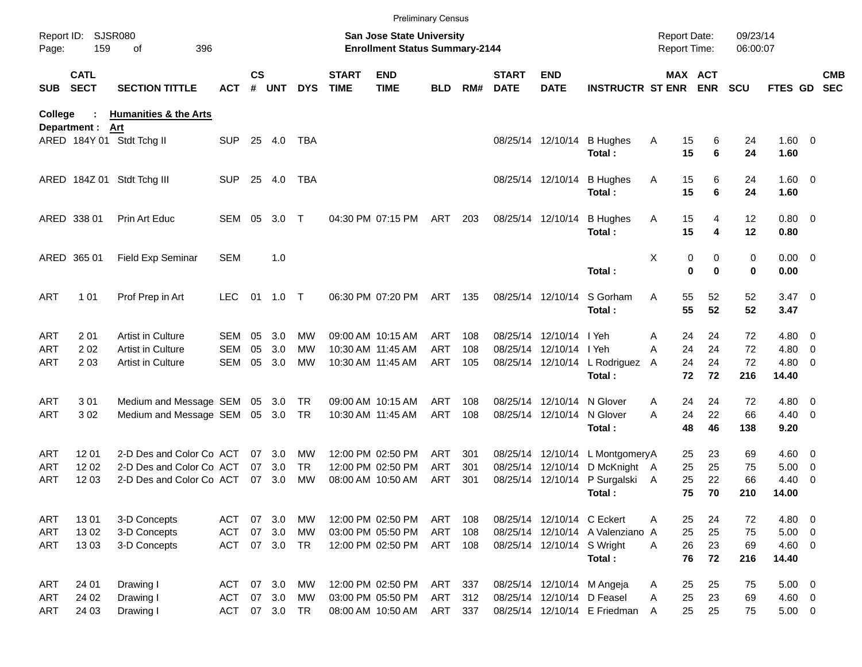|                     |                            |                                  |            |               |         |            |                             | <b>Preliminary Census</b>                                                 |            |     |                             |                            |                                  |                                            |               |                      |                        |                          |                          |
|---------------------|----------------------------|----------------------------------|------------|---------------|---------|------------|-----------------------------|---------------------------------------------------------------------------|------------|-----|-----------------------------|----------------------------|----------------------------------|--------------------------------------------|---------------|----------------------|------------------------|--------------------------|--------------------------|
| Report ID:<br>Page: | 159                        | <b>SJSR080</b><br>396<br>οf      |            |               |         |            |                             | <b>San Jose State University</b><br><b>Enrollment Status Summary-2144</b> |            |     |                             |                            |                                  | <b>Report Date:</b><br><b>Report Time:</b> |               | 09/23/14<br>06:00:07 |                        |                          |                          |
| <b>SUB</b>          | <b>CATL</b><br><b>SECT</b> | <b>SECTION TITTLE</b>            | <b>ACT</b> | $\mathsf{cs}$ | # UNT   | <b>DYS</b> | <b>START</b><br><b>TIME</b> | <b>END</b><br><b>TIME</b>                                                 | <b>BLD</b> | RM# | <b>START</b><br><b>DATE</b> | <b>END</b><br><b>DATE</b>  | <b>INSTRUCTR ST ENR ENR</b>      |                                            | MAX ACT       | <b>SCU</b>           | <b>FTES GD</b>         |                          | <b>CMB</b><br><b>SEC</b> |
| College             |                            | <b>Humanities &amp; the Arts</b> |            |               |         |            |                             |                                                                           |            |     |                             |                            |                                  |                                            |               |                      |                        |                          |                          |
|                     | Department :               | Art<br>ARED 184Y 01 Stdt Tchg II | <b>SUP</b> | 25            | 4.0     | TBA        |                             |                                                                           |            |     |                             | 08/25/14 12/10/14          | <b>B</b> Hughes<br>Total:        | 15<br>A<br>15                              | 6<br>6        | 24<br>24             | 1.60 0<br>1.60         |                          |                          |
|                     |                            | ARED 184Z 01 Stdt Tchg III       | <b>SUP</b> | 25            | 4.0     | TBA        |                             |                                                                           |            |     |                             | 08/25/14 12/10/14          | <b>B</b> Hughes<br>Total:        | 15<br>Α<br>15                              | 6<br>6        | 24<br>24             | $1.60 \t 0$<br>1.60    |                          |                          |
|                     | ARED 338 01                | Prin Art Educ                    | SEM 05     |               | 3.0     | $\top$     |                             | 04:30 PM 07:15 PM                                                         | ART        | 203 |                             | 08/25/14 12/10/14          | <b>B</b> Hughes<br>Total:        | 15<br>Α<br>15                              | 4<br>4        | 12<br>12             | 0.80 0<br>0.80         |                          |                          |
|                     | ARED 365 01                | Field Exp Seminar                | <b>SEM</b> |               | 1.0     |            |                             |                                                                           |            |     |                             |                            | Total:                           | Χ<br>0<br>$\bf{0}$                         | 0<br>$\bf{0}$ | 0<br>0               | $0.00 \t 0$<br>0.00    |                          |                          |
| <b>ART</b>          | 1 0 1                      | Prof Prep in Art                 | <b>LEC</b> | 01            | $1.0$ T |            |                             | 06:30 PM 07:20 PM                                                         | ART        | 135 |                             | 08/25/14 12/10/14          | S Gorham<br>Total:               | A<br>55<br>55                              | 52<br>52      | 52<br>52             | $3.47 \quad 0$<br>3.47 |                          |                          |
| <b>ART</b>          | 201                        | Artist in Culture                | SEM        | 05            | 3.0     | <b>MW</b>  |                             | 09:00 AM 10:15 AM                                                         | <b>ART</b> | 108 |                             | 08/25/14 12/10/14 I Yeh    |                                  | 24<br>A                                    | 24            | 72                   | $4.80$ 0               |                          |                          |
| <b>ART</b>          | 202                        | Artist in Culture                | SEM        | 05            | 3.0     | <b>MW</b>  |                             | 10:30 AM 11:45 AM                                                         | <b>ART</b> | 108 |                             | 08/25/14 12/10/14 I Yeh    |                                  | 24<br>A                                    | 24            | 72                   | $4.80$ 0               |                          |                          |
| <b>ART</b>          | 2 0 3                      | Artist in Culture                | SEM        | 05            | 3.0     | MW         |                             | 10:30 AM 11:45 AM                                                         | ART        | 105 |                             |                            | 08/25/14 12/10/14 L Rodriguez    | 24<br>A                                    | 24            | 72                   | $4.80$ 0               |                          |                          |
|                     |                            |                                  |            |               |         |            |                             |                                                                           |            |     |                             |                            | Total:                           | 72                                         | 72            | 216                  | 14.40                  |                          |                          |
| <b>ART</b>          | 301                        | Medium and Message SEM 05 3.0    |            |               |         | TR         |                             | 09:00 AM 10:15 AM                                                         | ART        | 108 |                             | 08/25/14 12/10/14          | N Glover                         | 24<br>A                                    | 24            | 72                   | $4.80$ 0               |                          |                          |
| <b>ART</b>          | 302                        | Medium and Message SEM 05 3.0    |            |               |         | TR         |                             | 10:30 AM 11:45 AM                                                         | ART        | 108 |                             | 08/25/14 12/10/14          | N Glover                         | 24<br>A                                    | 22            | 66                   | $4.40 \quad 0$         |                          |                          |
|                     |                            |                                  |            |               |         |            |                             |                                                                           |            |     |                             |                            | Total:                           | 48                                         | 46            | 138                  | 9.20                   |                          |                          |
| <b>ART</b>          | 1201                       | 2-D Des and Color Co ACT         |            |               | 07 3.0  | <b>MW</b>  |                             | 12:00 PM 02:50 PM                                                         | ART        | 301 |                             |                            | 08/25/14 12/10/14 L MontgomeryA  | 25                                         | 23            | 69                   | $4.60 \ 0$             |                          |                          |
| <b>ART</b>          | 12 02                      | 2-D Des and Color Co ACT         |            | 07            | 3.0     | TR.        |                             | 12:00 PM 02:50 PM                                                         | <b>ART</b> | 301 |                             | 08/25/14 12/10/14          | D McKnight A                     | 25                                         | 25            | 75                   | 5.00                   | $\overline{\phantom{0}}$ |                          |
| <b>ART</b>          | 12 03                      | 2-D Des and Color Co ACT         |            |               | 07 3.0  | <b>MW</b>  |                             | 08:00 AM 10:50 AM                                                         | ART        | 301 |                             | 08/25/14 12/10/14          | P Surgalski A                    | 25                                         | 22            | 66                   | 4.40                   | $\overline{\phantom{0}}$ |                          |
|                     |                            |                                  |            |               |         |            |                             |                                                                           |            |     |                             |                            | Total:                           | 75                                         | 70            | 210                  | 14.00                  |                          |                          |
| ART                 | 1301                       | 3-D Concepts                     | ACT        |               | 07 3.0  | MW         |                             | 12:00 PM 02:50 PM                                                         | ART        | 108 |                             | 08/25/14 12/10/14 C Eckert |                                  | 25<br>Α                                    | 24            | 72                   | 4.80 0                 |                          |                          |
| ART                 | 13 02                      | 3-D Concepts                     | <b>ACT</b> |               | 07 3.0  | MW         |                             | 03:00 PM 05:50 PM                                                         | ART        | 108 |                             |                            | 08/25/14 12/10/14 A Valenziano A | 25                                         | 25            | 75                   | $5.00 \t 0$            |                          |                          |
| ART                 | 1303                       | 3-D Concepts                     | <b>ACT</b> |               | 07 3.0  | <b>TR</b>  |                             | 12:00 PM 02:50 PM                                                         | ART 108    |     |                             | 08/25/14 12/10/14 S Wright |                                  | 26<br>A                                    | 23            | 69                   | $4.60$ 0               |                          |                          |
|                     |                            |                                  |            |               |         |            |                             |                                                                           |            |     |                             |                            | Total:                           | 76                                         | 72            | 216                  | 14.40                  |                          |                          |
| ART                 | 24 01                      | Drawing I                        | ACT        |               | 07 3.0  | MW         |                             | 12:00 PM 02:50 PM                                                         | ART        | 337 |                             |                            | 08/25/14 12/10/14 M Angeja       | 25<br>A                                    | 25            | 75                   | $5.00 \t 0$            |                          |                          |
| <b>ART</b>          | 24 02                      | Drawing I                        | <b>ACT</b> |               | 07 3.0  | MW         |                             | 03:00 PM 05:50 PM                                                         | ART 312    |     |                             |                            | 08/25/14 12/10/14 D Feasel       | 25<br>A                                    | 23            | 69                   | 4.60 0                 |                          |                          |
| ART                 | 24 03                      | Drawing I                        | <b>ACT</b> |               | 07 3.0  | TR         |                             | 08:00 AM 10:50 AM                                                         | ART 337    |     |                             |                            | 08/25/14 12/10/14 E Friedman     | 25<br>A                                    | 25            | 75                   | $5.00 \t 0$            |                          |                          |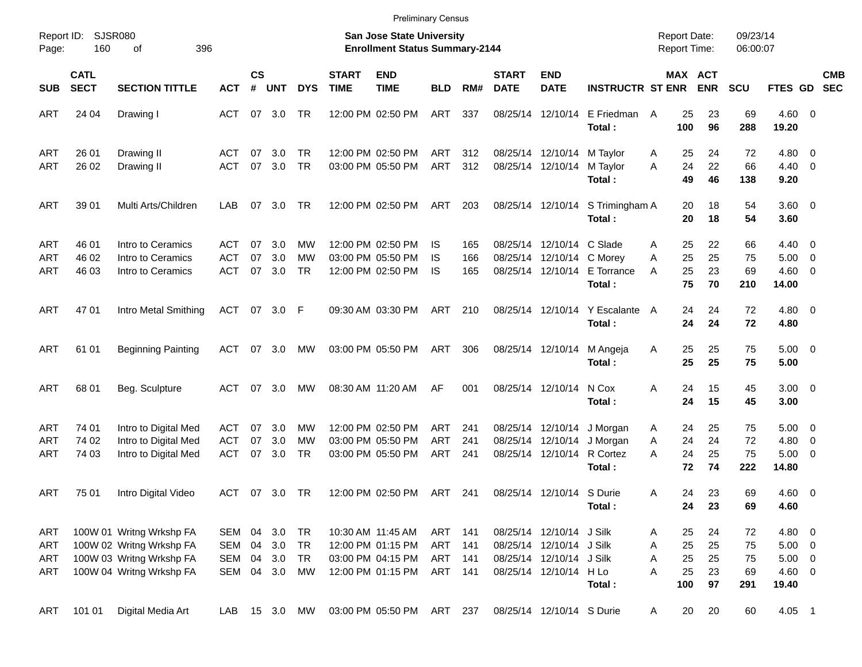|                          |                            |                                                      |                          |                |            |            |                             |                                                                    | <b>Preliminary Census</b> |            |                             |                                                        |                                |                                            |                |                      |                                     |            |
|--------------------------|----------------------------|------------------------------------------------------|--------------------------|----------------|------------|------------|-----------------------------|--------------------------------------------------------------------|---------------------------|------------|-----------------------------|--------------------------------------------------------|--------------------------------|--------------------------------------------|----------------|----------------------|-------------------------------------|------------|
| Report ID:<br>Page:      | 160                        | SJSR080<br>396<br>οf                                 |                          |                |            |            |                             | San Jose State University<br><b>Enrollment Status Summary-2144</b> |                           |            |                             |                                                        |                                | <b>Report Date:</b><br><b>Report Time:</b> |                | 09/23/14<br>06:00:07 |                                     |            |
| <b>SUB</b>               | <b>CATL</b><br><b>SECT</b> | <b>SECTION TITTLE</b>                                | <b>ACT</b>               | <b>CS</b><br># | <b>UNT</b> | <b>DYS</b> | <b>START</b><br><b>TIME</b> | <b>END</b><br><b>TIME</b>                                          | <b>BLD</b>                | RM#        | <b>START</b><br><b>DATE</b> | <b>END</b><br><b>DATE</b>                              | <b>INSTRUCTR ST ENR</b>        | MAX ACT                                    | <b>ENR</b>     | <b>SCU</b>           | FTES GD SEC                         | <b>CMB</b> |
| ART                      | 24 04                      | Drawing I                                            | ACT                      |                | 07 3.0     | TR         |                             | 12:00 PM 02:50 PM                                                  | ART                       | 337        |                             | 08/25/14 12/10/14                                      | E Friedman<br>Total:           | 25<br>A<br>100                             | 23<br>96       | 69<br>288            | $4.60 \ 0$<br>19.20                 |            |
| <b>ART</b><br><b>ART</b> | 26 01<br>26 02             | Drawing II<br>Drawing II                             | <b>ACT</b><br>ACT        | 07<br>07       | 3.0<br>3.0 | TR<br>TR   |                             | 12:00 PM 02:50 PM<br>03:00 PM 05:50 PM                             | ART<br>ART                | 312<br>312 |                             | 08/25/14 12/10/14<br>08/25/14 12/10/14                 | M Taylor<br>M Taylor<br>Total: | 25<br>A<br>24<br>A<br>49                   | 24<br>22<br>46 | 72<br>66<br>138      | $4.80\ 0$<br>$4.40 \quad 0$<br>9.20 |            |
| ART                      | 39 01                      | Multi Arts/Children                                  | LAB                      | 07             | 3.0        | TR         |                             | 12:00 PM 02:50 PM                                                  | ART                       | 203        |                             | 08/25/14 12/10/14                                      | S Trimingham A<br>Total:       | 20<br>20                                   | 18<br>18       | 54<br>54             | $3.60 \ 0$<br>3.60                  |            |
| <b>ART</b><br><b>ART</b> | 46 01<br>46 02             | Intro to Ceramics<br>Intro to Ceramics               | ACT<br><b>ACT</b>        | 07<br>07       | 3.0<br>3.0 | MW<br>МW   |                             | 12:00 PM 02:50 PM<br>03:00 PM 05:50 PM                             | IS<br>IS                  | 165<br>166 |                             | 08/25/14 12/10/14 C Slade<br>08/25/14 12/10/14 C Morev |                                | 25<br>Α<br>25<br>A                         | 22<br>25       | 66<br>75             | $4.40 \quad 0$<br>$5.00 \t 0$       |            |
| <b>ART</b>               | 46 03                      | Intro to Ceramics                                    | <b>ACT</b>               | 07             | 3.0        | TR         |                             | 12:00 PM 02:50 PM                                                  | <b>IS</b>                 | 165        |                             | 08/25/14 12/10/14                                      | E Torrance<br>Total:           | 25<br>A<br>75                              | 23<br>70       | 69<br>210            | $4.60$ 0<br>14.00                   |            |
| ART                      | 47 01                      | Intro Metal Smithing                                 | ACT 07 3.0 F             |                |            |            |                             | 09:30 AM 03:30 PM                                                  | ART                       | 210        |                             | 08/25/14 12/10/14                                      | Y Escalante<br>Total:          | 24<br>A<br>24                              | 24<br>24       | 72<br>72             | $4.80\ 0$<br>4.80                   |            |
| ART                      | 61 01                      | <b>Beginning Painting</b>                            | ACT                      |                | 07 3.0     | MW         |                             | 03:00 PM 05:50 PM                                                  | ART                       | 306        |                             | 08/25/14 12/10/14                                      | M Angeja<br>Total:             | 25<br>Α<br>25                              | 25<br>25       | 75<br>75             | $5.00 \t 0$<br>5.00                 |            |
| ART                      | 68 01                      | Beg. Sculpture                                       | ACT                      |                | 07 3.0     | MW         |                             | 08:30 AM 11:20 AM                                                  | AF                        | 001        |                             | 08/25/14 12/10/14                                      | N Cox<br>Total:                | 24<br>Α<br>24                              | 15<br>15       | 45<br>45             | $3.00 \ 0$<br>3.00                  |            |
| <b>ART</b><br><b>ART</b> | 74 01<br>74 02             | Intro to Digital Med<br>Intro to Digital Med         | <b>ACT</b><br><b>ACT</b> | 07<br>07       | 3.0<br>3.0 | MW<br>МW   |                             | 12:00 PM 02:50 PM<br>03:00 PM 05:50 PM                             | <b>ART</b><br><b>ART</b>  | 241<br>241 |                             | 08/25/14 12/10/14<br>08/25/14 12/10/14                 | J Morgan<br>J Morgan           | 24<br>A<br>24<br>A                         | 25<br>24       | 75<br>72             | $5.00 \t 0$<br>$4.80\ 0$            |            |
| <b>ART</b>               | 74 03                      | Intro to Digital Med                                 | <b>ACT</b>               | 07             | 3.0        | TR         |                             | 03:00 PM 05:50 PM                                                  | <b>ART</b>                | 241        |                             | 08/25/14 12/10/14                                      | R Cortez<br>Total:             | 24<br>A<br>72                              | 25<br>74       | 75<br>222            | $5.00 \t 0$<br>14.80                |            |
| <b>ART</b>               | 75 01                      | Intro Digital Video                                  | ACT                      |                | 07 3.0     | TR         |                             | 12:00 PM 02:50 PM                                                  | ART                       | 241        |                             | 08/25/14 12/10/14 S Durie                              | Total:                         | 24<br>A<br>24                              | 23<br>23       | 69<br>69             | $4.60$ 0<br>4.60                    |            |
| ART<br>ART               |                            | 100W 01 Writng Wrkshp FA<br>100W 02 Writng Wrkshp FA | SEM 04<br>SEM 04         |                | 3.0<br>3.0 | TR<br>TR   |                             | 10:30 AM 11:45 AM<br>12:00 PM 01:15 PM                             | ART 141<br>ART 141        |            |                             | 08/25/14 12/10/14 J Silk<br>08/25/14 12/10/14 J Silk   |                                | 25<br>A<br>25<br>A                         | 24<br>25       | 72<br>75             | 4.80 0<br>$5.00 \t 0$               |            |
| ART<br>ART               |                            | 100W 03 Writng Wrkshp FA<br>100W 04 Writng Wrkshp FA | SEM<br>SEM 04 3.0        | 04             | 3.0        | TR<br>МW   |                             | 03:00 PM 04:15 PM<br>12:00 PM 01:15 PM                             | ART 141<br>ART 141        |            |                             | 08/25/14 12/10/14 J Silk<br>08/25/14 12/10/14 H Lo     | Total:                         | 25<br>Α<br>25<br>A<br>100                  | 25<br>23<br>97 | 75<br>69<br>291      | $5.00 \t 0$<br>$4.60$ 0<br>19.40    |            |
| ART                      | 101 01                     | Digital Media Art                                    | LAB                      |                | 15 3.0     | МW         |                             | 03:00 PM 05:50 PM                                                  | ART                       | 237        |                             | 08/25/14 12/10/14 S Durie                              |                                | 20<br>A                                    | 20             | 60                   | $4.05$ 1                            |            |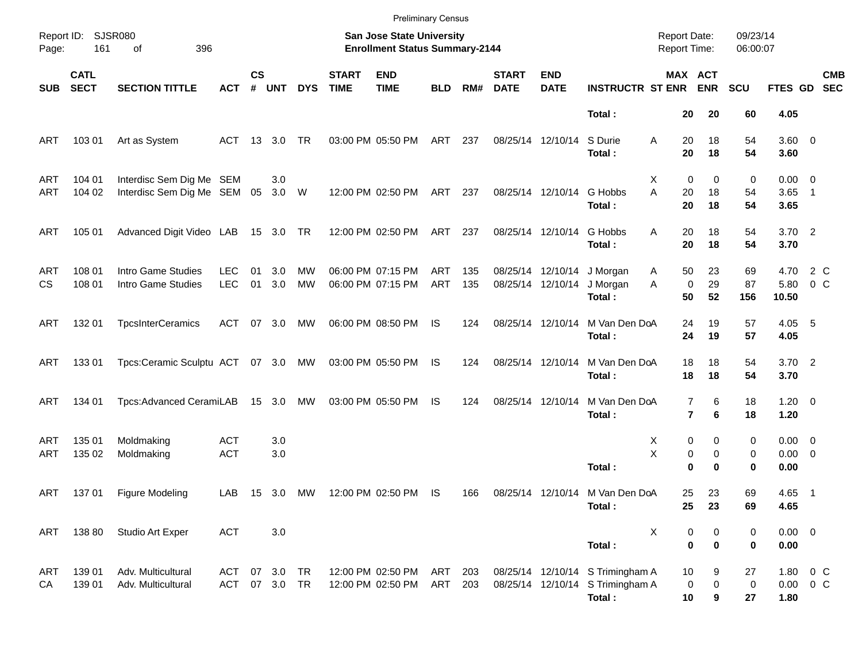|            |                            |                                 |               |                |            |            |                             | <b>Preliminary Census</b>                                          |            |     |                             |                           |                                  |                                     |                               |                      |                     |                           |
|------------|----------------------------|---------------------------------|---------------|----------------|------------|------------|-----------------------------|--------------------------------------------------------------------|------------|-----|-----------------------------|---------------------------|----------------------------------|-------------------------------------|-------------------------------|----------------------|---------------------|---------------------------|
| Page:      | Report ID: SJSR080<br>161  | 396<br>οf                       |               |                |            |            |                             | San Jose State University<br><b>Enrollment Status Summary-2144</b> |            |     |                             |                           |                                  | <b>Report Date:</b><br>Report Time: |                               | 09/23/14<br>06:00:07 |                     |                           |
| <b>SUB</b> | <b>CATL</b><br><b>SECT</b> | <b>SECTION TITTLE</b>           | <b>ACT</b>    | <b>CS</b><br># | <b>UNT</b> | <b>DYS</b> | <b>START</b><br><b>TIME</b> | <b>END</b><br><b>TIME</b>                                          | <b>BLD</b> | RM# | <b>START</b><br><b>DATE</b> | <b>END</b><br><b>DATE</b> | <b>INSTRUCTR ST ENR</b>          |                                     | <b>MAX ACT</b><br><b>ENR</b>  | <b>SCU</b>           |                     | <b>CMB</b><br>FTES GD SEC |
|            |                            |                                 |               |                |            |            |                             |                                                                    |            |     |                             |                           | Total:                           | 20                                  | 20                            | 60                   | 4.05                |                           |
| ART        | 103 01                     | Art as System                   | ACT 13 3.0    |                |            | TR         |                             | 03:00 PM 05:50 PM                                                  | ART        | 237 |                             | 08/25/14 12/10/14         | S Durie<br>Total:                | 20<br>Α<br>20                       | 18<br>18                      | 54<br>54             | 3.60 0<br>3.60      |                           |
| <b>ART</b> | 104 01                     | Interdisc Sem Dig Me SEM        |               |                | 3.0        |            |                             |                                                                    |            |     |                             |                           |                                  | Х                                   | 0<br>0                        | 0                    | $0.00 \t 0$         |                           |
| ART        | 104 02                     | Interdisc Sem Dig Me SEM 05     |               |                | 3.0 W      |            |                             | 12:00 PM 02:50 PM                                                  | ART        | 237 |                             | 08/25/14 12/10/14         | G Hobbs<br>Total:                | A<br>20<br>20                       | 18<br>18                      | 54<br>54             | $3.65$ 1<br>3.65    |                           |
| ART        | 105 01                     | Advanced Digit Video LAB        |               |                | 15 3.0 TR  |            |                             | 12:00 PM 02:50 PM                                                  | ART        | 237 |                             | 08/25/14 12/10/14         | G Hobbs<br>Total:                | 20<br>A<br>20                       | 18<br>18                      | 54<br>54             | $3.70$ 2<br>3.70    |                           |
| <b>ART</b> | 108 01                     | Intro Game Studies              | <b>LEC</b>    | 01             | 3.0        | MW         |                             | 06:00 PM 07:15 PM                                                  | ART        | 135 |                             | 08/25/14 12/10/14         | J Morgan                         | 50<br>A                             | 23                            | 69                   | 4.70                | 2 C                       |
| <b>CS</b>  | 108 01                     | Intro Game Studies              | <b>LEC</b>    | 01             | 3.0        | <b>MW</b>  |                             | 06:00 PM 07:15 PM                                                  | <b>ART</b> | 135 |                             | 08/25/14 12/10/14         | J Morgan                         | A                                   | 29<br>0                       | 87                   | 5.80                | 0 <sup>o</sup>            |
|            |                            |                                 |               |                |            |            |                             |                                                                    |            |     |                             |                           | Total:                           | 50                                  | 52                            | 156                  | 10.50               |                           |
| ART        | 132 01                     | <b>TpcsInterCeramics</b>        | ACT           |                | 07 3.0     | MW         |                             | 06:00 PM 08:50 PM                                                  | IS         | 124 |                             | 08/25/14 12/10/14         | M Van Den DoA<br>Total:          | 24<br>24                            | 19<br>19                      | 57<br>57             | 4.05 5<br>4.05      |                           |
| ART        | 13301                      | Tpcs:Ceramic Sculptu ACT 07 3.0 |               |                |            | МW         |                             | 03:00 PM 05:50 PM                                                  | IS         | 124 |                             | 08/25/14 12/10/14         | M Van Den DoA<br>Total:          | 18<br>18                            | 18<br>18                      | 54<br>54             | $3.70$ 2<br>3.70    |                           |
| ART        | 134 01                     | Tpcs:Advanced CeramiLAB         |               |                | 15 3.0     | МW         |                             | 03:00 PM 05:50 PM                                                  | IS         | 124 |                             | 08/25/14 12/10/14         | M Van Den DoA<br>Total:          |                                     | 6<br>7<br>$\overline{7}$<br>6 | 18<br>18             | $1.20 \t 0$<br>1.20 |                           |
| <b>ART</b> | 135 01                     | Moldmaking                      | <b>ACT</b>    |                | 3.0        |            |                             |                                                                    |            |     |                             |                           |                                  | Х                                   | 0<br>0                        | 0                    | $0.00 \ 0$          |                           |
| ART        | 135 02                     | Moldmaking                      | <b>ACT</b>    |                | 3.0        |            |                             |                                                                    |            |     |                             |                           |                                  | Χ                                   | 0<br>0                        | 0                    | $0.00 \t 0$         |                           |
|            |                            |                                 |               |                |            |            |                             |                                                                    |            |     |                             |                           | Total:                           |                                     | $\bf{0}$<br>$\bf{0}$          | 0                    | 0.00                |                           |
| ART        | 137 01                     | Figure Modeling                 | LAB           |                | 15 3.0     | МW         |                             | 12:00 PM 02:50 PM                                                  | IS         | 166 |                             |                           | 08/25/14 12/10/14 M Van Den DoA  | 25                                  | 23                            | 69                   | 4.65 1              |                           |
|            |                            |                                 |               |                |            |            |                             |                                                                    |            |     |                             |                           | Total:                           | 25                                  | 23                            | 69                   | 4.65                |                           |
| ART        | 138 80                     | Studio Art Exper                | <b>ACT</b>    |                | 3.0        |            |                             |                                                                    |            |     |                             |                           |                                  | X                                   | 0<br>0                        | 0                    | $0.00 \t 0$         |                           |
|            |                            |                                 |               |                |            |            |                             |                                                                    |            |     |                             |                           | Total:                           |                                     | $\mathbf 0$<br>$\bf{0}$       | 0                    | 0.00                |                           |
| ART        | 139 01                     | Adv. Multicultural              | ACT           |                | 07 3.0     | TR         |                             | 12:00 PM 02:50 PM                                                  | ART        | 203 |                             |                           | 08/25/14 12/10/14 S Trimingham A | 10                                  | 9                             | 27                   | 1.80 0 C            |                           |
| CA         | 139 01                     | Adv. Multicultural              | ACT 07 3.0 TR |                |            |            |                             | 12:00 PM 02:50 PM                                                  | ART        | 203 |                             |                           | 08/25/14 12/10/14 S Trimingham A |                                     | $\pmb{0}$<br>0                | $\pmb{0}$            | $0.00 \t 0 C$       |                           |
|            |                            |                                 |               |                |            |            |                             |                                                                    |            |     |                             |                           | Total:                           | 10                                  | 9                             | 27                   | 1.80                |                           |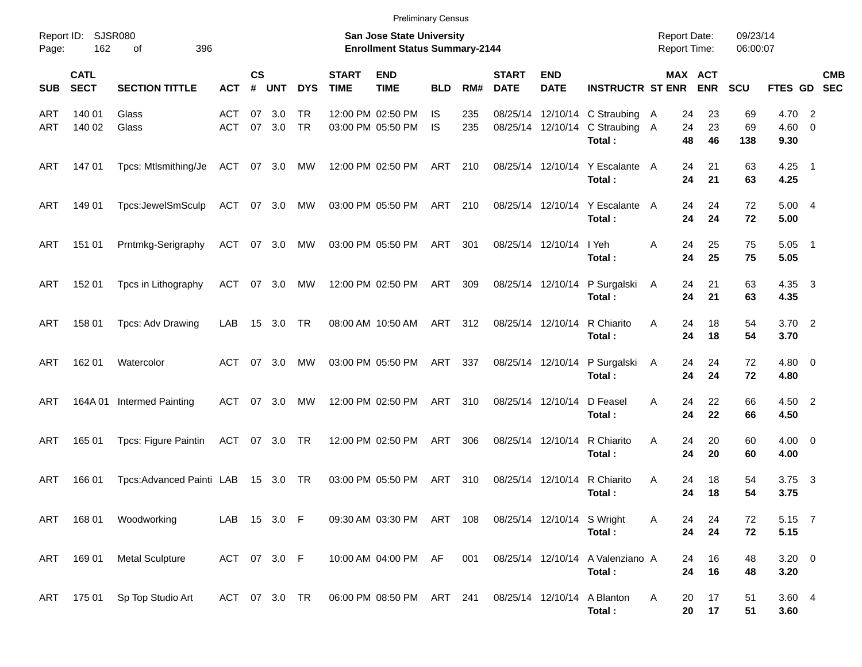| Page:      | Report ID:<br><b>SJSR080</b><br>162<br>396<br>οf<br><b>CATL</b><br><b>SECT</b><br><b>SECTION TITTLE</b> |                           |                   |                    |            |                 |                             | San Jose State University<br><b>Enrollment Status Summary-2144</b> |                  |            |                             |                           |                                                                 | <b>Report Date:</b><br><b>Report Time:</b> |                       | 09/23/14<br>06:00:07 |                              |                           |
|------------|---------------------------------------------------------------------------------------------------------|---------------------------|-------------------|--------------------|------------|-----------------|-----------------------------|--------------------------------------------------------------------|------------------|------------|-----------------------------|---------------------------|-----------------------------------------------------------------|--------------------------------------------|-----------------------|----------------------|------------------------------|---------------------------|
| <b>SUB</b> |                                                                                                         |                           | <b>ACT</b>        | $\mathsf{cs}$<br># | <b>UNT</b> | <b>DYS</b>      | <b>START</b><br><b>TIME</b> | <b>END</b><br><b>TIME</b>                                          | <b>BLD</b>       | RM#        | <b>START</b><br><b>DATE</b> | <b>END</b><br><b>DATE</b> | <b>INSTRUCTR ST ENR</b>                                         |                                            | MAX ACT<br><b>ENR</b> | <b>SCU</b>           |                              | <b>CMB</b><br>FTES GD SEC |
| ART<br>ART | 140 01<br>140 02                                                                                        | Glass<br>Glass            | ACT<br><b>ACT</b> | 07<br>07           | 3.0<br>3.0 | TR<br><b>TR</b> |                             | 12:00 PM 02:50 PM<br>03:00 PM 05:50 PM                             | IS.<br><b>IS</b> | 235<br>235 | 08/25/14                    |                           | 12/10/14 C Straubing<br>08/25/14 12/10/14 C Straubing<br>Total: | 24<br>A<br>24<br>A<br>48                   | 23<br>23<br>46        | 69<br>69<br>138      | 4.70 2<br>$4.60 \ 0$<br>9.30 |                           |
| ART        | 14701                                                                                                   | Tpcs: Mtlsmithing/Je      | ACT               |                    | 07 3.0     | MW              |                             | 12:00 PM 02:50 PM                                                  | ART              | 210        |                             | 08/25/14 12/10/14         | Y Escalante A<br>Total:                                         | 24<br>24                                   | 21<br>21              | 63<br>63             | $4.25$ 1<br>4.25             |                           |
| ART        | 149 01                                                                                                  | Tpcs:JewelSmSculp         | ACT               |                    | 07 3.0     | MW              |                             | 03:00 PM 05:50 PM                                                  | ART              | 210        |                             | 08/25/14 12/10/14         | Y Escalante<br>Total:                                           | 24<br>A<br>24                              | 24<br>24              | 72<br>72             | 5.004<br>5.00                |                           |
| ART        | 151 01                                                                                                  | Prntmkg-Serigraphy        | ACT               |                    | 07 3.0     | MW              |                             | 03:00 PM 05:50 PM                                                  | ART              | 301        |                             | 08/25/14 12/10/14         | I Yeh<br>Total:                                                 | Α<br>24<br>24                              | 25<br>25              | 75<br>75             | $5.05$ 1<br>5.05             |                           |
| ART        | 152 01                                                                                                  | Tpcs in Lithography       | ACT               | 07                 | 3.0        | MW              |                             | 12:00 PM 02:50 PM                                                  | ART              | 309        |                             | 08/25/14 12/10/14         | P Surgalski<br>Total:                                           | 24<br>A<br>24                              | 21<br>21              | 63<br>63             | 4.35 3<br>4.35               |                           |
| ART        | 158 01                                                                                                  | Tpcs: Adv Drawing         | LAB               | 15                 | 3.0        | TR              |                             | 08:00 AM 10:50 AM                                                  | ART              | 312        | 08/25/14 12/10/14           |                           | R Chiarito<br>Total:                                            | A<br>24<br>24                              | 18<br>18              | 54<br>54             | $3.70$ 2<br>3.70             |                           |
| ART        | 162 01                                                                                                  | Watercolor                | ACT               | 07                 | 3.0        | MW              |                             | 03:00 PM 05:50 PM                                                  | ART              | 337        |                             | 08/25/14 12/10/14         | P Surgalski<br>Total:                                           | 24<br>A<br>24                              | 24<br>24              | 72<br>72             | $4.80\ 0$<br>4.80            |                           |
| ART        | 164A 01                                                                                                 | Intermed Painting         | ACT               | 07                 | 3.0        | MW              |                             | 12:00 PM 02:50 PM                                                  | ART              | 310        | 08/25/14 12/10/14           |                           | D Feasel<br>Total:                                              | A<br>24<br>24                              | 22<br>22              | 66<br>66             | 4.50 2<br>4.50               |                           |
| ART        | 165 01                                                                                                  | Tpcs: Figure Paintin      | ACT               |                    | 07 3.0 TR  |                 |                             | 12:00 PM 02:50 PM                                                  | ART              | 306        | 08/25/14 12/10/14           |                           | R Chiarito<br>Total:                                            | A<br>24<br>24                              | 20<br>20              | 60<br>60             | $4.00 \ 0$<br>4.00           |                           |
| ART        | 166 01                                                                                                  | Tpcs: Advanced Painti LAB |                   |                    | 15 3.0 TR  |                 |                             | 03:00 PM 05:50 PM                                                  | ART              | 310        |                             | 08/25/14 12/10/14         | R Chiarito<br>Total:                                            | Α<br>24<br>24                              | 18<br>18              | 54<br>54             | $3.75 \quad 3$<br>3.75       |                           |
|            |                                                                                                         | ART 168 01 Woodworking    | LAB 15 3.0 F      |                    |            |                 |                             | 09:30 AM 03:30 PM ART 108 08/25/14 12/10/14 S Wright               |                  |            |                             |                           | Total:                                                          | 24<br>A<br>24                              | 24<br>24              | 72<br>72             | 5.15 7<br>5.15               |                           |
| ART        | 16901                                                                                                   | <b>Metal Sculpture</b>    | ACT 07 3.0 F      |                    |            |                 |                             | 10:00 AM 04:00 PM AF                                               |                  | 001        |                             |                           | 08/25/14 12/10/14 A Valenziano A<br>Total:                      | 24<br>24                                   | 16<br>16              | 48<br>48             | $3.20 \ 0$<br>3.20           |                           |
|            | ART 175 01                                                                                              | Sp Top Studio Art         | ACT 07 3.0 TR     |                    |            |                 |                             | 06:00 PM 08:50 PM ART 241                                          |                  |            |                             |                           | 08/25/14 12/10/14 A Blanton<br>Total:                           | A<br>20                                    | 17<br>20 17           | 51<br>51             | 3.60 4<br>3.60               |                           |

Preliminary Census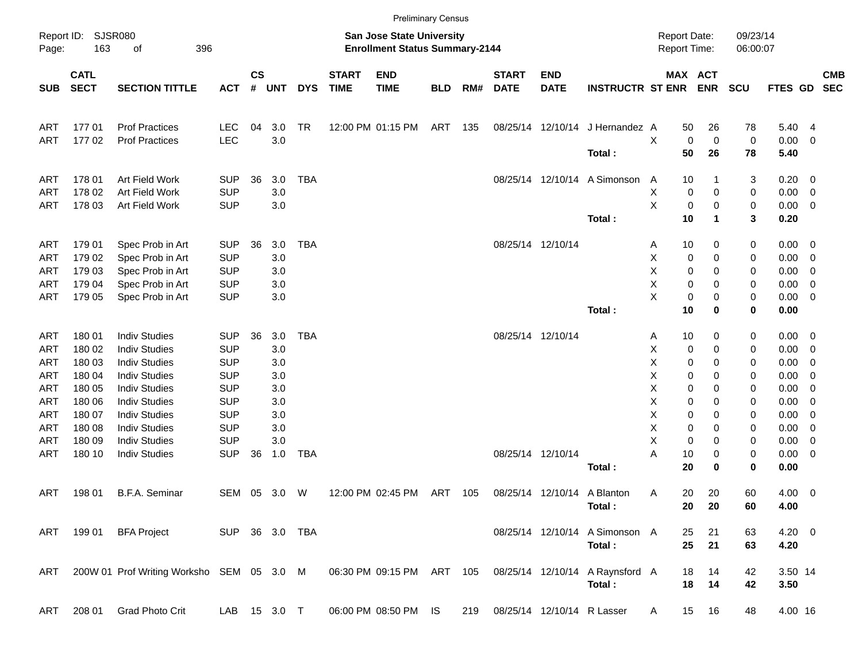|                     |                            |                                           |                          |                    |              |                |                             |                                                                           | <b>Preliminary Census</b> |     |                             |                           |                                 |                                     |                        |                      |                     |                                                     |                          |
|---------------------|----------------------------|-------------------------------------------|--------------------------|--------------------|--------------|----------------|-----------------------------|---------------------------------------------------------------------------|---------------------------|-----|-----------------------------|---------------------------|---------------------------------|-------------------------------------|------------------------|----------------------|---------------------|-----------------------------------------------------|--------------------------|
| Report ID:<br>Page: | <b>SJSR080</b><br>163      | 396<br>οf                                 |                          |                    |              |                |                             | <b>San Jose State University</b><br><b>Enrollment Status Summary-2144</b> |                           |     |                             |                           |                                 | <b>Report Date:</b><br>Report Time: |                        | 09/23/14<br>06:00:07 |                     |                                                     |                          |
| <b>SUB</b>          | <b>CATL</b><br><b>SECT</b> | <b>SECTION TITTLE</b>                     | <b>ACT</b>               | $\mathsf{cs}$<br># | <b>UNT</b>   | <b>DYS</b>     | <b>START</b><br><b>TIME</b> | <b>END</b><br><b>TIME</b>                                                 | <b>BLD</b>                | RM# | <b>START</b><br><b>DATE</b> | <b>END</b><br><b>DATE</b> | <b>INSTRUCTR ST ENR</b>         |                                     | MAX ACT<br><b>ENR</b>  | <b>SCU</b>           | FTES GD             |                                                     | <b>CMB</b><br><b>SEC</b> |
| ART                 | 17701                      | <b>Prof Practices</b>                     | <b>LEC</b>               | 04                 | 3.0          | <b>TR</b>      |                             | 12:00 PM 01:15 PM                                                         | ART                       | 135 |                             |                           | 08/25/14 12/10/14 J Hernandez A | 50                                  | 26                     | 78                   | 5.40 4              |                                                     |                          |
| ART                 | 17702                      | <b>Prof Practices</b>                     | LEC                      |                    | 3.0          |                |                             |                                                                           |                           |     |                             |                           | Total:                          | Χ<br>50                             | $\mathbf 0$<br>0<br>26 | 0<br>78              | 0.00<br>5.40        | $\overline{\mathbf{0}}$                             |                          |
| ART                 | 178 01                     | Art Field Work                            | <b>SUP</b>               | 36                 | 3.0          | <b>TBA</b>     |                             |                                                                           |                           |     |                             |                           | 08/25/14 12/10/14 A Simonson    | 10<br>A                             |                        | 3                    | $0.20 \ 0$          |                                                     |                          |
| <b>ART</b><br>ART   | 178 02<br>178 03           | Art Field Work<br>Art Field Work          | <b>SUP</b><br><b>SUP</b> |                    | 3.0<br>3.0   |                |                             |                                                                           |                           |     |                             |                           |                                 | Χ<br>Χ                              | 0<br>0<br>0<br>0       | 0<br>0               | 0.00<br>$0.00 \t 0$ | $\overline{\phantom{0}}$                            |                          |
|                     |                            |                                           |                          |                    |              |                |                             |                                                                           |                           |     |                             |                           | Total:                          | 10                                  | 1                      | 3                    | 0.20                |                                                     |                          |
| ART                 | 179 01                     | Spec Prob in Art                          | <b>SUP</b>               | 36                 | 3.0          | <b>TBA</b>     |                             |                                                                           |                           |     |                             | 08/25/14 12/10/14         |                                 | 10<br>Α                             | 0                      | 0                    | $0.00 \t 0$         |                                                     |                          |
| ART                 | 179 02                     | Spec Prob in Art                          | <b>SUP</b>               |                    | 3.0          |                |                             |                                                                           |                           |     |                             |                           |                                 | Χ                                   | 0<br>0                 | 0                    | 0.00                | $\overline{\phantom{0}}$                            |                          |
| <b>ART</b>          | 179 03                     | Spec Prob in Art                          | <b>SUP</b>               |                    | 3.0          |                |                             |                                                                           |                           |     |                             |                           |                                 | х                                   | 0<br>0                 | 0                    | 0.00                | $\overline{\mathbf{0}}$                             |                          |
| ART                 | 179 04<br>179 05           | Spec Prob in Art<br>Spec Prob in Art      | <b>SUP</b><br><b>SUP</b> |                    | 3.0<br>3.0   |                |                             |                                                                           |                           |     |                             |                           |                                 | Χ<br>X                              | 0<br>0<br>0<br>0       | 0                    | 0.00<br>0.00        | $\overline{\mathbf{0}}$<br>$\overline{\phantom{0}}$ |                          |
| ART                 |                            |                                           |                          |                    |              |                |                             |                                                                           |                           |     |                             |                           | Total:                          | 10                                  | 0                      | 0<br>0               | 0.00                |                                                     |                          |
| ART                 | 180 01                     | <b>Indiv Studies</b>                      | <b>SUP</b>               | 36                 | 3.0          | <b>TBA</b>     |                             |                                                                           |                           |     |                             | 08/25/14 12/10/14         |                                 | 10<br>Α                             | 0                      | 0                    | $0.00 \t 0$         |                                                     |                          |
| ART                 | 180 02                     | <b>Indiv Studies</b>                      | <b>SUP</b>               |                    | 3.0          |                |                             |                                                                           |                           |     |                             |                           |                                 | Χ                                   | 0<br>0                 | 0                    | 0.00                | $\overline{\phantom{0}}$                            |                          |
| <b>ART</b>          | 180 03                     | <b>Indiv Studies</b>                      | <b>SUP</b>               |                    | 3.0          |                |                             |                                                                           |                           |     |                             |                           |                                 | х                                   | 0<br>0                 | 0                    | 0.00                | $\overline{\mathbf{0}}$                             |                          |
| <b>ART</b>          | 180 04                     | <b>Indiv Studies</b>                      | <b>SUP</b>               |                    | 3.0          |                |                             |                                                                           |                           |     |                             |                           |                                 | х                                   | 0<br>0                 | 0                    | 0.00                | $\overline{\mathbf{0}}$                             |                          |
| <b>ART</b>          | 180 05                     | <b>Indiv Studies</b>                      | <b>SUP</b>               |                    | 3.0          |                |                             |                                                                           |                           |     |                             |                           |                                 | х                                   | 0<br>0                 | 0                    | 0.00                | $\overline{0}$                                      |                          |
| <b>ART</b>          | 180 06                     | <b>Indiv Studies</b>                      | <b>SUP</b>               |                    | 3.0          |                |                             |                                                                           |                           |     |                             |                           |                                 | х                                   | 0<br>0                 | 0                    | 0.00                | $\overline{\mathbf{0}}$                             |                          |
| <b>ART</b>          | 180 07                     | <b>Indiv Studies</b>                      | <b>SUP</b>               |                    | 3.0          |                |                             |                                                                           |                           |     |                             |                           |                                 | х                                   | 0<br>0                 | 0                    | 0.00                | $\overline{\mathbf{0}}$                             |                          |
| <b>ART</b>          | 180 08                     | <b>Indiv Studies</b>                      | <b>SUP</b>               |                    | 3.0          |                |                             |                                                                           |                           |     |                             |                           |                                 | х                                   | 0<br>0                 | 0                    | 0.00                | $\overline{\mathbf{0}}$                             |                          |
| <b>ART</b>          | 180 09                     | <b>Indiv Studies</b>                      | <b>SUP</b>               |                    | 3.0          |                |                             |                                                                           |                           |     |                             |                           |                                 | Χ                                   | 0<br>0                 | 0                    | 0.00                | $\overline{\mathbf{0}}$                             |                          |
| ART                 | 180 10                     | <b>Indiv Studies</b>                      | <b>SUP</b>               | 36                 | 1.0          | <b>TBA</b>     |                             |                                                                           |                           |     |                             | 08/25/14 12/10/14         | Total:                          | Α<br>10<br>20                       | 0<br>0                 | 0<br>0               | 0.00<br>0.00        | $\overline{\phantom{0}}$                            |                          |
| ART                 | 198 01                     | B.F.A. Seminar                            | SEM                      | 05                 | 3.0          | W              |                             | 12:00 PM 02:45 PM                                                         | ART                       | 105 |                             |                           | 08/25/14 12/10/14 A Blanton     | 20<br>A                             | 20                     | 60                   | $4.00 \ 0$          |                                                     |                          |
|                     |                            |                                           |                          |                    |              |                |                             |                                                                           |                           |     |                             |                           | Total:                          |                                     | 20 20                  | 60                   | 4.00                |                                                     |                          |
|                     | ART 199 01                 | <b>BFA Project</b>                        |                          |                    |              | SUP 36 3.0 TBA |                             |                                                                           |                           |     |                             |                           | 08/25/14 12/10/14 A Simonson A  | 25                                  | 21                     | 63                   | $4.20 \ 0$          |                                                     |                          |
|                     |                            |                                           |                          |                    |              |                |                             |                                                                           |                           |     |                             |                           | Total:                          |                                     | 25<br>21               | 63                   | 4.20                |                                                     |                          |
| ART                 |                            | 200W 01 Prof Writing Worksho SEM 05 3.0 M |                          |                    |              |                |                             | 06:30 PM 09:15 PM ART 105                                                 |                           |     |                             |                           | 08/25/14 12/10/14 A Raynsford A | 18                                  | 14                     | 42                   | 3.50 14             |                                                     |                          |
|                     |                            |                                           |                          |                    |              |                |                             |                                                                           |                           |     |                             |                           | Total:                          |                                     | 18<br>14               | 42                   | 3.50                |                                                     |                          |
| ART                 | 208 01                     | Grad Photo Crit                           |                          |                    | LAB 15 3.0 T |                |                             | 06:00 PM 08:50 PM IS                                                      |                           | 219 |                             |                           | 08/25/14 12/10/14 R Lasser      | A                                   | 15 16                  | 48                   | 4.00 16             |                                                     |                          |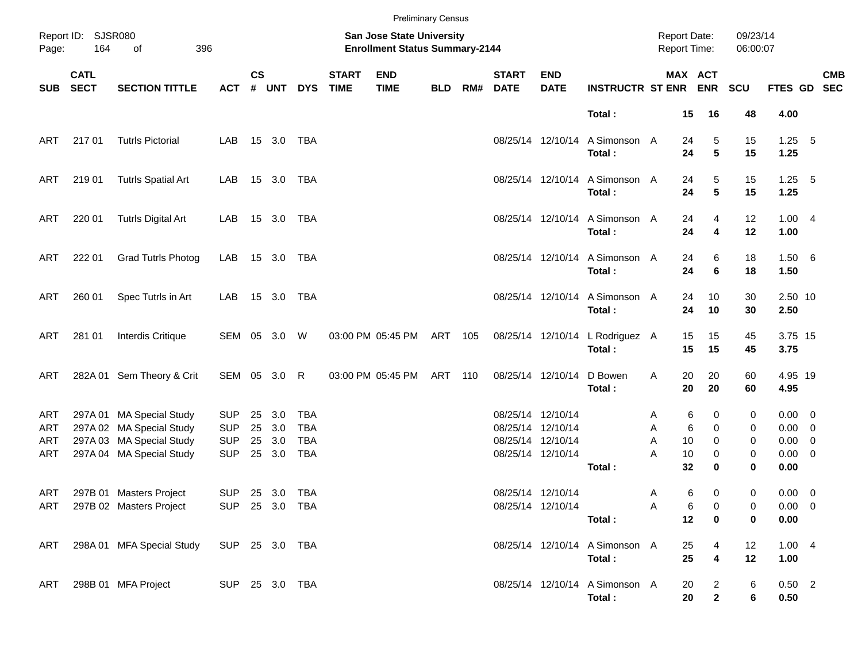|                          |                            |                                                                                                              |                                                      |                |                             |                                                      |                             |                                                                    | <b>Preliminary Census</b> |     |                             |                                                                                  |                                           |                  |                          |                                        |                       |                                                                  |            |
|--------------------------|----------------------------|--------------------------------------------------------------------------------------------------------------|------------------------------------------------------|----------------|-----------------------------|------------------------------------------------------|-----------------------------|--------------------------------------------------------------------|---------------------------|-----|-----------------------------|----------------------------------------------------------------------------------|-------------------------------------------|------------------|--------------------------|----------------------------------------|-----------------------|------------------------------------------------------------------|------------|
| Page:                    | Report ID: SJSR080<br>164  | 396<br>of                                                                                                    |                                                      |                |                             |                                                      |                             | San Jose State University<br><b>Enrollment Status Summary-2144</b> |                           |     |                             |                                                                                  |                                           |                  | <b>Report Date:</b>      | Report Time:                           | 09/23/14<br>06:00:07  |                                                                  |            |
| SUB                      | <b>CATL</b><br><b>SECT</b> | <b>SECTION TITTLE</b>                                                                                        | <b>ACT</b>                                           | $\mathsf{cs}$  | # UNT                       | <b>DYS</b>                                           | <b>START</b><br><b>TIME</b> | <b>END</b><br><b>TIME</b>                                          | <b>BLD</b>                | RM# | <b>START</b><br><b>DATE</b> | <b>END</b><br><b>DATE</b>                                                        | <b>INSTRUCTR ST ENR ENR</b>               |                  |                          | MAX ACT                                | SCU                   | FTES GD SEC                                                      | <b>CMB</b> |
|                          |                            |                                                                                                              |                                                      |                |                             |                                                      |                             |                                                                    |                           |     |                             |                                                                                  | Total:                                    |                  | 15                       | 16                                     | 48                    | 4.00                                                             |            |
| ART                      | 21701                      | <b>Tutrls Pictorial</b>                                                                                      | LAB                                                  |                | 15 3.0                      | TBA                                                  |                             |                                                                    |                           |     |                             |                                                                                  | 08/25/14 12/10/14 A Simonson A<br>Total:  |                  | 24<br>24                 | 5<br>5                                 | 15<br>15              | $1.25$ 5<br>1.25                                                 |            |
| ART                      | 21901                      | <b>Tutrls Spatial Art</b>                                                                                    | LAB                                                  |                | 15 3.0 TBA                  |                                                      |                             |                                                                    |                           |     |                             |                                                                                  | 08/25/14 12/10/14 A Simonson A<br>Total:  |                  | 24<br>24                 | 5<br>5                                 | 15<br>15              | $1.25$ 5<br>1.25                                                 |            |
| ART                      | 220 01                     | <b>Tutrls Digital Art</b>                                                                                    | LAB                                                  |                | 15 3.0 TBA                  |                                                      |                             |                                                                    |                           |     |                             |                                                                                  | 08/25/14 12/10/14 A Simonson A<br>Total:  |                  | 24<br>24                 | 4<br>4                                 | 12<br>12              | 1.004<br>1.00                                                    |            |
| ART                      | 222 01                     | <b>Grad Tutrls Photog</b>                                                                                    | LAB                                                  |                | 15 3.0 TBA                  |                                                      |                             |                                                                    |                           |     |                             |                                                                                  | 08/25/14 12/10/14 A Simonson A<br>Total:  |                  | 24<br>24                 | 6<br>6                                 | 18<br>18              | 1.50 6<br>1.50                                                   |            |
| ART                      | 260 01                     | Spec Tutrls in Art                                                                                           | LAB                                                  |                | 15 3.0 TBA                  |                                                      |                             |                                                                    |                           |     |                             |                                                                                  | 08/25/14 12/10/14 A Simonson A<br>Total:  |                  | 24<br>24                 | 10<br>10                               | 30<br>30              | 2.50 10<br>2.50                                                  |            |
| ART                      | 281 01                     | Interdis Critique                                                                                            | SEM 05 3.0                                           |                |                             | W                                                    |                             | 03:00 PM 05:45 PM                                                  | ART 105                   |     |                             |                                                                                  | 08/25/14 12/10/14 L Rodriguez A<br>Total: |                  | 15<br>15                 | 15<br>15                               | 45<br>45              | 3.75 15<br>3.75                                                  |            |
| ART                      |                            | 282A 01 Sem Theory & Crit                                                                                    | SEM 05 3.0                                           |                |                             | R                                                    |                             | 03:00 PM 05:45 PM                                                  | ART 110                   |     |                             | 08/25/14 12/10/14                                                                | D Bowen<br>Total:                         | Α                | 20<br>20                 | 20<br>20                               | 60<br>60              | 4.95 19<br>4.95                                                  |            |
| ART<br>ART<br>ART<br>ART |                            | 297A 01 MA Special Study<br>297A 02 MA Special Study<br>297A 03 MA Special Study<br>297A 04 MA Special Study | <b>SUP</b><br><b>SUP</b><br><b>SUP</b><br><b>SUP</b> | 25<br>25<br>25 | 3.0<br>3.0<br>3.0<br>25 3.0 | <b>TBA</b><br><b>TBA</b><br><b>TBA</b><br><b>TBA</b> |                             |                                                                    |                           |     |                             | 08/25/14 12/10/14<br>08/25/14 12/10/14<br>08/25/14 12/10/14<br>08/25/14 12/10/14 | Total:                                    | Α<br>Α<br>A<br>A | 6<br>6<br>10<br>10<br>32 | 0<br>$\mathbf 0$<br>0<br>0<br>$\bf{0}$ | 0<br>0<br>0<br>0<br>0 | $0.00 \t 0$<br>$0.00 \t 0$<br>$0.00 \t 0$<br>$0.00 \t 0$<br>0.00 |            |
| ART                      |                            | 297B 01 Masters Project<br>ART 297B 02 Masters Project                                                       | <b>SUP</b><br>SUP 25 3.0 TBA                         |                | 25 3.0 TBA                  |                                                      |                             |                                                                    |                           |     |                             | 08/25/14 12/10/14<br>08/25/14 12/10/14                                           | Total:                                    | Α<br>Α           | 6<br>6<br>12             | 0<br>0<br>0                            | 0<br>0<br>0           | $0.00 \t 0$<br>$0.00 \t 0$<br>0.00                               |            |
| ART                      |                            | 298A 01 MFA Special Study                                                                                    | SUP 25 3.0 TBA                                       |                |                             |                                                      |                             |                                                                    |                           |     |                             |                                                                                  | 08/25/14 12/10/14 A Simonson A<br>Total:  |                  | 25<br>25                 | 4<br>$\overline{\mathbf{4}}$           | 12<br>12              | 1.004<br>1.00                                                    |            |
| ART                      |                            | 298B 01 MFA Project                                                                                          | SUP 25 3.0 TBA                                       |                |                             |                                                      |                             |                                                                    |                           |     |                             |                                                                                  | 08/25/14 12/10/14 A Simonson A<br>Total:  |                  | 20<br>20                 | $\overline{c}$<br>$\mathbf{2}$         | 6<br>6                | $0.50$ 2<br>0.50                                                 |            |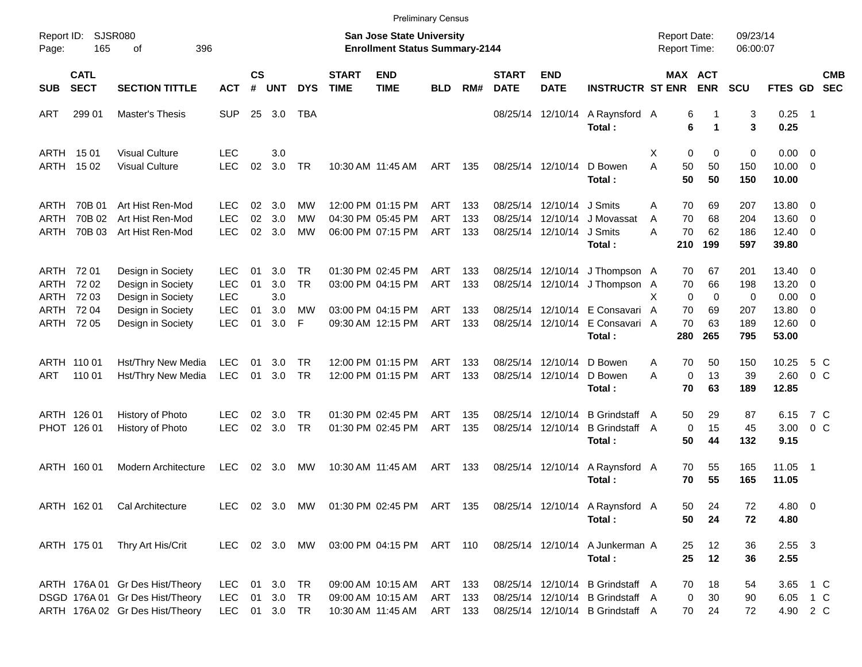|                                    |                                       |                                                                                                       |                                                              |                      |                                  |                                   |                             |                                                                                  | <b>Preliminary Census</b>       |                          |                             |                                                             |                                                                                                          |                                            |                                                    |                               |                                                          |                                 |                          |
|------------------------------------|---------------------------------------|-------------------------------------------------------------------------------------------------------|--------------------------------------------------------------|----------------------|----------------------------------|-----------------------------------|-----------------------------|----------------------------------------------------------------------------------|---------------------------------|--------------------------|-----------------------------|-------------------------------------------------------------|----------------------------------------------------------------------------------------------------------|--------------------------------------------|----------------------------------------------------|-------------------------------|----------------------------------------------------------|---------------------------------|--------------------------|
| Report ID:<br>Page:                | 165                                   | <b>SJSR080</b><br>396<br>οf                                                                           |                                                              |                      |                                  |                                   |                             | San Jose State University<br><b>Enrollment Status Summary-2144</b>               |                                 |                          |                             |                                                             |                                                                                                          | <b>Report Date:</b><br><b>Report Time:</b> |                                                    | 09/23/14<br>06:00:07          |                                                          |                                 |                          |
| <b>SUB</b>                         | <b>CATL</b><br><b>SECT</b>            | <b>SECTION TITTLE</b>                                                                                 | <b>ACT</b>                                                   | $\mathsf{cs}$<br>#   | <b>UNT</b>                       | <b>DYS</b>                        | <b>START</b><br><b>TIME</b> | <b>END</b><br><b>TIME</b>                                                        | <b>BLD</b>                      | RM#                      | <b>START</b><br><b>DATE</b> | <b>END</b><br><b>DATE</b>                                   | <b>INSTRUCTR ST ENR</b>                                                                                  |                                            | MAX ACT<br><b>ENR</b>                              | <b>SCU</b>                    | <b>FTES GD</b>                                           |                                 | <b>CMB</b><br><b>SEC</b> |
| <b>ART</b>                         | 299 01                                | <b>Master's Thesis</b>                                                                                | <b>SUP</b>                                                   |                      | 25 3.0                           | TBA                               |                             |                                                                                  |                                 |                          |                             | 08/25/14 12/10/14                                           | A Raynsford A<br>Total:                                                                                  |                                            | 6<br>6<br>$\blacktriangleleft$                     | 3<br>3                        | $0.25$ 1<br>0.25                                         |                                 |                          |
| ARTH<br>ARTH                       | 15 01<br>15 02                        | <b>Visual Culture</b><br><b>Visual Culture</b>                                                        | <b>LEC</b><br><b>LEC</b>                                     | 02                   | 3.0<br>3.0                       | TR                                |                             | 10:30 AM 11:45 AM                                                                | ART                             | 135                      |                             | 08/25/14 12/10/14                                           | D Bowen<br>Total:                                                                                        | Х<br>A<br>50<br>50                         | 0<br>0<br>50<br>50                                 | 0<br>150<br>150               | $0.00 \t 0$<br>$10.00 \t 0$<br>10.00                     |                                 |                          |
| ARTH<br>ARTH<br>ARTH               | 70B 01<br>70B 02<br>70B 03            | Art Hist Ren-Mod<br>Art Hist Ren-Mod<br>Art Hist Ren-Mod                                              | <b>LEC</b><br><b>LEC</b><br><b>LEC</b>                       | 02<br>02<br>02       | 3.0<br>3.0<br>3.0                | МW<br>МW<br>МW                    |                             | 12:00 PM 01:15 PM<br>04:30 PM 05:45 PM<br>06:00 PM 07:15 PM                      | <b>ART</b><br><b>ART</b><br>ART | 133<br>133<br>133        | 08/25/14                    | 08/25/14 12/10/14<br>12/10/14<br>08/25/14 12/10/14          | J Smits<br>J Movassat<br>J Smits<br>Total:                                                               | 70<br>A<br>70<br>A<br>70<br>A<br>210       | 69<br>68<br>62<br>199                              | 207<br>204<br>186<br>597      | 13.80 0<br>13.60<br>$12.40 \t 0$<br>39.80                | $\overline{\phantom{0}}$        |                          |
| ARTH 72 01<br>ARTH<br>ARTH<br>ARTH | 72 02<br>72 03<br>72 04<br>ARTH 72 05 | Design in Society<br>Design in Society<br>Design in Society<br>Design in Society<br>Design in Society | LEC.<br><b>LEC</b><br><b>LEC</b><br><b>LEC</b><br><b>LEC</b> | 01<br>01<br>01<br>01 | 3.0<br>3.0<br>3.0<br>3.0<br>3.0  | TR<br><b>TR</b><br><b>MW</b><br>F |                             | 01:30 PM 02:45 PM<br>03:00 PM 04:15 PM<br>03:00 PM 04:15 PM<br>09:30 AM 12:15 PM | ART<br>ART<br><b>ART</b><br>ART | 133<br>133<br>133<br>133 |                             | 08/25/14 12/10/14<br>08/25/14 12/10/14<br>08/25/14 12/10/14 | J Thompson A<br>08/25/14 12/10/14 J Thompson A<br>E Consavari A<br>E Consavari A                         | 70<br>70<br>X<br>70<br>70                  | 67<br>66<br>$\mathbf 0$<br>$\mathbf 0$<br>69<br>63 | 201<br>198<br>0<br>207<br>189 | 13.40 0<br>13.20<br>$0.00 \t 0$<br>13.80<br>$12.60 \t 0$ | $\overline{\phantom{0}}$<br>- 0 |                          |
| <b>ART</b>                         | ARTH 110 01<br>110 01                 | Hst/Thry New Media<br>Hst/Thry New Media                                                              | <b>LEC</b><br>LEC                                            | 01<br>01             | 3.0<br>3.0                       | <b>TR</b><br>TR                   |                             | 12:00 PM 01:15 PM<br>12:00 PM 01:15 PM                                           | ART<br>ART                      | 133<br>133               |                             | 08/25/14 12/10/14<br>08/25/14 12/10/14                      | Total:<br>D Bowen<br>D Bowen<br>Total:                                                                   | 280<br>70<br>A<br>A<br>70                  | 265<br>50<br>13<br>0<br>63                         | 795<br>150<br>39<br>189       | 53.00<br>10.25<br>2.60<br>12.85                          | 5 C<br>0 <sup>o</sup>           |                          |
|                                    | ARTH 126 01<br>PHOT 126 01            | History of Photo<br>History of Photo                                                                  | <b>LEC</b><br><b>LEC</b>                                     | 02<br>02             | 3.0<br>3.0                       | TR<br><b>TR</b>                   |                             | 01:30 PM 02:45 PM<br>01:30 PM 02:45 PM                                           | ART<br>ART                      | 135<br>135               | 08/25/14                    | 12/10/14<br>08/25/14 12/10/14                               | <b>B</b> Grindstaff<br><b>B</b> Grindstaff<br>Total:                                                     | 50<br>A<br>A<br>50                         | 29<br>$\mathbf 0$<br>15<br>44                      | 87<br>45<br>132               | 6.15<br>3.00<br>9.15                                     | 7 C<br>0 <sup>o</sup>           |                          |
|                                    | ARTH 160 01                           | Modern Architecture                                                                                   | LEC                                                          | 02                   | 3.0                              | МW                                |                             | 10:30 AM 11:45 AM                                                                | ART                             | 133                      |                             | 08/25/14 12/10/14                                           | A Raynsford A<br>Total:                                                                                  | 70<br>70                                   | 55<br>55                                           | 165<br>165                    | 11.05 1<br>11.05                                         |                                 |                          |
|                                    | ARTH 16201                            | Cal Architecture                                                                                      |                                                              |                      |                                  |                                   |                             |                                                                                  |                                 |                          |                             |                                                             | LEC 02 3.0 MW 01:30 PM 02:45 PM ART 135 08/25/14 12/10/14 A Raynsford A<br>Total:                        | 50<br>50                                   | 24<br>24                                           | 72<br>72                      | 4.80 0<br>4.80                                           |                                 |                          |
|                                    | ARTH 175 01                           | Thry Art His/Crit                                                                                     |                                                              |                      |                                  | LEC 02 3.0 MW                     |                             | 03:00 PM 04:15 PM ART 110                                                        |                                 |                          |                             | 08/25/14 12/10/14                                           | A Junkerman A<br>Total:                                                                                  | 25<br>25                                   | 12<br>12                                           | 36<br>36                      | $2.55 \quad 3$<br>2.55                                   |                                 |                          |
|                                    |                                       | ARTH 176A 01 Gr Des Hist/Theory<br>DSGD 176A 01 Gr Des Hist/Theory<br>ARTH 176A 02 Gr Des Hist/Theory | LEC.<br><b>LEC</b><br><b>LEC</b>                             | 01                   | 01 3.0 TR<br>3.0 TR<br>01 3.0 TR |                                   |                             | 09:00 AM 10:15 AM<br>09:00 AM 10:15 AM<br>10:30 AM 11:45 AM                      | ART 133<br>ART 133<br>ART 133   |                          |                             |                                                             | 08/25/14 12/10/14 B Grindstaff A<br>08/25/14 12/10/14 B Grindstaff A<br>08/25/14 12/10/14 B Grindstaff A | 70<br>70                                   | 18<br>30<br>0<br>24                                | 54<br>90<br>72                | 3.65 1 C<br>6.05 1 C<br>4.90 2 C                         |                                 |                          |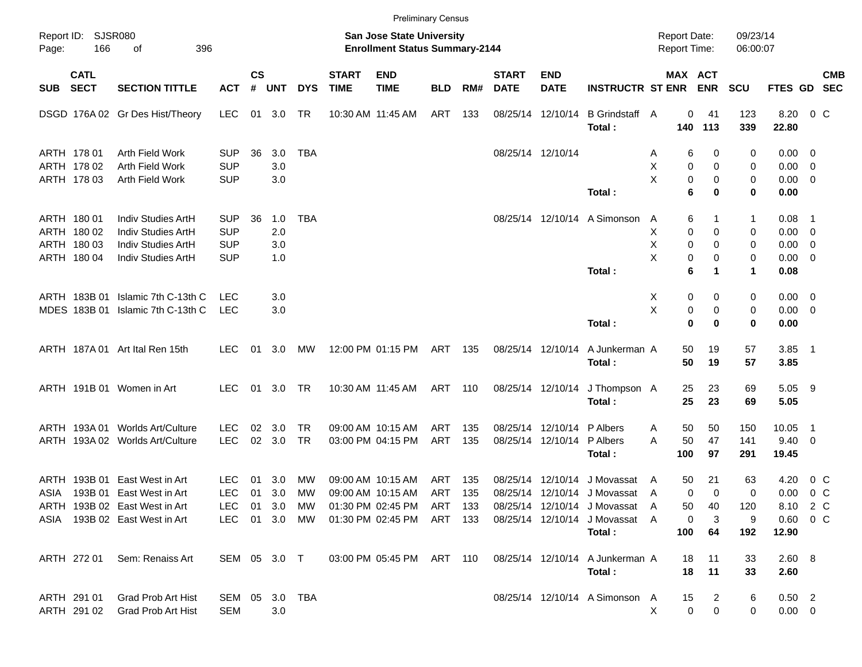|              |                                                          |                                                                                                                |                                                      |                    |                          |                  |                             | <b>Preliminary Census</b>                                                                        |            |            |                             |                                        |                                                                                                                          |                                     |                                                |                            |                                                           |                                  |  |
|--------------|----------------------------------------------------------|----------------------------------------------------------------------------------------------------------------|------------------------------------------------------|--------------------|--------------------------|------------------|-----------------------------|--------------------------------------------------------------------------------------------------|------------|------------|-----------------------------|----------------------------------------|--------------------------------------------------------------------------------------------------------------------------|-------------------------------------|------------------------------------------------|----------------------------|-----------------------------------------------------------|----------------------------------|--|
| Page:        | Report ID: SJSR080<br>166                                | of<br>396                                                                                                      |                                                      |                    |                          |                  |                             | San Jose State University<br><b>Enrollment Status Summary-2144</b>                               |            |            |                             |                                        |                                                                                                                          | <b>Report Date:</b><br>Report Time: |                                                | 09/23/14<br>06:00:07       |                                                           |                                  |  |
| <b>SUB</b>   | <b>CATL</b><br><b>SECT</b>                               | <b>SECTION TITTLE</b>                                                                                          | <b>ACT</b>                                           | $\mathsf{cs}$<br># | <b>UNT</b>               | <b>DYS</b>       | <b>START</b><br><b>TIME</b> | <b>END</b><br><b>TIME</b>                                                                        | <b>BLD</b> | RM#        | <b>START</b><br><b>DATE</b> | <b>END</b><br><b>DATE</b>              | <b>INSTRUCTR ST ENR</b>                                                                                                  |                                     | MAX ACT<br><b>ENR</b>                          | <b>SCU</b>                 | FTES GD SEC                                               | <b>CMB</b>                       |  |
|              |                                                          | DSGD 176A 02 Gr Des Hist/Theory                                                                                | <b>LEC</b>                                           | 01                 | 3.0                      | TR               |                             | 10:30 AM 11:45 AM                                                                                | ART        | 133        |                             | 08/25/14 12/10/14                      | B Grindstaff A<br>Total:                                                                                                 | 140                                 | 0<br>41<br>113                                 | 123<br>339                 | 8.20<br>22.80                                             | $0\,$ C                          |  |
|              | ARTH 178 01<br>ARTH 178 02<br>ARTH 178 03                | Arth Field Work<br>Arth Field Work<br>Arth Field Work                                                          | <b>SUP</b><br><b>SUP</b><br><b>SUP</b>               | 36                 | 3.0<br>3.0<br>3.0        | <b>TBA</b>       |                             |                                                                                                  |            |            |                             | 08/25/14 12/10/14                      | Total:                                                                                                                   | Α<br>х<br>X                         | 6<br>0<br>0<br>0<br>0<br>0<br>6<br>0           | 0<br>0<br>0<br>0           | $0.00 \quad 0$<br>$0.00 \t 0$<br>$0.00 \t 0$<br>0.00      |                                  |  |
|              | ARTH 180 01<br>ARTH 180 02<br>ARTH 180 03<br>ARTH 180 04 | Indiv Studies ArtH<br>Indiv Studies ArtH<br>Indiv Studies ArtH<br>Indiv Studies ArtH                           | <b>SUP</b><br><b>SUP</b><br><b>SUP</b><br><b>SUP</b> | 36                 | 1.0<br>2.0<br>3.0<br>1.0 | <b>TBA</b>       |                             |                                                                                                  |            |            |                             |                                        | 08/25/14 12/10/14 A Simonson<br>Total:                                                                                   | A<br>Χ<br>х<br>X                    | 6<br>1<br>0<br>0<br>0<br>0<br>0<br>0<br>6<br>1 | 1<br>0<br>0<br>0<br>1      | 0.08<br>$0.00 \t 0$<br>$0.00 \t 0$<br>$0.00 \t 0$<br>0.08 | - 1                              |  |
|              | ARTH 183B 01<br>MDES 183B 01                             | Islamic 7th C-13th C<br>Islamic 7th C-13th C                                                                   | LEC<br><b>LEC</b>                                    |                    | 3.0<br>3.0               |                  |                             |                                                                                                  |            |            |                             |                                        | Total:                                                                                                                   | X<br>Χ                              | 0<br>0<br>0<br>0<br>0<br>0                     | 0<br>0<br>0                | $0.00 \t 0$<br>$0.00 \t 0$<br>0.00                        |                                  |  |
|              |                                                          | ARTH 187A 01 Art Ital Ren 15th                                                                                 | <b>LEC</b>                                           | 01                 | 3.0                      | МW               |                             | 12:00 PM 01:15 PM                                                                                | ART        | 135        |                             | 08/25/14 12/10/14                      | A Junkerman A<br>Total:                                                                                                  | 50<br>50                            | 19<br>19                                       | 57<br>57                   | $3.85$ 1<br>3.85                                          |                                  |  |
|              |                                                          | ARTH 191B 01 Women in Art                                                                                      | <b>LEC</b>                                           | 01                 | 3.0                      | TR               |                             | 10:30 AM 11:45 AM                                                                                | ART 110    |            |                             | 08/25/14 12/10/14                      | J Thompson A<br>Total:                                                                                                   | 25<br>25                            | 23<br>23                                       | 69<br>69                   | 5.05 9<br>5.05                                            |                                  |  |
|              |                                                          | ARTH 193A 01 Worlds Art/Culture<br>ARTH 193A 02 Worlds Art/Culture                                             | LEC.<br><b>LEC</b>                                   | 02<br>02           | 3.0<br>3.0               | TR.<br><b>TR</b> |                             | 09:00 AM 10:15 AM<br>03:00 PM 04:15 PM                                                           | ART<br>ART | 135<br>135 |                             | 08/25/14 12/10/14<br>08/25/14 12/10/14 | P Albers<br>P Albers<br>Total:                                                                                           | 50<br>Α<br>Α<br>50<br>100           | 50<br>47<br>97                                 | 150<br>141<br>291          | 10.05<br>$9.40 \quad 0$<br>19.45                          | - 1                              |  |
| ARTH<br>ASIA | 193B 01                                                  | East West in Art<br>193B 01 East West in Art<br>ARTH 193B 02 East West in Art<br>ASIA 193B 02 East West in Art | LEC<br><b>LEC</b><br>LEC 01 3.0 MW<br>LEC 01 3.0 MW  | 01<br>01           | 3.0<br>3.0               | MW<br>MW         |                             | 09:00 AM 10:15 AM<br>09:00 AM 10:15 AM<br>01:30 PM 02:45 PM ART 133<br>01:30 PM 02:45 PM ART 133 | ART<br>ART | 135<br>135 | 08/25/14                    | 12/10/14                               | J Movassat<br>08/25/14 12/10/14 J Movassat<br>08/25/14 12/10/14 J Movassat A<br>08/25/14 12/10/14 J Movassat A<br>Total: | 50<br>A<br>A<br>50<br>100           | 21<br>0<br>$\mathbf 0$<br>40<br>0<br>3<br>64   | 63<br>0<br>120<br>9<br>192 | 4.20<br>0.00<br>8.10 2 C<br>$0.60 \t 0 C$<br>12.90        | 0 <sup>o</sup><br>0 <sup>o</sup> |  |
|              | ARTH 272 01                                              | Sem: Renaiss Art                                                                                               | SEM 05 3.0 T                                         |                    |                          |                  |                             | 03:00 PM 05:45 PM ART 110                                                                        |            |            |                             |                                        | 08/25/14 12/10/14 A Junkerman A<br>Total:                                                                                | 18<br>18                            | 11<br>11                                       | 33<br>33                   | 2.60 8<br>2.60                                            |                                  |  |
|              | ARTH 291 01<br>ARTH 291 02                               | Grad Prob Art Hist<br><b>Grad Prob Art Hist</b>                                                                | SEM 05 3.0 TBA<br><b>SEM</b>                         |                    | 3.0                      |                  |                             |                                                                                                  |            |            |                             |                                        | 08/25/14 12/10/14 A Simonson A                                                                                           | 15<br>X                             | 2<br>$\mathbf 0$<br>0                          | 6<br>0                     | $0.50$ 2<br>$0.00 \t 0$                                   |                                  |  |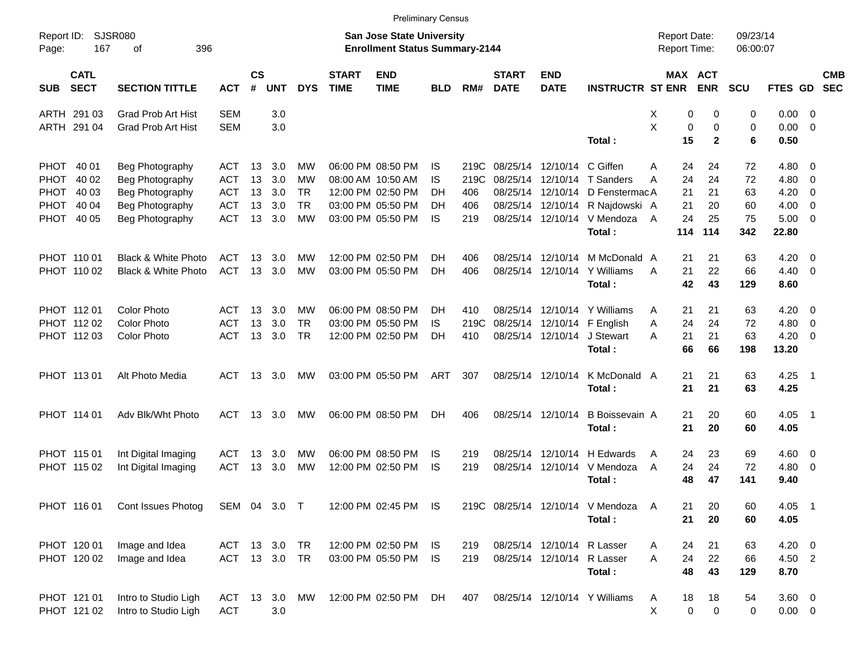|                     |                            |                                |               |                    |            |            |                             | <b>Preliminary Census</b>                                          |            |      |                             |                           |                                  |                                            |           |              |                      |                |                            |                          |
|---------------------|----------------------------|--------------------------------|---------------|--------------------|------------|------------|-----------------------------|--------------------------------------------------------------------|------------|------|-----------------------------|---------------------------|----------------------------------|--------------------------------------------|-----------|--------------|----------------------|----------------|----------------------------|--------------------------|
| Report ID:<br>Page: | 167                        | <b>SJSR080</b><br>396<br>оf    |               |                    |            |            |                             | San Jose State University<br><b>Enrollment Status Summary-2144</b> |            |      |                             |                           |                                  | <b>Report Date:</b><br><b>Report Time:</b> |           |              | 09/23/14<br>06:00:07 |                |                            |                          |
| <b>SUB</b>          | <b>CATL</b><br><b>SECT</b> | <b>SECTION TITTLE</b>          | <b>ACT</b>    | $\mathsf{cs}$<br># | <b>UNT</b> | <b>DYS</b> | <b>START</b><br><b>TIME</b> | <b>END</b><br><b>TIME</b>                                          | <b>BLD</b> | RM#  | <b>START</b><br><b>DATE</b> | <b>END</b><br><b>DATE</b> | <b>INSTRUCTR ST ENR</b>          | MAX ACT                                    |           | <b>ENR</b>   | <b>SCU</b>           | <b>FTES GD</b> |                            | <b>CMB</b><br><b>SEC</b> |
|                     | ARTH 291 03                | <b>Grad Prob Art Hist</b>      | <b>SEM</b>    |                    | 3.0        |            |                             |                                                                    |            |      |                             |                           |                                  | х                                          | 0         | 0            | 0                    | $0.00 \t 0$    |                            |                          |
|                     | ARTH 291 04                | <b>Grad Prob Art Hist</b>      | <b>SEM</b>    |                    | 3.0        |            |                             |                                                                    |            |      |                             |                           |                                  | X                                          | 0         | 0            | 0                    | $0.00 \t 0$    |                            |                          |
|                     |                            |                                |               |                    |            |            |                             |                                                                    |            |      |                             |                           | Total:                           |                                            | 15        | $\mathbf{2}$ | 6                    | 0.50           |                            |                          |
|                     | PHOT 40 01                 | Beg Photography                | ACT           | 13                 | 3.0        | МW         |                             | 06:00 PM 08:50 PM                                                  | IS         | 219C |                             | 08/25/14 12/10/14         | C Giffen                         | A                                          | 24        | 24           | 72                   | $4.80\ 0$      |                            |                          |
|                     | PHOT 40 02                 | Beg Photography                | <b>ACT</b>    | 13                 | 3.0        | МW         |                             | 08:00 AM 10:50 AM                                                  | IS         | 219C | 08/25/14                    | 12/10/14                  | T Sanders                        | А                                          | 24        | 24           | 72                   | 4.80           | $\overline{\phantom{0}}$   |                          |
|                     | PHOT 40 03                 | Beg Photography                | <b>ACT</b>    | 13                 | 3.0        | TR         |                             | 12:00 PM 02:50 PM                                                  | DН         | 406  |                             | 08/25/14 12/10/14         | D FenstermacA                    |                                            | 21        | 21           | 63                   | 4.20           | - 0                        |                          |
|                     | PHOT 40 04                 | Beg Photography                | <b>ACT</b>    | 13                 | 3.0        | <b>TR</b>  |                             | 03:00 PM 05:50 PM                                                  | DН         | 406  |                             | 08/25/14 12/10/14         | R Najdowski A                    |                                            | 21        | 20           | 60                   | 4.00           | $\overline{\phantom{0}}$   |                          |
|                     | PHOT 40 05                 | Beg Photography                | <b>ACT</b>    | 13                 | 3.0        | <b>MW</b>  |                             | 03:00 PM 05:50 PM                                                  | IS         | 219  |                             | 08/25/14 12/10/14         | V Mendoza                        | A                                          | 24        | 25           | 75                   | $5.00 \t 0$    |                            |                          |
|                     |                            |                                |               |                    |            |            |                             |                                                                    |            |      |                             |                           | Total:                           |                                            | 114       | 114          | 342                  | 22.80          |                            |                          |
|                     | PHOT 110 01                | <b>Black &amp; White Photo</b> | ACT           | 13                 | 3.0        | МW         |                             | 12:00 PM 02:50 PM                                                  | DН         | 406  |                             | 08/25/14 12/10/14         | M McDonald A                     |                                            | 21        | 21           | 63                   | 4.20           | $\overline{\phantom{0}}$   |                          |
|                     | PHOT 110 02                | Black & White Photo            | <b>ACT</b>    | 13                 | 3.0        | <b>MW</b>  |                             | 03:00 PM 05:50 PM                                                  | DН         | 406  |                             | 08/25/14 12/10/14         | Y Williams                       | A                                          | 21        | 22           | 66                   | $4.40 \quad 0$ |                            |                          |
|                     |                            |                                |               |                    |            |            |                             |                                                                    |            |      |                             |                           | Total:                           |                                            | 42        | 43           | 129                  | 8.60           |                            |                          |
|                     | PHOT 11201                 | <b>Color Photo</b>             | ACT           | 13                 | 3.0        | МW         |                             | 06:00 PM 08:50 PM                                                  | DН         | 410  |                             | 08/25/14 12/10/14         | Y Williams                       | A                                          | 21        | 21           | 63                   | $4.20 \ 0$     |                            |                          |
|                     | PHOT 112 02                | <b>Color Photo</b>             | <b>ACT</b>    | 13                 | 3.0        | <b>TR</b>  |                             | 03:00 PM 05:50 PM                                                  | IS         | 219C | 08/25/14                    | 12/10/14                  | F English                        | A                                          | 24        | 24           | 72                   | 4.80           | $\overline{\phantom{0}}$   |                          |
|                     | PHOT 112 03                | <b>Color Photo</b>             | <b>ACT</b>    | 13                 | 3.0        | <b>TR</b>  |                             | 12:00 PM 02:50 PM                                                  | DН         | 410  |                             | 08/25/14 12/10/14         | J Stewart                        | А                                          | 21        | 21           | 63                   | $4.20 \ 0$     |                            |                          |
|                     |                            |                                |               |                    |            |            |                             |                                                                    |            |      |                             |                           | Total:                           |                                            | 66        | 66           | 198                  | 13.20          |                            |                          |
|                     | PHOT 113 01                | Alt Photo Media                | ACT           | 13                 | 3.0        | MW         |                             | 03:00 PM 05:50 PM                                                  | ART        | 307  |                             | 08/25/14 12/10/14         | K McDonald A                     |                                            | 21        | 21           | 63                   | $4.25$ 1       |                            |                          |
|                     |                            |                                |               |                    |            |            |                             |                                                                    |            |      |                             |                           | Total:                           |                                            | 21        | 21           | 63                   | 4.25           |                            |                          |
|                     | PHOT 114 01                | Adv Blk/Wht Photo              | ACT           |                    | 13 3.0     | МW         |                             | 06:00 PM 08:50 PM                                                  | DН         | 406  |                             | 08/25/14 12/10/14         | B Boissevain A                   |                                            | 21        | 20           | 60                   | $4.05$ 1       |                            |                          |
|                     |                            |                                |               |                    |            |            |                             |                                                                    |            |      |                             |                           | Total:                           |                                            | 21        | 20           | 60                   | 4.05           |                            |                          |
|                     | PHOT 115 01                | Int Digital Imaging            | <b>ACT</b>    | 13                 | 3.0        | MW         |                             | 06:00 PM 08:50 PM                                                  | IS         | 219  |                             | 08/25/14 12/10/14         | H Edwards                        | A                                          | 24        | 23           | 69                   | $4.60$ 0       |                            |                          |
|                     | PHOT 115 02                | Int Digital Imaging            | <b>ACT</b>    | 13                 | 3.0        | MW         |                             | 12:00 PM 02:50 PM                                                  | IS         | 219  |                             | 08/25/14 12/10/14         | V Mendoza                        | A                                          | 24        | 24           | 72                   | $4.80$ 0       |                            |                          |
|                     |                            |                                |               |                    |            |            |                             |                                                                    |            |      |                             |                           | Total:                           |                                            | 48        | 47           | 141                  | 9.40           |                            |                          |
|                     | PHOT 116 01                | Cont Issues Photog             | SEM 04 3.0 T  |                    |            |            |                             | 12:00 PM 02:45 PM IS                                               |            |      |                             |                           | 219C 08/25/14 12/10/14 V Mendoza | A                                          | 21        | 20           | 60                   | 4.05           | $\overline{\phantom{0}}$ 1 |                          |
|                     |                            |                                |               |                    |            |            |                             |                                                                    |            |      |                             |                           | Total:                           |                                            | 21        | 20           | 60                   | 4.05           |                            |                          |
|                     | PHOT 120 01                | Image and Idea                 | ACT 13 3.0 TR |                    |            |            |                             | 12:00 PM 02:50 PM                                                  | IS.        | 219  |                             | 08/25/14 12/10/14         | R Lasser                         | A                                          | 24        | 21           | 63                   | $4.20 \ 0$     |                            |                          |
|                     | PHOT 120 02                | Image and Idea                 | ACT 13 3.0 TR |                    |            |            |                             | 03:00 PM 05:50 PM                                                  | IS.        | 219  |                             | 08/25/14 12/10/14         | R Lasser                         | A                                          | 24        | 22           | 66                   | 4.50 2         |                            |                          |
|                     |                            |                                |               |                    |            |            |                             |                                                                    |            |      |                             |                           | Total:                           |                                            | 48        | 43           | 129                  | 8.70           |                            |                          |
|                     | PHOT 121 01                | Intro to Studio Ligh           | ACT 13 3.0 MW |                    |            |            |                             | 12:00 PM 02:50 PM                                                  | DH         | 407  |                             |                           | 08/25/14 12/10/14 Y Williams     | A                                          | 18        | 18           | 54                   | 3.60 0         |                            |                          |
|                     | PHOT 121 02                | Intro to Studio Ligh           | <b>ACT</b>    |                    | 3.0        |            |                             |                                                                    |            |      |                             |                           |                                  | Χ                                          | $\pmb{0}$ | 0            | 0                    | $0.00 \t 0$    |                            |                          |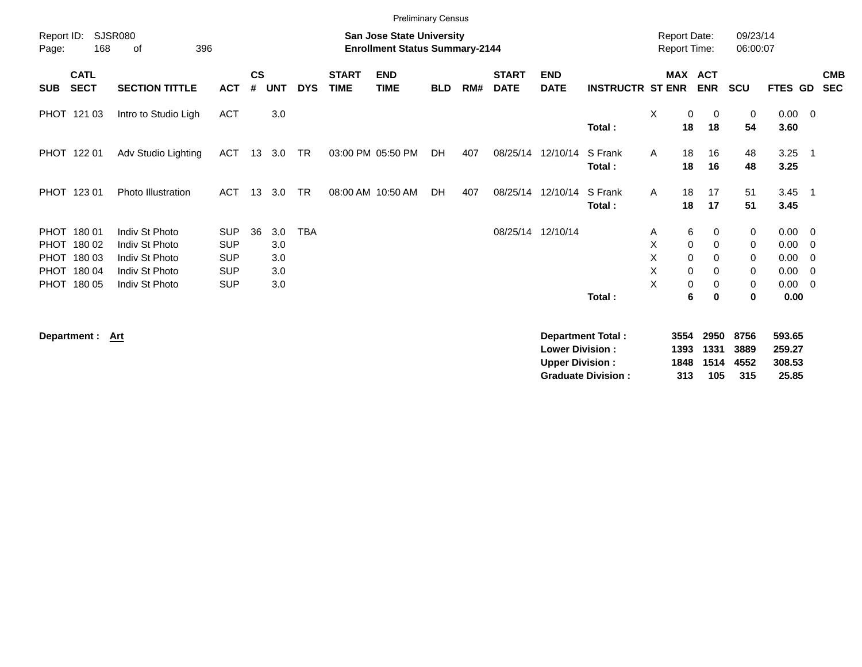|                     |                                                                         |                                                                                        |                                                                    |                    |                                 |            |                             |                                                                           | <b>Preliminary Census</b> |     |                             |                           |                          |                                            |                                                     |                            |                                              |                                                      |
|---------------------|-------------------------------------------------------------------------|----------------------------------------------------------------------------------------|--------------------------------------------------------------------|--------------------|---------------------------------|------------|-----------------------------|---------------------------------------------------------------------------|---------------------------|-----|-----------------------------|---------------------------|--------------------------|--------------------------------------------|-----------------------------------------------------|----------------------------|----------------------------------------------|------------------------------------------------------|
| Report ID:<br>Page: | 168                                                                     | <b>SJSR080</b><br>396<br>of                                                            |                                                                    |                    |                                 |            |                             | <b>San Jose State University</b><br><b>Enrollment Status Summary-2144</b> |                           |     |                             |                           |                          | <b>Report Date:</b><br><b>Report Time:</b> |                                                     | 09/23/14<br>06:00:07       |                                              |                                                      |
| <b>SUB</b>          | <b>CATL</b><br><b>SECT</b>                                              | <b>SECTION TITTLE</b>                                                                  | <b>ACT</b>                                                         | $\mathsf{cs}$<br># | <b>UNT</b>                      | <b>DYS</b> | <b>START</b><br><b>TIME</b> | <b>END</b><br><b>TIME</b>                                                 | <b>BLD</b>                | RM# | <b>START</b><br><b>DATE</b> | <b>END</b><br><b>DATE</b> | <b>INSTRUCTR ST ENR</b>  |                                            | MAX ACT<br><b>ENR</b>                               | <b>SCU</b>                 | <b>FTES GD</b>                               | <b>CMB</b><br><b>SEC</b>                             |
|                     | PHOT 121 03                                                             | Intro to Studio Ligh                                                                   | <b>ACT</b>                                                         |                    | 3.0                             |            |                             |                                                                           |                           |     |                             |                           | Total:                   | X<br>18                                    | 0<br>$\mathbf 0$<br>18                              | 0<br>54                    | $0.00 \t 0$<br>3.60                          |                                                      |
|                     | PHOT 122 01                                                             | Adv Studio Lighting                                                                    | <b>ACT</b>                                                         | 13                 | 3.0                             | <b>TR</b>  |                             | 03:00 PM 05:50 PM                                                         | DH                        | 407 | 08/25/14                    | 12/10/14                  | S Frank<br>Total:        | A<br>18<br>18                              | 16<br>16                                            | 48<br>48                   | 3.25<br>3.25                                 | $\overline{\phantom{1}}$                             |
|                     | PHOT 123 01                                                             | Photo Illustration                                                                     | <b>ACT</b>                                                         | 13                 | 3.0                             | <b>TR</b>  |                             | 08:00 AM 10:50 AM                                                         | DH                        | 407 | 08/25/14                    | 12/10/14                  | S Frank<br>Total:        | $\mathsf{A}$<br>18<br>18                   | 17<br>17                                            | 51<br>51                   | 3.45<br>3.45                                 | $\overline{\phantom{1}}$                             |
|                     | PHOT 180 01<br>PHOT 180 02<br>PHOT 180 03<br>PHOT 180 04<br>PHOT 180 05 | Indiv St Photo<br>Indiv St Photo<br>Indiv St Photo<br>Indiv St Photo<br>Indiv St Photo | <b>SUP</b><br><b>SUP</b><br><b>SUP</b><br><b>SUP</b><br><b>SUP</b> | 36                 | 3.0<br>3.0<br>3.0<br>3.0<br>3.0 | <b>TBA</b> |                             |                                                                           |                           |     | 08/25/14                    | 12/10/14                  | Total:                   | A<br>X<br>X<br>X<br>$\mathbf 0$<br>X       | 6<br>0<br>0<br>0<br>0<br>0<br>0<br>0<br>0<br>6<br>0 | 0<br>0<br>0<br>0<br>0<br>0 | 0.00<br>0.00<br>0.00<br>0.00<br>0.00<br>0.00 | $\overline{\phantom{0}}$<br>- 0<br>- 0<br>- 0<br>- 0 |
|                     | Department :                                                            | Art                                                                                    |                                                                    |                    |                                 |            |                             |                                                                           |                           |     |                             |                           | <b>Department Total:</b> | 3554                                       | 2950                                                | 8756                       | 593.65                                       |                                                      |

|     |     |      | 593.65                                             |
|-----|-----|------|----------------------------------------------------|
|     |     |      | 259.27                                             |
|     |     |      | 308.53                                             |
| 313 | 105 | -315 | 25.85                                              |
|     |     |      | 3554 2950 8756<br>1393 1331 3889<br>1848 1514 4552 |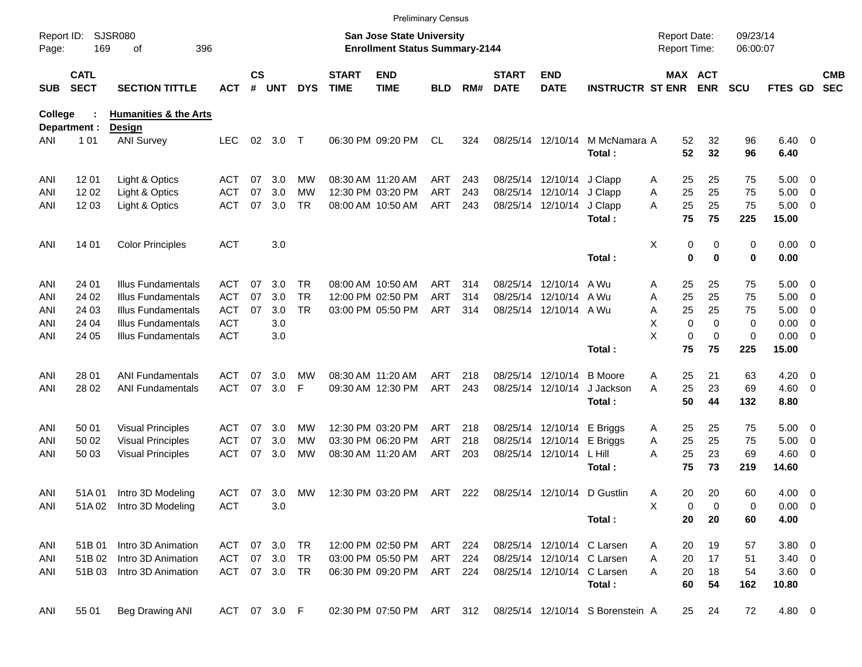|                     |                            |                                  |            |                    |              |            |                             |                                                                           | <b>Preliminary Census</b> |     |                             |                            |                                  |                                     |                   |                      |                        |                          |                          |
|---------------------|----------------------------|----------------------------------|------------|--------------------|--------------|------------|-----------------------------|---------------------------------------------------------------------------|---------------------------|-----|-----------------------------|----------------------------|----------------------------------|-------------------------------------|-------------------|----------------------|------------------------|--------------------------|--------------------------|
| Report ID:<br>Page: | 169                        | <b>SJSR080</b><br>396<br>οf      |            |                    |              |            |                             | <b>San Jose State University</b><br><b>Enrollment Status Summary-2144</b> |                           |     |                             |                            |                                  | <b>Report Date:</b><br>Report Time: |                   | 09/23/14<br>06:00:07 |                        |                          |                          |
| <b>SUB</b>          | <b>CATL</b><br><b>SECT</b> | <b>SECTION TITTLE</b>            | <b>ACT</b> | $\mathsf{cs}$<br># | <b>UNT</b>   | <b>DYS</b> | <b>START</b><br><b>TIME</b> | <b>END</b><br><b>TIME</b>                                                 | BLD                       | RM# | <b>START</b><br><b>DATE</b> | <b>END</b><br><b>DATE</b>  | <b>INSTRUCTR ST ENR</b>          |                                     | MAX ACT<br>ENR    | <b>SCU</b>           | FTES GD                |                          | <b>CMB</b><br><b>SEC</b> |
| College             |                            | <b>Humanities &amp; the Arts</b> |            |                    |              |            |                             |                                                                           |                           |     |                             |                            |                                  |                                     |                   |                      |                        |                          |                          |
|                     | Department :               | Design                           |            |                    |              |            |                             |                                                                           |                           |     |                             |                            |                                  |                                     |                   |                      |                        |                          |                          |
| ANI                 | 101                        | <b>ANI Survey</b>                | <b>LEC</b> |                    | 02 3.0       | $\top$     |                             | 06:30 PM 09:20 PM                                                         | CL                        | 324 |                             | 08/25/14 12/10/14          | M McNamara A<br>Total:           | 52<br>52                            | 32<br>32          | 96<br>96             | $6.40 \quad 0$<br>6.40 |                          |                          |
| ANI                 | 12 01                      | Light & Optics                   | ACT        | 07                 | 3.0          | МW         |                             | 08:30 AM 11:20 AM                                                         | ART                       | 243 |                             | 08/25/14 12/10/14          | J Clapp                          | 25<br>A                             | 25                | 75                   | $5.00 \t 0$            |                          |                          |
| ANI                 | 1202                       | Light & Optics                   | <b>ACT</b> | 07                 | 3.0          | МW         |                             | 12:30 PM 03:20 PM                                                         | ART                       | 243 |                             | 08/25/14 12/10/14          | J Clapp                          | 25<br>Α                             | 25                | 75                   | 5.00                   | $\overline{\phantom{0}}$ |                          |
| ANI                 | 12 03                      | Light & Optics                   | <b>ACT</b> | 07                 | 3.0          | <b>TR</b>  |                             | 08:00 AM 10:50 AM                                                         | ART                       | 243 |                             | 08/25/14 12/10/14          | J Clapp<br>Total:                | 25<br>A<br>75                       | 25<br>75          | 75<br>225            | 5.00<br>15.00          | $\overline{\phantom{0}}$ |                          |
| ANI                 | 14 01                      | <b>Color Principles</b>          | <b>ACT</b> |                    | 3.0          |            |                             |                                                                           |                           |     |                             |                            |                                  | Χ<br>0                              | 0                 | 0                    | $0.00 \t 0$            |                          |                          |
|                     |                            |                                  |            |                    |              |            |                             |                                                                           |                           |     |                             |                            | Total:                           | 0                                   | $\bf{0}$          | 0                    | 0.00                   |                          |                          |
| ANI                 | 24 01                      | <b>Illus Fundamentals</b>        | ACT        | 07                 | 3.0          | TR.        |                             | 08:00 AM 10:50 AM                                                         | ART                       | 314 |                             | 08/25/14 12/10/14          | A Wu                             | 25<br>A                             | 25                | 75                   | $5.00 \t 0$            |                          |                          |
| ANI                 | 24 02                      | <b>Illus Fundamentals</b>        | <b>ACT</b> | 07                 | 3.0          | <b>TR</b>  |                             | 12:00 PM 02:50 PM                                                         | ART                       | 314 |                             | 08/25/14 12/10/14          | A Wu                             | 25<br>Α                             | 25                | 75                   | 5.00                   | $\overline{\phantom{0}}$ |                          |
| ANI                 | 24 03                      | <b>Illus Fundamentals</b>        | <b>ACT</b> | 07                 | 3.0          | <b>TR</b>  |                             | 03:00 PM 05:50 PM                                                         | ART                       | 314 |                             | 08/25/14 12/10/14 A Wu     |                                  | 25<br>Α                             | 25                | 75                   | 5.00                   | $\overline{\phantom{0}}$ |                          |
| ANI                 | 24 04                      | <b>Illus Fundamentals</b>        | <b>ACT</b> |                    | 3.0          |            |                             |                                                                           |                           |     |                             |                            |                                  | Х<br>$\mathbf 0$                    | $\mathbf 0$       | 0                    | 0.00                   | $\overline{\mathbf{0}}$  |                          |
| ANI                 | 24 05                      | <b>Illus Fundamentals</b>        | <b>ACT</b> |                    | 3.0          |            |                             |                                                                           |                           |     |                             |                            |                                  | X<br>$\mathbf 0$                    | $\mathbf 0$<br>75 | 0                    | $0.00 \t 0$            |                          |                          |
|                     |                            |                                  |            |                    |              |            |                             |                                                                           |                           |     |                             |                            | Total:                           | 75                                  |                   | 225                  | 15.00                  |                          |                          |
| ANI                 | 28 01                      | ANI Fundamentals                 | ACT        | 07                 | 3.0          | <b>MW</b>  |                             | 08:30 AM 11:20 AM                                                         | ART                       | 218 |                             | 08/25/14 12/10/14          | <b>B</b> Moore                   | 25<br>A                             | 21                | 63                   | 4.20                   | $\overline{\phantom{0}}$ |                          |
| ANI                 | 28 02                      | <b>ANI Fundamentals</b>          | <b>ACT</b> | 07                 | 3.0          | F          |                             | 09:30 AM 12:30 PM                                                         | ART                       | 243 |                             | 08/25/14 12/10/14          | J Jackson                        | 25<br>A                             | 23                | 69                   | $4.60$ 0               |                          |                          |
|                     |                            |                                  |            |                    |              |            |                             |                                                                           |                           |     |                             |                            | Total:                           | 50                                  | 44                | 132                  | 8.80                   |                          |                          |
| ANI                 | 50 01                      | <b>Visual Principles</b>         | ACT        | 07                 | 3.0          | <b>MW</b>  |                             | 12:30 PM 03:20 PM                                                         | ART                       | 218 |                             | 08/25/14 12/10/14 E Briggs |                                  | 25<br>A                             | 25                | 75                   | $5.00 \t 0$            |                          |                          |
| ANI                 | 50 02                      | <b>Visual Principles</b>         | <b>ACT</b> | 07                 | 3.0          | МW         |                             | 03:30 PM 06:20 PM                                                         | ART                       | 218 |                             | 08/25/14 12/10/14 E Briggs |                                  | 25<br>Α                             | 25                | 75                   | 5.00                   | $\overline{\phantom{0}}$ |                          |
| ANI                 | 50 03                      | <b>Visual Principles</b>         | ACT        | 07                 | 3.0          | МW         |                             | 08:30 AM 11:20 AM                                                         | ART                       | 203 |                             | 08/25/14 12/10/14 L Hill   |                                  | A<br>25                             | 23                | 69                   | $4.60$ 0               |                          |                          |
|                     |                            |                                  |            |                    |              |            |                             |                                                                           |                           |     |                             |                            | Total:                           | 75                                  | 73                | 219                  | 14.60                  |                          |                          |
| ANI                 | 51A01                      | Intro 3D Modeling                | ACT        | 07                 | 3.0          | <b>MW</b>  |                             | 12:30 PM 03:20 PM                                                         | ART 222                   |     |                             |                            | 08/25/14 12/10/14 D Gustlin      | 20<br>A                             | 20                | 60                   | $4.00 \ 0$             |                          |                          |
| ANI                 |                            | 51A 02 Intro 3D Modeling         | <b>ACT</b> |                    | 3.0          |            |                             |                                                                           |                           |     |                             |                            |                                  | Χ<br>0                              | 0                 | 0                    | 0.00 0                 |                          |                          |
|                     |                            |                                  |            |                    |              |            |                             |                                                                           |                           |     |                             |                            | Total:                           | 20                                  | 20                | 60                   | 4.00                   |                          |                          |
| ANI                 | 51B 01                     | Intro 3D Animation               | ACT        |                    | 07 3.0       | TR         |                             | 12:00 PM 02:50 PM                                                         | ART                       | 224 |                             |                            | 08/25/14 12/10/14 C Larsen       | 20<br>A                             | 19                | 57                   | 3.80 0                 |                          |                          |
| ANI                 | 51B 02                     | Intro 3D Animation               | <b>ACT</b> |                    | 07 3.0       | TR         |                             | 03:00 PM 05:50 PM                                                         | ART                       | 224 |                             |                            | 08/25/14 12/10/14 C Larsen       | 20<br>A                             | 17                | 51                   | $3.40 \ 0$             |                          |                          |
| ANI                 | 51B 03                     | Intro 3D Animation               | ACT        |                    | 07 3.0       | TR.        |                             | 06:30 PM 09:20 PM                                                         | ART 224                   |     |                             |                            | 08/25/14 12/10/14 C Larsen       | 20<br>Α                             | 18                | 54                   | 3.60 0                 |                          |                          |
|                     |                            |                                  |            |                    |              |            |                             |                                                                           |                           |     |                             |                            | Total:                           | 60                                  | 54                | 162                  | 10.80                  |                          |                          |
| ANI                 | 55 01                      | Beg Drawing ANI                  |            |                    | ACT 07 3.0 F |            |                             | 02:30 PM 07:50 PM ART 312                                                 |                           |     |                             |                            | 08/25/14 12/10/14 S Borenstein A | 25                                  | 24                | 72                   | 4.80 0                 |                          |                          |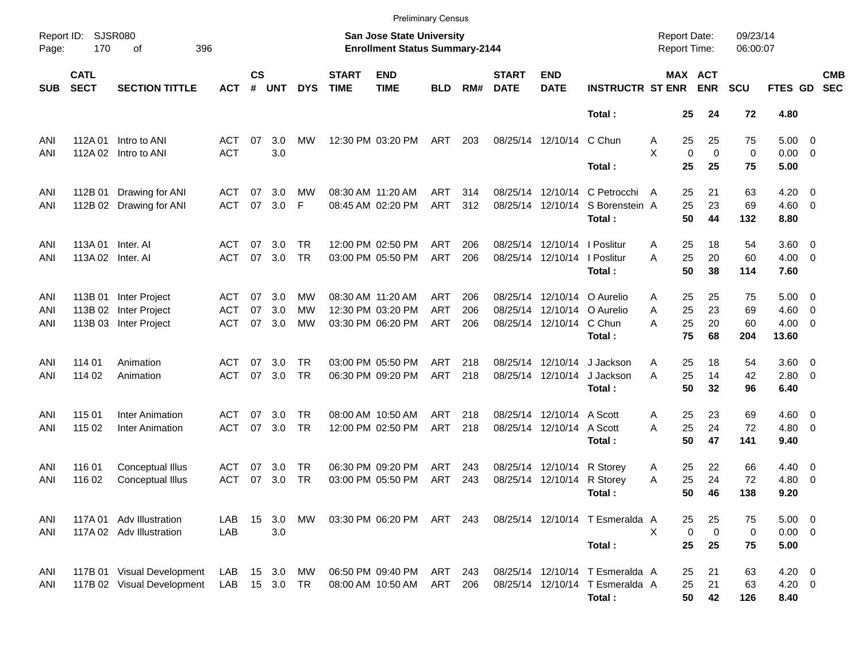|                     |                            |                            |            |                    |            |            |                             |                                                                           | <b>Preliminary Census</b> |      |                             |                              |                                  |   |                                     |                         |                |                          |                          |
|---------------------|----------------------------|----------------------------|------------|--------------------|------------|------------|-----------------------------|---------------------------------------------------------------------------|---------------------------|------|-----------------------------|------------------------------|----------------------------------|---|-------------------------------------|-------------------------|----------------|--------------------------|--------------------------|
| Report ID:<br>Page: | 170                        | SJSR080<br>396<br>оf       |            |                    |            |            |                             | <b>San Jose State University</b><br><b>Enrollment Status Summary-2144</b> |                           |      |                             |                              |                                  |   | <b>Report Date:</b><br>Report Time: | 09/23/14<br>06:00:07    |                |                          |                          |
| <b>SUB</b>          | <b>CATL</b><br><b>SECT</b> | <b>SECTION TITTLE</b>      | <b>ACT</b> | $\mathsf{cs}$<br># | <b>UNT</b> | <b>DYS</b> | <b>START</b><br><b>TIME</b> | <b>END</b><br><b>TIME</b>                                                 | <b>BLD</b>                | RM#  | <b>START</b><br><b>DATE</b> | <b>END</b><br><b>DATE</b>    | <b>INSTRUCTR ST ENR</b>          |   | MAX ACT<br><b>ENR</b>               | <b>SCU</b>              | FTES GD        |                          | <b>CMB</b><br><b>SEC</b> |
|                     |                            |                            |            |                    |            |            |                             |                                                                           |                           |      |                             |                              | Total:                           |   | 25<br>24                            | 72                      | 4.80           |                          |                          |
| ANI                 | 112A 01                    | Intro to ANI               | ACT        | 07                 | 3.0        | МW         |                             | 12:30 PM 03:20 PM                                                         | ART                       | 203  |                             | 08/25/14 12/10/14 C Chun     |                                  | A | 25<br>25                            | 75                      | $5.00 \t 0$    |                          |                          |
| ANI                 |                            | 112A 02 Intro to ANI       | <b>ACT</b> |                    | 3.0        |            |                             |                                                                           |                           |      |                             |                              |                                  | X | $\mathbf 0$                         | $\Omega$<br>$\mathbf 0$ | $0.00 \t 0$    |                          |                          |
|                     |                            |                            |            |                    |            |            |                             |                                                                           |                           |      |                             |                              | Total:                           |   | 25<br>25                            | 75                      | 5.00           |                          |                          |
| ANI                 | 112B 01                    | Drawing for ANI            | ACT        | 07                 | 3.0        | МW         |                             | 08:30 AM 11:20 AM                                                         | ART                       | 314  |                             |                              | 08/25/14 12/10/14 C Petrocchi    | A | 21<br>25                            | 63                      | $4.20 \ 0$     |                          |                          |
| ANI                 |                            | 112B 02 Drawing for ANI    | <b>ACT</b> | 07                 | 3.0        | F          |                             | 08:45 AM 02:20 PM                                                         | ART                       | 312  |                             |                              | 08/25/14 12/10/14 S Borenstein A |   | 25<br>23                            | 69                      | $4.60 \ 0$     |                          |                          |
|                     |                            |                            |            |                    |            |            |                             |                                                                           |                           |      |                             |                              | Total:                           |   | 50<br>44                            | 132                     | 8.80           |                          |                          |
| ANI                 | 113A 01                    | Inter. Al                  | ACT        | 07                 | 3.0        | TR         |                             | 12:00 PM 02:50 PM                                                         | ART                       | 206  |                             | 08/25/14 12/10/14   Poslitur |                                  | Α | 25<br>18                            | 54                      | 3.60 0         |                          |                          |
| ANI                 | 113A 02 Inter. AI          |                            | <b>ACT</b> | 07                 | 3.0        | <b>TR</b>  |                             | 03:00 PM 05:50 PM                                                         | <b>ART</b>                | 206  |                             | 08/25/14 12/10/14 l Poslitur |                                  | A | 25<br>20                            | 60                      | $4.00 \ 0$     |                          |                          |
|                     |                            |                            |            |                    |            |            |                             |                                                                           |                           |      |                             |                              | Total:                           |   | 50<br>38                            | 114                     | 7.60           |                          |                          |
| ANI                 |                            | 113B 01 Inter Project      | ACT        | 07                 | 3.0        | МW         |                             | 08:30 AM 11:20 AM                                                         | ART                       | 206  |                             |                              | 08/25/14 12/10/14 O Aurelio      | Α | 25<br>25                            | 75                      | $5.00 \t 0$    |                          |                          |
| ANI                 |                            | 113B 02 Inter Project      | ACT        | 07                 | 3.0        | МW         |                             | 12:30 PM 03:20 PM                                                         | <b>ART</b>                | 206  |                             |                              | 08/25/14 12/10/14 O Aurelio      | A | 25<br>23                            | 69                      | $4.60 \ 0$     |                          |                          |
| ANI                 |                            | 113B 03 Inter Project      | <b>ACT</b> | 07                 | 3.0        | MW         |                             | 03:30 PM 06:20 PM                                                         | ART                       | 206  |                             | 08/25/14 12/10/14 C Chun     |                                  | A | 25<br>20                            | 60                      | $4.00 \ 0$     |                          |                          |
|                     |                            |                            |            |                    |            |            |                             |                                                                           |                           |      |                             |                              | Total:                           |   | 75<br>68                            | 204                     | 13.60          |                          |                          |
| ANI                 | 114 01                     | Animation                  | ACT        | 07                 | 3.0        | TR         |                             | 03:00 PM 05:50 PM                                                         | ART                       | 218  |                             | 08/25/14 12/10/14            | J Jackson                        | Α | 25<br>18                            | 54                      | 3.60 0         |                          |                          |
| ANI                 | 114 02                     | Animation                  | <b>ACT</b> | 07                 | 3.0        | <b>TR</b>  |                             | 06:30 PM 09:20 PM                                                         | ART                       | 218  |                             | 08/25/14 12/10/14            | J Jackson                        | A | 25<br>14                            | 42                      | $2.80 \t 0$    |                          |                          |
|                     |                            |                            |            |                    |            |            |                             |                                                                           |                           |      |                             |                              | Total:                           |   | 50<br>32                            | 96                      | 6.40           |                          |                          |
| ANI                 | 115 01                     | <b>Inter Animation</b>     | ACT        | 07                 | 3.0        | TR         |                             | 08:00 AM 10:50 AM                                                         | ART                       | 218  |                             | 08/25/14 12/10/14 A Scott    |                                  | Α | 23<br>25                            | 69                      | $4.60 \ 0$     |                          |                          |
| ANI                 | 115 02                     | <b>Inter Animation</b>     | <b>ACT</b> | 07                 | 3.0        | TR         |                             | 12:00 PM 02:50 PM                                                         | ART                       | 218  |                             | 08/25/14 12/10/14 A Scott    |                                  | A | 25<br>24                            | 72                      | $4.80$ 0       |                          |                          |
|                     |                            |                            |            |                    |            |            |                             |                                                                           |                           |      |                             |                              | Total:                           |   | 50<br>47                            | 141                     | 9.40           |                          |                          |
| ANI                 | 116 01                     | Conceptual Illus           | ACT        | 07                 | 3.0        | TR         |                             | 06:30 PM 09:20 PM                                                         | ART                       | 243  |                             | 08/25/14 12/10/14 R Storey   |                                  | A | 22<br>25                            | 66                      | $4.40 \quad 0$ |                          |                          |
| ANI                 | 116 02                     | Conceptual Illus           | <b>ACT</b> | 07                 | 3.0        | TR         |                             | 03:00 PM 05:50 PM                                                         | ART                       | 243  |                             | 08/25/14 12/10/14 R Storey   |                                  | A | 25<br>24                            | 72                      | 4.80           | $\overline{\phantom{0}}$ |                          |
|                     |                            |                            |            |                    |            |            |                             |                                                                           |                           |      |                             |                              | Total:                           |   | 50<br>46                            | 138                     | 9.20           |                          |                          |
| ANI                 |                            | 117A 01 Adv Illustration   | LAB        | 15                 | 3.0        | MW         |                             | 03:30 PM 06:20 PM ART 243                                                 |                           |      |                             |                              | 08/25/14 12/10/14 T Esmeralda A  |   | 25<br>25                            | 75                      | $5.00 \t 0$    |                          |                          |
| ANI                 |                            | 117A 02 Adv Illustration   | LAB        |                    | 3.0        |            |                             |                                                                           |                           |      |                             |                              |                                  | X | 0                                   | $\mathbf 0$<br>0        | $0.00 \t 0$    |                          |                          |
|                     |                            |                            |            |                    |            |            |                             |                                                                           |                           |      |                             |                              | Total:                           |   | 25<br>25                            | 75                      | 5.00           |                          |                          |
| ANI                 |                            | 117B 01 Visual Development | LAB        |                    | 15 3.0     | МW         |                             | 06:50 PM 09:40 PM                                                         | ART                       | -243 |                             |                              | 08/25/14 12/10/14 T Esmeralda A  |   | 25<br>21                            | 63                      | $4.20 \ 0$     |                          |                          |
| ANI                 |                            | 117B 02 Visual Development | LAB        |                    | 15 3.0 TR  |            |                             | 08:00 AM 10:50 AM                                                         | ART                       | 206  |                             |                              | 08/25/14 12/10/14 T Esmeralda A  |   | 25<br>21                            | 63                      | $4.20 \ 0$     |                          |                          |
|                     |                            |                            |            |                    |            |            |                             |                                                                           |                           |      |                             |                              | Total:                           |   | 50<br>42                            | 126                     | 8.40           |                          |                          |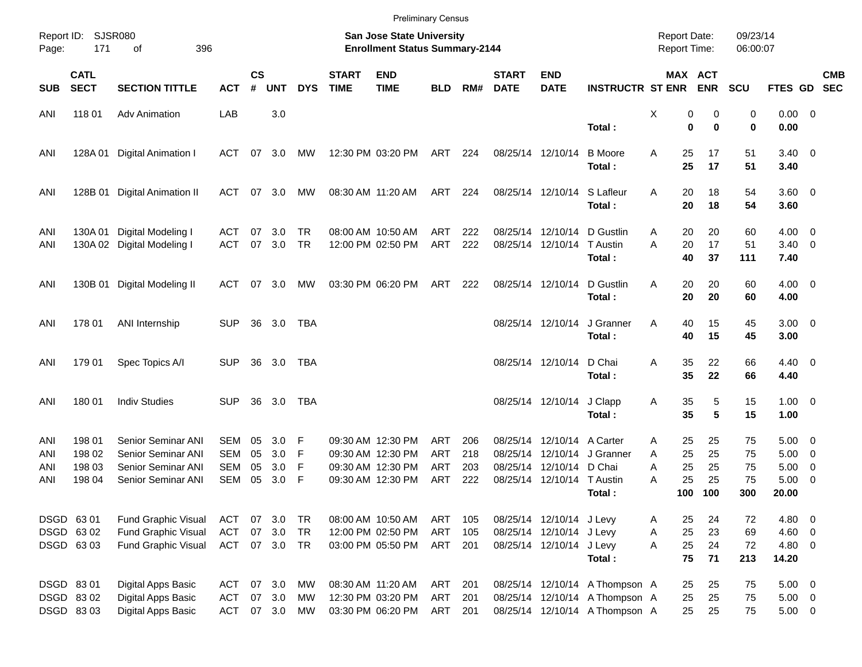|            |                            |                                          |                          |                    |            |            |                             |                                                                    | <b>Preliminary Census</b> |            |                             |                           |                                |                                            |                       |                      |                        |                                                     |            |
|------------|----------------------------|------------------------------------------|--------------------------|--------------------|------------|------------|-----------------------------|--------------------------------------------------------------------|---------------------------|------------|-----------------------------|---------------------------|--------------------------------|--------------------------------------------|-----------------------|----------------------|------------------------|-----------------------------------------------------|------------|
| Page:      | Report ID: SJSR080<br>171  | 396<br>оf                                |                          |                    |            |            |                             | San Jose State University<br><b>Enrollment Status Summary-2144</b> |                           |            |                             |                           |                                | <b>Report Date:</b><br><b>Report Time:</b> |                       | 09/23/14<br>06:00:07 |                        |                                                     |            |
| <b>SUB</b> | <b>CATL</b><br><b>SECT</b> | <b>SECTION TITTLE</b>                    | <b>ACT</b>               | $\mathsf{cs}$<br># | <b>UNT</b> | <b>DYS</b> | <b>START</b><br><b>TIME</b> | <b>END</b><br><b>TIME</b>                                          | <b>BLD</b>                | RM#        | <b>START</b><br><b>DATE</b> | <b>END</b><br><b>DATE</b> | <b>INSTRUCTR ST ENR</b>        |                                            | MAX ACT<br><b>ENR</b> | <b>SCU</b>           | FTES GD SEC            |                                                     | <b>CMB</b> |
| ANI        | 118 01                     | <b>Adv Animation</b>                     | LAB                      |                    | 3.0        |            |                             |                                                                    |                           |            |                             |                           |                                | X                                          | 0<br>0                | 0                    | $0.00 \t 0$            |                                                     |            |
|            |                            |                                          |                          |                    |            |            |                             |                                                                    |                           |            |                             |                           | Total:                         |                                            | $\bf{0}$<br>$\bf{0}$  | 0                    | 0.00                   |                                                     |            |
| ANI        | 128A01                     | Digital Animation I                      | ACT                      |                    | 07 3.0     | MW         |                             | 12:30 PM 03:20 PM                                                  | ART                       | 224        | 08/25/14 12/10/14           |                           | <b>B</b> Moore                 | 25<br>A                                    | 17                    | 51                   | $3.40 \ 0$             |                                                     |            |
|            |                            |                                          |                          |                    |            |            |                             |                                                                    |                           |            |                             |                           | Total:                         | 25                                         | 17                    | 51                   | 3.40                   |                                                     |            |
| ANI        | 128B 01                    | Digital Animation II                     | ACT                      |                    | 07 3.0     | MW         |                             | 08:30 AM 11:20 AM                                                  | ART                       | 224        |                             | 08/25/14 12/10/14         | S Lafleur                      | 20<br>A                                    | 18                    | 54                   | 3.60 0                 |                                                     |            |
|            |                            |                                          |                          |                    |            |            |                             |                                                                    |                           |            |                             |                           | Total:                         | 20                                         | 18                    | 54                   | 3.60                   |                                                     |            |
| ANI        | 130A 01                    | Digital Modeling I                       | ACT                      | 07                 | 3.0        | TR         |                             | 08:00 AM 10:50 AM                                                  | ART                       | 222        |                             | 08/25/14 12/10/14         | D Gustlin                      | 20<br>A                                    | 20                    | 60                   | $4.00 \ 0$             |                                                     |            |
| ANI        |                            | 130A 02 Digital Modeling I               | <b>ACT</b>               | 07                 | 3.0        | TR         |                             | 12:00 PM 02:50 PM                                                  | ART                       | 222        |                             | 08/25/14 12/10/14         | T Austin<br>Total:             | A<br>20<br>40                              | 17<br>37              | 51<br>111            | $3.40 \quad 0$<br>7.40 |                                                     |            |
|            |                            |                                          |                          |                    |            |            |                             |                                                                    |                           |            |                             |                           |                                |                                            |                       |                      |                        |                                                     |            |
| ANI        |                            | 130B 01 Digital Modeling II              | ACT                      |                    | 07 3.0     | MW         |                             | 03:30 PM 06:20 PM                                                  | ART                       | 222        | 08/25/14 12/10/14           |                           | D Gustlin<br>Total:            | 20<br>Α<br>20                              | 20<br>20              | 60<br>60             | $4.00 \ 0$<br>4.00     |                                                     |            |
|            |                            |                                          |                          |                    |            |            |                             |                                                                    |                           |            |                             |                           |                                |                                            |                       |                      |                        |                                                     |            |
| ANI        | 178 01                     | ANI Internship                           | <b>SUP</b>               | 36                 | 3.0        | TBA        |                             |                                                                    |                           |            |                             | 08/25/14 12/10/14         | J Granner<br>Total:            | Α<br>40<br>40                              | 15<br>15              | 45<br>45             | $3.00 \ 0$<br>3.00     |                                                     |            |
|            |                            |                                          |                          |                    |            |            |                             |                                                                    |                           |            |                             |                           |                                |                                            |                       |                      |                        |                                                     |            |
| ANI        | 179 01                     | Spec Topics A/I                          | <b>SUP</b>               | 36                 | 3.0        | TBA        |                             |                                                                    |                           |            |                             | 08/25/14 12/10/14         | D Chai<br>Total:               | 35<br>A<br>35                              | 22<br>22              | 66<br>66             | $4.40 \quad 0$         |                                                     |            |
|            |                            |                                          |                          |                    |            |            |                             |                                                                    |                           |            |                             |                           |                                |                                            |                       |                      | 4.40                   |                                                     |            |
| ANI        | 180 01                     | <b>Indiv Studies</b>                     | <b>SUP</b>               | 36                 | 3.0        | <b>TBA</b> |                             |                                                                    |                           |            |                             | 08/25/14 12/10/14         | J Clapp                        | 35<br>Α                                    | 5                     | 15                   | $1.00 \t 0$            |                                                     |            |
|            |                            |                                          |                          |                    |            |            |                             |                                                                    |                           |            |                             |                           | Total:                         | 35                                         | 5                     | 15                   | 1.00                   |                                                     |            |
| ANI        | 198 01                     | <b>Senior Seminar ANI</b>                | SEM                      | 05                 | 3.0        | F          |                             | 09:30 AM 12:30 PM                                                  | ART                       | 206        |                             | 08/25/14 12/10/14         | A Carter                       | 25<br>A                                    | 25                    | 75                   | $5.00 \quad 0$         |                                                     |            |
| ANI        | 198 02<br>198 03           | Senior Seminar ANI<br>Senior Seminar ANI | <b>SEM</b><br><b>SEM</b> | 05<br>05           | 3.0<br>3.0 | F<br>F     |                             | 09:30 AM 12:30 PM<br>09:30 AM 12:30 PM                             | ART<br><b>ART</b>         | 218<br>203 | 08/25/14<br>08/25/14        | 12/10/14<br>12/10/14      | J Granner<br>D Chai            | 25<br>A<br>25<br>Α                         | 25<br>25              | 75<br>75             | 5.00<br>5.00           | $\overline{\phantom{0}}$<br>$\overline{\mathbf{0}}$ |            |
| ANI<br>ANI | 198 04                     | Senior Seminar ANI                       | <b>SEM</b>               | 05                 | 3.0        | F          |                             | 09:30 AM 12:30 PM                                                  | ART                       | 222        |                             | 08/25/14 12/10/14         | T Austin                       | 25<br>А                                    | 25                    | 75                   | 5.00                   | $\overline{\phantom{0}}$                            |            |
|            |                            |                                          |                          |                    |            |            |                             |                                                                    |                           |            |                             |                           | Total:                         | 100                                        | 100                   | 300                  | 20.00                  |                                                     |            |
|            |                            |                                          |                          |                    |            |            |                             |                                                                    |                           |            |                             |                           |                                |                                            |                       |                      |                        |                                                     |            |
|            | DSGD 63 01                 | Fund Graphic Visual                      | ACT                      |                    | 07 3.0     | TR         |                             | 08:00 AM 10:50 AM                                                  | ART                       | 105        |                             | 08/25/14 12/10/14 J Levy  |                                | 25<br>A                                    | 24                    | 72                   | 4.80 0                 |                                                     |            |
|            | DSGD 6302                  | <b>Fund Graphic Visual</b>               | <b>ACT</b>               | 07                 | 3.0        | TR         |                             | 12:00 PM 02:50 PM                                                  | <b>ART</b>                | 105        |                             | 08/25/14 12/10/14 J Levy  |                                | 25<br>Α                                    | 23                    | 69                   | $4.60$ 0               |                                                     |            |
|            | DSGD 6303                  | Fund Graphic Visual                      | ACT                      |                    | 07 3.0 TR  |            |                             | 03:00 PM 05:50 PM                                                  | ART 201                   |            |                             | 08/25/14 12/10/14 J Levy  |                                | 25<br>A                                    | 24                    | 72                   | 4.80 0                 |                                                     |            |
|            |                            |                                          |                          |                    |            |            |                             |                                                                    |                           |            |                             |                           | Total:                         | 75                                         | 71                    | 213                  | 14.20                  |                                                     |            |
|            | DSGD 8301                  | Digital Apps Basic                       | ACT                      |                    | 07 3.0     | МW         |                             | 08:30 AM 11:20 AM                                                  | ART                       | 201        |                             |                           | 08/25/14 12/10/14 A Thompson A | 25                                         | 25                    | 75                   | $5.00 \t 0$            |                                                     |            |
|            | DSGD 8302                  | Digital Apps Basic                       | ACT                      |                    | 07 3.0     | МW         |                             | 12:30 PM 03:20 PM                                                  | ART                       | 201        |                             |                           | 08/25/14 12/10/14 A Thompson A | 25                                         | 25                    | 75                   | $5.00 \t 0$            |                                                     |            |
|            | DSGD 8303                  | Digital Apps Basic                       | ACT                      |                    | 07 3.0     | MW         |                             | 03:30 PM 06:20 PM                                                  | ART                       | 201        |                             |                           | 08/25/14 12/10/14 A Thompson A | 25                                         | 25                    | 75                   | $5.00 \t 0$            |                                                     |            |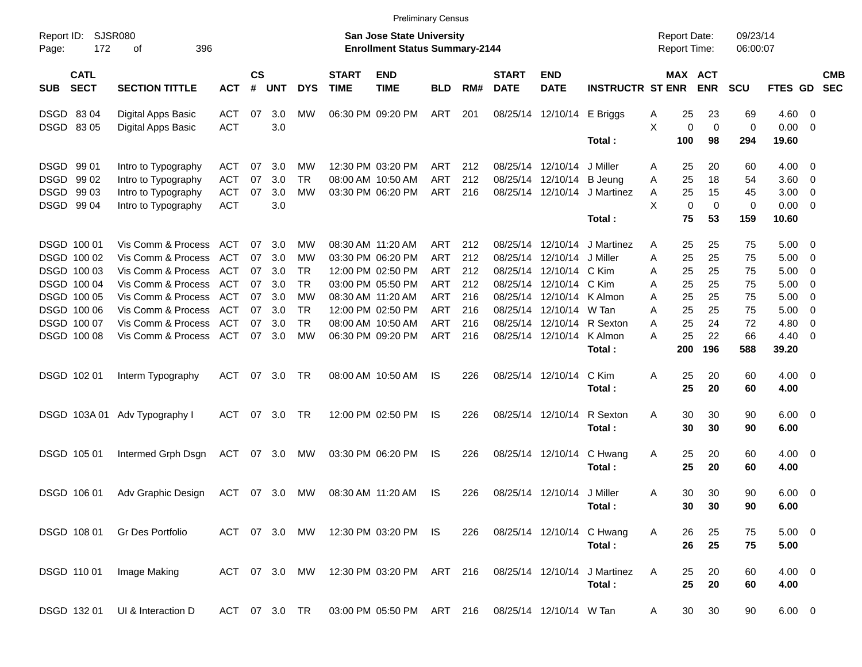|                                          |                               |               |                |            |               |                             |                                                                           | <b>Preliminary Census</b> |     |                             |                            |                           |                                            |                            |                      |                |                          |                          |
|------------------------------------------|-------------------------------|---------------|----------------|------------|---------------|-----------------------------|---------------------------------------------------------------------------|---------------------------|-----|-----------------------------|----------------------------|---------------------------|--------------------------------------------|----------------------------|----------------------|----------------|--------------------------|--------------------------|
| Report ID:<br>172<br>Page:               | SJSR080<br>396<br>οf          |               |                |            |               |                             | <b>San Jose State University</b><br><b>Enrollment Status Summary-2144</b> |                           |     |                             |                            |                           | <b>Report Date:</b><br><b>Report Time:</b> |                            | 09/23/14<br>06:00:07 |                |                          |                          |
| <b>CATL</b><br><b>SECT</b><br><b>SUB</b> | <b>SECTION TITTLE</b>         | <b>ACT</b>    | <b>CS</b><br># | <b>UNT</b> | <b>DYS</b>    | <b>START</b><br><b>TIME</b> | <b>END</b><br><b>TIME</b>                                                 | <b>BLD</b>                | RM# | <b>START</b><br><b>DATE</b> | <b>END</b><br><b>DATE</b>  | <b>INSTRUCTR ST ENR</b>   |                                            | MAX ACT<br><b>ENR</b>      | <b>SCU</b>           | FTES GD        |                          | <b>CMB</b><br><b>SEC</b> |
| DSGD 8304                                | Digital Apps Basic            | <b>ACT</b>    | 07             | 3.0        | МW            |                             | 06:30 PM 09:20 PM                                                         | ART                       | 201 |                             | 08/25/14 12/10/14 E Briggs |                           | 25<br>A                                    | 23                         | 69                   | $4.60 \ 0$     |                          |                          |
| DSGD 83 05                               | Digital Apps Basic            | <b>ACT</b>    |                | 3.0        |               |                             |                                                                           |                           |     |                             |                            |                           | X                                          | $\pmb{0}$<br>$\mathbf 0$   | 0                    | $0.00 \t 0$    |                          |                          |
|                                          |                               |               |                |            |               |                             |                                                                           |                           |     |                             |                            | Total:                    | 100                                        | 98                         | 294                  | 19.60          |                          |                          |
| DSGD 99 01                               | Intro to Typography           | ACT           | 07             | 3.0        | МW            |                             | 12:30 PM 03:20 PM                                                         | ART                       | 212 |                             | 08/25/14 12/10/14          | J Miller                  | 25<br>A                                    | 20                         | 60                   | $4.00 \ 0$     |                          |                          |
| DSGD 99 02                               | Intro to Typography           | <b>ACT</b>    | 07             | 3.0        | <b>TR</b>     |                             | 08:00 AM 10:50 AM                                                         | <b>ART</b>                | 212 |                             | 08/25/14 12/10/14          | <b>B</b> Jeung            | 25<br>Α                                    | 18                         | 54                   | 3.60 0         |                          |                          |
| DSGD 99 03                               | Intro to Typography           | <b>ACT</b>    | 07             | 3.0        | МW            |                             | 03:30 PM 06:20 PM                                                         | <b>ART</b>                | 216 |                             | 08/25/14 12/10/14          | J Martinez                | 25<br>Α                                    | 15                         | 45                   | $3.00 \ 0$     |                          |                          |
| DSGD 99 04                               | Intro to Typography           | <b>ACT</b>    |                | 3.0        |               |                             |                                                                           |                           |     |                             |                            |                           | X                                          | $\mathbf 0$<br>$\mathbf 0$ | $\mathbf 0$          | $0.00 \t 0$    |                          |                          |
|                                          |                               |               |                |            |               |                             |                                                                           |                           |     |                             |                            | Total:                    | 75                                         | 53                         | 159                  | 10.60          |                          |                          |
| DSGD 100 01                              | Vis Comm & Process            | ACT           | 07             | 3.0        | МW            |                             | 08:30 AM 11:20 AM                                                         | ART                       | 212 |                             | 08/25/14 12/10/14          | J Martinez                | 25<br>A                                    | 25                         | 75                   | $5.00 \t 0$    |                          |                          |
| DSGD 100 02                              | Vis Comm & Process            | <b>ACT</b>    | 07             | 3.0        | МW            |                             | 03:30 PM 06:20 PM                                                         | <b>ART</b>                | 212 |                             | 08/25/14 12/10/14          | J Miller                  | 25<br>Α                                    | 25                         | 75                   | 5.00           | $\overline{\phantom{0}}$ |                          |
| DSGD 100 03                              | Vis Comm & Process            | ACT           | 07             | - 3.0      | TR            |                             | 12:00 PM 02:50 PM                                                         | <b>ART</b>                | 212 |                             | 08/25/14 12/10/14          | C Kim                     | 25<br>Α                                    | 25                         | 75                   | 5.00           | $\overline{\phantom{0}}$ |                          |
| DSGD 100 04                              | Vis Comm & Process            | ACT           | 07             | 3.0        | <b>TR</b>     |                             | 03:00 PM 05:50 PM                                                         | <b>ART</b>                | 212 |                             | 08/25/14 12/10/14          | C Kim                     | 25<br>Α                                    | 25                         | 75                   | 5.00           | $\overline{\phantom{0}}$ |                          |
| DSGD 100 05                              | Vis Comm & Process            | ACT           | 07             | 3.0        | МW            |                             | 08:30 AM 11:20 AM                                                         | <b>ART</b>                | 216 |                             | 08/25/14 12/10/14          | K Almon                   | 25<br>Α                                    | 25                         | 75                   | 5.00           | $\overline{\phantom{0}}$ |                          |
| DSGD 100 06                              | Vis Comm & Process            | ACT           | 07             | 3.0        | <b>TR</b>     |                             | 12:00 PM 02:50 PM                                                         | <b>ART</b>                | 216 |                             | 08/25/14 12/10/14          | W Tan                     | 25<br>Α                                    | 25                         | 75                   | 5.00           | $\overline{\phantom{0}}$ |                          |
| DSGD 100 07                              | Vis Comm & Process            | <b>ACT</b>    | 07             | 3.0        | <b>TR</b>     |                             | 08:00 AM 10:50 AM                                                         | <b>ART</b>                | 216 |                             | 08/25/14 12/10/14          | R Sexton                  | 25<br>A                                    | 24                         | 72                   | 4.80           | $\overline{\mathbf{0}}$  |                          |
| DSGD 100 08                              | Vis Comm & Process            | ACT           |                | 07 3.0     | МW            |                             | 06:30 PM 09:20 PM                                                         | <b>ART</b>                | 216 |                             | 08/25/14 12/10/14          | K Almon                   | 25<br>А                                    | 22                         | 66                   | $4.40 \quad 0$ |                          |                          |
|                                          |                               |               |                |            |               |                             |                                                                           |                           |     |                             |                            | Total:                    | 200                                        | 196                        | 588                  | 39.20          |                          |                          |
| DSGD 102 01                              | Interm Typography             | ACT           |                | 07 3.0     | TR            |                             | 08:00 AM 10:50 AM                                                         | IS                        | 226 |                             | 08/25/14 12/10/14          | C Kim                     | 25<br>Α                                    | 20                         | 60                   | $4.00 \ 0$     |                          |                          |
|                                          |                               |               |                |            |               |                             |                                                                           |                           |     |                             |                            | Total:                    | 25                                         | 20                         | 60                   | 4.00           |                          |                          |
|                                          |                               |               |                |            |               |                             |                                                                           |                           |     |                             |                            |                           |                                            |                            |                      |                |                          |                          |
|                                          | DSGD 103A 01 Adv Typography I | ACT           |                | 07 3.0     | TR            |                             | 12:00 PM 02:50 PM                                                         | IS                        | 226 |                             | 08/25/14 12/10/14          | R Sexton                  | 30<br>Α                                    | 30                         | 90                   | $6.00 \quad 0$ |                          |                          |
|                                          |                               |               |                |            |               |                             |                                                                           |                           |     |                             |                            | Total:                    | 30                                         | 30                         | 90                   | 6.00           |                          |                          |
| DSGD 105 01                              | Intermed Grph Dsgn            | ACT           |                | 07 3.0     | МW            |                             | 03:30 PM 06:20 PM                                                         | IS.                       | 226 |                             | 08/25/14 12/10/14          | C Hwang                   | 25<br>A                                    | 20                         | 60                   | $4.00 \ 0$     |                          |                          |
|                                          |                               |               |                |            |               |                             |                                                                           |                           |     |                             |                            | Total:                    | 25                                         | 20                         | 60                   | 4.00           |                          |                          |
|                                          |                               |               |                |            |               |                             |                                                                           |                           |     |                             |                            |                           |                                            |                            |                      |                |                          |                          |
| DSGD 106 01                              | Adv Graphic Design            | ACT 07 3.0    |                |            | МW            |                             | 08:30 AM 11:20 AM                                                         | IS.                       | 226 |                             | 08/25/14 12/10/14 J Miller |                           | 30<br>Α                                    | 30                         | 90                   | $6.00 \quad 0$ |                          |                          |
|                                          |                               |               |                |            |               |                             |                                                                           |                           |     |                             |                            | Total:                    | 30                                         | 30                         | 90                   | 6.00           |                          |                          |
| DSGD 108 01                              | Gr Des Portfolio              |               |                |            |               |                             | ACT 07 3.0 MW 12:30 PM 03:20 PM IS                                        |                           | 226 |                             |                            | 08/25/14 12/10/14 C Hwang | 26<br>Α                                    | 25                         | 75                   | $5.00 \t 0$    |                          |                          |
|                                          |                               |               |                |            |               |                             |                                                                           |                           |     |                             |                            | Total:                    | 26                                         | 25                         | 75                   | 5.00           |                          |                          |
|                                          |                               |               |                |            |               |                             |                                                                           |                           |     |                             |                            | J Martinez                |                                            |                            |                      | $4.00 \ 0$     |                          |                          |
| DSGD 110 01                              | Image Making                  |               |                |            | ACT 07 3.0 MW |                             | 12:30 PM 03:20 PM ART 216                                                 |                           |     |                             | 08/25/14 12/10/14          |                           | 25<br>A<br>25                              | 20                         | 60                   |                |                          |                          |
|                                          |                               |               |                |            |               |                             |                                                                           |                           |     |                             |                            | Total:                    |                                            | 20                         | 60                   | 4.00           |                          |                          |
| DSGD 132 01                              | UI & Interaction D            | ACT 07 3.0 TR |                |            |               |                             | 03:00 PM 05:50 PM ART 216                                                 |                           |     |                             | 08/25/14 12/10/14 W Tan    |                           | 30<br>A                                    | 30                         | 90                   | $6.00 \t 0$    |                          |                          |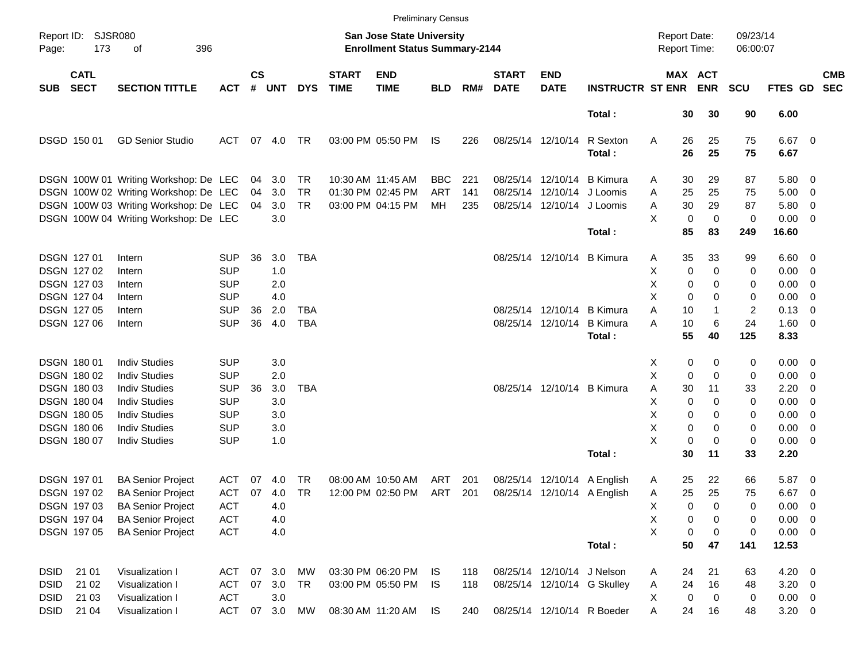|                     |                            |                                       |            |                    |            |            |                                                                           | <b>Preliminary Census</b> |            |     |                             |                            |                                     |                  |                      |            |                |                          |                          |
|---------------------|----------------------------|---------------------------------------|------------|--------------------|------------|------------|---------------------------------------------------------------------------|---------------------------|------------|-----|-----------------------------|----------------------------|-------------------------------------|------------------|----------------------|------------|----------------|--------------------------|--------------------------|
| Report ID:<br>Page: | <b>SJSR080</b><br>173      |                                       |            |                    |            |            | <b>San Jose State University</b><br><b>Enrollment Status Summary-2144</b> |                           |            |     |                             |                            | <b>Report Date:</b><br>Report Time: |                  | 09/23/14<br>06:00:07 |            |                |                          |                          |
| <b>SUB</b>          | <b>CATL</b><br><b>SECT</b> | <b>SECTION TITTLE</b>                 | <b>ACT</b> | $\mathsf{cs}$<br># | <b>UNT</b> | <b>DYS</b> | <b>START</b><br><b>TIME</b>                                               | <b>END</b><br><b>TIME</b> | <b>BLD</b> | RM# | <b>START</b><br><b>DATE</b> | <b>END</b><br><b>DATE</b>  | <b>INSTRUCTR ST ENR</b>             | MAX ACT          | <b>ENR</b>           | <b>SCU</b> | FTES GD        |                          | <b>CMB</b><br><b>SEC</b> |
|                     |                            |                                       |            |                    |            |            |                                                                           |                           |            |     |                             |                            | Total:                              | 30               | 30                   | 90         | 6.00           |                          |                          |
|                     | DSGD 150 01                | <b>GD Senior Studio</b>               | ACT        | 07                 | 4.0        | TR         |                                                                           | 03:00 PM 05:50 PM         | IS         | 226 |                             | 08/25/14 12/10/14          | R Sexton                            | Α<br>26          | 25                   | 75         | $6.67$ 0       |                          |                          |
|                     |                            |                                       |            |                    |            |            |                                                                           |                           |            |     |                             |                            | Total:                              | 26               | 25                   | 75         | 6.67           |                          |                          |
|                     |                            | DSGN 100W 01 Writing Workshop: De LEC |            | 04                 | 3.0        | TR         |                                                                           | 10:30 AM 11:45 AM         | <b>BBC</b> | 221 |                             |                            | 08/25/14 12/10/14 B Kimura          | 30<br>Α          | 29                   | 87         | 5.80 0         |                          |                          |
|                     |                            | DSGN 100W 02 Writing Workshop: De LEC |            | 04                 | 3.0        | <b>TR</b>  |                                                                           | 01:30 PM 02:45 PM         | <b>ART</b> | 141 |                             | 08/25/14 12/10/14 J Loomis |                                     | 25<br>Α          | 25                   | 75         | 5.00           | $\overline{\phantom{0}}$ |                          |
|                     |                            | DSGN 100W 03 Writing Workshop: De LEC |            | 04                 | 3.0        | <b>TR</b>  |                                                                           | 03:00 PM 04:15 PM         | МH         | 235 |                             | 08/25/14 12/10/14 J Loomis |                                     | 30<br>Α          | 29                   | 87         | 5.80           | $\overline{\phantom{0}}$ |                          |
|                     |                            | DSGN 100W 04 Writing Workshop: De LEC |            |                    | 3.0        |            |                                                                           |                           |            |     |                             |                            |                                     | X<br>0           | 0                    | 0          | $0.00 \t 0$    |                          |                          |
|                     |                            |                                       |            |                    |            |            |                                                                           |                           |            |     |                             |                            | Total:                              | 85               | 83                   | 249        | 16.60          |                          |                          |
|                     | <b>DSGN 12701</b>          | Intern                                | <b>SUP</b> | 36                 | 3.0        | <b>TBA</b> |                                                                           |                           |            |     |                             |                            | 08/25/14 12/10/14 B Kimura          | 35<br>Α          | 33                   | 99         | $6.60 \quad 0$ |                          |                          |
|                     | <b>DSGN 12702</b>          | Intern                                | <b>SUP</b> |                    | 1.0        |            |                                                                           |                           |            |     |                             |                            |                                     | х<br>0           | $\mathbf 0$          | 0          | $0.00 \t 0$    |                          |                          |
|                     | <b>DSGN 12703</b>          | Intern                                | <b>SUP</b> |                    | 2.0        |            |                                                                           |                           |            |     |                             |                            |                                     | х<br>0           | 0                    | 0          | 0.00           | $\overline{\phantom{0}}$ |                          |
|                     | DSGN 127 04                | Intern                                | <b>SUP</b> |                    | 4.0        |            |                                                                           |                           |            |     |                             |                            |                                     | X<br>0           | 0                    | 0          | 0.00           | $\overline{\phantom{0}}$ |                          |
|                     | <b>DSGN 12705</b>          | Intern                                | <b>SUP</b> | 36                 | 2.0        | <b>TBA</b> |                                                                           |                           |            |     |                             |                            | 08/25/14 12/10/14 B Kimura          | Α<br>10          | 1                    | 2          | 0.13           | $\overline{\phantom{0}}$ |                          |
|                     | DSGN 127 06                | Intern                                | <b>SUP</b> | 36                 | 4.0        | <b>TBA</b> |                                                                           |                           |            |     |                             | 08/25/14 12/10/14          | <b>B</b> Kimura                     | A<br>10          | 6                    | 24         | $1.60 \t 0$    |                          |                          |
|                     |                            |                                       |            |                    |            |            |                                                                           |                           |            |     |                             |                            | Total:                              | 55               | 40                   | 125        | 8.33           |                          |                          |
|                     | <b>DSGN 18001</b>          | <b>Indiv Studies</b>                  | <b>SUP</b> |                    | 3.0        |            |                                                                           |                           |            |     |                             |                            |                                     | X<br>0           | 0                    | 0          | $0.00 \t 0$    |                          |                          |
|                     | <b>DSGN 18002</b>          | <b>Indiv Studies</b>                  | <b>SUP</b> |                    | 2.0        |            |                                                                           |                           |            |     |                             |                            |                                     | х<br>0           | $\mathbf 0$          | 0          | $0.00 \t 0$    |                          |                          |
|                     | <b>DSGN 18003</b>          | <b>Indiv Studies</b>                  | <b>SUP</b> | 36                 | 3.0        | <b>TBA</b> |                                                                           |                           |            |     |                             |                            | 08/25/14 12/10/14 B Kimura          | Α<br>30          | 11                   | 33         | 2.20           | $\overline{\mathbf{0}}$  |                          |
|                     | <b>DSGN 18004</b>          | <b>Indiv Studies</b>                  | <b>SUP</b> |                    | 3.0        |            |                                                                           |                           |            |     |                             |                            |                                     | Χ<br>0           | 0                    | 0          | 0.00           | $\overline{\phantom{0}}$ |                          |
|                     | <b>DSGN 18005</b>          | <b>Indiv Studies</b>                  | <b>SUP</b> |                    | 3.0        |            |                                                                           |                           |            |     |                             |                            |                                     | х<br>0           | 0                    | 0          | 0.00           | $\overline{\phantom{0}}$ |                          |
|                     | DSGN 180 06                | <b>Indiv Studies</b>                  | <b>SUP</b> |                    | 3.0        |            |                                                                           |                           |            |     |                             |                            |                                     | х<br>0           | 0                    | 0          | 0.00           | $\overline{\phantom{0}}$ |                          |
|                     | <b>DSGN 18007</b>          | <b>Indiv Studies</b>                  | <b>SUP</b> |                    | 1.0        |            |                                                                           |                           |            |     |                             |                            |                                     | X<br>$\mathbf 0$ | $\mathbf 0$          | 0          | $0.00 \t 0$    |                          |                          |
|                     |                            |                                       |            |                    |            |            |                                                                           |                           |            |     |                             |                            | Total:                              | 30               | 11                   | 33         | 2.20           |                          |                          |
|                     | <b>DSGN 19701</b>          | <b>BA Senior Project</b>              | <b>ACT</b> | 07                 | 4.0        | TR         |                                                                           | 08:00 AM 10:50 AM         | ART        | 201 |                             |                            | 08/25/14 12/10/14 A English         | 25<br>Α          | 22                   | 66         | 5.87 0         |                          |                          |
|                     | DSGN 19702                 | <b>BA Senior Project</b>              | ACT        | 07                 | 4.0        | TR         |                                                                           | 12:00 PM 02:50 PM         | ART        | 201 |                             |                            | 08/25/14 12/10/14 A English         | 25<br>Α          | 25                   | 75         | $6.67$ 0       |                          |                          |
|                     | DSGN 197 03                | <b>BA Senior Project</b>              | <b>ACT</b> |                    | 4.0        |            |                                                                           |                           |            |     |                             |                            |                                     | Χ<br>0           | 0                    | 0          | $0.00 \t 0$    |                          |                          |
|                     | DSGN 197 04                | <b>BA Senior Project</b>              | <b>ACT</b> |                    | 4.0        |            |                                                                           |                           |            |     |                             |                            |                                     | X<br>0           | 0                    | 0          | $0.00 \t 0$    |                          |                          |
|                     | DSGN 197 05                | <b>BA Senior Project</b>              | <b>ACT</b> |                    | 4.0        |            |                                                                           |                           |            |     |                             |                            |                                     | X<br>0           | 0                    | 0          | $0.00 \t 0$    |                          |                          |
|                     |                            |                                       |            |                    |            |            |                                                                           |                           |            |     |                             |                            | Total:                              | 50               | 47                   | 141        | 12.53          |                          |                          |
| <b>DSID</b>         | 21 01                      | Visualization I                       | <b>ACT</b> | 07                 | 3.0        | MW         |                                                                           | 03:30 PM 06:20 PM         | IS.        | 118 |                             | 08/25/14 12/10/14 J Nelson |                                     | 24<br>Α          | 21                   | 63         | $4.20 \ 0$     |                          |                          |
| <b>DSID</b>         | 21 02                      | Visualization I                       | <b>ACT</b> | 07                 | 3.0        | <b>TR</b>  |                                                                           | 03:00 PM 05:50 PM         | IS         | 118 |                             |                            | 08/25/14 12/10/14 G Skulley         | 24<br>Α          | 16                   | 48         | $3.20 \ 0$     |                          |                          |
| DSID                | 21 03                      | Visualization I                       | <b>ACT</b> |                    | 3.0        |            |                                                                           |                           |            |     |                             |                            |                                     | 0<br>X           | 0                    | 0          | $0.00 \t 0$    |                          |                          |
| DSID                | 21 04                      | Visualization I                       | <b>ACT</b> | 07                 | 3.0        | MW         |                                                                           | 08:30 AM 11:20 AM         | IS         | 240 |                             |                            | 08/25/14 12/10/14 R Boeder          | Α<br>24          | 16                   | 48         | $3.20 \ 0$     |                          |                          |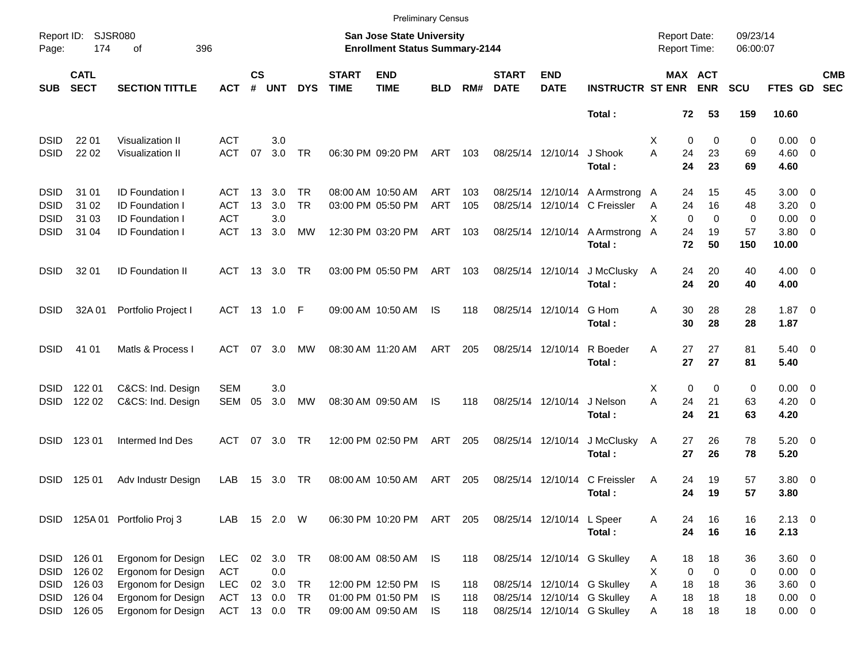|             |                            |                               |              |                    |             |            |                             |                                                                    | <b>Preliminary Census</b> |     |                             |                           |                                 |                                            |                       |                      |                     |                          |                          |
|-------------|----------------------------|-------------------------------|--------------|--------------------|-------------|------------|-----------------------------|--------------------------------------------------------------------|---------------------------|-----|-----------------------------|---------------------------|---------------------------------|--------------------------------------------|-----------------------|----------------------|---------------------|--------------------------|--------------------------|
| Page:       | Report ID: SJSR080<br>174  | 396<br>оf                     |              |                    |             |            |                             | San Jose State University<br><b>Enrollment Status Summary-2144</b> |                           |     |                             |                           |                                 | <b>Report Date:</b><br><b>Report Time:</b> |                       | 09/23/14<br>06:00:07 |                     |                          |                          |
| <b>SUB</b>  | <b>CATL</b><br><b>SECT</b> | <b>SECTION TITTLE</b>         | <b>ACT</b>   | $\mathsf{cs}$<br># | <b>UNT</b>  | <b>DYS</b> | <b>START</b><br><b>TIME</b> | <b>END</b><br><b>TIME</b>                                          | <b>BLD</b>                | RM# | <b>START</b><br><b>DATE</b> | <b>END</b><br><b>DATE</b> | <b>INSTRUCTR ST ENR</b>         |                                            | MAX ACT<br><b>ENR</b> | <b>SCU</b>           | FTES GD             |                          | <b>CMB</b><br><b>SEC</b> |
|             |                            |                               |              |                    |             |            |                             |                                                                    |                           |     |                             |                           | Total:                          |                                            | 72<br>53              | 159                  | 10.60               |                          |                          |
| <b>DSID</b> | 22 01                      | <b>Visualization II</b>       | <b>ACT</b>   |                    | 3.0         |            |                             |                                                                    |                           |     |                             |                           |                                 | Х                                          | 0<br>0                | 0                    | $0.00 \quad 0$      |                          |                          |
| <b>DSID</b> | 22 02                      | Visualization II              | <b>ACT</b>   | 07                 | 3.0         | TR         |                             | 06:30 PM 09:20 PM                                                  | ART                       | 103 |                             | 08/25/14 12/10/14         | J Shook                         | A<br>24                                    | 23                    | 69                   | $4.60$ 0            |                          |                          |
|             |                            |                               |              |                    |             |            |                             |                                                                    |                           |     |                             |                           | Total:                          | 24                                         | 23                    | 69                   | 4.60                |                          |                          |
| <b>DSID</b> | 31 01                      | ID Foundation I               | ACT          | 13                 | 3.0         | TR         |                             | 08:00 AM 10:50 AM                                                  | ART                       | 103 |                             |                           | 08/25/14 12/10/14 A Armstrong A |                                            | 15<br>24              | 45                   | $3.00 \quad 0$      |                          |                          |
| <b>DSID</b> | 31 02                      | ID Foundation I               | ACT          | 13                 | 3.0         | <b>TR</b>  |                             | 03:00 PM 05:50 PM                                                  | <b>ART</b>                | 105 |                             |                           | 08/25/14 12/10/14 C Freissler   | A                                          | 24<br>16              | 48                   | 3.20                | $\overline{\phantom{0}}$ |                          |
| <b>DSID</b> | 31 03                      | <b>ID Foundation I</b>        | <b>ACT</b>   |                    | 3.0         |            |                             |                                                                    |                           |     |                             |                           |                                 | X                                          | $\mathbf 0$<br>0      | 0                    | 0.00                | 0                        |                          |
| <b>DSID</b> | 31 04                      | <b>ID Foundation I</b>        | <b>ACT</b>   | 13                 | 3.0         | MW         |                             | 12:30 PM 03:20 PM                                                  | ART                       | 103 |                             | 08/25/14 12/10/14         | A Armstrong A<br>Total:         | 24                                         | 19<br>72<br>50        | 57<br>150            | $3.80 \ 0$<br>10.00 |                          |                          |
| <b>DSID</b> | 32 01                      | <b>ID Foundation II</b>       | ACT          |                    | 13 3.0      | TR         |                             | 03:00 PM 05:50 PM                                                  | ART                       | 103 |                             | 08/25/14 12/10/14         | J McClusky                      | A                                          | 20<br>24              | 40                   | $4.00 \ 0$          |                          |                          |
|             |                            |                               |              |                    |             |            |                             |                                                                    |                           |     |                             |                           | Total:                          | 24                                         | 20                    | 40                   | 4.00                |                          |                          |
| <b>DSID</b> | 32A 01                     | Portfolio Project I           | ACT 13 1.0 F |                    |             |            |                             | 09:00 AM 10:50 AM                                                  | IS                        | 118 |                             | 08/25/14 12/10/14         | G Hom                           | Α<br>30                                    | 28                    | 28                   | $1.87 \ 0$          |                          |                          |
|             |                            |                               |              |                    |             |            |                             |                                                                    |                           |     |                             |                           | Total:                          | 30                                         | 28                    | 28                   | 1.87                |                          |                          |
| <b>DSID</b> | 41 01                      | Matls & Process I             | ACT          | 07                 | 3.0         | МW         |                             | 08:30 AM 11:20 AM                                                  | ART                       | 205 | 08/25/14 12/10/14           |                           | R Boeder                        | A                                          | 27<br>27              | 81                   | $5.40 \ 0$          |                          |                          |
|             |                            |                               |              |                    |             |            |                             |                                                                    |                           |     |                             |                           | Total:                          | 27                                         | 27                    | 81                   | 5.40                |                          |                          |
| <b>DSID</b> | 122 01                     | C&CS: Ind. Design             | <b>SEM</b>   |                    | 3.0         |            |                             |                                                                    |                           |     |                             |                           |                                 | Х                                          | $\mathbf 0$<br>0      | 0                    | $0.00 \quad 0$      |                          |                          |
| <b>DSID</b> | 122 02                     | C&CS: Ind. Design             | SEM          | 05                 | 3.0         | МW         |                             | 08:30 AM 09:50 AM                                                  | IS                        | 118 | 08/25/14 12/10/14           |                           | J Nelson                        | A<br>24                                    | 21                    | 63                   | $4.20 \ 0$          |                          |                          |
|             |                            |                               |              |                    |             |            |                             |                                                                    |                           |     |                             |                           | Total:                          | 24                                         | 21                    | 63                   | 4.20                |                          |                          |
| <b>DSID</b> | 123 01                     | Intermed Ind Des              | ACT          |                    | 07 3.0      | TR         |                             | 12:00 PM 02:50 PM                                                  | ART                       | 205 |                             | 08/25/14 12/10/14         | J McClusky                      | A                                          | 26<br>27              | 78                   | $5.20 \ 0$          |                          |                          |
|             |                            |                               |              |                    |             |            |                             |                                                                    |                           |     |                             |                           | Total:                          | 27                                         | 26                    | 78                   | 5.20                |                          |                          |
| <b>DSID</b> | 125 01                     | Adv Industr Design            | LAB          | 15                 | 3.0         | TR         |                             | 08:00 AM 10:50 AM                                                  | ART                       | 205 | 08/25/14 12/10/14           |                           | C Freissler                     | A                                          | 24<br>19              | 57                   | 3.80 0              |                          |                          |
|             |                            |                               |              |                    |             |            |                             |                                                                    |                           |     |                             |                           | Total:                          |                                            | 19<br>24              | 57                   | 3.80                |                          |                          |
|             |                            | DSID 125A 01 Portfolio Proj 3 | LAB          |                    | 15  2.0  W  |            |                             | 06:30 PM 10:20 PM ART 205                                          |                           |     |                             | 08/25/14 12/10/14 L Speer |                                 | 24<br>A                                    | 16                    | 16                   | $2.13 \t 0$         |                          |                          |
|             |                            |                               |              |                    |             |            |                             |                                                                    |                           |     |                             |                           | Total:                          |                                            | 24<br>16              | 16                   | 2.13                |                          |                          |
| <b>DSID</b> | 126 01                     | Ergonom for Design            | <b>LEC</b>   |                    | 02 3.0 TR   |            |                             | 08:00 AM 08:50 AM                                                  | IS.                       | 118 |                             |                           | 08/25/14 12/10/14 G Skulley     | A                                          | 18<br>18              | 36                   | 3.60 0              |                          |                          |
| <b>DSID</b> | 126 02                     | Ergonom for Design            | <b>ACT</b>   |                    | $0.0\,$     |            |                             |                                                                    |                           |     |                             |                           |                                 | X                                          | 0<br>0                | 0                    | $0.00 \t 0$         |                          |                          |
| DSID        | 126 03                     | Ergonom for Design            | <b>LEC</b>   | 02                 | 3.0         | TR         |                             | 12:00 PM 12:50 PM                                                  | IS                        | 118 |                             |                           | 08/25/14 12/10/14 G Skulley     | Α<br>18                                    | 18                    | 36                   | 3.60 0              |                          |                          |
| DSID        | 126 04                     | Ergonom for Design            | <b>ACT</b>   | 13                 | 0.0         | TR         |                             | 01:00 PM 01:50 PM                                                  | IS.                       | 118 |                             |                           | 08/25/14 12/10/14 G Skulley     | Α                                          | 18<br>18              | 18                   | $0.00 \t 0$         |                          |                          |
| <b>DSID</b> | 126 05                     | Ergonom for Design            | ACT          |                    | 13  0.0  TR |            |                             | 09:00 AM 09:50 AM                                                  | IS.                       | 118 |                             |                           | 08/25/14 12/10/14 G Skulley     | Α                                          | 18<br>18              | 18                   | $0.00 \t 0$         |                          |                          |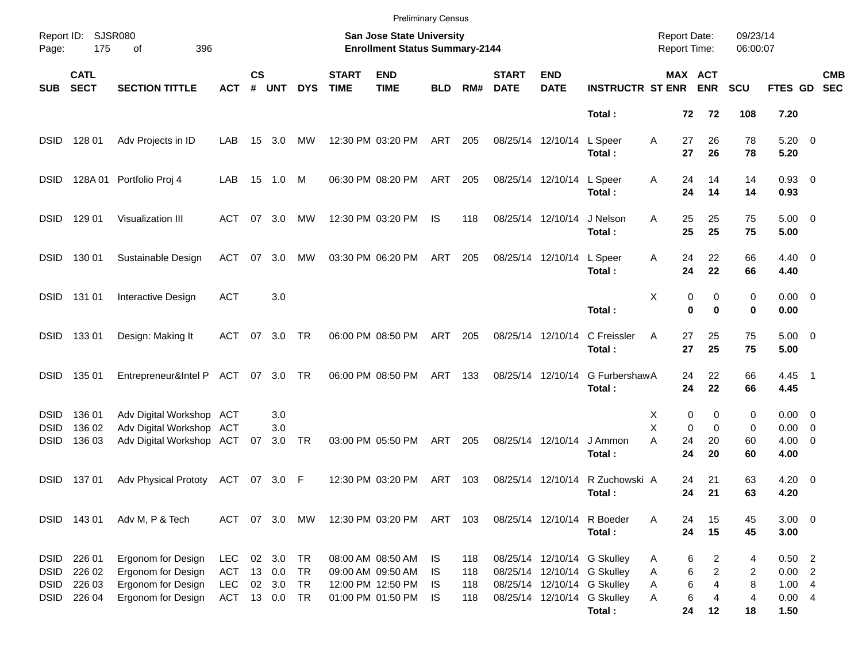|                            |                            |                                                      |                          |                |                  |            |                             | <b>Preliminary Census</b>                                          |            |            |                             |                            |                                                                      |                                     |                                     |                      |                               |                          |
|----------------------------|----------------------------|------------------------------------------------------|--------------------------|----------------|------------------|------------|-----------------------------|--------------------------------------------------------------------|------------|------------|-----------------------------|----------------------------|----------------------------------------------------------------------|-------------------------------------|-------------------------------------|----------------------|-------------------------------|--------------------------|
| Page:                      | Report ID: SJSR080<br>175  | 396<br>οf                                            |                          |                |                  |            |                             | San Jose State University<br><b>Enrollment Status Summary-2144</b> |            |            |                             |                            |                                                                      | <b>Report Date:</b><br>Report Time: |                                     | 09/23/14<br>06:00:07 |                               |                          |
| <b>SUB</b>                 | <b>CATL</b><br><b>SECT</b> | <b>SECTION TITTLE</b>                                | <b>ACT</b>               | <b>CS</b><br># | <b>UNT</b>       | <b>DYS</b> | <b>START</b><br><b>TIME</b> | <b>END</b><br><b>TIME</b>                                          | <b>BLD</b> | RM#        | <b>START</b><br><b>DATE</b> | <b>END</b><br><b>DATE</b>  | <b>INSTRUCTR ST ENR</b>                                              |                                     | MAX ACT<br><b>ENR</b>               | <b>SCU</b>           | <b>FTES GD</b>                | <b>CMB</b><br><b>SEC</b> |
|                            |                            |                                                      |                          |                |                  |            |                             |                                                                    |            |            |                             |                            | Total:                                                               | 72                                  | 72                                  | 108                  | 7.20                          |                          |
| <b>DSID</b>                | 128 01                     | Adv Projects in ID                                   | LAB                      | 15             | 3.0              | <b>MW</b>  |                             | 12:30 PM 03:20 PM                                                  | ART        | 205        |                             | 08/25/14 12/10/14          | L Speer<br>Total:                                                    | Α<br>27<br>27                       | 26<br>26                            | 78<br>78             | $5.20 \ 0$<br>5.20            |                          |
| <b>DSID</b>                |                            | 128A 01 Portfolio Proj 4                             | LAB                      |                | 15 1.0           | M          |                             | 06:30 PM 08:20 PM                                                  | ART        | 205        |                             | 08/25/14 12/10/14          | L Speer<br>Total:                                                    | A<br>24<br>24                       | 14<br>14                            | 14<br>14             | $0.93$ 0<br>0.93              |                          |
| <b>DSID</b>                | 129 01                     | Visualization III                                    | ACT                      |                | 07 3.0           | MW         |                             | 12:30 PM 03:20 PM                                                  | IS         | 118        | 08/25/14 12/10/14           |                            | J Nelson<br>Total:                                                   | 25<br>A<br>25                       | 25<br>25                            | 75<br>75             | $5.00 \t 0$<br>5.00           |                          |
| <b>DSID</b>                | 130 01                     | Sustainable Design                                   | ACT                      |                | 07 3.0           | MW         |                             | 03:30 PM 06:20 PM                                                  | ART        | 205        |                             | 08/25/14 12/10/14          | L Speer<br>Total:                                                    | Α<br>24<br>24                       | 22<br>22                            | 66<br>66             | $4.40 \ 0$<br>4.40            |                          |
| <b>DSID</b>                | 131 01                     | Interactive Design                                   | <b>ACT</b>               |                | 3.0              |            |                             |                                                                    |            |            |                             |                            | Total:                                                               | X                                   | 0<br>0<br>$\bf{0}$<br>0             | 0<br>0               | $0.00 \t 0$<br>0.00           |                          |
| <b>DSID</b>                | 13301                      | Design: Making It                                    | ACT                      |                | 07 3.0           | TR         |                             | 06:00 PM 08:50 PM                                                  | ART        | 205        |                             | 08/25/14 12/10/14          | C Freissler<br>Total:                                                | A<br>27<br>27                       | 25<br>25                            | 75<br>75             | $5.00 \t 0$<br>5.00           |                          |
| <b>DSID</b>                | 135 01                     | Entrepreneur&Intel P ACT 07 3.0 TR                   |                          |                |                  |            |                             | 06:00 PM 08:50 PM                                                  | ART        | 133        |                             | 08/25/14 12/10/14          | G FurbershawA<br>Total:                                              | 24<br>24                            | 22<br>22                            | 66<br>66             | $4.45$ 1<br>4.45              |                          |
| <b>DSID</b><br><b>DSID</b> | 136 01<br>136 02           | Adv Digital Workshop ACT<br>Adv Digital Workshop ACT |                          |                | 3.0<br>3.0       |            |                             |                                                                    |            |            |                             |                            |                                                                      | Х<br>X                              | 0<br>0<br>0<br>$\Omega$             | 0<br>0               | $0.00 \quad 0$<br>$0.00 \t 0$ |                          |
| <b>DSID</b>                | 136 03                     | Adv Digital Workshop ACT                             |                          | 07             | 3.0              | TR         |                             | 03:00 PM 05:50 PM                                                  | ART        | 205        |                             | 08/25/14 12/10/14          | J Ammon<br>Total:                                                    | А<br>24<br>24                       | 20<br>20                            | 60<br>60             | $4.00 \ 0$<br>4.00            |                          |
| DSID                       | 13701                      | Adv Physical Prototy                                 | ACT                      |                | 07 3.0 F         |            |                             | 12:30 PM 03:20 PM                                                  | ART        | 103        | 08/25/14 12/10/14           |                            | R Zuchowski A<br>Total:                                              | 24<br>24                            | 21<br>21                            | 63<br>63             | $4.20 \ 0$<br>4.20            |                          |
|                            | DSID 143 01                | Adv M, P & Tech                                      | ACT 07 3.0               |                |                  | MW         |                             | 12:30 PM 03:20 PM ART 103                                          |            |            |                             | 08/25/14 12/10/14 R Boeder | Total:                                                               | 24<br>A<br>24                       | 15<br>15                            | 45<br>45             | $3.00 \ 0$<br>3.00            |                          |
| <b>DSID</b><br><b>DSID</b> | 226 01<br>226 02           | Ergonom for Design<br>Ergonom for Design             | LEC<br><b>ACT</b>        |                | 02 3.0<br>13 0.0 | TR -<br>TR |                             | 08:00 AM 08:50 AM<br>09:00 AM 09:50 AM                             | IS.<br>IS. | 118<br>118 |                             |                            | 08/25/14 12/10/14 G Skulley<br>08/25/14 12/10/14 G Skulley           | A<br>Α                              | 6<br>2<br>6<br>$\overline{c}$       | 4<br>2               | $0.50$ 2<br>$0.00$ 2          |                          |
| <b>DSID</b><br><b>DSID</b> | 226 03<br>226 04           | Ergonom for Design<br>Ergonom for Design             | <b>LEC</b><br>ACT 13 0.0 |                | 02 3.0           | TR<br>TR   |                             | 12:00 PM 12:50 PM<br>01:00 PM 01:50 PM                             | IS.<br>IS. | 118<br>118 |                             |                            | 08/25/14 12/10/14 G Skulley<br>08/25/14 12/10/14 G Skulley<br>Total: | Α<br>Α<br>24                        | 6<br>$\overline{4}$<br>6<br>4<br>12 | 8<br>4<br>18         | 1.004<br>0.004<br>1.50        |                          |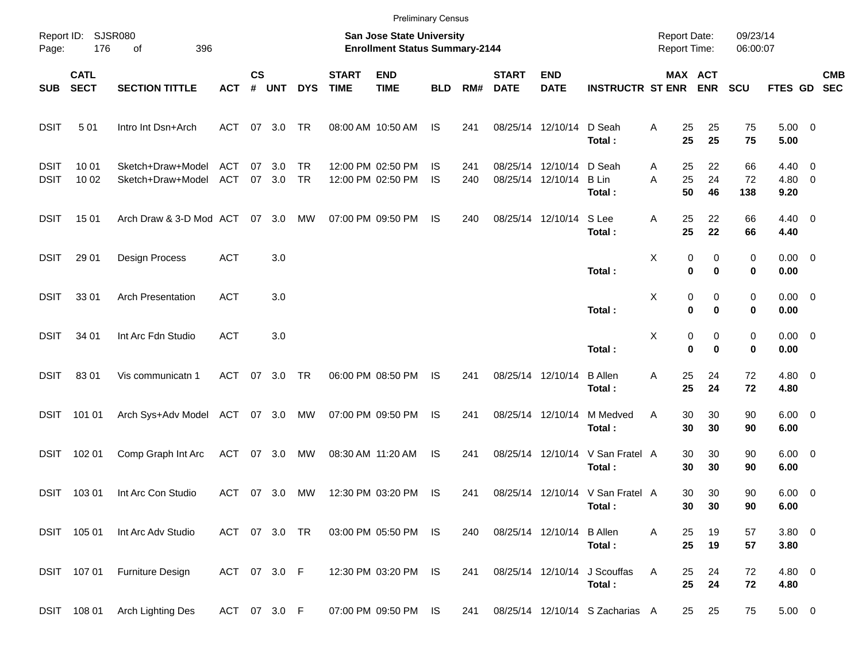|                     |                            |                                        |                          |               |               |                        |                             | <b>Preliminary Census</b>                                          |                 |            |                             |                                        |                                            |                                     |                                      |                      |                              |                          |
|---------------------|----------------------------|----------------------------------------|--------------------------|---------------|---------------|------------------------|-----------------------------|--------------------------------------------------------------------|-----------------|------------|-----------------------------|----------------------------------------|--------------------------------------------|-------------------------------------|--------------------------------------|----------------------|------------------------------|--------------------------|
| Page:               | Report ID: SJSR080<br>176  | 396<br>of                              |                          |               |               |                        |                             | San Jose State University<br><b>Enrollment Status Summary-2144</b> |                 |            |                             |                                        |                                            | <b>Report Date:</b><br>Report Time: |                                      | 09/23/14<br>06:00:07 |                              |                          |
| <b>SUB</b>          | <b>CATL</b><br><b>SECT</b> | <b>SECTION TITTLE</b>                  | <b>ACT</b>               | $\mathsf{cs}$ | # UNT         | <b>DYS</b>             | <b>START</b><br><b>TIME</b> | <b>END</b><br><b>TIME</b>                                          | <b>BLD</b>      | RM#        | <b>START</b><br><b>DATE</b> | <b>END</b><br><b>DATE</b>              | <b>INSTRUCTR ST ENR</b>                    |                                     | MAX ACT<br><b>ENR</b>                | <b>SCU</b>           | <b>FTES GD</b>               | <b>CMB</b><br><b>SEC</b> |
| <b>DSIT</b>         | 501                        | Intro Int Dsn+Arch                     | <b>ACT</b>               | 07            | 3.0           | TR                     |                             | 08:00 AM 10:50 AM                                                  | <b>IS</b>       | 241        |                             | 08/25/14 12/10/14                      | D Seah<br>Total:                           | 25<br>Α<br>25                       | 25<br>25                             | 75<br>75             | $5.00 \t 0$<br>5.00          |                          |
| DSIT<br><b>DSIT</b> | 10 01<br>10 02             | Sketch+Draw+Model<br>Sketch+Draw+Model | <b>ACT</b><br><b>ACT</b> | 07<br>07      | 3.0<br>3.0    | <b>TR</b><br><b>TR</b> |                             | 12:00 PM 02:50 PM<br>12:00 PM 02:50 PM                             | IS<br><b>IS</b> | 241<br>240 |                             | 08/25/14 12/10/14<br>08/25/14 12/10/14 | D Seah<br>B Lin<br>Total:                  | 25<br>Α<br>25<br>A<br>50            | 22<br>24<br>46                       | 66<br>72<br>138      | $4.40 \ 0$<br>4.80 0<br>9.20 |                          |
| <b>DSIT</b>         | 15 01                      | Arch Draw & 3-D Mod ACT                |                          |               | 07 3.0        | МW                     |                             | 07:00 PM 09:50 PM                                                  | IS              | 240        |                             | 08/25/14 12/10/14                      | S Lee<br>Total:                            | 25<br>Α<br>25                       | 22<br>22                             | 66<br>66             | $4.40 \quad 0$<br>4.40       |                          |
| <b>DSIT</b>         | 29 01                      | Design Process                         | <b>ACT</b>               |               | 3.0           |                        |                             |                                                                    |                 |            |                             |                                        | Total:                                     | X                                   | 0<br>0<br>$\bf{0}$<br>$\bf{0}$       | 0<br>0               | $0.00 \t 0$<br>0.00          |                          |
| <b>DSIT</b>         | 33 01                      | <b>Arch Presentation</b>               | <b>ACT</b>               |               | 3.0           |                        |                             |                                                                    |                 |            |                             |                                        | Total:                                     | X                                   | 0<br>0<br>$\bf{0}$<br>$\mathbf 0$    | 0<br>0               | $0.00 \t 0$<br>0.00          |                          |
| <b>DSIT</b>         | 34 01                      | Int Arc Fdn Studio                     | <b>ACT</b>               |               | 3.0           |                        |                             |                                                                    |                 |            |                             |                                        | Total:                                     | X                                   | 0<br>0<br>$\mathbf 0$<br>$\mathbf 0$ | 0<br>0               | $0.00 \t 0$<br>0.00          |                          |
| <b>DSIT</b>         | 8301                       | Vis communicatn 1                      | <b>ACT</b>               | 07            | 3.0           | <b>TR</b>              |                             | 06:00 PM 08:50 PM                                                  | IS              | 241        |                             | 08/25/14 12/10/14                      | <b>B</b> Allen<br>Total:                   | 25<br>Α<br>25                       | 24<br>24                             | 72<br>72             | $4.80\ 0$<br>4.80            |                          |
| DSIT                | 101 01                     | Arch Sys+Adv Model                     | ACT                      |               | 07 3.0        | MW                     |                             | 07:00 PM 09:50 PM                                                  | IS              | 241        |                             | 08/25/14 12/10/14                      | M Medved<br>Total:                         | Α<br>30<br>30                       | 30<br>30                             | 90<br>90             | $6.00 \t 0$<br>6.00          |                          |
| DSIT                | 102 01                     | Comp Graph Int Arc                     | <b>ACT</b>               |               | 07 3.0        | МW                     |                             | 08:30 AM 11:20 AM                                                  | IS              | 241        |                             | 08/25/14 12/10/14                      | V San Fratel A<br>Total:                   | 30<br>30                            | 30<br>30                             | 90<br>90             | $6.00 \t 0$<br>6.00          |                          |
| DSIT                | 103 01                     | Int Arc Con Studio                     | <b>ACT</b>               | 07            | 3.0           | MW                     |                             | 12:30 PM 03:20 PM                                                  | IS              | 241        |                             |                                        | 08/25/14 12/10/14 V San Fratel A<br>Total: | 30<br>30                            | 30<br>30                             | 90<br>90             | $6.00 \t 0$<br>6.00          |                          |
|                     | DSIT 105 01                | Int Arc Adv Studio                     |                          |               | ACT 07 3.0 TR |                        |                             | 03:00 PM 05:50 PM IS                                               |                 | 240        |                             | 08/25/14 12/10/14                      | <b>B</b> Allen<br>Total:                   | 25<br>Α<br>25                       | 19<br>19                             | 57<br>57             | 3.80 0<br>3.80               |                          |
|                     | DSIT 107 01                | Furniture Design                       |                          |               | ACT 07 3.0 F  |                        |                             | 12:30 PM 03:20 PM IS                                               |                 | 241        |                             | 08/25/14 12/10/14                      | J Scouffas<br>Total:                       | Α<br>25<br>25                       | 24<br>24                             | 72<br>72             | 4.80 0<br>4.80               |                          |
|                     | DSIT 108 01                | Arch Lighting Des                      |                          |               | ACT 07 3.0 F  |                        |                             | 07:00 PM 09:50 PM IS                                               |                 | 241        |                             |                                        | 08/25/14 12/10/14 S Zacharias A            | 25                                  | 25                                   | 75                   | $5.00 \t 0$                  |                          |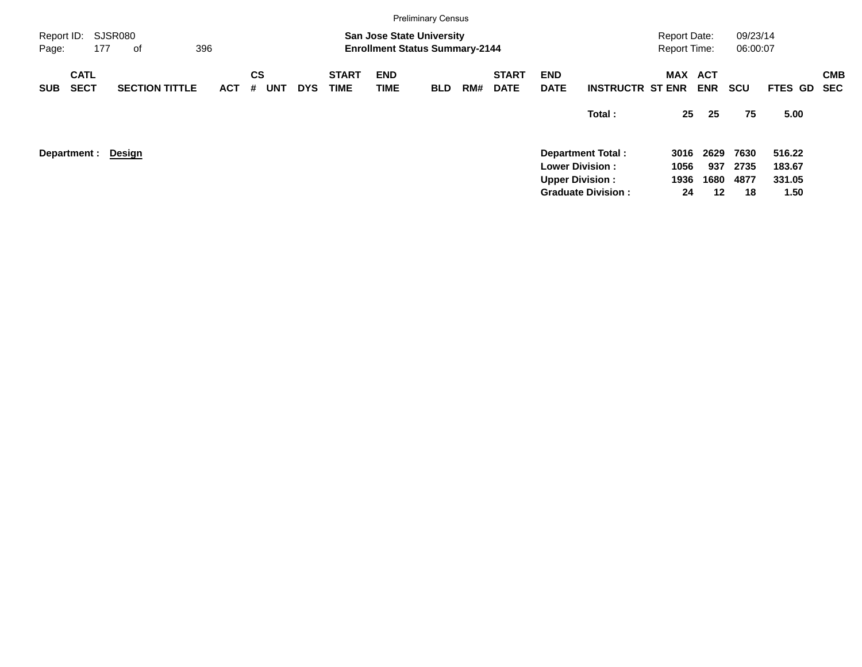|                     |                            |                       |            |                |            |            |                             |                           | <b>Preliminary Census</b>                                                 |     |                             |                           |                                                     |                                            |             |                      |                  |                          |
|---------------------|----------------------------|-----------------------|------------|----------------|------------|------------|-----------------------------|---------------------------|---------------------------------------------------------------------------|-----|-----------------------------|---------------------------|-----------------------------------------------------|--------------------------------------------|-------------|----------------------|------------------|--------------------------|
| Report ID:<br>Page: | 177                        | SJSR080<br>оf         | 396        |                |            |            |                             |                           | <b>San Jose State University</b><br><b>Enrollment Status Summary-2144</b> |     |                             |                           |                                                     | <b>Report Date:</b><br><b>Report Time:</b> |             | 09/23/14<br>06:00:07 |                  |                          |
| <b>SUB</b>          | <b>CATL</b><br><b>SECT</b> | <b>SECTION TITTLE</b> | <b>ACT</b> | <b>CS</b><br># | <b>UNT</b> | <b>DYS</b> | <b>START</b><br><b>TIME</b> | <b>END</b><br><b>TIME</b> | <b>BLD</b>                                                                | RM# | <b>START</b><br><b>DATE</b> | <b>END</b><br><b>DATE</b> | <b>INSTRUCTR ST ENR</b>                             | <b>MAX ACT</b>                             | <b>ENR</b>  | <b>SCU</b>           | <b>FTES GD</b>   | <b>CMB</b><br><b>SEC</b> |
|                     |                            |                       |            |                |            |            |                             |                           |                                                                           |     |                             |                           | Total:                                              | 25                                         | 25          | 75                   | 5.00             |                          |
|                     | Department :               | Design                |            |                |            |            |                             |                           |                                                                           |     |                             |                           | <b>Department Total:</b><br><b>Lower Division:</b>  | 3016<br>1056                               | 2629<br>937 | 7630<br>2735         | 516.22<br>183.67 |                          |
|                     |                            |                       |            |                |            |            |                             |                           |                                                                           |     |                             |                           | <b>Upper Division:</b><br><b>Graduate Division:</b> | 1936<br>24                                 | 1680<br>12  | 4877<br>18           | 331.05<br>1.50   |                          |
|                     |                            |                       |            |                |            |            |                             |                           |                                                                           |     |                             |                           |                                                     |                                            |             |                      |                  |                          |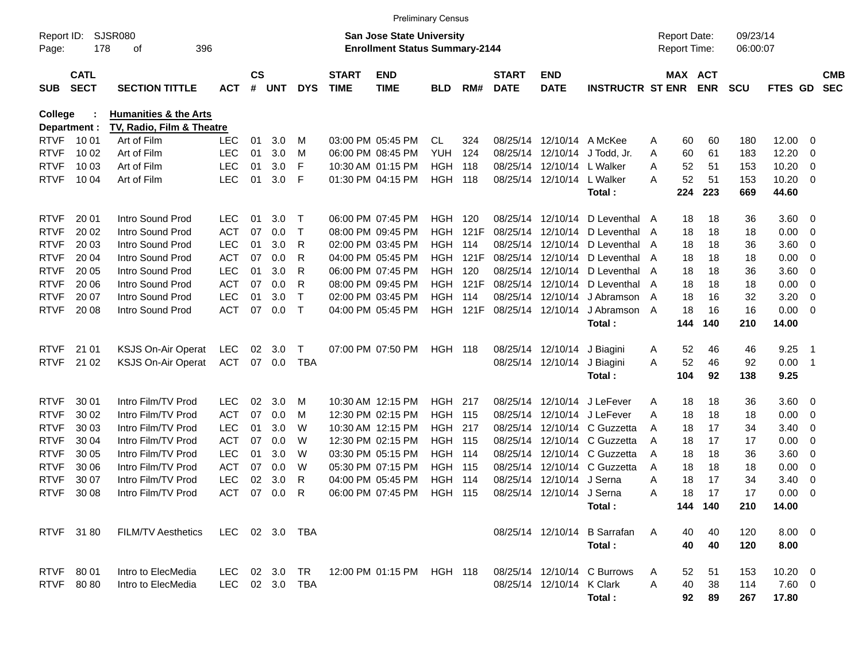|                     |                            |                                                               |                |                    |        |             |                             |                                                                           | <b>Preliminary Census</b> |       |                             |                            |                                 |   |                                     |            |                      |              |                          |                          |
|---------------------|----------------------------|---------------------------------------------------------------|----------------|--------------------|--------|-------------|-----------------------------|---------------------------------------------------------------------------|---------------------------|-------|-----------------------------|----------------------------|---------------------------------|---|-------------------------------------|------------|----------------------|--------------|--------------------------|--------------------------|
| Report ID:<br>Page: | 178                        | SJSR080<br>396<br>οf                                          |                |                    |        |             |                             | <b>San Jose State University</b><br><b>Enrollment Status Summary-2144</b> |                           |       |                             |                            |                                 |   | <b>Report Date:</b><br>Report Time: |            | 09/23/14<br>06:00:07 |              |                          |                          |
| <b>SUB</b>          | <b>CATL</b><br><b>SECT</b> | <b>SECTION TITTLE</b>                                         | <b>ACT</b>     | $\mathsf{cs}$<br># | UNT    | <b>DYS</b>  | <b>START</b><br><b>TIME</b> | <b>END</b><br><b>TIME</b>                                                 | <b>BLD</b>                | RM#   | <b>START</b><br><b>DATE</b> | <b>END</b><br><b>DATE</b>  | <b>INSTRUCTR ST ENR</b>         |   | MAX ACT                             | <b>ENR</b> | <b>SCU</b>           | FTES GD      |                          | <b>CMB</b><br><b>SEC</b> |
| <b>College</b>      |                            | <b>Humanities &amp; the Arts</b><br>TV, Radio, Film & Theatre |                |                    |        |             |                             |                                                                           |                           |       |                             |                            |                                 |   |                                     |            |                      |              |                          |                          |
| <b>RTVF</b>         | Department :<br>10 01      | Art of Film                                                   | <b>LEC</b>     | 01                 | 3.0    | м           |                             | 03:00 PM 05:45 PM                                                         | CL                        | 324   |                             | 08/25/14 12/10/14 A McKee  |                                 | A | 60                                  | 60         | 180                  | 12.00        | - 0                      |                          |
| <b>RTVF</b>         | 10 02                      | Art of Film                                                   | <b>LEC</b>     | 01                 | 3.0    | M           |                             | 06:00 PM 08:45 PM                                                         | <b>YUH</b>                | 124   | 08/25/14                    | 12/10/14                   | J Todd. Jr.                     | A | 60                                  | 61         | 183                  | 12.20        | 0                        |                          |
| <b>RTVF</b>         | 10 03                      | Art of Film                                                   | <b>LEC</b>     | 01                 | 3.0    | F           |                             | 10:30 AM 01:15 PM                                                         | <b>HGH</b>                | 118   | 08/25/14                    | 12/10/14                   | L Walker                        | A | 52                                  | 51         | 153                  | 10.20        | $\mathbf 0$              |                          |
| <b>RTVF</b>         | 10 04                      | Art of Film                                                   | <b>LEC</b>     | 01                 | 3.0    | F           |                             | 01:30 PM 04:15 PM                                                         | HGH                       | 118   |                             | 08/25/14 12/10/14 L Walker |                                 | A | 52                                  | 51         | 153                  | 10.20        | $\overline{\mathbf{0}}$  |                          |
|                     |                            |                                                               |                |                    |        |             |                             |                                                                           |                           |       |                             |                            | Total:                          |   | 224                                 | 223        | 669                  | 44.60        |                          |                          |
| <b>RTVF</b>         | 20 01                      | Intro Sound Prod                                              | <b>LEC</b>     | 01                 | 3.0    | $\top$      |                             | 06:00 PM 07:45 PM                                                         | <b>HGH 120</b>            |       |                             |                            | 08/25/14 12/10/14 D Leventhal A |   | 18                                  | 18         | 36                   | 3.60         | $\overline{\mathbf{0}}$  |                          |
| <b>RTVF</b>         | 20 02                      | Intro Sound Prod                                              | <b>ACT</b>     | 07                 | 0.0    | $\mathsf T$ |                             | 08:00 PM 09:45 PM                                                         | <b>HGH</b>                | 121F  | 08/25/14                    | 12/10/14                   | D Leventhal                     | A | 18                                  | 18         | 18                   | 0.00         | $\mathbf 0$              |                          |
| <b>RTVF</b>         | 20 03                      | Intro Sound Prod                                              | <b>LEC</b>     | 01                 | 3.0    | R           |                             | 02:00 PM 03:45 PM                                                         | HGH                       | 114   | 08/25/14                    | 12/10/14                   | D Leventhal                     | A | 18                                  | 18         | 36                   | 3.60         | $\mathbf 0$              |                          |
| <b>RTVF</b>         | 20 04                      | Intro Sound Prod                                              | <b>ACT</b>     | 07                 | 0.0    | R           |                             | 04:00 PM 05:45 PM                                                         | HGH                       | 121F  | 08/25/14                    | 12/10/14                   | D Leventhal                     | A | 18                                  | 18         | 18                   | 0.00         | $\mathbf 0$              |                          |
| <b>RTVF</b>         | 20 05                      | Intro Sound Prod                                              | <b>LEC</b>     | 01                 | 3.0    | R           |                             | 06:00 PM 07:45 PM                                                         | <b>HGH</b>                | 120   | 08/25/14                    | 12/10/14                   | D Leventhal                     | A | 18                                  | 18         | 36                   | 3.60         | $\mathbf 0$              |                          |
| <b>RTVF</b>         | 20 06                      | Intro Sound Prod                                              | <b>ACT</b>     | 07                 | 0.0    | R           |                             | 08:00 PM 09:45 PM                                                         | <b>HGH</b>                | 121F  | 08/25/14                    | 12/10/14                   | D Leventhal                     | A | 18                                  | 18         | 18                   | 0.00         | $\mathbf 0$              |                          |
| <b>RTVF</b>         | 20 07                      | Intro Sound Prod                                              | <b>LEC</b>     | 01                 | 3.0    | Т           |                             | 02:00 PM 03:45 PM                                                         | <b>HGH</b>                | 114   | 08/25/14                    | 12/10/14                   | J Abramson                      | A | 18                                  | 16         | 32                   | 3.20         | $\mathbf 0$              |                          |
| <b>RTVF</b>         | 20 08                      | Intro Sound Prod                                              | <b>ACT</b>     | 07                 | 0.0    | $\top$      |                             | 04:00 PM 05:45 PM                                                         | <b>HGH</b>                | 121F  |                             | 08/25/14 12/10/14          | J Abramson A                    |   | 18                                  | 16         | 16                   | 0.00         | $\overline{\mathbf{0}}$  |                          |
|                     |                            |                                                               |                |                    |        |             |                             |                                                                           |                           |       |                             |                            | Total:                          |   | 144                                 | 140        | 210                  | 14.00        |                          |                          |
| <b>RTVF</b>         | 21 01                      | KSJS On-Air Operat                                            | <b>LEC</b>     | 02                 | 3.0    | Т           |                             | 07:00 PM 07:50 PM                                                         | <b>HGH 118</b>            |       |                             | 08/25/14 12/10/14          | J Biagini                       | A | 52                                  | 46         | 46                   | 9.25         | -1                       |                          |
| <b>RTVF</b>         | 21 02                      | <b>KSJS On-Air Operat</b>                                     | <b>ACT</b>     | 07                 | 0.0    | <b>TBA</b>  |                             |                                                                           |                           |       |                             | 08/25/14 12/10/14          | J Biagini                       | A | 52                                  | 46         | 92                   | 0.00         | $\overline{\phantom{1}}$ |                          |
|                     |                            |                                                               |                |                    |        |             |                             |                                                                           |                           |       |                             |                            | Total:                          |   | 104                                 | 92         | 138                  | 9.25         |                          |                          |
| <b>RTVF</b>         | 30 01                      | Intro Film/TV Prod                                            | <b>LEC</b>     | 02                 | 3.0    | м           |                             | 10:30 AM 12:15 PM                                                         | <b>HGH</b>                | 217   | 08/25/14                    | 12/10/14                   | J LeFever                       | Α | 18                                  | 18         | 36                   | 3.60         | $\overline{\mathbf{0}}$  |                          |
| <b>RTVF</b>         | 30 02                      | Intro Film/TV Prod                                            | <b>ACT</b>     | 07                 | 0.0    | M           |                             | 12:30 PM 02:15 PM                                                         | HGH                       | 115   | 08/25/14                    | 12/10/14                   | J LeFever                       | A | 18                                  | 18         | 18                   | 0.00         | $\mathbf 0$              |                          |
| <b>RTVF</b>         | 30 03                      | Intro Film/TV Prod                                            | LEC            | 01                 | 3.0    | W           |                             | 10:30 AM 12:15 PM                                                         | HGH                       | 217   | 08/25/14                    |                            | 12/10/14 C Guzzetta             | A | 18                                  | 17         | 34                   | 3.40         | 0                        |                          |
| <b>RTVF</b>         | 30 04                      | Intro Film/TV Prod                                            | <b>ACT</b>     | 07                 | 0.0    | W           |                             | 12:30 PM 02:15 PM                                                         | <b>HGH 115</b>            |       | 08/25/14                    |                            | 12/10/14 C Guzzetta             | A | 18                                  | 17         | 17                   | 0.00         | $\mathbf 0$              |                          |
| <b>RTVF</b>         | 30 05                      | Intro Film/TV Prod                                            | <b>LEC</b>     | 01                 | 3.0    | W           |                             | 03:30 PM 05:15 PM                                                         | HGH                       | - 114 | 08/25/14                    |                            | 12/10/14 C Guzzetta             | A | 18                                  | 18         | 36                   | 3.60         | $\mathbf 0$              |                          |
| <b>RTVF</b>         | 30 06                      | Intro Film/TV Prod                                            | <b>ACT</b>     | 07                 | 0.0    | W           |                             | 05:30 PM 07:15 PM                                                         | HGH                       | 115   | 08/25/14                    |                            | 12/10/14 C Guzzetta             | A | 18                                  | 18         | 18                   | 0.00         | 0                        |                          |
| <b>RTVF</b>         | 30 07                      | Intro Film/TV Prod                                            | <b>LEC</b>     | 02                 | 3.0    | R           |                             | 04:00 PM 05:45 PM                                                         | <b>HGH</b>                | -114  | 08/25/14                    | 12/10/14                   | J Serna                         | Α | 18                                  | 17         | 34                   | 3.40         | 0                        |                          |
| <b>RTVF</b>         | 30 08                      | Intro Film/TV Prod                                            | <b>ACT</b>     | 07                 | 0.0    | R           |                             | 06:00 PM 07:45 PM                                                         | HGH                       | 115   |                             | 08/25/14 12/10/14 J Serna  |                                 | A | 18                                  | 17         | 17                   | 0.00         | 0                        |                          |
|                     |                            |                                                               |                |                    |        |             |                             |                                                                           |                           |       |                             |                            | Total:                          |   |                                     | 144 140    | 210                  | 14.00        |                          |                          |
|                     | RTVF 31 80                 | <b>FILM/TV Aesthetics</b>                                     | LEC 02 3.0 TBA |                    |        |             |                             |                                                                           |                           |       |                             |                            | 08/25/14 12/10/14 B Sarrafan    | A | 40                                  | 40         | 120                  | $8.00 \t 0$  |                          |                          |
|                     |                            |                                                               |                |                    |        |             |                             |                                                                           |                           |       |                             |                            | Total:                          |   | 40                                  | 40         | 120                  | 8.00         |                          |                          |
| <b>RTVF</b>         | 80 01                      | Intro to ElecMedia                                            | LEC.           |                    | 02 3.0 | TR          |                             | 12:00 PM 01:15 PM HGH 118                                                 |                           |       |                             |                            | 08/25/14 12/10/14 C Burrows     | A | 52                                  | 51         | 153                  | $10.20 \t 0$ |                          |                          |
|                     | RTVF 8080                  | Intro to ElecMedia                                            | LEC            |                    | 02 3.0 | TBA         |                             |                                                                           |                           |       |                             | 08/25/14 12/10/14 K Clark  |                                 | A | 40                                  | 38         | 114                  | $7.60$ 0     |                          |                          |
|                     |                            |                                                               |                |                    |        |             |                             |                                                                           |                           |       |                             |                            | Total:                          |   | 92                                  | 89         | 267                  | 17.80        |                          |                          |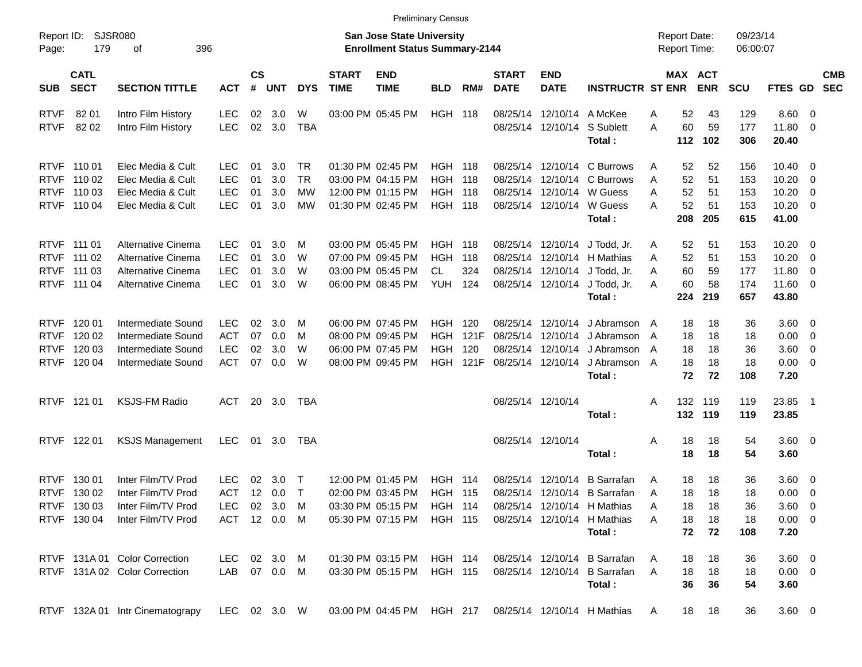|                     |                            |                                 |              |                    |          |            |                             |                                                                           | <b>Preliminary Census</b> |                 |                             |                           |                                     |                                            |                       |                      |                       |                            |            |
|---------------------|----------------------------|---------------------------------|--------------|--------------------|----------|------------|-----------------------------|---------------------------------------------------------------------------|---------------------------|-----------------|-----------------------------|---------------------------|-------------------------------------|--------------------------------------------|-----------------------|----------------------|-----------------------|----------------------------|------------|
| Report ID:<br>Page: | 179                        | SJSR080<br>396<br>оf            |              |                    |          |            |                             | <b>San Jose State University</b><br><b>Enrollment Status Summary-2144</b> |                           |                 |                             |                           |                                     | <b>Report Date:</b><br><b>Report Time:</b> |                       | 09/23/14<br>06:00:07 |                       |                            |            |
| <b>SUB</b>          | <b>CATL</b><br><b>SECT</b> | <b>SECTION TITTLE</b>           | <b>ACT</b>   | $\mathsf{cs}$<br># | UNT      | <b>DYS</b> | <b>START</b><br><b>TIME</b> | <b>END</b><br><b>TIME</b>                                                 | <b>BLD</b>                | RM#             | <b>START</b><br><b>DATE</b> | <b>END</b><br><b>DATE</b> | <b>INSTRUCTR ST ENR</b>             |                                            | MAX ACT<br><b>ENR</b> | <b>SCU</b>           | FTES GD SEC           |                            | <b>CMB</b> |
| <b>RTVF</b>         | 82 01                      | Intro Film History              | LEC          | 02                 | 3.0      | W          |                             | 03:00 PM 05:45 PM                                                         | <b>HGH 118</b>            |                 | 08/25/14                    |                           | 12/10/14 A McKee                    | Α                                          | 52<br>43              | 129                  | $8.60 \ 0$            |                            |            |
| <b>RTVF</b>         | 82 02                      | Intro Film History              | <b>LEC</b>   | 02                 | 3.0      | <b>TBA</b> |                             |                                                                           |                           |                 |                             | 08/25/14 12/10/14         | S Sublett<br>Total:                 | A<br>112                                   | 60<br>59<br>102       | 177<br>306           | 11.80 0<br>20.40      |                            |            |
|                     | RTVF 110 01                | Elec Media & Cult               | <b>LEC</b>   | 01                 | 3.0      | TR.        |                             | 01:30 PM 02:45 PM                                                         | <b>HGH 118</b>            |                 |                             |                           | 08/25/14 12/10/14 C Burrows         | Α                                          | 52<br>52              | 156                  | 10.40                 | $\overline{\phantom{0}}$   |            |
|                     | RTVF 110 02                | Elec Media & Cult               | <b>LEC</b>   | 01                 | 3.0      | <b>TR</b>  |                             | 03:00 PM 04:15 PM                                                         | <b>HGH</b>                | 118             | 08/25/14                    |                           | 12/10/14 C Burrows                  | A                                          | 52<br>51              | 153                  | 10.20                 | $\overline{\phantom{0}}$   |            |
|                     | RTVF 110 03                | Elec Media & Cult               | <b>LEC</b>   | 01                 | 3.0      | МW         |                             | 12:00 PM 01:15 PM                                                         | <b>HGH</b>                | 118             |                             |                           | 08/25/14 12/10/14 W Guess           | A                                          | 52<br>51              | 153                  | 10.20                 | $\overline{\phantom{0}}$   |            |
|                     | RTVF 110 04                | Elec Media & Cult               | <b>LEC</b>   | 01                 | 3.0      | МW         |                             | 01:30 PM 02:45 PM                                                         | <b>HGH 118</b>            |                 |                             |                           | 08/25/14 12/10/14 W Guess<br>Total: | A<br>208                                   | 52<br>51<br>205       | 153<br>615           | $10.20 \t 0$<br>41.00 |                            |            |
|                     | RTVF 111 01                | Alternative Cinema              | <b>LEC</b>   | 01                 | 3.0      | M          |                             | 03:00 PM 05:45 PM                                                         | <b>HGH 118</b>            |                 |                             |                           | 08/25/14 12/10/14 J Todd, Jr.       | A                                          | 52<br>51              | 153                  | $10.20 \t 0$          |                            |            |
|                     | RTVF 111 02                | Alternative Cinema              | <b>LEC</b>   | 01                 | 3.0      | W          |                             | 07:00 PM 09:45 PM                                                         | <b>HGH</b>                | 118             |                             |                           | 08/25/14 12/10/14 H Mathias         | A                                          | 52<br>51              | 153                  | 10.20                 | $\overline{\mathbf{0}}$    |            |
|                     | RTVF 111 03                | Alternative Cinema              | <b>LEC</b>   | 01                 | 3.0      | W          |                             | 03:00 PM 05:45 PM                                                         | CL.                       | 324             |                             |                           | 08/25/14 12/10/14 J Todd, Jr.       | A                                          | 60<br>59              | 177                  | 11.80                 | $\overline{\phantom{0}}$   |            |
|                     | RTVF 111 04                | Alternative Cinema              | <b>LEC</b>   | 01                 | 3.0      | W          |                             | 06:00 PM 08:45 PM                                                         | <b>YUH</b>                | 124             |                             | 08/25/14 12/10/14         | J Todd, Jr.                         | A                                          | 60<br>58              | 174                  | 11.60 0               |                            |            |
|                     |                            |                                 |              |                    |          |            |                             |                                                                           |                           |                 |                             |                           | Total:                              | 224                                        | 219                   | 657                  | 43.80                 |                            |            |
|                     | RTVF 120 01                | Intermediate Sound              | <b>LEC</b>   | 02                 | 3.0      | M          |                             | 06:00 PM 07:45 PM                                                         | HGH                       | 120             |                             | 08/25/14 12/10/14         | J Abramson                          | A                                          | 18<br>18              | 36                   | $3.60 \ 0$            |                            |            |
| <b>RTVF</b>         | 120 02                     | Intermediate Sound              | <b>ACT</b>   | 07                 | 0.0      | M          |                             | 08:00 PM 09:45 PM                                                         | <b>HGH</b>                | 121F            | 08/25/14                    | 12/10/14                  | J Abramson                          | A                                          | 18<br>18              | 18                   | $0.00 \t 0$           |                            |            |
|                     | RTVF 120 03                | Intermediate Sound              | <b>LEC</b>   | 02                 | 3.0      | W          |                             | 06:00 PM 07:45 PM                                                         | HGH                       | 120             | 08/25/14                    | 12/10/14                  | J Abramson                          | A                                          | 18<br>18              | 36                   | 3.60 0                |                            |            |
|                     | RTVF 120 04                | Intermediate Sound              | <b>ACT</b>   | 07                 | 0.0      | W          |                             | 08:00 PM 09:45 PM                                                         |                           | <b>HGH 121F</b> |                             | 08/25/14 12/10/14         | J Abramson                          | A                                          | 18<br>18              | 18                   | $0.00 \t 0$           |                            |            |
|                     |                            |                                 |              |                    |          |            |                             |                                                                           |                           |                 |                             |                           | Total:                              |                                            | 72<br>72              | 108                  | 7.20                  |                            |            |
|                     | RTVF 121 01                | <b>KSJS-FM Radio</b>            | ACT          | 20                 | 3.0      | TBA        |                             |                                                                           |                           |                 |                             | 08/25/14 12/10/14         |                                     | 132<br>Α                                   | 119                   | 119                  | 23.85                 | $\overline{\phantom{0}}$ 1 |            |
|                     |                            |                                 |              |                    |          |            |                             |                                                                           |                           |                 |                             |                           | Total:                              | 132                                        | 119                   | 119                  | 23.85                 |                            |            |
|                     | RTVF 122 01                | <b>KSJS Management</b>          | LEC          | 01                 | 3.0      | TBA        |                             |                                                                           |                           |                 |                             | 08/25/14 12/10/14         |                                     | Α                                          | 18<br>18              | 54                   | 3.60 0                |                            |            |
|                     |                            |                                 |              |                    |          |            |                             |                                                                           |                           |                 |                             |                           | Total:                              |                                            | 18<br>18              | 54                   | 3.60                  |                            |            |
|                     | RTVF 130 01                | Inter Film/TV Prod              | <b>LEC</b>   | 02                 | 3.0      | $\top$     |                             | 12:00 PM 01:45 PM                                                         | HGH                       | 114             | 08/25/14                    | 12/10/14                  | <b>B</b> Sarrafan                   | Α                                          | 18<br>18              | 36                   | $3.60 \quad 0$        |                            |            |
|                     | RTVF 130 02                | Inter Film/TV Prod              | <b>ACT</b>   | $12 \overline{ }$  | 0.0      | $\top$     |                             | 02:00 PM 03:45 PM                                                         | <b>HGH 115</b>            |                 |                             |                           | 08/25/14 12/10/14 B Sarrafan        | A                                          | 18<br>18              | 18                   | $0.00 \t 0$           |                            |            |
|                     | RTVF 130 03                | Inter Film/TV Prod              | LEC.         |                    | 02 3.0 M |            |                             | 03:30 PM 05:15 PM                                                         | <b>HGH 114</b>            |                 |                             |                           | 08/25/14 12/10/14 H Mathias         | A                                          | 18<br>18              | 36                   | $3.60 \ 0$            |                            |            |
|                     | RTVF 130 04                | Inter Film/TV Prod              | ACT 12 0.0 M |                    |          |            |                             | 05:30 PM 07:15 PM                                                         | <b>HGH 115</b>            |                 |                             |                           | 08/25/14 12/10/14 H Mathias         | A                                          | 18<br>18              | 18                   | $0.00 \t 0$           |                            |            |
|                     |                            |                                 |              |                    |          |            |                             |                                                                           |                           |                 |                             |                           | Total:                              |                                            | 72<br>72              | 108                  | 7.20                  |                            |            |
|                     |                            | RTVF 131A 01 Color Correction   | LEC          |                    | 02 3.0 M |            |                             | 01:30 PM 03:15 PM                                                         | <b>HGH 114</b>            |                 |                             |                           | 08/25/14 12/10/14 B Sarrafan        | A                                          | 18<br>18              | 36                   | 3.60 0                |                            |            |
|                     |                            | RTVF 131A 02 Color Correction   | LAB 07 0.0 M |                    |          |            |                             | 03:30 PM 05:15 PM                                                         | <b>HGH 115</b>            |                 |                             |                           | 08/25/14 12/10/14 B Sarrafan        | A                                          | 18<br>18              | 18                   | $0.00 \t 0$           |                            |            |
|                     |                            |                                 |              |                    |          |            |                             |                                                                           |                           |                 |                             |                           | Total:                              |                                            | 36<br>36              | 54                   | 3.60                  |                            |            |
|                     |                            | RTVF 132A 01 Intr Cinematograpy | LEC 02 3.0 W |                    |          |            |                             | 03:00 PM 04:45 PM HGH 217                                                 |                           |                 |                             |                           | 08/25/14 12/10/14 H Mathias         | A                                          | 18<br>18              | 36                   | $3.60 \ 0$            |                            |            |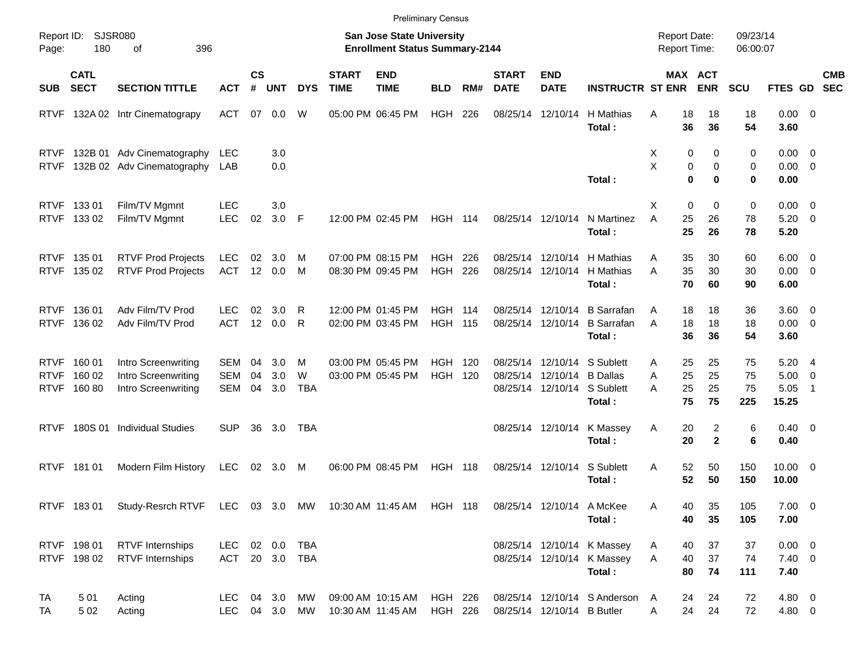|                            |                                 |                                                                                                 |                                  |                    |                   |               |                             | <b>Preliminary Census</b>                                          |                        |            |                             |                                                                                 |                                                                    |                                     |                                          |                       |                                       |                                            |                          |
|----------------------------|---------------------------------|-------------------------------------------------------------------------------------------------|----------------------------------|--------------------|-------------------|---------------|-----------------------------|--------------------------------------------------------------------|------------------------|------------|-----------------------------|---------------------------------------------------------------------------------|--------------------------------------------------------------------|-------------------------------------|------------------------------------------|-----------------------|---------------------------------------|--------------------------------------------|--------------------------|
| Page:                      | Report ID: SJSR080<br>180       | 396<br>οf                                                                                       |                                  |                    |                   |               |                             | San Jose State University<br><b>Enrollment Status Summary-2144</b> |                        |            |                             |                                                                                 |                                                                    | <b>Report Date:</b><br>Report Time: |                                          | 09/23/14<br>06:00:07  |                                       |                                            |                          |
| <b>SUB</b>                 | <b>CATL</b><br><b>SECT</b>      | <b>SECTION TITTLE</b>                                                                           | <b>ACT</b>                       | $\mathsf{cs}$<br># | <b>UNT</b>        | <b>DYS</b>    | <b>START</b><br><b>TIME</b> | <b>END</b><br><b>TIME</b>                                          | <b>BLD</b>             | RM#        | <b>START</b><br><b>DATE</b> | <b>END</b><br><b>DATE</b>                                                       | <b>INSTRUCTR ST ENR</b>                                            |                                     | MAX ACT<br><b>ENR</b>                    | <b>SCU</b>            | FTES GD                               |                                            | <b>CMB</b><br><b>SEC</b> |
| <b>RTVF</b>                |                                 | 132A 02 Intr Cinematograpy                                                                      | ACT                              | 07                 | 0.0               | W             |                             | 05:00 PM 06:45 PM                                                  | HGH                    | 226        |                             | 08/25/14 12/10/14                                                               | H Mathias<br>Total:                                                | A<br>18<br>36                       | 18<br>36                                 | 18<br>54              | $0.00 \t 0$<br>3.60                   |                                            |                          |
| <b>RTVF</b><br><b>RTVF</b> |                                 | 132B 01 Adv Cinematography<br>132B 02 Adv Cinematography                                        | <b>LEC</b><br>LAB                |                    | 3.0<br>0.0        |               |                             |                                                                    |                        |            |                             |                                                                                 | Total:                                                             | X<br>X                              | 0<br>0<br>0<br>0<br>$\bf{0}$<br>$\bf{0}$ | 0<br>0<br>0           | $0.00 \t 0$<br>$0.00 \t 0$<br>0.00    |                                            |                          |
|                            | RTVF 133 01<br>RTVF 133 02      | Film/TV Mgmnt<br>Film/TV Mgmnt                                                                  | <b>LEC</b><br><b>LEC</b>         | 02                 | 3.0<br>$3.0$ F    |               |                             | 12:00 PM 02:45 PM                                                  | <b>HGH 114</b>         |            |                             | 08/25/14 12/10/14                                                               | N Martinez<br>Total:                                               | X<br>25<br>A<br>25                  | 0<br>0<br>26<br>26                       | 0<br>78<br>78         | $0.00 \t 0$<br>$5.20 \ 0$<br>5.20     |                                            |                          |
|                            | RTVF 135 01<br>RTVF 135 02      | <b>RTVF Prod Projects</b><br><b>RTVF Prod Projects</b>                                          | <b>LEC</b><br>ACT                | 02                 | 3.0<br>12 0.0     | M<br>M        |                             | 07:00 PM 08:15 PM<br>08:30 PM 09:45 PM                             | HGH.<br><b>HGH</b>     | 226<br>226 |                             | 08/25/14 12/10/14<br>08/25/14 12/10/14                                          | H Mathias<br>H Mathias<br>Total:                                   | 35<br>Α<br>35<br>A<br>70            | 30<br>30<br>60                           | 60<br>30<br>90        | $6.00 \quad 0$<br>$0.00 \t 0$<br>6.00 |                                            |                          |
| <b>RTVF</b>                | RTVF 136 01<br>136 02           | Adv Film/TV Prod<br>Adv Film/TV Prod                                                            | LEC.<br><b>ACT</b>               | 02                 | 3.0<br>12 0.0     | R<br>R        |                             | 12:00 PM 01:45 PM<br>02:00 PM 03:45 PM                             | HGH.<br><b>HGH 115</b> | - 114      |                             | 08/25/14 12/10/14<br>08/25/14 12/10/14                                          | <b>B</b> Sarrafan<br><b>B</b> Sarrafan<br>Total:                   | 18<br>Α<br>18<br>A<br>36            | 18<br>18<br>36                           | 36<br>18<br>54        | $3.60 \ 0$<br>$0.00 \t 0$<br>3.60     |                                            |                          |
| <b>RTVF</b><br><b>RTVF</b> | 160 01<br>160 02<br>RTVF 160 80 | Intro Screenwriting<br>Intro Screenwriting<br>Intro Screenwriting                               | <b>SEM</b><br>SEM<br><b>SEM</b>  | 04<br>04<br>04     | 3.0<br>3.0<br>3.0 | м<br>W<br>TBA |                             | 03:00 PM 05:45 PM<br>03:00 PM 05:45 PM                             | HGH.<br><b>HGH</b>     | 120<br>120 |                             | 08/25/14 12/10/14 S Sublett<br>08/25/14 12/10/14<br>08/25/14 12/10/14 S Sublett | <b>B</b> Dallas<br>Total:                                          | 25<br>A<br>25<br>A<br>25<br>А<br>75 | 25<br>25<br>25<br>75                     | 75<br>75<br>75<br>225 | 5.204<br>5.00<br>5.05<br>15.25        | $\overline{\phantom{0}}$<br>$\overline{1}$ |                          |
| <b>RTVF</b>                | 180S 01                         | <b>Individual Studies</b>                                                                       | <b>SUP</b>                       | 36                 | 3.0               | TBA           |                             |                                                                    |                        |            |                             | 08/25/14 12/10/14                                                               | K Massey<br>Total:                                                 | 20<br>Α<br>20                       | 2<br>$\overline{2}$                      | 6<br>6                | $0.40 \quad 0$<br>0.40                |                                            |                          |
| <b>RTVF</b>                | 181 01                          | Modern Film History                                                                             | LEC                              |                    | 02 3.0            | M             |                             | 06:00 PM 08:45 PM                                                  | <b>HGH 118</b>         |            |                             | 08/25/14 12/10/14                                                               | S Sublett<br>Total:                                                | 52<br>Α<br>52                       | 50<br>50                                 | 150<br>150            | $10.00 \t 0$<br>10.00                 |                                            |                          |
|                            |                                 | RTVF 183 01 Study-Resrch RTVF LEC 03 3.0 MW 10:30 AM 11:45 AM HGH 118 08/25/14 12/10/14 A McKee |                                  |                    |                   |               |                             |                                                                    |                        |            |                             |                                                                                 | Total:                                                             | 40<br>Α<br>40                       | 35<br>35                                 | 105<br>105            | $7.00 \t 0$<br>7.00                   |                                            |                          |
|                            | RTVF 198 01<br>RTVF 198 02      | <b>RTVF Internships</b><br><b>RTVF Internships</b>                                              | LEC 02 0.0 TBA<br>ACT 20 3.0 TBA |                    |                   |               |                             |                                                                    |                        |            |                             |                                                                                 | 08/25/14 12/10/14 K Massey<br>08/25/14 12/10/14 K Massey<br>Total: | 40<br>A<br>40<br>A<br>80            | 37<br>37<br>74                           | 37<br>74<br>111       | $0.00 \t 0$<br>$7.40 \ 0$<br>7.40     |                                            |                          |
| TA<br>TA                   | 501<br>5 0 2                    | Acting<br>Acting                                                                                | LEC 04 3.0 MW<br>LEC 04 3.0 MW   |                    |                   |               |                             | 09:00 AM 10:15 AM<br>10:30 AM 11:45 AM                             | HGH 226<br>HGH 226     |            |                             | 08/25/14 12/10/14 B Butler                                                      | 08/25/14 12/10/14 S Anderson A                                     | 24<br>24<br>A                       | 24<br>24                                 | 72<br>72              | 4.80 0<br>4.80 0                      |                                            |                          |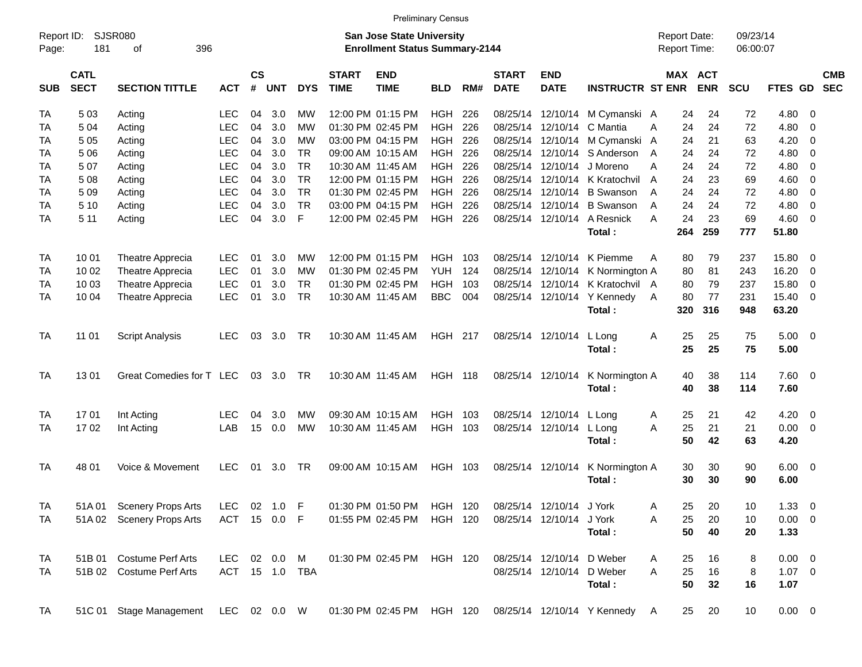|                     |                            |                           |              |                   |            |                |                             |                                                                           | <b>Preliminary Census</b> |     |                             |                           |                                                         |   |           |                                     |                      |               |                          |                          |
|---------------------|----------------------------|---------------------------|--------------|-------------------|------------|----------------|-----------------------------|---------------------------------------------------------------------------|---------------------------|-----|-----------------------------|---------------------------|---------------------------------------------------------|---|-----------|-------------------------------------|----------------------|---------------|--------------------------|--------------------------|
| Report ID:<br>Page: | 181                        | SJSR080<br>396<br>οf      |              |                   |            |                |                             | <b>San Jose State University</b><br><b>Enrollment Status Summary-2144</b> |                           |     |                             |                           |                                                         |   |           | <b>Report Date:</b><br>Report Time: | 09/23/14<br>06:00:07 |               |                          |                          |
| <b>SUB</b>          | <b>CATL</b><br><b>SECT</b> | <b>SECTION TITTLE</b>     | <b>ACT</b>   | <b>CS</b><br>$\#$ | <b>UNT</b> | <b>DYS</b>     | <b>START</b><br><b>TIME</b> | <b>END</b><br><b>TIME</b>                                                 | <b>BLD</b>                | RM# | <b>START</b><br><b>DATE</b> | <b>END</b><br><b>DATE</b> | <b>INSTRUCTR ST ENR</b>                                 |   |           | <b>MAX ACT</b><br><b>ENR</b>        | SCU                  | FTES GD       |                          | <b>CMB</b><br><b>SEC</b> |
| TA                  | 503                        | Acting                    | LEC          | 04                | 3.0        | МW             |                             | 12:00 PM 01:15 PM                                                         | <b>HGH</b>                | 226 |                             | 08/25/14 12/10/14         | M Cymanski A                                            |   | 24        | 24                                  | 72                   | 4.80          | $\overline{0}$           |                          |
| TA                  | 504                        | Acting                    | <b>LEC</b>   | 04                | 3.0        | <b>MW</b>      |                             | 01:30 PM 02:45 PM                                                         | <b>HGH</b>                | 226 | 08/25/14                    | 12/10/14                  | C Mantia                                                | A | 24        | 24                                  | 72                   | 4.80          | $\overline{0}$           |                          |
| ТA                  | 5 0 5                      | Acting                    | <b>LEC</b>   | 04                | 3.0        | <b>MW</b>      |                             | 03:00 PM 04:15 PM                                                         | <b>HGH</b>                | 226 |                             | 08/25/14 12/10/14         | M Cymanski A                                            |   | 24        | 21                                  | 63                   | 4.20          | 0                        |                          |
| TA                  | 5 0 6                      | Acting                    | <b>LEC</b>   | 04                | 3.0        | <b>TR</b>      |                             | 09:00 AM 10:15 AM                                                         | <b>HGH</b>                | 226 |                             | 08/25/14 12/10/14         | S Anderson                                              | A | 24        | 24                                  | 72                   | 4.80          | 0                        |                          |
| TA                  | 507                        | Acting                    | <b>LEC</b>   | 04                | 3.0        | <b>TR</b>      |                             | 10:30 AM 11:45 AM                                                         | <b>HGH</b>                | 226 |                             | 08/25/14 12/10/14         | J Moreno                                                | Α | 24        | 24                                  | 72                   | 4.80          | $\overline{0}$           |                          |
| TA                  | 508                        | Acting                    | <b>LEC</b>   | 04                | 3.0        | <b>TR</b>      |                             | 12:00 PM 01:15 PM                                                         | <b>HGH</b>                | 226 |                             | 08/25/14 12/10/14         | K Kratochvil                                            | A | 24        | 23                                  | 69                   | 4.60          | $\mathbf 0$              |                          |
| TA                  | 5 0 9                      | Acting                    | <b>LEC</b>   | 04                | 3.0        | <b>TR</b>      |                             | 01:30 PM 02:45 PM                                                         | <b>HGH</b>                | 226 |                             | 08/25/14 12/10/14         | <b>B</b> Swanson                                        | A | 24        | 24                                  | 72                   | 4.80          | $\mathbf 0$              |                          |
| TA                  | 5 10                       | Acting                    | <b>LEC</b>   | 04                | 3.0        | <b>TR</b>      |                             | 03:00 PM 04:15 PM                                                         | <b>HGH</b>                | 226 |                             | 08/25/14 12/10/14         | <b>B</b> Swanson                                        | A | 24        | 24                                  | 72                   | 4.80          | $\mathbf 0$              |                          |
| TA                  | 5 1 1                      | Acting                    | <b>LEC</b>   | 04                | 3.0        | $\mathsf F$    |                             | 12:00 PM 02:45 PM                                                         | <b>HGH</b>                | 226 |                             | 08/25/14 12/10/14         | A Resnick<br>Total:                                     | A | 24<br>264 | 23<br>259                           | 69<br>777            | 4.60<br>51.80 | $\overline{0}$           |                          |
|                     |                            |                           |              |                   |            |                |                             |                                                                           |                           |     |                             |                           |                                                         |   |           |                                     |                      |               |                          |                          |
| TA                  | 10 01                      | <b>Theatre Apprecia</b>   | LEC.         | 01                | 3.0        | <b>MW</b>      |                             | 12:00 PM 01:15 PM                                                         | <b>HGH</b>                | 103 |                             | 08/25/14 12/10/14         | K Piemme                                                | A | 80        | 79                                  | 237                  | 15.80         | 0                        |                          |
| TA                  | 10 02                      | Theatre Apprecia          | <b>LEC</b>   | 01                | 3.0        | <b>MW</b>      |                             | 01:30 PM 02:45 PM                                                         | <b>YUH</b>                | 124 |                             | 08/25/14 12/10/14         | K Normington A                                          |   | 80        | 81                                  | 243                  | 16.20         | $\mathbf 0$              |                          |
| TA                  | 10 03                      | Theatre Apprecia          | <b>LEC</b>   | 01                | 3.0        | <b>TR</b>      |                             | 01:30 PM 02:45 PM                                                         | <b>HGH</b>                | 103 |                             | 08/25/14 12/10/14         | K Kratochvil A                                          |   | 80        | 79                                  | 237                  | 15.80         | $\mathbf 0$              |                          |
| ТA                  | 10 04                      | Theatre Apprecia          | <b>LEC</b>   | 01                | 3.0        | <b>TR</b>      |                             | 10:30 AM 11:45 AM                                                         | <b>BBC</b>                | 004 |                             | 08/25/14 12/10/14         | Y Kennedy                                               | A | 80        | 77                                  | 231                  | 15.40         | $\overline{0}$           |                          |
|                     |                            |                           |              |                   |            |                |                             |                                                                           |                           |     |                             |                           | Total:                                                  |   | 320       | 316                                 | 948                  | 63.20         |                          |                          |
| TA                  | 11 01                      | <b>Script Analysis</b>    | LEC          | 03                | 3.0        | TR             |                             | 10:30 AM 11:45 AM                                                         | <b>HGH 217</b>            |     |                             | 08/25/14 12/10/14         | L Long                                                  | Α | 25        | 25                                  | 75                   | 5.00          | - 0                      |                          |
|                     |                            |                           |              |                   |            |                |                             |                                                                           |                           |     |                             |                           | Total:                                                  |   | 25        | 25                                  | 75                   | 5.00          |                          |                          |
| <b>TA</b>           | 1301                       | Great Comedies for T LEC  |              | 03                | 3.0        | <b>TR</b>      |                             | 10:30 AM 11:45 AM                                                         | <b>HGH 118</b>            |     |                             | 08/25/14 12/10/14         | K Normington A                                          |   | 40        | 38                                  | 114                  | 7.60          | - 0                      |                          |
|                     |                            |                           |              |                   |            |                |                             |                                                                           |                           |     |                             |                           | Total:                                                  |   | 40        | 38                                  | 114                  | 7.60          |                          |                          |
| TA                  | 1701                       | Int Acting                | LEC          | 04                | 3.0        | <b>MW</b>      |                             | 09:30 AM 10:15 AM                                                         | <b>HGH</b>                | 103 |                             | 08/25/14 12/10/14         | L Long                                                  | A | 25        | 21                                  | 42                   | 4.20          | - 0                      |                          |
| ТA                  | 1702                       | Int Acting                | LAB          | 15                | 0.0        | <b>MW</b>      |                             | 10:30 AM 11:45 AM                                                         | <b>HGH</b>                | 103 |                             | 08/25/14 12/10/14         | L Long                                                  | A | 25        | 21                                  | 21                   | 0.00          | $\mathbf 0$              |                          |
|                     |                            |                           |              |                   |            |                |                             |                                                                           |                           |     |                             |                           | Total:                                                  |   | 50        | 42                                  | 63                   | 4.20          |                          |                          |
| TA                  | 48 01                      | Voice & Movement          | <b>LEC</b>   | 01                | 3.0        | TR             |                             | 09:00 AM 10:15 AM                                                         | <b>HGH</b>                | 103 |                             | 08/25/14 12/10/14         | K Normington A                                          |   | 30        | 30                                  | 90                   | 6.00          | $\overline{\phantom{0}}$ |                          |
|                     |                            |                           |              |                   |            |                |                             |                                                                           |                           |     |                             |                           | Total:                                                  |   | 30        | 30                                  | 90                   | 6.00          |                          |                          |
| TA                  |                            | 51A 01 Scenery Props Arts | <b>LEC</b>   |                   | 02 1.0 F   |                |                             | 01:30 PM 01:50 PM                                                         | <b>HGH 120</b>            |     |                             | 08/25/14 12/10/14 J York  |                                                         | Α | 25        | 20                                  | 10                   | $1.33 \ 0$    |                          |                          |
| TA                  |                            | 51A 02 Scenery Props Arts | ACT 15 0.0 F |                   |            |                |                             | 01:55 PM 02:45 PM                                                         | HGH 120                   |     |                             | 08/25/14 12/10/14         | J York                                                  | Α | 25        | 20                                  | 10                   | $0.00 \t 0$   |                          |                          |
|                     |                            |                           |              |                   |            |                |                             |                                                                           |                           |     |                             |                           | Total:                                                  |   | 50        | 40                                  | 20                   | 1.33          |                          |                          |
| TA                  |                            | 51B 01 Costume Perf Arts  | LEC.         |                   | 02  0.0  M |                |                             | 01:30 PM 02:45 PM                                                         | HGH 120                   |     |                             | 08/25/14 12/10/14 D Weber |                                                         | A | 25        | 16                                  | 8                    | $0.00 \t 0$   |                          |                          |
| TA                  |                            | 51B 02 Costume Perf Arts  |              |                   |            | ACT 15 1.0 TBA |                             |                                                                           |                           |     |                             | 08/25/14 12/10/14 D Weber |                                                         | A | 25        | 16                                  | 8                    | $1.07 \t 0$   |                          |                          |
|                     |                            |                           |              |                   |            |                |                             |                                                                           |                           |     |                             |                           | Total:                                                  |   | 50        | 32                                  | 16                   | 1.07          |                          |                          |
| <b>TA</b>           |                            | 51C 01 Stage Management   | LEC 02 0.0 W |                   |            |                |                             |                                                                           |                           |     |                             |                           | 01:30 PM 02:45 PM HGH 120 08/25/14 12/10/14 Y Kennedy A |   | 25        | 20                                  | 10                   | $0.00 \t 0$   |                          |                          |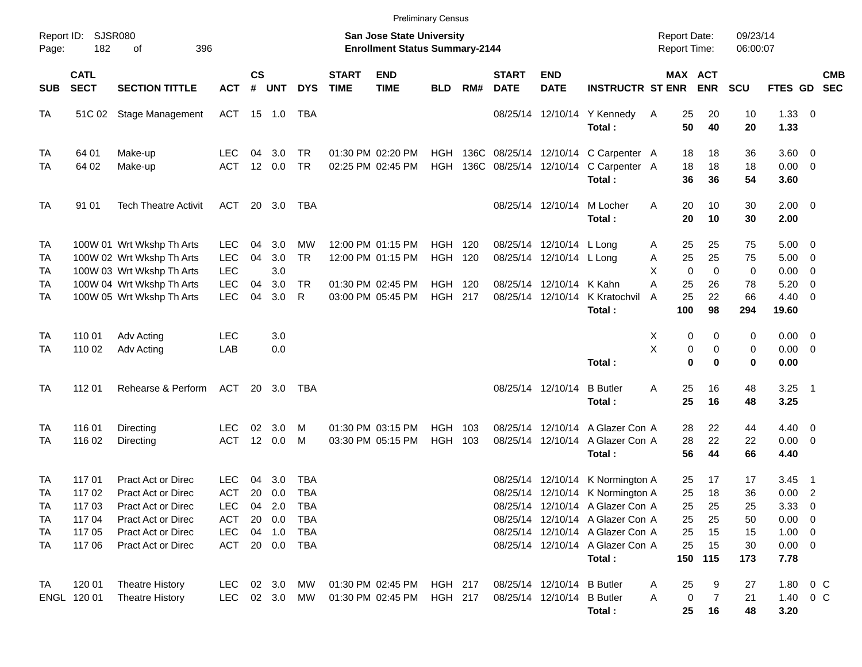| <b>Preliminary Census</b>         |                                                          |                                                                                                                                                |                                                                    |                      |                                    |                                                      |                             |                                                                                  |                                        |                          |                             |                                                                                  |                                                                                                                                                                                                                                |                                                      |                                                        |                                            |                                                                           |                                                                    |            |
|-----------------------------------|----------------------------------------------------------|------------------------------------------------------------------------------------------------------------------------------------------------|--------------------------------------------------------------------|----------------------|------------------------------------|------------------------------------------------------|-----------------------------|----------------------------------------------------------------------------------|----------------------------------------|--------------------------|-----------------------------|----------------------------------------------------------------------------------|--------------------------------------------------------------------------------------------------------------------------------------------------------------------------------------------------------------------------------|------------------------------------------------------|--------------------------------------------------------|--------------------------------------------|---------------------------------------------------------------------------|--------------------------------------------------------------------|------------|
| Page:                             | Report ID: SJSR080<br>182                                | 396<br>οf                                                                                                                                      |                                                                    |                      |                                    |                                                      |                             | <b>San Jose State University</b><br><b>Enrollment Status Summary-2144</b>        |                                        |                          |                             |                                                                                  |                                                                                                                                                                                                                                | <b>Report Date:</b><br><b>Report Time:</b>           |                                                        | 09/23/14<br>06:00:07                       |                                                                           |                                                                    |            |
| <b>SUB</b>                        | <b>CATL</b><br><b>SECT</b>                               | <b>SECTION TITTLE</b>                                                                                                                          | <b>ACT</b>                                                         | $\mathsf{cs}$<br>#   | <b>UNT</b>                         | <b>DYS</b>                                           | <b>START</b><br><b>TIME</b> | <b>END</b><br><b>TIME</b>                                                        | <b>BLD</b>                             | RM#                      | <b>START</b><br><b>DATE</b> | <b>END</b><br><b>DATE</b>                                                        | <b>INSTRUCTR ST ENR</b>                                                                                                                                                                                                        |                                                      | MAX ACT<br><b>ENR</b>                                  | <b>SCU</b>                                 | FTES GD SEC                                                               |                                                                    | <b>CMB</b> |
| <b>TA</b>                         | 51C 02                                                   | Stage Management                                                                                                                               | ACT 15 1.0                                                         |                      |                                    | TBA                                                  |                             |                                                                                  |                                        |                          |                             |                                                                                  | 08/25/14 12/10/14 Y Kennedy<br>Total:                                                                                                                                                                                          | 25<br>A<br>50                                        | 20<br>40                                               | 10<br>20                                   | $1.33 \ 0$<br>1.33                                                        |                                                                    |            |
| TA<br>TA                          | 64 01<br>64 02                                           | Make-up<br>Make-up                                                                                                                             | <b>LEC</b><br><b>ACT</b>                                           | 04<br>12             | 3.0<br>0.0                         | TR<br><b>TR</b>                                      |                             | 01:30 PM 02:20 PM<br>02:25 PM 02:45 PM                                           | HGH<br><b>HGH</b>                      |                          | 136C 08/25/14 12/10/14      |                                                                                  | 136C 08/25/14 12/10/14 C Carpenter A<br>C Carpenter A<br>Total:                                                                                                                                                                | 18<br>18<br>36                                       | 18<br>18<br>36                                         | 36<br>18<br>54                             | $3.60 \ 0$<br>$0.00 \t 0$<br>3.60                                         |                                                                    |            |
| <b>TA</b>                         | 91 01                                                    | <b>Tech Theatre Activit</b>                                                                                                                    | ACT                                                                |                      | 20 3.0                             | TBA                                                  |                             |                                                                                  |                                        |                          |                             | 08/25/14 12/10/14                                                                | M Locher<br>Total:                                                                                                                                                                                                             | Α<br>20<br>20                                        | 10<br>10                                               | 30<br>30                                   | $2.00 \t 0$<br>2.00                                                       |                                                                    |            |
| TA<br>TA<br>TA<br>TA<br><b>TA</b> |                                                          | 100W 01 Wrt Wkshp Th Arts<br>100W 02 Wrt Wkshp Th Arts<br>100W 03 Wrt Wkshp Th Arts<br>100W 04 Wrt Wkshp Th Arts<br>100W 05 Wrt Wkshp Th Arts  | <b>LEC</b><br><b>LEC</b><br><b>LEC</b><br><b>LEC</b><br><b>LEC</b> | 04<br>04<br>04<br>04 | 3.0<br>3.0<br>3.0<br>3.0<br>3.0    | MW<br><b>TR</b><br><b>TR</b><br>R                    |                             | 12:00 PM 01:15 PM<br>12:00 PM 01:15 PM<br>01:30 PM 02:45 PM<br>03:00 PM 05:45 PM | HGH<br><b>HGH</b><br><b>HGH</b><br>HGH | 120<br>120<br>120<br>217 |                             | 08/25/14 12/10/14 L Long<br>08/25/14 12/10/14 L Long<br>08/25/14 12/10/14 K Kahn | 08/25/14 12/10/14 K Kratochvil<br>Total:                                                                                                                                                                                       | 25<br>A<br>25<br>Α<br>X<br>A<br>25<br>25<br>A<br>100 | 25<br>25<br>$\mathbf{0}$<br>$\Omega$<br>26<br>22<br>98 | 75<br>75<br>$\mathbf 0$<br>78<br>66<br>294 | $5.00 \t 0$<br>5.00<br>0.00<br>5.20<br>$4.40 \quad 0$<br>19.60            | $\overline{\mathbf{0}}$<br>$\overline{\mathbf{0}}$<br>$\mathbf{0}$ |            |
| TA<br>TA                          | 110 01<br>110 02                                         | Adv Acting<br>Adv Acting                                                                                                                       | <b>LEC</b><br>LAB                                                  |                      | 3.0<br>0.0                         |                                                      |                             |                                                                                  |                                        |                          |                             |                                                                                  | Total:                                                                                                                                                                                                                         | X<br>X                                               | 0<br>0<br>0<br>0<br>$\bf{0}$<br>$\bf{0}$               | 0<br>0<br>0                                | $0.00 \t 0$<br>$0.00 \t 0$<br>0.00                                        |                                                                    |            |
| <b>TA</b>                         | 112 01                                                   | Rehearse & Perform                                                                                                                             | ACT                                                                |                      | 20 3.0                             | TBA                                                  |                             |                                                                                  |                                        |                          |                             | 08/25/14 12/10/14                                                                | <b>B</b> Butler<br>Total:                                                                                                                                                                                                      | A<br>25<br>25                                        | 16<br>16                                               | 48<br>48                                   | $3.25$ 1<br>3.25                                                          |                                                                    |            |
| TA<br>TA                          | 116 01<br>116 02                                         | Directing<br>Directing                                                                                                                         | <b>LEC</b><br><b>ACT</b>                                           | 02                   | 3.0<br>12 0.0                      | м<br>M                                               |                             | 01:30 PM 03:15 PM<br>03:30 PM 05:15 PM                                           | <b>HGH</b><br><b>HGH</b>               | 103<br>103               |                             |                                                                                  | 08/25/14 12/10/14 A Glazer Con A<br>08/25/14 12/10/14 A Glazer Con A<br>Total:                                                                                                                                                 | 28<br>28<br>56                                       | 22<br>22<br>44                                         | 44<br>22<br>66                             | $4.40 \quad 0$<br>$0.00 \t 0$<br>4.40                                     |                                                                    |            |
| TA<br>TA<br>ТA<br>TA<br>TA<br>TA  | 117 01<br>117 02<br>117 03<br>117 04<br>117 05<br>117 06 | <b>Pract Act or Direc</b><br><b>Pract Act or Direc</b><br>Pract Act or Direc<br>Pract Act or Direc<br>Pract Act or Direc<br>Pract Act or Direc | LEC<br><b>ACT</b><br>LEC<br>ACT<br><b>LEC</b><br>ACT               | 04<br>20<br>04<br>20 | 3.0<br>0.0<br>2.0<br>0.0<br>04 1.0 | TBA<br><b>TBA</b><br>TBA<br>TBA<br>TBA<br>20 0.0 TBA |                             |                                                                                  |                                        |                          |                             |                                                                                  | 08/25/14 12/10/14 K Normington A<br>08/25/14 12/10/14 K Normington A<br>08/25/14 12/10/14 A Glazer Con A<br>08/25/14 12/10/14 A Glazer Con A<br>08/25/14 12/10/14 A Glazer Con A<br>08/25/14 12/10/14 A Glazer Con A<br>Total: | 25<br>25<br>25<br>25<br>25<br>25                     | 17<br>18<br>25<br>25<br>15<br>15<br>150 115            | 17<br>36<br>25<br>50<br>15<br>30<br>173    | 3.45<br>0.00<br>3.33<br>$0.00 \t 0$<br>$1.00 \t 0$<br>$0.00 \t 0$<br>7.78 | - 1<br>$\overline{\phantom{0}}$<br>$\overline{\phantom{0}}$        |            |
| TA                                | 120 01<br>ENGL 120 01                                    | <b>Theatre History</b><br><b>Theatre History</b>                                                                                               | <b>LEC</b><br><b>LEC</b>                                           |                      | 02 3.0<br>02 3.0                   | МW<br>MW                                             |                             | 01:30 PM 02:45 PM<br>01:30 PM 02:45 PM                                           | HGH 217<br><b>HGH 217</b>              |                          |                             | 08/25/14 12/10/14 B Butler<br>08/25/14 12/10/14 B Butler                         | Total:                                                                                                                                                                                                                         | 25<br>A<br>Α<br>25                                   | 9<br>0<br>7<br>16                                      | 27<br>21<br>48                             | 1.80 0 C<br>1.40 0 C<br>3.20                                              |                                                                    |            |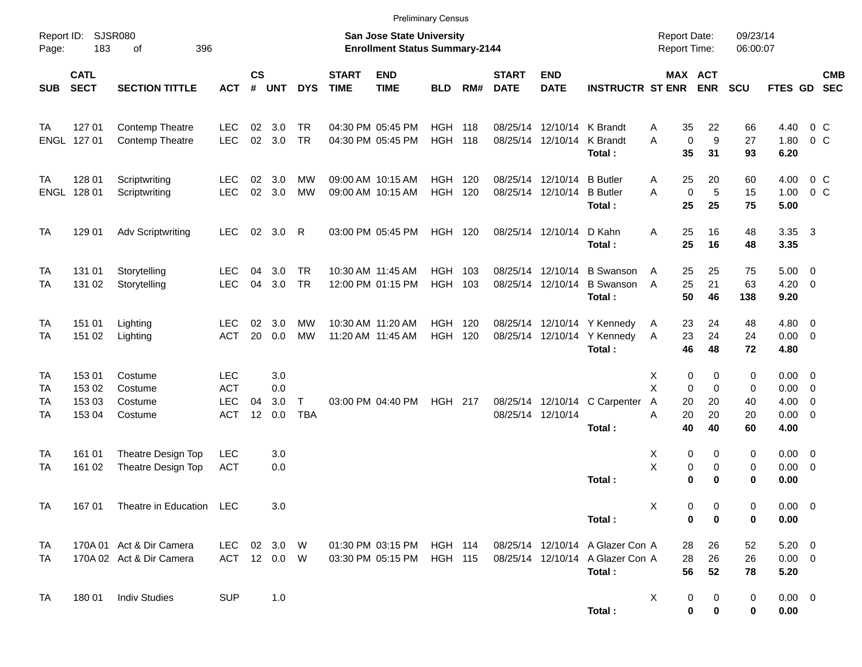|                      | <b>Preliminary Census</b>            |                                                      |                                                      |                |                          |                            |                                        |                                                                    |                       |            |                             |                                                 |                                                                                |                                              |                                 |                          |                                                                 |                           |            |
|----------------------|--------------------------------------|------------------------------------------------------|------------------------------------------------------|----------------|--------------------------|----------------------------|----------------------------------------|--------------------------------------------------------------------|-----------------------|------------|-----------------------------|-------------------------------------------------|--------------------------------------------------------------------------------|----------------------------------------------|---------------------------------|--------------------------|-----------------------------------------------------------------|---------------------------|------------|
| Report ID:<br>Page:  | 183                                  | SJSR080<br>396<br>of                                 |                                                      |                |                          |                            |                                        | San Jose State University<br><b>Enrollment Status Summary-2144</b> |                       |            |                             |                                                 |                                                                                | <b>Report Date:</b><br><b>Report Time:</b>   |                                 | 09/23/14<br>06:00:07     |                                                                 |                           |            |
| <b>SUB</b>           | <b>CATL</b><br><b>SECT</b>           | <b>SECTION TITTLE</b>                                | <b>ACT</b>                                           | <b>CS</b><br># | <b>UNT</b>               | <b>DYS</b>                 | <b>START</b><br><b>TIME</b>            | <b>END</b><br><b>TIME</b>                                          | <b>BLD</b>            | RM#        | <b>START</b><br><b>DATE</b> | <b>END</b><br><b>DATE</b>                       | <b>INSTRUCTR ST ENR</b>                                                        |                                              | MAX ACT<br><b>ENR</b>           | <b>SCU</b>               | FTES GD SEC                                                     |                           | <b>CMB</b> |
| TA                   | 127 01<br>ENGL 127 01                | Contemp Theatre<br>Contemp Theatre                   | <b>LEC</b><br><b>LEC</b>                             | 02             | 3.0<br>02 3.0            | <b>TR</b><br><b>TR</b>     |                                        | 04:30 PM 05:45 PM<br>04:30 PM 05:45 PM                             | HGH<br><b>HGH 118</b> | 118        |                             | 08/25/14 12/10/14 K Brandt<br>08/25/14 12/10/14 | K Brandt<br>Total:                                                             | 35<br>A<br>$\mathbf 0$<br>A<br>35            | 22<br>9<br>31                   | 66<br>27<br>93           | 4.40<br>1.80<br>6.20                                            | $0\,$ C<br>$0\,$ C        |            |
| TA                   | 128 01<br>ENGL 128 01                | Scriptwriting<br>Scriptwriting                       | <b>LEC</b><br><b>LEC</b>                             | 02             | 3.0<br>02 3.0            | МW<br><b>MW</b>            |                                        | 09:00 AM 10:15 AM<br>09:00 AM 10:15 AM                             | HGH<br>HGH            | 120<br>120 |                             | 08/25/14 12/10/14 B Butler<br>08/25/14 12/10/14 | <b>B</b> Butler<br>Total:                                                      | 25<br>A<br>$\mathbf 0$<br>A<br>25            | 20<br>5<br>25                   | 60<br>15<br>75           | 4.00<br>1.00<br>5.00                                            | $0\,$ C<br>0 <sup>o</sup> |            |
| TA                   | 129 01                               | <b>Adv Scriptwriting</b>                             | <b>LEC</b>                                           |                | 02 3.0 R                 |                            |                                        | 03:00 PM 05:45 PM                                                  | <b>HGH 120</b>        |            |                             | 08/25/14 12/10/14                               | D Kahn<br>Total:                                                               | 25<br>A<br>25                                | 16<br>16                        | 48<br>48                 | 3.35 3<br>3.35                                                  |                           |            |
| TA<br>TA             | 131 01<br>131 02                     | Storytelling<br>Storytelling                         | <b>LEC</b><br><b>LEC</b>                             | 04<br>04       | 3.0<br>3.0               | <b>TR</b><br><b>TR</b>     | 10:30 AM 11:45 AM                      | 12:00 PM 01:15 PM                                                  | HGH<br>HGH 103        | 103        |                             | 08/25/14 12/10/14                               | 08/25/14 12/10/14 B Swanson<br><b>B</b> Swanson<br>Total:                      | 25<br>A<br>25<br>A<br>50                     | 25<br>21<br>46                  | 75<br>63<br>138          | $5.00 \t 0$<br>$4.20 \ 0$<br>9.20                               |                           |            |
| TA<br>TA             | 151 01<br>151 02                     | Lighting<br>Lighting                                 | <b>LEC</b><br><b>ACT</b>                             | 02<br>20       | 3.0<br>0.0               | МW<br>МW                   | 10:30 AM 11:20 AM<br>11:20 AM 11:45 AM |                                                                    | HGH<br><b>HGH 120</b> | 120        |                             |                                                 | 08/25/14 12/10/14 Y Kennedy<br>08/25/14 12/10/14 Y Kennedy<br>Total:           | 23<br>A<br>23<br>A<br>46                     | 24<br>24<br>48                  | 48<br>24<br>72           | $4.80\ 0$<br>$0.00 \t 0$<br>4.80                                |                           |            |
| TA<br>TA<br>TA<br>TA | 153 01<br>153 02<br>153 03<br>153 04 | Costume<br>Costume<br>Costume<br>Costume             | <b>LEC</b><br><b>ACT</b><br><b>LEC</b><br><b>ACT</b> | 04<br>12       | 3.0<br>0.0<br>3.0<br>0.0 | $\mathsf{T}$<br><b>TBA</b> |                                        | 03:00 PM 04:40 PM                                                  | <b>HGH 217</b>        |            |                             | 08/25/14 12/10/14                               | 08/25/14 12/10/14 C Carpenter<br>Total:                                        | 0<br>Х<br>X<br>0<br>Α<br>20<br>20<br>A<br>40 | 0<br>$\Omega$<br>20<br>20<br>40 | 0<br>0<br>40<br>20<br>60 | $0.00 \t 0$<br>$0.00 \t 0$<br>$4.00 \ 0$<br>$0.00 \t 0$<br>4.00 |                           |            |
| TA<br>TA             | 161 01<br>161 02                     | Theatre Design Top<br>Theatre Design Top             | <b>LEC</b><br><b>ACT</b>                             |                | 3.0<br>0.0               |                            |                                        |                                                                    |                       |            |                             |                                                 | Total:                                                                         | 0<br>Х<br>X<br>0<br>0                        | 0<br>$\mathbf 0$<br>$\bf{0}$    | 0<br>0<br>0              | $0.00 \t 0$<br>$0.00 \t 0$<br>0.00                              |                           |            |
| TA                   |                                      | 167 01 Theatre in Education LEC                      |                                                      |                | 3.0                      |                            |                                        |                                                                    |                       |            |                             |                                                 | Total:                                                                         | х<br>0<br>0                                  | 0<br>0                          | 0<br>0                   | $0.00 \t 0$<br>0.00                                             |                           |            |
| TA<br>TA             |                                      | 170A 01 Act & Dir Camera<br>170A 02 Act & Dir Camera | LEC<br>ACT 12 0.0 W                                  |                | 02 3.0 W                 |                            |                                        | 01:30 PM 03:15 PM HGH 114<br>03:30 PM 05:15 PM                     | <b>HGH 115</b>        |            |                             |                                                 | 08/25/14 12/10/14 A Glazer Con A<br>08/25/14 12/10/14 A Glazer Con A<br>Total: | 28<br>28<br>56                               | 26<br>26<br>52                  | 52<br>26<br>78           | $5.20 \t 0$<br>$0.00 \t 0$<br>5.20                              |                           |            |
| TA                   | 18001                                | <b>Indiv Studies</b>                                 | <b>SUP</b>                                           |                | 1.0                      |                            |                                        |                                                                    |                       |            |                             |                                                 | Total:                                                                         | X<br>0<br>$\bf{0}$                           | 0<br>0                          | 0<br>0                   | $0.00 \t 0$<br>0.00                                             |                           |            |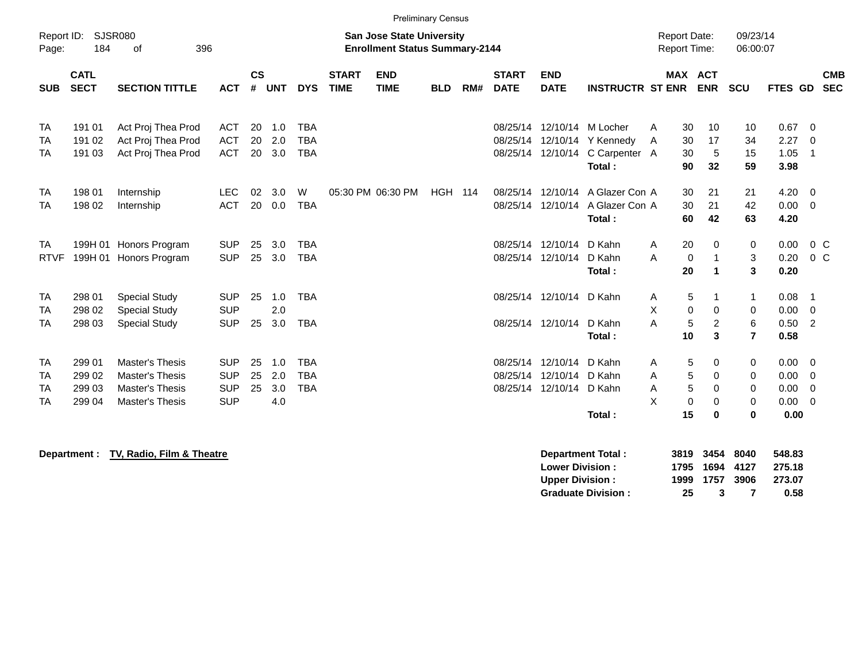|                          | <b>Preliminary Census</b><br>Report ID:<br>SJSR080<br>09/23/14<br><b>San Jose State University</b><br><b>Report Date:</b> |                                                                                               |                                                      |                |                          |                                        |                             |                                       |                |     |                                  |                                                       |                                                                                      |                                       |                                                       |                                          |                                                           |                                            |
|--------------------------|---------------------------------------------------------------------------------------------------------------------------|-----------------------------------------------------------------------------------------------|------------------------------------------------------|----------------|--------------------------|----------------------------------------|-----------------------------|---------------------------------------|----------------|-----|----------------------------------|-------------------------------------------------------|--------------------------------------------------------------------------------------|---------------------------------------|-------------------------------------------------------|------------------------------------------|-----------------------------------------------------------|--------------------------------------------|
| Page:                    | 184                                                                                                                       | 396<br>οf                                                                                     |                                                      |                |                          |                                        |                             | <b>Enrollment Status Summary-2144</b> |                |     |                                  |                                                       |                                                                                      | <b>Report Time:</b>                   |                                                       | 06:00:07                                 |                                                           |                                            |
| <b>SUB</b>               | <b>CATL</b><br><b>SECT</b>                                                                                                | <b>SECTION TITTLE</b>                                                                         | <b>ACT</b>                                           | $\mathsf{cs}$  | # UNT                    | <b>DYS</b>                             | <b>START</b><br><b>TIME</b> | <b>END</b><br><b>TIME</b>             | <b>BLD</b>     | RM# | <b>START</b><br><b>DATE</b>      | <b>END</b><br><b>DATE</b>                             | <b>INSTRUCTR ST ENR</b>                                                              |                                       | <b>MAX ACT</b><br><b>ENR</b>                          | <b>SCU</b>                               | FTES GD                                                   | <b>CMB</b><br><b>SEC</b>                   |
| TA<br>TA<br>TA           | 191 01<br>191 02<br>191 03                                                                                                | Act Proj Thea Prod<br>Act Proj Thea Prod<br>Act Proj Thea Prod                                | <b>ACT</b><br><b>ACT</b><br><b>ACT</b>               | 20<br>20<br>20 | 1.0<br>2.0<br>3.0        | <b>TBA</b><br><b>TBA</b><br><b>TBA</b> |                             |                                       |                |     | 08/25/14<br>08/25/14             |                                                       | 12/10/14 M Locher<br>12/10/14 Y Kennedy<br>08/25/14 12/10/14 C Carpenter A<br>Total: | A<br>30<br>30<br>A<br>30<br>90        | 10<br>17<br>5<br>32                                   | 10<br>34<br>15<br>59                     | $0.67$ 0<br>2.27<br>1.05<br>3.98                          | $\overline{0}$<br>$\overline{\phantom{0}}$ |
| <b>TA</b><br><b>TA</b>   | 198 01<br>198 02                                                                                                          | Internship<br>Internship                                                                      | <b>LEC</b><br><b>ACT</b>                             | 02<br>20       | 3.0<br>0.0               | W<br><b>TBA</b>                        |                             | 05:30 PM 06:30 PM                     | <b>HGH 114</b> |     |                                  |                                                       | 08/25/14 12/10/14 A Glazer Con A<br>08/25/14 12/10/14 A Glazer Con A<br>Total:       | 30<br>30<br>60                        | 21<br>21<br>42                                        | 21<br>42<br>63                           | $4.20 \ 0$<br>$0.00 \t 0$<br>4.20                         |                                            |
| <b>TA</b><br><b>RTVF</b> |                                                                                                                           | 199H 01 Honors Program<br>199H 01 Honors Program                                              | <b>SUP</b><br><b>SUP</b>                             | 25<br>25       | 3.0<br>3.0               | <b>TBA</b><br><b>TBA</b>               |                             |                                       |                |     |                                  | 08/25/14 12/10/14 D Kahn<br>08/25/14 12/10/14         | D Kahn<br>Total:                                                                     | 20<br>Α<br>A<br>$\mathbf 0$<br>20     | $\mathbf 0$<br>1<br>$\mathbf 1$                       | 0<br>3<br>3                              | 0.00<br>0.20<br>0.20                                      | $0\,C$<br>$0\,C$                           |
| TA<br>TA<br>TA           | 298 01<br>298 02<br>298 03                                                                                                | <b>Special Study</b><br><b>Special Study</b><br><b>Special Study</b>                          | <b>SUP</b><br><b>SUP</b><br><b>SUP</b>               | 25<br>25       | 1.0<br>2.0<br>3.0        | <b>TBA</b><br><b>TBA</b>               |                             |                                       |                |     |                                  | 08/25/14 12/10/14 D Kahn<br>08/25/14 12/10/14 D Kahn  | Total:                                                                               | Α<br>X<br>0<br>A<br>10                | 5<br>$\mathbf 0$<br>5<br>$\overline{c}$<br>3          | $\mathbf{1}$<br>0<br>6<br>$\overline{7}$ | 0.08<br>$0.00 \t 0$<br>$0.50$ 2<br>0.58                   | $\overline{\phantom{0}}$ 1                 |
| TA<br>TA<br>TA<br>TA     | 299 01<br>299 02<br>299 03<br>299 04                                                                                      | Master's Thesis<br><b>Master's Thesis</b><br><b>Master's Thesis</b><br><b>Master's Thesis</b> | <b>SUP</b><br><b>SUP</b><br><b>SUP</b><br><b>SUP</b> | 25<br>25<br>25 | 1.0<br>2.0<br>3.0<br>4.0 | <b>TBA</b><br><b>TBA</b><br><b>TBA</b> |                             |                                       |                |     | 08/25/14<br>08/25/14<br>08/25/14 | 12/10/14 D Kahn<br>12/10/14 D Kahn<br>12/10/14 D Kahn | Total:                                                                               | Α<br>A<br>Α<br>X<br>$\mathbf 0$<br>15 | 5<br>0<br>5<br>$\Omega$<br>5<br>0<br>$\mathbf 0$<br>0 | 0<br>0<br>0<br>$\mathbf 0$<br>$\bf{0}$   | $0.00 \t 0$<br>0.00<br>$0.00 \t 0$<br>$0.00 \t 0$<br>0.00 | $\overline{\mathbf{0}}$                    |

**Department : TV, Radio, Film & Theatre Department Total : 3819 3454 8040 548.83 Lower Division : 1795 1694 4127 275.18 Upper Division : 1999 1757 3906 273.07 Graduate Division : 25 3 7 0.58**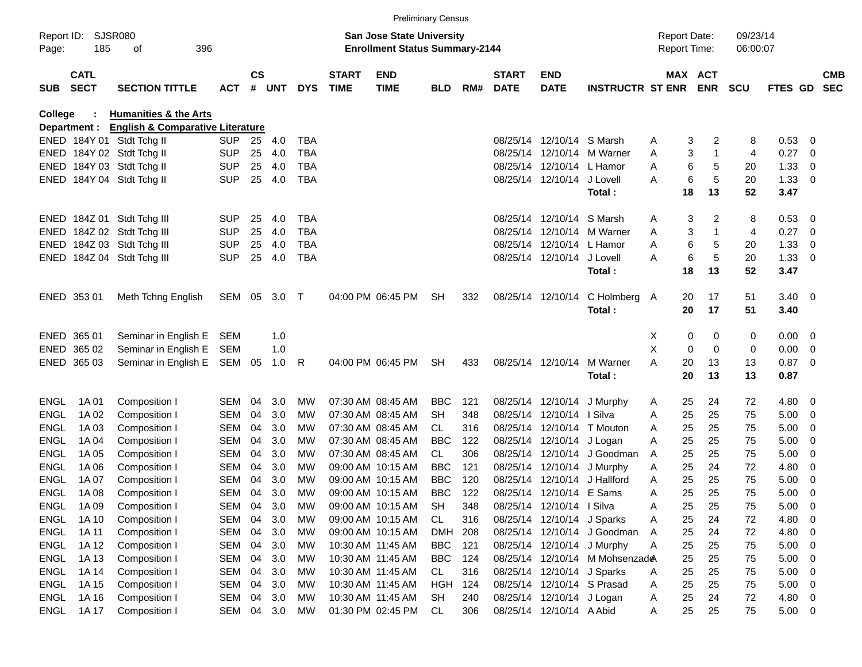|             |                            |                                             |              |           |        |            |                             |                                       | <b>Preliminary Census</b> |     |                             |                            |                                |                     |                       |            |                |                          |                          |
|-------------|----------------------------|---------------------------------------------|--------------|-----------|--------|------------|-----------------------------|---------------------------------------|---------------------------|-----|-----------------------------|----------------------------|--------------------------------|---------------------|-----------------------|------------|----------------|--------------------------|--------------------------|
|             | Report ID: SJSR080         |                                             |              |           |        |            |                             | San Jose State University             |                           |     |                             |                            |                                | <b>Report Date:</b> |                       | 09/23/14   |                |                          |                          |
| Page:       | 185                        | 396<br>оf                                   |              |           |        |            |                             | <b>Enrollment Status Summary-2144</b> |                           |     |                             |                            |                                | Report Time:        |                       | 06:00:07   |                |                          |                          |
| <b>SUB</b>  | <b>CATL</b><br><b>SECT</b> | <b>SECTION TITTLE</b>                       | <b>ACT</b>   | <b>CS</b> | # UNT  | <b>DYS</b> | <b>START</b><br><b>TIME</b> | <b>END</b><br><b>TIME</b>             | <b>BLD</b>                | RM# | <b>START</b><br><b>DATE</b> | <b>END</b><br><b>DATE</b>  | <b>INSTRUCTR ST ENR</b>        |                     | MAX ACT<br><b>ENR</b> | <b>SCU</b> | FTES GD        |                          | <b>CMB</b><br><b>SEC</b> |
| College     |                            | <b>Humanities &amp; the Arts</b>            |              |           |        |            |                             |                                       |                           |     |                             |                            |                                |                     |                       |            |                |                          |                          |
|             | Department :               | <b>English &amp; Comparative Literature</b> |              |           |        |            |                             |                                       |                           |     |                             |                            |                                |                     |                       |            |                |                          |                          |
|             |                            | ENED 184Y 01 Stdt Tchg II                   | <b>SUP</b>   | 25        | 4.0    | TBA        |                             |                                       |                           |     |                             | 08/25/14 12/10/14 S Marsh  |                                | A                   | 3<br>2                | 8          | 0.53           | $\overline{0}$           |                          |
|             |                            | ENED 184Y 02 Stdt Tchg II                   | <b>SUP</b>   | 25        | 4.0    | <b>TBA</b> |                             |                                       |                           |     |                             |                            | 08/25/14 12/10/14 M Warner     | Α                   | 3<br>1                | 4          | 0.27           | - 0                      |                          |
|             |                            | ENED 184Y 03 Stdt Tchg II                   | <b>SUP</b>   | 25        | 4.0    | TBA        |                             |                                       |                           |     |                             | 08/25/14 12/10/14 L Hamor  |                                | A                   | 6<br>5                | 20         | 1.33           | 0                        |                          |
|             |                            | ENED 184Y 04 Stdt Tchg II                   | <b>SUP</b>   | 25        | 4.0    | <b>TBA</b> |                             |                                       |                           |     |                             | 08/25/14 12/10/14 J Lovell |                                | А                   | 6<br>5                | 20         | 1.33           | $\overline{\mathbf{0}}$  |                          |
|             |                            |                                             |              |           |        |            |                             |                                       |                           |     |                             |                            | Total :                        | 18                  | 13                    | 52         | 3.47           |                          |                          |
|             |                            | ENED 184Z 01 Stdt Tchg III                  | <b>SUP</b>   | 25        | 4.0    | TBA        |                             |                                       |                           |     |                             | 08/25/14 12/10/14 S Marsh  |                                | Α                   | 2<br>3                | 8          | 0.53           | $\overline{\mathbf{0}}$  |                          |
|             |                            | ENED 184Z 02 Stdt Tchg III                  | <b>SUP</b>   | 25        | 4.0    | TBA        |                             |                                       |                           |     |                             |                            | 08/25/14 12/10/14 M Warner     | A                   | 3<br>1                | 4          | 0.27           | $\overline{\phantom{0}}$ |                          |
|             |                            | ENED 184Z 03 Stdt Tchg III                  | <b>SUP</b>   | 25        | 4.0    | TBA        |                             |                                       |                           |     |                             | 08/25/14 12/10/14 L Hamor  |                                | A                   | 6<br>5                | 20         | 1.33           | 0                        |                          |
|             |                            | ENED 184Z 04 Stdt Tchg III                  | <b>SUP</b>   | 25        | 4.0    | <b>TBA</b> |                             |                                       |                           |     |                             | 08/25/14 12/10/14 J Lovell |                                | А                   | 6<br>5                | 20         | 1.33           | - 0                      |                          |
|             |                            |                                             |              |           |        |            |                             |                                       |                           |     |                             |                            | Total:                         | 18                  | 13                    | 52         | 3.47           |                          |                          |
|             |                            |                                             |              |           |        |            |                             |                                       |                           |     |                             |                            |                                |                     |                       |            |                |                          |                          |
|             | ENED 353 01                | Meth Tchng English                          | SEM 05 3.0 T |           |        |            |                             | 04:00 PM 06:45 PM                     | <b>SH</b>                 | 332 |                             | 08/25/14 12/10/14          | C Holmberg A                   | 20                  | 17                    | 51         | $3.40 \ 0$     |                          |                          |
|             |                            |                                             |              |           |        |            |                             |                                       |                           |     |                             |                            | Total:                         | 20                  | 17                    | 51         | 3.40           |                          |                          |
|             | ENED 365 01                | Seminar in English E                        | SEM          |           | 1.0    |            |                             |                                       |                           |     |                             |                            |                                | X                   | 0<br>0                | 0          | $0.00 \quad 0$ |                          |                          |
|             | ENED 365 02                | Seminar in English E                        | SEM          |           | 1.0    |            |                             |                                       |                           |     |                             |                            |                                | X                   | 0<br>0                | 0          | 0.00           | $\overline{\mathbf{0}}$  |                          |
|             | ENED 365 03                | Seminar in English E                        | SEM          | 05        | 1.0    | R          |                             | 04:00 PM 06:45 PM                     | <b>SH</b>                 | 433 |                             | 08/25/14 12/10/14          | M Warner                       | А<br>20             | 13                    | 13         | 0.87           | $\overline{\phantom{0}}$ |                          |
|             |                            |                                             |              |           |        |            |                             |                                       |                           |     |                             |                            | Total:                         | 20                  | 13                    | 13         | 0.87           |                          |                          |
| <b>ENGL</b> | 1A 01                      | Composition I                               | <b>SEM</b>   | 04        | 3.0    | MW         |                             | 07:30 AM 08:45 AM                     | <b>BBC</b>                | 121 |                             | 08/25/14 12/10/14          | J Murphy                       | 25<br>A             | 24                    | 72         | 4.80           | $\overline{\mathbf{0}}$  |                          |
| <b>ENGL</b> | 1A 02                      | Composition I                               | <b>SEM</b>   | 04        | 3.0    | MW         |                             | 07:30 AM 08:45 AM                     | SН                        | 348 |                             | 08/25/14 12/10/14   Silva  |                                | 25<br>Α             | 25                    | 75         | 5.00           | $\overline{\mathbf{0}}$  |                          |
| <b>ENGL</b> | 1A 03                      | Composition I                               | <b>SEM</b>   | 04        | 3.0    | MW         |                             | 07:30 AM 08:45 AM                     | CL.                       | 316 |                             |                            | 08/25/14 12/10/14 T Mouton     | 25<br>A             | 25                    | 75         | 5.00           | $\overline{0}$           |                          |
| <b>ENGL</b> | 1A 04                      | Composition I                               | <b>SEM</b>   | 04        | 3.0    | MW         |                             | 07:30 AM 08:45 AM                     | BBC                       | 122 |                             | 08/25/14 12/10/14 J Logan  |                                | 25<br>A             | 25                    | 75         | 5.00           | $\overline{0}$           |                          |
| <b>ENGL</b> | 1A 05                      | Composition I                               | <b>SEM</b>   | 04        | 3.0    | MW         |                             | 07:30 AM 08:45 AM                     | CL                        | 306 |                             |                            | 08/25/14 12/10/14 J Goodman    | 25<br>A             | 25                    | 75         | 5.00           | 0                        |                          |
| <b>ENGL</b> | 1A 06                      | Composition I                               | <b>SEM</b>   | 04        | 3.0    | MW         |                             | 09:00 AM 10:15 AM                     | <b>BBC</b>                | 121 |                             | 08/25/14 12/10/14 J Murphy |                                | 25<br>A             | 24                    | 72         | 4.80           | 0                        |                          |
| <b>ENGL</b> | 1A 07                      | Composition I                               | SEM          | 04        | 3.0    | МW         |                             | 09:00 AM 10:15 AM                     | <b>BBC</b>                | 120 |                             |                            | 08/25/14 12/10/14 J Hallford   | 25<br>A             | 25                    | 75         | 5.00           | 0                        |                          |
| <b>ENGL</b> | 1A 08                      | Composition I                               | <b>SEM</b>   | 04        | 3.0    | MW         |                             | 09:00 AM 10:15 AM                     | <b>BBC</b>                | 122 |                             | 08/25/14 12/10/14 E Sams   |                                | 25<br>A             | 25                    | 75         | 5.00           | $\overline{\mathbf{0}}$  |                          |
| <b>ENGL</b> | 1A 09                      | Composition I                               | SEM          | 04        | 3.0    | МW         |                             | 09:00 AM 10:15 AM                     | SH                        | 348 |                             | 08/25/14 12/10/14 I Silva  |                                | Α<br>25             | 25                    | 75         | 5.00           | $\overline{\mathbf{0}}$  |                          |
| <b>ENGL</b> | 1A 10                      | Composition I                               | <b>SEM</b>   | 04        | 3.0    | MW         |                             | 09:00 AM 10:15 AM                     | CL                        | 316 |                             | 08/25/14 12/10/14 J Sparks |                                | 25<br>A             | 24                    | 72         | 4.80           | - 0                      |                          |
| <b>ENGL</b> | 1A 11                      | Composition I                               | <b>SEM</b>   | 04        | 3.0    | МW         |                             | 09:00 AM 10:15 AM                     | <b>DMH</b>                | 208 |                             |                            | 08/25/14 12/10/14 J Goodman    | 25<br>A             | 24                    | 72         | 4.80           | $\overline{\mathbf{0}}$  |                          |
| <b>ENGL</b> | 1A 12                      | Composition I                               | SEM          | 04        | 3.0    | МW         |                             | 10:30 AM 11:45 AM                     | <b>BBC</b>                | 121 |                             | 08/25/14 12/10/14 J Murphy |                                | 25<br>Α             | 25                    | 75         | 5.00           | $\overline{\phantom{0}}$ |                          |
| <b>ENGL</b> | 1A 13                      | Composition I                               | <b>SEM</b>   | 04        | 3.0    | MW         |                             | 10:30 AM 11:45 AM                     | <b>BBC</b>                | 124 |                             |                            | 08/25/14 12/10/14 M Mohsenzade | 25                  | 25                    | 75         | 5.00           | $\overline{\mathbf{0}}$  |                          |
| <b>ENGL</b> | 1A 14                      | Composition I                               | <b>SEM</b>   | 04        | 3.0    | MW         |                             | 10:30 AM 11:45 AM                     | CL                        | 316 |                             | 08/25/14 12/10/14 J Sparks |                                | 25<br>A             | 25                    | 75         | 5.00           | $\overline{\phantom{0}}$ |                          |
| <b>ENGL</b> | 1A 15                      | Composition I                               | SEM          | 04        | 3.0    | MW         |                             | 10:30 AM 11:45 AM                     | <b>HGH</b>                | 124 |                             | 08/25/14 12/10/14 S Prasad |                                | 25<br>Α             | 25                    | 75         | 5.00           | $\overline{\mathbf{0}}$  |                          |
| <b>ENGL</b> | 1A 16                      | Composition I                               | SEM          | 04        | 3.0    | МW         |                             | 10:30 AM 11:45 AM                     | <b>SH</b>                 | 240 |                             | 08/25/14 12/10/14 J Logan  |                                | 25<br>A             | 24                    | 72         | 4.80 0         |                          |                          |
| ENGL        | 1A 17                      | Composition I                               | SEM          |           | 04 3.0 | МW         |                             | 01:30 PM 02:45 PM                     | CL                        | 306 |                             | 08/25/14 12/10/14 A Abid   |                                | 25<br>A             | 25                    | 75         | $5.00 \t 0$    |                          |                          |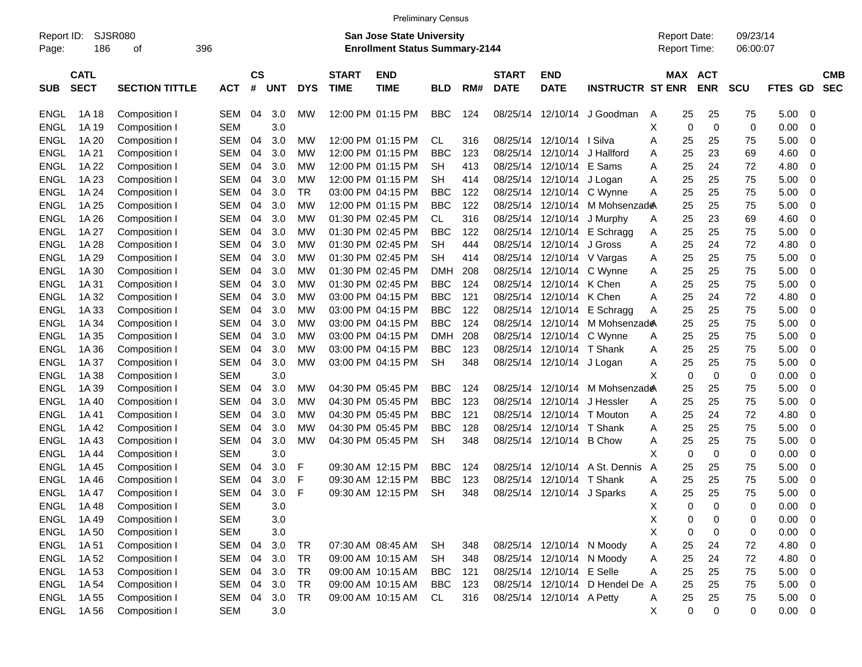|  | <b>Preliminary Census</b> |  |
|--|---------------------------|--|
|  |                           |  |

| Report ID:<br>Page: | 186                        | <b>SJSR080</b><br>οf  | 396 |            |         |            |            |                             | <b>San Jose State University</b><br><b>Enrollment Status Summary-2144</b> |            |     |                             |                           |                               | <b>Report Date:</b><br>Report Time: |     |                          | 09/23/14<br>06:00:07 |         |                          |
|---------------------|----------------------------|-----------------------|-----|------------|---------|------------|------------|-----------------------------|---------------------------------------------------------------------------|------------|-----|-----------------------------|---------------------------|-------------------------------|-------------------------------------|-----|--------------------------|----------------------|---------|--------------------------|
| <b>SUB</b>          | <b>CATL</b><br><b>SECT</b> | <b>SECTION TITTLE</b> |     | <b>ACT</b> | CS<br># | <b>UNT</b> | <b>DYS</b> | <b>START</b><br><b>TIME</b> | <b>END</b><br><b>TIME</b>                                                 | <b>BLD</b> | RM# | <b>START</b><br><b>DATE</b> | <b>END</b><br><b>DATE</b> | <b>INSTRUCTR ST ENR</b>       |                                     | MAX | <b>ACT</b><br><b>ENR</b> | <b>SCU</b>           | FTES GD | <b>CMB</b><br><b>SEC</b> |
| <b>ENGL</b>         | 1A 18                      | Composition I         |     | <b>SEM</b> | 04      | 3.0        | МW         |                             | 12:00 PM 01:15 PM                                                         | <b>BBC</b> | 124 | 08/25/14                    | 12/10/14                  | J Goodman                     | A                                   | 25  | 25                       | 75                   | 5.00    | 0                        |
| <b>ENGL</b>         | 1A 19                      | Composition I         |     | <b>SEM</b> |         | 3.0        |            |                             |                                                                           |            |     |                             |                           |                               | X                                   | 0   | 0                        | $\mathbf 0$          | 0.00    | 0                        |
| <b>ENGL</b>         | 1A 20                      | Composition I         |     | <b>SEM</b> | 04      | 3.0        | МW         |                             | 12:00 PM 01:15 PM                                                         | CL         | 316 | 08/25/14                    | 12/10/14 I Silva          |                               | Α                                   | 25  | 25                       | 75                   | 5.00    | 0                        |
| <b>ENGL</b>         | 1A 21                      | Composition I         |     | <b>SEM</b> | 04      | 3.0        | <b>MW</b>  |                             | 12:00 PM 01:15 PM                                                         | <b>BBC</b> | 123 | 08/25/14                    | 12/10/14                  | J Hallford                    | Α                                   | 25  | 23                       | 69                   | 4.60    | 0                        |
| <b>ENGL</b>         | 1A 22                      | Composition I         |     | <b>SEM</b> | 04      | 3.0        | МW         |                             | 12:00 PM 01:15 PM                                                         | <b>SH</b>  | 413 | 08/25/14                    | 12/10/14                  | E Sams                        | Α                                   | 25  | 24                       | 72                   | 4.80    | 0                        |
| <b>ENGL</b>         | 1A 23                      | Composition I         |     | <b>SEM</b> | 04      | 3.0        | <b>MW</b>  |                             | 12:00 PM 01:15 PM                                                         | <b>SH</b>  | 414 | 08/25/14                    | 12/10/14                  | J Logan                       | Α                                   | 25  | 25                       | 75                   | 5.00    | 0                        |
| <b>ENGL</b>         | 1A 24                      | Composition I         |     | <b>SEM</b> | 04      | 3.0        | <b>TR</b>  |                             | 03:00 PM 04:15 PM                                                         | <b>BBC</b> | 122 | 08/25/14                    | 12/10/14                  | C Wynne                       | Α                                   | 25  | 25                       | 75                   | 5.00    | 0                        |
| <b>ENGL</b>         | 1A 25                      | Composition I         |     | <b>SEM</b> | 04      | 3.0        | МW         |                             | 12:00 PM 01:15 PM                                                         | <b>BBC</b> | 122 | 08/25/14                    | 12/10/14                  | M Mohsenzad <b>e</b> A        |                                     | 25  | 25                       | 75                   | 5.00    | 0                        |
| <b>ENGL</b>         | 1A 26                      | Composition I         |     | <b>SEM</b> | 04      | 3.0        | МW         |                             | 01:30 PM 02:45 PM                                                         | CL         | 316 | 08/25/14                    | 12/10/14                  | J Murphy                      | A                                   | 25  | 23                       | 69                   | 4.60    | 0                        |
| <b>ENGL</b>         | 1A 27                      | Composition I         |     | <b>SEM</b> | 04      | 3.0        | МW         |                             | 01:30 PM 02:45 PM                                                         | <b>BBC</b> | 122 | 08/25/14                    | 12/10/14                  | E Schragg                     | A                                   | 25  | 25                       | 75                   | 5.00    | 0                        |
| <b>ENGL</b>         | 1A 28                      | Composition I         |     | <b>SEM</b> | 04      | 3.0        | МW         |                             | 01:30 PM 02:45 PM                                                         | <b>SH</b>  | 444 | 08/25/14                    | 12/10/14                  | J Gross                       | Α                                   | 25  | 24                       | 72                   | 4.80    | 0                        |
| <b>ENGL</b>         | 1A 29                      | Composition I         |     | <b>SEM</b> | 04      | 3.0        | МW         |                             | 01:30 PM 02:45 PM                                                         | <b>SH</b>  | 414 | 08/25/14                    | 12/10/14                  | V Vargas                      | Α                                   | 25  | 25                       | 75                   | 5.00    | 0                        |
| <b>ENGL</b>         | 1A 30                      | Composition I         |     | <b>SEM</b> | 04      | 3.0        | МW         |                             | 01:30 PM 02:45 PM                                                         | <b>DMH</b> | 208 | 08/25/14                    | 12/10/14                  | C Wynne                       | Α                                   | 25  | 25                       | 75                   | 5.00    | 0                        |
| <b>ENGL</b>         | 1A 31                      | Composition I         |     | <b>SEM</b> | 04      | 3.0        | МW         |                             | 01:30 PM 02:45 PM                                                         | <b>BBC</b> | 124 | 08/25/14                    | 12/10/14 K Chen           |                               | Α                                   | 25  | 25                       | 75                   | 5.00    | 0                        |
| <b>ENGL</b>         | 1A 32                      | Composition I         |     | <b>SEM</b> | 04      | 3.0        | МW         |                             | 03:00 PM 04:15 PM                                                         | <b>BBC</b> | 121 | 08/25/14                    | 12/10/14                  | K Chen                        | Α                                   | 25  | 24                       | 72                   | 4.80    | 0                        |
| <b>ENGL</b>         | 1A 33                      | Composition I         |     | <b>SEM</b> | 04      | 3.0        | МW         |                             | 03:00 PM 04:15 PM                                                         | <b>BBC</b> | 122 | 08/25/14                    | 12/10/14                  | E Schragg                     | Α                                   | 25  | 25                       | 75                   | 5.00    | 0                        |
| <b>ENGL</b>         | 1A 34                      | Composition I         |     | <b>SEM</b> | 04      | 3.0        | МW         |                             | 03:00 PM 04:15 PM                                                         | <b>BBC</b> | 124 | 08/25/14                    | 12/10/14                  | M Mohsenzad <del></del>       |                                     | 25  | 25                       | 75                   | 5.00    | 0                        |
| <b>ENGL</b>         | 1A 35                      | Composition I         |     | <b>SEM</b> | 04      | 3.0        | МW         |                             | 03:00 PM 04:15 PM                                                         | <b>DMH</b> | 208 | 08/25/14                    | 12/10/14                  | C Wynne                       | Α                                   | 25  | 25                       | 75                   | 5.00    | 0                        |
| <b>ENGL</b>         | 1A 36                      | Composition I         |     | <b>SEM</b> | 04      | 3.0        | МW         |                             | 03:00 PM 04:15 PM                                                         | <b>BBC</b> | 123 | 08/25/14                    | 12/10/14                  | T Shank                       | Α                                   | 25  | 25                       | 75                   | 5.00    | 0                        |
| <b>ENGL</b>         | 1A 37                      | Composition I         |     | <b>SEM</b> | 04      | 3.0        | <b>MW</b>  |                             | 03:00 PM 04:15 PM                                                         | <b>SH</b>  | 348 |                             | 08/25/14 12/10/14         | J Logan                       | Α                                   | 25  | 25                       | 75                   | 5.00    | 0                        |
| <b>ENGL</b>         | 1A 38                      | Composition I         |     | <b>SEM</b> |         | 3.0        |            |                             |                                                                           |            |     |                             |                           |                               | X                                   | 0   | 0                        | 0                    | 0.00    | 0                        |
| <b>ENGL</b>         | 1A 39                      | Composition I         |     | <b>SEM</b> | 04      | 3.0        | МW         |                             | 04:30 PM 05:45 PM                                                         | <b>BBC</b> | 124 | 08/25/14                    | 12/10/14                  | M Mohsenzad <b>e</b> A        |                                     | 25  | 25                       | 75                   | 5.00    | 0                        |
| <b>ENGL</b>         | 1A 40                      | Composition I         |     | <b>SEM</b> | 04      | 3.0        | <b>MW</b>  |                             | 04:30 PM 05:45 PM                                                         | <b>BBC</b> | 123 | 08/25/14                    | 12/10/14                  | J Hessler                     | Α                                   | 25  | 25                       | 75                   | 5.00    | 0                        |
| <b>ENGL</b>         | 1A 41                      | Composition I         |     | <b>SEM</b> | 04      | 3.0        | МW         |                             | 04:30 PM 05:45 PM                                                         | <b>BBC</b> | 121 | 08/25/14                    | 12/10/14                  | T Mouton                      | Α                                   | 25  | 24                       | 72                   | 4.80    | 0                        |
| <b>ENGL</b>         | 1A42                       | Composition I         |     | <b>SEM</b> | 04      | 3.0        | МW         |                             | 04:30 PM 05:45 PM                                                         | <b>BBC</b> | 128 | 08/25/14                    | 12/10/14                  | T Shank                       | Α                                   | 25  | 25                       | 75                   | 5.00    | 0                        |
| <b>ENGL</b>         | 1A43                       | Composition I         |     | <b>SEM</b> | 04      | 3.0        | МW         |                             | 04:30 PM 05:45 PM                                                         | <b>SH</b>  | 348 | 08/25/14                    | 12/10/14                  | <b>B</b> Chow                 | Α                                   | 25  | 25                       | 75                   | 5.00    | 0                        |
| <b>ENGL</b>         | 1A 44                      | Composition I         |     | <b>SEM</b> |         | 3.0        |            |                             |                                                                           |            |     |                             |                           |                               | X                                   | 0   | 0                        | 0                    | 0.00    | 0                        |
| <b>ENGL</b>         | 1A 45                      | Composition I         |     | <b>SEM</b> | 04      | 3.0        | F          |                             | 09:30 AM 12:15 PM                                                         | <b>BBC</b> | 124 | 08/25/14                    | 12/10/14                  | A St. Dennis                  | A                                   | 25  | 25                       | 75                   | 5.00    | 0                        |
| <b>ENGL</b>         | 1A 46                      | Composition I         |     | <b>SEM</b> | 04      | 3.0        | F          |                             | 09:30 AM 12:15 PM                                                         | <b>BBC</b> | 123 | 08/25/14                    | 12/10/14                  | T Shank                       | Α                                   | 25  | 25                       | 75                   | 5.00    | 0                        |
| <b>ENGL</b>         | 1A 47                      | Composition I         |     | <b>SEM</b> | 04      | 3.0        | F          |                             | 09:30 AM 12:15 PM                                                         | <b>SH</b>  | 348 | 08/25/14                    | 12/10/14                  | J Sparks                      | Α                                   | 25  | 25                       | 75                   | 5.00    | 0                        |
| ENGL                | 1A48                       | Composition I         |     | <b>SEM</b> |         | 3.0        |            |                             |                                                                           |            |     |                             |                           |                               | X                                   | 0   | ∩                        | $\Omega$             | 0.00    | $\mathbf 0$              |
| <b>ENGL</b>         | 1A 49                      | Composition I         |     | <b>SEM</b> |         | 3.0        |            |                             |                                                                           |            |     |                             |                           |                               | X                                   | 0   | 0                        | 0                    | 0.00    | 0                        |
| <b>ENGL</b>         | 1A 50                      | Composition I         |     | <b>SEM</b> |         | 3.0        |            |                             |                                                                           |            |     |                             |                           |                               | X                                   | 0   | $\Omega$                 | 0                    | 0.00    | 0                        |
| <b>ENGL</b>         | 1A 51                      | Composition I         |     | <b>SEM</b> | 04      | 3.0        | <b>TR</b>  |                             | 07:30 AM 08:45 AM                                                         | <b>SH</b>  | 348 |                             | 08/25/14 12/10/14 N Moody |                               | Α                                   | 25  | 24                       | 72                   | 4.80    | 0                        |
| <b>ENGL</b>         | 1A 52                      | Composition I         |     | <b>SEM</b> | 04      | 3.0        | <b>TR</b>  |                             | 09:00 AM 10:15 AM                                                         | <b>SH</b>  | 348 |                             | 08/25/14 12/10/14 N Moody |                               | A                                   | 25  | 24                       | 72                   | 4.80    | $\mathbf 0$              |
| <b>ENGL</b>         | 1A 53                      | Composition I         |     | <b>SEM</b> | 04      | 3.0        | <b>TR</b>  |                             | 09:00 AM 10:15 AM                                                         | <b>BBC</b> | 121 |                             | 08/25/14 12/10/14 E Selle |                               | Α                                   | 25  | 25                       | 75                   | 5.00    | 0                        |
| <b>ENGL</b>         | 1A 54                      | Composition I         |     | <b>SEM</b> | 04      | 3.0        | <b>TR</b>  |                             | 09:00 AM 10:15 AM                                                         | <b>BBC</b> | 123 |                             |                           | 08/25/14 12/10/14 D Hendel De | $\overline{A}$                      | 25  | 25                       | 75                   | 5.00    | 0                        |
| ENGL                | 1A 55                      | Composition I         |     | SEM        | 04      | 3.0        | <b>TR</b>  |                             | 09:00 AM 10:15 AM                                                         | CL         | 316 |                             | 08/25/14 12/10/14 A Petty |                               | A                                   | 25  | 25                       | 75                   | 5.00    | $\mathbf 0$              |
| ENGL                | 1A 56                      | Composition I         |     | <b>SEM</b> |         | 3.0        |            |                             |                                                                           |            |     |                             |                           |                               | X                                   | 0   | 0                        | 0                    | 0.00    | $\mathbf 0$              |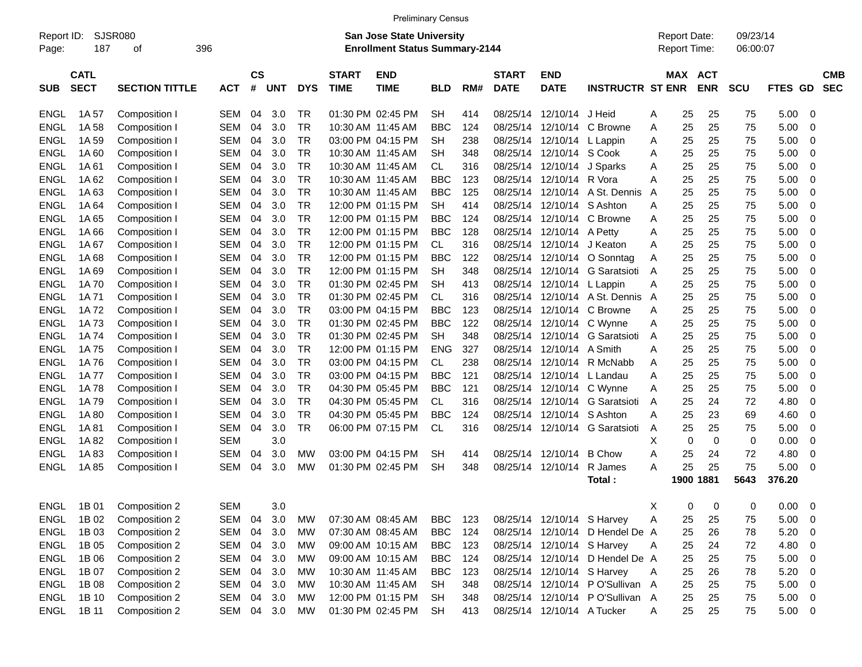| <b>Preliminary Census</b> |  |
|---------------------------|--|
|                           |  |

|             | SJSR080<br>Report ID: |                       |            |            |               |            |            |              | <b>San Jose State University</b>                        |            |     |              |                            |                                 |   | <b>Report Date:</b> |             | 09/23/14 |             |                          |            |
|-------------|-----------------------|-----------------------|------------|------------|---------------|------------|------------|--------------|---------------------------------------------------------|------------|-----|--------------|----------------------------|---------------------------------|---|---------------------|-------------|----------|-------------|--------------------------|------------|
| Page:       | 187                   | οf                    | 396        |            |               |            |            |              | <b>Enrollment Status Summary-2144</b>                   |            |     |              |                            |                                 |   | Report Time:        |             | 06:00:07 |             |                          |            |
|             | <b>CATL</b>           |                       |            |            | $\mathsf{cs}$ |            |            | <b>START</b> | <b>END</b>                                              |            |     | <b>START</b> | <b>END</b>                 |                                 |   |                     | MAX ACT     |          |             |                          | <b>CMB</b> |
| <b>SUB</b>  | <b>SECT</b>           | <b>SECTION TITTLE</b> | <b>ACT</b> |            | #             | <b>UNT</b> | <b>DYS</b> | <b>TIME</b>  | <b>TIME</b>                                             | <b>BLD</b> | RM# | <b>DATE</b>  | <b>DATE</b>                | <b>INSTRUCTR ST ENR</b>         |   |                     | <b>ENR</b>  | SCU      | FTES GD     |                          | <b>SEC</b> |
| <b>ENGL</b> | 1A 57                 | Composition I         | <b>SEM</b> |            | 04            | 3.0        | <b>TR</b>  |              | 01:30 PM 02:45 PM                                       | <b>SH</b>  | 414 | 08/25/14     | 12/10/14                   | J Heid                          | A | 25                  | 25          | 75       | 5.00        | - 0                      |            |
| <b>ENGL</b> | 1A 58                 | Composition I         | <b>SEM</b> |            | 04            | 3.0        | <b>TR</b>  |              | 10:30 AM 11:45 AM                                       | <b>BBC</b> | 124 | 08/25/14     | 12/10/14                   | C Browne                        | A | 25                  | 25          | 75       | 5.00        | 0                        |            |
| <b>ENGL</b> | 1A 59                 | Composition I         | <b>SEM</b> |            | 04            | 3.0        | <b>TR</b>  |              | 03:00 PM 04:15 PM                                       | <b>SH</b>  | 238 | 08/25/14     | 12/10/14                   | L Lappin                        | Α | 25                  | 25          | 75       | 5.00        | 0                        |            |
| <b>ENGL</b> | 1A60                  | Composition I         | <b>SEM</b> |            | 04            | 3.0        | <b>TR</b>  |              | 10:30 AM 11:45 AM                                       | <b>SH</b>  | 348 | 08/25/14     | 12/10/14 S Cook            |                                 | A | 25                  | 25          | 75       | 5.00        | 0                        |            |
| <b>ENGL</b> | 1A61                  | Composition I         | <b>SEM</b> |            | 04            | 3.0        | <b>TR</b>  |              | 10:30 AM 11:45 AM                                       | <b>CL</b>  | 316 | 08/25/14     | 12/10/14                   | J Sparks                        | A | 25                  | 25          | 75       | 5.00        | 0                        |            |
| <b>ENGL</b> | 1A62                  | Composition I         | <b>SEM</b> |            | 04            | 3.0        | <b>TR</b>  |              | 10:30 AM 11:45 AM                                       | <b>BBC</b> | 123 | 08/25/14     | 12/10/14 R Vora            |                                 | A | 25                  | 25          | 75       | 5.00        | $\mathbf 0$              |            |
| <b>ENGL</b> | 1A63                  | Composition I         | <b>SEM</b> |            | 04            | 3.0        | <b>TR</b>  |              | 10:30 AM 11:45 AM                                       | <b>BBC</b> | 125 | 08/25/14     | 12/10/14                   | A St. Dennis                    | A | 25                  | 25          | 75       | 5.00        | $\mathbf 0$              |            |
| <b>ENGL</b> | 1A 64                 | Composition I         | <b>SEM</b> |            | 04            | 3.0        | <b>TR</b>  |              | 12:00 PM 01:15 PM                                       | <b>SH</b>  | 414 | 08/25/14     | 12/10/14                   | S Ashton                        | A | 25                  | 25          | 75       | 5.00        | 0                        |            |
| <b>ENGL</b> | 1A 65                 | Composition I         | <b>SEM</b> |            | 04            | 3.0        | <b>TR</b>  |              | 12:00 PM 01:15 PM                                       | <b>BBC</b> | 124 | 08/25/14     | 12/10/14                   | C Browne                        | A | 25                  | 25          | 75       | 5.00        | $\mathbf 0$              |            |
| <b>ENGL</b> | 1A66                  | Composition I         | <b>SEM</b> |            | 04            | 3.0        | <b>TR</b>  |              | 12:00 PM 01:15 PM                                       | <b>BBC</b> | 128 | 08/25/14     | 12/10/14 A Petty           |                                 | A | 25                  | 25          | 75       | 5.00        | $\mathbf 0$              |            |
| <b>ENGL</b> | 1A 67                 | Composition I         | <b>SEM</b> |            | 04            | 3.0        | <b>TR</b>  |              | 12:00 PM 01:15 PM                                       | <b>CL</b>  | 316 | 08/25/14     | 12/10/14                   | J Keaton                        | A | 25                  | 25          | 75       | 5.00        | 0                        |            |
| <b>ENGL</b> | 1A68                  | Composition I         | <b>SEM</b> |            | 04            | 3.0        | <b>TR</b>  |              | 12:00 PM 01:15 PM                                       | <b>BBC</b> | 122 | 08/25/14     | 12/10/14                   | O Sonntag                       | A | 25                  | 25          | 75       | 5.00        | $\mathbf 0$              |            |
| <b>ENGL</b> | 1A69                  | Composition I         | <b>SEM</b> |            | 04            | 3.0        | <b>TR</b>  |              | 12:00 PM 01:15 PM                                       | <b>SH</b>  | 348 | 08/25/14     |                            | 12/10/14 G Saratsioti           | A | 25                  | 25          | 75       | 5.00        | $\mathbf 0$              |            |
| <b>ENGL</b> | 1A 70                 | Composition I         | <b>SEM</b> |            | 04            | 3.0        | <b>TR</b>  |              | 01:30 PM 02:45 PM                                       | <b>SH</b>  | 413 | 08/25/14     | 12/10/14 L Lappin          |                                 | Α | 25                  | 25          | 75       | 5.00        | 0                        |            |
| <b>ENGL</b> | 1A 71                 | Composition I         | <b>SEM</b> |            | 04            | 3.0        | <b>TR</b>  |              | 01:30 PM 02:45 PM                                       | <b>CL</b>  | 316 | 08/25/14     |                            | 12/10/14 A St. Dennis           | A | 25                  | 25          | 75       | 5.00        | $\mathbf 0$              |            |
| <b>ENGL</b> | 1A72                  | Composition I         | <b>SEM</b> |            | 04            | 3.0        | <b>TR</b>  |              | 03:00 PM 04:15 PM                                       | <b>BBC</b> | 123 | 08/25/14     | 12/10/14                   | C Browne                        | Α | 25                  | 25          | 75       | 5.00        | $\mathbf 0$              |            |
| <b>ENGL</b> | 1A 73                 | Composition I         | <b>SEM</b> |            | 04            | 3.0        | <b>TR</b>  |              | 01:30 PM 02:45 PM                                       | <b>BBC</b> | 122 | 08/25/14     |                            | 12/10/14 C Wynne                | A | 25                  | 25          | 75       | 5.00        | $\mathbf 0$              |            |
| <b>ENGL</b> | 1A 74                 | Composition I         | <b>SEM</b> |            | 04            | 3.0        | <b>TR</b>  |              | 01:30 PM 02:45 PM                                       | <b>SH</b>  | 348 | 08/25/14     | 12/10/14                   | G Saratsioti                    | A | 25                  | 25          | 75       | 5.00        | 0                        |            |
| <b>ENGL</b> | 1A 75                 | Composition I         | <b>SEM</b> |            | 04            | 3.0        | <b>TR</b>  |              | 12:00 PM 01:15 PM                                       | <b>ENG</b> | 327 | 08/25/14     | 12/10/14 A Smith           |                                 | Α | 25                  | 25          | 75       | 5.00        | $\mathbf 0$              |            |
| <b>ENGL</b> | 1A76                  | Composition I         | <b>SEM</b> |            | 04            | 3.0        | <b>TR</b>  |              | 03:00 PM 04:15 PM                                       | <b>CL</b>  | 238 | 08/25/14     |                            | 12/10/14 R McNabb               | A | 25                  | 25          | 75       | 5.00        | $\mathbf 0$              |            |
| <b>ENGL</b> | 1A 77                 | Composition I         | <b>SEM</b> |            | 04            | 3.0        | <b>TR</b>  |              | 03:00 PM 04:15 PM                                       | <b>BBC</b> | 121 | 08/25/14     | 12/10/14                   | L Landau                        | Α | 25                  | 25          | 75       | 5.00        | 0                        |            |
| <b>ENGL</b> | 1A78                  | Composition I         | <b>SEM</b> |            | 04            | 3.0        | <b>TR</b>  |              | 04:30 PM 05:45 PM                                       | <b>BBC</b> | 121 | 08/25/14     | 12/10/14                   | C Wynne                         | Α | 25                  | 25          | 75       | 5.00        | $\mathbf 0$              |            |
| <b>ENGL</b> | 1A 79                 | Composition I         | <b>SEM</b> |            | 04            | 3.0        | <b>TR</b>  |              | 04:30 PM 05:45 PM                                       | <b>CL</b>  | 316 | 08/25/14     | 12/10/14                   | G Saratsioti                    | A | 25                  | 24          | 72       | 4.80        | $\mathbf 0$              |            |
| <b>ENGL</b> | 1A 80                 | Composition I         | <b>SEM</b> |            | 04            | 3.0        | <b>TR</b>  |              | 04:30 PM 05:45 PM                                       | <b>BBC</b> | 124 | 08/25/14     | 12/10/14                   | S Ashton                        | А | 25                  | 23          | 69       | 4.60        | 0                        |            |
| <b>ENGL</b> | 1A 81                 | Composition I         | <b>SEM</b> |            | 04            | 3.0        | <b>TR</b>  |              | 06:00 PM 07:15 PM                                       | <b>CL</b>  | 316 | 08/25/14     |                            | 12/10/14 G Saratsioti           | A | 25                  | 25          | 75       | 5.00        | $\mathbf 0$              |            |
| <b>ENGL</b> | 1A82                  | Composition I         | <b>SEM</b> |            |               | 3.0        |            |              |                                                         |            |     |              |                            |                                 | X | $\mathbf 0$         | $\mathbf 0$ | 0        | 0.00        | $\mathbf 0$              |            |
| <b>ENGL</b> | 1A83                  | Composition I         | <b>SEM</b> |            | 04            | 3.0        | <b>MW</b>  |              | 03:00 PM 04:15 PM                                       | <b>SH</b>  | 414 | 08/25/14     | 12/10/14                   | <b>B</b> Chow                   | Α | 25                  | 24          | 72       | 4.80        | 0                        |            |
| <b>ENGL</b> | 1A85                  | Composition I         | <b>SEM</b> |            | 04            | 3.0        | <b>MW</b>  |              | 01:30 PM 02:45 PM                                       | <b>SH</b>  | 348 | 08/25/14     | 12/10/14                   | R James                         | Α | 25                  | 25          | 75       | 5.00        | - 0                      |            |
|             |                       |                       |            |            |               |            |            |              |                                                         |            |     |              |                            | Total :                         |   |                     | 1900 1881   | 5643     | 376.20      |                          |            |
| ENGL        | 1B 01                 | Composition 2         | <b>SEM</b> |            |               | 3.0        |            |              |                                                         |            |     |              |                            |                                 | X | 0                   | 0           | $\Omega$ | 0.00        | $\overline{0}$           |            |
| ENGL        | 1B 02                 | Composition 2         | SEM        |            | 04            | 3.0        |            |              | MW 07:30 AM 08:45 AM BBC 123 08/25/14 12/10/14 S Harvey |            |     |              |                            |                                 | Α | 25                  | 25          | 75       | 5.00        | - 0                      |            |
| ENGL        | 1B 03                 | Composition 2         |            | SEM        | 04            | 3.0        | <b>MW</b>  |              | 07:30 AM 08:45 AM                                       | <b>BBC</b> | 124 |              |                            | 08/25/14 12/10/14 D Hendel De A |   | 25                  | 26          | 78       | 5.20        | 0                        |            |
| <b>ENGL</b> | 1B 05                 | Composition 2         |            | <b>SEM</b> | 04            | 3.0        | <b>MW</b>  |              | 09:00 AM 10:15 AM                                       | <b>BBC</b> | 123 |              | 08/25/14 12/10/14 S Harvey |                                 | Α | 25                  | 24          | 72       | 4.80        | $\overline{0}$           |            |
| <b>ENGL</b> | 1B 06                 | Composition 2         |            | <b>SEM</b> | 04            | 3.0        | MW         |              | 09:00 AM 10:15 AM                                       | <b>BBC</b> | 124 |              |                            | 08/25/14 12/10/14 D Hendel De A |   | 25                  | 25          | 75       | 5.00        | $\overline{\phantom{0}}$ |            |
| <b>ENGL</b> | 1B 07                 | Composition 2         |            | <b>SEM</b> | 04            | 3.0        | MW         |              | 10:30 AM 11:45 AM                                       | <b>BBC</b> | 123 |              | 08/25/14 12/10/14 S Harvey |                                 | Α | 25                  | 26          | 78       | 5.20        | $\overline{\mathbf{0}}$  |            |
| <b>ENGL</b> | 1B 08                 | Composition 2         |            | <b>SEM</b> | 04            | 3.0        | MW         |              | 10:30 AM 11:45 AM                                       | <b>SH</b>  | 348 | 08/25/14     |                            | 12/10/14 PO'Sullivan A          |   | 25                  | 25          | 75       | 5.00        | $\overline{\phantom{0}}$ |            |
| <b>ENGL</b> | 1B 10                 | Composition 2         |            | <b>SEM</b> | 04            | 3.0        | MW         |              | 12:00 PM 01:15 PM                                       | <b>SH</b>  | 348 | 08/25/14     |                            | 12/10/14 PO'Sullivan A          |   | 25                  | 25          | 75       | $5.00 \t 0$ |                          |            |
| <b>ENGL</b> | 1B 11                 | Composition 2         |            | SEM        | 04            | 3.0        | MW         |              | 01:30 PM 02:45 PM                                       | <b>SH</b>  | 413 |              | 08/25/14 12/10/14 A Tucker |                                 | A | 25                  | 25          | 75       | $5.00 \t 0$ |                          |            |
|             |                       |                       |            |            |               |            |            |              |                                                         |            |     |              |                            |                                 |   |                     |             |          |             |                          |            |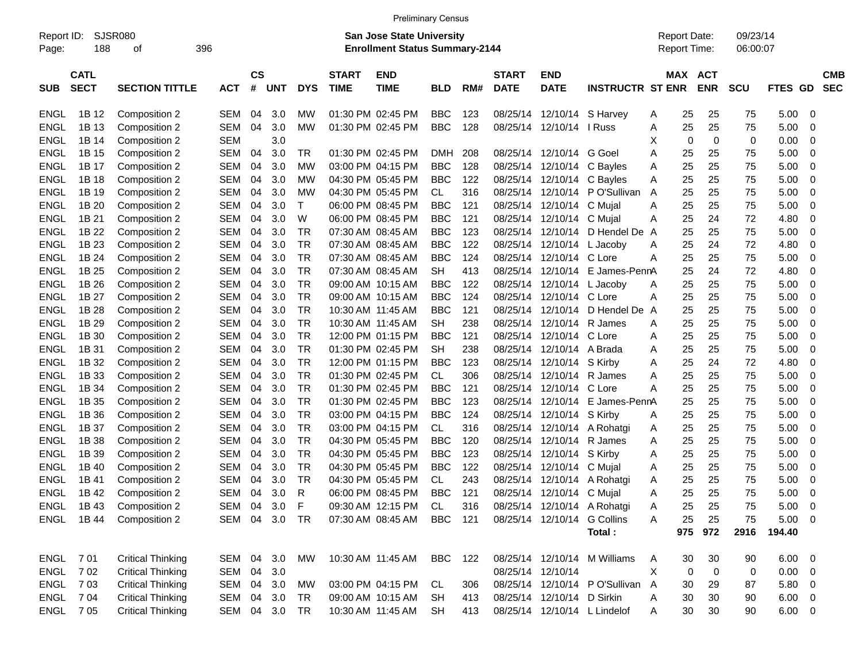|  | <b>Preliminary Census</b> |
|--|---------------------------|
|  |                           |

| Report ID:<br>Page: | 188                        | SJSR080<br>οf            | 396        |                    |            |              |                             | <b>San Jose State University</b><br><b>Enrollment Status Summary-2144</b> |                |     |                             |                             |                                 |   |     | <b>Report Date:</b><br>Report Time: | 09/23/14<br>06:00:07 |             |                          |                          |
|---------------------|----------------------------|--------------------------|------------|--------------------|------------|--------------|-----------------------------|---------------------------------------------------------------------------|----------------|-----|-----------------------------|-----------------------------|---------------------------------|---|-----|-------------------------------------|----------------------|-------------|--------------------------|--------------------------|
| <b>SUB</b>          | <b>CATL</b><br><b>SECT</b> | <b>SECTION TITTLE</b>    | <b>ACT</b> | $\mathsf{cs}$<br># | <b>UNT</b> | <b>DYS</b>   | <b>START</b><br><b>TIME</b> | <b>END</b><br><b>TIME</b>                                                 | <b>BLD</b>     | RM# | <b>START</b><br><b>DATE</b> | <b>END</b><br><b>DATE</b>   | <b>INSTRUCTR ST ENR</b>         |   |     | MAX ACT<br><b>ENR</b>               | <b>SCU</b>           | FTES GD     |                          | <b>CMB</b><br><b>SEC</b> |
| <b>ENGL</b>         | 1B 12                      | Composition 2            | SEM        | 04                 | 3.0        | МW           |                             | 01:30 PM 02:45 PM                                                         | <b>BBC</b>     | 123 |                             | 08/25/14 12/10/14 S Harvey  |                                 | A | 25  | 25                                  | 75                   | 5.00        | $\overline{\phantom{0}}$ |                          |
| <b>ENGL</b>         | 1B 13                      | Composition 2            | SEM        | 04                 | 3.0        | МW           |                             | 01:30 PM 02:45 PM                                                         | <b>BBC</b>     | 128 |                             | 08/25/14 12/10/14 I Russ    |                                 | Α | 25  | 25                                  | 75                   | 5.00        | 0                        |                          |
| <b>ENGL</b>         | 1B 14                      | Composition 2            | SEM        |                    | 3.0        |              |                             |                                                                           |                |     |                             |                             |                                 | Х | 0   | 0                                   | 0                    | 0.00        | 0                        |                          |
| <b>ENGL</b>         | 1B 15                      | Composition 2            | SEM        | 04                 | 3.0        | TR           |                             | 01:30 PM 02:45 PM                                                         | <b>DMH</b>     | 208 |                             | 08/25/14 12/10/14 G Goel    |                                 | Α | 25  | 25                                  | 75                   | 5.00        | - 0                      |                          |
| <b>ENGL</b>         | 1B 17                      | Composition 2            | SEM        | 04                 | 3.0        | <b>MW</b>    |                             | 03:00 PM 04:15 PM                                                         | <b>BBC</b>     | 128 |                             | 08/25/14 12/10/14 C Bayles  |                                 | Α | 25  | 25                                  | 75                   | 5.00        | 0                        |                          |
| <b>ENGL</b>         | 1B 18                      | Composition 2            | SEM        | 04                 | 3.0        | <b>MW</b>    |                             | 04:30 PM 05:45 PM                                                         | <b>BBC</b>     | 122 |                             | 08/25/14 12/10/14 C Bayles  |                                 | Α | 25  | 25                                  | 75                   | 5.00        | 0                        |                          |
| <b>ENGL</b>         | 1B 19                      | Composition 2            | SEM        | 04                 | 3.0        | МW           |                             | 04:30 PM 05:45 PM                                                         | CL             | 316 |                             |                             | 08/25/14 12/10/14 PO'Sullivan   | A | 25  | 25                                  | 75                   | 5.00        | - 0                      |                          |
| <b>ENGL</b>         | 1B 20                      | Composition 2            | SEM        | 04                 | 3.0        | $\mathsf{T}$ |                             | 06:00 PM 08:45 PM                                                         | <b>BBC</b>     | 121 |                             | 08/25/14 12/10/14 C Mujal   |                                 | Α | 25  | 25                                  | 75                   | 5.00        | $\overline{0}$           |                          |
| <b>ENGL</b>         | 1B 21                      | Composition 2            | SEM        | 04                 | 3.0        | W            |                             | 06:00 PM 08:45 PM                                                         | <b>BBC</b>     | 121 |                             | 08/25/14 12/10/14 C Mujal   |                                 | Α | 25  | 24                                  | 72                   | 4.80        | 0                        |                          |
| <b>ENGL</b>         | 1B 22                      | Composition 2            | SEM        | 04                 | 3.0        | TR           |                             | 07:30 AM 08:45 AM                                                         | <b>BBC</b>     | 123 |                             | 08/25/14 12/10/14           | D Hendel De A                   |   | 25  | 25                                  | 75                   | 5.00        | 0                        |                          |
| <b>ENGL</b>         | 1B 23                      | Composition 2            | SEM        | 04                 | 3.0        | <b>TR</b>    |                             | 07:30 AM 08:45 AM                                                         | <b>BBC</b>     | 122 |                             | 08/25/14 12/10/14 L Jacoby  |                                 | Α | 25  | 24                                  | 72                   | 4.80        | $\overline{0}$           |                          |
| <b>ENGL</b>         | 1B 24                      | Composition 2            | SEM        | 04                 | 3.0        | <b>TR</b>    |                             | 07:30 AM 08:45 AM                                                         | <b>BBC</b>     | 124 |                             | 08/25/14 12/10/14           | C Lore                          | Α | 25  | 25                                  | 75                   | 5.00        | 0                        |                          |
| <b>ENGL</b>         | 1B 25                      | Composition 2            | SEM        | 04                 | 3.0        | <b>TR</b>    |                             | 07:30 AM 08:45 AM                                                         | <b>SH</b>      | 413 |                             | 08/25/14 12/10/14           | E James-PennA                   |   | 25  | 24                                  | 72                   | 4.80        | 0                        |                          |
| <b>ENGL</b>         | 1B 26                      | Composition 2            | SEM        | 04                 | 3.0        | <b>TR</b>    |                             | 09:00 AM 10:15 AM                                                         | <b>BBC</b>     | 122 |                             | 08/25/14 12/10/14 L Jacoby  |                                 | Α | 25  | 25                                  | 75                   | 5.00        | - 0                      |                          |
| <b>ENGL</b>         | 1B 27                      | Composition 2            | SEM        | 04                 | 3.0        | <b>TR</b>    |                             | 09:00 AM 10:15 AM                                                         | <b>BBC</b>     | 124 |                             | 08/25/14 12/10/14           | C Lore                          | Α | 25  | 25                                  | 75                   | 5.00        | 0                        |                          |
| <b>ENGL</b>         | 1B 28                      | Composition 2            | SEM        | 04                 | 3.0        | <b>TR</b>    |                             | 10:30 AM 11:45 AM                                                         | <b>BBC</b>     | 121 |                             | 08/25/14 12/10/14           | D Hendel De                     | A | 25  | 25                                  | 75                   | 5.00        | 0                        |                          |
| <b>ENGL</b>         | 1B 29                      | Composition 2            | SEM        | 04                 | 3.0        | <b>TR</b>    |                             | 10:30 AM 11:45 AM                                                         | <b>SH</b>      | 238 |                             | 08/25/14 12/10/14           | R James                         | Α | 25  | 25                                  | 75                   | 5.00        | - 0                      |                          |
| <b>ENGL</b>         | 1B 30                      | Composition 2            | SEM        | 04                 | 3.0        | <b>TR</b>    |                             | 12:00 PM 01:15 PM                                                         | BBC            | 121 |                             | 08/25/14 12/10/14           | C Lore                          | Α | 25  | 25                                  | 75                   | 5.00        | 0                        |                          |
| <b>ENGL</b>         | 1B 31                      | Composition 2            | SEM        | 04                 | 3.0        | <b>TR</b>    |                             | 01:30 PM 02:45 PM                                                         | <b>SH</b>      | 238 |                             | 08/25/14 12/10/14           | A Brada                         | Α | 25  | 25                                  | 75                   | 5.00        | $\overline{0}$           |                          |
| <b>ENGL</b>         | 1B 32                      | Composition 2            | SEM        | 04                 | 3.0        | <b>TR</b>    |                             | 12:00 PM 01:15 PM                                                         | BBC            | 123 |                             | 08/25/14 12/10/14 S Kirby   |                                 | Α | 25  | 24                                  | 72                   | 4.80        | 0                        |                          |
| <b>ENGL</b>         | 1B 33                      | Composition 2            | SEM        | 04                 | 3.0        | <b>TR</b>    |                             | 01:30 PM 02:45 PM                                                         | CL             | 306 |                             | 08/25/14 12/10/14           | R James                         | Α | 25  | 25                                  | 75                   | 5.00        | $\overline{0}$           |                          |
| <b>ENGL</b>         | 1B 34                      | Composition 2            | SEM        | 04                 | 3.0        | <b>TR</b>    |                             | 01:30 PM 02:45 PM                                                         | <b>BBC</b>     | 121 |                             | 08/25/14 12/10/14           | C Lore                          | Α | 25  | 25                                  | 75                   | 5.00        | - 0                      |                          |
| <b>ENGL</b>         | 1B 35                      | Composition 2            | SEM        | 04                 | 3.0        | <b>TR</b>    |                             | 01:30 PM 02:45 PM                                                         | <b>BBC</b>     | 123 |                             | 08/25/14 12/10/14           | E James-PennA                   |   | 25  | 25                                  | 75                   | 5.00        | 0                        |                          |
| <b>ENGL</b>         | 1B 36                      | Composition 2            | SEM        | 04                 | 3.0        | <b>TR</b>    |                             | 03:00 PM 04:15 PM                                                         | <b>BBC</b>     | 124 |                             | 08/25/14 12/10/14 S Kirby   |                                 | Α | 25  | 25                                  | 75                   | 5.00        | 0                        |                          |
| <b>ENGL</b>         | 1B 37                      |                          | SEM        | 04                 | 3.0        | <b>TR</b>    |                             | 03:00 PM 04:15 PM                                                         | CL             | 316 |                             |                             | 08/25/14 12/10/14 A Rohatgi     |   | 25  | 25                                  | 75                   | 5.00        | - 0                      |                          |
| <b>ENGL</b>         | 1B 38                      | Composition 2            |            | 04                 | 3.0        | <b>TR</b>    |                             | 04:30 PM 05:45 PM                                                         | <b>BBC</b>     | 120 |                             | 08/25/14 12/10/14           | R James                         | A | 25  | 25                                  | 75                   | 5.00        |                          |                          |
|                     |                            | Composition 2            | SEM        |                    |            |              |                             | 04:30 PM 05:45 PM                                                         |                |     |                             |                             |                                 | Α |     |                                     |                      |             | 0                        |                          |
| <b>ENGL</b>         | 1B 39                      | Composition 2            | SEM        | 04                 | 3.0        | <b>TR</b>    |                             |                                                                           | <b>BBC</b>     | 123 |                             | 08/25/14 12/10/14           | S Kirby                         | Α | 25  | 25                                  | 75                   | 5.00        | - 0                      |                          |
| <b>ENGL</b>         | 1B 40                      | Composition 2            | SEM        | 04                 | 3.0        | <b>TR</b>    |                             | 04:30 PM 05:45 PM                                                         | <b>BBC</b>     | 122 |                             | 08/25/14 12/10/14           | C Mujal                         | Α | 25  | 25                                  | 75                   | 5.00        | 0                        |                          |
| <b>ENGL</b>         | 1B 41                      | Composition 2            | SEM        | 04                 | 3.0        | <b>TR</b>    |                             | 04:30 PM 05:45 PM                                                         | CL             | 243 | 08/25/14                    | 12/10/14                    | A Rohatgi                       | Α | 25  | 25                                  | 75                   | 5.00        | 0                        |                          |
| <b>ENGL</b>         | 1B 42                      | Composition 2            | SEM        | 04                 | 3.0        | R            |                             | 06:00 PM 08:45 PM                                                         | <b>BBC</b>     | 121 | 08/25/14                    | 12/10/14                    | C Mujal                         | Α | 25  | 25                                  | 75                   | 5.00        | $\overline{0}$           |                          |
| <b>ENGL</b>         | 1B 43                      | Composition 2            | <b>SEM</b> | 04                 | 3.0        | F            |                             | 09:30 AM 12:15 PM                                                         | <b>CL</b>      | 316 |                             |                             | 08/25/14 12/10/14 A Rohatgi     | A | 25  | 25                                  | 75                   | 5.00        | $\overline{0}$           |                          |
|                     |                            | ENGL 1B 44 Composition 2 |            |                    | SEM 04 3.0 | TR           |                             | 07:30 AM 08:45 AM                                                         | <b>BBC</b> 121 |     |                             | 08/25/14 12/10/14 G Collins |                                 | A | 25  | 25                                  | 75                   | $5.00 \t 0$ |                          |                          |
|                     |                            |                          |            |                    |            |              |                             |                                                                           |                |     |                             |                             | Total:                          |   | 975 | 972                                 | 2916                 | 194.40      |                          |                          |
|                     | ENGL 701                   | <b>Critical Thinking</b> |            |                    | SEM 04 3.0 | MW           |                             | 10:30 AM 11:45 AM                                                         | BBC 122        |     |                             |                             | 08/25/14 12/10/14 M Williams    | A | 30  | 30                                  | 90                   | $6.00 \t 0$ |                          |                          |
|                     | ENGL 702                   | <b>Critical Thinking</b> |            |                    | SEM 04 3.0 |              |                             |                                                                           |                |     |                             | 08/25/14 12/10/14           |                                 | X | 0   | 0                                   | 0                    | $0.00 \t 0$ |                          |                          |
|                     | ENGL 703                   | <b>Critical Thinking</b> |            |                    | SEM 04 3.0 | МW           |                             | 03:00 PM 04:15 PM                                                         | CL             | 306 |                             |                             | 08/25/14 12/10/14 PO'Sullivan A |   | 30  | 29                                  | 87                   | 5.80 0      |                          |                          |
|                     | ENGL 704                   | <b>Critical Thinking</b> |            |                    | SEM 04 3.0 | <b>TR</b>    |                             | 09:00 AM 10:15 AM                                                         | SH             | 413 |                             | 08/25/14 12/10/14 D Sirkin  |                                 | A | 30  | 30                                  | 90                   | $6.00 \t 0$ |                          |                          |
|                     | ENGL 705                   | <b>Critical Thinking</b> |            |                    | SEM 04 3.0 | TR           |                             | 10:30 AM 11:45 AM                                                         | SH             | 413 |                             |                             | 08/25/14 12/10/14 L Lindelof    | A | 30  | 30                                  | 90                   | $6.00 \t 0$ |                          |                          |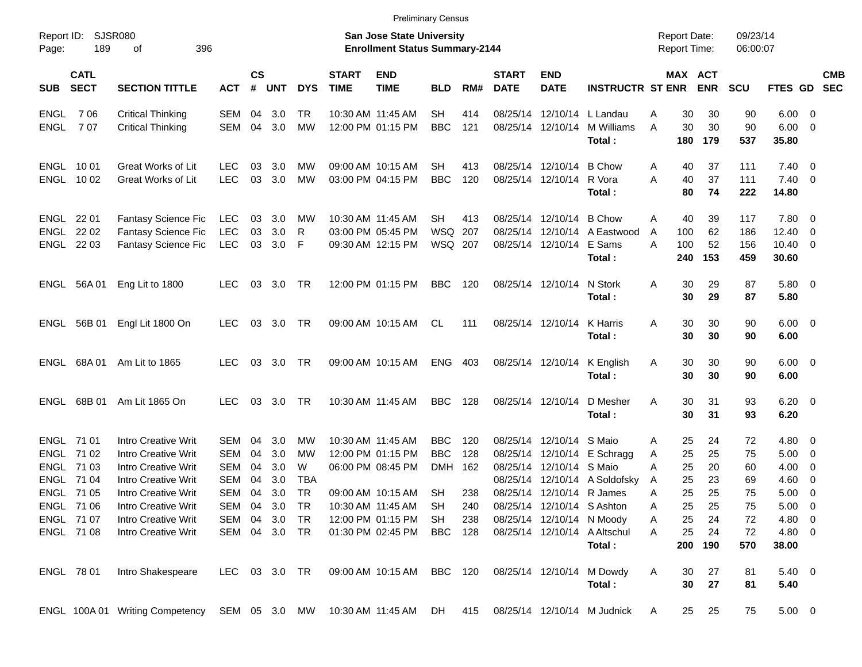| Page:                              | <b>SJSR080</b><br>Report ID:<br>189<br>396<br>οf |                                                                                                 |                                              | <b>San Jose State University</b><br><b>Enrollment Status Summary-2144</b> |                          |                             |                             |                                                                                  |                                        |                          |                                              |                                         |                                                                      |                  |                         | <b>Report Date:</b><br><b>Report Time:</b> | 09/23/14<br>06:00:07     |                                           |                                                                                |                          |
|------------------------------------|--------------------------------------------------|-------------------------------------------------------------------------------------------------|----------------------------------------------|---------------------------------------------------------------------------|--------------------------|-----------------------------|-----------------------------|----------------------------------------------------------------------------------|----------------------------------------|--------------------------|----------------------------------------------|-----------------------------------------|----------------------------------------------------------------------|------------------|-------------------------|--------------------------------------------|--------------------------|-------------------------------------------|--------------------------------------------------------------------------------|--------------------------|
| <b>SUB</b>                         | <b>CATL</b><br><b>SECT</b>                       | <b>SECTION TITTLE</b>                                                                           | <b>ACT</b>                                   | $\mathsf{cs}$<br>#                                                        | <b>UNT</b>               | <b>DYS</b>                  | <b>START</b><br><b>TIME</b> | <b>END</b><br><b>TIME</b>                                                        | <b>BLD</b>                             | RM#                      | <b>START</b><br><b>DATE</b>                  | <b>END</b><br><b>DATE</b>               | <b>INSTRUCTR ST ENR</b>                                              |                  |                         | MAX ACT<br><b>ENR</b>                      | SCU                      | <b>FTES GD</b>                            |                                                                                | <b>CMB</b><br><b>SEC</b> |
| <b>ENGL</b><br><b>ENGL</b>         | 706<br>707                                       | <b>Critical Thinking</b><br><b>Critical Thinking</b>                                            | SEM<br><b>SEM</b>                            | 04<br>04                                                                  | 3.0<br>3.0               | <b>TR</b><br><b>MW</b>      |                             | 10:30 AM 11:45 AM<br>12:00 PM 01:15 PM                                           | <b>SH</b><br><b>BBC</b>                | 414<br>121               | 08/25/14<br>08/25/14                         | 12/10/14                                | 12/10/14 L Landau<br>M Williams<br>Total:                            | A<br>A           | 30<br>30<br>180         | 30<br>30<br>179                            | 90<br>90<br>537          | $6.00 \quad 0$<br>6.00<br>35.80           | $\overline{\phantom{0}}$                                                       |                          |
|                                    | ENGL 1001<br>ENGL 1002                           | <b>Great Works of Lit</b><br>Great Works of Lit                                                 | <b>LEC</b><br>LEC                            | 03<br>03                                                                  | 3.0<br>3.0               | МW<br><b>MW</b>             |                             | 09:00 AM 10:15 AM<br>03:00 PM 04:15 PM                                           | <b>SH</b><br><b>BBC</b>                | 413<br>120               | 08/25/14<br>08/25/14                         | 12/10/14<br>12/10/14                    | <b>B</b> Chow<br>R Vora<br>Total :                                   | A<br>A           | 40<br>40<br>80          | 37<br>37<br>74                             | 111<br>111<br>222        | $7.40 \quad 0$<br>$7.40 \quad 0$<br>14.80 |                                                                                |                          |
| ENGL<br><b>ENGL</b><br><b>ENGL</b> | 22 01<br>22 02<br>22 03                          | Fantasy Science Fic<br><b>Fantasy Science Fic</b><br><b>Fantasy Science Fic</b>                 | <b>LEC</b><br><b>LEC</b><br><b>LEC</b>       | 03<br>03<br>03                                                            | 3.0<br>3.0<br>3.0        | MW<br>R<br>F                |                             | 10:30 AM 11:45 AM<br>03:00 PM 05:45 PM<br>09:30 AM 12:15 PM                      | <b>SH</b><br><b>WSQ</b><br>WSQ 207     | 413<br>207               | 08/25/14<br>08/25/14<br>08/25/14             | 12/10/14<br>12/10/14<br>12/10/14        | <b>B</b> Chow<br>A Eastwood<br>E Sams<br>Total:                      | A<br>A<br>A      | 40<br>100<br>100<br>240 | 39<br>62<br>52<br>153                      | 117<br>186<br>156<br>459 | 7.80 0<br>12.40<br>$10.40 \t 0$<br>30.60  | $\overline{\mathbf{0}}$                                                        |                          |
| ENGL                               | 56A 01                                           | Eng Lit to 1800                                                                                 | LEC                                          | 03                                                                        | 3.0                      | . TR                        |                             | 12:00 PM 01:15 PM                                                                | <b>BBC</b>                             | 120                      |                                              | 08/25/14 12/10/14                       | N Stork<br>Total:                                                    | A                | 30<br>30                | 29<br>29                                   | 87<br>87                 | 5.80 0<br>5.80                            |                                                                                |                          |
| ENGL                               | 56B 01                                           | Engl Lit 1800 On                                                                                | <b>LEC</b>                                   | 03                                                                        | 3.0                      | <b>TR</b>                   |                             | 09:00 AM 10:15 AM                                                                | <b>CL</b>                              | 111                      |                                              | 08/25/14 12/10/14                       | K Harris<br>Total:                                                   | A                | 30<br>30                | 30<br>30                                   | 90<br>90                 | $6.00 \quad 0$<br>6.00                    |                                                                                |                          |
| <b>ENGL</b>                        | 68A01                                            | Am Lit to 1865                                                                                  | <b>LEC</b>                                   | 03                                                                        | 3.0                      | <b>TR</b>                   |                             | 09:00 AM 10:15 AM                                                                | <b>ENG</b>                             | 403                      |                                              | 08/25/14 12/10/14                       | K English<br>Total:                                                  | A                | 30<br>30                | 30<br>30                                   | 90<br>90                 | $6.00 \quad 0$<br>6.00                    |                                                                                |                          |
| ENGL                               | 68B 01                                           | Am Lit 1865 On                                                                                  | <b>LEC</b>                                   | 03                                                                        | 3.0                      | <b>TR</b>                   |                             | 10:30 AM 11:45 AM                                                                | <b>BBC</b>                             | 128                      |                                              | 08/25/14 12/10/14                       | D Mesher<br>Total:                                                   | A                | 30<br>30                | 31<br>31                                   | 93<br>93                 | $6.20 \quad 0$<br>6.20                    |                                                                                |                          |
| ENGL<br><b>ENGL</b><br><b>ENGL</b> | ENGL 71 01<br>71 02<br>71 03<br>71 04            | Intro Creative Writ<br>Intro Creative Writ<br>Intro Creative Writ<br>Intro Creative Writ        | SEM<br>SEM<br>SEM<br>SEM                     | 04<br>04<br>04<br>04                                                      | 3.0<br>3.0<br>3.0<br>3.0 | МW<br>MW<br>W<br><b>TBA</b> |                             | 10:30 AM 11:45 AM<br>12:00 PM 01:15 PM<br>06:00 PM 08:45 PM                      | <b>BBC</b><br><b>BBC</b><br><b>DMH</b> | 120<br>128<br>162        | 08/25/14<br>08/25/14<br>08/25/14<br>08/25/14 | 12/10/14<br>12/10/14<br>12/10/14 S Maio | S Maio<br>E Schragg<br>12/10/14 A Soldofsky                          | Α<br>Α<br>A<br>Α | 25<br>25<br>25<br>25    | 24<br>25<br>20<br>23                       | 72<br>75<br>60<br>69     | $4.80\ 0$<br>5.00<br>4.00<br>4.60         | $\overline{\phantom{0}}$<br>$\overline{\mathbf{0}}$<br>$\overline{\mathbf{0}}$ |                          |
| <b>ENGL</b>                        | 71 05<br>ENGL 71 06<br>ENGL 71 07<br>ENGL 71 08  | Intro Creative Writ<br>Intro Creative Writ<br>Intro Creative Writ<br><b>Intro Creative Writ</b> | <b>SEM</b><br>SEM<br>SEM 04<br>SEM 04 3.0 TR | 04<br>04                                                                  | 3.0<br>3.0<br>3.0 TR     | <b>TR</b><br><b>TR</b>      |                             | 09:00 AM 10:15 AM<br>10:30 AM 11:45 AM<br>12:00 PM 01:15 PM<br>01:30 PM 02:45 PM | <b>SH</b><br><b>SH</b><br>SH<br>BBC    | 238<br>240<br>238<br>128 | 08/25/14<br>08/25/14                         | 12/10/14<br>12/10/14 S Ashton           | R James<br>08/25/14 12/10/14 N Moody<br>08/25/14 12/10/14 A Altschul | Α<br>A<br>Α<br>A | 25<br>25<br>25<br>25    | 25<br>25<br>24<br>24                       | 75<br>75<br>72<br>72     | 5.00<br>5.00<br>$4.80\ 0$<br>4.80 0       | $\overline{\mathbf{0}}$<br>$\overline{\mathbf{0}}$                             |                          |
|                                    |                                                  |                                                                                                 |                                              |                                                                           |                          |                             |                             |                                                                                  |                                        |                          |                                              |                                         | Total:                                                               |                  | 200                     | 190                                        | 570                      | 38.00                                     |                                                                                |                          |
|                                    | ENGL 78 01                                       | Intro Shakespeare                                                                               | LEC                                          |                                                                           | 03 3.0 TR                |                             |                             | 09:00 AM 10:15 AM BBC 120                                                        |                                        |                          |                                              |                                         | 08/25/14 12/10/14 M Dowdy<br>Total:                                  | A                | 30<br>30                | 27<br>27                                   | 81<br>81                 | $5.40\ 0$<br>5.40                         |                                                                                |                          |
|                                    |                                                  | ENGL 100A 01 Writing Competency SEM 05 3.0 MW 10:30 AM 11:45 AM                                 |                                              |                                                                           |                          |                             |                             |                                                                                  | DH                                     |                          |                                              |                                         | 415 08/25/14 12/10/14 M Judnick                                      | A                | 25                      | 25                                         | 75                       | $5.00 \t 0$                               |                                                                                |                          |

Preliminary Census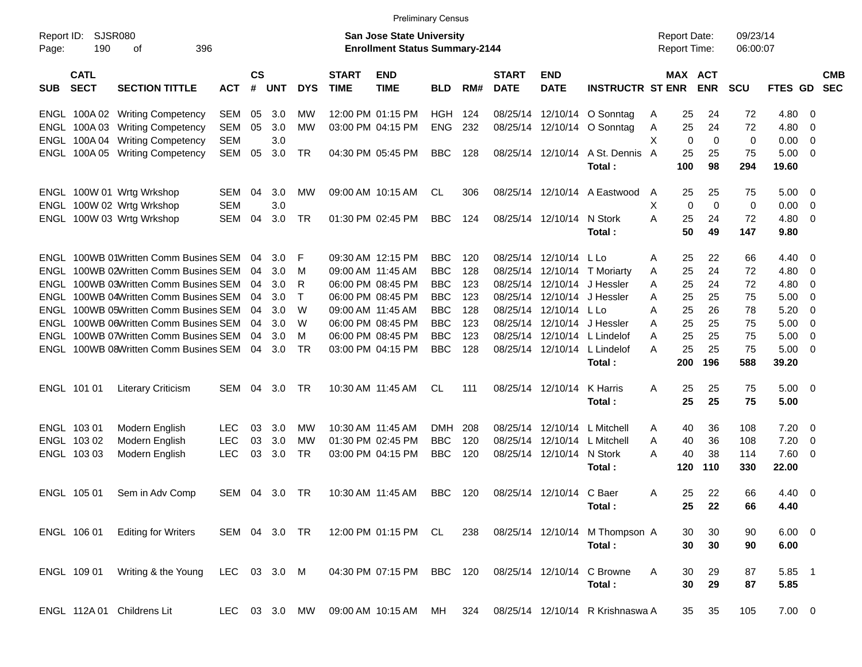| <b>Preliminary Census</b> |  |
|---------------------------|--|
|---------------------------|--|

| SJSR080<br>Report ID:<br>190<br>396<br>οf<br>Page: |                            |                                  |              |                    |               |            | <b>San Jose State University</b><br><b>Enrollment Status Summary-2144</b> |                           |            |       | <b>Report Date:</b><br><b>Report Time:</b> |                             |                                  | 09/23/14<br>06:00:07 |     |                       |            |                |                          |                          |
|----------------------------------------------------|----------------------------|----------------------------------|--------------|--------------------|---------------|------------|---------------------------------------------------------------------------|---------------------------|------------|-------|--------------------------------------------|-----------------------------|----------------------------------|----------------------|-----|-----------------------|------------|----------------|--------------------------|--------------------------|
| <b>SUB</b>                                         | <b>CATL</b><br><b>SECT</b> | <b>SECTION TITTLE</b>            | ACT          | $\mathsf{cs}$<br># | <b>UNT</b>    | <b>DYS</b> | <b>START</b><br><b>TIME</b>                                               | <b>END</b><br><b>TIME</b> | <b>BLD</b> | RM#   | <b>START</b><br><b>DATE</b>                | <b>END</b><br><b>DATE</b>   | <b>INSTRUCTR ST ENR</b>          |                      |     | MAX ACT<br><b>ENR</b> | <b>SCU</b> | <b>FTES GD</b> |                          | <b>CMB</b><br><b>SEC</b> |
| ENGL                                               |                            | 100A 02 Writing Competency       | SEM          | 05                 | 3.0           | МW         |                                                                           | 12:00 PM 01:15 PM         | HGH        | - 124 |                                            |                             | 08/25/14 12/10/14 O Sonntag      | A                    | 25  | 24                    | 72         | 4.80           | - 0                      |                          |
| ENGL                                               |                            | 100A 03 Writing Competency       | SEM          | 05                 | 3.0           | MW         |                                                                           | 03:00 PM 04:15 PM         | <b>ENG</b> | 232   |                                            |                             | 08/25/14 12/10/14 O Sonntag      | Α                    | 25  | 24                    | 72         | 4.80           | 0                        |                          |
| ENGL                                               |                            | 100A 04 Writing Competency       | <b>SEM</b>   |                    | 3.0           |            |                                                                           |                           |            |       |                                            |                             |                                  | X                    | 0   | 0                     | 0          | 0.00           | 0                        |                          |
| ENGL                                               |                            | 100A 05 Writing Competency       | SEM          | 05                 | 3.0           | TR         |                                                                           | 04:30 PM 05:45 PM         | <b>BBC</b> | 128   |                                            | 08/25/14 12/10/14           | A St. Dennis A                   |                      | 25  | 25                    | 75         | 5.00           | 0                        |                          |
|                                                    |                            |                                  |              |                    |               |            |                                                                           |                           |            |       |                                            |                             | Total:                           |                      | 100 | 98                    | 294        | 19.60          |                          |                          |
|                                                    |                            | ENGL 100W 01 Wrtg Wrkshop        | SEM          | 04                 | 3.0           | МW         |                                                                           | 09:00 AM 10:15 AM         | CL.        | 306   |                                            |                             | 08/25/14 12/10/14 A Eastwood     | A                    | 25  | 25                    | 75         | 5.00           | - 0                      |                          |
| ENGL                                               |                            | 100W 02 Wrtg Wrkshop             | <b>SEM</b>   |                    | 3.0           |            |                                                                           |                           |            |       |                                            |                             |                                  | X                    | 0   | $\mathbf 0$           | 0          | 0.00           | $\overline{\mathbf{0}}$  |                          |
|                                                    |                            | ENGL 100W 03 Wrtg Wrkshop        | <b>SEM</b>   | 04                 | 3.0           | TR         |                                                                           | 01:30 PM 02:45 PM         | <b>BBC</b> | 124   |                                            | 08/25/14 12/10/14           | N Stork                          | A                    | 25  | 24                    | 72         | 4.80           | $\overline{0}$           |                          |
|                                                    |                            |                                  |              |                    |               |            |                                                                           |                           |            |       |                                            |                             | Total:                           |                      | 50  | 49                    | 147        | 9.80           |                          |                          |
| ENGL                                               |                            | 100WB 01Written Comm Busines SEM |              | 04                 | 3.0           | F          |                                                                           | 09:30 AM 12:15 PM         | <b>BBC</b> | 120   |                                            | 08/25/14 12/10/14 L Lo      |                                  | Α                    | 25  | 22                    | 66         | 4.40 0         |                          |                          |
| ENGL                                               |                            | 100WB 02Written Comm Busines SEM |              | 04                 | 3.0           | м          |                                                                           | 09:00 AM 11:45 AM         | <b>BBC</b> | 128   |                                            |                             | 08/25/14 12/10/14 T Moriarty     | Α                    | 25  | 24                    | 72         | 4.80           | $\overline{\mathbf{0}}$  |                          |
| ENGL                                               |                            | 100WB 03Written Comm Busines SEM |              | 04                 | 3.0           | R          |                                                                           | 06:00 PM 08:45 PM         | <b>BBC</b> | 123   |                                            |                             | 08/25/14 12/10/14 J Hessler      | A                    | 25  | 24                    | 72         | 4.80           | 0                        |                          |
| ENGL                                               |                            | 100WB 04Written Comm Busines SEM |              | 04                 | 3.0           | Т          |                                                                           | 06:00 PM 08:45 PM         | <b>BBC</b> | 123   |                                            |                             | 08/25/14 12/10/14 J Hessler      | Α                    | 25  | 25                    | 75         | 5.00           | 0                        |                          |
| ENGL                                               |                            | 100WB 05Written Comm Busines SEM |              | 04                 | 3.0           | W          |                                                                           | 09:00 AM 11:45 AM         | <b>BBC</b> | 128   |                                            | 08/25/14 12/10/14 L Lo      |                                  | A                    | 25  | 26                    | 78         | 5.20           | - 0                      |                          |
| ENGL                                               |                            | 100WB 06Written Comm Busines SEM |              | 04                 | 3.0           | W          |                                                                           | 06:00 PM 08:45 PM         | <b>BBC</b> | 123   |                                            | 08/25/14 12/10/14 J Hessler |                                  | A                    | 25  | 25                    | 75         | 5.00           | 0                        |                          |
| ENGL                                               |                            | 100WB 07Written Comm Busines SEM |              | 04                 | 3.0           | M          |                                                                           | 06:00 PM 08:45 PM         | <b>BBC</b> | 123   |                                            |                             | 08/25/14 12/10/14 L Lindelof     | Α                    | 25  | 25                    | 75         | 5.00           | 0                        |                          |
| ENGL                                               |                            | 100WB 08Written Comm Busines SEM |              | 04                 | 3.0           | TR         |                                                                           | 03:00 PM 04:15 PM         | <b>BBC</b> | 128   |                                            |                             | 08/25/14 12/10/14 L Lindelof     | A                    | 25  | 25                    | 75         | 5.00           | - 0                      |                          |
|                                                    |                            |                                  |              |                    |               |            |                                                                           |                           |            |       |                                            |                             | Total:                           |                      | 200 | 196                   | 588        | 39.20          |                          |                          |
|                                                    | ENGL 101 01                | <b>Literary Criticism</b>        | <b>SEM</b>   | 04                 | 3.0           | TR         |                                                                           | 10:30 AM 11:45 AM         | CL         | 111   |                                            | 08/25/14 12/10/14           | K Harris                         | Α                    | 25  | 25                    | 75         | 5.00           | $\overline{\phantom{0}}$ |                          |
|                                                    |                            |                                  |              |                    |               |            |                                                                           |                           |            |       |                                            |                             | Total:                           |                      | 25  | 25                    | 75         | 5.00           |                          |                          |
| ENGL                                               | 103 01                     | Modern English                   | <b>LEC</b>   | 03                 | 3.0           | МW         |                                                                           | 10:30 AM 11:45 AM         | <b>DMH</b> | 208   |                                            | 08/25/14 12/10/14           | L Mitchell                       | Α                    | 40  | 36                    | 108        | 7.20           | - 0                      |                          |
|                                                    | ENGL 103 02                | Modern English                   | <b>LEC</b>   | 03                 | 3.0           | МW         |                                                                           | 01:30 PM 02:45 PM         | <b>BBC</b> | 120   |                                            | 08/25/14 12/10/14           | L Mitchell                       | A                    | 40  | 36                    | 108        | 7.20           | $\overline{\mathbf{0}}$  |                          |
|                                                    | ENGL 103 03                | Modern English                   | <b>LEC</b>   | 03                 | 3.0           | TR         |                                                                           | 03:00 PM 04:15 PM         | <b>BBC</b> | 120   |                                            | 08/25/14 12/10/14 N Stork   |                                  | Α                    | 40  | 38                    | 114        | 7.60           | $\overline{\mathbf{0}}$  |                          |
|                                                    |                            |                                  |              |                    |               |            |                                                                           |                           |            |       |                                            |                             | Total:                           |                      | 120 | 110                   | 330        | 22.00          |                          |                          |
|                                                    | ENGL 105 01                | Sem in Adv Comp                  | SEM          | 04                 | 3.0           | TR         |                                                                           | 10:30 AM 11:45 AM         | <b>BBC</b> | 120   |                                            | 08/25/14 12/10/14           | C Baer                           | A                    | 25  | 22                    | 66         | 4.40           | $\overline{\phantom{0}}$ |                          |
|                                                    |                            |                                  |              |                    |               |            |                                                                           |                           |            |       |                                            |                             | Total:                           |                      | 25  | 22                    | 66         | 4.40           |                          |                          |
|                                                    | ENGL 106 01                | <b>Editing for Writers</b>       | SEM 04 3.0   |                    |               | TR         |                                                                           | 12:00 PM 01:15 PM         | CL         | 238   |                                            |                             | 08/25/14 12/10/14 M Thompson A   |                      | 30  | 30                    | 90         | $6.00 \quad 0$ |                          |                          |
|                                                    |                            |                                  |              |                    |               |            |                                                                           |                           |            |       |                                            |                             | Total:                           |                      | 30  | 30                    | 90         | 6.00           |                          |                          |
|                                                    | ENGL 109 01                | Writing & the Young              | LEC 03 3.0 M |                    |               |            |                                                                           | 04:30 PM 07:15 PM         | BBC 120    |       |                                            | 08/25/14 12/10/14           | C Browne                         | A                    | 30  | 29                    | 87         | 5.85 1         |                          |                          |
|                                                    |                            |                                  |              |                    |               |            |                                                                           |                           |            |       |                                            |                             | Total:                           |                      | 30  | 29                    | 87         | 5.85           |                          |                          |
|                                                    |                            | ENGL 112A 01 Childrens Lit       |              |                    | LEC 03 3.0 MW |            |                                                                           | 09:00 AM 10:15 AM MH      |            | 324   |                                            |                             | 08/25/14 12/10/14 R Krishnaswa A |                      | 35  | 35                    | 105        | $7.00 \t 0$    |                          |                          |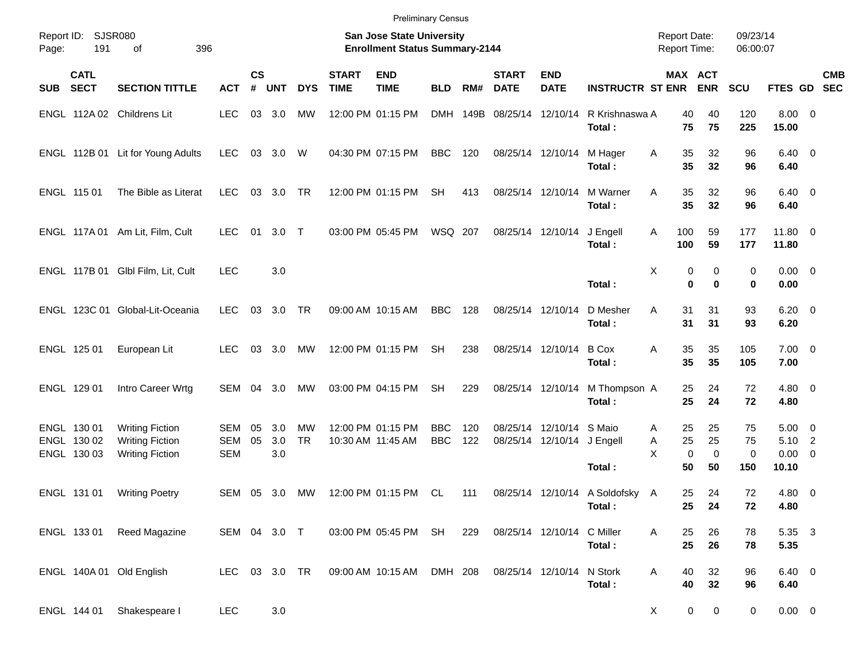| <b>Preliminary Census</b> |
|---------------------------|
|---------------------------|

| Page:      | Report ID: SJSR080<br>191                 | 396<br>οf                                                                  |                          | <b>San Jose State University</b><br><b>Enrollment Status Summary-2144</b> |                   |                        |                             |                                        |                          |            |                             |                                                        |                          | <b>Report Date:</b><br>Report Time: |                                              | 09/23/14<br>06:00:07 |                                                  |  |            |  |  |
|------------|-------------------------------------------|----------------------------------------------------------------------------|--------------------------|---------------------------------------------------------------------------|-------------------|------------------------|-----------------------------|----------------------------------------|--------------------------|------------|-----------------------------|--------------------------------------------------------|--------------------------|-------------------------------------|----------------------------------------------|----------------------|--------------------------------------------------|--|------------|--|--|
| <b>SUB</b> | <b>CATL</b><br><b>SECT</b>                | <b>SECTION TITTLE</b>                                                      | <b>ACT</b>               | $\mathsf{cs}$<br>#                                                        | <b>UNT</b>        | <b>DYS</b>             | <b>START</b><br><b>TIME</b> | <b>END</b><br><b>TIME</b>              | <b>BLD</b>               | RM#        | <b>START</b><br><b>DATE</b> | <b>END</b><br><b>DATE</b>                              | <b>INSTRUCTR ST ENR</b>  |                                     | MAX ACT<br><b>ENR</b>                        | <b>SCU</b>           | FTES GD SEC                                      |  | <b>CMB</b> |  |  |
|            |                                           | ENGL 112A 02 Childrens Lit                                                 | <b>LEC</b>               |                                                                           | 03 3.0            | MW                     |                             | 12:00 PM 01:15 PM                      |                          |            | DMH 149B 08/25/14 12/10/14  |                                                        | R Krishnaswa A<br>Total: | 40<br>75                            | 40<br>75                                     | 120<br>225           | $8.00 \ 0$<br>15.00                              |  |            |  |  |
|            |                                           | ENGL 112B 01 Lit for Young Adults                                          | <b>LEC</b>               |                                                                           | 03 3.0            | W                      |                             | 04:30 PM 07:15 PM                      | <b>BBC</b>               | 120        |                             | 08/25/14 12/10/14                                      | M Hager<br>Total:        | Α<br>35<br>35                       | 32<br>32                                     | 96<br>96             | $6.40 \quad 0$<br>6.40                           |  |            |  |  |
|            | ENGL 115 01                               | The Bible as Literat                                                       | <b>LEC</b>               |                                                                           | 03 3.0            | <b>TR</b>              |                             | 12:00 PM 01:15 PM                      | <b>SH</b>                | 413        | 08/25/14 12/10/14           |                                                        | M Warner<br>Total:       | 35<br>A<br>35                       | 32<br>32                                     | 96<br>96             | $6.40 \quad 0$<br>6.40                           |  |            |  |  |
|            |                                           | ENGL 117A 01 Am Lit, Film, Cult                                            | <b>LEC</b>               | 01                                                                        | $3.0$ T           |                        |                             | 03:00 PM 05:45 PM                      | WSQ 207                  |            | 08/25/14 12/10/14           |                                                        | J Engell<br>Total:       | A<br>100<br>100                     | 59<br>59                                     | 177<br>177           | 11.80 0<br>11.80                                 |  |            |  |  |
|            |                                           | ENGL 117B 01 Glbl Film, Lit, Cult                                          | <b>LEC</b>               |                                                                           | 3.0               |                        |                             |                                        |                          |            |                             |                                                        | Total:                   | Χ                                   | 0<br>0<br>0<br>$\bf{0}$                      | 0<br>0               | $0.00 \t 0$<br>0.00                              |  |            |  |  |
|            |                                           | ENGL 123C 01 Global-Lit-Oceania                                            | <b>LEC</b>               |                                                                           | 03 3.0            | TR                     |                             | 09:00 AM 10:15 AM                      | <b>BBC</b>               | 128        | 08/25/14 12/10/14           |                                                        | D Mesher<br>Total:       | A<br>31<br>31                       | 31<br>31                                     | 93<br>93             | $6.20 \quad 0$<br>6.20                           |  |            |  |  |
|            | ENGL 125 01                               | European Lit                                                               | <b>LEC</b>               |                                                                           | 03 3.0            | МW                     |                             | 12:00 PM 01:15 PM                      | <b>SH</b>                | 238        |                             | 08/25/14 12/10/14                                      | <b>B</b> Cox<br>Total:   | 35<br>Α<br>35                       | 35<br>35                                     | 105<br>105           | $7.00 \t 0$<br>7.00                              |  |            |  |  |
|            | ENGL 129 01                               | Intro Career Wrtg                                                          | SEM 04                   |                                                                           | 3.0               | МW                     |                             | 03:00 PM 04:15 PM                      | <b>SH</b>                | 229        |                             | 08/25/14 12/10/14                                      | M Thompson A<br>Total:   | 25<br>25                            | 24<br>24                                     | 72<br>72             | $4.80\ 0$<br>4.80                                |  |            |  |  |
|            | ENGL 130 01<br>ENGL 130 02<br>ENGL 130 03 | <b>Writing Fiction</b><br><b>Writing Fiction</b><br><b>Writing Fiction</b> | SEM<br>SEM<br><b>SEM</b> | 05<br>05                                                                  | 3.0<br>3.0<br>3.0 | <b>MW</b><br><b>TR</b> |                             | 12:00 PM 01:15 PM<br>10:30 AM 11:45 AM | <b>BBC</b><br><b>BBC</b> | 120<br>122 |                             | 08/25/14 12/10/14 S Maio<br>08/25/14 12/10/14 J Engell | Total:                   | 25<br>A<br>25<br>A<br>X<br>50       | 25<br>25<br>$\mathbf 0$<br>$\mathbf 0$<br>50 | 75<br>75<br>0<br>150 | $5.00 \quad 0$<br>5.10 2<br>$0.00 \t 0$<br>10.10 |  |            |  |  |
|            | ENGL 131 01                               | <b>Writing Poetry</b>                                                      | <b>SEM</b>               | 05                                                                        | 3.0               | MW                     |                             | 12:00 PM 01:15 PM                      | CL                       | 111        | 08/25/14 12/10/14           |                                                        | A Soldofsky<br>Total:    | 25<br>A<br>25                       | 24<br>24                                     | 72<br>72             | 4.80 0<br>4.80                                   |  |            |  |  |
|            | ENGL 133 01                               | Reed Magazine                                                              | SEM 04 3.0 T             |                                                                           |                   |                        |                             | 03:00 PM 05:45 PM SH                   |                          | 229        |                             | 08/25/14 12/10/14 C Miller                             | Total:                   | 25<br>Α<br>25                       | 26<br>26                                     | 78<br>78             | 5.35 3<br>5.35                                   |  |            |  |  |
|            |                                           | ENGL 140A 01 Old English                                                   | LEC 03 3.0 TR            |                                                                           |                   |                        |                             | 09:00 AM 10:15 AM                      | DMH 208                  |            | 08/25/14 12/10/14           |                                                        | N Stork<br>Total:        | Α<br>40<br>40                       | 32<br>32                                     | 96<br>96             | $6.40\ 0$<br>6.40                                |  |            |  |  |
|            | ENGL 144 01                               | Shakespeare I                                                              | LEC                      |                                                                           | 3.0               |                        |                             |                                        |                          |            |                             |                                                        |                          | X                                   | $\mathbf 0$<br>$\mathbf 0$                   | 0                    | $0.00 \t 0$                                      |  |            |  |  |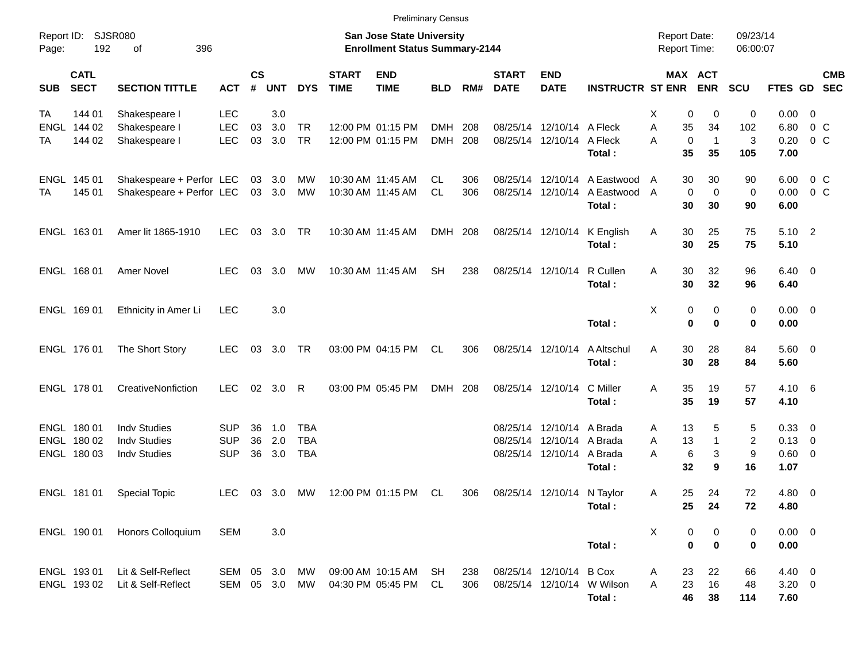| <b>Preliminary Census</b><br><b>Report Date:</b> |                                           |                                                                   |                                                                           |                    |                   |                                        |                             |                                        |                          |            |                             |                                                                   |                                                                        |                               |                                                     |                      |                                            |                                             |
|--------------------------------------------------|-------------------------------------------|-------------------------------------------------------------------|---------------------------------------------------------------------------|--------------------|-------------------|----------------------------------------|-----------------------------|----------------------------------------|--------------------------|------------|-----------------------------|-------------------------------------------------------------------|------------------------------------------------------------------------|-------------------------------|-----------------------------------------------------|----------------------|--------------------------------------------|---------------------------------------------|
| Report ID:<br>Page:                              | 192                                       | <b>SJSR080</b><br>οf<br>396                                       | <b>San Jose State University</b><br><b>Enrollment Status Summary-2144</b> |                    |                   |                                        |                             |                                        |                          |            |                             |                                                                   |                                                                        |                               | 09/23/14<br>06:00:07                                |                      |                                            |                                             |
| <b>SUB</b>                                       | <b>CATL</b><br><b>SECT</b>                | <b>SECTION TITTLE</b>                                             | <b>ACT</b>                                                                | $\mathsf{cs}$<br># | <b>UNT</b>        | <b>DYS</b>                             | <b>START</b><br><b>TIME</b> | <b>END</b><br><b>TIME</b>              | <b>BLD</b>               | RM#        | <b>START</b><br><b>DATE</b> | <b>END</b><br><b>DATE</b>                                         | <b>INSTRUCTR ST ENR</b>                                                |                               | MAX ACT<br><b>ENR</b>                               | <b>SCU</b>           |                                            | <b>CMB</b><br>FTES GD SEC                   |
| TA<br>TA                                         | 144 01<br>ENGL 144 02<br>144 02           | Shakespeare I<br>Shakespeare I<br>Shakespeare I                   | <b>LEC</b><br><b>LEC</b><br><b>LEC</b>                                    | 03<br>03           | 3.0<br>3.0<br>3.0 | <b>TR</b><br><b>TR</b>                 |                             | 12:00 PM 01:15 PM<br>12:00 PM 01:15 PM | <b>DMH</b><br><b>DMH</b> | 208<br>208 |                             | 08/25/14 12/10/14 A Fleck<br>08/25/14 12/10/14 A Fleck            | Total:                                                                 | х<br>Α<br>35<br>Α<br>35       | 0<br>0<br>34<br>$\mathbf 0$<br>$\overline{1}$<br>35 | 0<br>102<br>3<br>105 | 0.00<br>6.80<br>0.20<br>7.00               | $\overline{0}$<br>$0\,$ C<br>0 <sup>o</sup> |
| TA                                               | ENGL 145 01<br>145 01                     | Shakespeare + Perfor LEC<br>Shakespeare + Perfor LEC              |                                                                           |                    | 03 3.0<br>03 3.0  | MW<br>MW                               |                             | 10:30 AM 11:45 AM<br>10:30 AM 11:45 AM | CL.<br>CL                | 306<br>306 |                             |                                                                   | 08/25/14 12/10/14 A Eastwood<br>08/25/14 12/10/14 A Eastwood<br>Total: | 30<br>A<br>A<br>30            | 30<br>$\mathbf 0$<br>0<br>30                        | 90<br>0<br>90        | 6.00<br>0.00<br>6.00                       | $0\,$ C<br>0 <sup>o</sup>                   |
|                                                  | ENGL 163 01                               | Amer lit 1865-1910                                                | <b>LEC</b>                                                                |                    | 03 3.0            | TR                                     |                             | 10:30 AM 11:45 AM                      | DMH 208                  |            |                             |                                                                   | 08/25/14 12/10/14 K English<br>Total:                                  | 30<br>A<br>30                 | 25<br>25                                            | 75<br>75             | 5.10 2<br>5.10                             |                                             |
|                                                  | ENGL 168 01                               | <b>Amer Novel</b>                                                 | <b>LEC</b>                                                                | 03                 | 3.0               | MW                                     |                             | 10:30 AM 11:45 AM                      | <b>SH</b>                | 238        |                             | 08/25/14 12/10/14                                                 | R Cullen<br>Total:                                                     | 30<br>A<br>30                 | 32<br>32                                            | 96<br>96             | $6.40 \quad 0$<br>6.40                     |                                             |
|                                                  | ENGL 169 01                               | Ethnicity in Amer Li                                              | <b>LEC</b>                                                                |                    | 3.0               |                                        |                             |                                        |                          |            |                             |                                                                   | Total:                                                                 | X                             | 0<br>0<br>$\bf{0}$<br>$\bf{0}$                      | 0<br>0               | $0.00 \t 0$<br>0.00                        |                                             |
|                                                  | ENGL 176 01                               | The Short Story                                                   | <b>LEC</b>                                                                |                    | 03 3.0            | TR                                     |                             | 03:00 PM 04:15 PM                      | CL.                      | 306        |                             | 08/25/14 12/10/14                                                 | A Altschul<br>Total:                                                   | 30<br>A<br>30                 | 28<br>28                                            | 84<br>84             | $5.60$ 0<br>5.60                           |                                             |
|                                                  | ENGL 178 01                               | CreativeNonfiction                                                | <b>LEC</b>                                                                |                    | 02 3.0            | R                                      |                             | 03:00 PM 05:45 PM                      | DMH 208                  |            |                             | 08/25/14 12/10/14                                                 | C Miller<br>Total:                                                     | 35<br>Α<br>35                 | 19<br>19                                            | 57<br>57             | 4.10 6<br>4.10                             |                                             |
|                                                  | ENGL 180 01<br>ENGL 180 02<br>ENGL 180 03 | <b>Indv Studies</b><br><b>Indv Studies</b><br><b>Indv Studies</b> | SUP<br><b>SUP</b><br><b>SUP</b>                                           | 36<br>36<br>36     | 1.0<br>2.0<br>3.0 | <b>TBA</b><br><b>TBA</b><br><b>TBA</b> |                             |                                        |                          |            | 08/25/14<br>08/25/14        | 12/10/14 A Brada<br>12/10/14 A Brada<br>08/25/14 12/10/14 A Brada | Total:                                                                 | 13<br>A<br>13<br>Α<br>Α<br>32 | 5<br>$\mathbf{1}$<br>$\,6$<br>3<br>9                | 5<br>2<br>9<br>16    | 0.33 0<br>$0.13 \quad 0$<br>0.60 0<br>1.07 |                                             |
|                                                  | ENGL 181 01                               | <b>Special Topic</b>                                              | <b>LEC</b>                                                                |                    | 03 3.0            | МW                                     |                             | 12:00 PM 01:15 PM                      | CL                       | 306        |                             | 08/25/14 12/10/14 N Taylor                                        | Total:                                                                 | 25<br>A<br>25                 | 24<br>24                                            | 72<br>72             | 4.80 0<br>4.80                             |                                             |
|                                                  | ENGL 190 01                               | Honors Colloquium                                                 | SEM                                                                       |                    | 3.0               |                                        |                             |                                        |                          |            |                             |                                                                   | Total:                                                                 | Χ                             | 0<br>0<br>$\pmb{0}$<br>$\bf{0}$                     | 0<br>0               | $0.00 \t 0$<br>0.00                        |                                             |
|                                                  | ENGL 193 01<br>ENGL 193 02                | Lit & Self-Reflect<br>Lit & Self-Reflect                          | SEM 05 3.0<br>SEM 05 3.0                                                  |                    |                   | МW<br>MW                               |                             | 09:00 AM 10:15 AM<br>04:30 PM 05:45 PM | <b>SH</b><br>CL          | 238<br>306 |                             | 08/25/14 12/10/14 B Cox                                           | 08/25/14 12/10/14 W Wilson<br>Total:                                   | 23<br>Α<br>23<br>Α<br>46      | 22<br>16<br>38                                      | 66<br>48<br>114      | $4.40 \ 0$<br>$3.20 \ 0$<br>7.60           |                                             |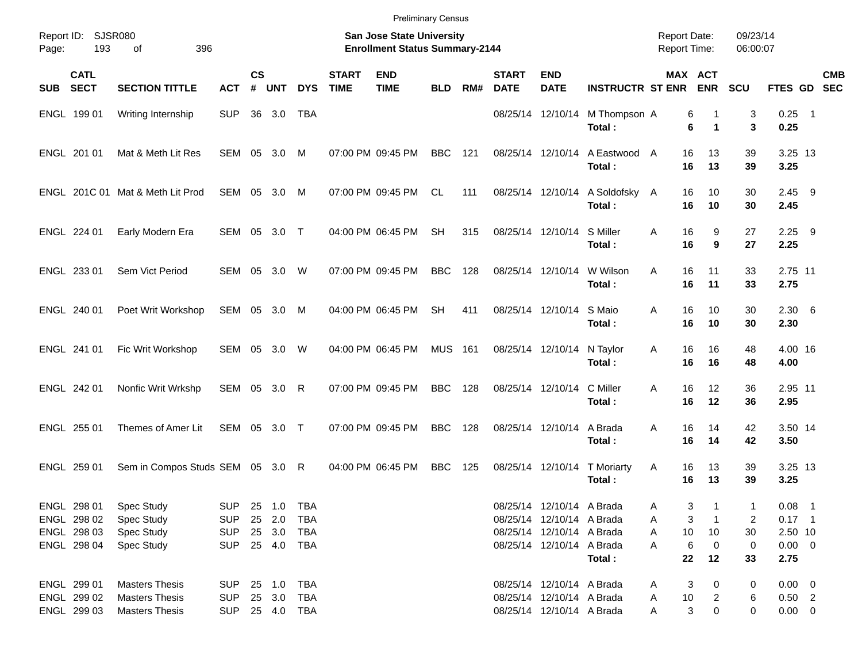|                                       |                                  |                                                                           |                    |               |            |                             | <b>Preliminary Census</b> |                |     |                             |                            |                                         |               |                       |            |                       |            |
|---------------------------------------|----------------------------------|---------------------------------------------------------------------------|--------------------|---------------|------------|-----------------------------|---------------------------|----------------|-----|-----------------------------|----------------------------|-----------------------------------------|---------------|-----------------------|------------|-----------------------|------------|
| Report ID:<br>SJSR080<br>193<br>Page: |                                  | <b>San Jose State University</b><br><b>Enrollment Status Summary-2144</b> |                    |               |            |                             |                           |                |     |                             |                            |                                         |               | 09/23/14<br>06:00:07  |            |                       |            |
| <b>CATL</b><br>SUB SECT               | <b>SECTION TITTLE</b>            | <b>ACT</b>                                                                | $\mathsf{cs}$<br># | <b>UNT</b>    | <b>DYS</b> | <b>START</b><br><b>TIME</b> | <b>END</b><br><b>TIME</b> | <b>BLD</b>     | RM# | <b>START</b><br><b>DATE</b> | <b>END</b><br><b>DATE</b>  | <b>INSTRUCTR ST ENR</b>                 |               | MAX ACT<br><b>ENR</b> | <b>SCU</b> | FTES GD SEC           | <b>CMB</b> |
| ENGL 199 01                           | Writing Internship               | <b>SUP</b>                                                                | 36                 | 3.0           | TBA        |                             |                           |                |     |                             | 08/25/14 12/10/14          | M Thompson A<br>Total:                  |               | 6<br>6<br>1           | 3<br>3     | $0.25$ 1<br>0.25      |            |
| ENGL 201 01                           | Mat & Meth Lit Res               | SEM 05                                                                    |                    | 3.0           | M          |                             | 07:00 PM 09:45 PM         | <b>BBC</b>     | 121 |                             | 08/25/14 12/10/14          | A Eastwood<br>Total:                    | 16<br>A<br>16 | 13<br>13              | 39<br>39   | 3.25 13<br>3.25       |            |
|                                       | ENGL 201C 01 Mat & Meth Lit Prod | SEM 05 3.0                                                                |                    |               | M          |                             | 07:00 PM 09:45 PM         | CL             | 111 |                             |                            | 08/25/14 12/10/14 A Soldofsky<br>Total: | 16<br>A<br>16 | 10<br>10              | 30<br>30   | $2.45$ 9<br>2.45      |            |
| ENGL 224 01                           | Early Modern Era                 | SEM 05 3.0 T                                                              |                    |               |            |                             | 04:00 PM 06:45 PM         | <b>SH</b>      | 315 |                             | 08/25/14 12/10/14 S Miller | Total:                                  | A<br>16<br>16 | 9<br>9                | 27<br>27   | $2.25$ 9<br>2.25      |            |
| ENGL 233 01                           | Sem Vict Period                  | SEM                                                                       | 05                 | 3.0           | W          |                             | 07:00 PM 09:45 PM         | <b>BBC</b>     | 128 |                             | 08/25/14 12/10/14          | W Wilson<br>Total:                      | A<br>16<br>16 | 11<br>11              | 33<br>33   | 2.75 11<br>2.75       |            |
| ENGL 240 01                           | Poet Writ Workshop               | SEM 05 3.0                                                                |                    |               | M          |                             | 04:00 PM 06:45 PM         | <b>SH</b>      | 411 |                             | 08/25/14 12/10/14 S Maio   | Total:                                  | A<br>16<br>16 | 10<br>10              | 30<br>30   | $2.30\quad 6$<br>2.30 |            |
| ENGL 241 01                           | Fic Writ Workshop                | SEM                                                                       | 05                 | 3.0           | W          |                             | 04:00 PM 06:45 PM         | <b>MUS</b> 161 |     |                             | 08/25/14 12/10/14          | N Taylor<br>Total:                      | 16<br>A<br>16 | 16<br>16              | 48<br>48   | 4.00 16<br>4.00       |            |
| ENGL 242 01                           | Nonfic Writ Wrkshp               | SEM 05                                                                    |                    | $3.0 \quad R$ |            |                             | 07:00 PM 09:45 PM         | <b>BBC</b>     | 128 |                             | 08/25/14 12/10/14          | C Miller<br>Total:                      | 16<br>A<br>16 | 12<br>12              | 36<br>36   | 2.95 11<br>2.95       |            |
| ENGL 255 01                           | Themes of Amer Lit               | SEM 05 3.0 T                                                              |                    |               |            |                             | 07:00 PM 09:45 PM         | <b>BBC</b>     | 128 |                             | 08/25/14 12/10/14          | A Brada<br>Total:                       | 16<br>A<br>16 | 14<br>14              | 42<br>42   | 3.50 14<br>3.50       |            |
| ENGL 259 01                           | Sem in Compos Studs SEM 05 3.0 R |                                                                           |                    |               |            |                             | 04:00 PM 06:45 PM         | <b>BBC</b>     | 125 |                             |                            | 08/25/14 12/10/14 T Moriarty<br>Total:  | A<br>16<br>16 | 13<br>13              | 39<br>39   | 3.25 13<br>3.25       |            |
| ENGL 298 01                           | Spec Study                       | <b>SUP</b>                                                                |                    | 25 1.0        | TBA        |                             |                           |                |     |                             | 08/25/14 12/10/14 A Brada  |                                         | Α             | 3                     | 1          | $0.08$ 1              |            |
| ENGL 298 02                           | Spec Study                       | <b>SUP</b>                                                                |                    | 25 2.0        | TBA        |                             |                           |                |     |                             | 08/25/14 12/10/14 A Brada  |                                         | A             | 3                     | 2          | $0.17$ 1              |            |
| ENGL 298 03                           | Spec Study                       | <b>SUP</b>                                                                |                    | 25 3.0        | TBA        |                             |                           |                |     |                             | 08/25/14 12/10/14 A Brada  |                                         | 10<br>A       | 10                    | 30         | 2.50 10               |            |
| ENGL 298 04                           | <b>Spec Study</b>                | <b>SUP</b>                                                                |                    | 25 4.0        | TBA        |                             |                           |                |     |                             | 08/25/14 12/10/14 A Brada  |                                         | A             | 6<br>0                | 0          | $0.00 \t 0$           |            |
|                                       |                                  |                                                                           |                    |               |            |                             |                           |                |     |                             |                            | Total:                                  | 22            | 12                    | 33         | 2.75                  |            |
| ENGL 299 01                           | <b>Masters Thesis</b>            | <b>SUP</b>                                                                |                    | 25 1.0        | TBA        |                             |                           |                |     |                             | 08/25/14 12/10/14 A Brada  |                                         | A             | 3<br>0                | 0          | $0.00 \t 0$           |            |
| ENGL 299 02                           | <b>Masters Thesis</b>            | <b>SUP</b>                                                                |                    | 25 3.0        | TBA        |                             |                           |                |     |                             | 08/25/14 12/10/14 A Brada  |                                         | 10<br>A       | 2                     | 6          | $0.50$ 2              |            |
| ENGL 299 03                           | <b>Masters Thesis</b>            | SUP 25 4.0 TBA                                                            |                    |               |            |                             |                           |                |     |                             | 08/25/14 12/10/14 A Brada  |                                         | A             | 3<br>0                | 0          | $0.00 \t 0$           |            |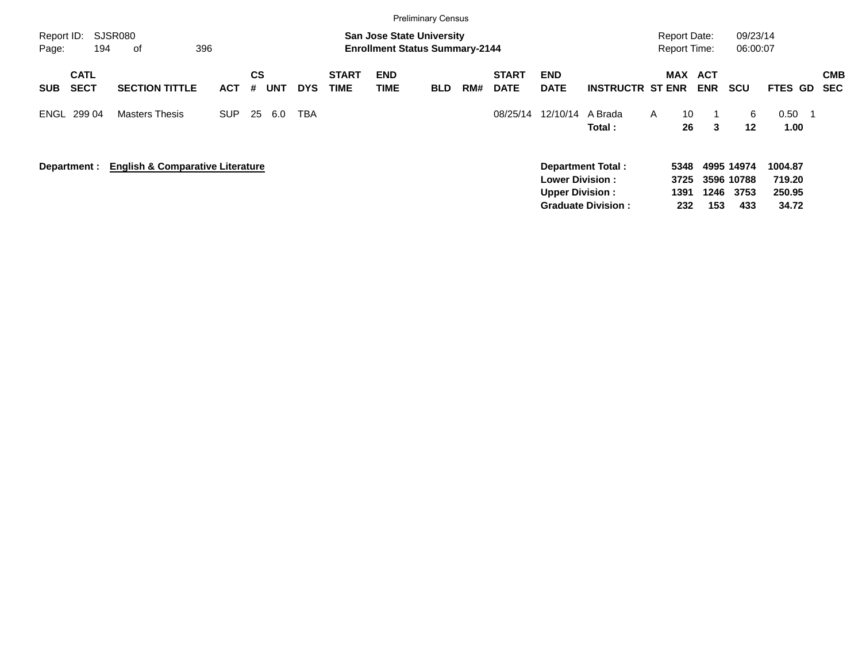|                                          |                                             |            |                |            |            |                             | <b>Preliminary Census</b>                                                 |            |     |                             |                                                  |                                                       |                                     |                       |                                         |                                      |                          |
|------------------------------------------|---------------------------------------------|------------|----------------|------------|------------|-----------------------------|---------------------------------------------------------------------------|------------|-----|-----------------------------|--------------------------------------------------|-------------------------------------------------------|-------------------------------------|-----------------------|-----------------------------------------|--------------------------------------|--------------------------|
| Report ID:<br>194<br>Page:               | <b>SJSR080</b><br>396<br>οf                 |            |                |            |            |                             | <b>San Jose State University</b><br><b>Enrollment Status Summary-2144</b> |            |     |                             |                                                  |                                                       | Report Date:<br><b>Report Time:</b> |                       | 09/23/14<br>06:00:07                    |                                      |                          |
| <b>CATL</b><br><b>SECT</b><br><b>SUB</b> | <b>SECTION TITTLE</b>                       | <b>ACT</b> | <b>CS</b><br># | <b>UNT</b> | <b>DYS</b> | <b>START</b><br><b>TIME</b> | <b>END</b><br><b>TIME</b>                                                 | <b>BLD</b> | RM# | <b>START</b><br><b>DATE</b> | <b>END</b><br><b>DATE</b>                        | <b>INSTRUCTR ST ENR</b>                               |                                     | MAX ACT<br><b>ENR</b> | <b>SCU</b>                              | FTES GD                              | <b>CMB</b><br><b>SEC</b> |
| ENGL 299 04                              | <b>Masters Thesis</b>                       | SUP.       | 25             | 6.0        | <b>TBA</b> |                             |                                                                           |            |     | 08/25/14                    | 12/10/14                                         | A Brada<br>Total:                                     | A                                   | 10<br>26<br>3         | 6<br>$12 \,$                            | 0.50<br>- 1<br>1.00 <sub>1</sub>     |                          |
| Department :                             | <b>English &amp; Comparative Literature</b> |            |                |            |            |                             |                                                                           |            |     |                             | <b>Lower Division:</b><br><b>Upper Division:</b> | <b>Department Total:</b><br><b>Graduate Division:</b> | 5348<br>3725<br>1391<br>232         | 1246<br>153           | 4995 14974<br>3596 10788<br>3753<br>433 | 1004.87<br>719.20<br>250.95<br>34.72 |                          |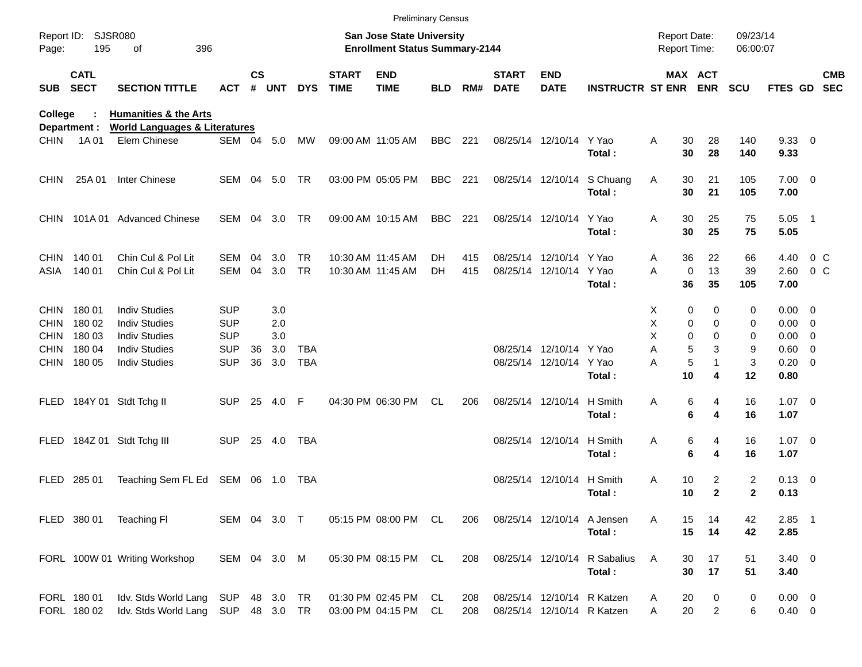|                                                                         |                                               |                                                                                                                      |                                                                    |                    |                                 |                          |                             | <b>Preliminary Census</b>                                          |            |            |                             |                                                          |                                        |                                     |                                                                                            |                       |                                                                          |                   |                          |
|-------------------------------------------------------------------------|-----------------------------------------------|----------------------------------------------------------------------------------------------------------------------|--------------------------------------------------------------------|--------------------|---------------------------------|--------------------------|-----------------------------|--------------------------------------------------------------------|------------|------------|-----------------------------|----------------------------------------------------------|----------------------------------------|-------------------------------------|--------------------------------------------------------------------------------------------|-----------------------|--------------------------------------------------------------------------|-------------------|--------------------------|
| Page:                                                                   | Report ID: SJSR080<br>195                     | 396<br>οf                                                                                                            |                                                                    |                    |                                 |                          |                             | San Jose State University<br><b>Enrollment Status Summary-2144</b> |            |            |                             |                                                          |                                        | <b>Report Date:</b><br>Report Time: |                                                                                            | 09/23/14<br>06:00:07  |                                                                          |                   |                          |
| <b>SUB</b>                                                              | <b>CATL</b><br><b>SECT</b>                    | <b>SECTION TITTLE</b>                                                                                                | <b>ACT</b>                                                         | $\mathsf{cs}$<br># | <b>UNT</b>                      | <b>DYS</b>               | <b>START</b><br><b>TIME</b> | <b>END</b><br><b>TIME</b>                                          | <b>BLD</b> | RM#        | <b>START</b><br><b>DATE</b> | <b>END</b><br><b>DATE</b>                                | <b>INSTRUCTR ST ENR ENR</b>            |                                     | MAX ACT                                                                                    | <b>SCU</b>            | <b>FTES GD</b>                                                           |                   | <b>CMB</b><br><b>SEC</b> |
| College                                                                 |                                               | <b>Humanities &amp; the Arts</b><br><b>World Languages &amp; Literatures</b>                                         |                                                                    |                    |                                 |                          |                             |                                                                    |            |            |                             |                                                          |                                        |                                     |                                                                                            |                       |                                                                          |                   |                          |
| <b>CHIN</b>                                                             | Department :<br>1A 01                         | Elem Chinese                                                                                                         | SEM 04 5.0                                                         |                    |                                 | MW                       | 09:00 AM 11:05 AM           |                                                                    | <b>BBC</b> | 221        |                             | 08/25/14 12/10/14 Y Yao                                  | Total:                                 | Α<br>30<br>30                       | 28<br>28                                                                                   | 140<br>140            | 9.3300<br>9.33                                                           |                   |                          |
| <b>CHIN</b>                                                             | 25A 01                                        | Inter Chinese                                                                                                        | SEM 04 5.0                                                         |                    |                                 | TR                       |                             | 03:00 PM 05:05 PM                                                  | <b>BBC</b> | 221        |                             |                                                          | 08/25/14 12/10/14 S Chuang<br>Total:   | Α<br>30<br>30                       | 21<br>21                                                                                   | 105<br>105            | $7.00 \t 0$<br>7.00                                                      |                   |                          |
| <b>CHIN</b>                                                             |                                               | 101A 01 Advanced Chinese                                                                                             | SEM 04                                                             |                    | 3.0                             | <b>TR</b>                |                             | 09:00 AM 10:15 AM                                                  | <b>BBC</b> | 221        |                             | 08/25/14 12/10/14 Y Yao                                  | Total:                                 | 30<br>Α<br>30                       | 25<br>25                                                                                   | 75<br>75              | $5.05$ 1<br>5.05                                                         |                   |                          |
| <b>CHIN</b><br>ASIA                                                     | 140 01<br>140 01                              | Chin Cul & Pol Lit<br>Chin Cul & Pol Lit                                                                             | SEM<br><b>SEM</b>                                                  | 04<br>04           | 3.0<br>3.0                      | <b>TR</b><br><b>TR</b>   |                             | 10:30 AM 11:45 AM<br>10:30 AM 11:45 AM                             | DH<br>DH   | 415<br>415 |                             | 08/25/14 12/10/14 Y Yao<br>08/25/14 12/10/14 Y Yao       | Total:                                 | 36<br>A<br>A<br>36                  | 22<br>13<br>$\mathbf 0$<br>35                                                              | 66<br>39<br>105       | 4.40<br>2.60<br>7.00                                                     | $0\,$ C<br>$0\,C$ |                          |
| <b>CHIN</b><br><b>CHIN</b><br><b>CHIN</b><br><b>CHIN</b><br><b>CHIN</b> | 18001<br>180 02<br>180 03<br>180 04<br>180 05 | <b>Indiv Studies</b><br><b>Indiv Studies</b><br><b>Indiv Studies</b><br><b>Indiv Studies</b><br><b>Indiv Studies</b> | <b>SUP</b><br><b>SUP</b><br><b>SUP</b><br><b>SUP</b><br><b>SUP</b> | 36<br>36           | 3.0<br>2.0<br>3.0<br>3.0<br>3.0 | <b>TBA</b><br><b>TBA</b> |                             |                                                                    |            |            |                             | 08/25/14 12/10/14 Y Yao<br>08/25/14 12/10/14 Y Yao       |                                        | X.<br>Х<br>X<br>A<br>Α              | 0<br>0<br>0<br>$\Omega$<br>$\mathbf 0$<br>$\Omega$<br>5<br>3<br>$\sqrt{5}$<br>$\mathbf{1}$ | 0<br>0<br>0<br>9<br>3 | $0.00 \quad 0$<br>$0.00 \t 0$<br>$0.00 \t 0$<br>$0.60 \ 0$<br>$0.20 \ 0$ |                   |                          |
|                                                                         |                                               | FLED 184Y 01 Stdt Tchg II                                                                                            | <b>SUP</b>                                                         | 25                 | 4.0                             | F                        |                             | 04:30 PM 06:30 PM                                                  | CL         | 206        |                             | 08/25/14 12/10/14 H Smith                                | Total:<br>Total:                       | 10<br>Α                             | 4<br>6<br>4<br>6<br>4                                                                      | 12<br>16<br>16        | 0.80<br>$1.07 \t 0$<br>1.07                                              |                   |                          |
|                                                                         |                                               | FLED 184Z 01 Stdt Tchg III                                                                                           | <b>SUP</b>                                                         |                    | 25 4.0                          | TBA                      |                             |                                                                    |            |            |                             | 08/25/14 12/10/14 H Smith                                | Total:                                 | Α                                   | 6<br>4<br>6<br>4                                                                           | 16<br>16              | $1.07 \t 0$<br>1.07                                                      |                   |                          |
| <b>FLED</b>                                                             | 285 01                                        | Teaching Sem FL Ed SEM 06 1.0                                                                                        |                                                                    |                    |                                 | TBA                      |                             |                                                                    |            |            |                             | 08/25/14 12/10/14 H Smith                                | Total:                                 | Α<br>10<br>10                       | 2<br>$\mathbf{2}$                                                                          | 2<br>$\mathbf{2}$     | $0.13 \quad 0$<br>0.13                                                   |                   |                          |
|                                                                         | FLED 380 01                                   | Teaching FI                                                                                                          | SEM 04 3.0 T                                                       |                    |                                 |                          |                             | 05:15 PM 08:00 PM CL                                               |            | 206        |                             | 08/25/14 12/10/14 A Jensen                               | Total:                                 | 15<br>A<br>15                       | 14<br>14                                                                                   | 42<br>42              | $2.85$ 1<br>2.85                                                         |                   |                          |
|                                                                         |                                               | FORL 100W 01 Writing Workshop                                                                                        | SEM 04 3.0 M                                                       |                    |                                 |                          |                             | 05:30 PM 08:15 PM CL                                               |            | 208        |                             |                                                          | 08/25/14 12/10/14 R Sabalius<br>Total: | Α<br>30<br>30                       | 17<br>17                                                                                   | 51<br>51              | $3.40 \ 0$<br>3.40                                                       |                   |                          |
|                                                                         | FORL 180 01<br>FORL 180 02                    | Idv. Stds World Lang<br>Idv. Stds World Lang SUP                                                                     | <b>SUP</b>                                                         |                    | 48 3.0<br>48 3.0 TR             | TR                       |                             | 01:30 PM 02:45 PM<br>03:00 PM 04:15 PM                             | CL.<br>CL  | 208<br>208 |                             | 08/25/14 12/10/14 R Katzen<br>08/25/14 12/10/14 R Katzen |                                        | 20<br>A<br>20<br>Α                  | 0<br>$\overline{c}$                                                                        | 0<br>6                | $0.00 \t 0$<br>$0.40 \ 0$                                                |                   |                          |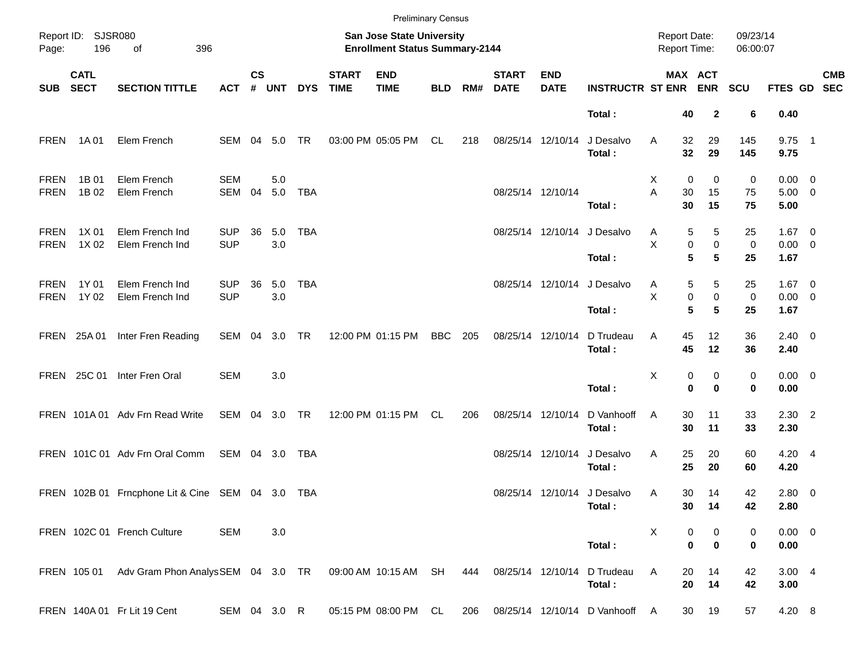|                            |                            |                                              |                          |                    |            |            |                             | <b>Preliminary Census</b>                                          |            |     |                             |                           |                                       |                                            |                                       |                      |                                    |            |
|----------------------------|----------------------------|----------------------------------------------|--------------------------|--------------------|------------|------------|-----------------------------|--------------------------------------------------------------------|------------|-----|-----------------------------|---------------------------|---------------------------------------|--------------------------------------------|---------------------------------------|----------------------|------------------------------------|------------|
| Page:                      | Report ID: SJSR080<br>196  | 396<br>of                                    |                          |                    |            |            |                             | San Jose State University<br><b>Enrollment Status Summary-2144</b> |            |     |                             |                           |                                       | <b>Report Date:</b><br><b>Report Time:</b> |                                       | 09/23/14<br>06:00:07 |                                    |            |
| <b>SUB</b>                 | <b>CATL</b><br><b>SECT</b> | <b>SECTION TITTLE</b>                        | <b>ACT</b>               | $\mathsf{cs}$<br># | UNT        | <b>DYS</b> | <b>START</b><br><b>TIME</b> | <b>END</b><br><b>TIME</b>                                          | <b>BLD</b> | RM# | <b>START</b><br><b>DATE</b> | <b>END</b><br><b>DATE</b> | <b>INSTRUCTR ST ENR</b>               |                                            | MAX ACT<br><b>ENR</b>                 | <b>SCU</b>           | FTES GD SEC                        | <b>CMB</b> |
|                            |                            |                                              |                          |                    |            |            |                             |                                                                    |            |     |                             |                           | Total:                                | 40                                         | $\mathbf{2}$                          | 6                    | 0.40                               |            |
| <b>FREN</b>                | 1A 01                      | Elem French                                  | SEM 04 5.0               |                    |            | <b>TR</b>  |                             | 03:00 PM 05:05 PM                                                  | CL.        | 218 |                             | 08/25/14 12/10/14         | J Desalvo<br>Total:                   | 32<br>Α<br>32                              | 29<br>29                              | 145<br>145           | $9.75$ 1<br>9.75                   |            |
| <b>FREN</b><br><b>FREN</b> | 1B 01<br>1B 02             | Elem French<br>Elem French                   | <b>SEM</b><br>SEM        | 04                 | 5.0<br>5.0 | <b>TBA</b> |                             |                                                                    |            |     |                             | 08/25/14 12/10/14         | Total:                                | 0<br>Х<br>A<br>30<br>30                    | 0<br>15<br>15                         | 0<br>75<br>75        | $0.00 \t 0$<br>$5.00 \t 0$<br>5.00 |            |
| <b>FREN</b><br><b>FREN</b> | 1X 01<br>1X 02             | Elem French Ind<br>Elem French Ind           | <b>SUP</b><br><b>SUP</b> | 36                 | 5.0<br>3.0 | <b>TBA</b> |                             |                                                                    |            |     |                             |                           | 08/25/14 12/10/14 J Desalvo<br>Total: | 5<br>A<br>Χ<br>5                           | 5<br>$\pmb{0}$<br>0<br>5              | 25<br>0<br>25        | $1.67$ 0<br>$0.00 \t 0$<br>1.67    |            |
| <b>FREN</b><br><b>FREN</b> | 1Y 01<br>1Y 02             | Elem French Ind<br>Elem French Ind           | <b>SUP</b><br><b>SUP</b> | 36                 | 5.0<br>3.0 | <b>TBA</b> |                             |                                                                    |            |     |                             | 08/25/14 12/10/14         | J Desalvo<br>Total:                   | A<br>Χ<br>5                                | 5<br>5<br>$\pmb{0}$<br>$\pmb{0}$<br>5 | 25<br>0<br>25        | $1.67$ 0<br>$0.00 \t 0$<br>1.67    |            |
|                            | FREN 25A 01                | Inter Fren Reading                           | SEM 04                   |                    | 3.0 TR     |            |                             | 12:00 PM 01:15 PM                                                  | <b>BBC</b> | 205 | 08/25/14 12/10/14           |                           | D Trudeau<br>Total:                   | 45<br>Α<br>45                              | 12<br>12                              | 36<br>36             | $2.40 \ 0$<br>2.40                 |            |
|                            | FREN 25C 01                | Inter Fren Oral                              | <b>SEM</b>               |                    | 3.0        |            |                             |                                                                    |            |     |                             |                           | Total:                                | X<br>$\mathbf 0$                           | 0<br>0<br>$\bf{0}$                    | 0<br>0               | $0.00 \t 0$<br>0.00                |            |
|                            |                            | FREN 101A 01 Adv Frn Read Write              | SEM 04 3.0 TR            |                    |            |            |                             | 12:00 PM 01:15 PM                                                  | CL.        | 206 | 08/25/14 12/10/14           |                           | D Vanhooff<br>Total:                  | 30<br>Α<br>30                              | 11<br>11                              | 33<br>33             | $2.30$ 2<br>2.30                   |            |
|                            |                            | FREN 101C 01 Adv Frn Oral Comm               | SEM 04 3.0               |                    |            | TBA        |                             |                                                                    |            |     |                             | 08/25/14 12/10/14         | J Desalvo<br>Total:                   | 25<br>Α<br>25                              | 20<br>20                              | 60<br>60             | 4.20 4<br>4.20                     |            |
|                            |                            | FREN 102B 01 Frncphone Lit & Cine SEM 04 3.0 |                          |                    |            | TBA        |                             |                                                                    |            |     |                             |                           | 08/25/14 12/10/14 J Desalvo<br>Total: | 30<br>A<br>30                              | 14<br>14                              | 42<br>42             | 2.80 0<br>2.80                     |            |
|                            |                            | FREN 102C 01 French Culture                  | <b>SEM</b>               |                    | 3.0        |            |                             |                                                                    |            |     |                             |                           | Total:                                | Х                                          | 0<br>0<br>$\bf{0}$<br>$\bf{0}$        | 0<br>0               | $0.00 \t 0$<br>0.00                |            |
|                            | FREN 105 01                | Adv Gram Phon AnalysSEM 04 3.0 TR            |                          |                    |            |            |                             | 09:00 AM 10:15 AM SH                                               |            | 444 | 08/25/14 12/10/14           |                           | D Trudeau<br>Total:                   | Α<br>20<br>20                              | 14<br>14                              | 42<br>42             | 3.004<br>3.00                      |            |
|                            |                            | FREN 140A 01 Fr Lit 19 Cent                  | SEM 04 3.0 R             |                    |            |            |                             | 05:15 PM 08:00 PM CL                                               |            | 206 |                             |                           | 08/25/14 12/10/14 D Vanhooff A        | 30                                         | 19                                    | 57                   | 4.20 8                             |            |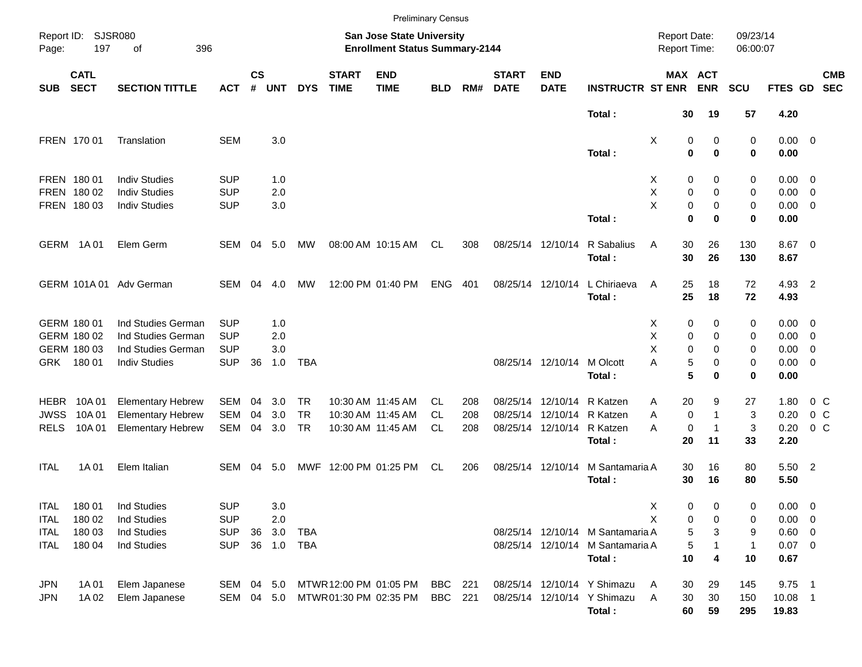|             |                            |                          |            |                    |            |            |                             |                                                                    | <b>Preliminary Census</b> |     |                             |                           |                                  |                                     |                       |                      |             |                          |  |
|-------------|----------------------------|--------------------------|------------|--------------------|------------|------------|-----------------------------|--------------------------------------------------------------------|---------------------------|-----|-----------------------------|---------------------------|----------------------------------|-------------------------------------|-----------------------|----------------------|-------------|--------------------------|--|
| Page:       | Report ID: SJSR080<br>197  | 396<br>οf                |            |                    |            |            |                             | San Jose State University<br><b>Enrollment Status Summary-2144</b> |                           |     |                             |                           |                                  | <b>Report Date:</b><br>Report Time: |                       | 09/23/14<br>06:00:07 |             |                          |  |
| <b>SUB</b>  | <b>CATL</b><br><b>SECT</b> | <b>SECTION TITTLE</b>    | <b>ACT</b> | $\mathsf{cs}$<br># | <b>UNT</b> | <b>DYS</b> | <b>START</b><br><b>TIME</b> | <b>END</b><br><b>TIME</b>                                          | <b>BLD</b>                | RM# | <b>START</b><br><b>DATE</b> | <b>END</b><br><b>DATE</b> | <b>INSTRUCTR ST ENR</b>          |                                     | MAX ACT<br><b>ENR</b> | <b>SCU</b>           | FTES GD     | <b>CMB</b><br><b>SEC</b> |  |
|             |                            |                          |            |                    |            |            |                             |                                                                    |                           |     |                             |                           | Total:                           | 30                                  | 19                    | 57                   | 4.20        |                          |  |
|             | FREN 170 01                | Translation              | <b>SEM</b> |                    | 3.0        |            |                             |                                                                    |                           |     |                             |                           |                                  | Χ                                   | 0<br>0                | 0                    | $0.00 \t 0$ |                          |  |
|             |                            |                          |            |                    |            |            |                             |                                                                    |                           |     |                             |                           | Total:                           | 0                                   | $\bf{0}$              | 0                    | 0.00        |                          |  |
|             | FREN 180 01                | <b>Indiv Studies</b>     | <b>SUP</b> |                    | 1.0        |            |                             |                                                                    |                           |     |                             |                           |                                  | 0<br>X                              | 0                     | 0                    | $0.00 \t 0$ |                          |  |
|             | FREN 180 02                | <b>Indiv Studies</b>     | <b>SUP</b> |                    | 2.0        |            |                             |                                                                    |                           |     |                             |                           |                                  | X<br>0                              | 0                     | 0                    | $0.00 \t 0$ |                          |  |
|             | FREN 180 03                | <b>Indiv Studies</b>     | <b>SUP</b> |                    | 3.0        |            |                             |                                                                    |                           |     |                             |                           |                                  | X                                   | 0<br>0                | 0                    | $0.00 \t 0$ |                          |  |
|             |                            |                          |            |                    |            |            |                             |                                                                    |                           |     |                             |                           | Total:                           | $\bf{0}$                            | $\bf{0}$              | 0                    | 0.00        |                          |  |
|             | GERM 1A01                  | Elem Germ                | SEM        | 04                 | 5.0        | МW         |                             | 08:00 AM 10:15 AM                                                  | CL                        | 308 |                             | 08/25/14 12/10/14         | R Sabalius                       | 30<br>Α                             | 26                    | 130                  | 8.67 0      |                          |  |
|             |                            |                          |            |                    |            |            |                             |                                                                    |                           |     |                             |                           | Total:                           | 30                                  | 26                    | 130                  | 8.67        |                          |  |
|             |                            | GERM 101A 01 Adv German  | SEM        | 04                 | 4.0        | MW         |                             | 12:00 PM 01:40 PM                                                  | <b>ENG</b>                | 401 |                             | 08/25/14 12/10/14         | L Chiriaeva                      | 25<br>A                             | 18                    | 72                   | 4.93 2      |                          |  |
|             |                            |                          |            |                    |            |            |                             |                                                                    |                           |     |                             |                           | Total:                           | 25                                  | 18                    | 72                   | 4.93        |                          |  |
|             | GERM 180 01                | Ind Studies German       | <b>SUP</b> |                    | 1.0        |            |                             |                                                                    |                           |     |                             |                           |                                  | X<br>0                              | 0                     | 0                    | $0.00 \t 0$ |                          |  |
|             | GERM 180 02                | Ind Studies German       | <b>SUP</b> |                    | 2.0        |            |                             |                                                                    |                           |     |                             |                           |                                  | Χ<br>0                              | 0                     | 0                    | $0.00 \t 0$ |                          |  |
|             | GERM 180 03                | Ind Studies German       | <b>SUP</b> |                    | 3.0        |            |                             |                                                                    |                           |     |                             |                           |                                  | X<br>0                              | $\Omega$              | 0                    | 0.00        | $\overline{\phantom{0}}$ |  |
|             | GRK 180 01                 | <b>Indiv Studies</b>     | <b>SUP</b> | 36                 | 1.0        | <b>TBA</b> |                             |                                                                    |                           |     |                             | 08/25/14 12/10/14         | M Olcott                         | 5<br>Α                              | 0                     | 0                    | $0.00 \t 0$ |                          |  |
|             |                            |                          |            |                    |            |            |                             |                                                                    |                           |     |                             |                           | Total:                           | 5                                   | 0                     | 0                    | 0.00        |                          |  |
| <b>HEBR</b> | 10A 01                     | <b>Elementary Hebrew</b> | SEM        | 04                 | 3.0        | <b>TR</b>  |                             | 10:30 AM 11:45 AM                                                  | CL.                       | 208 |                             | 08/25/14 12/10/14         | R Katzen                         | 20<br>Α                             | 9                     | 27                   | 1.80        | $0\,C$                   |  |
| <b>JWSS</b> | 10A 01                     | <b>Elementary Hebrew</b> | <b>SEM</b> | 04                 | 3.0        | <b>TR</b>  |                             | 10:30 AM 11:45 AM                                                  | <b>CL</b>                 | 208 |                             | 08/25/14 12/10/14         | R Katzen                         | 0<br>A                              | $\mathbf{1}$          | 3                    | 0.20        | 0 <sup>o</sup>           |  |
| <b>RELS</b> | 10A 01                     | <b>Elementary Hebrew</b> | <b>SEM</b> | 04                 | 3.0        | <b>TR</b>  |                             | 10:30 AM 11:45 AM                                                  | CL                        | 208 |                             | 08/25/14 12/10/14         | R Katzen                         | 0<br>А                              | $\mathbf{1}$          | 3                    | 0.20        | 0 <sup>o</sup>           |  |
|             |                            |                          |            |                    |            |            |                             |                                                                    |                           |     |                             |                           | Total:                           | 20                                  | 11                    | 33                   | 2.20        |                          |  |
| <b>ITAL</b> | 1A 01                      | Elem Italian             | <b>SEM</b> | 04                 | - 5.0      |            |                             | MWF 12:00 PM 01:25 PM                                              | CL                        | 206 |                             | 08/25/14 12/10/14         | M Santamaria A                   | 30                                  | 16                    | 80                   | 5.50 2      |                          |  |
|             |                            |                          |            |                    |            |            |                             |                                                                    |                           |     |                             |                           | Total:                           | 30                                  | 16                    | 80                   | 5.50        |                          |  |
| <b>ITAL</b> | 180 01                     | Ind Studies              | <b>SUP</b> |                    | 3.0        |            |                             |                                                                    |                           |     |                             |                           |                                  | Χ<br>0                              | 0                     | 0                    | 0.00        | $\overline{\phantom{0}}$ |  |
| <b>ITAL</b> | 180 02                     | Ind Studies              | <b>SUP</b> |                    | 2.0        |            |                             |                                                                    |                           |     |                             |                           |                                  | Χ<br>0                              | 0                     | 0                    | $0.00 \t 0$ |                          |  |
| <b>ITAL</b> | 180 03                     | Ind Studies              | <b>SUP</b> | 36                 | 3.0        | <b>TBA</b> |                             |                                                                    |                           |     |                             |                           | 08/25/14 12/10/14 M Santamaria A | 5                                   | 3                     | 9                    | 0.60 0      |                          |  |
| <b>ITAL</b> | 180 04                     | Ind Studies              | <b>SUP</b> |                    | 36 1.0     | TBA        |                             |                                                                    |                           |     |                             |                           | 08/25/14 12/10/14 M Santamaria A | 5                                   |                       | 1                    | $0.07$ 0    |                          |  |
|             |                            |                          |            |                    |            |            |                             |                                                                    |                           |     |                             |                           | Total:                           | 10                                  | 4                     | 10                   | 0.67        |                          |  |
| JPN         | 1A 01                      | Elem Japanese            | SEM        |                    | 04 5.0     |            |                             | MTWR 12:00 PM 01:05 PM                                             | BBC                       | 221 |                             |                           | 08/25/14 12/10/14 Y Shimazu      | 30<br>A                             | 29                    | 145                  | $9.75$ 1    |                          |  |
| JPN         | 1A 02                      | Elem Japanese            | SEM        |                    | 04 5.0     |            |                             | MTWR01:30 PM 02:35 PM                                              | <b>BBC</b> 221            |     |                             |                           | 08/25/14 12/10/14 Y Shimazu      | 30<br>Α                             | 30                    | 150                  | $10.08$ 1   |                          |  |
|             |                            |                          |            |                    |            |            |                             |                                                                    |                           |     |                             |                           | Total:                           | 60                                  | 59                    | 295                  | 19.83       |                          |  |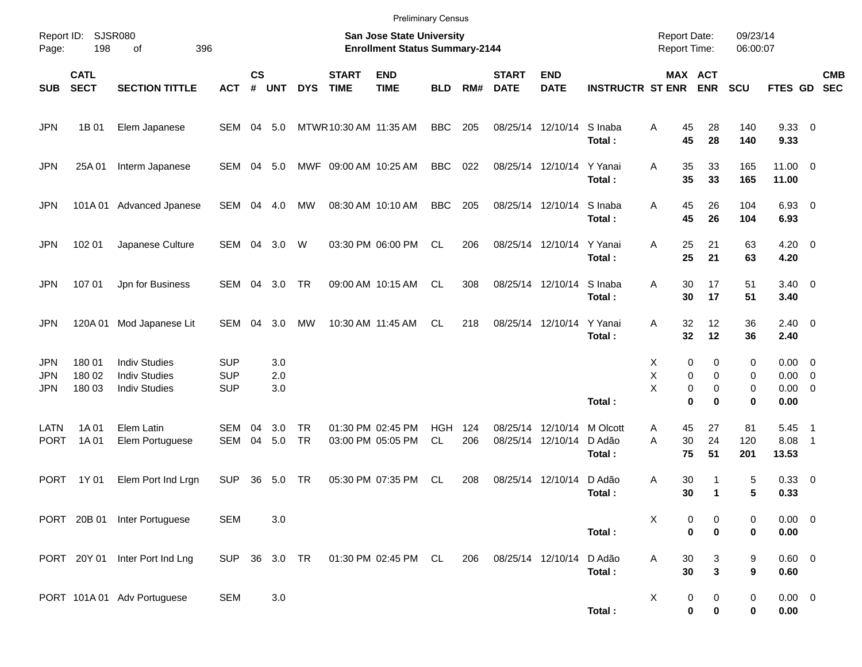|                                 |                            |                                                                      |                                        |                    |                   |                        |                             | <b>Preliminary Census</b>                                          |                  |            |                                        |                           |                              |                                        |                                   |                      |                                                   |                                                      |                          |
|---------------------------------|----------------------------|----------------------------------------------------------------------|----------------------------------------|--------------------|-------------------|------------------------|-----------------------------|--------------------------------------------------------------------|------------------|------------|----------------------------------------|---------------------------|------------------------------|----------------------------------------|-----------------------------------|----------------------|---------------------------------------------------|------------------------------------------------------|--------------------------|
| Page:                           | Report ID: SJSR080<br>198  | 396<br>of                                                            |                                        |                    |                   |                        |                             | San Jose State University<br><b>Enrollment Status Summary-2144</b> |                  |            |                                        |                           |                              | <b>Report Date:</b><br>Report Time:    |                                   | 09/23/14<br>06:00:07 |                                                   |                                                      |                          |
| <b>SUB</b>                      | <b>CATL</b><br><b>SECT</b> | <b>SECTION TITTLE</b>                                                | <b>ACT</b>                             | $\mathsf{cs}$<br># | <b>UNT</b>        | <b>DYS</b>             | <b>START</b><br><b>TIME</b> | <b>END</b><br><b>TIME</b>                                          | <b>BLD</b>       | RM#        | <b>START</b><br><b>DATE</b>            | <b>END</b><br><b>DATE</b> | <b>INSTRUCTR ST ENR</b>      | MAX ACT                                | <b>ENR</b>                        | <b>SCU</b>           | <b>FTES GD</b>                                    |                                                      | <b>CMB</b><br><b>SEC</b> |
| <b>JPN</b>                      | 1B 01                      | Elem Japanese                                                        | SEM 04 5.0                             |                    |                   |                        | MTWR 10:30 AM 11:35 AM      |                                                                    | <b>BBC</b>       | 205        |                                        | 08/25/14 12/10/14         | S Inaba<br>Total:            | A<br>45<br>45                          | 28<br>28                          | 140<br>140           | 9.3300<br>9.33                                    |                                                      |                          |
| <b>JPN</b>                      | 25A 01                     | Interm Japanese                                                      | SEM 04 5.0                             |                    |                   |                        | MWF 09:00 AM 10:25 AM       |                                                                    | <b>BBC</b>       | 022        | 08/25/14 12/10/14                      |                           | Y Yanai<br>Total:            | 35<br>A<br>35                          | 33<br>33                          | 165<br>165           | $11.00 \t 0$<br>11.00                             |                                                      |                          |
| <b>JPN</b>                      |                            | 101A 01 Advanced Jpanese                                             | SEM 04 4.0                             |                    |                   | MW                     |                             | 08:30 AM 10:10 AM                                                  | <b>BBC</b>       | 205        | 08/25/14 12/10/14                      |                           | S Inaba<br>Total:            | A<br>45<br>45                          | 26<br>26                          | 104<br>104           | $6.93$ 0<br>6.93                                  |                                                      |                          |
| <b>JPN</b>                      | 102 01                     | Japanese Culture                                                     | SEM 04 3.0                             |                    |                   | W                      |                             | 03:30 PM 06:00 PM                                                  | CL.              | 206        | 08/25/14 12/10/14                      |                           | Y Yanai<br>Total:            | A<br>25<br>25                          | 21<br>21                          | 63<br>63             | $4.20 \ 0$<br>4.20                                |                                                      |                          |
| <b>JPN</b>                      | 107 01                     | Jpn for Business                                                     | SEM 04 3.0                             |                    |                   | <b>TR</b>              |                             | 09:00 AM 10:15 AM                                                  | CL.              | 308        | 08/25/14 12/10/14                      |                           | S Inaba<br>Total:            | A<br>30<br>30                          | 17<br>17                          | 51<br>51             | $3.40 \ 0$<br>3.40                                |                                                      |                          |
| <b>JPN</b>                      | 120A 01                    | Mod Japanese Lit                                                     | SEM                                    | 04                 | 3.0               | MW                     |                             | 10:30 AM 11:45 AM                                                  | CL.              | 218        | 08/25/14 12/10/14                      |                           | Y Yanai<br>Total:            | A<br>32<br>32                          | 12<br>12                          | 36<br>36             | $2.40 \ 0$<br>2.40                                |                                                      |                          |
| <b>JPN</b><br>JPN<br><b>JPN</b> | 180 01<br>180 02<br>180 03 | <b>Indiv Studies</b><br><b>Indiv Studies</b><br><b>Indiv Studies</b> | <b>SUP</b><br><b>SUP</b><br><b>SUP</b> |                    | 3.0<br>2.0<br>3.0 |                        |                             |                                                                    |                  |            |                                        |                           | Total:                       | 0<br>Х<br>X<br>0<br>X<br>0<br>$\bf{0}$ | 0<br>0<br>$\mathbf 0$<br>$\bf{0}$ | 0<br>0<br>0<br>0     | $0.00 \t 0$<br>$0.00 \t 0$<br>$0.00 \t 0$<br>0.00 |                                                      |                          |
| <b>LATN</b><br><b>PORT</b>      | 1A 01<br>1A 01             | Elem Latin<br>Elem Portuguese                                        | <b>SEM</b><br>SEM                      | 04<br>04           | 3.0<br>5.0        | <b>TR</b><br><b>TR</b> |                             | 01:30 PM 02:45 PM<br>03:00 PM 05:05 PM                             | <b>HGH</b><br>CL | 124<br>206 | 08/25/14 12/10/14<br>08/25/14 12/10/14 |                           | M Olcott<br>D Adão<br>Total: | 45<br>Α<br>A<br>30<br>75               | 27<br>24<br>51                    | 81<br>120<br>201     | 5.45<br>8.08<br>13.53                             | $\overline{\phantom{1}}$<br>$\overline{\phantom{1}}$ |                          |
| <b>PORT</b>                     | 1Y 01                      | Elem Port Ind Lrgn                                                   | <b>SUP</b>                             | 36                 | 5.0               | TR                     |                             | 05:30 PM 07:35 PM                                                  | CL               | 208        | 08/25/14 12/10/14                      |                           | D Adão<br>Total:             | 30<br>A<br>30                          | 1<br>$\mathbf 1$                  | 5<br>5               | 0.33 0<br>0.33                                    |                                                      |                          |
|                                 |                            | PORT 20B 01 Inter Portuguese                                         | <b>SEM</b>                             |                    | 3.0               |                        |                             |                                                                    |                  |            |                                        |                           | Total:                       | Χ<br>0<br>$\bf{0}$                     | 0<br>$\bf{0}$                     | 0<br>0               | $0.00 \t 0$<br>$0.00\,$                           |                                                      |                          |
|                                 |                            | PORT 20Y 01 Inter Port Ind Lng                                       | SUP 36 3.0 TR                          |                    |                   |                        |                             | 01:30 PM 02:45 PM CL                                               |                  | 206        | 08/25/14 12/10/14                      |                           | D Adão<br>Total:             | 30<br>Α<br>30                          | 3<br>$\mathbf 3$                  | 9<br>9               | 0.60 0<br>0.60                                    |                                                      |                          |
|                                 |                            | PORT 101A 01 Adv Portuguese                                          | <b>SEM</b>                             |                    | 3.0               |                        |                             |                                                                    |                  |            |                                        |                           | Total:                       | X<br>0<br>0                            | 0<br>0                            | 0<br>0               | $0.00 \t 0$<br>0.00                               |                                                      |                          |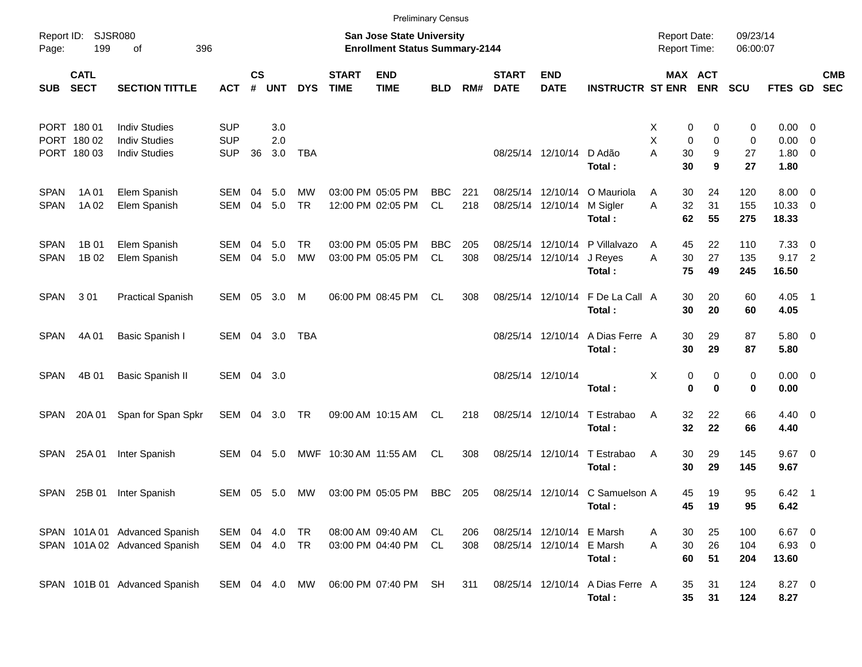|                            |                                           |                                                                      |                                        |                    |                   |                        |                             | <b>Preliminary Census</b>                                          |                  |            |                               |                                        |                                           |                                            |                                   |                      |                                                  |            |
|----------------------------|-------------------------------------------|----------------------------------------------------------------------|----------------------------------------|--------------------|-------------------|------------------------|-----------------------------|--------------------------------------------------------------------|------------------|------------|-------------------------------|----------------------------------------|-------------------------------------------|--------------------------------------------|-----------------------------------|----------------------|--------------------------------------------------|------------|
| Page:                      | Report ID: SJSR080<br>199                 | 396<br>of                                                            |                                        |                    |                   |                        |                             | San Jose State University<br><b>Enrollment Status Summary-2144</b> |                  |            |                               |                                        |                                           | <b>Report Date:</b><br><b>Report Time:</b> |                                   | 09/23/14<br>06:00:07 |                                                  |            |
| SUB                        | <b>CATL</b><br><b>SECT</b>                | <b>SECTION TITTLE</b>                                                | <b>ACT</b>                             | $\mathsf{cs}$<br># | <b>UNT</b>        | <b>DYS</b>             | <b>START</b><br><b>TIME</b> | <b>END</b><br><b>TIME</b>                                          | <b>BLD</b>       | RM#        | <b>START</b><br><b>DATE</b>   | <b>END</b><br><b>DATE</b>              | <b>INSTRUCTR ST ENR</b>                   |                                            | MAX ACT<br><b>ENR</b>             | <b>SCU</b>           | FTES GD SEC                                      | <b>CMB</b> |
|                            | PORT 180 01<br>PORT 180 02<br>PORT 180 03 | <b>Indiv Studies</b><br><b>Indiv Studies</b><br><b>Indiv Studies</b> | <b>SUP</b><br><b>SUP</b><br><b>SUP</b> | 36                 | 3.0<br>2.0<br>3.0 | <b>TBA</b>             |                             |                                                                    |                  |            |                               | 08/25/14 12/10/14                      | D Adão<br>Total:                          | Х<br>X<br>A<br>30<br>30                    | 0<br>0<br>0<br>0<br>9<br>9        | 0<br>0<br>27<br>27   | $0.00 \t 0$<br>$0.00 \t 0$<br>$1.80 \ 0$<br>1.80 |            |
| <b>SPAN</b><br><b>SPAN</b> | 1A 01<br>1A 02                            | Elem Spanish<br>Elem Spanish                                         | SEM<br><b>SEM</b>                      | 04<br>04           | 5.0<br>5.0        | MW<br><b>TR</b>        |                             | 03:00 PM 05:05 PM<br>12:00 PM 02:05 PM                             | <b>BBC</b><br>CL | 221<br>218 | 08/25/14<br>08/25/14 12/10/14 | 12/10/14                               | O Mauriola<br>M Sigler<br>Total:          | 30<br>A<br>32<br>A                         | 24<br>31<br>62<br>55              | 120<br>155<br>275    | $8.00 \t 0$<br>10.33 0<br>18.33                  |            |
| <b>SPAN</b><br><b>SPAN</b> | 1B 01<br>1B 02                            | Elem Spanish<br>Elem Spanish                                         | SEM<br><b>SEM</b>                      | 04<br>04           | 5.0<br>5.0        | <b>TR</b><br><b>MW</b> |                             | 03:00 PM 05:05 PM<br>03:00 PM 05:05 PM                             | <b>BBC</b><br>CL | 205<br>308 | 08/25/14 12/10/14             | 08/25/14 12/10/14                      | P Villalvazo<br>J Reyes<br>Total:         | A<br>30<br>A<br>75                         | 22<br>45<br>27<br>49              | 110<br>135<br>245    | $7.33 \quad 0$<br>$9.17$ 2<br>16.50              |            |
| <b>SPAN</b>                | 301                                       | <b>Practical Spanish</b>                                             | SEM 05                                 |                    | 3.0               | M                      |                             | 06:00 PM 08:45 PM                                                  | CL               | 308        | 08/25/14 12/10/14             |                                        | F De La Call A<br>Total:                  |                                            | 30<br>20<br>30<br>20              | 60<br>60             | $4.05$ 1<br>4.05                                 |            |
| <b>SPAN</b>                | 4A 01                                     | Basic Spanish I                                                      | SEM 04 3.0                             |                    |                   | TBA                    |                             |                                                                    |                  |            |                               | 08/25/14 12/10/14                      | A Dias Ferre A<br>Total:                  |                                            | 30<br>29<br>30<br>29              | 87<br>87             | 5.80 0<br>5.80                                   |            |
| <b>SPAN</b>                | 4B 01                                     | <b>Basic Spanish II</b>                                              | SEM 04 3.0                             |                    |                   |                        |                             |                                                                    |                  |            | 08/25/14 12/10/14             |                                        | Total:                                    | X                                          | 0<br>0<br>$\mathbf 0$<br>$\bf{0}$ | 0<br>0               | $0.00 \t 0$<br>0.00                              |            |
| SPAN                       | 20A 01                                    | Span for Span Spkr                                                   | SEM 04 3.0 TR                          |                    |                   |                        |                             | 09:00 AM 10:15 AM                                                  | CL.              | 218        | 08/25/14 12/10/14             |                                        | T Estrabao<br>Total:                      | Α                                          | 32<br>22<br>32<br>22              | 66<br>66             | $4.40 \quad 0$<br>4.40                           |            |
| SPAN                       | 25A 01                                    | Inter Spanish                                                        | SEM                                    | 04                 | 5.0               |                        | MWF 10:30 AM 11:55 AM       |                                                                    | CL               | 308        |                               | 08/25/14 12/10/14                      | T Estrabao<br>Total:                      | Α<br>30                                    | 30<br>29<br>29                    | 145<br>145           | $9.67$ 0<br>9.67                                 |            |
| SPAN                       | 25B 01                                    | Inter Spanish                                                        | SEM 05                                 |                    | 5.0               | MW.                    |                             | 03:00 PM 05:05 PM                                                  | <b>BBC</b>       | 205        |                               |                                        | 08/25/14 12/10/14 C Samuelson A<br>Total: | 45                                         | 19<br>45<br>19                    | 95<br>95             | $6.42 \quad 1$<br>6.42                           |            |
|                            |                                           | SPAN 101A 01 Advanced Spanish<br>SPAN 101A 02 Advanced Spanish       | SEM 04 4.0<br>SEM 04 4.0 TR            |                    |                   | TR                     |                             | 08:00 AM 09:40 AM<br>03:00 PM 04:40 PM                             | CL<br>CL         | 206<br>308 |                               | 08/25/14 12/10/14<br>08/25/14 12/10/14 | E Marsh<br>E Marsh<br>Total:              | A<br>30<br>A                               | 30<br>25<br>26<br>60<br>51        | 100<br>104<br>204    | $6.67$ 0<br>6.93 0<br>13.60                      |            |
|                            |                                           | SPAN 101B 01 Advanced Spanish                                        | SEM 04 4.0 MW                          |                    |                   |                        |                             | 06:00 PM 07:40 PM                                                  | SH               | 311        |                               | 08/25/14 12/10/14                      | A Dias Ferre A<br>Total:                  |                                            | 31<br>35<br>35<br>31              | 124<br>124           | 8.27 0<br>8.27                                   |            |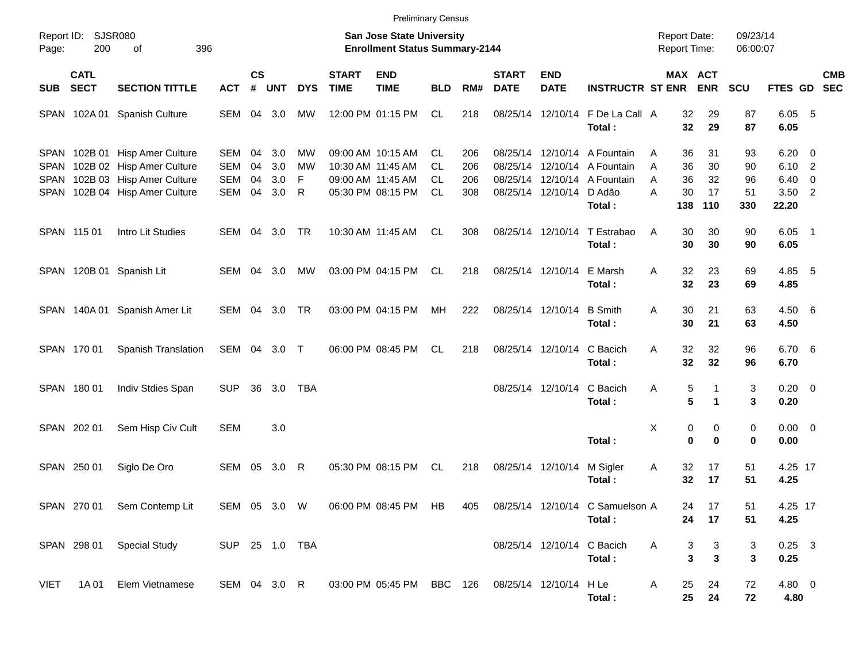|       |                            |                                                                                                                                      |                                               |                             |                          |                    |                             | <b>Preliminary Census</b>                                                        |                                            |                          |                             |                            |                                                                                                |                  |                                            |                             |                             |                                                       |                          |            |
|-------|----------------------------|--------------------------------------------------------------------------------------------------------------------------------------|-----------------------------------------------|-----------------------------|--------------------------|--------------------|-----------------------------|----------------------------------------------------------------------------------|--------------------------------------------|--------------------------|-----------------------------|----------------------------|------------------------------------------------------------------------------------------------|------------------|--------------------------------------------|-----------------------------|-----------------------------|-------------------------------------------------------|--------------------------|------------|
| Page: | Report ID: SJSR080<br>200  | 396<br>of                                                                                                                            |                                               |                             |                          |                    |                             | San Jose State University<br><b>Enrollment Status Summary-2144</b>               |                                            |                          |                             |                            |                                                                                                |                  | <b>Report Date:</b><br><b>Report Time:</b> |                             | 09/23/14<br>06:00:07        |                                                       |                          |            |
| SUB   | <b>CATL</b><br><b>SECT</b> | <b>SECTION TITTLE</b>                                                                                                                | <b>ACT</b>                                    | $\mathsf{cs}$<br>$\pmb{\#}$ | <b>UNT</b>               | <b>DYS</b>         | <b>START</b><br><b>TIME</b> | <b>END</b><br><b>TIME</b>                                                        | <b>BLD</b>                                 | RM#                      | <b>START</b><br><b>DATE</b> | <b>END</b><br><b>DATE</b>  | <b>INSTRUCTR ST ENR</b>                                                                        |                  | <b>MAX ACT</b>                             | <b>ENR</b>                  | <b>SCU</b>                  | FTES GD SEC                                           |                          | <b>CMB</b> |
|       | SPAN 102A01                | Spanish Culture                                                                                                                      | SEM 04 3.0                                    |                             |                          | MW                 |                             | 12:00 PM 01:15 PM                                                                | CL.                                        | 218                      | 08/25/14 12/10/14           |                            | F De La Call A<br>Total:                                                                       |                  | 32<br>32                                   | 29<br>29                    | 87<br>87                    | 6.05<br>6.05                                          | - 5                      |            |
|       |                            | SPAN 102B 01 Hisp Amer Culture<br>SPAN 102B 02 Hisp Amer Culture<br>SPAN 102B 03 Hisp Amer Culture<br>SPAN 102B 04 Hisp Amer Culture | SEM<br><b>SEM</b><br><b>SEM</b><br><b>SEM</b> | 04<br>04<br>04<br>04        | 3.0<br>3.0<br>3.0<br>3.0 | МW<br>МW<br>F<br>R |                             | 09:00 AM 10:15 AM<br>10:30 AM 11:45 AM<br>09:00 AM 11:45 AM<br>05:30 PM 08:15 PM | CL.<br><b>CL</b><br><b>CL</b><br><b>CL</b> | 206<br>206<br>206<br>308 | 08/25/14 12/10/14           | 08/25/14 12/10/14          | 08/25/14 12/10/14 A Fountain<br>08/25/14 12/10/14 A Fountain<br>A Fountain<br>D Adão<br>Total: | A<br>A<br>A<br>А | 36<br>36<br>36<br>30<br>138                | 31<br>30<br>32<br>17<br>110 | 93<br>90<br>96<br>51<br>330 | $6.20 \quad 0$<br>6.10 2<br>6.40<br>$3.50$ 2<br>22.20 | $\overline{\phantom{0}}$ |            |
|       | SPAN 115 01                | Intro Lit Studies                                                                                                                    | SEM                                           |                             | 04 3.0                   | <b>TR</b>          |                             | 10:30 AM 11:45 AM                                                                | CL                                         | 308                      |                             | 08/25/14 12/10/14          | T Estrabao<br>Total:                                                                           | A                | 30<br>30                                   | 30<br>30                    | 90<br>90                    | $6.05$ 1<br>6.05                                      |                          |            |
|       |                            | SPAN 120B 01 Spanish Lit                                                                                                             | SEM 04 3.0                                    |                             |                          | МW                 |                             | 03:00 PM 04:15 PM                                                                | CL                                         | 218                      | 08/25/14 12/10/14           |                            | E Marsh<br>Total:                                                                              | A                | 32<br>32                                   | 23<br>23                    | 69<br>69                    | 4.85 5<br>4.85                                        |                          |            |
|       | SPAN 140A01                | Spanish Amer Lit                                                                                                                     | SEM 04 3.0                                    |                             |                          | <b>TR</b>          |                             | 03:00 PM 04:15 PM                                                                | MH                                         | 222                      | 08/25/14 12/10/14           |                            | <b>B</b> Smith<br>Total:                                                                       | A                | 30<br>30                                   | 21<br>21                    | 63<br>63                    | 4.50 6<br>4.50                                        |                          |            |
|       | SPAN 170 01                | Spanish Translation                                                                                                                  | SEM 04 3.0 T                                  |                             |                          |                    |                             | 06:00 PM 08:45 PM                                                                | CL                                         | 218                      | 08/25/14 12/10/14           |                            | C Bacich<br>Total:                                                                             | A                | 32<br>32                                   | 32<br>32                    | 96<br>96                    | 6.70 6<br>6.70                                        |                          |            |
|       | SPAN 180 01                | Indiv Stdies Span                                                                                                                    | <b>SUP</b>                                    | 36                          | 3.0                      | <b>TBA</b>         |                             |                                                                                  |                                            |                          |                             | 08/25/14 12/10/14          | C Bacich<br>Total:                                                                             | Α                | 5<br>5                                     | 1<br>$\mathbf{1}$           | 3<br>3                      | $0.20 \ 0$<br>0.20                                    |                          |            |
|       | SPAN 202 01                | Sem Hisp Civ Cult                                                                                                                    | <b>SEM</b>                                    |                             | 3.0                      |                    |                             |                                                                                  |                                            |                          |                             |                            | Total:                                                                                         | X                | 0<br>$\mathbf 0$                           | 0<br>$\bf{0}$               | 0<br>0                      | $0.00 \t 0$<br>0.00                                   |                          |            |
|       | SPAN 250 01                | Siglo De Oro                                                                                                                         | SEM 05                                        |                             | 3.0                      | R                  |                             | 05:30 PM 08:15 PM                                                                | CL                                         | 218                      | 08/25/14 12/10/14           |                            | M Sigler<br>Total:                                                                             | Α                | 32<br>32                                   | 17<br>17                    | 51<br>51                    | 4.25 17<br>4.25                                       |                          |            |
|       |                            | SPAN 270 01 Sem Contemp Lit                                                                                                          |                                               |                             |                          | SEM 05 3.0 W       |                             |                                                                                  |                                            |                          |                             |                            | 06:00 PM 08:45 PM HB 405 08/25/14 12/10/14 C Samuelson A<br>Total:                             |                  | 24<br>24                                   | 17<br>17                    | 51<br>51                    | 4.25 17<br>4.25                                       |                          |            |
|       |                            | SPAN 298 01 Special Study                                                                                                            | SUP 25 1.0 TBA                                |                             |                          |                    |                             |                                                                                  |                                            |                          |                             | 08/25/14 12/10/14 C Bacich | Total:                                                                                         | A                | 3<br>3                                     | 3<br>$\mathbf{3}$           | 3<br>3                      | $0.25$ 3<br>0.25                                      |                          |            |
| VIET  |                            | 1A 01 Elem Vietnamese                                                                                                                | SEM 04 3.0 R                                  |                             |                          |                    |                             | 03:00 PM 05:45 PM BBC 126 08/25/14 12/10/14 H Le                                 |                                            |                          |                             |                            | Total:                                                                                         | A                | 25<br>25                                   | 24<br>24                    | 72<br>72                    | 4.80 0<br>4.80                                        |                          |            |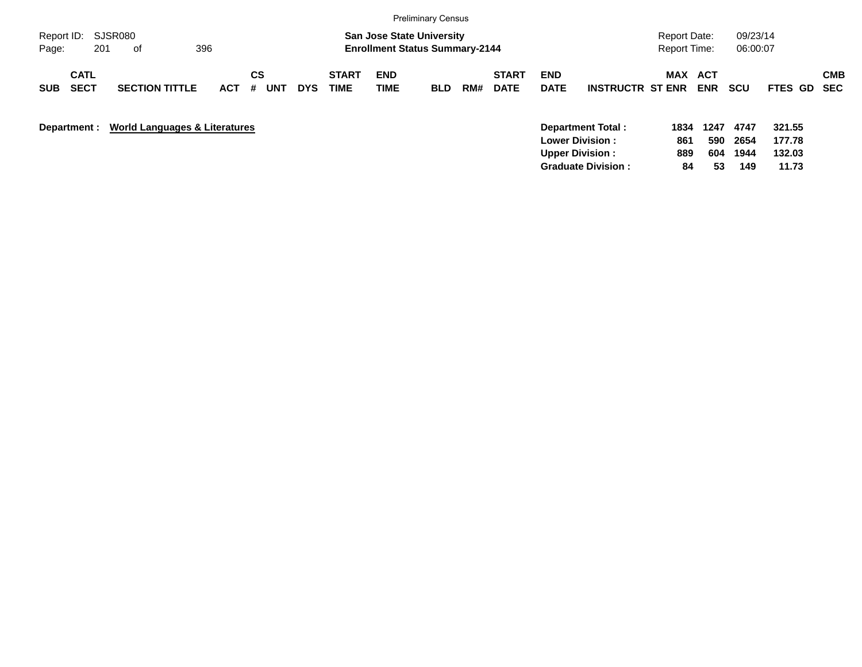|                                          |                                          |            |                       |            |                      |                                                                           | <b>Preliminary Census</b> |     |                             |                           |                                                                       |                                            |                    |                      |                            |            |
|------------------------------------------|------------------------------------------|------------|-----------------------|------------|----------------------|---------------------------------------------------------------------------|---------------------------|-----|-----------------------------|---------------------------|-----------------------------------------------------------------------|--------------------------------------------|--------------------|----------------------|----------------------------|------------|
| Report ID: SJSR080<br>201<br>Page:       | 396<br>of                                |            |                       |            |                      | <b>San Jose State University</b><br><b>Enrollment Status Summary-2144</b> |                           |     |                             |                           |                                                                       | <b>Report Date:</b><br><b>Report Time:</b> |                    | 09/23/14<br>06:00:07 |                            |            |
| <b>CATL</b><br><b>SECT</b><br><b>SUB</b> | <b>SECTION TITTLE</b>                    | <b>ACT</b> | CS<br>#<br><b>UNT</b> | <b>DYS</b> | <b>START</b><br>TIME | <b>END</b><br><b>TIME</b>                                                 | <b>BLD</b>                | RM# | <b>START</b><br><b>DATE</b> | <b>END</b><br><b>DATE</b> | <b>INSTRUCTR ST ENR</b>                                               | MAX ACT                                    | <b>ENR</b>         | <b>SCU</b>           | FTES GD SEC                | <b>CMB</b> |
| Department :                             | <b>World Languages &amp; Literatures</b> |            |                       |            |                      |                                                                           |                           |     |                             |                           | Department Total:<br><b>Lower Division:</b><br><b>Upper Division:</b> | 1834<br>861<br>889                         | 1247<br>590<br>604 | 4747<br>2654<br>1944 | 321.55<br>177.78<br>132.03 |            |

**Graduate Division : 84 53 149 11.73**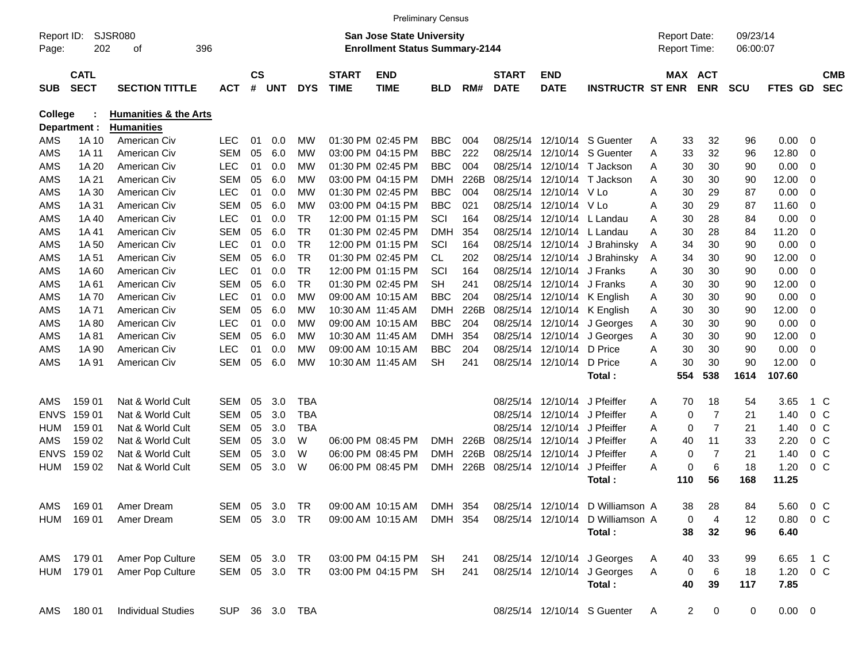|                     |                            |                                  |               |                    |     |            |                             | <b>Preliminary Census</b>                                                 |            |      |                             |                              |                                  |                                            |                |                      |                  |                |                          |
|---------------------|----------------------------|----------------------------------|---------------|--------------------|-----|------------|-----------------------------|---------------------------------------------------------------------------|------------|------|-----------------------------|------------------------------|----------------------------------|--------------------------------------------|----------------|----------------------|------------------|----------------|--------------------------|
| Report ID:<br>Page: | 202                        | <b>SJSR080</b><br>396<br>οf      |               |                    |     |            |                             | <b>San Jose State University</b><br><b>Enrollment Status Summary-2144</b> |            |      |                             |                              |                                  | <b>Report Date:</b><br><b>Report Time:</b> |                | 09/23/14<br>06:00:07 |                  |                |                          |
| <b>SUB</b>          | <b>CATL</b><br><b>SECT</b> | <b>SECTION TITTLE</b>            | <b>ACT</b>    | $\mathsf{cs}$<br># | UNT | <b>DYS</b> | <b>START</b><br><b>TIME</b> | <b>END</b><br><b>TIME</b>                                                 | <b>BLD</b> | RM#  | <b>START</b><br><b>DATE</b> | <b>END</b><br><b>DATE</b>    | <b>INSTRUCTR ST ENR</b>          | MAX ACT                                    | <b>ENR</b>     | <b>SCU</b>           | FTES GD          |                | <b>CMB</b><br><b>SEC</b> |
| <b>College</b>      |                            | <b>Humanities &amp; the Arts</b> |               |                    |     |            |                             |                                                                           |            |      |                             |                              |                                  |                                            |                |                      |                  |                |                          |
|                     | Department :               | <b>Humanities</b>                |               |                    |     |            |                             |                                                                           |            |      |                             |                              |                                  |                                            |                |                      |                  |                |                          |
| AMS                 | 1A 10                      | American Civ                     | <b>LEC</b>    | 01                 | 0.0 | МW         |                             | 01:30 PM 02:45 PM                                                         | <b>BBC</b> | 004  | 08/25/14                    |                              | 12/10/14 S Guenter               | 33<br>A                                    | 32             | 96                   | 0.00             | 0              |                          |
| AMS                 | 1A 11                      | American Civ                     | <b>SEM</b>    | 05                 | 6.0 | МW         |                             | 03:00 PM 04:15 PM                                                         | <b>BBC</b> | 222  | 08/25/14                    |                              | 12/10/14 S Guenter               | 33<br>Α                                    | 32             | 96                   | 12.80            | 0              |                          |
| AMS                 | 1A 20                      | American Civ                     | <b>LEC</b>    | 01                 | 0.0 | МW         |                             | 01:30 PM 02:45 PM                                                         | <b>BBC</b> | 004  | 08/25/14                    |                              | 12/10/14 T Jackson               | 30<br>A                                    | 30             | 90                   | 0.00             | 0              |                          |
| AMS                 | 1A 21                      | American Civ                     | <b>SEM</b>    | 05                 | 6.0 | МW         |                             | 03:00 PM 04:15 PM                                                         | <b>DMH</b> | 226B | 08/25/14                    |                              | 12/10/14 T Jackson               | 30<br>A                                    | 30             | 90                   | 12.00            | 0              |                          |
| AMS                 | 1A 30                      | American Civ                     | <b>LEC</b>    | 01                 | 0.0 | МW         |                             | 01:30 PM 02:45 PM                                                         | <b>BBC</b> | 004  | 08/25/14                    | 12/10/14 V Lo                |                                  | 30<br>A                                    | 29             | 87                   | 0.00             | 0              |                          |
| AMS                 | 1A 31                      | American Civ                     | <b>SEM</b>    | 05                 | 6.0 | МW         |                             | 03:00 PM 04:15 PM                                                         | <b>BBC</b> | 021  | 08/25/14                    | 12/10/14 V Lo                |                                  | 30<br>A                                    | 29             | 87                   | 11.60            | 0              |                          |
| AMS                 | 1A 40                      | American Civ                     | <b>LEC</b>    | 01                 | 0.0 | TR         |                             | 12:00 PM 01:15 PM                                                         | SCI        | 164  | 08/25/14                    |                              | 12/10/14 L Landau                | 30<br>A                                    | 28             | 84                   | 0.00             | 0              |                          |
| AMS                 | 1A41                       | American Civ                     | <b>SEM</b>    | 05                 | 6.0 | TR         |                             | 01:30 PM 02:45 PM                                                         | <b>DMH</b> | 354  | 08/25/14                    |                              | 12/10/14 L Landau                | 30<br>A                                    | 28             | 84                   | 11.20            | 0              |                          |
| AMS                 | 1A 50                      | American Civ                     | <b>LEC</b>    | 01                 | 0.0 | <b>TR</b>  |                             | 12:00 PM 01:15 PM                                                         | SCI        | 164  | 08/25/14                    |                              | 12/10/14 J Brahinsky             | 34<br>A                                    | 30             | 90                   | 0.00             | 0              |                          |
| AMS                 | 1A 51                      | American Civ                     | <b>SEM</b>    | 05                 | 6.0 | TR         |                             | 01:30 PM 02:45 PM                                                         | CL.        | 202  |                             |                              | 08/25/14 12/10/14 J Brahinsky    | 34<br>A                                    | 30             | 90                   | 12.00            | 0              |                          |
| AMS                 | 1A60                       | American Civ                     | <b>LEC</b>    | 01                 | 0.0 | TR.        |                             | 12:00 PM 01:15 PM                                                         | SCI        | 164  |                             | 08/25/14 12/10/14 J Franks   |                                  | 30<br>A                                    | 30             | 90                   | 0.00             | 0              |                          |
| AMS                 | 1A61                       | American Civ                     | <b>SEM</b>    | 05                 | 6.0 | <b>TR</b>  |                             | 01:30 PM 02:45 PM                                                         | <b>SH</b>  | 241  | 08/25/14                    | 12/10/14 J Franks            |                                  | 30<br>Α                                    | 30             | 90                   | 12.00            | 0              |                          |
| AMS                 | 1A 70                      | American Civ                     | <b>LEC</b>    | 01                 | 0.0 | МW         |                             | 09:00 AM 10:15 AM                                                         | <b>BBC</b> | 204  |                             |                              | 08/25/14 12/10/14 K English      | 30<br>Α                                    | 30             | 90                   | 0.00             | 0              |                          |
| AMS                 | 1A 71                      | American Civ                     | <b>SEM</b>    | 05                 | 6.0 | МW         |                             | 10:30 AM 11:45 AM                                                         | <b>DMH</b> | 226B |                             |                              | 08/25/14 12/10/14 K English      | 30<br>Α                                    | 30             | 90                   | 12.00            | 0              |                          |
| AMS                 | 1A 80                      | American Civ                     | <b>LEC</b>    | 01                 | 0.0 | МW         |                             | 09:00 AM 10:15 AM                                                         | <b>BBC</b> | 204  |                             |                              | 08/25/14 12/10/14 J Georges      | 30<br>Α                                    | 30             | 90                   | 0.00             | 0              |                          |
| AMS                 | 1A 81                      | American Civ                     | <b>SEM</b>    | 05                 | 6.0 | МW         |                             | 10:30 AM 11:45 AM                                                         | <b>DMH</b> | 354  |                             |                              | 08/25/14 12/10/14 J Georges      | 30<br>Α                                    | 30             | 90                   | 12.00            | 0              |                          |
| AMS                 | 1A 90                      | American Civ                     | <b>LEC</b>    | 01                 | 0.0 | МW         |                             | 09:00 AM 10:15 AM                                                         | <b>BBC</b> | 204  |                             | 08/25/14 12/10/14 D Price    |                                  | 30<br>A                                    | 30             | 90                   | 0.00             | 0              |                          |
| AMS                 | 1A 91                      | American Civ                     | <b>SEM</b>    | 05                 | 6.0 | МW         |                             | 10:30 AM 11:45 AM                                                         | <b>SH</b>  | 241  |                             | 08/25/14 12/10/14 D Price    |                                  | 30<br>A                                    | 30             | 90                   | 12.00            | - 0            |                          |
|                     |                            |                                  |               |                    |     |            |                             |                                                                           |            |      |                             |                              | Total:                           | 554                                        | 538            | 1614                 | 107.60           |                |                          |
| AMS                 | 159 01                     | Nat & World Cult                 | SEM           | 05                 | 3.0 | <b>TBA</b> |                             |                                                                           |            |      | 08/25/14                    | 12/10/14 J Pfeiffer          |                                  | 70<br>A                                    | 18             | 54                   | 3.65             | 1 C            |                          |
| <b>ENVS</b>         | 159 01                     | Nat & World Cult                 | SEM           | 05                 | 3.0 | <b>TBA</b> |                             |                                                                           |            |      | 08/25/14                    | 12/10/14 J Pfeiffer          |                                  | 0<br>Α                                     | $\overline{7}$ | 21                   | 1.40             | 0 <sup>o</sup> |                          |
| HUM                 | 159 01                     | Nat & World Cult                 | <b>SEM</b>    | 05                 | 3.0 | TBA        |                             |                                                                           |            |      | 08/25/14                    | 12/10/14 J Pfeiffer          |                                  | $\mathbf 0$<br>Α                           | $\overline{7}$ | 21                   | 1.40             | 0 <sup>o</sup> |                          |
| AMS                 | 159 02                     | Nat & World Cult                 | <b>SEM</b>    | 05                 | 3.0 | W          |                             | 06:00 PM 08:45 PM                                                         | <b>DMH</b> | 226B | 08/25/14                    |                              | 12/10/14 J Pfeiffer              | A<br>40                                    | 11             | 33                   | 2.20             | 0 <sup>o</sup> |                          |
| <b>ENVS</b>         | 159 02                     | Nat & World Cult                 | <b>SEM</b>    | 05                 | 3.0 | W          |                             | 06:00 PM 08:45 PM                                                         | <b>DMH</b> | 226B | 08/25/14                    | 12/10/14 J Pfeiffer          |                                  | A<br>0                                     | 7              | 21                   | 1.40             | 0 <sup>o</sup> |                          |
| HUM                 | 159 02                     | Nat & World Cult                 | <b>SEM</b>    | 05                 | 3.0 | W          |                             | 06:00 PM 08:45 PM                                                         | <b>DMH</b> | 226B |                             | 08/25/14 12/10/14 J Pfeiffer |                                  | $\mathbf 0$<br>A                           | 6              | 18                   | 1.20             | $0\,C$         |                          |
|                     |                            |                                  |               |                    |     |            |                             |                                                                           |            |      |                             |                              | Total:                           | 110                                        | 56             | 168                  | 11.25            |                |                          |
| AMS                 | 169 01                     | Amer Dream                       | SEM 05 3.0    |                    |     | TR         |                             | 09:00 AM 10:15 AM                                                         | DMH 354    |      |                             |                              | 08/25/14 12/10/14 D Williamson A | 38                                         | 28             | 84                   | 5.60 0 C         |                |                          |
|                     | HUM 169 01                 | Amer Dream                       | SEM 05 3.0 TR |                    |     |            |                             | 09:00 AM 10:15 AM                                                         | DMH 354    |      |                             |                              | 08/25/14 12/10/14 D Williamson A | 0                                          | 4              | 12                   | $0.80 \t 0 \t C$ |                |                          |
|                     |                            |                                  |               |                    |     |            |                             |                                                                           |            |      |                             |                              | Total:                           | 38                                         | 32             | 96                   | 6.40             |                |                          |
| AMS                 | 179 01                     | Amer Pop Culture                 | SEM 05 3.0    |                    |     | TR         |                             | 03:00 PM 04:15 PM SH                                                      |            | 241  |                             |                              | 08/25/14 12/10/14 J Georges      | 40<br>A                                    | 33             | 99                   | 6.65             | 1 C            |                          |
|                     | HUM 179 01                 | Amer Pop Culture                 | SEM 05 3.0 TR |                    |     |            |                             | 03:00 PM 04:15 PM                                                         | SH         | 241  |                             |                              | 08/25/14 12/10/14 J Georges      | 0<br>A                                     | 6              | 18                   | 1.20 $0 \, C$    |                |                          |
|                     |                            |                                  |               |                    |     |            |                             |                                                                           |            |      |                             |                              | Total:                           | 40                                         | 39             | 117                  | 7.85             |                |                          |
| AMS                 | 180 01                     | <b>Individual Studies</b>        | <b>SUP</b>    |                    |     | 36 3.0 TBA |                             |                                                                           |            |      |                             |                              | 08/25/14 12/10/14 S Guenter      | $\overline{2}$<br>A                        | 0              | 0                    | $0.00 \t 0$      |                |                          |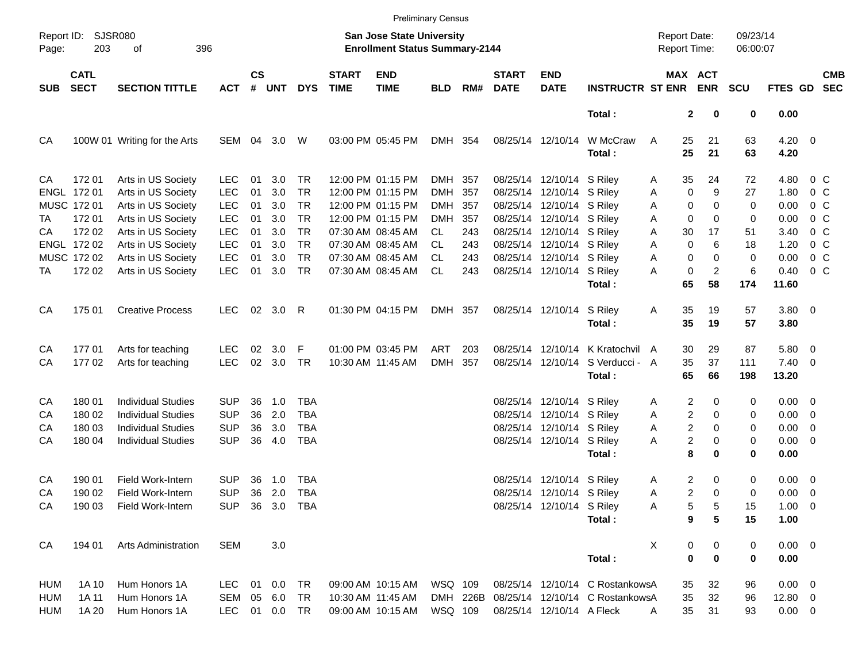|            |                            |                              |            |                    |             |            |                             |                                                                    | <b>Preliminary Census</b> |          |                             |                           |                                 |                                            |                             |                      |                    |                |                          |
|------------|----------------------------|------------------------------|------------|--------------------|-------------|------------|-----------------------------|--------------------------------------------------------------------|---------------------------|----------|-----------------------------|---------------------------|---------------------------------|--------------------------------------------|-----------------------------|----------------------|--------------------|----------------|--------------------------|
| Page:      | Report ID: SJSR080<br>203  | 396<br>οf                    |            |                    |             |            |                             | San Jose State University<br><b>Enrollment Status Summary-2144</b> |                           |          |                             |                           |                                 | <b>Report Date:</b><br><b>Report Time:</b> |                             | 09/23/14<br>06:00:07 |                    |                |                          |
| <b>SUB</b> | <b>CATL</b><br><b>SECT</b> | <b>SECTION TITTLE</b>        | <b>ACT</b> | $\mathsf{cs}$<br># | <b>UNT</b>  | <b>DYS</b> | <b>START</b><br><b>TIME</b> | <b>END</b><br><b>TIME</b>                                          | <b>BLD</b>                | RM#      | <b>START</b><br><b>DATE</b> | <b>END</b><br><b>DATE</b> | <b>INSTRUCTR ST ENR</b>         |                                            | MAX ACT<br><b>ENR</b>       | <b>SCU</b>           | FTES GD            |                | <b>CMB</b><br><b>SEC</b> |
|            |                            |                              |            |                    |             |            |                             |                                                                    |                           |          |                             |                           | Total:                          |                                            | $\mathbf{2}$<br>0           | 0                    | 0.00               |                |                          |
| CA         |                            | 100W 01 Writing for the Arts | SEM 04     |                    | 3.0         | W          |                             | 03:00 PM 05:45 PM                                                  | DMH 354                   |          |                             | 08/25/14 12/10/14         | W McCraw<br>Total:              | 25<br>A<br>25                              | 21<br>21                    | 63<br>63             | $4.20 \ 0$<br>4.20 |                |                          |
| CA         | 172 01                     | Arts in US Society           | <b>LEC</b> | 01                 | 3.0         | <b>TR</b>  |                             | 12:00 PM 01:15 PM                                                  | DMH                       | 357      |                             | 08/25/14 12/10/14 S Riley |                                 | 35<br>A                                    | 24                          | 72                   | 4.80               | 0 <sup>o</sup> |                          |
|            | ENGL 172 01                | Arts in US Society           | <b>LEC</b> | 01                 | 3.0         | <b>TR</b>  |                             | 12:00 PM 01:15 PM                                                  | <b>DMH</b>                | 357      |                             | 08/25/14 12/10/14 S Riley |                                 | A                                          | $\mathbf 0$<br>9            | 27                   | 1.80               | 0 <sup>o</sup> |                          |
|            | MUSC 172 01                | Arts in US Society           | <b>LEC</b> | 01                 | 3.0         | <b>TR</b>  |                             | 12:00 PM 01:15 PM                                                  | <b>DMH</b>                | 357      |                             | 08/25/14 12/10/14 S Riley |                                 | A                                          | 0<br>0                      | 0                    | 0.00               | 0 <sup>o</sup> |                          |
| TA         | 172 01                     | Arts in US Society           | <b>LEC</b> | 01                 | 3.0         | <b>TR</b>  |                             | 12:00 PM 01:15 PM                                                  | <b>DMH</b>                | 357      |                             | 08/25/14 12/10/14 S Riley |                                 | Α                                          | 0<br>0                      | 0                    | 0.00               | 0 <sup>o</sup> |                          |
| СA         | 172 02                     | Arts in US Society           | <b>LEC</b> | 01                 | 3.0         | <b>TR</b>  |                             | 07:30 AM 08:45 AM                                                  | CL.                       | 243      |                             | 08/25/14 12/10/14 S Riley |                                 | 30<br>Α                                    | 17                          | 51                   | 3.40               | 0 <sup>o</sup> |                          |
|            | ENGL 172 02                | Arts in US Society           | <b>LEC</b> | 01                 | 3.0         | <b>TR</b>  |                             | 07:30 AM 08:45 AM                                                  | <b>CL</b>                 | 243      |                             | 08/25/14 12/10/14 S Riley |                                 | Α                                          | $\mathbf 0$<br>6            | 18                   | 1.20               | 0 <sup>o</sup> |                          |
|            | MUSC 172 02                | Arts in US Society           | <b>LEC</b> | 01                 | 3.0         | <b>TR</b>  |                             | 07:30 AM 08:45 AM                                                  | <b>CL</b>                 | 243      |                             | 08/25/14 12/10/14 S Riley |                                 | Α                                          | 0<br>0                      | 0                    | 0.00               | 0 <sup>o</sup> |                          |
| ТA         | 172 02                     | Arts in US Society           | <b>LEC</b> | 01                 | 3.0         | TR         |                             | 07:30 AM 08:45 AM                                                  | <b>CL</b>                 | 243      |                             | 08/25/14 12/10/14 S Riley |                                 | A                                          | $\pmb{0}$<br>$\overline{c}$ | 6                    | 0.40               | 0 <sup>o</sup> |                          |
|            |                            |                              |            |                    |             |            |                             |                                                                    |                           |          |                             |                           | Total:                          | 65                                         | 58                          | 174                  | 11.60              |                |                          |
| CA         | 175 01                     | <b>Creative Process</b>      | <b>LEC</b> | 02                 | 3.0         | R          |                             | 01:30 PM 04:15 PM                                                  | DMH 357                   |          |                             | 08/25/14 12/10/14         | S Riley                         | 35<br>Α                                    | 19                          | 57                   | 3.80 0             |                |                          |
|            |                            |                              |            |                    |             |            |                             |                                                                    |                           |          |                             |                           | Total:                          | 35                                         | 19                          | 57                   | 3.80               |                |                          |
| CA         | 17701                      | Arts for teaching            | <b>LEC</b> | 02                 | 3.0         | F          |                             | 01:00 PM 03:45 PM                                                  | ART                       | 203      |                             | 08/25/14 12/10/14         | K Kratochvil                    | 30<br>A                                    | 29                          | 87                   | 5.80 0             |                |                          |
| CA         | 17702                      | Arts for teaching            | <b>LEC</b> | 02                 | 3.0         | <b>TR</b>  |                             | 10:30 AM 11:45 AM                                                  | <b>DMH</b>                | 357      |                             | 08/25/14 12/10/14         | S Verducci - A                  | 35                                         | 37                          | 111                  | $7.40 \quad 0$     |                |                          |
|            |                            |                              |            |                    |             |            |                             |                                                                    |                           |          |                             |                           | Total:                          | 65                                         | 66                          | 198                  | 13.20              |                |                          |
| CA         | 180 01                     | <b>Individual Studies</b>    | <b>SUP</b> | 36                 | 1.0         | <b>TBA</b> |                             |                                                                    |                           |          |                             | 08/25/14 12/10/14 S Riley |                                 | A                                          | 2<br>0                      | 0                    | $0.00 \t 0$        |                |                          |
| CA         | 180 02                     | <b>Individual Studies</b>    | <b>SUP</b> | 36                 | 2.0         | <b>TBA</b> |                             |                                                                    |                           |          |                             | 08/25/14 12/10/14 S Riley |                                 | Α                                          | 2<br>0                      | 0                    | $0.00 \t 0$        |                |                          |
| CA         | 180 03                     | <b>Individual Studies</b>    | <b>SUP</b> | 36                 | 3.0         | <b>TBA</b> |                             |                                                                    |                           |          |                             | 08/25/14 12/10/14 S Riley |                                 | Α                                          | 2<br>0                      | 0                    | $0.00 \t 0$        |                |                          |
| CA         | 180 04                     | <b>Individual Studies</b>    | <b>SUP</b> | 36                 | 4.0         | <b>TBA</b> |                             |                                                                    |                           |          |                             | 08/25/14 12/10/14 S Riley |                                 | Α                                          | 2<br>0                      | 0                    | $0.00 \t 0$        |                |                          |
|            |                            |                              |            |                    |             |            |                             |                                                                    |                           |          |                             |                           | Total:                          |                                            | 8<br>0                      | 0                    | 0.00               |                |                          |
| CA         | 190 01                     | <b>Field Work-Intern</b>     | <b>SUP</b> | 36                 | 1.0         | <b>TBA</b> |                             |                                                                    |                           |          |                             | 08/25/14 12/10/14 S Riley |                                 | A                                          | 2<br>0                      | 0                    | $0.00 \t 0$        |                |                          |
| CA         | 190 02                     | Field Work-Intern            | <b>SUP</b> | 36                 | 2.0         | <b>TBA</b> |                             |                                                                    |                           |          |                             | 08/25/14 12/10/14 S Riley |                                 | Α                                          | 2<br>$\Omega$               | 0                    | $0.00 \t 0$        |                |                          |
| CA         | 190 03                     | Field Work-Intern            | SUP        |                    |             | 36 3.0 TBA |                             |                                                                    |                           |          |                             | 08/25/14 12/10/14 S Riley |                                 | Α                                          | 5<br>5                      | 15                   | $1.00 \t 0$        |                |                          |
|            |                            |                              |            |                    |             |            |                             |                                                                    |                           |          |                             |                           | Total:                          |                                            | $5\phantom{a}$<br>9         | 15                   | 1.00               |                |                          |
| CA         | 194 01                     | <b>Arts Administration</b>   | <b>SEM</b> |                    | 3.0         |            |                             |                                                                    |                           |          |                             |                           |                                 | х                                          | 0<br>0                      | 0                    | $0.00 \t 0$        |                |                          |
|            |                            |                              |            |                    |             |            |                             |                                                                    |                           |          |                             |                           | Total:                          |                                            | $\bf{0}$<br>$\mathbf 0$     | 0                    | 0.00               |                |                          |
| HUM        | 1A 10                      | Hum Honors 1A                | <b>LEC</b> | 01                 | 0.0         | TR         |                             | 09:00 AM 10:15 AM                                                  | WSQ 109                   |          |                             |                           | 08/25/14 12/10/14 C RostankowsA | 35                                         | 32                          | 96                   | $0.00 \t 0$        |                |                          |
| <b>HUM</b> | 1A 11                      | Hum Honors 1A                | SEM        | 05                 | 6.0         | <b>TR</b>  |                             | 10:30 AM 11:45 AM                                                  |                           | DMH 226B |                             |                           | 08/25/14 12/10/14 C RostankowsA | 35                                         | 32                          | 96                   | 12.80 0            |                |                          |
| <b>HUM</b> | 1A 20                      | Hum Honors 1A                | <b>LEC</b> |                    | 01  0.0  TR |            |                             | 09:00 AM 10:15 AM                                                  | WSQ 109                   |          |                             | 08/25/14 12/10/14 A Fleck |                                 | 35<br>A                                    | 31                          | 93                   | $0.00\quad$ $0$    |                |                          |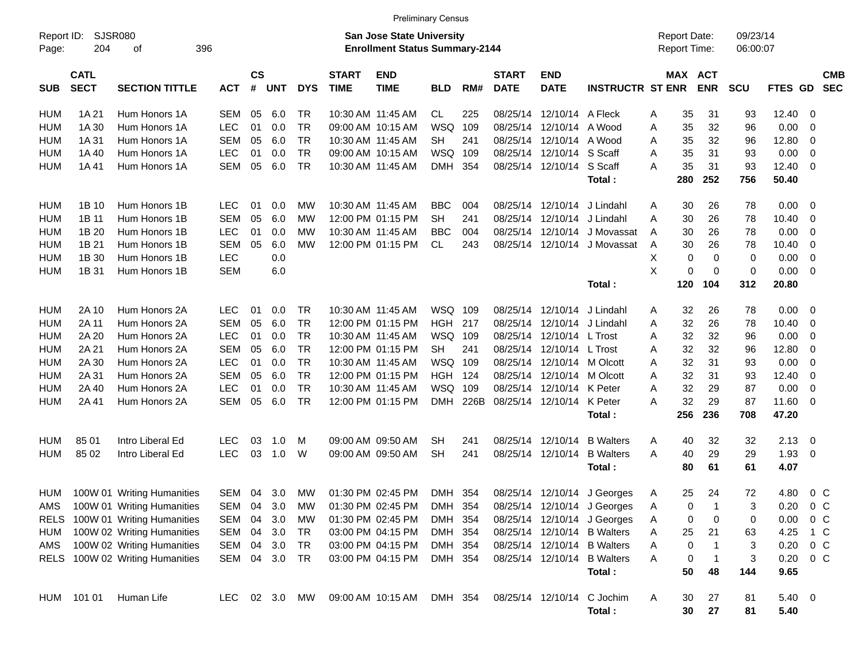| Report ID:<br>Page: | 204                        | SJSR080<br>396<br>οf            |            |                    |            |            |                             | <b>San Jose State University</b><br><b>Enrollment Status Summary-2144</b> |            |      |                             |                           |                                      |   | <b>Report Date:</b><br><b>Report Time:</b> |             | 09/23/14<br>06:00:07 |                |                |                          |
|---------------------|----------------------------|---------------------------------|------------|--------------------|------------|------------|-----------------------------|---------------------------------------------------------------------------|------------|------|-----------------------------|---------------------------|--------------------------------------|---|--------------------------------------------|-------------|----------------------|----------------|----------------|--------------------------|
| <b>SUB</b>          | <b>CATL</b><br><b>SECT</b> | <b>SECTION TITTLE</b>           | <b>ACT</b> | $\mathsf{cs}$<br># | <b>UNT</b> | <b>DYS</b> | <b>START</b><br><b>TIME</b> | <b>END</b><br><b>TIME</b>                                                 | <b>BLD</b> | RM#  | <b>START</b><br><b>DATE</b> | <b>END</b><br><b>DATE</b> | <b>INSTRUCTR ST ENR</b>              |   | MAX ACT                                    | <b>ENR</b>  | <b>SCU</b>           | FTES GD        |                | <b>CMB</b><br><b>SEC</b> |
| <b>HUM</b>          | 1A 21                      | Hum Honors 1A                   | <b>SEM</b> | 05                 | 6.0        | TR         |                             | 10:30 AM 11:45 AM                                                         | CL         | 225  | 08/25/14                    | 12/10/14 A Fleck          |                                      | A | 35                                         | 31          | 93                   | 12.40          | 0              |                          |
| <b>HUM</b>          | 1A 30                      | Hum Honors 1A                   | <b>LEC</b> | 01                 | 0.0        | <b>TR</b>  |                             | 09:00 AM 10:15 AM                                                         | <b>WSQ</b> | 109  | 08/25/14                    | 12/10/14                  | A Wood                               | Α | 35                                         | 32          | 96                   | 0.00           | 0              |                          |
| <b>HUM</b>          | 1A 31                      | Hum Honors 1A                   | <b>SEM</b> | 05                 | 6.0        | <b>TR</b>  |                             | 10:30 AM 11:45 AM                                                         | <b>SH</b>  | 241  | 08/25/14                    | 12/10/14                  | A Wood                               | A | 35                                         | 32          | 96                   | 12.80          | 0              |                          |
| <b>HUM</b>          | 1A 40                      | Hum Honors 1A                   | LEC        | 01                 | 0.0        | <b>TR</b>  |                             | 09:00 AM 10:15 AM                                                         | WSQ        | 109  | 08/25/14                    | 12/10/14                  | S Scaff                              | A | 35                                         | 31          | 93                   | 0.00           | 0              |                          |
| <b>HUM</b>          | 1A 41                      | Hum Honors 1A                   | <b>SEM</b> | 05                 | 6.0        | <b>TR</b>  |                             | 10:30 AM 11:45 AM                                                         | <b>DMH</b> | 354  | 08/25/14                    | 12/10/14                  | S Scaff<br>Total:                    | Α | 35<br>280                                  | 31<br>252   | 93<br>756            | 12.40<br>50.40 | 0              |                          |
| <b>HUM</b>          | 1B 10                      | Hum Honors 1B                   | <b>LEC</b> | 01                 | 0.0        | MW         |                             | 10:30 AM 11:45 AM                                                         | <b>BBC</b> | 004  | 08/25/14                    | 12/10/14                  | J Lindahl                            | Α | 30                                         | 26          | 78                   | 0.00           | 0              |                          |
| <b>HUM</b>          | 1B 11                      | Hum Honors 1B                   | <b>SEM</b> | 05                 | 6.0        | <b>MW</b>  |                             | 12:00 PM 01:15 PM                                                         | <b>SH</b>  | 241  | 08/25/14                    | 12/10/14                  | J Lindahl                            | A | 30                                         | 26          | 78                   | 10.40          | 0              |                          |
| <b>HUM</b>          | 1B 20                      | Hum Honors 1B                   | <b>LEC</b> | 01                 | 0.0        | MW         |                             | 10:30 AM 11:45 AM                                                         | <b>BBC</b> | 004  | 08/25/14                    | 12/10/14                  | J Movassat                           | A | 30                                         | 26          | 78                   | 0.00           | 0              |                          |
| <b>HUM</b>          | 1B 21                      | Hum Honors 1B                   | <b>SEM</b> | 05                 | 6.0        | <b>MW</b>  |                             | 12:00 PM 01:15 PM                                                         | CL         | 243  | 08/25/14                    | 12/10/14                  | J Movassat                           | A | 30                                         | 26          | 78                   | 10.40          | 0              |                          |
| <b>HUM</b>          | 1B 30                      | Hum Honors 1B                   | LEC        |                    | 0.0        |            |                             |                                                                           |            |      |                             |                           |                                      | X | 0                                          | 0           | 0                    | 0.00           | 0              |                          |
| <b>HUM</b>          | 1B 31                      | Hum Honors 1B                   | <b>SEM</b> |                    | 6.0        |            |                             |                                                                           |            |      |                             |                           |                                      | X | 0                                          | $\mathbf 0$ | $\mathbf 0$          | 0.00           | $\mathbf 0$    |                          |
|                     |                            |                                 |            |                    |            |            |                             |                                                                           |            |      |                             |                           | Total:                               |   | 120                                        | 104         | 312                  | 20.80          |                |                          |
| <b>HUM</b>          | 2A 10                      | Hum Honors 2A                   | <b>LEC</b> | 01                 | 0.0        | TR         |                             | 10:30 AM 11:45 AM                                                         | WSQ        | 109  | 08/25/14                    | 12/10/14                  | J Lindahl                            | A | 32                                         | 26          | 78                   | 0.00           | 0              |                          |
| <b>HUM</b>          | 2A 11                      | Hum Honors 2A                   | <b>SEM</b> | 05                 | 6.0        | <b>TR</b>  |                             | 12:00 PM 01:15 PM                                                         | <b>HGH</b> | 217  | 08/25/14                    | 12/10/14                  | J Lindahl                            | A | 32                                         | 26          | 78                   | 10.40          | 0              |                          |
| <b>HUM</b>          | 2A 20                      | Hum Honors 2A                   | LEC        | 01                 | 0.0        | <b>TR</b>  |                             | 10:30 AM 11:45 AM                                                         | WSQ        | 109  | 08/25/14                    | 12/10/14                  | L Trost                              | Α | 32                                         | 32          | 96                   | 0.00           | 0              |                          |
| <b>HUM</b>          | 2A 21                      | Hum Honors 2A                   | <b>SEM</b> | 05                 | 6.0        | <b>TR</b>  |                             | 12:00 PM 01:15 PM                                                         | <b>SH</b>  | 241  | 08/25/14                    | 12/10/14                  | L Trost                              | Α | 32                                         | 32          | 96                   | 12.80          | 0              |                          |
| <b>HUM</b>          | 2A 30                      | Hum Honors 2A                   | LEC        | 01                 | 0.0        | <b>TR</b>  |                             | 10:30 AM 11:45 AM                                                         | WSQ        | 109  | 08/25/14                    | 12/10/14                  | M Olcott                             | A | 32                                         | 31          | 93                   | 0.00           | 0              |                          |
| <b>HUM</b>          | 2A 31                      | Hum Honors 2A                   | <b>SEM</b> | 05                 | 6.0        | <b>TR</b>  |                             | 12:00 PM 01:15 PM                                                         | <b>HGH</b> | 124  | 08/25/14                    | 12/10/14                  | M Olcott                             | A | 32                                         | 31          | 93                   | 12.40          | 0              |                          |
| <b>HUM</b>          | 2A 40                      | Hum Honors 2A                   | LEC        | 01                 | 0.0        | <b>TR</b>  |                             | 10:30 AM 11:45 AM                                                         | WSQ        | 109  | 08/25/14                    | 12/10/14                  | K Peter                              | A | 32                                         | 29          | 87                   | 0.00           | 0              |                          |
| <b>HUM</b>          | 2A 41                      | Hum Honors 2A                   | <b>SEM</b> | 05                 | 6.0        | <b>TR</b>  |                             | 12:00 PM 01:15 PM                                                         | <b>DMH</b> | 226B | 08/25/14                    | 12/10/14                  | K Peter                              | A | 32                                         | 29          | 87                   | 11.60          | 0              |                          |
|                     |                            |                                 |            |                    |            |            |                             |                                                                           |            |      |                             |                           | Total:                               |   | 256                                        | 236         | 708                  | 47.20          |                |                          |
| <b>HUM</b>          | 85 01                      | Intro Liberal Ed                | <b>LEC</b> | 03                 | 1.0        | M          |                             | 09:00 AM 09:50 AM                                                         | SН         | 241  | 08/25/14                    | 12/10/14                  | <b>B</b> Walters                     | Α | 40                                         | 32          | 32                   | 2.13           | 0              |                          |
| <b>HUM</b>          | 85 02                      | Intro Liberal Ed                | <b>LEC</b> | 03                 | 1.0        | W          |                             | 09:00 AM 09:50 AM                                                         | <b>SH</b>  | 241  | 08/25/14                    | 12/10/14                  | <b>B</b> Walters                     | A | 40                                         | 29          | 29                   | 1.93           | 0              |                          |
|                     |                            |                                 |            |                    |            |            |                             |                                                                           |            |      |                             |                           | Total:                               |   | 80                                         | 61          | 61                   | 4.07           |                |                          |
| <b>HUM</b>          |                            | 100W 01 Writing Humanities      | SEM        | 04                 | 3.0        | MW         |                             | 01:30 PM 02:45 PM                                                         | <b>DMH</b> | 354  | 08/25/14                    | 12/10/14                  | J Georges                            | A | 25                                         | 24          | 72                   | 4.80           | $0\,C$         |                          |
| AMS                 |                            | 100W 01 Writing Humanities      | SEM        | 04                 | 3.0        | MW         |                             | 01:30 PM 02:45 PM                                                         | <b>DMH</b> | 354  | 08/25/14                    | 12/10/14                  | J Georges                            | Α | 0                                          | -1          | 3                    | 0.20           | 0 <sup>o</sup> |                          |
|                     |                            | RELS 100W 01 Writing Humanities | SEM        | 04                 | 3.0        | МW         |                             | 01:30 PM 02:45 PM                                                         | DMH 354    |      |                             |                           | 08/25/14 12/10/14 J Georges          | A | 0                                          | 0           | 0                    | 0.00           | $0\,$ C        |                          |
| HUM                 |                            | 100W 02 Writing Humanities      | SEM        | 04                 | 3.0        | TR         |                             | 03:00 PM 04:15 PM                                                         | DMH 354    |      |                             | 08/25/14 12/10/14         | <b>B</b> Walters                     | Α | 25                                         | 21          | 63                   | 4.25           | 1 C            |                          |
| AMS                 |                            | 100W 02 Writing Humanities      | SEM 04     |                    | 3.0        | TR         |                             | 03:00 PM 04:15 PM                                                         | DMH 354    |      |                             | 08/25/14 12/10/14         | <b>B</b> Walters                     | Α | 0                                          |             | 3                    | 0.20           | $0\,$ C        |                          |
| RELS                |                            | 100W 02 Writing Humanities      | SEM 04     |                    | 3.0 TR     |            |                             | 03:00 PM 04:15 PM                                                         | DMH 354    |      |                             | 08/25/14 12/10/14         | <b>B</b> Walters                     | Α | 0                                          |             | 3                    | 0.20           | $0\,$ C        |                          |
|                     |                            |                                 |            |                    |            |            |                             |                                                                           |            |      |                             |                           | Total:                               |   | 50                                         | 48          | 144                  | 9.65           |                |                          |
| HUM                 | 101 01                     | Human Life                      | <b>LEC</b> |                    | 02 3.0     | МW         |                             | 09:00 AM 10:15 AM                                                         | DMH 354    |      |                             |                           | 08/25/14 12/10/14 C Jochim<br>Total: | A | 30<br>30                                   | 27<br>27    | 81<br>81             | 5.40 0<br>5.40 |                |                          |

Preliminary Census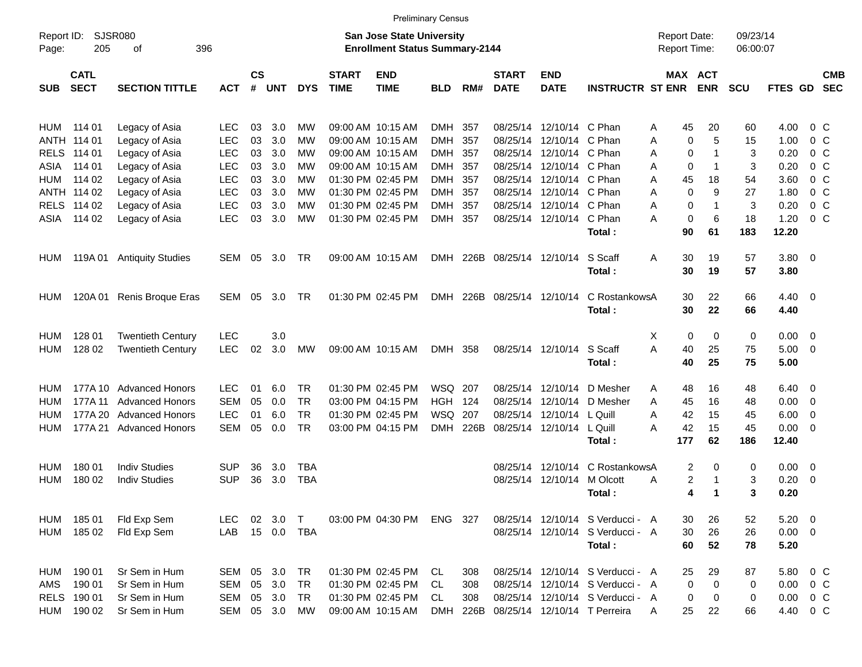|                     |                            |                           |            |                    |              |            |                             |                                                                           | <b>Preliminary Census</b> |          |                             |                            |                                  |                                            |                       |                      |                    |                          |                          |
|---------------------|----------------------------|---------------------------|------------|--------------------|--------------|------------|-----------------------------|---------------------------------------------------------------------------|---------------------------|----------|-----------------------------|----------------------------|----------------------------------|--------------------------------------------|-----------------------|----------------------|--------------------|--------------------------|--------------------------|
| Report ID:<br>Page: | 205                        | SJSR080<br>396<br>οf      |            |                    |              |            |                             | <b>San Jose State University</b><br><b>Enrollment Status Summary-2144</b> |                           |          |                             |                            |                                  | <b>Report Date:</b><br><b>Report Time:</b> |                       | 09/23/14<br>06:00:07 |                    |                          |                          |
| <b>SUB</b>          | <b>CATL</b><br><b>SECT</b> | <b>SECTION TITTLE</b>     | <b>ACT</b> | $\mathsf{cs}$<br># | <b>UNT</b>   | <b>DYS</b> | <b>START</b><br><b>TIME</b> | <b>END</b><br><b>TIME</b>                                                 | <b>BLD</b>                | RM#      | <b>START</b><br><b>DATE</b> | <b>END</b><br><b>DATE</b>  | <b>INSTRUCTR ST ENR</b>          |                                            | MAX ACT<br><b>ENR</b> | <b>SCU</b>           | FTES GD            |                          | <b>CMB</b><br><b>SEC</b> |
| HUM                 | 114 01                     | Legacy of Asia            | LEC        | 03                 | 3.0          | МW         |                             | 09:00 AM 10:15 AM                                                         | DMH                       | 357      | 08/25/14                    | 12/10/14 C Phan            |                                  | 45<br>Α                                    | 20                    | 60                   | 4.00               | 0 C                      |                          |
|                     | ANTH 114 01                | Legacy of Asia            | <b>LEC</b> | 03                 | 3.0          | МW         |                             | 09:00 AM 10:15 AM                                                         | <b>DMH</b>                | 357      | 08/25/14                    | 12/10/14 C Phan            |                                  | Α                                          | 0<br>5                | 15                   | 1.00               | 0 C                      |                          |
| <b>RELS</b>         | 114 01                     | Legacy of Asia            | <b>LEC</b> | 03                 | 3.0          | МW         |                             | 09:00 AM 10:15 AM                                                         | <b>DMH</b>                | 357      | 08/25/14                    | 12/10/14 C Phan            |                                  | Α                                          | 0<br>-1               | 3                    | 0.20               | 0 C                      |                          |
| ASIA                | 114 01                     | Legacy of Asia            | <b>LEC</b> | 03                 | 3.0          | МW         |                             | 09:00 AM 10:15 AM                                                         | <b>DMH</b>                | 357      | 08/25/14                    | 12/10/14 C Phan            |                                  | Α                                          | 0<br>1                | 3                    | 0.20               | 0 C                      |                          |
| HUM                 | 114 02                     | Legacy of Asia            | <b>LEC</b> | 03                 | 3.0          | МW         |                             | 01:30 PM 02:45 PM                                                         | <b>DMH</b>                | 357      | 08/25/14                    | 12/10/14 C Phan            |                                  | Α<br>45                                    | 18                    | 54                   | 3.60               | 0 <sup>o</sup>           |                          |
|                     | ANTH 114 02                | Legacy of Asia            | <b>LEC</b> | 03                 | 3.0          | МW         |                             | 01:30 PM 02:45 PM                                                         | <b>DMH</b>                | 357      | 08/25/14                    | 12/10/14 C Phan            |                                  | Α                                          | 0<br>9                | 27                   | 1.80               | 0 <sup>o</sup>           |                          |
|                     | RELS 114 02                | Legacy of Asia            | <b>LEC</b> | 03                 | 3.0          | МW         |                             | 01:30 PM 02:45 PM                                                         | <b>DMH</b>                | 357      | 08/25/14                    | 12/10/14 C Phan            |                                  | Α                                          | 0<br>-1               | 3                    | 0.20               | 0 <sup>o</sup>           |                          |
| ASIA                | 114 02                     | Legacy of Asia            | LEC        | 03                 | 3.0          | МW         |                             | 01:30 PM 02:45 PM                                                         | DMH                       | 357      |                             | 08/25/14 12/10/14 C Phan   | Total:                           | Α<br>90                                    | 0<br>6<br>61          | 18<br>183            | 1.20<br>12.20      | 0 <sup>o</sup>           |                          |
| <b>HUM</b>          |                            | 119A 01 Antiquity Studies | SEM        | 05                 | 3.0          | TR         |                             | 09:00 AM 10:15 AM                                                         |                           | DMH 226B |                             | 08/25/14 12/10/14          | S Scaff<br>Total:                | 30<br>Α<br>30                              | 19<br>19              | 57<br>57             | 3.80 0<br>3.80     |                          |                          |
| <b>HUM</b>          | 120A 01                    | Renis Broque Eras         | SEM        | 05                 | 3.0          | TR         |                             | 01:30 PM 02:45 PM                                                         |                           | DMH 226B |                             | 08/25/14 12/10/14          | C RostankowsA<br>Total:          | 30<br>30                                   | 22<br>22              | 66<br>66             | $4.40 \ 0$<br>4.40 |                          |                          |
| <b>HUM</b>          | 128 01                     | <b>Twentieth Century</b>  | LEC        |                    | 3.0          |            |                             |                                                                           |                           |          |                             |                            |                                  | х                                          | 0<br>0                | 0                    | $0.00 \t 0$        |                          |                          |
| <b>HUM</b>          | 128 02                     | <b>Twentieth Century</b>  | LEC        | 02                 | 3.0          | MW         |                             | 09:00 AM 10:15 AM                                                         | DMH 358                   |          |                             | 08/25/14 12/10/14 S Scaff  |                                  | A<br>40                                    | 25                    | 75                   | $5.00 \t 0$        |                          |                          |
|                     |                            |                           |            |                    |              |            |                             |                                                                           |                           |          |                             |                            | Total:                           | 40                                         | 25                    | 75                   | 5.00               |                          |                          |
| HUM                 |                            | 177A 10 Advanced Honors   | <b>LEC</b> | 01                 | 6.0          | <b>TR</b>  |                             | 01:30 PM 02:45 PM                                                         | WSQ 207                   |          | 08/25/14                    |                            | 12/10/14 D Mesher                | 48<br>A                                    | 16                    | 48                   | $6.40 \quad 0$     |                          |                          |
| HUM                 | 177A 11                    | <b>Advanced Honors</b>    | <b>SEM</b> | 05                 | 0.0          | <b>TR</b>  |                             | 03:00 PM 04:15 PM                                                         | <b>HGH 124</b>            |          | 08/25/14                    |                            | 12/10/14 D Mesher                | Α<br>45                                    | 16                    | 48                   | 0.00               | $\overline{\phantom{0}}$ |                          |
| HUM                 |                            | 177A 20 Advanced Honors   | <b>LEC</b> | 01                 | 6.0          | TR         |                             | 01:30 PM 02:45 PM                                                         | WSQ                       | 207      | 08/25/14                    | 12/10/14 L Quill           |                                  | 42<br>Α                                    | 15                    | 45                   | 6.00               | $\overline{\phantom{0}}$ |                          |
| HUM                 |                            | 177A 21 Advanced Honors   | SEM        | 05                 | 0.0          | <b>TR</b>  |                             | 03:00 PM 04:15 PM                                                         | <b>DMH</b>                | 226B     |                             | 08/25/14 12/10/14 L Quill  |                                  | A<br>42                                    | 15                    | 45                   | $0.00 \t 0$        |                          |                          |
|                     |                            |                           |            |                    |              |            |                             |                                                                           |                           |          |                             |                            | Total:                           | 177                                        | 62                    | 186                  | 12.40              |                          |                          |
| HUM                 | 180 01                     | <b>Indiv Studies</b>      | SUP        | 36                 | 3.0          | TBA        |                             |                                                                           |                           |          | 08/25/14                    |                            | 12/10/14 C RostankowsA           |                                            | 2<br>0                | 0                    | $0.00 \t 0$        |                          |                          |
| <b>HUM</b>          | 180 02                     | <b>Indiv Studies</b>      | <b>SUP</b> | 36                 | 3.0          | <b>TBA</b> |                             |                                                                           |                           |          |                             | 08/25/14 12/10/14 M Olcott |                                  | A                                          | 2<br>1                | 3                    | 0.20               | $\overline{\phantom{0}}$ |                          |
|                     |                            |                           |            |                    |              |            |                             |                                                                           |                           |          |                             |                            | Total :                          |                                            | 4<br>1                | 3                    | 0.20               |                          |                          |
| HUM                 | 185 01                     | Fld Exp Sem               | <b>LEC</b> |                    | 02 3.0       | $\top$     |                             | 03:00 PM 04:30 PM                                                         | ENG 327                   |          |                             |                            | 08/25/14 12/10/14 S Verducci - A | 30                                         | 26                    | 52                   | $5.20 \t 0$        |                          |                          |
| HUM                 | 185 02                     | Fld Exp Sem               | LAB        |                    | 15  0.0  TBA |            |                             |                                                                           |                           |          |                             |                            | 08/25/14 12/10/14 S Verducci - A | 30                                         | 26                    | 26                   | $0.00 \t 0$        |                          |                          |
|                     |                            |                           |            |                    |              |            |                             |                                                                           |                           |          |                             |                            | Total:                           | 60                                         | 52                    | 78                   | 5.20               |                          |                          |
| HUM                 | 190 01                     | Sr Sem in Hum             | SEM        |                    | 05 3.0       | <b>TR</b>  |                             | 01:30 PM 02:45 PM                                                         | CL                        | 308      |                             |                            | 08/25/14 12/10/14 S Verducci - A | 25                                         | 29                    | 87                   | 5.80 0 C           |                          |                          |
| AMS                 | 190 01                     | Sr Sem in Hum             | SEM        | 05                 | 3.0          | TR         |                             | 01:30 PM 02:45 PM                                                         | CL.                       | 308      |                             |                            | 08/25/14 12/10/14 S Verducci - A |                                            | 0<br>0                | 0                    | $0.00 \t 0 C$      |                          |                          |
|                     | RELS 190 01                | Sr Sem in Hum             | SEM        |                    | 05 3.0       | TR         |                             | 01:30 PM 02:45 PM                                                         | CL.                       | 308      |                             |                            | 08/25/14 12/10/14 S Verducci - A |                                            | 0<br>0                | 0                    | 0.00               | $0\,$ C                  |                          |
| HUM                 | 190 02                     | Sr Sem in Hum             | SEM 05 3.0 |                    |              | МW         |                             | 09:00 AM 10:15 AM                                                         | <b>DMH</b>                | 226B     |                             |                            | 08/25/14 12/10/14 T Perreira     | 25<br>Α                                    | 22                    | 66                   | 4.40 0 C           |                          |                          |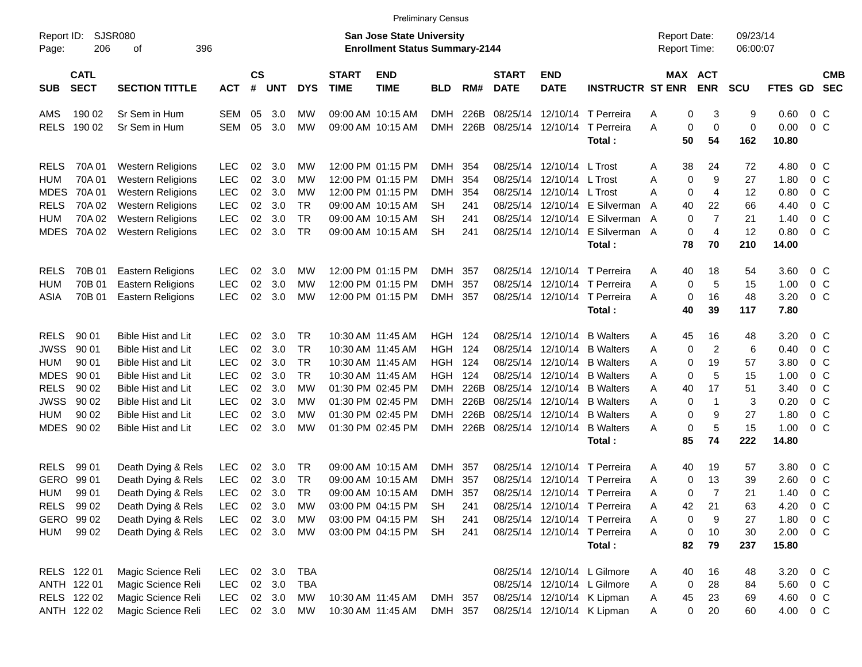| Report ID:<br>206<br>Page:                                                                                                                                                                 | SJSR080<br>396<br>оf                                                                                                                                                                                                                 |                                                                                                              |                                              |                                                      |                                                                   |                             | <b>San Jose State University</b><br><b>Enrollment Status Summary-2144</b>                                                                                            |                                                                                                    |                                                   |                                                                      |                                                                                                                |                                                                                                                                                                        | <b>Report Date:</b><br>Report Time:                    |                                                                                                    | 09/23/14<br>06:00:07                              |                                                                       |                                                                                                                                   |                          |
|--------------------------------------------------------------------------------------------------------------------------------------------------------------------------------------------|--------------------------------------------------------------------------------------------------------------------------------------------------------------------------------------------------------------------------------------|--------------------------------------------------------------------------------------------------------------|----------------------------------------------|------------------------------------------------------|-------------------------------------------------------------------|-----------------------------|----------------------------------------------------------------------------------------------------------------------------------------------------------------------|----------------------------------------------------------------------------------------------------|---------------------------------------------------|----------------------------------------------------------------------|----------------------------------------------------------------------------------------------------------------|------------------------------------------------------------------------------------------------------------------------------------------------------------------------|--------------------------------------------------------|----------------------------------------------------------------------------------------------------|---------------------------------------------------|-----------------------------------------------------------------------|-----------------------------------------------------------------------------------------------------------------------------------|--------------------------|
| <b>CATL</b><br><b>SECT</b><br><b>SUB</b>                                                                                                                                                   | <b>SECTION TITTLE</b>                                                                                                                                                                                                                | <b>ACT</b>                                                                                                   | <b>CS</b><br>#                               | <b>UNT</b>                                           | <b>DYS</b>                                                        | <b>START</b><br><b>TIME</b> | <b>END</b><br><b>TIME</b>                                                                                                                                            | <b>BLD</b>                                                                                         | RM#                                               | <b>START</b><br><b>DATE</b>                                          | <b>END</b><br><b>DATE</b>                                                                                      | <b>INSTRUCTR ST ENR</b>                                                                                                                                                |                                                        | MAX ACT<br><b>ENR</b>                                                                              | <b>SCU</b>                                        | FTES GD                                                               |                                                                                                                                   | <b>CMB</b><br><b>SEC</b> |
| AMS<br>190 02<br><b>RELS</b><br>190 02                                                                                                                                                     | Sr Sem in Hum<br>Sr Sem in Hum                                                                                                                                                                                                       | SEM<br><b>SEM</b>                                                                                            | 05<br>05                                     | 3.0<br>3.0                                           | МW<br>МW                                                          |                             | 09:00 AM 10:15 AM<br>09:00 AM 10:15 AM                                                                                                                               | <b>DMH</b><br><b>DMH</b>                                                                           | 226B<br>226B                                      | 08/25/14<br>08/25/14                                                 | 12/10/14                                                                                                       | 12/10/14 T Perreira<br>T Perreira<br>Total:                                                                                                                            | A<br>A<br>50                                           | 0<br>3<br>0<br>0<br>54                                                                             | 9<br>0<br>162                                     | 0.60<br>0.00<br>10.80                                                 | 0 C<br>0 <sup>o</sup>                                                                                                             |                          |
| <b>RELS</b><br>70A 01<br>70A01<br>HUM<br><b>MDES</b><br>70A 01<br><b>RELS</b><br>70A 02<br>70A 02<br>HUM<br><b>MDES</b><br>70A 02                                                          | <b>Western Religions</b><br><b>Western Religions</b><br><b>Western Religions</b><br><b>Western Religions</b><br><b>Western Religions</b><br><b>Western Religions</b>                                                                 | <b>LEC</b><br><b>LEC</b><br><b>LEC</b><br>LEC<br>LEC<br>LEC                                                  | 02<br>02<br>02<br>02<br>02<br>02             | 3.0<br>3.0<br>3.0<br>3.0<br>3.0<br>3.0               | МW<br>MW<br>MW<br><b>TR</b><br><b>TR</b><br><b>TR</b>             |                             | 12:00 PM 01:15 PM<br>12:00 PM 01:15 PM<br>12:00 PM 01:15 PM<br>09:00 AM 10:15 AM<br>09:00 AM 10:15 AM<br>09:00 AM 10:15 AM                                           | <b>DMH</b><br><b>DMH</b><br><b>DMH</b><br>SН<br>SН<br><b>SH</b>                                    | 354<br>354<br>354<br>241<br>241<br>241            | 08/25/14<br>08/25/14<br>08/25/14<br>08/25/14                         | 08/25/14 12/10/14 L Trost<br>12/10/14<br>12/10/14 L Trost<br>12/10/14                                          | L Trost<br>12/10/14 E Silverman<br>E Silverman<br>08/25/14 12/10/14 E Silverman A<br>Total:                                                                            | 38<br>A<br>Α<br>A<br>$\overline{A}$<br>40<br>A<br>78   | 24<br>0<br>9<br>0<br>4<br>22<br>$\overline{7}$<br>0<br>0<br>$\overline{4}$<br>70                   | 72<br>27<br>12<br>66<br>21<br>12<br>210           | 4.80<br>1.80<br>0.80<br>4.40<br>1.40<br>0.80<br>14.00                 | 0 C<br>0 <sup>o</sup><br>0 <sup>o</sup><br>0 <sup>o</sup><br>0 <sup>o</sup><br>0 <sup>o</sup>                                     |                          |
| 70B 01<br><b>RELS</b><br>70B 01<br>HUM<br>70B 01<br>ASIA                                                                                                                                   | <b>Eastern Religions</b><br>Eastern Religions<br><b>Eastern Religions</b>                                                                                                                                                            | <b>LEC</b><br><b>LEC</b><br><b>LEC</b>                                                                       | 02<br>02<br>02                               | 3.0<br>3.0<br>3.0                                    | МW<br>MW<br>МW                                                    |                             | 12:00 PM 01:15 PM<br>12:00 PM 01:15 PM<br>12:00 PM 01:15 PM                                                                                                          | <b>DMH</b><br><b>DMH</b><br>DMH                                                                    | 357<br>357<br>357                                 | 08/25/14<br>08/25/14                                                 | 12/10/14                                                                                                       | 12/10/14 T Perreira<br>T Perreira<br>08/25/14 12/10/14 T Perreira<br>Total:                                                                                            | 40<br>A<br>Α<br>Α<br>40                                | 18<br>5<br>0<br>0<br>16<br>39                                                                      | 54<br>15<br>48<br>117                             | 3.60<br>1.00<br>3.20<br>7.80                                          | 0 C<br>0 <sup>o</sup><br>0 <sup>o</sup>                                                                                           |                          |
| <b>RELS</b><br>90 01<br><b>JWSS</b><br>90 01<br>90 01<br><b>HUM</b><br><b>MDES</b><br>90 01<br><b>RELS</b><br>90 02<br><b>JWSS</b><br>90 02<br>90 02<br><b>HUM</b><br><b>MDES</b><br>90 02 | <b>Bible Hist and Lit</b><br><b>Bible Hist and Lit</b><br><b>Bible Hist and Lit</b><br><b>Bible Hist and Lit</b><br><b>Bible Hist and Lit</b><br><b>Bible Hist and Lit</b><br><b>Bible Hist and Lit</b><br><b>Bible Hist and Lit</b> | <b>LEC</b><br><b>LEC</b><br><b>LEC</b><br><b>LEC</b><br><b>LEC</b><br><b>LEC</b><br><b>LEC</b><br><b>LEC</b> | 02<br>02<br>02<br>02<br>02<br>02<br>02<br>02 | 3.0<br>3.0<br>3.0<br>3.0<br>3.0<br>3.0<br>3.0<br>3.0 | TR<br><b>TR</b><br><b>TR</b><br><b>TR</b><br>МW<br>MW<br>МW<br>MW |                             | 10:30 AM 11:45 AM<br>10:30 AM 11:45 AM<br>10:30 AM 11:45 AM<br>10:30 AM 11:45 AM<br>01:30 PM 02:45 PM<br>01:30 PM 02:45 PM<br>01:30 PM 02:45 PM<br>01:30 PM 02:45 PM | <b>HGH 124</b><br><b>HGH</b><br>HGH<br>HGH<br><b>DMH</b><br><b>DMH</b><br><b>DMH</b><br><b>DMH</b> | 124<br>124<br>124<br>226B<br>226B<br>226B<br>226B | 08/25/14<br>08/25/14<br>08/25/14<br>08/25/14<br>08/25/14<br>08/25/14 | 08/25/14 12/10/14<br>12/10/14<br>12/10/14<br>12/10/14<br>12/10/14<br>12/10/14<br>12/10/14<br>08/25/14 12/10/14 | <b>B</b> Walters<br><b>B</b> Walters<br><b>B</b> Walters<br><b>B</b> Walters<br><b>B</b> Walters<br><b>B</b> Walters<br><b>B</b> Walters<br><b>B</b> Walters<br>Total: | 45<br>A<br>Α<br>Α<br>Α<br>Α<br>40<br>Α<br>Α<br>A<br>85 | 16<br>$\overline{c}$<br>0<br>0<br>19<br>5<br>0<br>17<br>0<br>$\mathbf 1$<br>0<br>9<br>5<br>0<br>74 | 48<br>6<br>57<br>15<br>51<br>3<br>27<br>15<br>222 | 3.20<br>0.40<br>3.80<br>1.00<br>3.40<br>0.20<br>1.80<br>1.00<br>14.80 | 0 C<br>0 <sup>o</sup><br>0 <sup>o</sup><br>0 <sup>o</sup><br>0 <sup>o</sup><br>0 <sup>o</sup><br>0 <sup>o</sup><br>0 <sup>o</sup> |                          |
| <b>RELS</b><br>99 01<br>99 01<br><b>GERO</b><br>99 01<br><b>HUM</b><br><b>RELS</b><br>99 02<br>GERO 99 02<br>99 02<br>HUM                                                                  | Death Dying & Rels<br>Death Dying & Rels<br>Death Dying & Rels<br>Death Dying & Rels<br>Death Dying & Rels<br>Death Dying & Rels                                                                                                     | <b>LEC</b><br>LEC<br><b>LEC</b><br><b>LEC</b><br><b>LEC</b><br><b>LEC</b>                                    | 02<br>02<br>02<br>02<br>02                   | 3.0<br>3.0<br>3.0<br>3.0<br>3.0<br>02 3.0            | TR<br><b>TR</b><br><b>TR</b><br><b>MW</b><br>МW<br>MW             |                             | 09:00 AM 10:15 AM<br>09:00 AM 10:15 AM<br>09:00 AM 10:15 AM<br>03:00 PM 04:15 PM<br>03:00 PM 04:15 PM<br>03:00 PM 04:15 PM                                           | <b>DMH</b><br><b>DMH</b><br><b>DMH</b><br><b>SH</b><br><b>SH</b><br>SH                             | 357<br>357<br>357<br>241<br>241<br>241            | 08/25/14<br>08/25/14<br>08/25/14<br>08/25/14                         | 12/10/14<br>12/10/14<br>12/10/14                                                                               | T Perreira<br>T Perreira<br>T Perreira<br>12/10/14 T Perreira<br>08/25/14 12/10/14 T Perreira<br>08/25/14 12/10/14 T Perreira<br>Total:                                | Α<br>40<br>Α<br>Α<br>A<br>42<br>Α<br>Α<br>82           | 19<br>0<br>13<br>$\overline{7}$<br>0<br>21<br>0<br>9<br>0<br>10<br>79                              | 57<br>39<br>21<br>63<br>27<br>30<br>237           | 3.80<br>2.60<br>1.40<br>4.20<br>1.80<br>2.00<br>15.80                 | $0\,$ C<br>0 <sup>o</sup><br>0 <sup>o</sup><br>$0\,C$<br>$0\,$ C                                                                  | $0\,C$                   |
| RELS 122 01<br>ANTH 122 01<br>RELS 122 02<br>ANTH 122 02                                                                                                                                   | Magic Science Reli<br>Magic Science Reli<br>Magic Science Reli<br>Magic Science Reli                                                                                                                                                 | <b>LEC</b><br>LEC<br>LEC<br>LEC                                                                              |                                              | 02 3.0<br>02 3.0<br>02 3.0<br>02 3.0                 | <b>TBA</b><br><b>TBA</b><br>МW<br>МW                              |                             | 10:30 AM 11:45 AM<br>10:30 AM 11:45 AM                                                                                                                               | DMH 357<br>DMH 357                                                                                 |                                                   |                                                                      |                                                                                                                | 08/25/14 12/10/14 L Gilmore<br>08/25/14 12/10/14 L Gilmore<br>08/25/14 12/10/14 K Lipman<br>08/25/14 12/10/14 K Lipman                                                 | 40<br>A<br>Α<br>45<br>Α<br>Α                           | 16<br>28<br>0<br>23<br>0<br>20                                                                     | 48<br>84<br>69<br>60                              | 3.20<br>5.60 0 C<br>4.60 0 C<br>4.00 0 C                              | $0\,$ C                                                                                                                           |                          |

Preliminary Census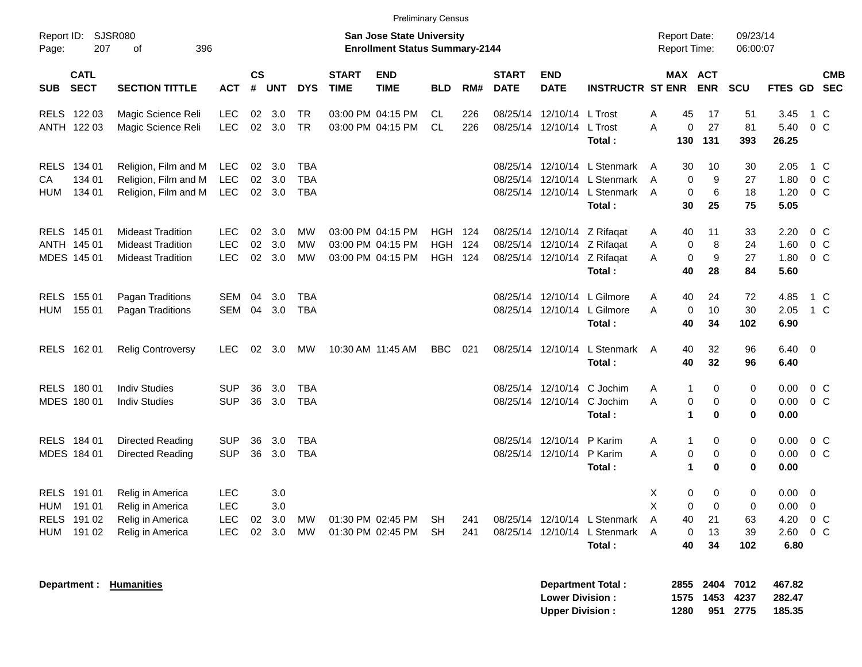| Report ID:                                | <b>SJSR080</b>                       |                                                                                  |                                                      |                             |                          |                                        |                             | <b>Preliminary Census</b><br><b>San Jose State University</b> |                           |                   |                             |                                                                                 |                                                  | <b>Report Date:</b>                       |                                                                                 | 09/23/14                                      |                                      |                                                      |  |
|-------------------------------------------|--------------------------------------|----------------------------------------------------------------------------------|------------------------------------------------------|-----------------------------|--------------------------|----------------------------------------|-----------------------------|---------------------------------------------------------------|---------------------------|-------------------|-----------------------------|---------------------------------------------------------------------------------|--------------------------------------------------|-------------------------------------------|---------------------------------------------------------------------------------|-----------------------------------------------|--------------------------------------|------------------------------------------------------|--|
| Page:                                     | 207                                  | 396<br>οf                                                                        |                                                      |                             |                          |                                        |                             | <b>Enrollment Status Summary-2144</b>                         |                           |                   |                             |                                                                                 |                                                  | <b>Report Time:</b>                       |                                                                                 | 06:00:07                                      |                                      |                                                      |  |
| <b>SUB</b>                                | <b>CATL</b><br><b>SECT</b>           | <b>SECTION TITTLE</b>                                                            | <b>ACT</b>                                           | $\mathsf{cs}$<br>#          | <b>UNT</b>               | <b>DYS</b>                             | <b>START</b><br><b>TIME</b> | <b>END</b><br><b>TIME</b>                                     | <b>BLD</b>                | RM#               | <b>START</b><br><b>DATE</b> | <b>END</b><br><b>DATE</b>                                                       | <b>INSTRUCTR ST ENR</b>                          |                                           | MAX ACT<br><b>ENR</b>                                                           | <b>SCU</b>                                    | <b>FTES GD</b>                       | <b>CMB</b><br><b>SEC</b>                             |  |
| RELS 122 03<br>ANTH 122 03                |                                      | Magic Science Reli<br>Magic Science Reli                                         | <b>LEC</b><br><b>LEC</b>                             | 02<br>02                    | 3.0<br>3.0               | TR<br><b>TR</b>                        |                             | 03:00 PM 04:15 PM<br>03:00 PM 04:15 PM                        | CL.<br><b>CL</b>          | 226<br>226        | 08/25/14                    | 12/10/14<br>08/25/14 12/10/14                                                   | L Trost<br>L Trost<br>Total :                    | 45<br>A<br>A<br>130                       | 17<br>27<br>0<br>131                                                            | 51<br>81<br>393                               | 3.45<br>5.40<br>26.25                | 1 C<br>0 <sup>o</sup>                                |  |
| RELS 134 01<br>СA<br>HUM                  | 134 01<br>134 01                     | Religion, Film and M<br>Religion, Film and M<br>Religion, Film and M             | LEC.<br><b>LEC</b><br>LEC.                           | $02\,$<br>02<br>02          | 3.0<br>3.0<br>3.0        | <b>TBA</b><br><b>TBA</b><br><b>TBA</b> |                             |                                                               |                           |                   | 08/25/14<br>08/25/14        | 12/10/14<br>12/10/14<br>08/25/14 12/10/14                                       | L Stenmark<br>L Stenmark<br>L Stenmark<br>Total: | 30<br>A<br>A<br>A<br>30                   | 10<br>$\Omega$<br>9<br>6<br>0<br>25                                             | 30<br>27<br>18<br>75                          | 2.05<br>1.80<br>1.20<br>5.05         | 1 C<br>$0\,C$<br>$0\,C$                              |  |
| RELS 145 01<br>ANTH 145 01<br>MDES 145 01 |                                      | <b>Mideast Tradition</b><br><b>Mideast Tradition</b><br><b>Mideast Tradition</b> | LEC.<br>LEC<br><b>LEC</b>                            | 02<br>02<br>02 <sub>2</sub> | 3.0<br>3.0<br>3.0        | <b>MW</b><br><b>MW</b><br><b>MW</b>    |                             | 03:00 PM 04:15 PM<br>03:00 PM 04:15 PM<br>03:00 PM 04:15 PM   | HGH<br><b>HGH</b><br>HGH. | 124<br>124<br>124 |                             | 08/25/14 12/10/14 Z Rifagat<br>08/25/14 12/10/14<br>08/25/14 12/10/14 Z Rifagat | Z Rifagat<br>Total:                              | 40<br>Α<br>Α<br>A<br>40                   | 11<br>8<br>$\mathbf 0$<br>$\mathbf 0$<br>9<br>28                                | 33<br>24<br>27<br>84                          | 2.20<br>1.60<br>1.80<br>5.60         | $0\,C$<br>0 <sup>o</sup><br>$0\,C$                   |  |
| <b>RELS</b><br>HUM                        | 155 01<br>155 01                     | Pagan Traditions<br>Pagan Traditions                                             | <b>SEM</b><br>SEM                                    | 04<br>04                    | 3.0<br>3.0               | <b>TBA</b><br><b>TBA</b>               |                             |                                                               |                           |                   | 08/25/14                    | 12/10/14<br>08/25/14 12/10/14                                                   | L Gilmore<br>L Gilmore<br>Total:                 | 40<br>A<br>A<br>40                        | 24<br>$\mathbf 0$<br>10<br>34                                                   | 72<br>30<br>102                               | 4.85<br>2.05<br>6.90                 | $1\,C$<br>1 C                                        |  |
| RELS 162 01                               |                                      | <b>Relig Controversy</b>                                                         | LEC.                                                 | 02                          | 3.0                      | <b>MW</b>                              |                             | 10:30 AM 11:45 AM                                             | <b>BBC</b>                | 021               |                             | 08/25/14 12/10/14                                                               | L Stenmark<br><b>Total</b> :                     | 40<br>A<br>40                             | 32<br>32                                                                        | 96<br>96                                      | $6.40 \quad 0$<br>6.40               |                                                      |  |
| RELS 180 01<br>MDES 180 01                |                                      | <b>Indiv Studies</b><br><b>Indiv Studies</b>                                     | <b>SUP</b><br><b>SUP</b>                             | 36<br>36                    | 3.0<br>3.0               | <b>TBA</b><br><b>TBA</b>               |                             |                                                               |                           |                   |                             | 08/25/14 12/10/14<br>08/25/14 12/10/14                                          | C Jochim<br>C Jochim<br>Total:                   | Α<br>A                                    | $\mathbf{1}$<br>0<br>0<br>$\mathbf 0$<br>1<br>$\bf{0}$                          | 0<br>$\mathbf 0$<br>$\bf{0}$                  | 0.00<br>0.00<br>0.00                 | $0\,C$<br>$0\,C$                                     |  |
| RELS 184 01<br>MDES 184 01                |                                      | <b>Directed Reading</b><br>Directed Reading                                      | <b>SUP</b><br><b>SUP</b>                             | 36<br>36                    | 3.0<br>3.0               | <b>TBA</b><br><b>TBA</b>               |                             |                                                               |                           |                   | 08/25/14                    | 12/10/14<br>08/25/14 12/10/14                                                   | P Karim<br>P Karim<br>Total:                     | Α<br>A                                    | 0<br>1<br>0<br>$\mathbf 0$<br>1<br>$\bf{0}$                                     | 0<br>$\mathbf 0$<br>0                         | 0.00<br>0.00<br>0.00                 | $0\,C$<br>$0\,C$                                     |  |
| <b>RELS</b><br>HUM<br><b>RELS</b><br>HUM  | 191 01<br>191 01<br>191 02<br>191 02 | Relig in America<br>Relig in America<br>Relig in America<br>Relig in America     | <b>LEC</b><br><b>LEC</b><br><b>LEC</b><br><b>LEC</b> | 02<br>02                    | 3.0<br>3.0<br>3.0<br>3.0 | <b>MW</b><br><b>MW</b>                 |                             | 01:30 PM 02:45 PM<br>01:30 PM 02:45 PM                        | <b>SH</b><br>SH           | 241<br>241        |                             | 08/25/14 12/10/14<br>08/25/14 12/10/14                                          | L Stenmark<br>L Stenmark<br>Total:               | Χ<br>X<br>$\overline{A}$<br>40<br>A<br>40 | 0<br>$\mathbf 0$<br>$\mathbf 0$<br>$\mathbf 0$<br>21<br>$\mathbf 0$<br>13<br>34 | $\mathbf 0$<br>$\mathbf 0$<br>63<br>39<br>102 | 0.00<br>0.00<br>4.20<br>2.60<br>6.80 | $\overline{0}$<br>$\overline{0}$<br>$0\,C$<br>$0\,C$ |  |

**Department : Humanities Department Total : 2855 2404 7012 467.82**

| <b>Department Total:</b> |      | 2855 2404 7012 |          | 467.82 |
|--------------------------|------|----------------|----------|--------|
| <b>Lower Division :</b>  |      | 1575 1453 4237 |          | 282.47 |
| <b>Upper Division :</b>  | 1280 |                | 951 2775 | 185.35 |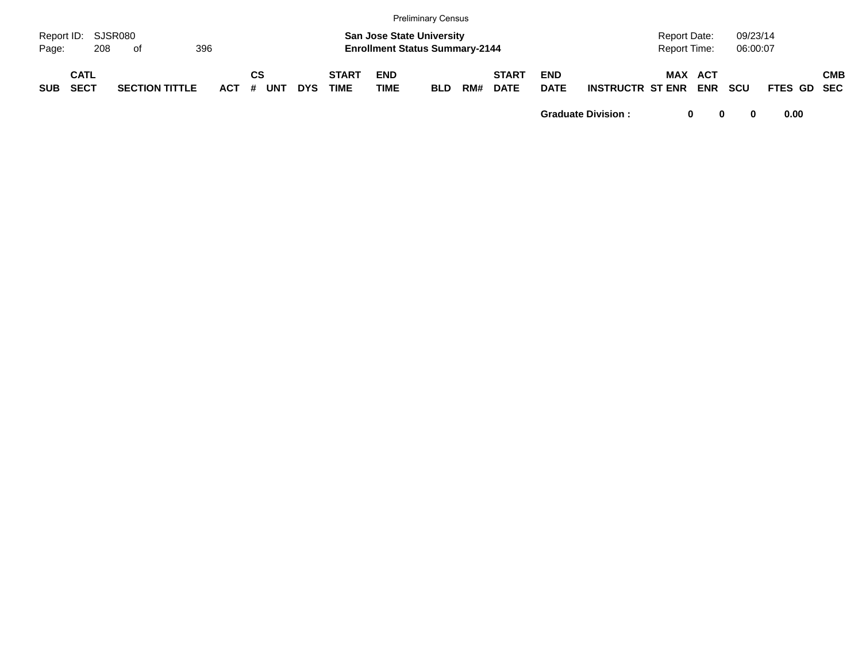|            |                            |     |                       |     |            |         |            |            |                             |                                                                           | <b>Preliminary Census</b> |     |                             |                           |                         |                                     |            |                      |             |            |
|------------|----------------------------|-----|-----------------------|-----|------------|---------|------------|------------|-----------------------------|---------------------------------------------------------------------------|---------------------------|-----|-----------------------------|---------------------------|-------------------------|-------------------------------------|------------|----------------------|-------------|------------|
| Page:      | Report ID: SJSR080         | 208 | of                    | 396 |            |         |            |            |                             | <b>San Jose State University</b><br><b>Enrollment Status Summary-2144</b> |                           |     |                             |                           |                         | <b>Report Date:</b><br>Report Time: |            | 09/23/14<br>06:00:07 |             |            |
| <b>SUB</b> | <b>CATL</b><br><b>SECT</b> |     | <b>SECTION TITTLE</b> |     | <b>ACT</b> | СS<br># | <b>UNT</b> | <b>DYS</b> | <b>START</b><br><b>TIME</b> | <b>END</b><br><b>TIME</b>                                                 | <b>BLD</b>                | RM# | <b>START</b><br><b>DATE</b> | <b>END</b><br><b>DATE</b> | <b>INSTRUCTR ST ENR</b> | MAX ACT                             | <b>ENR</b> | <b>SCU</b>           | FTES GD SEC | <b>CMB</b> |

**Graduate Division : 0 0 0 0.00**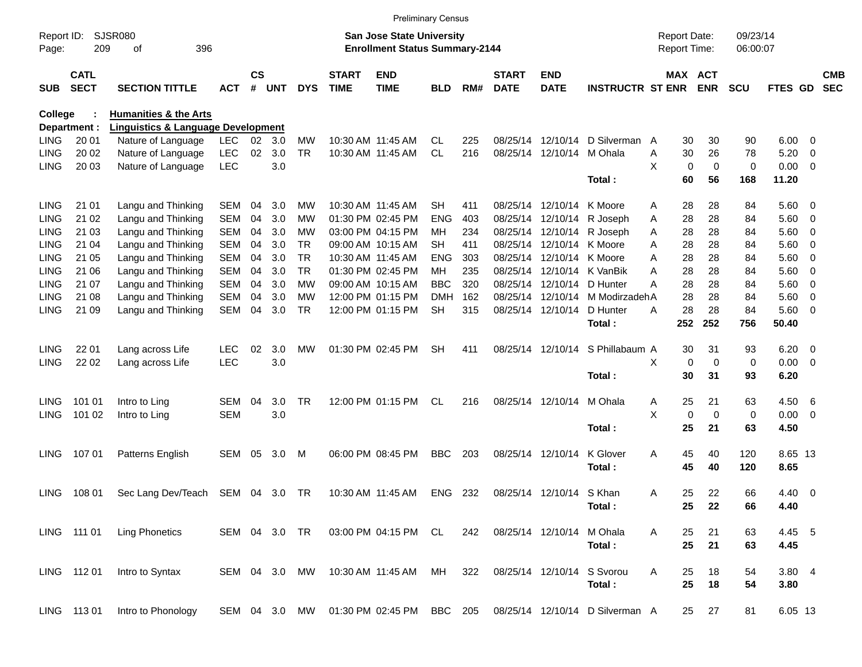|                |                            |                                               |               |                    |            |            |                             |                                       | <b>Preliminary Census</b> |     |                             |                            |                                  |                     |                       |            |                |                          |                          |
|----------------|----------------------------|-----------------------------------------------|---------------|--------------------|------------|------------|-----------------------------|---------------------------------------|---------------------------|-----|-----------------------------|----------------------------|----------------------------------|---------------------|-----------------------|------------|----------------|--------------------------|--------------------------|
| Report ID:     |                            | <b>SJSR080</b>                                |               |                    |            |            |                             | <b>San Jose State University</b>      |                           |     |                             |                            |                                  | <b>Report Date:</b> |                       | 09/23/14   |                |                          |                          |
| Page:          | 209                        | 396<br>of                                     |               |                    |            |            |                             | <b>Enrollment Status Summary-2144</b> |                           |     |                             |                            |                                  | Report Time:        |                       | 06:00:07   |                |                          |                          |
| <b>SUB</b>     | <b>CATL</b><br><b>SECT</b> | <b>SECTION TITTLE</b>                         | <b>ACT</b>    | $\mathsf{cs}$<br># | <b>UNT</b> | <b>DYS</b> | <b>START</b><br><b>TIME</b> | <b>END</b><br><b>TIME</b>             | <b>BLD</b>                | RM# | <b>START</b><br><b>DATE</b> | <b>END</b><br><b>DATE</b>  | <b>INSTRUCTR ST ENR</b>          |                     | MAX ACT<br><b>ENR</b> | <b>SCU</b> | <b>FTES GD</b> |                          | <b>CMB</b><br><b>SEC</b> |
| <b>College</b> |                            | <b>Humanities &amp; the Arts</b>              |               |                    |            |            |                             |                                       |                           |     |                             |                            |                                  |                     |                       |            |                |                          |                          |
|                | Department :               | <b>Linguistics &amp; Language Development</b> |               |                    |            |            |                             |                                       |                           |     |                             |                            |                                  |                     |                       |            |                |                          |                          |
| <b>LING</b>    | 20 01                      | Nature of Language                            | <b>LEC</b>    | 02                 | 3.0        | MW         |                             | 10:30 AM 11:45 AM                     | CL.                       | 225 | 08/25/14                    | 12/10/14                   | D Silverman                      | 30<br>A             | 30                    | 90         | 6.00           | $\overline{\phantom{0}}$ |                          |
| LING           | 20 02                      | Nature of Language                            | <b>LEC</b>    | 02                 | 3.0        | <b>TR</b>  |                             | 10:30 AM 11:45 AM                     | <b>CL</b>                 | 216 |                             | 08/25/14 12/10/14 M Ohala  |                                  | 30<br>Α             | 26                    | 78         | 5.20           | $\overline{\mathbf{0}}$  |                          |
| <b>LING</b>    | 20 03                      | Nature of Language                            | <b>LEC</b>    |                    | 3.0        |            |                             |                                       |                           |     |                             |                            |                                  | X<br>$\mathbf 0$    | $\mathbf 0$           | 0          | $0.00 \t 0$    |                          |                          |
|                |                            |                                               |               |                    |            |            |                             |                                       |                           |     |                             |                            | Total:                           | 60                  | 56                    | 168        | 11.20          |                          |                          |
| <b>LING</b>    | 21 01                      | Langu and Thinking                            | <b>SEM</b>    | 04                 | 3.0        | MW         |                             | 10:30 AM 11:45 AM                     | SН                        | 411 |                             | 08/25/14 12/10/14 K Moore  |                                  | 28<br>Α             | 28                    | 84         | $5.60$ 0       |                          |                          |
| LING           | 21 02                      | Langu and Thinking                            | <b>SEM</b>    | 04                 | 3.0        | MW         |                             | 01:30 PM 02:45 PM                     | ENG                       | 403 |                             | 08/25/14 12/10/14          | R Joseph                         | 28<br>Α             | 28                    | 84         | 5.60 0         |                          |                          |
| <b>LING</b>    | 21 03                      | Langu and Thinking                            | <b>SEM</b>    | 04                 | 3.0        | MW         |                             | 03:00 PM 04:15 PM                     | MН                        | 234 |                             |                            | 08/25/14 12/10/14 R Joseph       | 28<br>Α             | 28                    | 84         | $5.60$ 0       |                          |                          |
| LING           | 21 04                      | Langu and Thinking                            | <b>SEM</b>    | 04                 | 3.0        | <b>TR</b>  |                             | 09:00 AM 10:15 AM                     | SН                        | 411 |                             | 08/25/14 12/10/14 K Moore  |                                  | 28<br>A             | 28                    | 84         | $5.60$ 0       |                          |                          |
| LING           | 21 05                      | Langu and Thinking                            | <b>SEM</b>    | 04                 | 3.0        | <b>TR</b>  |                             | 10:30 AM 11:45 AM                     | ENG                       | 303 |                             | 08/25/14 12/10/14 K Moore  |                                  | 28<br>A             | 28                    | 84         | 5.60 0         |                          |                          |
| <b>LING</b>    | 21 06                      | Langu and Thinking                            | <b>SEM</b>    | 04                 | 3.0        | <b>TR</b>  |                             | 01:30 PM 02:45 PM                     | MН                        | 235 |                             |                            | 08/25/14 12/10/14 K VanBik       | 28<br>A             | 28                    | 84         | $5.60$ 0       |                          |                          |
| LING           | 21 07                      | Langu and Thinking                            | <b>SEM</b>    | 04                 | 3.0        | <b>MW</b>  |                             | 09:00 AM 10:15 AM                     | <b>BBC</b>                | 320 |                             | 08/25/14 12/10/14 D Hunter |                                  | A<br>28             | 28                    | 84         | 5.60           | $\overline{\phantom{0}}$ |                          |
| <b>LING</b>    | 21 08                      | Langu and Thinking                            | <b>SEM</b>    | 04                 | 3.0        | MW         |                             | 12:00 PM 01:15 PM                     | DMH                       | 162 |                             |                            | 08/25/14 12/10/14 M Modirzadeh A | 28                  | 28                    | 84         | 5.60           | $\overline{\phantom{0}}$ |                          |
| <b>LING</b>    | 21 09                      | Langu and Thinking                            | <b>SEM</b>    | 04                 | 3.0        | TR         |                             | 12:00 PM 01:15 PM                     | <b>SH</b>                 | 315 |                             | 08/25/14 12/10/14          | D Hunter                         | 28<br>Α             | 28                    | 84         | $5.60$ 0       |                          |                          |
|                |                            |                                               |               |                    |            |            |                             |                                       |                           |     |                             |                            | Total:                           | 252                 | 252                   | 756        | 50.40          |                          |                          |
| <b>LING</b>    | 22 01                      | Lang across Life                              | <b>LEC</b>    | 02                 | 3.0        | MW         |                             | 01:30 PM 02:45 PM                     | <b>SH</b>                 | 411 |                             | 08/25/14 12/10/14          | S Phillabaum A                   | 30                  | 31                    | 93         | $6.20 \quad 0$ |                          |                          |
| <b>LING</b>    | 22 02                      | Lang across Life                              | <b>LEC</b>    |                    | 3.0        |            |                             |                                       |                           |     |                             |                            |                                  | X<br>$\mathbf 0$    | $\mathbf 0$           | 0          | $0.00 \t 0$    |                          |                          |
|                |                            |                                               |               |                    |            |            |                             |                                       |                           |     |                             |                            | Total:                           | 30                  | 31                    | 93         | 6.20           |                          |                          |
| <b>LING</b>    | 101 01                     | Intro to Ling                                 | SEM           | 04                 | 3.0        | <b>TR</b>  |                             | 12:00 PM 01:15 PM                     | CL.                       | 216 |                             | 08/25/14 12/10/14 M Ohala  |                                  | 25<br>A             | 21                    | 63         | 4.50 6         |                          |                          |
| <b>LING</b>    | 101 02                     | Intro to Ling                                 | <b>SEM</b>    |                    | 3.0        |            |                             |                                       |                           |     |                             |                            |                                  | X<br>0              | $\mathbf 0$           | 0          | $0.00 \t 0$    |                          |                          |
|                |                            |                                               |               |                    |            |            |                             |                                       |                           |     |                             |                            | Total:                           | 25                  | 21                    | 63         | 4.50           |                          |                          |
| <b>LING</b>    | 10701                      | Patterns English                              | SEM           | 05                 | 3.0        | M          |                             | 06:00 PM 08:45 PM                     | <b>BBC</b>                | 203 |                             | 08/25/14 12/10/14          | K Glover                         | 45<br>Α             | 40                    | 120        | 8.65 13        |                          |                          |
|                |                            |                                               |               |                    |            |            |                             |                                       |                           |     |                             |                            | Total:                           | 45                  | 40                    | 120        | 8.65           |                          |                          |
| LING           | 108 01                     | Sec Lang Dev/Teach SEM 04 3.0                 |               |                    |            | TR         |                             | 10:30 AM 11:45 AM                     | ENG 232                   |     |                             | 08/25/14 12/10/14 S Khan   |                                  | 25<br>Α             | 22                    | 66         | $4.40 \quad 0$ |                          |                          |
|                |                            |                                               |               |                    |            |            |                             |                                       |                           |     |                             |                            | Total:                           | 25                  | 22                    | 66         | 4.40           |                          |                          |
|                | LING 111 01                | <b>Ling Phonetics</b>                         | SEM 04 3.0 TR |                    |            |            |                             | 03:00 PM 04:15 PM CL                  |                           | 242 |                             | 08/25/14 12/10/14          | M Ohala                          | Α<br>25             | 21                    | 63         | 4.45 5         |                          |                          |
|                |                            |                                               |               |                    |            |            |                             |                                       |                           |     |                             |                            | Total:                           | 25                  | 21                    | 63         | 4.45           |                          |                          |
|                | LING 11201                 | Intro to Syntax                               | SEM 04 3.0 MW |                    |            |            |                             | 10:30 AM 11:45 AM                     | MН                        | 322 |                             | 08/25/14 12/10/14          | S Svorou                         | Α<br>25             | 18                    | 54         | 3.804          |                          |                          |
|                |                            |                                               |               |                    |            |            |                             |                                       |                           |     |                             |                            | Total:                           | 25                  | 18                    | 54         | 3.80           |                          |                          |
|                | LING 11301                 | Intro to Phonology                            | SEM 04 3.0 MW |                    |            |            |                             | 01:30 PM 02:45 PM                     | BBC 205                   |     |                             |                            | 08/25/14 12/10/14 D Silverman A  | 25                  | 27                    | 81         | 6.05 13        |                          |                          |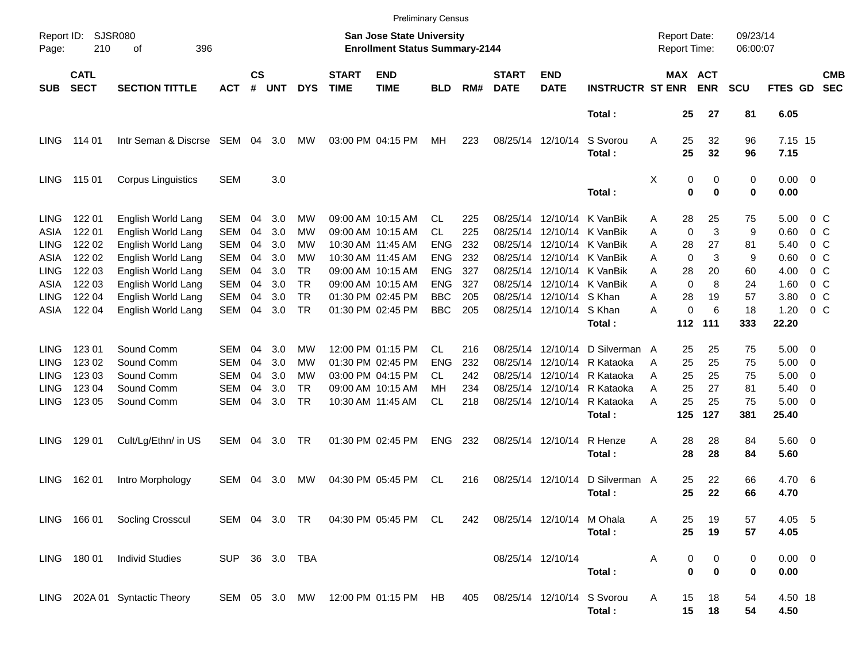|                     |                            |                               |                |                |            |            |                                                                    | <b>Preliminary Census</b>          |            |     |                             |                            |                         |                                     |               |                      |            |                     |                          |                          |
|---------------------|----------------------------|-------------------------------|----------------|----------------|------------|------------|--------------------------------------------------------------------|------------------------------------|------------|-----|-----------------------------|----------------------------|-------------------------|-------------------------------------|---------------|----------------------|------------|---------------------|--------------------------|--------------------------|
| Report ID:<br>Page: | <b>SJSR080</b><br>210      |                               |                |                |            |            | San Jose State University<br><b>Enrollment Status Summary-2144</b> |                                    |            |     |                             |                            |                         | <b>Report Date:</b><br>Report Time: |               | 09/23/14<br>06:00:07 |            |                     |                          |                          |
| <b>SUB</b>          | <b>CATL</b><br><b>SECT</b> | <b>SECTION TITTLE</b>         | <b>ACT</b>     | <b>CS</b><br># | <b>UNT</b> | <b>DYS</b> | <b>START</b><br><b>TIME</b>                                        | <b>END</b><br><b>TIME</b>          | <b>BLD</b> | RM# | <b>START</b><br><b>DATE</b> | <b>END</b><br><b>DATE</b>  | <b>INSTRUCTR ST ENR</b> |                                     | MAX ACT       | <b>ENR</b>           | <b>SCU</b> | FTES GD             |                          | <b>CMB</b><br><b>SEC</b> |
|                     |                            |                               |                |                |            |            |                                                                    |                                    |            |     |                             |                            | Total:                  |                                     | 25            | 27                   | 81         | 6.05                |                          |                          |
| LING.               | 114 01                     | Intr Seman & Discrse SEM      |                | 04             | 3.0        | MW         |                                                                    | 03:00 PM 04:15 PM                  | МH         | 223 |                             | 08/25/14 12/10/14          | S Svorou<br>Total:      | Α                                   | 25<br>25      | 32<br>32             | 96<br>96   | 7.15 15<br>7.15     |                          |                          |
| LING                | 115 01                     | <b>Corpus Linguistics</b>     | <b>SEM</b>     |                | 3.0        |            |                                                                    |                                    |            |     |                             |                            | Total:                  | Χ                                   | 0<br>$\bf{0}$ | 0<br>$\bf{0}$        | 0<br>0     | $0.00 \t 0$<br>0.00 |                          |                          |
| <b>LING</b>         | 122 01                     | English World Lang            | <b>SEM</b>     | 04             | 3.0        | MW         |                                                                    | 09:00 AM 10:15 AM                  | CL.        | 225 | 08/25/14                    | 12/10/14                   | K VanBik                | Α                                   | 28            | 25                   | 75         | 5.00                | $0\,$ C                  |                          |
| ASIA                | 122 01                     | English World Lang            | <b>SEM</b>     | 04             | 3.0        | MW         |                                                                    | 09:00 AM 10:15 AM                  | CL.        | 225 | 08/25/14                    |                            | 12/10/14 K VanBik       | A                                   | 0             | 3                    | 9          | 0.60                | $0\,$ C                  |                          |
| LING                | 122 02                     | English World Lang            | <b>SEM</b>     | 04             | 3.0        | <b>MW</b>  |                                                                    | 10:30 AM 11:45 AM                  | <b>ENG</b> | 232 | 08/25/14                    |                            | 12/10/14 K VanBik       | A                                   | 28            | 27                   | 81         | 5.40                | $0\,$ C                  |                          |
| ASIA                | 122 02                     | English World Lang            | <b>SEM</b>     | 04             | 3.0        | MW         |                                                                    | 10:30 AM 11:45 AM                  | <b>ENG</b> | 232 | 08/25/14                    |                            | 12/10/14 K VanBik       | A                                   | 0             | 3                    | 9          | 0.60                | $0\,$ C                  |                          |
| <b>LING</b>         | 122 03                     | English World Lang            | <b>SEM</b>     | 04             | 3.0        | TR.        |                                                                    | 09:00 AM 10:15 AM                  | <b>ENG</b> | 327 | 08/25/14                    |                            | 12/10/14 K VanBik       | A                                   | 28            | 20                   | 60         | 4.00                | $0\,$ C                  |                          |
| ASIA                | 122 03                     | English World Lang            | <b>SEM</b>     | 04             | 3.0        | <b>TR</b>  |                                                                    | 09:00 AM 10:15 AM                  | <b>ENG</b> | 327 | 08/25/14                    |                            | 12/10/14 K VanBik       | A                                   | $\Omega$      | 8                    | 24         | 1.60                | $0\,$ C                  |                          |
| <b>LING</b>         | 122 04                     | English World Lang            | <b>SEM</b>     | 04             | 3.0        | <b>TR</b>  |                                                                    | 01:30 PM 02:45 PM                  | <b>BBC</b> | 205 | 08/25/14                    | 12/10/14 S Khan            |                         | A                                   | 28            | 19                   | 57         | 3.80                | 0 <sup>o</sup>           |                          |
| ASIA                | 122 04                     | English World Lang            | <b>SEM</b>     | 04             | 3.0        | <b>TR</b>  |                                                                    | 01:30 PM 02:45 PM                  | <b>BBC</b> | 205 |                             | 08/25/14 12/10/14 S Khan   |                         | А                                   | 0             | 6                    | 18         | 1.20                |                          | $0\,$ C                  |
|                     |                            |                               |                |                |            |            |                                                                    |                                    |            |     |                             |                            | Total:                  |                                     | 112           | 111                  | 333        | 22.20               |                          |                          |
| <b>LING</b>         | 123 01                     | Sound Comm                    | SEM            | 04             | 3.0        | MW         |                                                                    | 12:00 PM 01:15 PM                  | CL.        | 216 |                             | 08/25/14 12/10/14          | D Silverman A           |                                     | 25            | 25                   | 75         | 5.00                | - 0                      |                          |
| <b>LING</b>         | 123 02                     | Sound Comm                    | SEM            | 04             | 3.0        | MW         |                                                                    | 01:30 PM 02:45 PM                  | ENG        | 232 |                             | 08/25/14 12/10/14          | R Kataoka               | Α                                   | 25            | 25                   | 75         | 5.00                | $\overline{\phantom{0}}$ |                          |
| <b>LING</b>         | 123 03                     | Sound Comm                    | SEM            | 04             | 3.0        | MW         |                                                                    | 03:00 PM 04:15 PM                  | CL         | 242 |                             | 08/25/14 12/10/14          | R Kataoka               | A                                   | 25            | 25                   | 75         | 5.00                | $\overline{\mathbf{0}}$  |                          |
| <b>LING</b>         | 123 04                     | Sound Comm                    | <b>SEM</b>     | 04             | 3.0        | TR.        |                                                                    | 09:00 AM 10:15 AM                  | MН         | 234 |                             | 08/25/14 12/10/14          | R Kataoka               | A                                   | 25            | 27                   | 81         | 5.40                | $\overline{\mathbf{0}}$  |                          |
| <b>LING</b>         | 123 05                     | Sound Comm                    | <b>SEM</b>     | 04             | 3.0        | <b>TR</b>  |                                                                    | 10:30 AM 11:45 AM                  | CL         | 218 |                             | 08/25/14 12/10/14          | R Kataoka               | А                                   | 25            | 25                   | 75         | 5.00                | $\overline{\phantom{0}}$ |                          |
|                     |                            |                               |                |                |            |            |                                                                    |                                    |            |     |                             |                            | Total:                  |                                     | 125           | 127                  | 381        | 25.40               |                          |                          |
| LING.               | 129 01                     | Cult/Lg/Ethn/ in US           | SEM            | 04             | 3.0        | TR         |                                                                    | 01:30 PM 02:45 PM                  | <b>ENG</b> | 232 |                             | 08/25/14 12/10/14          | R Henze                 | A                                   | 28            | 28                   | 84         | 5.60 0              |                          |                          |
|                     |                            |                               |                |                |            |            |                                                                    |                                    |            |     |                             |                            | Total:                  |                                     | 28            | 28                   | 84         | 5.60                |                          |                          |
| LING.               | 162 01                     | Intro Morphology              | SEM            | 04             | 3.0        | МW         |                                                                    | 04:30 PM 05:45 PM                  | CL         | 216 | 08/25/14 12/10/14           |                            | D Silverman A           |                                     | 25            | 22                   | 66         | 4.70 6              |                          |                          |
|                     |                            |                               |                |                |            |            |                                                                    |                                    |            |     |                             |                            | Total:                  |                                     | 25            | 22                   | 66         | 4.70                |                          |                          |
|                     |                            | LING 166 01 Socling Crosscul  |                |                |            |            |                                                                    | SEM 04 3.0 TR 04:30 PM 05:45 PM CL |            | 242 |                             | 08/25/14 12/10/14 M Ohala  |                         | A                                   | 25            | 19                   | 57         | 4.05 5              |                          |                          |
|                     |                            |                               |                |                |            |            |                                                                    |                                    |            |     |                             |                            | Total:                  |                                     | 25            | 19                   | 57         | 4.05                |                          |                          |
|                     | LING 180 01                | <b>Individ Studies</b>        | SUP 36 3.0 TBA |                |            |            |                                                                    |                                    |            |     |                             | 08/25/14 12/10/14          |                         | Α                                   | 0             | 0                    | 0          | $0.00 \t 0$         |                          |                          |
|                     |                            |                               |                |                |            |            |                                                                    |                                    |            |     |                             |                            | Total:                  |                                     | 0             | $\bf{0}$             | 0          | 0.00                |                          |                          |
|                     |                            | LING 202A 01 Syntactic Theory |                |                |            |            |                                                                    | SEM 05 3.0 MW 12:00 PM 01:15 PM HB |            | 405 |                             | 08/25/14 12/10/14 S Svorou |                         | Α                                   | 15            | 18                   | 54         | 4.50 18             |                          |                          |
|                     |                            |                               |                |                |            |            |                                                                    |                                    |            |     |                             |                            | Total:                  |                                     | 15            | 18                   | 54         | 4.50                |                          |                          |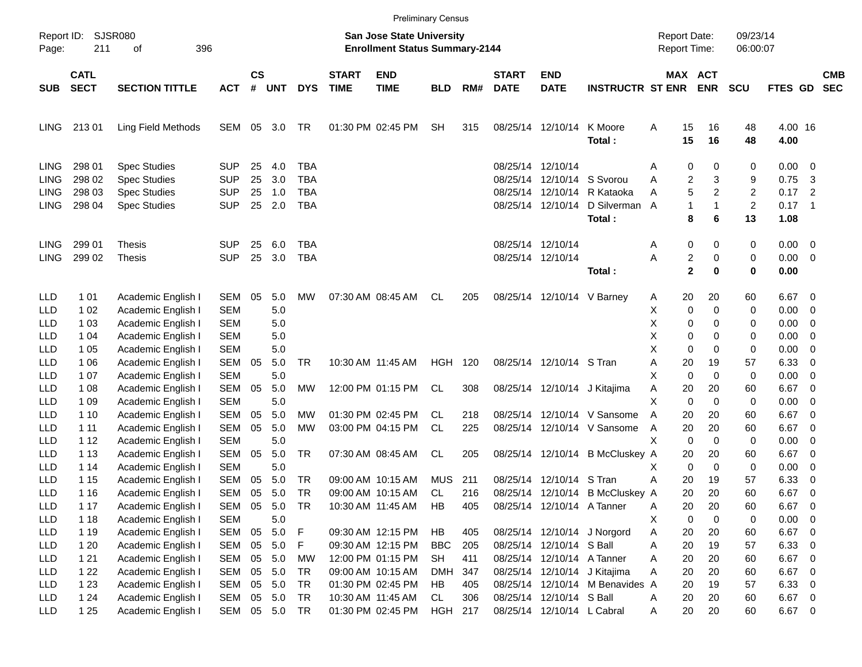|             |                            |                                          |                   |                    |                  |            |                             | <b>Preliminary Census</b>                                          |                         |            |                             |                            |                                                                 |                                     |                     |                      |                 |                               |                          |
|-------------|----------------------------|------------------------------------------|-------------------|--------------------|------------------|------------|-----------------------------|--------------------------------------------------------------------|-------------------------|------------|-----------------------------|----------------------------|-----------------------------------------------------------------|-------------------------------------|---------------------|----------------------|-----------------|-------------------------------|--------------------------|
| Page:       | Report ID: SJSR080<br>211  | 396<br>оf                                |                   |                    |                  |            |                             | San Jose State University<br><b>Enrollment Status Summary-2144</b> |                         |            |                             |                            |                                                                 | <b>Report Date:</b><br>Report Time: |                     | 09/23/14<br>06:00:07 |                 |                               |                          |
| <b>SUB</b>  | <b>CATL</b><br><b>SECT</b> | <b>SECTION TITTLE</b>                    | <b>ACT</b>        | $\mathsf{cs}$<br># | <b>UNT</b>       | <b>DYS</b> | <b>START</b><br><b>TIME</b> | <b>END</b><br><b>TIME</b>                                          | <b>BLD</b>              | RM#        | <b>START</b><br><b>DATE</b> | <b>END</b><br><b>DATE</b>  | <b>INSTRUCTR ST ENR ENR</b>                                     |                                     | MAX ACT             | <b>SCU</b>           | <b>FTES GD</b>  |                               | <b>CMB</b><br><b>SEC</b> |
| <b>LING</b> | 21301                      | Ling Field Methods                       | SEM               | 05                 | 3.0              | TR         |                             | 01:30 PM 02:45 PM                                                  | <b>SH</b>               | 315        |                             | 08/25/14 12/10/14          | K Moore<br>Total:                                               | Α<br>15<br>15                       | 16<br>16            | 48<br>48             | 4.00 16<br>4.00 |                               |                          |
| <b>LING</b> | 298 01                     | <b>Spec Studies</b>                      | <b>SUP</b>        | 25                 | 4.0              | <b>TBA</b> |                             |                                                                    |                         |            | 08/25/14 12/10/14           |                            |                                                                 | 0<br>Α                              | 0                   | 0                    | 0.00            | - 0                           |                          |
| LING        | 298 02                     | <b>Spec Studies</b>                      | <b>SUP</b>        | 25                 | 3.0              | <b>TBA</b> |                             |                                                                    |                         |            |                             | 08/25/14 12/10/14 S Svorou |                                                                 | Α                                   | 2<br>3              | 9                    | 0.75            | -3                            |                          |
| LING        | 298 03                     | <b>Spec Studies</b>                      | <b>SUP</b>        | 25                 | 1.0              | <b>TBA</b> |                             |                                                                    |                         |            |                             |                            | 08/25/14 12/10/14 R Kataoka                                     | Α                                   | 5<br>$\overline{c}$ | 2                    | 0.17            | $\overline{2}$                |                          |
| LING        | 298 04                     | <b>Spec Studies</b>                      | <b>SUP</b>        | 25                 | 2.0              | <b>TBA</b> |                             |                                                                    |                         |            |                             | 08/25/14 12/10/14          | D Silverman<br>Total:                                           | 1<br>A<br>8                         | 1<br>6              | $\overline{2}$<br>13 | 0.17<br>1.08    | $\overline{\phantom{1}}$      |                          |
| <b>LING</b> | 299 01                     | Thesis                                   | <b>SUP</b>        | 25                 | 6.0              | TBA        |                             |                                                                    |                         |            |                             | 08/25/14 12/10/14          |                                                                 | 0<br>Α                              | 0                   | 0                    | 0.00            | 0                             |                          |
| <b>LING</b> | 299 02                     | <b>Thesis</b>                            | <b>SUP</b>        | 25                 | 3.0              | <b>TBA</b> |                             |                                                                    |                         |            |                             | 08/25/14 12/10/14          |                                                                 | Α                                   | 2<br>0              | 0                    | 0.00            | 0                             |                          |
|             |                            |                                          |                   |                    |                  |            |                             |                                                                    |                         |            |                             |                            | Total:                                                          |                                     | $\mathbf 2$<br>0    | $\bf{0}$             | 0.00            |                               |                          |
| <b>LLD</b>  | 1 0 1                      | Academic English I                       | SEM               | 05                 | 5.0              | МW         |                             | 07:30 AM 08:45 AM                                                  | CL                      | 205        |                             | 08/25/14 12/10/14 V Barney |                                                                 | 20<br>A                             | 20                  | 60                   | 6.67            | 0                             |                          |
| LLD         | 1 0 2                      | Academic English I                       | <b>SEM</b>        |                    | 5.0              |            |                             |                                                                    |                         |            |                             |                            |                                                                 | X<br>0                              | 0                   | 0                    | 0.00            | 0                             |                          |
| LLD         | 1 0 3                      | Academic English I                       | <b>SEM</b>        |                    | 5.0              |            |                             |                                                                    |                         |            |                             |                            |                                                                 | X<br>0                              | 0                   | 0                    | 0.00            | 0                             |                          |
| LLD         | 1 04                       | Academic English I                       | <b>SEM</b>        |                    | 5.0              |            |                             |                                                                    |                         |            |                             |                            |                                                                 | Χ<br>0                              | 0                   | 0                    | 0.00            | 0                             |                          |
| LLD         | 1 0 5                      | Academic English I                       | <b>SEM</b>        |                    | 5.0              |            |                             |                                                                    |                         |            |                             |                            |                                                                 | X<br>0                              | 0                   | 0                    | 0.00            | 0                             |                          |
| LLD         | 1 0 6                      | Academic English I                       | <b>SEM</b>        | 05                 | 5.0              | <b>TR</b>  | 10:30 AM 11:45 AM           |                                                                    | <b>HGH 120</b>          |            |                             | 08/25/14 12/10/14 S Tran   |                                                                 | Α<br>20                             | 19                  | 57                   | 6.33            | 0                             |                          |
| LLD         | 1 0 7                      | Academic English I                       | <b>SEM</b>        |                    | 5.0              |            |                             |                                                                    |                         |            |                             |                            |                                                                 | X<br>$\mathbf 0$                    | 0                   | 0                    | 0.00            | 0                             |                          |
| LLD         | 1 08                       | Academic English I                       | <b>SEM</b>        | 05                 | 5.0              | MW         |                             | 12:00 PM 01:15 PM                                                  | CL                      | 308        |                             |                            | 08/25/14 12/10/14 J Kitajima                                    | Α<br>20                             | 20                  | 60                   | 6.67            | 0                             |                          |
| LLD         | 1 09                       | Academic English I                       | <b>SEM</b>        |                    | 5.0              |            |                             |                                                                    |                         |            |                             |                            |                                                                 | X<br>0                              | 0                   | 0                    | 0.00            | 0                             |                          |
| LLD         | 1 10                       | Academic English I                       | <b>SEM</b>        | 05                 | 5.0              | MW         |                             | 01:30 PM 02:45 PM                                                  | CL.                     | 218        |                             |                            | 08/25/14 12/10/14 V Sansome                                     | A<br>20                             | 20                  | 60                   | 6.67            | 0                             |                          |
| LLD         | 1 11                       | Academic English I                       | <b>SEM</b>        | 05                 | 5.0              | МW         |                             | 03:00 PM 04:15 PM                                                  | CL                      | 225        |                             |                            | 08/25/14 12/10/14 V Sansome                                     | 20<br>A                             | 20                  | 60                   | 6.67            | 0                             |                          |
| LLD         | 1 12                       | Academic English I                       | <b>SEM</b>        |                    | 5.0              |            |                             |                                                                    |                         |            |                             |                            |                                                                 | Χ<br>0                              | 0                   | 0                    | 0.00            | 0                             |                          |
| LLD         | 1 1 3                      | Academic English I                       | <b>SEM</b>        | 05                 | 5.0              | <b>TR</b>  |                             | 07:30 AM 08:45 AM                                                  | CL                      | 205        |                             |                            | 08/25/14 12/10/14 B McCluskey A                                 | 20                                  | 20                  | 60                   | 6.67            | 0                             |                          |
| LLD         | 1 14                       | Academic English I                       | <b>SEM</b>        |                    | 5.0              |            |                             |                                                                    |                         |            |                             |                            |                                                                 | 0<br>Х                              | 0                   | 0                    | 0.00            | 0                             |                          |
| LLD         | 1 15                       | Academic English I                       | <b>SEM</b>        | 05                 | 5.0              | TR         |                             | 09:00 AM 10:15 AM                                                  | <b>MUS</b>              | 211        |                             | 08/25/14 12/10/14 S Tran   |                                                                 | А<br>20                             | 19                  | 57                   | 6.33            | 0                             |                          |
| LLD         | 1 1 6                      | Academic English I                       | <b>SEM</b>        | 05                 | 5.0              | TR         |                             | 09:00 AM 10:15 AM                                                  | CL                      | 216        |                             |                            | 08/25/14 12/10/14 B McCluskey A                                 | 20                                  | 20                  | 60                   | 6.67            | 0                             |                          |
| <b>LLD</b>  | 1 1 7                      | Academic English I                       | SEM               |                    | 05 5.0           | TR         |                             | 10:30 AM 11:45 AM                                                  | HB                      | 405        |                             | 08/25/14 12/10/14 A Tanner |                                                                 | Α<br>20                             | 20                  | 60                   | 6.67            | $\overline{\mathbf{0}}$       |                          |
| LLD         | 1 1 8                      | Academic English I                       | <b>SEM</b>        |                    | $5.0\,$          |            |                             |                                                                    |                         |            |                             |                            |                                                                 | X.<br>0                             | 0                   | 0                    | 0.00            | 0                             |                          |
| LLD         | 1 1 9                      | Academic English I                       | SEM               |                    | 05 5.0           | F          |                             | 09:30 AM 12:15 PM                                                  | HB                      | 405        |                             |                            | 08/25/14 12/10/14 J Norgord                                     | 20<br>A                             | 20                  | 60                   | 6.67            | $\overline{\mathbf{0}}$       |                          |
| LLD         | 1 2 0                      | Academic English I                       | SEM               |                    | 05 5.0           | F          |                             | 09:30 AM 12:15 PM<br>12:00 PM 01:15 PM                             | <b>BBC</b>              | 205        |                             | 08/25/14 12/10/14 S Ball   |                                                                 | Α<br>20                             | 19                  | 57                   | 6.33            | $\mathbf 0$                   |                          |
| LLD         | 1 2 1<br>122               | Academic English I                       | SEM<br><b>SEM</b> |                    | 05 5.0<br>05 5.0 | MW<br>TR   |                             | 09:00 AM 10:15 AM                                                  | <b>SH</b><br><b>DMH</b> | 411<br>347 |                             | 08/25/14 12/10/14 A Tanner |                                                                 | 20<br>Α<br>Α<br>20                  | 20<br>20            | 60<br>60             | 6.67 0<br>6.67  |                               |                          |
| LLD<br>LLD  | 1 2 3                      | Academic English I<br>Academic English I | SEM               |                    | 05 5.0           | TR         |                             | 01:30 PM 02:45 PM                                                  | HB                      | 405        |                             |                            | 08/25/14 12/10/14 J Kitajima<br>08/25/14 12/10/14 M Benavides A | 20                                  | 19                  | 57                   | 6.33            | $\overline{0}$<br>$\mathbf 0$ |                          |
| LLD         | 124                        | Academic English I                       | SEM               |                    | 05 5.0           | <b>TR</b>  |                             | 10:30 AM 11:45 AM                                                  | CL                      | 306        |                             | 08/25/14 12/10/14 S Ball   |                                                                 | 20<br>A                             | 20                  | 60                   | 6.67 0          |                               |                          |
| LLD         | 1 25                       | Academic English I                       | SEM               |                    | 05 5.0           | TR         |                             | 01:30 PM 02:45 PM                                                  | HGH 217                 |            |                             | 08/25/14 12/10/14 L Cabral |                                                                 | 20<br>A                             | 20                  | 60                   | 6.67 0          |                               |                          |
|             |                            |                                          |                   |                    |                  |            |                             |                                                                    |                         |            |                             |                            |                                                                 |                                     |                     |                      |                 |                               |                          |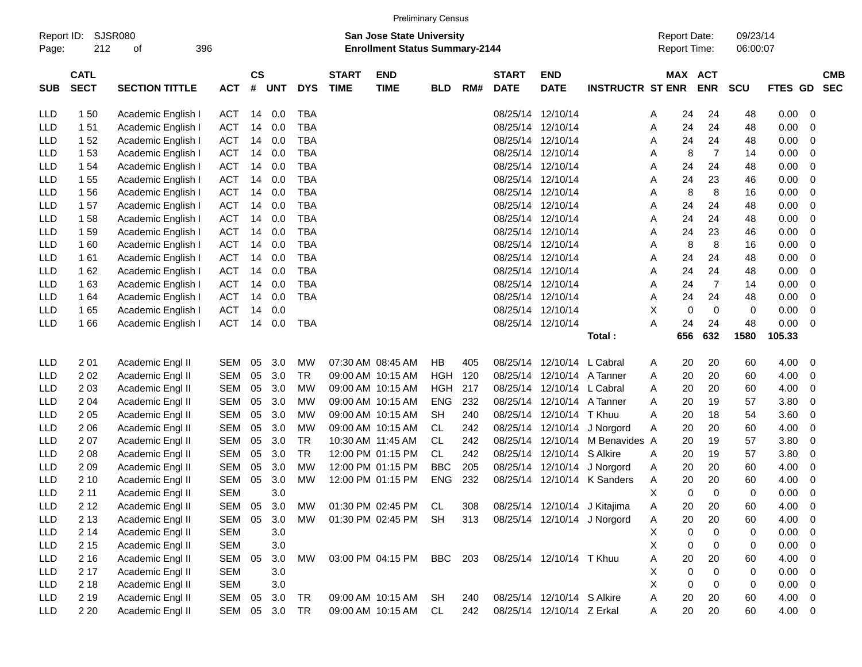| Report ID:<br>Page: | 212         | <b>SJSR080</b><br>396<br>οf |            |           |            |            |              | <b>San Jose State University</b><br><b>Enrollment Status Summary-2144</b> | <b>Preliminary Census</b> |     |              |                   |                         | <b>Report Date:</b><br><b>Report Time:</b> |            | 09/23/14<br>06:00:07 |                |                |            |
|---------------------|-------------|-----------------------------|------------|-----------|------------|------------|--------------|---------------------------------------------------------------------------|---------------------------|-----|--------------|-------------------|-------------------------|--------------------------------------------|------------|----------------------|----------------|----------------|------------|
|                     | <b>CATL</b> |                             |            | <b>CS</b> |            |            | <b>START</b> | <b>END</b>                                                                |                           |     | <b>START</b> | <b>END</b>        |                         | <b>MAX</b>                                 | <b>ACT</b> |                      |                |                | <b>CMB</b> |
| <b>SUB</b>          | <b>SECT</b> | <b>SECTION TITTLE</b>       | ACT        | #         | <b>UNT</b> | <b>DYS</b> | <b>TIME</b>  | <b>TIME</b>                                                               | <b>BLD</b>                | RM# | <b>DATE</b>  | <b>DATE</b>       | <b>INSTRUCTR ST ENR</b> |                                            | <b>ENR</b> | <b>SCU</b>           | <b>FTES GD</b> |                | <b>SEC</b> |
| <b>LLD</b>          | 150         | Academic English I          | <b>ACT</b> | 14        | 0.0        | TBA        |              |                                                                           |                           |     | 08/25/14     | 12/10/14          |                         | 24<br>Α                                    | 24         | 48                   | 0.00           | $\overline{0}$ |            |
| <b>LLD</b>          | 151         | Academic English I          | <b>ACT</b> | 14        | 0.0        | <b>TBA</b> |              |                                                                           |                           |     | 08/25/14     | 12/10/14          |                         | 24<br>A                                    | 24         | 48                   | 0.00           | $\mathbf 0$    |            |
| <b>LLD</b>          | 152         | Academic English I          | <b>ACT</b> | 14        | 0.0        | <b>TBA</b> |              |                                                                           |                           |     | 08/25/14     | 12/10/14          |                         | 24<br>A                                    | 24         | 48                   | 0.00           | 0              |            |
| <b>LLD</b>          | 153         | Academic English I          | <b>ACT</b> | 14        | 0.0        | <b>TBA</b> |              |                                                                           |                           |     | 08/25/14     | 12/10/14          |                         | 8<br>A                                     | 7          | 14                   | 0.00           | 0              |            |
| <b>LLD</b>          | 1 54        | Academic English I          | <b>ACT</b> | 14        | 0.0        | <b>TBA</b> |              |                                                                           |                           |     | 08/25/14     | 12/10/14          |                         | 24<br>A                                    | 24         | 48                   | 0.00           | 0              |            |
| <b>LLD</b>          | 1 55        | Academic English I          | <b>ACT</b> | 14        | 0.0        | <b>TBA</b> |              |                                                                           |                           |     | 08/25/14     | 12/10/14          |                         | 24<br>A                                    | 23         | 46                   | 0.00           | 0              |            |
| <b>LLD</b>          | 156         | Academic English I          | <b>ACT</b> | 14        | 0.0        | <b>TBA</b> |              |                                                                           |                           |     | 08/25/14     | 12/10/14          |                         | 8<br>A                                     | 8          | 16                   | 0.00           | 0              |            |
| <b>LLD</b>          | 157         | Academic English I          | <b>ACT</b> | 14        | 0.0        | <b>TBA</b> |              |                                                                           |                           |     | 08/25/14     | 12/10/14          |                         | 24<br>A                                    | 24         | 48                   | 0.00           | 0              |            |
| <b>LLD</b>          | 158         | Academic English I          | <b>ACT</b> | 14        | 0.0        | TBA        |              |                                                                           |                           |     | 08/25/14     | 12/10/14          |                         | 24<br>A                                    | 24         | 48                   | 0.00           | 0              |            |
| <b>LLD</b>          | 159         | Academic English I          | <b>ACT</b> | 14        | 0.0        | <b>TBA</b> |              |                                                                           |                           |     | 08/25/14     | 12/10/14          |                         | 24<br>A                                    | 23         | 46                   | 0.00           | 0              |            |
| <b>LLD</b>          | 160         | Academic English I          | <b>ACT</b> | 14        | 0.0        | <b>TBA</b> |              |                                                                           |                           |     | 08/25/14     | 12/10/14          |                         | 8<br>A                                     | 8          | 16                   | 0.00           | 0              |            |
| <b>LLD</b>          | 161         | Academic English I          | <b>ACT</b> | 14        | 0.0        | TBA        |              |                                                                           |                           |     | 08/25/14     | 12/10/14          |                         | 24<br>A                                    | 24         | 48                   | 0.00           | 0              |            |
| <b>LLD</b>          | 162         | Academic English I          | <b>ACT</b> | 14        | 0.0        | TBA        |              |                                                                           |                           |     | 08/25/14     | 12/10/14          |                         | 24<br>A                                    | 24         | 48                   | 0.00           | $\Omega$       |            |
| <b>LLD</b>          | 163         | Academic English I          | <b>ACT</b> | 14        | 0.0        | <b>TBA</b> |              |                                                                           |                           |     | 08/25/14     | 12/10/14          |                         | 24<br>Α                                    | 7          | 14                   | 0.00           | 0              |            |
| <b>LLD</b>          | 1 64        | Academic English I          | <b>ACT</b> | 14        | 0.0        | <b>TBA</b> |              |                                                                           |                           |     | 08/25/14     | 12/10/14          |                         | 24<br>A                                    | 24         | 48                   | 0.00           | 0              |            |
| LLD                 | 165         | Academic English I          | <b>ACT</b> | 14        | 0.0        |            |              |                                                                           |                           |     |              | 08/25/14 12/10/14 |                         | X<br>0                                     | 0          | 0                    | 0.00           | 0              |            |

| <b>LLD</b> | 201   | Academic Engl II | SEM        | 05 | 3.0 | MW        | 07:30 AM 08:45 AM | НB         | 405 | 08/25/14 | 12/10/14         | L Cabral      | A | 20 | 20       | 60 | 4.00 | - റ            |
|------------|-------|------------------|------------|----|-----|-----------|-------------------|------------|-----|----------|------------------|---------------|---|----|----------|----|------|----------------|
| <b>LLD</b> | 202   | Academic Engl II | SEM        | 05 | 3.0 | TR        | 09:00 AM 10:15 AM | HGH        | 120 | 08/25/14 | 12/10/14         | A Tanner      | A | 20 | 20       | 60 | 4.00 | - 0            |
|            |       |                  |            |    |     |           |                   |            |     |          |                  |               |   |    |          |    |      |                |
| <b>LLD</b> | 2 0 3 | Academic Engl II | SEM        | 05 | 3.0 | <b>MW</b> | 09:00 AM 10:15 AM | <b>HGH</b> | 217 | 08/25/14 | 12/10/14         | L Cabral      | A | 20 | 20       | 60 | 4.00 | - റ            |
| <b>LLD</b> | 204   | Academic Engl II | SEM        | 05 | 3.0 | <b>MW</b> | 09:00 AM 10:15 AM | <b>ENG</b> | 232 | 08/25/14 | 12/10/14         | A Tanner      | A | 20 | 19       | 57 | 3.80 | - റ            |
| <b>LLD</b> | 205   | Academic Engl II | SEM        | 05 | 3.0 | <b>MW</b> | 09:00 AM 10:15 AM | <b>SH</b>  | 240 | 08/25/14 | 12/10/14         | T Khuu        | A | 20 | 18       | 54 | 3.60 | - റ            |
| <b>LLD</b> | 206   | Academic Engl II | SEM        | 05 | 3.0 | <b>MW</b> | 09:00 AM 10:15 AM | CL         | 242 | 08/25/14 | 12/10/14         | J Norgord     | A | 20 | 20       | 60 | 4.00 | - 0            |
| <b>LLD</b> | 207   | Academic Engl II | SEM        | 05 | 3.0 | TR        | 10:30 AM 11:45 AM | CL         | 242 | 08/25/14 | 12/10/14         | M Benavides A |   | 20 | 19       | 57 | 3.80 | - റ            |
| <b>LLD</b> | 208   | Academic Engl II | SEM        | 05 | 3.0 | TR        | 12:00 PM 01:15 PM | CL.        | 242 | 08/25/14 | 12/10/14         | S Alkire      | A | 20 | 19       | 57 | 3.80 | $\overline{0}$ |
| <b>LLD</b> | 209   | Academic Engl II | SEM        | 05 | 3.0 | <b>MW</b> | 12:00 PM 01:15 PM | BBC.       | 205 | 08/25/14 | 12/10/14         | J Norgord     | A | 20 | 20       | 60 | 4.00 | $\overline{0}$ |
| <b>LLD</b> | 210   | Academic Engl II | SEM        | 05 | 3.0 | <b>MW</b> | 12:00 PM 01:15 PM | <b>ENG</b> | 232 | 08/25/14 | 12/10/14         | K Sanders     | A | 20 | 20       | 60 | 4.00 | - റ            |
| <b>LLD</b> | 211   | Academic Engl II | <b>SEM</b> |    | 3.0 |           |                   |            |     |          |                  |               | X | 0  | 0        | 0  | 0.00 | - റ            |
| <b>LLD</b> | 2 1 2 | Academic Engl II | SEM        | 05 | 3.0 | <b>MW</b> | 01:30 PM 02:45 PM | CL.        | 308 | 08/25/14 | 12/10/14         | J Kitajima    | A | 20 | 20       | 60 | 4.00 | - 0            |
| <b>LLD</b> | 2 1 3 | Academic Engl II | SEM        | 05 | 3.0 | <b>MW</b> | 01:30 PM 02:45 PM | <b>SH</b>  | 313 | 08/25/14 | 12/10/14         | J Norgord     | Α | 20 | 20       | 60 | 4.00 | - 0            |
| <b>LLD</b> | 2 14  | Academic Engl II | <b>SEM</b> |    | 3.0 |           |                   |            |     |          |                  |               | X | 0  | $\Omega$ | 0  | 0.00 | - റ            |
| <b>LLD</b> | 2 1 5 | Academic Engl II | <b>SEM</b> |    | 3.0 |           |                   |            |     |          |                  |               | X | 0  | 0        | 0  | 0.00 | - 0            |
| <b>LLD</b> | 2 1 6 | Academic Engl II | <b>SEM</b> | 05 | 3.0 | <b>MW</b> | 03:00 PM 04:15 PM | BBC.       | 203 | 08/25/14 | 12/10/14         | T Khuu        | A | 20 | 20       | 60 | 4.00 | - റ            |
| <b>LLD</b> | 2 1 7 | Academic Engl II | <b>SEM</b> |    | 3.0 |           |                   |            |     |          |                  |               | X | 0  | 0        | 0  | 0.00 | $\overline{0}$ |
| <b>LLD</b> | 2 1 8 | Academic Engl II | SEM        |    | 3.0 |           |                   |            |     |          |                  |               | X | 0  | 0        | 0  | 0.00 | - റ            |
| <b>LLD</b> | 2 1 9 | Academic Engl II | <b>SEM</b> | 05 | 3.0 | TR        | 09:00 AM 10:15 AM | <b>SH</b>  | 240 | 08/25/14 | 12/10/14         | S Alkire      | A | 20 | 20       | 60 | 4.00 | - 0            |
| <b>LLD</b> | 2 2 0 | Academic Engl II | <b>SEM</b> | 05 | 3.0 | TR        | 09:00 AM 10:15 AM | <b>CL</b>  | 242 | 08/25/14 | 12/10/14 Z Erkal |               | A | 20 | 20       | 60 | 4.00 | - 0            |

LLD 1 65 Academic English I ACT 14 0.0 08/25/14 12/10/14 X 0 0 0 0.00 0 1 66 Academic English I ACT 14 0.0 TBA 08/25/14 12/10/14 A 24 24 48<br>**656 632 1580 70tal**: **656 632 1580** 

**Total : 656 632 1580 105.33**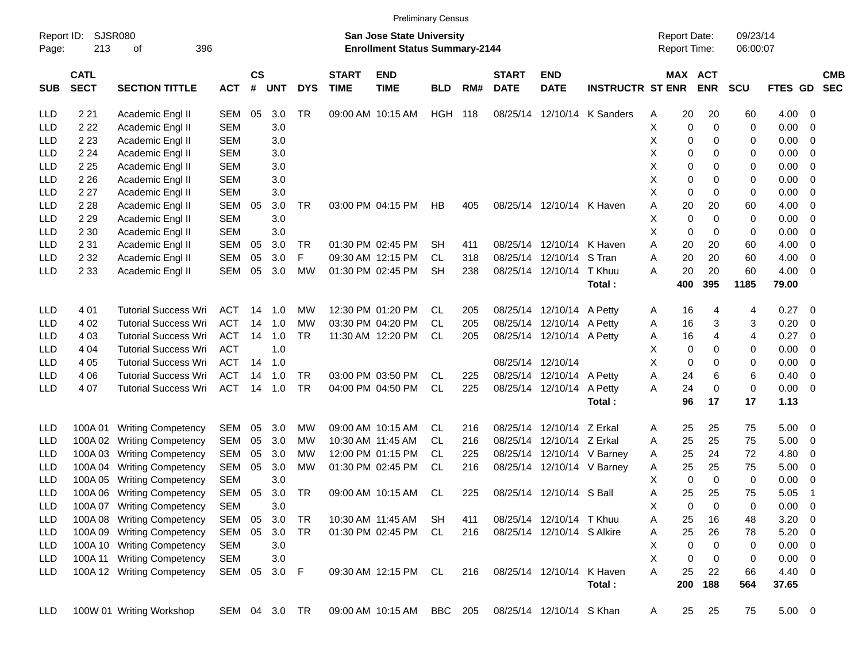| <b>Preliminary Census</b> |  |
|---------------------------|--|
|                           |  |

| Report ID:<br>Page: | 213                        | SJSR080<br>396<br>οf        |               |                    |            |            |                             | <b>San Jose State University</b><br><b>Enrollment Status Summary-2144</b> |                |     |                             |                            |                             | <b>Report Date:</b><br>Report Time: |             |                       | 09/23/14<br>06:00:07 |             |                          |                          |
|---------------------|----------------------------|-----------------------------|---------------|--------------------|------------|------------|-----------------------------|---------------------------------------------------------------------------|----------------|-----|-----------------------------|----------------------------|-----------------------------|-------------------------------------|-------------|-----------------------|----------------------|-------------|--------------------------|--------------------------|
| <b>SUB</b>          | <b>CATL</b><br><b>SECT</b> | <b>SECTION TITTLE</b>       | <b>ACT</b>    | $\mathsf{cs}$<br># | <b>UNT</b> | <b>DYS</b> | <b>START</b><br><b>TIME</b> | <b>END</b><br><b>TIME</b>                                                 | <b>BLD</b>     | RM# | <b>START</b><br><b>DATE</b> | <b>END</b><br><b>DATE</b>  | <b>INSTRUCTR ST ENR</b>     |                                     |             | MAX ACT<br><b>ENR</b> | <b>SCU</b>           | FTES GD     |                          | <b>CMB</b><br><b>SEC</b> |
| LLD                 | 2 2 1                      | Academic Engl II            | SEM           | 05                 | 3.0        | TR         |                             | 09:00 AM 10:15 AM                                                         | <b>HGH 118</b> |     |                             |                            | 08/25/14 12/10/14 K Sanders | Α                                   | 20          | 20                    | 60                   | 4.00 0      |                          |                          |
| LLD                 | 2 2 2                      | Academic Engl II            | <b>SEM</b>    |                    | 3.0        |            |                             |                                                                           |                |     |                             |                            |                             | Χ                                   | 0           | 0                     | 0                    | 0.00        | $\overline{\phantom{0}}$ |                          |
| LLD                 | 2 2 3                      | Academic Engl II            | <b>SEM</b>    |                    | 3.0        |            |                             |                                                                           |                |     |                             |                            |                             | х                                   | 0           | 0                     | 0                    | 0.00        | $\overline{\phantom{0}}$ |                          |
| LLD                 | 2 2 4                      | Academic Engl II            | <b>SEM</b>    |                    | 3.0        |            |                             |                                                                           |                |     |                             |                            |                             | X                                   | 0           | 0                     | 0                    | 0.00        | $\overline{\phantom{0}}$ |                          |
| LLD                 | 2 2 5                      | Academic Engl II            | <b>SEM</b>    |                    | 3.0        |            |                             |                                                                           |                |     |                             |                            |                             | X                                   | 0           | 0                     | 0                    | 0.00        | $\overline{\phantom{0}}$ |                          |
| LLD                 | 2 2 6                      | Academic Engl II            | <b>SEM</b>    |                    | 3.0        |            |                             |                                                                           |                |     |                             |                            |                             | х                                   | 0           | 0                     | 0                    | 0.00        | $\overline{\phantom{0}}$ |                          |
| LLD                 | 2 2 7                      | Academic Engl II            | <b>SEM</b>    |                    | 3.0        |            |                             |                                                                           |                |     |                             |                            |                             | X                                   | $\mathbf 0$ | 0                     | 0                    | 0.00        | $\overline{\phantom{0}}$ |                          |
| LLD                 | 2 2 8                      | Academic Engl II            | SEM           | 05                 | 3.0        | TR         |                             | 03:00 PM 04:15 PM                                                         | HВ             | 405 |                             | 08/25/14 12/10/14 K Haven  |                             | Α                                   | 20          | 20                    | 60                   | 4.00        | $\overline{\phantom{0}}$ |                          |
| LLD                 | 2 2 9                      | Academic Engl II            | <b>SEM</b>    |                    | 3.0        |            |                             |                                                                           |                |     |                             |                            |                             | х                                   | $\mathbf 0$ | 0                     | 0                    | 0.00        | $\overline{\phantom{0}}$ |                          |
| LLD                 | 2 3 0                      | Academic Engl II            | <b>SEM</b>    |                    | 3.0        |            |                             |                                                                           |                |     |                             |                            |                             | X                                   | $\mathbf 0$ | 0                     | 0                    | 0.00        | $\overline{\phantom{0}}$ |                          |
| LLD                 | 2 3 1                      | Academic Engl II            | SEM           | 05                 | 3.0        | TR         |                             | 01:30 PM 02:45 PM                                                         | <b>SH</b>      | 411 |                             | 08/25/14 12/10/14 K Haven  |                             | A                                   | 20          | 20                    | 60                   | 4.00        | $\overline{\phantom{0}}$ |                          |
| LLD                 | 2 3 2                      | Academic Engl II            | SEM           | 05                 | 3.0        | F          |                             | 09:30 AM 12:15 PM                                                         | CL.            | 318 |                             | 08/25/14 12/10/14 S Tran   |                             | A                                   | 20          | 20                    | 60                   | 4.00        | $\overline{\phantom{0}}$ |                          |
| LLD                 | 2 3 3                      | Academic Engl II            | SEM           | 05                 | 3.0        | MW         |                             | 01:30 PM 02:45 PM                                                         | <b>SH</b>      | 238 |                             | 08/25/14 12/10/14 T Khuu   |                             | A                                   | 20          | 20                    | 60                   | 4.00        | $\overline{\phantom{0}}$ |                          |
|                     |                            |                             |               |                    |            |            |                             |                                                                           |                |     |                             |                            | Total:                      |                                     | 400         | 395                   | 1185                 | 79.00       |                          |                          |
|                     |                            |                             |               |                    |            |            |                             |                                                                           |                |     |                             |                            |                             |                                     |             |                       |                      |             |                          |                          |
| <b>LLD</b>          | 4 0 1                      | <b>Tutorial Success Wri</b> | <b>ACT</b>    | 14                 | 1.0        | MW         |                             | 12:30 PM 01:20 PM                                                         | CL.            | 205 |                             | 08/25/14 12/10/14 A Petty  |                             | A                                   | 16          | 4                     | 4                    | $0.27$ 0    |                          |                          |
| LLD                 | 4 0 2                      | <b>Tutorial Success Wri</b> | <b>ACT</b>    | 14                 | 1.0        | MW         |                             | 03:30 PM 04:20 PM                                                         | CL.            | 205 |                             | 08/25/14 12/10/14 A Petty  |                             | A                                   | 16          | 3                     | 3                    | 0.20        | $\overline{\phantom{0}}$ |                          |
| LLD                 | 4 0 3                      | <b>Tutorial Success Wri</b> | <b>ACT</b>    | 14                 | 1.0        | TR         |                             | 11:30 AM 12:20 PM                                                         | <b>CL</b>      | 205 |                             | 08/25/14 12/10/14 A Petty  |                             | Α                                   | 16          | 4                     | 4                    | 0.27        | $\overline{\phantom{0}}$ |                          |
| LLD                 | 4 0 4                      | <b>Tutorial Success Wri</b> | <b>ACT</b>    |                    | 1.0        |            |                             |                                                                           |                |     |                             |                            |                             | Х                                   | 0           | 0                     | 0                    | 0.00        | - 0                      |                          |
| LLD                 | 4 05                       | <b>Tutorial Success Wri</b> | <b>ACT</b>    | 14                 | 1.0        |            |                             |                                                                           |                |     | 08/25/14 12/10/14           |                            |                             | X                                   | $\mathbf 0$ | 0                     | 0                    | 0.00        | $\overline{\phantom{0}}$ |                          |
| LLD                 | 4 0 6                      | <b>Tutorial Success Wri</b> | <b>ACT</b>    | 14                 | 1.0        | TR         |                             | 03:00 PM 03:50 PM                                                         | <b>CL</b>      | 225 |                             | 08/25/14 12/10/14 A Petty  |                             | Α                                   | 24          | 6                     | 6                    | 0.40        | $\overline{\phantom{0}}$ |                          |
| LLD                 | 4 0 7                      | <b>Tutorial Success Wri</b> | <b>ACT</b>    | 14                 | 1.0        | TR         |                             | 04:00 PM 04:50 PM                                                         | CL.            | 225 |                             | 08/25/14 12/10/14 A Petty  |                             | A                                   | 24          | 0                     | 0                    | $0.00 \t 0$ |                          |                          |
|                     |                            |                             |               |                    |            |            |                             |                                                                           |                |     |                             |                            | Total:                      |                                     | 96          | 17                    | 17                   | 1.13        |                          |                          |
|                     |                            |                             |               |                    |            |            |                             |                                                                           |                |     |                             |                            |                             |                                     |             |                       |                      |             |                          |                          |
| <b>LLD</b>          | 100A 01                    | <b>Writing Competency</b>   | SEM           | 05                 | 3.0        | MW         |                             | 09:00 AM 10:15 AM                                                         | CL             | 216 |                             | 08/25/14 12/10/14 Z Erkal  |                             | A                                   | 25          | 25                    | 75                   | $5.00 \t 0$ |                          |                          |
| <b>LLD</b>          | 100A 02                    | <b>Writing Competency</b>   | SEM           | 05                 | 3.0        | MW         |                             | 10:30 AM 11:45 AM                                                         | CL.            | 216 |                             | 08/25/14 12/10/14 Z Erkal  |                             | A                                   | 25          | 25                    | 75                   | 5.00        | $\overline{\phantom{0}}$ |                          |
| LLD                 | 100A03                     | <b>Writing Competency</b>   | SEM           | 05                 | 3.0        | MW         |                             | 12:00 PM 01:15 PM                                                         | <b>CL</b>      | 225 |                             | 08/25/14 12/10/14 V Barney |                             | A                                   | 25          | 24                    | 72                   | 4.80        | $\overline{\phantom{0}}$ |                          |
| LLD                 | 100A 04                    | <b>Writing Competency</b>   | SEM           | 05                 | 3.0        | MW         |                             | 01:30 PM 02:45 PM                                                         | CL             | 216 |                             | 08/25/14 12/10/14 V Barney |                             | A                                   | 25          | 25                    | 75                   | 5.00        | $\overline{\phantom{0}}$ |                          |
| LLD                 | 100A 05                    | <b>Writing Competency</b>   | <b>SEM</b>    |                    | 3.0        |            |                             |                                                                           |                |     |                             |                            |                             | X                                   | 0           | 0                     | 0                    | 0.00        | $\overline{\phantom{0}}$ |                          |
| LLD                 | 100A06                     | <b>Writing Competency</b>   | SEM           | 05                 | 3.0        | TR         |                             | 09:00 AM 10:15 AM                                                         | CL             | 225 |                             | 08/25/14 12/10/14 S Ball   |                             | Α                                   | 25          | 25                    | 75                   | 5.05        | -1                       |                          |
| LLD                 |                            | 100A 07 Writing Competency  | <b>SEM</b>    |                    | 3.0        |            |                             |                                                                           |                |     |                             |                            |                             | X                                   | 0           | $\Omega$              | 0                    | 0.00        | $\overline{\phantom{0}}$ |                          |
| LLD                 |                            | 100A 08 Writing Competency  | SEM           | 05                 | 3.0        | TR         |                             | 10:30 AM 11:45 AM                                                         | SH             | 411 |                             | 08/25/14 12/10/14 TKhuu    |                             | Α                                   | 25          | 16                    | 48                   | 3.20        | $\overline{\phantom{0}}$ |                          |
| LLD                 |                            | 100A 09 Writing Competency  | SEM           | 05                 | 3.0        | TR         |                             | 01:30 PM 02:45 PM                                                         | CL             | 216 |                             | 08/25/14 12/10/14 S Alkire |                             | Α                                   | 25          | 26                    | 78                   | $5.20 \ 0$  |                          |                          |
| LLD                 |                            | 100A 10 Writing Competency  | <b>SEM</b>    |                    | 3.0        |            |                             |                                                                           |                |     |                             |                            |                             | х                                   | 0           | 0                     | 0                    | $0.00 \t 0$ |                          |                          |
| LLD                 | 100A 11                    | <b>Writing Competency</b>   | <b>SEM</b>    |                    | 3.0        |            |                             |                                                                           |                |     |                             |                            |                             | X                                   | 0           | 0                     | 0                    | $0.00 \t 0$ |                          |                          |
| LLD                 |                            | 100A 12 Writing Competency  | SEM 05        |                    | 3.0 F      |            |                             | 09:30 AM 12:15 PM                                                         | CL             | 216 |                             | 08/25/14 12/10/14 K Haven  |                             | Α                                   | 25          | 22                    | 66                   | $4.40 \ 0$  |                          |                          |
|                     |                            |                             |               |                    |            |            |                             |                                                                           |                |     |                             |                            | Total:                      |                                     | 200         | 188                   | 564                  | 37.65       |                          |                          |
| <b>LLD</b>          |                            | 100W 01 Writing Workshop    | SEM 04 3.0 TR |                    |            |            |                             | 09:00 AM 10:15 AM                                                         | BBC 205        |     |                             | 08/25/14 12/10/14 S Khan   |                             | A                                   | 25          | 25                    | 75                   | $5.00 \t 0$ |                          |                          |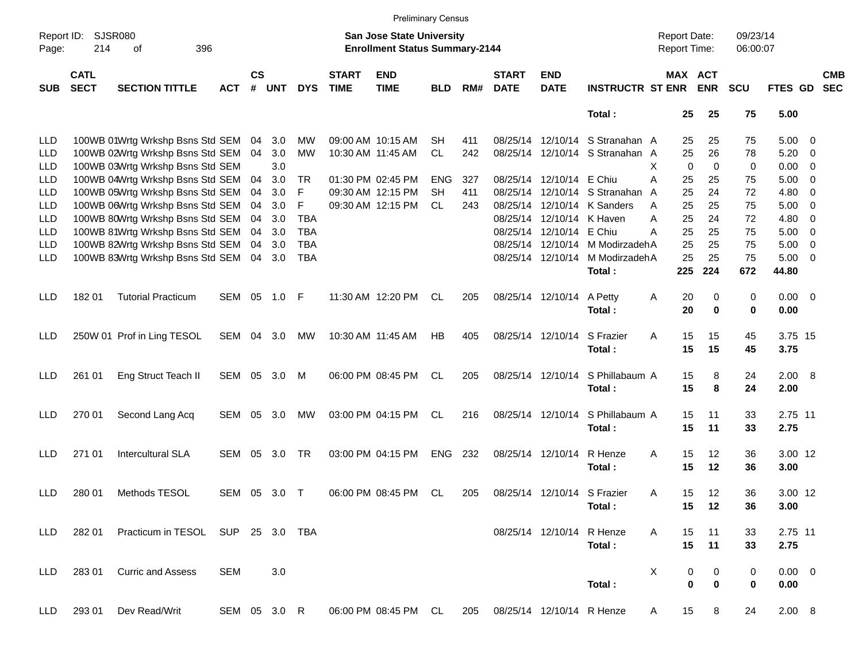|                     |                            |                                   |              |                |            |            |                             | <b>Preliminary Census</b>                                                 |            |     |                             |                             |                         |                                     |                       |                      |             |                         |                          |
|---------------------|----------------------------|-----------------------------------|--------------|----------------|------------|------------|-----------------------------|---------------------------------------------------------------------------|------------|-----|-----------------------------|-----------------------------|-------------------------|-------------------------------------|-----------------------|----------------------|-------------|-------------------------|--------------------------|
| Report ID:<br>Page: | 214                        | SJSR080<br>396<br>οf              |              |                |            |            |                             | <b>San Jose State University</b><br><b>Enrollment Status Summary-2144</b> |            |     |                             |                             |                         | <b>Report Date:</b><br>Report Time: |                       | 09/23/14<br>06:00:07 |             |                         |                          |
| <b>SUB</b>          | <b>CATL</b><br><b>SECT</b> | <b>SECTION TITTLE</b>             | <b>ACT</b>   | <b>CS</b><br># | <b>UNT</b> | <b>DYS</b> | <b>START</b><br><b>TIME</b> | <b>END</b><br><b>TIME</b>                                                 | <b>BLD</b> | RM# | <b>START</b><br><b>DATE</b> | <b>END</b><br><b>DATE</b>   | <b>INSTRUCTR ST ENR</b> |                                     | MAX ACT<br><b>ENR</b> | <b>SCU</b>           | FTES GD     |                         | <b>CMB</b><br><b>SEC</b> |
|                     |                            |                                   |              |                |            |            |                             |                                                                           |            |     |                             |                             | Total:                  | 25                                  | 25                    | 75                   | 5.00        |                         |                          |
| LLD                 |                            | 100WB 01Wrtg Wrkshp Bsns Std SEM  |              | 04             | 3.0        | МW         |                             | 09:00 AM 10:15 AM                                                         | SН         | 411 |                             | 08/25/14 12/10/14           | S Stranahan A           | 25                                  | 25                    | 75                   | $5.00 \t 0$ |                         |                          |
| LLD                 |                            | 100WB 02Wrtg Wrkshp Bsns Std SEM  |              | 04             | 3.0        | МW         |                             | 10:30 AM 11:45 AM                                                         | <b>CL</b>  | 242 | 08/25/14                    | 12/10/14                    | S Stranahan A           | 25                                  | 26                    | 78                   | 5.20        | - 0                     |                          |
| LLD                 |                            | 100WB 03Wrtg Wrkshp Bsns Std SEM  |              |                | 3.0        |            |                             |                                                                           |            |     |                             |                             |                         | X<br>0                              | 0                     | 0                    | 0.00        | $\overline{0}$          |                          |
| LLD                 |                            | 100WB 04Wrtg Wrkshp Bsns Std SEM  |              | 04             | 3.0        | TR         |                             | 01:30 PM 02:45 PM                                                         | <b>ENG</b> | 327 | 08/25/14                    | 12/10/14 E Chiu             |                         | Α<br>25                             | 25                    | 75                   | 5.00        | $\overline{0}$          |                          |
| LLD                 |                            | 100WB 05Wrtg Wrkshp Bsns Std SEM  |              | 04             | 3.0        | F          |                             | 09:30 AM 12:15 PM                                                         | <b>SH</b>  | 411 | 08/25/14                    | 12/10/14                    | S Stranahan             | 25<br>A                             | 24                    | 72                   | 4.80        | - 0                     |                          |
| LLD                 |                            | 100WB 06Wrtg Wrkshp Bsns Std SEM  |              | 04             | 3.0        | F          |                             | 09:30 AM 12:15 PM                                                         | CL.        | 243 | 08/25/14                    | 12/10/14                    | K Sanders               | 25<br>A                             | 25                    | 75                   | 5.00        | - 0                     |                          |
| LLD                 |                            | 100WB 80Wrtg Wrkshp Bsns Std SEM  |              | 04             | 3.0        | <b>TBA</b> |                             |                                                                           |            |     | 08/25/14                    | 12/10/14                    | K Haven                 | 25<br>Α                             | 24                    | 72                   | 4.80        | $\overline{0}$          |                          |
| LLD                 |                            | 100WB 81Wrtg Wrkshp Bsns Std SEM  |              | 04             | 3.0        | <b>TBA</b> |                             |                                                                           |            |     | 08/25/14                    | 12/10/14                    | E Chiu                  | 25<br>Α                             | 25                    | 75                   | 5.00        | $\overline{\mathbf{0}}$ |                          |
| LLD                 |                            | 100WB 82Wrtg Wrkshp Bsns Std SEM  |              | 04             | 3.0        | <b>TBA</b> |                             |                                                                           |            |     | 08/25/14                    | 12/10/14                    | M Modirzadeh A          | 25                                  | 25                    | 75                   | 5.00        | $\overline{\mathbf{0}}$ |                          |
| <b>LLD</b>          |                            | 100WB 83Wrtg Wrkshp Bsns Std SEM  |              | 04             | 3.0        | <b>TBA</b> |                             |                                                                           |            |     |                             | 08/25/14 12/10/14           | M ModirzadehA           | 25                                  | 25                    | 75                   | 5.00        | $\overline{0}$          |                          |
|                     |                            |                                   |              |                |            |            |                             |                                                                           |            |     |                             |                             | Total:                  | 225                                 | 224                   | 672                  | 44.80       |                         |                          |
|                     |                            |                                   |              |                |            |            |                             |                                                                           |            |     |                             |                             |                         |                                     |                       |                      |             |                         |                          |
| LLD.                | 18201                      | <b>Tutorial Practicum</b>         | SEM          | 05             | 1.0        | -F         |                             | 11:30 AM 12:20 PM                                                         | CL         | 205 |                             | 08/25/14 12/10/14           | A Petty                 | 20<br>A                             | 0                     | 0                    | $0.00 \t 0$ |                         |                          |
|                     |                            |                                   |              |                |            |            |                             |                                                                           |            |     |                             |                             | Total:                  | 20                                  | 0                     | 0                    | 0.00        |                         |                          |
| LLD.                |                            | 250W 01 Prof in Ling TESOL        | SEM          | 04             | 3.0        | МW         |                             | 10:30 AM 11:45 AM                                                         | HB         | 405 |                             | 08/25/14 12/10/14           | S Frazier               | Α<br>15                             | 15                    | 45                   | 3.75 15     |                         |                          |
|                     |                            |                                   |              |                |            |            |                             |                                                                           |            |     |                             |                             | Total:                  | 15                                  | 15                    | 45                   | 3.75        |                         |                          |
|                     |                            |                                   |              |                |            |            |                             |                                                                           |            |     |                             |                             |                         |                                     |                       |                      |             |                         |                          |
| LLD.                | 261 01                     | Eng Struct Teach II               | SEM          | 05             | 3.0        | M          |                             | 06:00 PM 08:45 PM                                                         | CL         | 205 |                             | 08/25/14 12/10/14           | S Phillabaum A          | 15                                  | 8                     | 24                   | 2.00 8      |                         |                          |
|                     |                            |                                   |              |                |            |            |                             |                                                                           |            |     |                             |                             | Total:                  | 15                                  | 8                     | 24                   | 2.00        |                         |                          |
|                     |                            |                                   |              |                |            |            |                             |                                                                           |            |     |                             |                             |                         |                                     |                       |                      |             |                         |                          |
| LLD.                | 270 01                     | Second Lang Acq                   | SEM          | 05             | 3.0        | МW         |                             | 03:00 PM 04:15 PM                                                         | CL         | 216 |                             | 08/25/14 12/10/14           | S Phillabaum A          | 15                                  | 11                    | 33                   | 2.75 11     |                         |                          |
|                     |                            |                                   |              |                |            |            |                             |                                                                           |            |     |                             |                             | Total:                  | 15                                  | 11                    | 33                   | 2.75        |                         |                          |
|                     |                            |                                   |              |                |            |            |                             |                                                                           |            |     |                             |                             |                         |                                     |                       |                      |             |                         |                          |
| LLD.                | 271 01                     | <b>Intercultural SLA</b>          | <b>SEM</b>   | 05             | 3.0        | TR         |                             | 03:00 PM 04:15 PM                                                         | <b>ENG</b> | 232 |                             | 08/25/14 12/10/14           | R Henze                 | Α<br>15                             | 12                    | 36                   | 3.00 12     |                         |                          |
|                     |                            |                                   |              |                |            |            |                             |                                                                           |            |     |                             |                             | Total:                  | 15                                  | 12                    | 36                   | 3.00        |                         |                          |
|                     |                            |                                   |              |                |            |            |                             |                                                                           |            |     |                             |                             |                         |                                     |                       |                      |             |                         |                          |
| <b>LLD</b>          | 280 01                     | Methods TESOL                     | <b>SEM</b>   | 05             | 3.0        | $\top$     |                             | 06:00 PM 08:45 PM                                                         | CL.        | 205 |                             | 08/25/14 12/10/14 S Frazier |                         | Α<br>15                             | 12                    | 36                   | 3.00 12     |                         |                          |
|                     |                            |                                   |              |                |            |            |                             |                                                                           |            |     |                             |                             | Total:                  | 15                                  | 12                    | 36                   | 3.00        |                         |                          |
|                     |                            |                                   |              |                |            |            |                             |                                                                           |            |     |                             |                             |                         |                                     |                       |                      |             |                         |                          |
| <b>LLD</b>          | 282 01                     | Practicum in TESOL SUP 25 3.0 TBA |              |                |            |            |                             |                                                                           |            |     |                             | 08/25/14 12/10/14 R Henze   |                         | 15<br>A                             | 11                    | 33                   | 2.75 11     |                         |                          |
|                     |                            |                                   |              |                |            |            |                             |                                                                           |            |     |                             |                             | Total:                  | 15                                  | 11                    | 33                   | 2.75        |                         |                          |
|                     |                            |                                   |              |                |            |            |                             |                                                                           |            |     |                             |                             |                         |                                     |                       |                      |             |                         |                          |
| <b>LLD</b>          | 28301                      | <b>Curric and Assess</b>          | <b>SEM</b>   |                | 3.0        |            |                             |                                                                           |            |     |                             |                             |                         | X                                   | 0<br>0                | 0                    | $0.00 \t 0$ |                         |                          |
|                     |                            |                                   |              |                |            |            |                             |                                                                           |            |     |                             |                             | Total:                  |                                     | 0<br>0                | 0                    | 0.00        |                         |                          |
| <b>LLD</b>          | 293 01                     | Dev Read/Writ                     | SEM 05 3.0 R |                |            |            |                             | 06:00 PM 08:45 PM CL                                                      |            | 205 |                             | 08/25/14 12/10/14 R Henze   |                         | 15<br>A                             | 8                     | 24                   | 2.00 8      |                         |                          |
|                     |                            |                                   |              |                |            |            |                             |                                                                           |            |     |                             |                             |                         |                                     |                       |                      |             |                         |                          |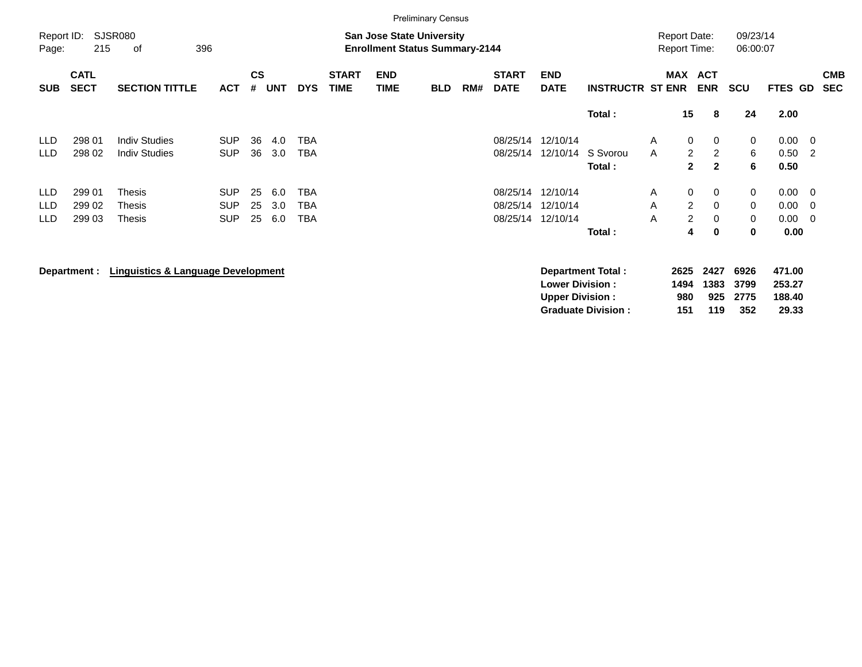|                     |                            |                                              |                          |                    |            |                   |                             |                                                                           | <b>Preliminary Census</b> |     |                             |                           |                          |                                            |                                                      |                      |                  |                                            |
|---------------------|----------------------------|----------------------------------------------|--------------------------|--------------------|------------|-------------------|-----------------------------|---------------------------------------------------------------------------|---------------------------|-----|-----------------------------|---------------------------|--------------------------|--------------------------------------------|------------------------------------------------------|----------------------|------------------|--------------------------------------------|
| Report ID:<br>Page: | 215                        | <b>SJSR080</b><br>396<br>οf                  |                          |                    |            |                   |                             | <b>San Jose State University</b><br><b>Enrollment Status Summary-2144</b> |                           |     |                             |                           |                          | <b>Report Date:</b><br><b>Report Time:</b> |                                                      | 09/23/14<br>06:00:07 |                  |                                            |
| <b>SUB</b>          | <b>CATL</b><br><b>SECT</b> | <b>SECTION TITTLE</b>                        | <b>ACT</b>               | $\mathsf{cs}$<br># | <b>UNT</b> | <b>DYS</b>        | <b>START</b><br><b>TIME</b> | <b>END</b><br><b>TIME</b>                                                 | <b>BLD</b>                | RM# | <b>START</b><br><b>DATE</b> | <b>END</b><br><b>DATE</b> | <b>INSTRUCTR ST ENR</b>  | <b>MAX</b>                                 | <b>ACT</b><br><b>ENR</b>                             | <b>SCU</b>           | <b>FTES GD</b>   | <b>CMB</b><br><b>SEC</b>                   |
|                     |                            |                                              |                          |                    |            |                   |                             |                                                                           |                           |     |                             |                           | Total:                   |                                            | 15<br>8                                              | 24                   | 2.00             |                                            |
| <b>LLD</b><br>LLD   | 298 01<br>298 02           | <b>Indiv Studies</b><br><b>Indiv Studies</b> | <b>SUP</b><br><b>SUP</b> | 36<br>36           | 4.0<br>3.0 | <b>TBA</b><br>TBA |                             |                                                                           |                           |     | 08/25/14<br>08/25/14        | 12/10/14<br>12/10/14      | S Svorou                 | A<br>A                                     | $\mathbf 0$<br>0<br>$\overline{2}$<br>$\overline{2}$ | 0<br>6               | 0.00<br>0.50     | $\overline{\phantom{0}}$<br>$\overline{2}$ |
|                     |                            |                                              |                          |                    |            |                   |                             |                                                                           |                           |     |                             |                           | Total:                   |                                            | $\mathbf{2}$<br>$\mathbf{2}$                         | 6                    | 0.50             |                                            |
| <b>LLD</b>          | 299 01                     | Thesis                                       | <b>SUP</b>               | 25                 | 6.0        | <b>TBA</b>        |                             |                                                                           |                           |     | 08/25/14                    | 12/10/14                  |                          | Α                                          | 0<br>$\mathbf{0}$                                    | 0                    | 0.00             | $\overline{\phantom{0}}$                   |
| <b>LLD</b><br>LLD   | 299 02<br>299 03           | Thesis<br>Thesis                             | <b>SUP</b><br><b>SUP</b> | 25<br>25           | 3.0<br>6.0 | TBA<br>TBA        |                             |                                                                           |                           |     | 08/25/14<br>08/25/14        | 12/10/14<br>12/10/14      |                          | A<br>A                                     | $\overline{2}$<br>$\mathbf 0$<br>$\overline{2}$<br>0 | 0<br>0               | 0.00<br>0.00     | - 0<br>$\overline{\mathbf{0}}$             |
|                     |                            |                                              |                          |                    |            |                   |                             |                                                                           |                           |     |                             |                           | Total:                   |                                            | 4<br>$\mathbf 0$                                     | 0                    | 0.00             |                                            |
|                     | Department :               | Linguistics & Language Development           |                          |                    |            |                   |                             |                                                                           |                           |     |                             | <b>Lower Division:</b>    | <b>Department Total:</b> | 2625<br>1494                               | 2427<br>1383                                         | 6926<br>3799         | 471.00<br>253.27 |                                            |

**Upper Division : 980 925 2775 188.40<br>Graduate Division : 151 119 352 29.33 Graduate Division : 151 119 352 29.33**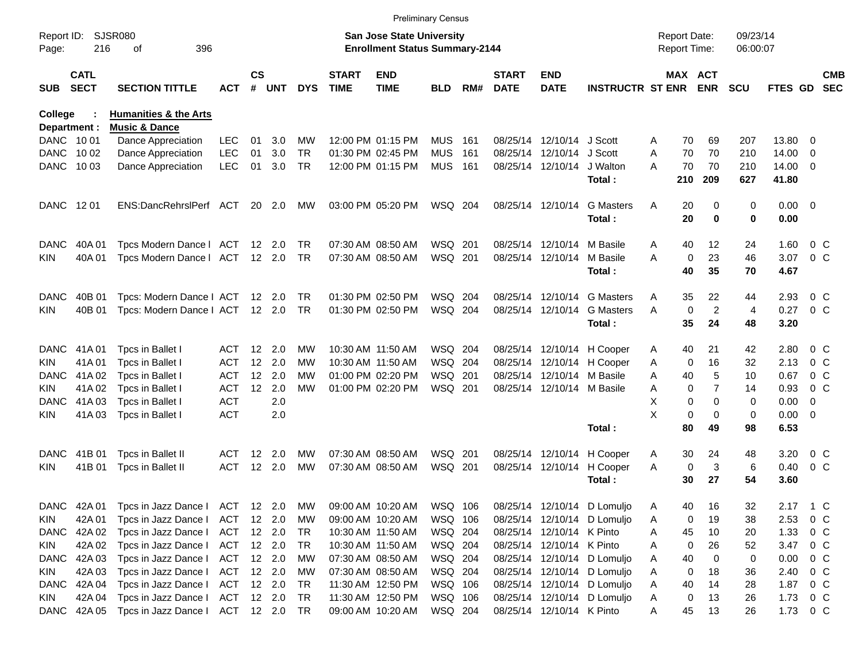|                     |                            |                                  |            |                   |        |            |                             | <b>Preliminary Census</b>                                                 |                |     |                             |                            |                             |   |                                     |                |                      |             |                          |                          |
|---------------------|----------------------------|----------------------------------|------------|-------------------|--------|------------|-----------------------------|---------------------------------------------------------------------------|----------------|-----|-----------------------------|----------------------------|-----------------------------|---|-------------------------------------|----------------|----------------------|-------------|--------------------------|--------------------------|
| Report ID:<br>Page: | 216                        | <b>SJSR080</b><br>396<br>оf      |            |                   |        |            |                             | <b>San Jose State University</b><br><b>Enrollment Status Summary-2144</b> |                |     |                             |                            |                             |   | <b>Report Date:</b><br>Report Time: |                | 09/23/14<br>06:00:07 |             |                          |                          |
| <b>SUB</b>          | <b>CATL</b><br><b>SECT</b> | <b>SECTION TITTLE</b>            | АСТ        | $\mathsf{cs}$     | # UNT  | <b>DYS</b> | <b>START</b><br><b>TIME</b> | <b>END</b><br><b>TIME</b>                                                 | BLD.           | RM# | <b>START</b><br><b>DATE</b> | <b>END</b><br><b>DATE</b>  | <b>INSTRUCTR ST ENR</b>     |   | MAX ACT                             | <b>ENR</b>     | <b>SCU</b>           | FTES GD     |                          | <b>CMB</b><br><b>SEC</b> |
| College             |                            | <b>Humanities &amp; the Arts</b> |            |                   |        |            |                             |                                                                           |                |     |                             |                            |                             |   |                                     |                |                      |             |                          |                          |
| Department :        |                            | <b>Music &amp; Dance</b>         |            |                   |        |            |                             |                                                                           |                |     |                             |                            |                             |   |                                     |                |                      |             |                          |                          |
| DANC 1001           |                            | Dance Appreciation               | <b>LEC</b> | 01                | 3.0    | МW         |                             | 12:00 PM 01:15 PM                                                         | <b>MUS</b>     | 161 |                             | 08/25/14 12/10/14 J Scott  |                             | A | 70                                  | 69             | 207                  | 13.80       | 0                        |                          |
| <b>DANC</b>         | 10 02                      | Dance Appreciation               | <b>LEC</b> | 01                | 3.0    | <b>TR</b>  |                             | 01:30 PM 02:45 PM                                                         | <b>MUS</b>     | 161 |                             | 08/25/14 12/10/14 J Scott  |                             | A | 70                                  | 70             | 210                  | 14.00       | - 0                      |                          |
| DANC                | 10 03                      | Dance Appreciation               | <b>LEC</b> | 01                | 3.0    | <b>TR</b>  |                             | 12:00 PM 01:15 PM                                                         | <b>MUS</b> 161 |     |                             | 08/25/14 12/10/14          | J Walton                    | A | 70                                  | 70             | 210                  | 14.00       | $\overline{\phantom{0}}$ |                          |
|                     |                            |                                  |            |                   |        |            |                             |                                                                           |                |     |                             |                            | Total:                      |   | 210                                 | 209            | 627                  | 41.80       |                          |                          |
| DANC 1201           |                            | ENS:DancRehrslPerf ACT           |            |                   | 20 2.0 | МW         |                             | 03:00 PM 05:20 PM                                                         | WSQ 204        |     |                             | 08/25/14 12/10/14          | <b>G</b> Masters            | A | 20                                  | 0              | 0                    | $0.00 \t 0$ |                          |                          |
|                     |                            |                                  |            |                   |        |            |                             |                                                                           |                |     |                             |                            | Total:                      |   | 20                                  | 0              | 0                    | 0.00        |                          |                          |
| <b>DANC</b>         | 40A01                      | Tpcs Modern Dance I              | ACT 12 2.0 |                   |        | <b>TR</b>  |                             | 07:30 AM 08:50 AM                                                         | WSQ 201        |     |                             | 08/25/14 12/10/14          | M Basile                    | A | 40                                  | 12             | 24                   | 1.60        | $0\,$ C                  |                          |
| <b>KIN</b>          | 40A 01                     | Tpcs Modern Dance I              | ACT 12 2.0 |                   |        | TR.        |                             | 07:30 AM 08:50 AM                                                         | WSQ 201        |     |                             | 08/25/14 12/10/14          | M Basile                    | A | 0                                   | 23             | 46                   | 3.07        | $0\,C$                   |                          |
|                     |                            |                                  |            |                   |        |            |                             |                                                                           |                |     |                             |                            | Total:                      |   | 40                                  | 35             | 70                   | 4.67        |                          |                          |
|                     |                            |                                  |            |                   |        |            |                             |                                                                           |                |     |                             |                            | <b>G</b> Masters            |   |                                     |                |                      |             |                          |                          |
| <b>DANC</b>         | 40B 01                     | Tpcs: Modern Dance   ACT 12 2.0  |            |                   |        | TR.        |                             | 01:30 PM 02:50 PM                                                         | WSQ 204        |     |                             | 08/25/14 12/10/14          |                             | A | 35                                  | 22             | 44                   | 2.93        | $0\,$ C                  |                          |
| KIN                 | 40B 01                     | Tpcs: Modern Dance   ACT 12 2.0  |            |                   |        | TR.        |                             | 01:30 PM 02:50 PM                                                         | WSQ 204        |     |                             | 08/25/14 12/10/14          | <b>G</b> Masters            | A | 0                                   | $\overline{2}$ | 4                    | 0.27        | 0 <sup>o</sup>           |                          |
|                     |                            |                                  |            |                   |        |            |                             |                                                                           |                |     |                             |                            | Total:                      |   | 35                                  | 24             | 48                   | 3.20        |                          |                          |
| <b>DANC</b>         | 41A 01                     | Tpcs in Ballet I                 | ACT        | $12 \overline{ }$ | 2.0    | МW         |                             | 10:30 AM 11:50 AM                                                         | WSQ 204        |     |                             |                            | 08/25/14 12/10/14 H Cooper  | A | 40                                  | 21             | 42                   | 2.80        | $0\,$ C                  |                          |
| KIN                 | 41A01                      | Tpcs in Ballet I                 | <b>ACT</b> | 12                | 2.0    | МW         |                             | 10:30 AM 11:50 AM                                                         | WSQ 204        |     |                             |                            | 08/25/14 12/10/14 H Cooper  | A | 0                                   | 16             | 32                   | 2.13        | $0\,$ C                  |                          |
| <b>DANC</b>         | 41A 02                     | Tpcs in Ballet I                 | ACT        | 12                | 2.0    | МW         |                             | 01:00 PM 02:20 PM                                                         | WSQ 201        |     |                             | 08/25/14 12/10/14 M Basile |                             | A | 40                                  | 5              | 10                   | 0.67        | $0\,$ C                  |                          |
| KIN                 | 41A 02                     | Tpcs in Ballet I                 | ACT        | 12                | 2.0    | МW         |                             | 01:00 PM 02:20 PM                                                         | WSQ 201        |     |                             | 08/25/14 12/10/14 M Basile |                             | A | $\mathbf 0$                         | $\overline{7}$ | 14                   | 0.93        | $0\,C$                   |                          |
| <b>DANC</b>         | 41A03                      | Tpcs in Ballet I                 | <b>ACT</b> |                   | 2.0    |            |                             |                                                                           |                |     |                             |                            |                             | X | $\mathbf 0$                         | $\Omega$       | 0                    | 0.00        | 0                        |                          |
| KIN                 | 41A03                      | Tpcs in Ballet I                 | <b>ACT</b> |                   | 2.0    |            |                             |                                                                           |                |     |                             |                            |                             | X | $\mathbf 0$                         | $\mathbf 0$    | 0                    | 0.00        | $\overline{\phantom{0}}$ |                          |
|                     |                            |                                  |            |                   |        |            |                             |                                                                           |                |     |                             |                            | Total:                      |   | 80                                  | 49             | 98                   | 6.53        |                          |                          |
| <b>DANC</b>         | 41B 01                     | Tpcs in Ballet II                | ACT        | $12 \,$           | 2.0    | МW         |                             | 07:30 AM 08:50 AM                                                         | WSQ 201        |     |                             |                            | 08/25/14 12/10/14 H Cooper  | A | 30                                  | 24             | 48                   | 3.20        | $0\,$ C                  |                          |
| KIN                 | 41B 01                     | Tpcs in Ballet II                | <b>ACT</b> |                   | 12 2.0 | MW         |                             | 07:30 AM 08:50 AM                                                         | WSQ 201        |     |                             |                            | 08/25/14 12/10/14 H Cooper  | A | 0                                   | 3              | 6                    | 0.40        | 0 <sup>o</sup>           |                          |
|                     |                            |                                  |            |                   |        |            |                             |                                                                           |                |     |                             |                            | Total:                      |   | 30                                  | 27             | 54                   | 3.60        |                          |                          |
| <b>DANC</b>         | 42A 01                     | Tpcs in Jazz Dance I             | ACT        |                   | 12 2.0 | МW         |                             | 09:00 AM 10:20 AM                                                         | WSQ 106        |     |                             |                            | 08/25/14 12/10/14 D Lomuljo | Α | 40                                  | 16             | 32                   | 2.17 1 C    |                          |                          |
| KIN                 | 42A 01                     | Tpcs in Jazz Dance I             | ACT 12 2.0 |                   |        | МW         |                             | 09:00 AM 10:20 AM                                                         | WSQ 106        |     |                             |                            | 08/25/14 12/10/14 D Lomuljo | A | 0                                   | 19             | 38                   | 2.53        | 0 C                      |                          |
| DANC                | 42A 02                     | Tpcs in Jazz Dance I             | ACT 12 2.0 |                   |        | TR         |                             | 10:30 AM 11:50 AM                                                         | WSQ 204        |     |                             | 08/25/14 12/10/14 K Pinto  |                             | A | 45                                  | 10             | 20                   | 1.33        | $0\,$ C                  |                          |
| <b>KIN</b>          | 42A 02                     | Tpcs in Jazz Dance I             | ACT 12 2.0 |                   |        | TR         |                             | 10:30 AM 11:50 AM                                                         | WSQ 204        |     |                             | 08/25/14 12/10/14 K Pinto  |                             | A | 0                                   | 26             | 52                   | 3.47        | $0\,$ C                  |                          |
| DANC                | 42A 03                     | Tpcs in Jazz Dance I             | ACT 12 2.0 |                   |        | MW         |                             | 07:30 AM 08:50 AM                                                         | WSQ 204        |     |                             |                            | 08/25/14 12/10/14 D Lomuljo | A | 40                                  | 0              | 0                    | 0.00        | 0 <sup>o</sup>           |                          |
| <b>KIN</b>          | 42A 03                     | Tpcs in Jazz Dance I             | ACT 12 2.0 |                   |        | MW         |                             | 07:30 AM 08:50 AM                                                         | WSQ 204        |     |                             |                            | 08/25/14 12/10/14 D Lomuljo | A | 0                                   | 18             | 36                   | 2.40        | 0 <sup>o</sup>           |                          |
| <b>DANC</b>         | 42A 04                     | Tpcs in Jazz Dance I             | ACT 12 2.0 |                   |        | TR         |                             | 11:30 AM 12:50 PM                                                         | WSQ 106        |     |                             |                            | 08/25/14 12/10/14 D Lomuljo | Α | 40                                  | 14             | 28                   | 1.87        | $0\,$ C                  |                          |
| KIN                 | 42A 04                     | Tpcs in Jazz Dance I             | ACT 12 2.0 |                   |        | TR         |                             | 11:30 AM 12:50 PM                                                         | WSQ 106        |     |                             |                            | 08/25/14 12/10/14 D Lomuljo | A | 0                                   | 13             | 26                   | 1.73        | $0\,$ C                  |                          |
| DANC                | 42A 05                     | Tpcs in Jazz Dance I             | ACT 12 2.0 |                   |        | TR         |                             | 09:00 AM 10:20 AM                                                         | WSQ 204        |     |                             | 08/25/14 12/10/14 K Pinto  |                             | A | 45                                  | 13             | 26                   | 1.73 0 C    |                          |                          |
|                     |                            |                                  |            |                   |        |            |                             |                                                                           |                |     |                             |                            |                             |   |                                     |                |                      |             |                          |                          |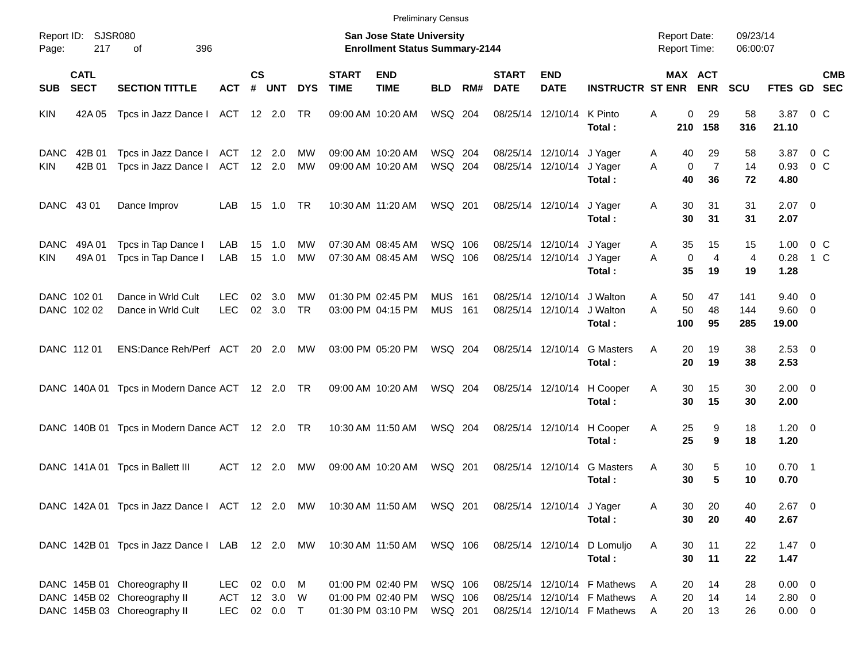|                                               |                                                                                                     |                                          |                    |                          |                 |                             |                                                                           | <b>Preliminary Census</b>     |      |                             |                                                |                                                                                           |                                            |                            |                      |                                           |                           |
|-----------------------------------------------|-----------------------------------------------------------------------------------------------------|------------------------------------------|--------------------|--------------------------|-----------------|-----------------------------|---------------------------------------------------------------------------|-------------------------------|------|-----------------------------|------------------------------------------------|-------------------------------------------------------------------------------------------|--------------------------------------------|----------------------------|----------------------|-------------------------------------------|---------------------------|
| Report ID:<br>217<br>Page:                    | SJSR080<br>396<br>οf                                                                                |                                          |                    |                          |                 |                             | <b>San Jose State University</b><br><b>Enrollment Status Summary-2144</b> |                               |      |                             |                                                |                                                                                           | <b>Report Date:</b><br><b>Report Time:</b> |                            | 09/23/14<br>06:00:07 |                                           |                           |
| <b>CATL</b><br><b>SECT</b><br><b>SUB</b>      | <b>SECTION TITTLE</b>                                                                               | <b>ACT</b>                               | $\mathsf{cs}$<br># | <b>UNT</b>               | <b>DYS</b>      | <b>START</b><br><b>TIME</b> | <b>END</b><br><b>TIME</b>                                                 | <b>BLD</b>                    | RM#  | <b>START</b><br><b>DATE</b> | <b>END</b><br><b>DATE</b>                      | <b>INSTRUCTR ST ENR</b>                                                                   |                                            | MAX ACT<br><b>ENR</b>      | <b>SCU</b>           | FTES GD SEC                               | <b>CMB</b>                |
| <b>KIN</b><br>42A 05                          | Tpcs in Jazz Dance I ACT 12 2.0                                                                     |                                          |                    |                          | TR              |                             | 09:00 AM 10:20 AM                                                         | WSQ 204                       |      |                             | 08/25/14 12/10/14                              | K Pinto<br>Total:                                                                         | A<br>210                                   | 0<br>29<br>158             | 58<br>316            | 3.87<br>21.10                             | $0\,$ C                   |
| 42B 01<br><b>DANC</b><br><b>KIN</b><br>42B 01 | Tpcs in Jazz Dance I<br>Tpcs in Jazz Dance I                                                        | ACT<br>ACT                               |                    | $12 \quad 2.0$<br>12 2.0 | МW<br>MW        |                             | 09:00 AM 10:20 AM<br>09:00 AM 10:20 AM                                    | WSQ 204<br>WSQ 204            |      |                             | 08/25/14 12/10/14<br>08/25/14 12/10/14         | J Yager<br>J Yager<br>Total:                                                              | 40<br>A<br>$\mathbf 0$<br>A<br>40          | 29<br>$\overline{7}$<br>36 | 58<br>14<br>72       | 3.87<br>0.93<br>4.80                      | $0\,$ C<br>0 <sup>o</sup> |
| DANC 43 01                                    | Dance Improv                                                                                        | LAB                                      | 15                 | 1.0                      | TR.             |                             | 10:30 AM 11:20 AM                                                         | WSQ 201                       |      |                             | 08/25/14 12/10/14                              | J Yager<br>Total:                                                                         | 30<br>Α<br>30                              | 31<br>31                   | 31<br>31             | $2.07$ 0<br>2.07                          |                           |
| <b>DANC</b><br>49A 01<br>49A 01<br>KIN.       | Tpcs in Tap Dance I<br>Tpcs in Tap Dance I                                                          | LAB<br>LAB                               | 15<br>15           | 1.0<br>1.0               | МW<br><b>MW</b> |                             | 07:30 AM 08:45 AM<br>07:30 AM 08:45 AM                                    | WSQ 106<br>WSQ 106            |      |                             | 08/25/14 12/10/14 J Yager<br>08/25/14 12/10/14 | J Yager<br>Total:                                                                         | 35<br>A<br>0<br>A<br>35                    | 15<br>$\overline{4}$<br>19 | 15<br>4<br>19        | 1.00<br>0.28<br>1.28                      | $0\,$ C<br>$1\,C$         |
| DANC 102 01<br>DANC 102 02                    | Dance in Wrld Cult<br>Dance in Wrld Cult                                                            | <b>LEC</b><br><b>LEC</b>                 | 02<br>02           | 3.0<br>3.0               | МW<br><b>TR</b> |                             | 01:30 PM 02:45 PM<br>03:00 PM 04:15 PM                                    | <b>MUS</b><br><b>MUS 161</b>  | -161 |                             | 08/25/14 12/10/14<br>08/25/14 12/10/14         | J Walton<br>J Walton<br>Total:                                                            | 50<br>Α<br>A<br>50<br>100                  | 47<br>48<br>95             | 141<br>144<br>285    | $9.40 \quad 0$<br>9.60 0<br>19.00         |                           |
| DANC 112 01                                   | ENS:Dance Reh/Perf ACT                                                                              |                                          | 20                 | 2.0                      | МW              |                             | 03:00 PM 05:20 PM                                                         | WSQ 204                       |      |                             | 08/25/14 12/10/14                              | <b>G</b> Masters<br>Total:                                                                | A<br>20<br>20                              | 19<br>19                   | 38<br>38             | $2.53$ 0<br>2.53                          |                           |
| DANC 140A 01                                  | Tpcs in Modern Dance ACT 12 2.0 TR                                                                  |                                          |                    |                          |                 |                             | 09:00 AM 10:20 AM                                                         | WSQ 204                       |      |                             | 08/25/14 12/10/14                              | H Cooper<br>Total:                                                                        | Α<br>30<br>30                              | 15<br>15                   | 30<br>30             | $2.00 \t 0$<br>2.00                       |                           |
|                                               | DANC 140B 01 Tpcs in Modern Dance ACT 12 2.0 TR                                                     |                                          |                    |                          |                 |                             | 10:30 AM 11:50 AM                                                         | WSQ 204                       |      |                             | 08/25/14 12/10/14                              | H Cooper<br>Total:                                                                        | 25<br>Α<br>25                              | 9<br>9                     | 18<br>18             | $1.20 \t 0$<br>1.20                       |                           |
|                                               | DANC 141A 01 Tpcs in Ballett III                                                                    | ACT                                      |                    | $12 \quad 2.0$           | МW              |                             | 09:00 AM 10:20 AM                                                         | WSQ 201                       |      |                             | 08/25/14 12/10/14                              | <b>G</b> Masters<br>Total:                                                                | 30<br>A<br>30                              | 5<br>5                     | 10<br>10             | $0.70$ 1<br>0.70                          |                           |
|                                               | DANC 142A 01 Tpcs in Jazz Dance I ACT 12 2.0 MW 10:30 AM 11:50 AM WSQ 201 08/25/14 12/10/14 J Yager |                                          |                    |                          |                 |                             |                                                                           |                               |      |                             |                                                | Total:                                                                                    | Α<br>30<br>30                              | 20<br>20                   | 40<br>40             | $2.67$ 0<br>2.67                          |                           |
|                                               | DANC 142B 01 Tpcs in Jazz Dance I LAB 12 2.0 MW 10:30 AM 11:50 AM                                   |                                          |                    |                          |                 |                             |                                                                           | WSQ 106                       |      |                             | 08/25/14 12/10/14                              | D Lomuljo<br>Total:                                                                       | A<br>30<br>30                              | 11<br>11                   | 22<br>22             | $1.47 \ 0$<br>1.47                        |                           |
|                                               | DANC 145B 01 Choreography II<br>DANC 145B 02 Choreography II<br>DANC 145B 03 Choreography II        | <b>LEC</b><br>ACT 12 3.0 W<br><b>LEC</b> |                    | 02 0.0 M<br>02  0.0  T   |                 |                             | 01:00 PM 02:40 PM<br>01:00 PM 02:40 PM<br>01:30 PM 03:10 PM               | WSQ 106<br>WSQ 106<br>WSQ 201 |      |                             |                                                | 08/25/14 12/10/14 F Mathews<br>08/25/14 12/10/14 F Mathews<br>08/25/14 12/10/14 F Mathews | 20<br>A<br>20<br>A<br>20<br>A              | 14<br>14<br>13             | 28<br>14<br>26       | $0.00 \t 0$<br>$2.80 \t 0$<br>$0.00 \t 0$ |                           |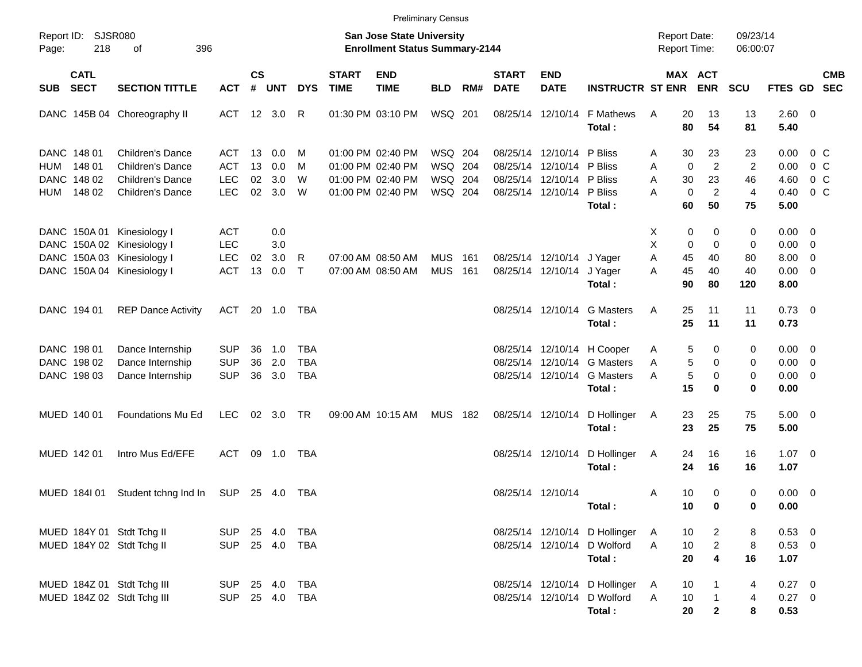|       |                                           |                                                          |                                        |                             |                   |                                 |                             |                                                                    | <b>Preliminary Census</b> |            |                             |                                                             |                                                                        |                                            |                                           |                      |                                           |                                  |            |
|-------|-------------------------------------------|----------------------------------------------------------|----------------------------------------|-----------------------------|-------------------|---------------------------------|-----------------------------|--------------------------------------------------------------------|---------------------------|------------|-----------------------------|-------------------------------------------------------------|------------------------------------------------------------------------|--------------------------------------------|-------------------------------------------|----------------------|-------------------------------------------|----------------------------------|------------|
| Page: | Report ID: SJSR080<br>218                 | 396<br>оf                                                |                                        |                             |                   |                                 |                             | San Jose State University<br><b>Enrollment Status Summary-2144</b> |                           |            |                             |                                                             |                                                                        | <b>Report Date:</b><br><b>Report Time:</b> |                                           | 09/23/14<br>06:00:07 |                                           |                                  |            |
| SUB   | <b>CATL</b><br><b>SECT</b>                | <b>SECTION TITTLE</b>                                    | <b>ACT</b>                             | $\mathsf{cs}$<br>$\pmb{\#}$ | <b>UNT</b>        | <b>DYS</b>                      | <b>START</b><br><b>TIME</b> | <b>END</b><br><b>TIME</b>                                          | <b>BLD</b>                | RM#        | <b>START</b><br><b>DATE</b> | <b>END</b><br><b>DATE</b>                                   | <b>INSTRUCTR ST ENR</b>                                                |                                            | <b>MAX ACT</b><br><b>ENR</b>              | <b>SCU</b>           | FTES GD SEC                               |                                  | <b>CMB</b> |
|       |                                           | DANC 145B 04 Choreography II                             | ACT 12 3.0                             |                             |                   | R                               |                             | 01:30 PM 03:10 PM                                                  | WSQ 201                   |            | 08/25/14 12/10/14           |                                                             | F Mathews<br>Total:                                                    | 20<br>A<br>80                              | 13<br>54                                  | 13<br>81             | 2.60 0<br>5.40                            |                                  |            |
| HUM   | DANC 148 01<br>148 01                     | Children's Dance<br>Children's Dance                     | ACT<br><b>ACT</b>                      | 13<br>13                    | 0.0<br>0.0        | M<br>M                          |                             | 01:00 PM 02:40 PM<br>01:00 PM 02:40 PM                             | WSQ 204<br>WSQ 204        |            |                             | 08/25/14 12/10/14<br>08/25/14 12/10/14                      | P Bliss<br>P Bliss                                                     | 30<br>A<br>$\mathbf 0$<br>A                | 23<br>$\overline{c}$                      | 23<br>2              | 0.00<br>0.00                              | $0\,$ C<br>$0\,$ C               |            |
| HUM   | DANC 148 02<br>148 02                     | <b>Children's Dance</b><br><b>Children's Dance</b>       | <b>LEC</b><br><b>LEC</b>               | 02<br>02                    | 3.0<br>3.0        | W<br>W                          |                             | 01:00 PM 02:40 PM<br>01:00 PM 02:40 PM                             | WSQ 204<br>WSQ 204        |            |                             | 08/25/14 12/10/14<br>08/25/14 12/10/14                      | P Bliss<br>P Bliss<br>Total:                                           | 30<br>A<br>$\mathbf 0$<br>А<br>60          | 23<br>$\overline{c}$<br>50                | 46<br>4<br>75        | 4.60<br>0.40<br>5.00                      | 0 <sup>o</sup><br>0 <sup>o</sup> |            |
|       | DANC 150A 01                              | Kinesiology I<br>DANC 150A 02 Kinesiology I              | <b>ACT</b><br><b>LEC</b>               |                             | 0.0<br>3.0        |                                 |                             |                                                                    |                           |            |                             |                                                             |                                                                        | 0<br>Х<br>X<br>0                           | 0<br>0                                    | 0<br>0               | $0.00 \t 0$<br>$0.00 \t 0$                |                                  |            |
|       |                                           | DANC 150A 03 Kinesiology I<br>DANC 150A 04 Kinesiology I | <b>LEC</b><br><b>ACT</b>               | 02<br>13                    | 3.0<br>0.0        | R<br>$\top$                     |                             | 07:00 AM 08:50 AM<br>07:00 AM 08:50 AM                             | <b>MUS</b><br><b>MUS</b>  | 161<br>161 |                             | 08/25/14 12/10/14 J Yager<br>08/25/14 12/10/14              | J Yager<br>Total:                                                      | A<br>45<br>45<br>Α<br>90                   | 40<br>40<br>80                            | 80<br>40<br>120      | $8.00 \t 0$<br>$0.00 \t 0$<br>8.00        |                                  |            |
|       | DANC 194 01                               | <b>REP Dance Activity</b>                                | ACT                                    |                             | 20 1.0            | TBA                             |                             |                                                                    |                           |            |                             | 08/25/14 12/10/14                                           | <b>G</b> Masters<br>Total:                                             | 25<br>Α<br>25                              | 11<br>11                                  | 11<br>11             | $0.73 \quad 0$<br>0.73                    |                                  |            |
|       | DANC 198 01<br>DANC 198 02<br>DANC 198 03 | Dance Internship<br>Dance Internship<br>Dance Internship | <b>SUP</b><br><b>SUP</b><br><b>SUP</b> | 36<br>36<br>36              | 1.0<br>2.0<br>3.0 | TBA<br><b>TBA</b><br><b>TBA</b> |                             |                                                                    |                           |            |                             | 08/25/14 12/10/14<br>08/25/14 12/10/14<br>08/25/14 12/10/14 | H Cooper<br><b>G</b> Masters<br><b>G</b> Masters                       | 5<br>A<br>5<br>A<br>5<br>А                 | 0<br>0<br>0                               | 0<br>0<br>0          | $0.00 \t 0$<br>$0.00 \t 0$<br>$0.00 \t 0$ |                                  |            |
|       | MUED 140 01                               | Foundations Mu Ed                                        | <b>LEC</b>                             | 02                          | 3.0               | <b>TR</b>                       |                             | 09:00 AM 10:15 AM                                                  | <b>MUS</b>                | 182        | 08/25/14 12/10/14           |                                                             | Total:<br>D Hollinger                                                  | 15<br>23<br>A                              | 0<br>25                                   | 0<br>75              | 0.00<br>$5.00 \t 0$                       |                                  |            |
|       | MUED 142 01                               | Intro Mus Ed/EFE                                         | ACT                                    |                             | 09 1.0            | TBA                             |                             |                                                                    |                           |            |                             | 08/25/14 12/10/14                                           | Total:<br>D Hollinger                                                  | 23<br>24<br>A                              | 25<br>16                                  | 75<br>16             | 5.00<br>$1.07 \t 0$                       |                                  |            |
|       | MUED 1841 01                              | Student tchng Ind In                                     | SUP                                    |                             | 25 4.0            | TBA                             |                             |                                                                    |                           |            | 08/25/14 12/10/14           |                                                             | Total:                                                                 | 24<br>10<br>A                              | 16<br>0                                   | 16<br>0              | 1.07<br>$0.00 \t 0$                       |                                  |            |
|       |                                           | MUED 184Y 01 Stdt Tchg II                                | SUP 25 4.0 TBA                         |                             |                   |                                 |                             |                                                                    |                           |            |                             |                                                             | Total:<br>08/25/14 12/10/14 D Hollinger                                | 10<br>10<br>A                              | 0<br>$\overline{2}$                       | 0<br>8               | 0.00<br>$0.53$ 0                          |                                  |            |
|       |                                           | MUED 184Y 02 Stdt Tchg II                                | SUP 25 4.0 TBA                         |                             |                   |                                 |                             |                                                                    |                           |            |                             | 08/25/14 12/10/14                                           | D Wolford<br>Total:                                                    | A<br>10<br>20                              | $\overline{a}$<br>$\overline{\mathbf{4}}$ | 8<br>16              | 0.53 0<br>1.07                            |                                  |            |
|       |                                           | MUED 184Z 01 Stdt Tchg III<br>MUED 184Z 02 Stdt Tchg III | SUP 25 4.0 TBA<br>SUP 25 4.0 TBA       |                             |                   |                                 |                             |                                                                    |                           |            |                             |                                                             | 08/25/14 12/10/14 D Hollinger<br>08/25/14 12/10/14 D Wolford<br>Total: | 10<br>A<br>10<br>A<br>20                   | 1<br>$\mathbf{1}$<br>$\mathbf{2}$         | 4<br>4<br>8          | $0.27$ 0<br>0.27 0<br>0.53                |                                  |            |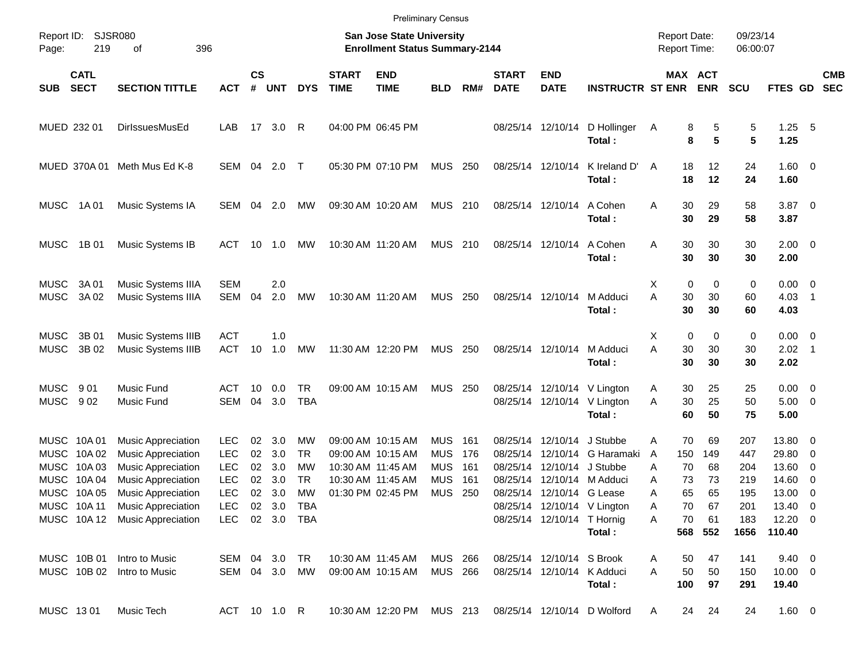|                            |                                                         |                                                                                                                                                                                                                   |                                                                            |                            |                                                                 |                              |                             |                                                                                                       | <b>Preliminary Census</b>                                          |                                 |                                              |                                                                                 |                                                                                                 |                                                                            |                                         |                                               |                                                                        |                                                                                     |                          |
|----------------------------|---------------------------------------------------------|-------------------------------------------------------------------------------------------------------------------------------------------------------------------------------------------------------------------|----------------------------------------------------------------------------|----------------------------|-----------------------------------------------------------------|------------------------------|-----------------------------|-------------------------------------------------------------------------------------------------------|--------------------------------------------------------------------|---------------------------------|----------------------------------------------|---------------------------------------------------------------------------------|-------------------------------------------------------------------------------------------------|----------------------------------------------------------------------------|-----------------------------------------|-----------------------------------------------|------------------------------------------------------------------------|-------------------------------------------------------------------------------------|--------------------------|
| Page:                      | Report ID: SJSR080<br>219                               | 396<br>οf                                                                                                                                                                                                         |                                                                            |                            |                                                                 |                              |                             | San Jose State University<br><b>Enrollment Status Summary-2144</b>                                    |                                                                    |                                 |                                              |                                                                                 |                                                                                                 | <b>Report Date:</b><br>Report Time:                                        |                                         | 09/23/14<br>06:00:07                          |                                                                        |                                                                                     |                          |
| <b>SUB</b>                 | <b>CATL</b><br><b>SECT</b>                              | <b>SECTION TITTLE</b>                                                                                                                                                                                             | <b>ACT</b>                                                                 | $\mathsf{cs}$<br>#         | <b>UNT</b>                                                      | <b>DYS</b>                   | <b>START</b><br><b>TIME</b> | <b>END</b><br><b>TIME</b>                                                                             | <b>BLD</b>                                                         | RM#                             | <b>START</b><br><b>DATE</b>                  | <b>END</b><br><b>DATE</b>                                                       | <b>INSTRUCTR ST ENR</b>                                                                         |                                                                            | <b>MAX ACT</b><br><b>ENR</b>            | <b>SCU</b>                                    | FTES GD                                                                |                                                                                     | <b>CMB</b><br><b>SEC</b> |
|                            | MUED 232 01                                             | DirlssuesMusEd                                                                                                                                                                                                    | LAB                                                                        |                            | 17 3.0                                                          | R                            |                             | 04:00 PM 06:45 PM                                                                                     |                                                                    |                                 |                                              | 08/25/14 12/10/14                                                               | D Hollinger<br>Total:                                                                           | A                                                                          | 8<br>5<br>5<br>8                        | 5<br>5                                        | $1.25$ 5<br>1.25                                                       |                                                                                     |                          |
|                            |                                                         | MUED 370A 01 Meth Mus Ed K-8                                                                                                                                                                                      | SEM                                                                        | 04                         | 2.0                                                             | $\top$                       |                             | 05:30 PM 07:10 PM                                                                                     | MUS                                                                | - 250                           |                                              | 08/25/14 12/10/14                                                               | K Ireland D'<br>Total:                                                                          | 18<br>A<br>18                                                              | 12<br>12                                | 24<br>24                                      | $1.60 \t 0$<br>1.60                                                    |                                                                                     |                          |
| MUSC                       | 1A 01                                                   | Music Systems IA                                                                                                                                                                                                  | SEM                                                                        | 04                         | 2.0                                                             | МW                           |                             | 09:30 AM 10:20 AM                                                                                     | MUS 210                                                            |                                 |                                              | 08/25/14 12/10/14                                                               | A Cohen<br>Total:                                                                               | A<br>30<br>30                                                              | 29<br>29                                | 58<br>58                                      | $3.87$ 0<br>3.87                                                       |                                                                                     |                          |
| MUSC                       | 1B 01                                                   | Music Systems IB                                                                                                                                                                                                  | ACT                                                                        | 10                         | 1.0                                                             | MW                           |                             | 10:30 AM 11:20 AM                                                                                     | MUS 210                                                            |                                 |                                              | 08/25/14 12/10/14                                                               | A Cohen<br>Total:                                                                               | 30<br>A<br>30                                                              | 30<br>30                                | 30<br>30                                      | $2.00 \t 0$<br>2.00                                                    |                                                                                     |                          |
| <b>MUSC</b><br><b>MUSC</b> | 3A 01<br>3A 02                                          | Music Systems IIIA<br>Music Systems IIIA                                                                                                                                                                          | <b>SEM</b><br><b>SEM</b>                                                   | 04                         | 2.0<br>2.0                                                      | MW                           |                             | 10:30 AM 11:20 AM                                                                                     | <b>MUS</b>                                                         | 250                             |                                              | 08/25/14 12/10/14                                                               | M Adduci<br>Total:                                                                              | 0<br>X<br>A<br>30<br>30                                                    | 0<br>30<br>30                           | 0<br>60<br>60                                 | $0.00 \t 0$<br>4.03<br>4.03                                            | $\overline{\phantom{1}}$                                                            |                          |
| <b>MUSC</b><br><b>MUSC</b> | 3B 01<br>3B 02                                          | Music Systems IIIB<br>Music Systems IIIB                                                                                                                                                                          | <b>ACT</b><br><b>ACT</b>                                                   | 10                         | 1.0<br>1.0                                                      | MW                           |                             | 11:30 AM 12:20 PM                                                                                     | <b>MUS</b>                                                         | 250                             |                                              | 08/25/14 12/10/14                                                               | M Adduci<br>Total:                                                                              | 0<br>х<br>A<br>30<br>30                                                    | 0<br>30<br>30                           | 0<br>30<br>30                                 | $0.00 \t 0$<br>2.02<br>2.02                                            | $\overline{\phantom{1}}$                                                            |                          |
| MUSC<br><b>MUSC</b>        | 901<br>902                                              | <b>Music Fund</b><br>Music Fund                                                                                                                                                                                   | ACT<br><b>SEM</b>                                                          | 10<br>04                   | 0.0<br>3.0                                                      | TR.<br><b>TBA</b>            |                             | 09:00 AM 10:15 AM                                                                                     | MUS                                                                | - 250                           |                                              |                                                                                 | 08/25/14 12/10/14 V Lington<br>08/25/14 12/10/14 V Lington<br>Total:                            | 30<br>Α<br>A<br>30<br>60                                                   | 25<br>25<br>50                          | 25<br>50<br>75                                | $0.00 \t 0$<br>$5.00 \t 0$<br>5.00                                     |                                                                                     |                          |
| MUSC<br>MUSC<br>MUSC       | MUSC 10A01<br>10A 02<br>10A 03<br>10A 04<br>MUSC 10A 05 | <b>Music Appreciation</b><br><b>Music Appreciation</b><br><b>Music Appreciation</b><br><b>Music Appreciation</b><br><b>Music Appreciation</b><br>MUSC 10A 11 Music Appreciation<br>MUSC 10A 12 Music Appreciation | LEC.<br><b>LEC</b><br><b>LEC</b><br><b>LEC</b><br><b>LEC</b><br><b>LEC</b> | 02<br>02<br>02<br>02<br>02 | 3.0<br>3.0<br>3.0<br>3.0<br>3.0<br>02 3.0 TBA<br>LEC 02 3.0 TBA | MW<br>TR.<br>MW<br>TR.<br>MW |                             | 09:00 AM 10:15 AM<br>09:00 AM 10:15 AM<br>10:30 AM 11:45 AM<br>10:30 AM 11:45 AM<br>01:30 PM 02:45 PM | <b>MUS</b><br><b>MUS</b><br><b>MUS</b><br><b>MUS</b><br><b>MUS</b> | 161<br>176<br>161<br>161<br>250 | 08/25/14<br>08/25/14<br>08/25/14<br>08/25/14 | 12/10/14<br>12/10/14<br>08/25/14 12/10/14 G Lease<br>08/25/14 12/10/14 T Hornig | J Stubbe<br>G Haramaki<br>12/10/14 J Stubbe<br>12/10/14 M Adduci<br>08/25/14 12/10/14 V Lington | 70<br>Α<br>150<br>A<br>70<br>Α<br>73<br>Α<br>65<br>Α<br>70<br>Α<br>70<br>A | 69<br>149<br>68<br>73<br>65<br>67<br>61 | 207<br>447<br>204<br>219<br>195<br>201<br>183 | 13.80 0<br>29.80<br>13.60<br>14.60<br>13.00<br>13.40 0<br>$12.20 \t 0$ | 0<br>$\overline{\mathbf{0}}$<br>$\overline{\mathbf{0}}$<br>$\overline{\phantom{0}}$ |                          |
|                            | MUSC 10B 01                                             | Intro to Music                                                                                                                                                                                                    |                                                                            |                            | SEM 04 3.0 TR                                                   |                              |                             | 10:30 AM 11:45 AM                                                                                     | MUS 266                                                            |                                 |                                              | 08/25/14 12/10/14 S Brook                                                       | Total:                                                                                          | 50<br>Α                                                                    | 568 552<br>47                           | 1656<br>141                                   | 110.40<br>$9.40 \quad 0$                                               |                                                                                     |                          |
|                            |                                                         | MUSC 10B 02 Intro to Music                                                                                                                                                                                        |                                                                            |                            | SEM 04 3.0 MW                                                   |                              |                             | 09:00 AM 10:15 AM                                                                                     | MUS 266                                                            |                                 |                                              | 08/25/14 12/10/14 K Adduci                                                      | Total:                                                                                          | A<br>50<br>100                                                             | 50<br>97                                | 150<br>291                                    | $10.00 \t 0$<br>19.40                                                  |                                                                                     |                          |
|                            | MUSC 1301                                               | Music Tech                                                                                                                                                                                                        |                                                                            |                            | ACT 10 1.0 R                                                    |                              |                             | 10:30 AM 12:20 PM MUS 213                                                                             |                                                                    |                                 |                                              |                                                                                 | 08/25/14 12/10/14 D Wolford                                                                     | 24<br>A                                                                    | 24                                      | 24                                            | 1.60 0                                                                 |                                                                                     |                          |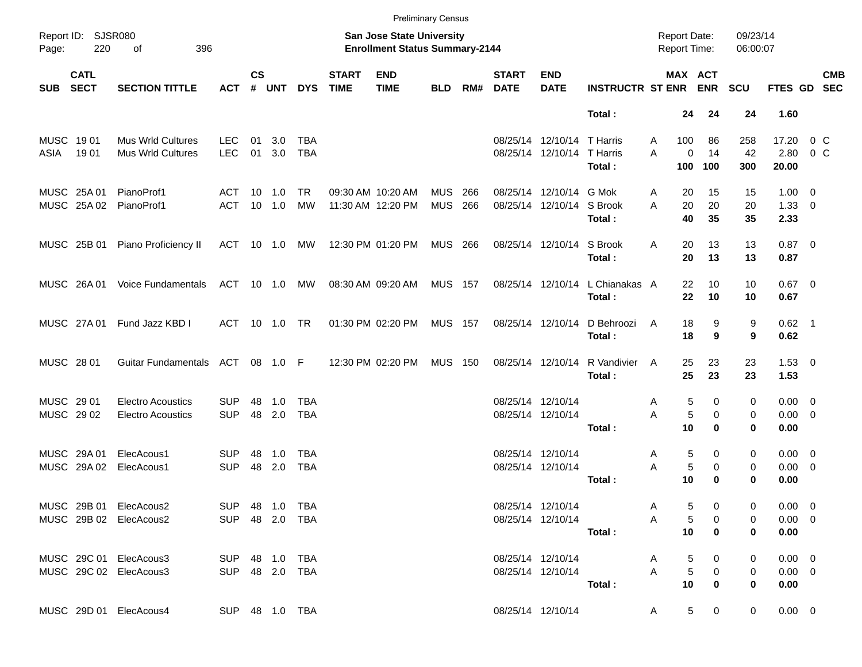|                                                  |                                                      |                          |                    |                                  |                                  |                             |                                                                           | <b>Preliminary Census</b> |            |                             |                                                          |                                           |                                            |                               |                      |                                    |                   |  |
|--------------------------------------------------|------------------------------------------------------|--------------------------|--------------------|----------------------------------|----------------------------------|-----------------------------|---------------------------------------------------------------------------|---------------------------|------------|-----------------------------|----------------------------------------------------------|-------------------------------------------|--------------------------------------------|-------------------------------|----------------------|------------------------------------|-------------------|--|
| Report ID:<br>220<br>Page:                       | <b>SJSR080</b><br>οf<br>396                          |                          |                    |                                  |                                  |                             | <b>San Jose State University</b><br><b>Enrollment Status Summary-2144</b> |                           |            |                             |                                                          |                                           | <b>Report Date:</b><br><b>Report Time:</b> |                               | 09/23/14<br>06:00:07 |                                    |                   |  |
| <b>CATL</b><br><b>SECT</b><br><b>SUB</b>         | <b>SECTION TITTLE</b>                                | <b>ACT</b>               | $\mathsf{cs}$<br># | UNT                              | <b>DYS</b>                       | <b>START</b><br><b>TIME</b> | <b>END</b><br><b>TIME</b>                                                 | <b>BLD</b>                | RM#        | <b>START</b><br><b>DATE</b> | <b>END</b><br><b>DATE</b>                                | <b>INSTRUCTR ST ENR ENR</b>               | <b>MAX ACT</b>                             |                               | <b>SCU</b>           | FTES GD SEC                        | <b>CMB</b>        |  |
|                                                  |                                                      |                          |                    |                                  |                                  |                             |                                                                           |                           |            |                             |                                                          | Total:                                    | 24                                         | 24                            | 24                   | 1.60                               |                   |  |
| MUSC 1901<br>19 01<br>ASIA                       | Mus Wrld Cultures<br>Mus Wrld Cultures               | <b>LEC</b><br><b>LEC</b> | 01<br>01           | 3.0<br>3.0                       | <b>TBA</b><br><b>TBA</b>         |                             |                                                                           |                           |            |                             | 08/25/14 12/10/14 T Harris<br>08/25/14 12/10/14 T Harris | Total:                                    | 100<br>A<br>0<br>A<br>100                  | 86<br>14<br>100               | 258<br>42<br>300     | 17.20<br>2.80<br>20.00             | $0\,C$<br>$0\,$ C |  |
| MUSC 25A 01<br>MUSC 25A 02                       | PianoProf1<br>PianoProf1                             | ACT<br><b>ACT</b>        |                    | $10 \quad 1.0$<br>$10 \quad 1.0$ | TR.<br>MW                        |                             | 09:30 AM 10:20 AM<br>11:30 AM 12:20 PM                                    | <b>MUS</b><br><b>MUS</b>  | 266<br>266 |                             | 08/25/14 12/10/14 G Mok<br>08/25/14 12/10/14 S Brook     | Total:                                    | 20<br>A<br>20<br>A<br>40                   | 15<br>20<br>35                | 15<br>20<br>35       | $1.00 \t 0$<br>$1.33 \ 0$<br>2.33  |                   |  |
| MUSC 25B 01                                      | Piano Proficiency II                                 | ACT                      |                    | $10 \quad 1.0$                   | МW                               |                             | 12:30 PM 01:20 PM                                                         | MUS 266                   |            |                             | 08/25/14 12/10/14 S Brook                                | Total:                                    | 20<br>Α<br>20                              | 13<br>13                      | 13<br>13             | $0.87$ 0<br>0.87                   |                   |  |
| MUSC 26A01                                       | <b>Voice Fundamentals</b>                            | ACT                      |                    | 10 1.0                           | МW                               |                             | 08:30 AM 09:20 AM                                                         | <b>MUS 157</b>            |            |                             |                                                          | 08/25/14 12/10/14 L Chianakas A<br>Total: | 22<br>22                                   | 10<br>10                      | 10<br>10             | $0.67$ 0<br>0.67                   |                   |  |
| MUSC 27A 01                                      | Fund Jazz KBD I                                      | ACT                      |                    | 10 1.0                           | TR                               |                             | 01:30 PM 02:20 PM                                                         | <b>MUS 157</b>            |            |                             | 08/25/14 12/10/14                                        | D Behroozi<br>Total:                      | 18<br>A<br>18                              | 9<br>9                        | 9<br>9               | $0.62$ 1<br>0.62                   |                   |  |
| MUSC 28 01                                       | Guitar Fundamentals ACT                              |                          |                    | 08 1.0 F                         |                                  |                             | 12:30 PM 02:20 PM                                                         | <b>MUS 150</b>            |            |                             | 08/25/14 12/10/14                                        | R Vandivier<br>Total:                     | 25<br>A<br>25                              | 23<br>23                      | 23<br>23             | $1.53 \t 0$<br>1.53                |                   |  |
| MUSC 29 01<br>MUSC 29 02                         | <b>Electro Acoustics</b><br><b>Electro Acoustics</b> | <b>SUP</b><br><b>SUP</b> | 48<br>48           | 1.0<br>2.0                       | <b>TBA</b><br><b>TBA</b>         |                             |                                                                           |                           |            |                             | 08/25/14 12/10/14<br>08/25/14 12/10/14                   | Total:                                    | 5<br>A<br>5<br>A<br>10                     | 0<br>0<br>$\bf{0}$            | 0<br>0<br>0          | $0.00 \t 0$<br>$0.00 \t 0$<br>0.00 |                   |  |
| MUSC 29A 01<br>MUSC 29A 02                       | ElecAcous1<br>ElecAcous1                             | <b>SUP</b><br><b>SUP</b> | 48<br>48           | 1.0<br>2.0                       | TBA<br><b>TBA</b>                |                             |                                                                           |                           |            |                             | 08/25/14 12/10/14<br>08/25/14 12/10/14                   | Total:                                    | 5<br>A<br>5<br>A<br>10                     | 0<br>0<br>$\bf{0}$            | 0<br>0<br>0          | $0.00 \t 0$<br>$0.00 \t 0$<br>0.00 |                   |  |
| MUSC 29B 01 ElecAcous2<br>MUSC 29B 02 ElecAcous2 |                                                      |                          |                    |                                  | SUP 48 1.0 TBA<br>SUP 48 2.0 TBA |                             |                                                                           |                           |            |                             | 08/25/14 12/10/14<br>08/25/14 12/10/14                   | Total :                                   | 5<br>A<br>A<br>5<br>10                     | 0<br>0<br>$\mathbf 0$         | 0<br>0<br>0          | $0.00 \t 0$<br>$0.00 \t 0$<br>0.00 |                   |  |
| MUSC 29C 01 ElecAcous3<br>MUSC 29C 02 ElecAcous3 |                                                      | SUP 48 1.0 TBA           |                    |                                  | SUP 48 2.0 TBA                   |                             |                                                                           |                           |            |                             | 08/25/14 12/10/14<br>08/25/14 12/10/14                   | Total:                                    | 5<br>A<br>5<br>A<br>10                     | 0<br>0<br>0                   | 0<br>0<br>0          | $0.00 \t 0$<br>$0.00 \t 0$<br>0.00 |                   |  |
| MUSC 29D 01 ElecAcous4                           |                                                      | SUP 48 1.0 TBA           |                    |                                  |                                  |                             |                                                                           |                           |            |                             | 08/25/14 12/10/14                                        |                                           | A                                          | 5 <sub>5</sub><br>$\mathbf 0$ | 0                    | $0.00 \t 0$                        |                   |  |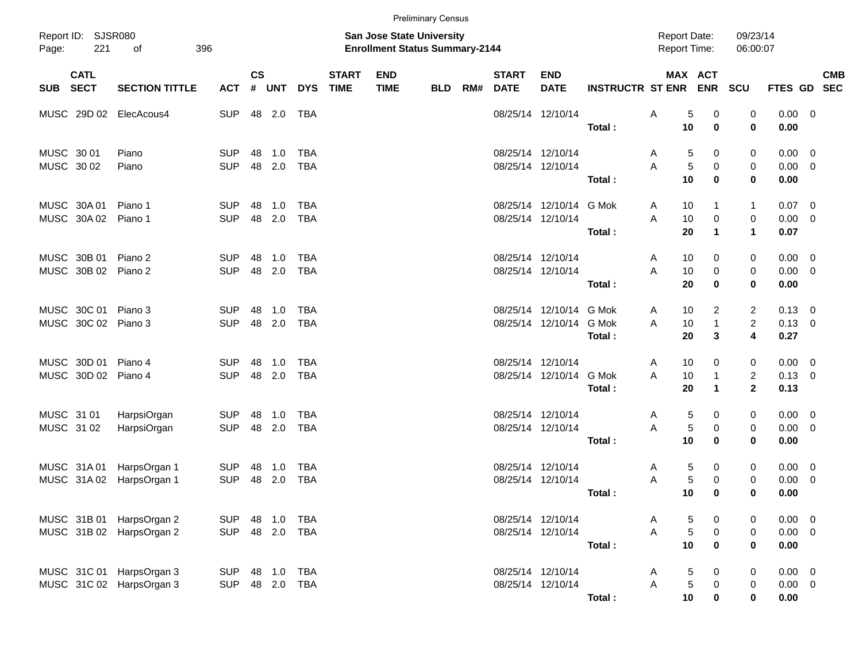|                                            |     |                                                      |                          |                    |                  |                          |                             |                                                                           | <b>Preliminary Census</b> |     |                                        |                                              |                         |        |                                            |                                          |                                                             |                                      |            |
|--------------------------------------------|-----|------------------------------------------------------|--------------------------|--------------------|------------------|--------------------------|-----------------------------|---------------------------------------------------------------------------|---------------------------|-----|----------------------------------------|----------------------------------------------|-------------------------|--------|--------------------------------------------|------------------------------------------|-------------------------------------------------------------|--------------------------------------|------------|
| Report ID: SJSR080<br>Page:                | 221 | 396<br>of                                            |                          |                    |                  |                          |                             | <b>San Jose State University</b><br><b>Enrollment Status Summary-2144</b> |                           |     |                                        |                                              |                         |        | <b>Report Date:</b><br><b>Report Time:</b> |                                          | 09/23/14<br>06:00:07                                        |                                      |            |
| <b>CATL</b><br>SUB SECT                    |     | <b>SECTION TITTLE</b>                                | ACT                      | $\mathsf{cs}$<br># | UNT              | <b>DYS</b>               | <b>START</b><br><b>TIME</b> | <b>END</b><br><b>TIME</b>                                                 | BLD                       | RM# | <b>START</b><br><b>DATE</b>            | <b>END</b><br><b>DATE</b>                    | <b>INSTRUCTR ST ENR</b> |        | MAX ACT                                    | <b>ENR</b>                               | <b>SCU</b>                                                  | FTES GD SEC                          | <b>CMB</b> |
|                                            |     | MUSC 29D 02 ElecAcous4                               | <b>SUP</b>               |                    | 48 2.0           | TBA                      |                             |                                                                           |                           |     |                                        | 08/25/14 12/10/14                            | Total:                  | Α      | 5<br>10                                    | 0<br>$\bf{0}$                            | 0<br>0                                                      | $0.00 \t 0$<br>0.00                  |            |
| MUSC 30 01<br>MUSC 30 02                   |     | Piano<br>Piano                                       | <b>SUP</b><br><b>SUP</b> | 48                 | 1.0<br>48 2.0    | <b>TBA</b><br><b>TBA</b> |                             |                                                                           |                           |     | 08/25/14 12/10/14<br>08/25/14 12/10/14 |                                              | Total:                  | A<br>A | 5<br>5<br>10                               | 0<br>0<br>$\bf{0}$                       | 0<br>0<br>0                                                 | $0.00 \t 0$<br>$0.00 \t 0$<br>0.00   |            |
| MUSC 30A 01<br>MUSC 30A02                  |     | Piano 1<br>Piano 1                                   | <b>SUP</b><br><b>SUP</b> | 48                 | 1.0<br>48 2.0    | TBA<br><b>TBA</b>        |                             |                                                                           |                           |     | 08/25/14 12/10/14                      | 08/25/14 12/10/14 G Mok                      | Total:                  | A<br>A | 10<br>10<br>20                             | 1<br>$\mathbf 0$<br>$\blacktriangleleft$ | $\mathbf{1}$<br>0<br>$\mathbf{1}$                           | $0.07$ 0<br>$0.00 \t 0$<br>0.07      |            |
| MUSC 30B 01<br>MUSC 30B 02 Piano 2         |     | Piano 2                                              | <b>SUP</b><br><b>SUP</b> | 48                 | 1.0<br>48 2.0    | <b>TBA</b><br><b>TBA</b> |                             |                                                                           |                           |     | 08/25/14 12/10/14<br>08/25/14 12/10/14 |                                              | Total:                  | A<br>A | 10<br>10<br>20                             | 0<br>0<br>$\bf{0}$                       | 0<br>0<br>0                                                 | $0.00 \t 0$<br>$0.00 \t 0$<br>0.00   |            |
| MUSC 30C 01 Piano 3<br>MUSC 30C 02 Piano 3 |     |                                                      | <b>SUP</b><br><b>SUP</b> | 48                 | 1.0<br>48 2.0    | <b>TBA</b><br><b>TBA</b> |                             |                                                                           |                           |     |                                        | 08/25/14 12/10/14 G Mok<br>08/25/14 12/10/14 | G Mok<br>Total:         | A<br>A | 10<br>10<br>20                             | $\overline{2}$<br>$\mathbf{1}$<br>3      | $\overline{2}$<br>$\overline{c}$<br>$\overline{\mathbf{4}}$ | $0.13 \quad 0$<br>$0.13 \ 0$<br>0.27 |            |
| MUSC 30D 01<br>MUSC 30D 02 Piano 4         |     | Piano 4                                              | <b>SUP</b><br><b>SUP</b> | 48                 | 1.0<br>48 2.0    | TBA<br><b>TBA</b>        |                             |                                                                           |                           |     | 08/25/14 12/10/14                      | 08/25/14 12/10/14 G Mok                      | Total:                  | A<br>A | 10<br>10<br>20                             | 0<br>$\mathbf{1}$<br>$\mathbf{1}$        | 0<br>$\overline{c}$<br>$\mathbf{2}$                         | $0.00 \t 0$<br>$0.13 \ 0$<br>0.13    |            |
| MUSC 31 01<br>MUSC 31 02                   |     | HarpsiOrgan<br>HarpsiOrgan                           | <b>SUP</b><br><b>SUP</b> | 48                 | 1.0<br>48 2.0    | TBA<br><b>TBA</b>        |                             |                                                                           |                           |     | 08/25/14 12/10/14<br>08/25/14 12/10/14 |                                              |                         | A<br>A | 5<br>5                                     | 0<br>0                                   | 0<br>0                                                      | $0.00 \t 0$<br>$0.00 \t 0$           |            |
| MUSC 31A01<br>MUSC 31A02                   |     | HarpsOrgan 1<br>HarpsOrgan 1                         | <b>SUP</b><br><b>SUP</b> |                    | 48 1.0<br>48 2.0 | TBA<br><b>TBA</b>        |                             |                                                                           |                           |     | 08/25/14 12/10/14<br>08/25/14 12/10/14 |                                              | Total:                  | A<br>A | 10<br>5<br>5                               | 0<br>0<br>0                              | 0<br>0<br>0                                                 | 0.00<br>$0.00 \t 0$<br>$0.00 \t 0$   |            |
|                                            |     | MUSC 31B 01 HarpsOrgan 2<br>MUSC 31B 02 HarpsOrgan 2 | <b>SUP</b><br><b>SUP</b> |                    | 48 1.0<br>48 2.0 | <b>TBA</b><br><b>TBA</b> |                             |                                                                           |                           |     |                                        | 08/25/14 12/10/14<br>08/25/14 12/10/14       | Total:                  | A<br>A | 10<br>5<br>5                               | $\bf{0}$<br>0<br>$\pmb{0}$               | 0<br>0<br>0                                                 | 0.00<br>$0.00 \t 0$<br>$0.00 \t 0$   |            |
|                                            |     | MUSC 31C 01 HarpsOrgan 3<br>MUSC 31C 02 HarpsOrgan 3 | <b>SUP</b><br><b>SUP</b> |                    | 48 1.0<br>48 2.0 | TBA<br>TBA               |                             |                                                                           |                           |     |                                        | 08/25/14 12/10/14<br>08/25/14 12/10/14       | Total:                  | A<br>Α | $10$<br>5<br>$\mathbf 5$                   | $\mathbf 0$<br>0<br>0                    | $\mathbf 0$<br>0<br>0                                       | 0.00<br>$0.00 \t 0$<br>$0.00 \t 0$   |            |
|                                            |     |                                                      |                          |                    |                  |                          |                             |                                                                           |                           |     |                                        |                                              | Total:                  |        | 10                                         | 0                                        | 0                                                           | 0.00                                 |            |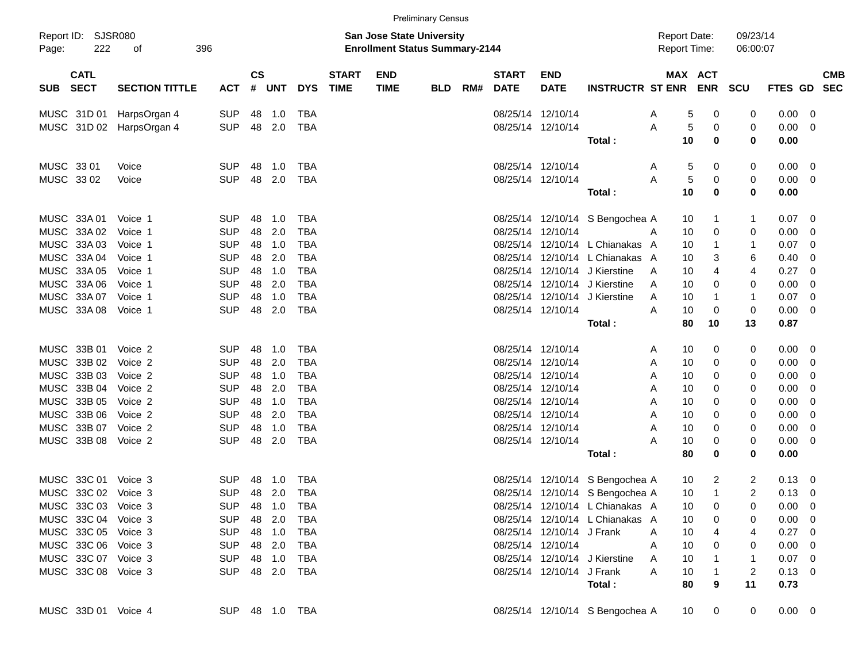|       |                            |                          |                |           |         |            |                             |                                                                           | <b>Preliminary Census</b> |     |                             |                           |                                 |                                            |         |                      |                |                |                   |
|-------|----------------------------|--------------------------|----------------|-----------|---------|------------|-----------------------------|---------------------------------------------------------------------------|---------------------------|-----|-----------------------------|---------------------------|---------------------------------|--------------------------------------------|---------|----------------------|----------------|----------------|-------------------|
| Page: | Report ID: SJSR080<br>222  | of                       | 396            |           |         |            |                             | <b>San Jose State University</b><br><b>Enrollment Status Summary-2144</b> |                           |     |                             |                           |                                 | <b>Report Date:</b><br><b>Report Time:</b> |         | 09/23/14<br>06:00:07 |                |                |                   |
| SUB   | <b>CATL</b><br><b>SECT</b> | <b>SECTION TITTLE</b>    | ACT            | <b>CS</b> | # UNT   | <b>DYS</b> | <b>START</b><br><b>TIME</b> | <b>END</b><br><b>TIME</b>                                                 | <b>BLD</b>                | RM# | <b>START</b><br><b>DATE</b> | <b>END</b><br><b>DATE</b> | <b>INSTRUCTR ST ENR ENR</b>     | MAX ACT                                    |         | SCU                  | <b>FTES GD</b> |                | <b>CMB</b><br>SEC |
|       | MUSC 31D 01                | HarpsOrgan 4             | <b>SUP</b>     | 48        | 1.0     | <b>TBA</b> |                             |                                                                           |                           |     |                             | 08/25/14 12/10/14         |                                 | 5<br>A                                     | 0       | 0                    | 0.00           | 0              |                   |
|       |                            | MUSC 31D 02 HarpsOrgan 4 | <b>SUP</b>     | 48        | 2.0     | TBA        |                             |                                                                           |                           |     |                             | 08/25/14 12/10/14         |                                 | 5<br>A                                     | 0       | 0                    | 0.00           | 0              |                   |
|       |                            |                          |                |           |         |            |                             |                                                                           |                           |     |                             |                           | Total:                          | 10                                         | 0       | 0                    | 0.00           |                |                   |
|       | MUSC 33 01                 | Voice                    | <b>SUP</b>     | 48        | 1.0     | <b>TBA</b> |                             |                                                                           |                           |     |                             | 08/25/14 12/10/14         |                                 | 5<br>A                                     | 0       | 0                    | $0.00 \t 0$    |                |                   |
|       | MUSC 33 02                 | Voice                    | <b>SUP</b>     | 48        | 2.0     | TBA        |                             |                                                                           |                           |     |                             | 08/25/14 12/10/14         |                                 | 5<br>A                                     | 0       | 0                    | 0.00           | - 0            |                   |
|       |                            |                          |                |           |         |            |                             |                                                                           |                           |     |                             |                           | Total :                         | 10                                         | 0       | 0                    | 0.00           |                |                   |
|       | MUSC 33A 01                | Voice 1                  | <b>SUP</b>     | 48        | 1.0     | <b>TBA</b> |                             |                                                                           |                           |     |                             |                           | 08/25/14 12/10/14 S Bengochea A | 10                                         | 1       | 1                    | 0.07           | 0              |                   |
|       | MUSC 33A 02                | Voice 1                  | <b>SUP</b>     | 48        | 2.0     | <b>TBA</b> |                             |                                                                           |                           |     |                             | 08/25/14 12/10/14         |                                 | 10<br>A                                    | 0       | 0                    | 0.00           | 0              |                   |
|       | MUSC 33A 03                | Voice 1                  | <b>SUP</b>     |           | 48 1.0  | TBA        |                             |                                                                           |                           |     |                             |                           | 08/25/14 12/10/14 L Chianakas A | 10                                         | 1       | 1                    | 0.07           | 0              |                   |
|       | MUSC 33A 04                | Voice 1                  | <b>SUP</b>     | 48        | 2.0     | <b>TBA</b> |                             |                                                                           |                           |     |                             |                           | 08/25/14 12/10/14 L Chianakas A | 10                                         | 3       | 6                    | 0.40           | 0              |                   |
|       | MUSC 33A 05                | Voice 1                  | <b>SUP</b>     | 48        | 1.0     | <b>TBA</b> |                             |                                                                           |                           |     |                             |                           | 08/25/14 12/10/14 J Kierstine   | 10<br>A                                    | 4       | 4                    | 0.27           | 0              |                   |
|       | MUSC 33A 06                | Voice 1                  | <b>SUP</b>     | 48        | 2.0     | <b>TBA</b> |                             |                                                                           |                           |     |                             |                           | 08/25/14 12/10/14 J Kierstine   | 10<br>A                                    | 0       | 0                    | 0.00           | 0              |                   |
|       | MUSC 33A 07                | Voice 1                  | <b>SUP</b>     | 48        | 1.0     | <b>TBA</b> |                             |                                                                           |                           |     |                             | 08/25/14 12/10/14         | J Kierstine                     | 10<br>A                                    | 1       | 1                    | 0.07           | 0              |                   |
|       | MUSC 33A 08                | Voice 1                  | <b>SUP</b>     | 48        | 2.0     | <b>TBA</b> |                             |                                                                           |                           |     |                             | 08/25/14 12/10/14         | Total:                          | 10<br>A<br>80                              | 0<br>10 | 0<br>13              | 0.00<br>0.87   | 0              |                   |
|       |                            |                          |                |           |         |            |                             |                                                                           |                           |     |                             |                           |                                 |                                            |         |                      |                |                |                   |
|       | MUSC 33B 01                | Voice 2                  | <b>SUP</b>     | 48        | 1.0     | <b>TBA</b> |                             |                                                                           |                           |     |                             | 08/25/14 12/10/14         |                                 | 10<br>A                                    | 0       | 0                    | $0.00 \t 0$    |                |                   |
|       | MUSC 33B 02                | Voice 2                  | <b>SUP</b>     | 48        | 2.0     | <b>TBA</b> |                             |                                                                           |                           |     |                             | 08/25/14 12/10/14         |                                 | 10<br>A                                    | 0       | 0                    | 0.00           | 0              |                   |
|       | MUSC 33B 03                | Voice 2                  | <b>SUP</b>     | 48        | 1.0     | TBA        |                             |                                                                           |                           |     |                             | 08/25/14 12/10/14         |                                 | 10<br>A                                    | 0       | 0                    | 0.00           | 0              |                   |
|       | MUSC 33B 04                | Voice 2                  | <b>SUP</b>     | 48        | 2.0     | <b>TBA</b> |                             |                                                                           |                           |     |                             | 08/25/14 12/10/14         |                                 | 10<br>Α                                    | 0       | 0                    | 0.00           | 0              |                   |
|       | MUSC 33B 05                | Voice 2                  | <b>SUP</b>     | 48        | 1.0     | <b>TBA</b> |                             |                                                                           |                           |     |                             | 08/25/14 12/10/14         |                                 | 10<br>Α                                    | 0       | 0                    | 0.00           | 0              |                   |
|       | MUSC 33B 06                | Voice 2                  | <b>SUP</b>     | 48        | 2.0     | <b>TBA</b> |                             |                                                                           |                           |     |                             | 08/25/14 12/10/14         |                                 | 10<br>A                                    | 0       | 0                    | 0.00           | 0              |                   |
|       | MUSC 33B 07                | Voice 2                  | <b>SUP</b>     | 48        | 1.0     | <b>TBA</b> |                             |                                                                           |                           |     |                             | 08/25/14 12/10/14         |                                 | 10<br>Α                                    | 0       | 0                    | 0.00           | 0              |                   |
|       | MUSC 33B 08                | Voice 2                  | <b>SUP</b>     | 48        | 2.0     | <b>TBA</b> |                             |                                                                           |                           |     |                             | 08/25/14 12/10/14         |                                 | Α<br>10                                    | 0       | 0                    | 0.00           | 0              |                   |
|       |                            |                          |                |           |         |            |                             |                                                                           |                           |     |                             |                           | Total:                          | 80                                         | 0       | 0                    | 0.00           |                |                   |
|       | MUSC 33C 01                | Voice 3                  | <b>SUP</b>     | 48        | 1.0     | <b>TBA</b> |                             |                                                                           |                           |     |                             |                           | 08/25/14 12/10/14 S Bengochea A | 10                                         | 2       | 2                    | 0.13           | $\overline{0}$ |                   |
|       | MUSC 33C 02 Voice 3        |                          | <b>SUP</b>     | 48        | 2.0     | TBA        |                             |                                                                           |                           |     |                             |                           | 08/25/14 12/10/14 S Bengochea A | 10                                         | 1       | $\overline{2}$       | 0.13           | 0              |                   |
|       | MUSC 33C 03 Voice 3        |                          | <b>SUP</b>     |           | 48  1.0 | TBA        |                             |                                                                           |                           |     |                             |                           | 08/25/14 12/10/14 L Chianakas A | 10                                         | 0       | 0                    | $0.00 \t 0$    |                |                   |
|       | MUSC 33C 04 Voice 3        |                          | <b>SUP</b>     |           | 48 2.0  | TBA        |                             |                                                                           |                           |     |                             |                           | 08/25/14 12/10/14 L Chianakas A | 10                                         | 0       |                      | $0.00 \t 0$    |                |                   |
|       | MUSC 33C 05 Voice 3        |                          | <b>SUP</b>     |           | 48 1.0  | TBA        |                             |                                                                           |                           |     |                             | 08/25/14 12/10/14 J Frank |                                 | 10<br>A                                    |         | 4                    | $0.27$ 0       |                |                   |
|       | MUSC 33C 06 Voice 3        |                          | <b>SUP</b>     |           | 48 2.0  | TBA        |                             |                                                                           |                           |     |                             | 08/25/14 12/10/14         |                                 | 10<br>A                                    | 0       | 0                    | $0.00 \t 0$    |                |                   |
|       | MUSC 33C 07 Voice 3        |                          | <b>SUP</b>     |           | 48 1.0  | TBA        |                             |                                                                           |                           |     |                             |                           | 08/25/14 12/10/14 J Kierstine   | 10<br>Α                                    |         |                      | $0.07$ 0       |                |                   |
|       | MUSC 33C 08 Voice 3        |                          | SUP 48 2.0     |           |         | TBA        |                             |                                                                           |                           |     |                             | 08/25/14 12/10/14 J Frank |                                 | A<br>10                                    |         | 2                    | $0.13 \ 0$     |                |                   |
|       |                            |                          |                |           |         |            |                             |                                                                           |                           |     |                             |                           | Total:                          | 80                                         | 9       | 11                   | 0.73           |                |                   |
|       | MUSC 33D 01 Voice 4        |                          | SUP 48 1.0 TBA |           |         |            |                             |                                                                           |                           |     |                             |                           | 08/25/14 12/10/14 S Bengochea A | 10                                         | 0       | 0                    | $0.00 \t 0$    |                |                   |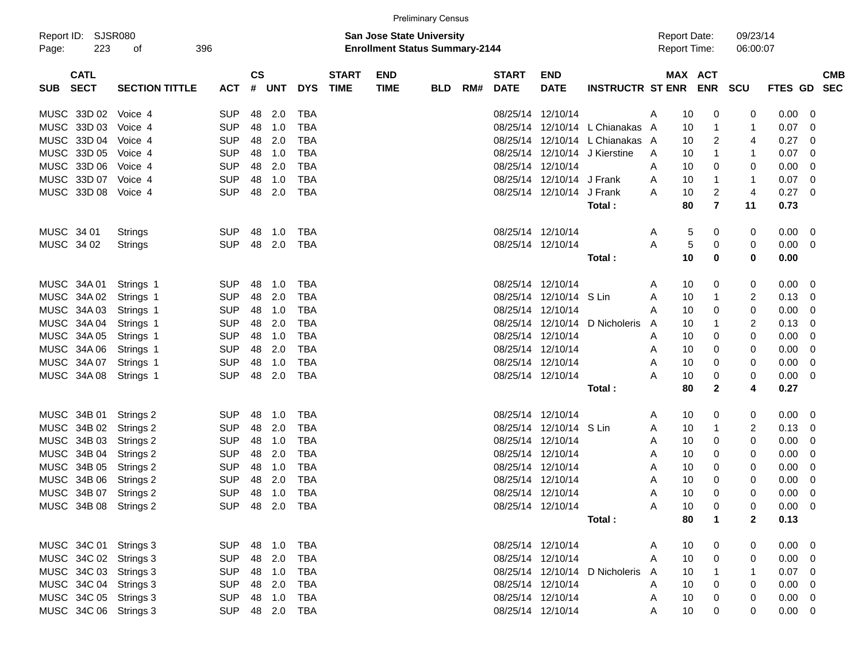|                                    |                       |                |               |            |                |              |                                                                           | <b>Preliminary Census</b> |     |              |                           |                                  |   |                 |                                            |                      |                |                          |            |
|------------------------------------|-----------------------|----------------|---------------|------------|----------------|--------------|---------------------------------------------------------------------------|---------------------------|-----|--------------|---------------------------|----------------------------------|---|-----------------|--------------------------------------------|----------------------|----------------|--------------------------|------------|
| Report ID: SJSR080<br>223<br>Page: | 396<br>of             |                |               |            |                |              | <b>San Jose State University</b><br><b>Enrollment Status Summary-2144</b> |                           |     |              |                           |                                  |   |                 | <b>Report Date:</b><br><b>Report Time:</b> | 09/23/14<br>06:00:07 |                |                          |            |
| <b>CATL</b>                        |                       |                | $\mathsf{cs}$ |            |                | <b>START</b> | <b>END</b>                                                                |                           |     | <b>START</b> | <b>END</b>                |                                  |   |                 | MAX ACT                                    |                      |                |                          | <b>CMB</b> |
| <b>SECT</b><br>SUB                 | <b>SECTION TITTLE</b> | <b>ACT</b>     | #             | <b>UNT</b> | <b>DYS</b>     | <b>TIME</b>  | <b>TIME</b>                                                               | <b>BLD</b>                | RM# | <b>DATE</b>  | <b>DATE</b>               | <b>INSTRUCTR ST ENR ENR</b>      |   |                 |                                            | SCU                  | FTES GD SEC    |                          |            |
| MUSC 33D 02                        | Voice 4               | <b>SUP</b>     | 48            | 2.0        | <b>TBA</b>     |              |                                                                           |                           |     |              | 08/25/14 12/10/14         |                                  | Α | 10              | 0                                          | 0                    | $0.00 \t 0$    |                          |            |
| MUSC 33D 03                        | Voice 4               | <b>SUP</b>     | 48            | 1.0        | <b>TBA</b>     |              |                                                                           |                           |     |              |                           | 08/25/14 12/10/14 L Chianakas    | A | 10              | 1                                          | $\mathbf{1}$         | 0.07           | $\overline{\phantom{0}}$ |            |
| MUSC 33D 04                        | Voice 4               | <b>SUP</b>     | 48            | 2.0        | <b>TBA</b>     |              |                                                                           |                           |     |              |                           | 08/25/14 12/10/14 L Chianakas    | A | 10              | 2                                          | 4                    | 0.27           | $\overline{\phantom{0}}$ |            |
| MUSC 33D 05                        | Voice 4               | <b>SUP</b>     | 48            | 1.0        | <b>TBA</b>     |              |                                                                           |                           |     |              |                           | 08/25/14 12/10/14 J Kierstine    | A | 10              | 1                                          | 1                    | 0.07           | $\overline{\phantom{0}}$ |            |
| MUSC 33D 06                        | Voice 4               | <b>SUP</b>     | 48            | 2.0        | <b>TBA</b>     |              |                                                                           |                           |     |              | 08/25/14 12/10/14         |                                  | Α | 10              | 0                                          | 0                    | $0.00 \t 0$    |                          |            |
| MUSC 33D 07                        | Voice 4               | <b>SUP</b>     | 48            | 1.0        | <b>TBA</b>     |              |                                                                           |                           |     |              | 08/25/14 12/10/14 J Frank |                                  | A | 10              | 1                                          | $\mathbf{1}$         | 0.07           | $\overline{\phantom{0}}$ |            |
| MUSC 33D 08                        | Voice 4               | <b>SUP</b>     | 48            | 2.0        | <b>TBA</b>     |              |                                                                           |                           |     |              | 08/25/14 12/10/14 J Frank |                                  | A | 10              | 2                                          | 4                    | $0.27$ 0       |                          |            |
|                                    |                       |                |               |            |                |              |                                                                           |                           |     |              |                           | Total:                           |   | 80              | $\overline{\mathbf{r}}$                    | 11                   | 0.73           |                          |            |
|                                    |                       |                |               |            |                |              |                                                                           |                           |     |              |                           |                                  |   |                 |                                            |                      |                |                          |            |
| MUSC 34 01                         | Strings               | <b>SUP</b>     | 48            | 1.0        | TBA            |              |                                                                           |                           |     |              | 08/25/14 12/10/14         |                                  | Α | 5               | 0                                          | 0                    | $0.00 \t 0$    |                          |            |
| MUSC 34 02                         | Strings               | <b>SUP</b>     | 48            | 2.0        | <b>TBA</b>     |              |                                                                           |                           |     |              | 08/25/14 12/10/14         |                                  | A | 5               | 0                                          | 0                    | $0.00 \t 0$    |                          |            |
|                                    |                       |                |               |            |                |              |                                                                           |                           |     |              |                           | Total:                           |   | 10              | 0                                          | 0                    | 0.00           |                          |            |
| MUSC 34A 01                        | Strings 1             | <b>SUP</b>     | 48            | 1.0        | TBA            |              |                                                                           |                           |     |              | 08/25/14 12/10/14         |                                  | Α | 10              | 0                                          | 0                    | $0.00 \t 0$    |                          |            |
| MUSC 34A 02                        | Strings 1             | <b>SUP</b>     | 48            | 2.0        | <b>TBA</b>     |              |                                                                           |                           |     |              | 08/25/14 12/10/14 S Lin   |                                  | A | 10              | 1                                          | 2                    | $0.13 \quad 0$ |                          |            |
| MUSC 34A 03                        | Strings 1             | <b>SUP</b>     | 48            | 1.0        | <b>TBA</b>     |              |                                                                           |                           |     |              | 08/25/14 12/10/14         |                                  | Α | 10              | 0                                          | 0                    | $0.00 \t 0$    |                          |            |
| MUSC 34A 04                        | Strings 1             | <b>SUP</b>     | 48            | 2.0        | <b>TBA</b>     |              |                                                                           |                           |     |              | 08/25/14 12/10/14         | D Nicholeris                     | A | 10              | 1                                          | 2                    | $0.13 \ 0$     |                          |            |
| MUSC 34A 05                        | Strings 1             | <b>SUP</b>     | 48            | 1.0        | <b>TBA</b>     |              |                                                                           |                           |     |              | 08/25/14 12/10/14         |                                  | A | 10              | 0                                          | 0                    | $0.00 \t 0$    |                          |            |
| MUSC 34A 06                        | Strings 1             | <b>SUP</b>     | 48            | 2.0        | <b>TBA</b>     |              |                                                                           |                           |     |              | 08/25/14 12/10/14         |                                  | Α | 10              | 0                                          | 0                    | $0.00 \t 0$    |                          |            |
| MUSC 34A 07                        | Strings 1             | <b>SUP</b>     | 48            | 1.0        | <b>TBA</b>     |              |                                                                           |                           |     |              | 08/25/14 12/10/14         |                                  | A | 10              | 0                                          | 0                    | $0.00 \t 0$    |                          |            |
| MUSC 34A 08                        | Strings 1             | <b>SUP</b>     | 48            | 2.0        | <b>TBA</b>     |              |                                                                           |                           |     |              | 08/25/14 12/10/14         |                                  | А | 10              | 0                                          | 0                    | $0.00 \t 0$    |                          |            |
|                                    |                       |                |               |            |                |              |                                                                           |                           |     |              |                           | Total:                           |   | 80              | $\mathbf{2}$                               | 4                    | 0.27           |                          |            |
|                                    |                       |                |               |            |                |              |                                                                           |                           |     |              |                           |                                  |   |                 |                                            |                      |                |                          |            |
| MUSC 34B 01                        | Strings 2             | <b>SUP</b>     | 48            | 1.0        | <b>TBA</b>     |              |                                                                           |                           |     |              | 08/25/14 12/10/14         |                                  | Α | 10              | 0                                          | 0                    | $0.00 \t 0$    |                          |            |
| MUSC 34B 02                        | Strings 2             | <b>SUP</b>     | 48            | 2.0        | <b>TBA</b>     |              |                                                                           |                           |     |              | 08/25/14 12/10/14 S Lin   |                                  | Α | 10              | 1                                          | 2                    | $0.13 \ 0$     |                          |            |
| MUSC 34B 03                        | Strings 2             | <b>SUP</b>     | 48            | 1.0        | <b>TBA</b>     |              |                                                                           |                           |     |              | 08/25/14 12/10/14         |                                  | Α | 10              | 0                                          | 0                    | $0.00 \t 0$    |                          |            |
| MUSC 34B 04                        | Strings 2             | <b>SUP</b>     | 48            | 2.0        | <b>TBA</b>     |              |                                                                           |                           |     |              | 08/25/14 12/10/14         |                                  | Α | 10              | 0                                          | 0                    | 0.00           | $\overline{\phantom{0}}$ |            |
| MUSC 34B 05                        | Strings 2             | <b>SUP</b>     | 48            | 1.0        | <b>TBA</b>     |              |                                                                           |                           |     |              | 08/25/14 12/10/14         |                                  | Α | 10              | 0                                          | 0                    | 0.00           | $\overline{\phantom{0}}$ |            |
| MUSC 34B 06                        | Strings 2             | <b>SUP</b>     | 48            | 2.0        | <b>TBA</b>     |              |                                                                           |                           |     |              | 08/25/14 12/10/14         |                                  | Α | 10              | 0                                          | 0                    | 0.00           | $\overline{\phantom{0}}$ |            |
| MUSC 34B 07                        | Strings 2             | <b>SUP</b>     | 48            | 1.0        | <b>TBA</b>     |              |                                                                           |                           |     |              | 08/25/14 12/10/14         |                                  | A | 10              | $\Omega$                                   | 0                    | $0.00 \t 0$    |                          |            |
| MUSC 34B 08 Strings 2              |                       | SUP 48 2.0 TBA |               |            |                |              |                                                                           |                           |     |              | 08/25/14 12/10/14         |                                  | Α | 10              | 0                                          | 0                    | $0.00 \t 0$    |                          |            |
|                                    |                       |                |               |            |                |              |                                                                           |                           |     |              |                           | Total :                          |   | 80              | $\overline{1}$                             | $\mathbf{2}$         | 0.13           |                          |            |
| MUSC 34C 01 Strings 3              |                       | SUP 48 1.0     |               |            | TBA            |              |                                                                           |                           |     |              | 08/25/14 12/10/14         |                                  | A | 10              | 0                                          | 0                    | $0.00 \t 0$    |                          |            |
| MUSC 34C 02 Strings 3              |                       | SUP 48 2.0     |               |            | <b>TBA</b>     |              |                                                                           |                           |     |              | 08/25/14 12/10/14         |                                  | A | 10              | 0                                          | 0                    | $0.00 \t 0$    |                          |            |
| MUSC 34C 03 Strings 3              |                       | SUP 48 1.0     |               |            | <b>TBA</b>     |              |                                                                           |                           |     |              |                           | 08/25/14 12/10/14 D Nicholeris A |   | 10              | $\mathbf{1}$                               | $\mathbf{1}$         | $0.07$ 0       |                          |            |
| MUSC 34C 04 Strings 3              |                       | SUP 48 2.0     |               |            | <b>TBA</b>     |              |                                                                           |                           |     |              | 08/25/14 12/10/14         |                                  | A | 10              | 0                                          | 0                    | $0.00 \t 0$    |                          |            |
| MUSC 34C 05 Strings 3              |                       | SUP 48 1.0     |               |            | <b>TBA</b>     |              |                                                                           |                           |     |              | 08/25/14 12/10/14         |                                  | Α | 10              | 0                                          | 0                    | $0.00 \t 0$    |                          |            |
| MUSC 34C 06 Strings 3              |                       |                |               |            | SUP 48 2.0 TBA |              |                                                                           |                           |     |              | 08/25/14 12/10/14         |                                  | A | 10 <sup>°</sup> | $\mathbf 0$                                | 0                    | $0.00 \t 0$    |                          |            |
|                                    |                       |                |               |            |                |              |                                                                           |                           |     |              |                           |                                  |   |                 |                                            |                      |                |                          |            |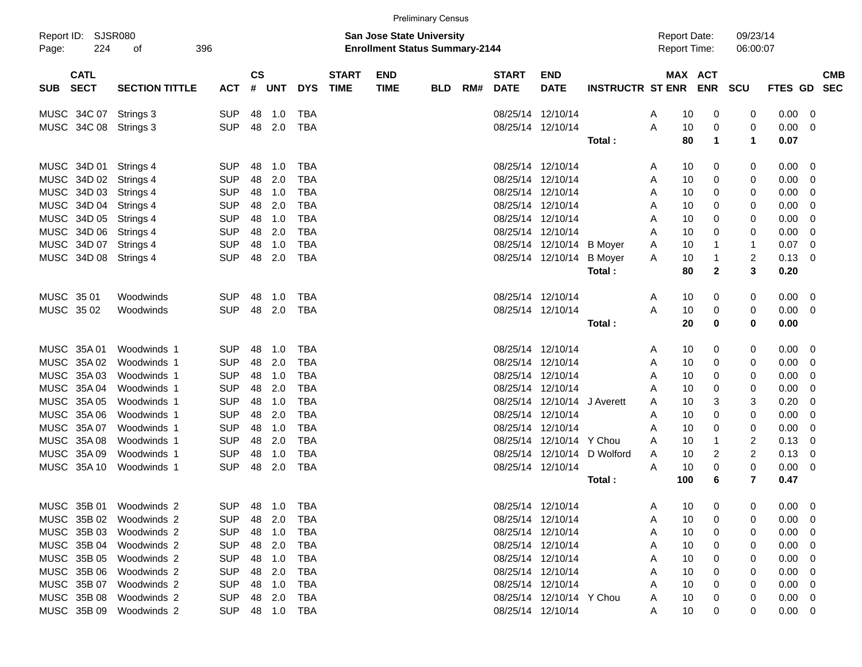|       |                            |                         |            |                    |              |            |                             |                                                                           | <b>Preliminary Census</b> |     |                             |                           |                             |                                            |              |                      |                |                          |                          |
|-------|----------------------------|-------------------------|------------|--------------------|--------------|------------|-----------------------------|---------------------------------------------------------------------------|---------------------------|-----|-----------------------------|---------------------------|-----------------------------|--------------------------------------------|--------------|----------------------|----------------|--------------------------|--------------------------|
| Page: | Report ID: SJSR080<br>224  | 396<br>of               |            |                    |              |            |                             | <b>San Jose State University</b><br><b>Enrollment Status Summary-2144</b> |                           |     |                             |                           |                             | <b>Report Date:</b><br><b>Report Time:</b> |              | 09/23/14<br>06:00:07 |                |                          |                          |
| SUB.  | <b>CATL</b><br><b>SECT</b> | <b>SECTION TITTLE</b>   | <b>ACT</b> | $\mathsf{cs}$<br># | UNT          | <b>DYS</b> | <b>START</b><br><b>TIME</b> | <b>END</b><br><b>TIME</b>                                                 | <b>BLD</b>                | RM# | <b>START</b><br><b>DATE</b> | <b>END</b><br><b>DATE</b> | <b>INSTRUCTR ST ENR ENR</b> |                                            | MAX ACT      | <b>SCU</b>           | <b>FTES GD</b> |                          | <b>CMB</b><br><b>SEC</b> |
|       | MUSC 34C 07                | Strings 3               | <b>SUP</b> | 48                 | 1.0          | <b>TBA</b> |                             |                                                                           |                           |     |                             | 08/25/14 12/10/14         |                             | A<br>10                                    | 0            | 0                    | 0.00           | 0                        |                          |
|       | MUSC 34C 08                | Strings 3               | <b>SUP</b> | 48                 | 2.0          | <b>TBA</b> |                             |                                                                           |                           |     |                             | 08/25/14 12/10/14         |                             | A<br>10                                    | 0            | 0                    | 0.00           | 0                        |                          |
|       |                            |                         |            |                    |              |            |                             |                                                                           |                           |     |                             |                           | Total:                      | 80                                         | 1            | 1                    | 0.07           |                          |                          |
|       | MUSC 34D 01                | Strings 4               | <b>SUP</b> | 48                 | 1.0          | <b>TBA</b> |                             |                                                                           |                           |     |                             | 08/25/14 12/10/14         |                             | 10<br>A                                    | 0            | 0                    | 0.00           | 0                        |                          |
|       | MUSC 34D 02                | Strings 4               | <b>SUP</b> | 48                 | 2.0          | <b>TBA</b> |                             |                                                                           |                           |     | 08/25/14                    | 12/10/14                  |                             | 10<br>A                                    | 0            | 0                    | 0.00           | 0                        |                          |
|       | MUSC 34D 03                | Strings 4               | <b>SUP</b> | 48                 | 1.0          | TBA        |                             |                                                                           |                           |     | 08/25/14                    | 12/10/14                  |                             | 10<br>A                                    | 0            | 0                    | 0.00           | 0                        |                          |
|       | MUSC 34D 04                | Strings 4               | <b>SUP</b> | 48                 | 2.0          | <b>TBA</b> |                             |                                                                           |                           |     | 08/25/14                    | 12/10/14                  |                             | 10<br>A                                    | 0            | 0                    | 0.00           | 0                        |                          |
|       | MUSC 34D 05                | Strings 4               | <b>SUP</b> | 48                 | 1.0          | <b>TBA</b> |                             |                                                                           |                           |     |                             | 08/25/14 12/10/14         |                             | 10<br>A                                    | 0            | 0                    | 0.00           | 0                        |                          |
|       | MUSC 34D 06                | Strings 4               | <b>SUP</b> | 48                 | 2.0          | <b>TBA</b> |                             |                                                                           |                           |     |                             | 08/25/14 12/10/14         |                             | 10<br>A                                    | 0            | 0                    | 0.00           | 0                        |                          |
|       | MUSC 34D 07                | Strings 4               | <b>SUP</b> | 48                 | 1.0          | <b>TBA</b> |                             |                                                                           |                           |     |                             | 08/25/14 12/10/14         | <b>B</b> Moyer              | 10<br>A                                    | -1           | $\mathbf{1}$         | 0.07           | 0                        |                          |
|       | MUSC 34D 08                | Strings 4               | <b>SUP</b> | 48                 | 2.0          | <b>TBA</b> |                             |                                                                           |                           |     |                             | 08/25/14 12/10/14         | <b>B</b> Moyer              | 10<br>A                                    | 1            | 2                    | 0.13           | 0                        |                          |
|       |                            |                         |            |                    |              |            |                             |                                                                           |                           |     |                             |                           | Total:                      | 80                                         | $\mathbf{2}$ | 3                    | 0.20           |                          |                          |
|       | MUSC 3501                  | Woodwinds               | <b>SUP</b> | 48                 | 1.0          | TBA        |                             |                                                                           |                           |     |                             | 08/25/14 12/10/14         |                             | 10<br>A                                    | 0            | 0                    | 0.00           | 0                        |                          |
|       | MUSC 35 02                 | Woodwinds               | <b>SUP</b> | 48                 | 2.0          | <b>TBA</b> |                             |                                                                           |                           |     |                             | 08/25/14 12/10/14         |                             | A<br>10                                    | 0            | 0                    | 0.00           | 0                        |                          |
|       |                            |                         |            |                    |              |            |                             |                                                                           |                           |     |                             |                           | Total:                      | 20                                         | 0            | 0                    | 0.00           |                          |                          |
|       | MUSC 35A 01                | Woodwinds 1             | <b>SUP</b> | 48                 | 1.0          | <b>TBA</b> |                             |                                                                           |                           |     |                             | 08/25/14 12/10/14         |                             | 10<br>A                                    | 0            | 0                    | 0.00           | 0                        |                          |
| MUSC  | 35A 02                     | Woodwinds 1             | <b>SUP</b> | 48                 | 2.0          | <b>TBA</b> |                             |                                                                           |                           |     | 08/25/14                    | 12/10/14                  |                             | 10<br>A                                    | 0            | 0                    | 0.00           | 0                        |                          |
|       | MUSC 35A 03                | Woodwinds 1             | <b>SUP</b> | 48                 | 1.0          | TBA        |                             |                                                                           |                           |     | 08/25/14                    | 12/10/14                  |                             | 10<br>A                                    | 0            | 0                    | 0.00           | 0                        |                          |
|       | MUSC 35A 04                | Woodwinds 1             | <b>SUP</b> | 48                 | 2.0          | <b>TBA</b> |                             |                                                                           |                           |     | 08/25/14                    | 12/10/14                  |                             | 10<br>Α                                    | 0            | 0                    | 0.00           | 0                        |                          |
|       | MUSC 35A 05                | Woodwinds 1             | <b>SUP</b> | 48                 | 1.0          | <b>TBA</b> |                             |                                                                           |                           |     | 08/25/14                    | 12/10/14                  | J Averett                   | 10<br>A                                    | 3            | 3                    | 0.20           | 0                        |                          |
|       | MUSC 35A 06                | Woodwinds 1             | <b>SUP</b> | 48                 | 2.0          | <b>TBA</b> |                             |                                                                           |                           |     | 08/25/14                    | 12/10/14                  |                             | 10<br>A                                    | 0            | 0                    | 0.00           | 0                        |                          |
|       | MUSC 35A 07                | Woodwinds 1             | <b>SUP</b> | 48                 | 1.0          | <b>TBA</b> |                             |                                                                           |                           |     | 08/25/14                    | 12/10/14                  |                             | 10<br>A                                    | 0            | 0                    | 0.00           | 0                        |                          |
|       | MUSC 35A 08                | Woodwinds 1             | <b>SUP</b> | 48                 | 2.0          | TBA        |                             |                                                                           |                           |     | 08/25/14                    | 12/10/14                  | Y Chou                      | 10<br>A                                    | 1            | 2                    | 0.13           | 0                        |                          |
|       | MUSC 35A 09                | Woodwinds 1             | <b>SUP</b> | 48                 | 1.0          | <b>TBA</b> |                             |                                                                           |                           |     | 08/25/14                    | 12/10/14                  | D Wolford                   | 10<br>A                                    | 2            | $\overline{2}$       | 0.13           | 0                        |                          |
|       | MUSC 35A 10                | Woodwinds 1             | <b>SUP</b> | 48                 | 2.0          | <b>TBA</b> |                             |                                                                           |                           |     |                             | 08/25/14 12/10/14         |                             | 10<br>A                                    | $\Omega$     | 0                    | 0.00           | 0                        |                          |
|       |                            |                         |            |                    |              |            |                             |                                                                           |                           |     |                             |                           | Total:                      | 100                                        | 6            | 7                    | 0.47           |                          |                          |
|       |                            | MUSC 35B 01 Woodwinds 2 | <b>SUP</b> | 48                 | 1.0          | TBA        |                             |                                                                           |                           |     |                             | 08/25/14 12/10/14         |                             | 10<br>A                                    | 0            | O                    | $0.00 \t 0$    |                          |                          |
|       |                            | MUSC 35B 02 Woodwinds 2 | <b>SUP</b> |                    | 48 2.0       | TBA        |                             |                                                                           |                           |     |                             | 08/25/14 12/10/14         |                             | 10                                         |              | 0                    | 0.00           | $\overline{\phantom{0}}$ |                          |
|       | MUSC 35B 03                | Woodwinds 2             | <b>SUP</b> |                    | 48 1.0       | TBA        |                             |                                                                           |                           |     |                             | 08/25/14 12/10/14         |                             | 10<br>Α                                    | 0            | 0                    | $0.00 \t 0$    |                          |                          |
|       | MUSC 35B 04                | Woodwinds 2             | <b>SUP</b> |                    | 48 2.0       | TBA        |                             |                                                                           |                           |     |                             | 08/25/14 12/10/14         |                             | 10<br>Α                                    |              | 0                    | $0.00 \t 0$    |                          |                          |
|       | MUSC 35B 05                | Woodwinds 2             | <b>SUP</b> |                    | 48 1.0       | TBA        |                             |                                                                           |                           |     |                             | 08/25/14 12/10/14         |                             | 10                                         |              | 0                    | $0.00 \t 0$    |                          |                          |
|       | MUSC 35B 06                | Woodwinds 2             | <b>SUP</b> |                    | 48 2.0       | TBA        |                             |                                                                           |                           |     |                             | 08/25/14 12/10/14         |                             | 10                                         |              | 0                    | 0.00           | $\overline{\phantom{0}}$ |                          |
|       | MUSC 35B 07                | Woodwinds 2             | <b>SUP</b> |                    | 48 1.0       | TBA        |                             |                                                                           |                           |     |                             | 08/25/14 12/10/14         |                             | 10                                         |              | 0                    | 0.00           | $\overline{\phantom{0}}$ |                          |
|       | MUSC 35B 08                | Woodwinds 2             | <b>SUP</b> |                    | 48 2.0       | TBA        |                             |                                                                           |                           |     |                             | 08/25/14 12/10/14 Y Chou  |                             | 10                                         |              | 0                    | $0.00 \t 0$    |                          |                          |
|       |                            | MUSC 35B 09 Woodwinds 2 | <b>SUP</b> |                    | 48  1.0  TBA |            |                             |                                                                           |                           |     |                             | 08/25/14 12/10/14         |                             | 10<br>A                                    | 0            | 0                    | $0.00 \t 0$    |                          |                          |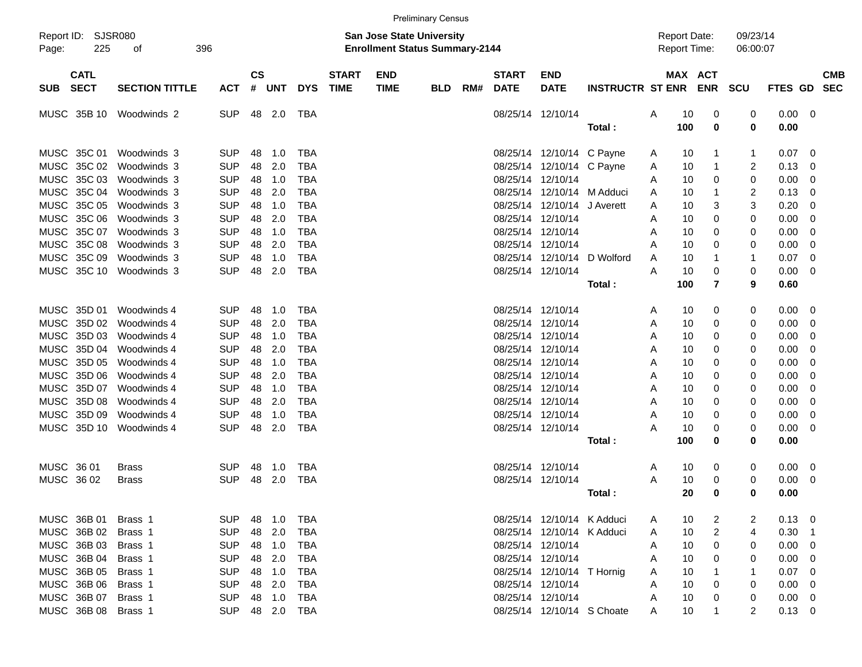|                                          |                       |            |                    |        |            |                             |                                                                           | <b>Preliminary Census</b> |     |                             |                            |                         |                     |     |                |                      |                |                |                          |
|------------------------------------------|-----------------------|------------|--------------------|--------|------------|-----------------------------|---------------------------------------------------------------------------|---------------------------|-----|-----------------------------|----------------------------|-------------------------|---------------------|-----|----------------|----------------------|----------------|----------------|--------------------------|
| Report ID: SJSR080<br>225<br>Page:       | 396<br>οf             |            |                    |        |            |                             | <b>San Jose State University</b><br><b>Enrollment Status Summary-2144</b> |                           |     |                             |                            |                         | <b>Report Date:</b> |     | Report Time:   | 09/23/14<br>06:00:07 |                |                |                          |
| <b>CATL</b><br><b>SECT</b><br><b>SUB</b> | <b>SECTION TITTLE</b> | <b>ACT</b> | $\mathsf{cs}$<br># | UNT    | <b>DYS</b> | <b>START</b><br><b>TIME</b> | <b>END</b><br><b>TIME</b>                                                 | <b>BLD</b>                | RM# | <b>START</b><br><b>DATE</b> | <b>END</b><br><b>DATE</b>  | <b>INSTRUCTR ST ENR</b> |                     |     | MAX ACT<br>ENR | <b>SCU</b>           | <b>FTES GD</b> |                | <b>CMB</b><br><b>SEC</b> |
| MUSC 35B 10                              | Woodwinds 2           | <b>SUP</b> | 48                 | 2.0    | TBA        |                             |                                                                           |                           |     | 08/25/14 12/10/14           |                            |                         | Α                   | 10  | 0              | 0                    | 0.00           | - 0            |                          |
|                                          |                       |            |                    |        |            |                             |                                                                           |                           |     |                             |                            | Total:                  |                     | 100 | 0              | 0                    | 0.00           |                |                          |
|                                          |                       |            |                    |        |            |                             |                                                                           |                           |     |                             |                            |                         |                     |     |                |                      |                |                |                          |
| MUSC 35C 01                              | Woodwinds 3           | <b>SUP</b> | 48                 | 1.0    | <b>TBA</b> |                             |                                                                           |                           |     |                             | 08/25/14 12/10/14          | C Payne                 | A                   | 10  | 1              | -1                   | 0.07           | 0              |                          |
| 35C 02<br>MUSC                           | Woodwinds 3           | <b>SUP</b> | 48                 | 2.0    | TBA        |                             |                                                                           |                           |     | 08/25/14                    | 12/10/14                   | C Payne                 | A                   | 10  | 1              | 2                    | 0.13           | 0              |                          |
| MUSC 35C 03                              | Woodwinds 3           | <b>SUP</b> | 48                 | 1.0    | <b>TBA</b> |                             |                                                                           |                           |     | 08/25/14                    | 12/10/14                   |                         | A                   | 10  | 0              | 0                    | 0.00           | 0              |                          |
| MUSC 35C 04                              | Woodwinds 3           | <b>SUP</b> | 48                 | 2.0    | TBA        |                             |                                                                           |                           |     | 08/25/14                    | 12/10/14                   | M Adduci                | A                   | 10  | 1              | 2                    | 0.13           | 0              |                          |
| MUSC 35C 05                              | Woodwinds 3           | <b>SUP</b> | 48                 | 1.0    | TBA        |                             |                                                                           |                           |     | 08/25/14                    | 12/10/14                   | J Averett               | A                   | 10  | 3              | 3                    | 0.20           | 0              |                          |
| MUSC<br>35C 06                           | Woodwinds 3           | <b>SUP</b> | 48                 | 2.0    | TBA        |                             |                                                                           |                           |     | 08/25/14 12/10/14           |                            |                         | A                   | 10  | 0              | 0                    | 0.00           | 0              |                          |
| MUSC 35C 07                              | Woodwinds 3           | <b>SUP</b> | 48                 | 1.0    | TBA        |                             |                                                                           |                           |     | 08/25/14 12/10/14           |                            |                         | A                   | 10  | 0              | 0                    | 0.00           | 0              |                          |
| MUSC 35C 08                              | Woodwinds 3           | <b>SUP</b> | 48                 | 2.0    | TBA        |                             |                                                                           |                           |     | 08/25/14 12/10/14           |                            |                         | A                   | 10  | 0              | 0                    | 0.00           | 0              |                          |
| MUSC 35C 09                              | Woodwinds 3           | <b>SUP</b> | 48                 | 1.0    | TBA        |                             |                                                                           |                           |     | 08/25/14                    | 12/10/14                   | D Wolford               | A                   | 10  | 1              | -1                   | 0.07           | 0              |                          |
| MUSC 35C 10                              | Woodwinds 3           | <b>SUP</b> | 48                 | 2.0    | <b>TBA</b> |                             |                                                                           |                           |     | 08/25/14 12/10/14           |                            |                         | Α                   | 10  | 0              | 0                    | 0.00           | 0              |                          |
|                                          |                       |            |                    |        |            |                             |                                                                           |                           |     |                             |                            | Total:                  |                     | 100 | 7              | 9                    | 0.60           |                |                          |
| MUSC 35D 01                              | Woodwinds 4           | <b>SUP</b> | 48                 | 1.0    | <b>TBA</b> |                             |                                                                           |                           |     | 08/25/14 12/10/14           |                            |                         | A                   | 10  | 0              | 0                    | 0.00           | 0              |                          |
| MUSC<br>35D 02                           | Woodwinds 4           | <b>SUP</b> | 48                 | 2.0    | <b>TBA</b> |                             |                                                                           |                           |     | 08/25/14 12/10/14           |                            |                         | A                   | 10  | 0              | 0                    | 0.00           | 0              |                          |
| 35D 03<br>MUSC                           | Woodwinds 4           | <b>SUP</b> | 48                 | 1.0    | TBA        |                             |                                                                           |                           |     | 08/25/14 12/10/14           |                            |                         | A                   | 10  | 0              | 0                    | 0.00           | 0              |                          |
| 35D 04<br>MUSC                           | Woodwinds 4           | <b>SUP</b> | 48                 | 2.0    | TBA        |                             |                                                                           |                           |     | 08/25/14 12/10/14           |                            |                         | A                   | 10  | 0              | 0                    | 0.00           | 0              |                          |
| MUSC<br>35D 05                           | Woodwinds 4           | <b>SUP</b> | 48                 | 1.0    | TBA        |                             |                                                                           |                           |     | 08/25/14 12/10/14           |                            |                         | A                   | 10  | 0              | 0                    | 0.00           | 0              |                          |
| MUSC 35D 06                              | Woodwinds 4           | <b>SUP</b> | 48                 | 2.0    | TBA        |                             |                                                                           |                           |     | 08/25/14 12/10/14           |                            |                         | A                   | 10  | 0              | 0                    | 0.00           | 0              |                          |
| MUSC 35D 07                              | Woodwinds 4           | <b>SUP</b> | 48                 | 1.0    | TBA        |                             |                                                                           |                           |     | 08/25/14 12/10/14           |                            |                         | A                   | 10  | 0              | 0                    | 0.00           | 0              |                          |
| MUSC<br>35D 08                           | Woodwinds 4           | <b>SUP</b> | 48                 | 2.0    | TBA        |                             |                                                                           |                           |     | 08/25/14 12/10/14           |                            |                         | A                   | 10  | 0              | 0                    | 0.00           | 0              |                          |
| MUSC 35D 09                              | Woodwinds 4           | <b>SUP</b> | 48                 | 1.0    | TBA        |                             |                                                                           |                           |     | 08/25/14 12/10/14           |                            |                         | A                   | 10  | 0              | 0                    | 0.00           | 0              |                          |
| MUSC 35D 10                              | Woodwinds 4           | <b>SUP</b> | 48                 | 2.0    | <b>TBA</b> |                             |                                                                           |                           |     | 08/25/14 12/10/14           |                            |                         | А                   | 10  | 0              | 0                    | 0.00           | 0              |                          |
|                                          |                       |            |                    |        |            |                             |                                                                           |                           |     |                             |                            | Total:                  |                     | 100 | 0              | 0                    | 0.00           |                |                          |
|                                          |                       |            |                    |        |            |                             |                                                                           |                           |     |                             |                            |                         |                     |     |                |                      |                |                |                          |
| MUSC 36 01                               | <b>Brass</b>          | <b>SUP</b> | 48                 | 1.0    | TBA        |                             |                                                                           |                           |     | 08/25/14 12/10/14           |                            |                         | A                   | 10  | 0              | 0                    | $0.00\,$       | - 0            |                          |
| MUSC<br>36 02                            | Brass                 | <b>SUP</b> | 48                 | 2.0    | <b>TBA</b> |                             |                                                                           |                           |     | 08/25/14 12/10/14           |                            |                         | A                   | 10  | 0              | 0                    | 0.00           | 0              |                          |
|                                          |                       |            |                    |        |            |                             |                                                                           |                           |     |                             |                            | Total :                 |                     | 20  | 0              | 0                    | 0.00           |                |                          |
| MUSC 36B 01                              | Brass 1               | <b>SUP</b> |                    | 48 1.0 | TBA        |                             |                                                                           |                           |     |                             | 08/25/14 12/10/14 K Adduci |                         | A                   | 10  | 2              | 2                    | $0.13 \quad 0$ |                |                          |
| MUSC 36B 02                              | Brass 1               | <b>SUP</b> |                    | 48 2.0 | TBA        |                             |                                                                           |                           |     |                             | 08/25/14 12/10/14 K Adduci |                         | A                   | 10  | 2              | 4                    | 0.30           | $\overline{1}$ |                          |
| MUSC 36B 03                              | Brass 1               | <b>SUP</b> |                    | 48 1.0 | TBA        |                             |                                                                           |                           |     |                             | 08/25/14 12/10/14          |                         | A                   | 10  | 0              | 0                    | 0.00           | - 0            |                          |
| MUSC 36B 04                              | Brass 1               | <b>SUP</b> |                    | 48 2.0 | TBA        |                             |                                                                           |                           |     | 08/25/14 12/10/14           |                            |                         | A                   | 10  | 0              | 0                    | 0.00           | - 0            |                          |
| MUSC 36B 05                              | Brass 1               | <b>SUP</b> |                    | 48 1.0 | TBA        |                             |                                                                           |                           |     |                             | 08/25/14 12/10/14 T Hornig |                         | A                   | 10  |                |                      | 0.07           | - 0            |                          |
| MUSC 36B 06                              | Brass 1               | <b>SUP</b> |                    | 48 2.0 | TBA        |                             |                                                                           |                           |     | 08/25/14 12/10/14           |                            |                         | A                   | 10  | 0              | 0                    | 0.00           | - 0            |                          |
| MUSC 36B 07                              | Brass 1               | <b>SUP</b> |                    | 48 1.0 | TBA        |                             |                                                                           |                           |     |                             | 08/25/14 12/10/14          |                         | A                   | 10  | 0              | 0                    | $0.00 \t 0$    |                |                          |
| MUSC 36B 08                              | Brass 1               | <b>SUP</b> |                    | 48 2.0 | TBA        |                             |                                                                           |                           |     |                             | 08/25/14 12/10/14 S Choate |                         | A                   | 10  |                | 2                    | $0.13 \ 0$     |                |                          |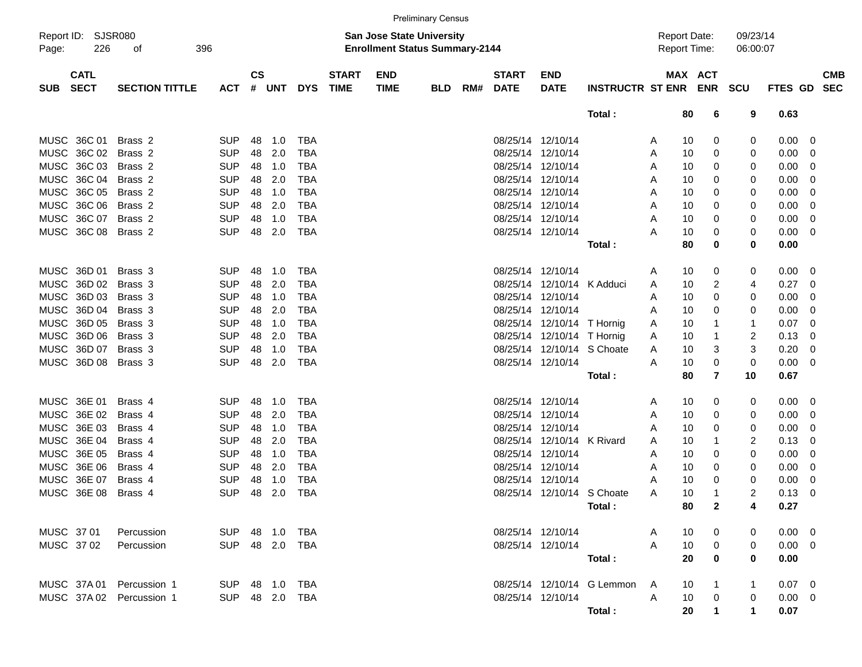|                                          |                       |                          |                    |            |                          |                             |                                                                           | <b>Preliminary Census</b> |     |                             |                               |                            |              |                                            |                |                      |                |                         |                          |
|------------------------------------------|-----------------------|--------------------------|--------------------|------------|--------------------------|-----------------------------|---------------------------------------------------------------------------|---------------------------|-----|-----------------------------|-------------------------------|----------------------------|--------------|--------------------------------------------|----------------|----------------------|----------------|-------------------------|--------------------------|
| Report ID: SJSR080<br>226<br>Page:       | 396<br>of             |                          |                    |            |                          |                             | <b>San Jose State University</b><br><b>Enrollment Status Summary-2144</b> |                           |     |                             |                               |                            |              | <b>Report Date:</b><br><b>Report Time:</b> |                | 09/23/14<br>06:00:07 |                |                         |                          |
| <b>CATL</b><br><b>SECT</b><br><b>SUB</b> | <b>SECTION TITTLE</b> | <b>ACT</b>               | $\mathsf{cs}$<br># | <b>UNT</b> | <b>DYS</b>               | <b>START</b><br><b>TIME</b> | <b>END</b><br><b>TIME</b>                                                 | <b>BLD</b>                | RM# | <b>START</b><br><b>DATE</b> | <b>END</b><br><b>DATE</b>     | <b>INSTRUCTR ST ENR</b>    |              | MAX ACT                                    | <b>ENR SCU</b> |                      | <b>FTES GD</b> |                         | <b>CMB</b><br><b>SEC</b> |
|                                          |                       |                          |                    |            |                          |                             |                                                                           |                           |     |                             |                               | Total:                     |              | 80                                         | 6              | 9                    | 0.63           |                         |                          |
| MUSC 36C 01                              | Brass 2               | <b>SUP</b>               | 48                 | 1.0        | <b>TBA</b>               |                             |                                                                           |                           |     | 08/25/14 12/10/14           |                               |                            | A            | 10                                         | 0              | 0                    | 0.00           | $\overline{\mathbf{0}}$ |                          |
| MUSC 36C 02                              | Brass <sub>2</sub>    | <b>SUP</b>               | 48                 | 2.0        | <b>TBA</b>               |                             |                                                                           |                           |     |                             | 08/25/14 12/10/14             |                            | A            | 10                                         | 0              | 0                    | 0.00           | 0                       |                          |
| MUSC 36C 03                              | Brass 2               | <b>SUP</b>               | 48                 | 1.0        | <b>TBA</b>               |                             |                                                                           |                           |     |                             | 08/25/14 12/10/14             |                            | A            | 10                                         | 0              | 0                    | 0.00           | 0                       |                          |
| MUSC 36C 04                              | Brass 2               | <b>SUP</b>               | 48                 | 2.0        | <b>TBA</b>               |                             |                                                                           |                           |     |                             | 08/25/14 12/10/14             |                            | A            | 10                                         | 0              | 0                    | 0.00           | 0                       |                          |
| MUSC 36C 05                              | Brass 2               | <b>SUP</b>               | 48                 | 1.0        | <b>TBA</b>               |                             |                                                                           |                           |     |                             | 08/25/14 12/10/14             |                            | A            | 10                                         | 0              | 0                    | 0.00           | 0                       |                          |
| MUSC 36C 06                              | Brass 2               | <b>SUP</b>               | 48                 | 2.0        | <b>TBA</b>               |                             |                                                                           |                           |     |                             | 08/25/14 12/10/14             |                            | A            | 10                                         | 0              | 0                    | 0.00           | 0                       |                          |
| MUSC 36C 07                              | Brass 2               | <b>SUP</b>               | 48                 | 1.0        | <b>TBA</b>               |                             |                                                                           |                           |     |                             | 08/25/14 12/10/14             |                            | A            | 10                                         | 0              | 0                    | 0.00           | 0                       |                          |
| MUSC 36C 08                              | Brass 2               | <b>SUP</b>               | 48                 | 2.0        | <b>TBA</b>               |                             |                                                                           |                           |     |                             | 08/25/14 12/10/14             |                            | Α            | 10                                         | 0              | 0                    | 0.00           | - 0                     |                          |
|                                          |                       |                          |                    |            |                          |                             |                                                                           |                           |     |                             |                               | Total:                     |              | 80                                         | 0              | 0                    | 0.00           |                         |                          |
| MUSC 36D 01                              | Brass 3               | <b>SUP</b>               | 48                 | 1.0        | <b>TBA</b>               |                             |                                                                           |                           |     | 08/25/14 12/10/14           |                               |                            | A            | 10                                         | 0              | 0                    | 0.00           | $\overline{\mathbf{0}}$ |                          |
| MUSC 36D 02                              | Brass 3               | <b>SUP</b>               | 48                 | 2.0        | <b>TBA</b>               |                             |                                                                           |                           |     | 08/25/14                    | 12/10/14 K Adduci             |                            | A            | 10                                         | 2              | 4                    | 0.27           | - 0                     |                          |
| MUSC 36D 03                              | Brass 3               | <b>SUP</b>               | 48                 | 1.0        | <b>TBA</b>               |                             |                                                                           |                           |     |                             | 08/25/14 12/10/14             |                            | A            | 10                                         | 0              | 0                    | 0.00           | 0                       |                          |
| MUSC 36D 04                              | Brass 3               | <b>SUP</b>               | 48                 | 2.0        | <b>TBA</b>               |                             |                                                                           |                           |     |                             | 08/25/14 12/10/14             |                            | A            | 10                                         | 0              | 0                    | 0.00           | 0                       |                          |
| MUSC 36D 05                              | Brass 3               | <b>SUP</b>               | 48                 | 1.0        | <b>TBA</b>               |                             |                                                                           |                           |     |                             | 08/25/14 12/10/14 T Hornig    |                            | A            | 10                                         | 1              | 1                    | 0.07           | 0                       |                          |
| MUSC 36D 06                              | Brass 3               | <b>SUP</b>               | 48                 | 2.0        | <b>TBA</b>               |                             |                                                                           |                           |     |                             | 08/25/14 12/10/14 T Hornig    |                            | A            | 10                                         | $\mathbf 1$    | 2                    | 0.13           | 0                       |                          |
| MUSC 36D 07                              | Brass 3               | <b>SUP</b>               | 48                 | 1.0        | <b>TBA</b>               |                             |                                                                           |                           |     |                             | 08/25/14 12/10/14 S Choate    |                            | A            | 10                                         | 3              | 3                    | 0.20           | 0                       |                          |
| MUSC 36D 08                              | Brass 3               | <b>SUP</b>               | 48                 | 2.0        | <b>TBA</b>               |                             |                                                                           |                           |     |                             | 08/25/14 12/10/14             |                            | A            | 10                                         | 0              | $\mathbf 0$          | 0.00           | 0                       |                          |
|                                          |                       |                          |                    |            |                          |                             |                                                                           |                           |     |                             |                               | Total:                     |              | 80                                         | $\overline{7}$ | 10                   | 0.67           |                         |                          |
|                                          |                       |                          |                    |            |                          |                             |                                                                           |                           |     |                             |                               |                            |              |                                            |                |                      |                |                         |                          |
| MUSC 36E 01                              | Brass 4               | <b>SUP</b>               | 48                 | 1.0        | <b>TBA</b>               |                             |                                                                           |                           |     | 08/25/14 12/10/14           |                               |                            | A            | 10                                         | 0              | 0                    | 0.00           | - 0                     |                          |
| MUSC 36E 02                              | Brass 4               | <b>SUP</b>               | 48                 | 2.0        | <b>TBA</b>               |                             |                                                                           |                           |     | 08/25/14                    | 12/10/14                      |                            | A            | 10                                         | 0              | 0                    | 0.00           | 0                       |                          |
| MUSC 36E 03<br>MUSC 36E 04               | Brass 4               | <b>SUP</b>               | 48                 | 1.0        | <b>TBA</b>               |                             |                                                                           |                           |     | 08/25/14                    | 12/10/14                      |                            | A            | 10                                         | 0              | 0                    | 0.00           | 0                       |                          |
| MUSC 36E 05                              | Brass 4<br>Brass 4    | <b>SUP</b><br><b>SUP</b> | 48<br>48           | 2.0<br>1.0 | <b>TBA</b><br><b>TBA</b> |                             |                                                                           |                           |     | 08/25/14                    | 12/10/14<br>08/25/14 12/10/14 | K Rivard                   | A            | 10<br>10                                   | 1              | 2                    | 0.13           | 0                       |                          |
| MUSC 36E 06                              | Brass 4               | <b>SUP</b>               | 48                 | 2.0        | <b>TBA</b>               |                             |                                                                           |                           |     |                             | 08/25/14 12/10/14             |                            | A            | 10                                         | 0              | 0<br>0               | 0.00           | 0<br>0                  |                          |
| MUSC 36E 07                              | Brass 4               | <b>SUP</b>               | 48                 | 1.0        | <b>TBA</b>               |                             |                                                                           |                           |     | 08/25/14                    | 12/10/14                      |                            | A<br>Α       | 10                                         | 0<br>0         | 0                    | 0.00<br>0.00   | 0                       |                          |
| MUSC 36E 08                              | Brass 4               | <b>SUP</b>               | 48                 | 2.0        | <b>TBA</b>               |                             |                                                                           |                           |     |                             | 08/25/14 12/10/14 S Choate    |                            | A            | 10                                         | 1              | 2                    | 0.13           | 0                       |                          |
|                                          |                       |                          |                    |            |                          |                             |                                                                           |                           |     |                             |                               | Total :                    |              | 80                                         | $\mathbf{2}$   | 4                    | 0.27           |                         |                          |
|                                          |                       |                          |                    |            |                          |                             |                                                                           |                           |     |                             |                               |                            |              |                                            |                |                      |                |                         |                          |
| MUSC 3701                                | Percussion            | SUP 48 1.0 TBA           |                    |            |                          |                             |                                                                           |                           |     |                             | 08/25/14 12/10/14             |                            | A            | 10                                         | 0              | 0                    | $0.00 \t 0$    |                         |                          |
| MUSC 3702                                | Percussion            | SUP 48 2.0 TBA           |                    |            |                          |                             |                                                                           |                           |     |                             | 08/25/14 12/10/14             |                            | A            | 10                                         | $\mathbf 0$    | 0                    | $0.00 \t 0$    |                         |                          |
|                                          |                       |                          |                    |            |                          |                             |                                                                           |                           |     |                             |                               | Total:                     |              | 20                                         | 0              | 0                    | 0.00           |                         |                          |
| MUSC 37A 01 Percussion 1                 |                       | SUP 48 1.0 TBA           |                    |            |                          |                             |                                                                           |                           |     |                             |                               | 08/25/14 12/10/14 G Lemmon | A            | 10                                         |                | 1                    | $0.07$ 0       |                         |                          |
| MUSC 37A 02 Percussion 1                 |                       | SUP 48 2.0 TBA           |                    |            |                          |                             |                                                                           |                           |     |                             | 08/25/14 12/10/14             |                            | $\mathsf{A}$ | 10                                         | 0              | 0                    | $0.00 \t 0$    |                         |                          |
|                                          |                       |                          |                    |            |                          |                             |                                                                           |                           |     |                             |                               | Total:                     |              | 20                                         |                | $\mathbf 1$          | 0.07           |                         |                          |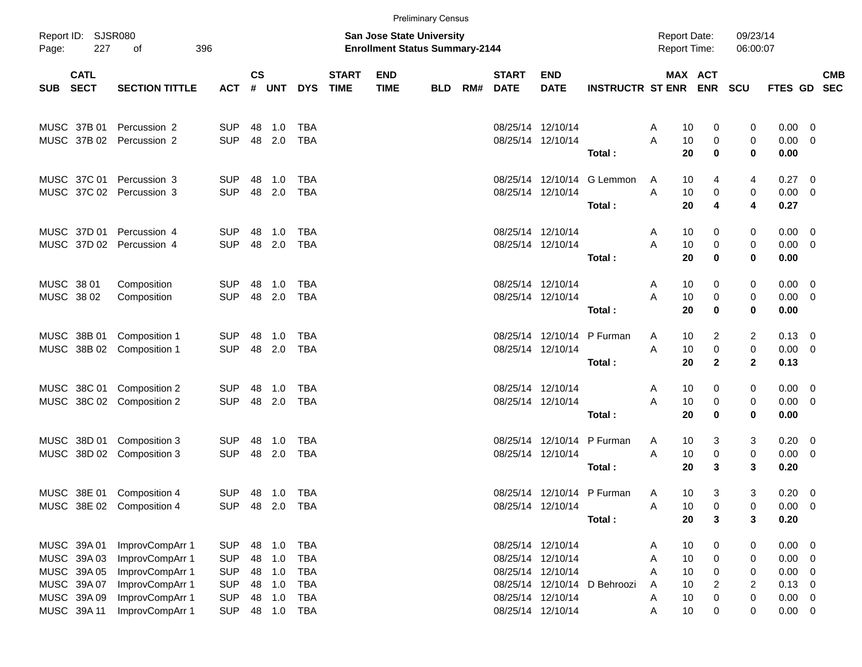|                                                 | <b>Preliminary Census</b>  |                                                        |                          |                                                                    |               |                          |                             |                           |            |     |                             |                                        |                              |                    |                                            |                      |                               |                                                      |                          |
|-------------------------------------------------|----------------------------|--------------------------------------------------------|--------------------------|--------------------------------------------------------------------|---------------|--------------------------|-----------------------------|---------------------------|------------|-----|-----------------------------|----------------------------------------|------------------------------|--------------------|--------------------------------------------|----------------------|-------------------------------|------------------------------------------------------|--------------------------|
| Report ID: SJSR080<br>Page:<br>227<br>396<br>оf |                            |                                                        |                          | San Jose State University<br><b>Enrollment Status Summary-2144</b> |               |                          |                             |                           |            |     |                             |                                        |                              |                    | <b>Report Date:</b><br><b>Report Time:</b> | 09/23/14<br>06:00:07 |                               |                                                      |                          |
| SUB                                             | <b>CATL</b><br><b>SECT</b> | <b>SECTION TITTLE</b>                                  | <b>ACT</b>               | $\mathsf{cs}$<br>#                                                 | UNT           | <b>DYS</b>               | <b>START</b><br><b>TIME</b> | <b>END</b><br><b>TIME</b> | <b>BLD</b> | RM# | <b>START</b><br><b>DATE</b> | <b>END</b><br><b>DATE</b>              | <b>INSTRUCTR ST ENR</b>      |                    | MAX ACT                                    | <b>ENR SCU</b>       | <b>FTES GD</b>                |                                                      | <b>CMB</b><br><b>SEC</b> |
|                                                 | MUSC 37B 01                | Percussion 2<br>MUSC 37B 02 Percussion 2               | <b>SUP</b><br><b>SUP</b> | 48                                                                 | 1.0<br>48 2.0 | TBA<br><b>TBA</b>        |                             |                           |            |     |                             | 08/25/14 12/10/14<br>08/25/14 12/10/14 |                              | 10<br>A<br>A<br>10 | 0                                          | 0                    | 0.00<br>0.00                  | $\overline{\phantom{0}}$<br>- 0                      |                          |
|                                                 |                            |                                                        |                          |                                                                    |               |                          |                             |                           |            |     |                             |                                        | Total:                       | 20                 | 0<br>$\bf{0}$                              | 0<br>0               | 0.00                          |                                                      |                          |
|                                                 |                            | MUSC 37C 01 Percussion 3                               | <b>SUP</b>               | 48                                                                 | 1.0           | TBA                      |                             |                           |            |     |                             | 08/25/14 12/10/14                      | G Lemmon                     | 10<br>A            | 4                                          | 4                    | $0.27 \quad 0$                |                                                      |                          |
|                                                 |                            | MUSC 37C 02 Percussion 3                               | <b>SUP</b>               |                                                                    | 48 2.0        | <b>TBA</b>               |                             |                           |            |     |                             | 08/25/14 12/10/14                      | Total:                       | A<br>10<br>20      | 0<br>4                                     | 0<br>4               | $0.00 \t 0$<br>0.27           |                                                      |                          |
|                                                 |                            | MUSC 37D 01 Percussion 4                               | <b>SUP</b><br><b>SUP</b> | 48                                                                 | 1.0<br>48 2.0 | TBA                      |                             |                           |            |     | 08/25/14 12/10/14           |                                        |                              | 10<br>A<br>A       | 0                                          | 0                    | $0.00 \quad 0$                |                                                      |                          |
|                                                 |                            | MUSC 37D 02 Percussion 4                               |                          |                                                                    |               | <b>TBA</b>               |                             |                           |            |     |                             | 08/25/14 12/10/14                      | Total:                       | 10<br>20           | 0<br>$\bf{0}$                              | 0<br>0               | 0.00<br>0.00                  | $\overline{\phantom{0}}$                             |                          |
| MUSC 38 01<br>MUSC 38 02                        |                            | Composition<br>Composition                             | <b>SUP</b><br><b>SUP</b> | 48                                                                 | 1.0<br>48 2.0 | TBA<br><b>TBA</b>        |                             |                           |            |     | 08/25/14 12/10/14           | 08/25/14 12/10/14                      |                              | 10<br>A<br>A<br>10 | 0<br>0                                     | 0<br>0               | $0.00 \ 0$<br>0.00            | $\overline{\phantom{0}}$                             |                          |
|                                                 |                            |                                                        |                          |                                                                    |               |                          |                             |                           |            |     |                             |                                        | Total:                       | 20                 | 0                                          | 0                    | 0.00                          |                                                      |                          |
|                                                 | MUSC 38B 01                | Composition 1<br>MUSC 38B 02 Composition 1             | <b>SUP</b><br><b>SUP</b> | 48                                                                 | 1.0<br>48 2.0 | TBA<br>TBA               |                             |                           |            |     |                             | 08/25/14 12/10/14<br>08/25/14 12/10/14 | P Furman                     | 10<br>A<br>A<br>10 | 2<br>0                                     | 2<br>$\,0\,$         | $0.13 \quad 0$<br>$0.00 \t 0$ |                                                      |                          |
|                                                 |                            |                                                        |                          |                                                                    |               |                          |                             |                           |            |     |                             |                                        | Total:                       | 20                 | $\mathbf{2}$                               | $\overline{2}$       | 0.13                          |                                                      |                          |
|                                                 |                            | MUSC 38C 01 Composition 2<br>MUSC 38C 02 Composition 2 | <b>SUP</b><br><b>SUP</b> | 48                                                                 | 1.0<br>48 2.0 | TBA<br>TBA               |                             |                           |            |     | 08/25/14 12/10/14           | 08/25/14 12/10/14                      |                              | 10<br>A<br>A<br>10 | 0<br>0                                     | 0<br>0               | $0.00 \quad 0$<br>0.00        | $\overline{\phantom{0}}$                             |                          |
|                                                 |                            |                                                        |                          |                                                                    |               |                          |                             |                           |            |     |                             |                                        | Total:                       | 20                 | $\bf{0}$                                   | 0                    | 0.00                          |                                                      |                          |
|                                                 |                            | MUSC 38D 01 Composition 3<br>MUSC 38D 02 Composition 3 | <b>SUP</b><br><b>SUP</b> | 48                                                                 | 1.0<br>48 2.0 | TBA<br>TBA               |                             |                           |            |     |                             | 08/25/14 12/10/14<br>08/25/14 12/10/14 | P Furman                     | 10<br>A<br>A<br>10 | 3<br>0                                     | 3<br>$\,0\,$         | $0.20 \ 0$<br>0.00            | $\overline{\phantom{0}}$                             |                          |
|                                                 |                            |                                                        |                          |                                                                    |               |                          |                             |                           |            |     |                             |                                        | Total:                       | 20                 | 3                                          | 3                    | 0.20                          |                                                      |                          |
|                                                 |                            | MUSC 38E 01 Composition 4<br>MUSC 38E 02 Composition 4 | <b>SUP</b><br><b>SUP</b> |                                                                    | 48 2.0 TBA    |                          |                             |                           |            |     |                             | 08/25/14 12/10/14                      | 08/25/14 12/10/14 P Furman   | 10<br>A<br>Α<br>10 | 3<br>0                                     | 3<br>0               | 0.20<br>0.00                  | $\overline{\phantom{0}}$<br>$\overline{\phantom{0}}$ |                          |
|                                                 |                            |                                                        |                          |                                                                    |               |                          |                             |                           |            |     |                             |                                        | Total:                       | 20                 | 3                                          | 3                    | 0.20                          |                                                      |                          |
| MUSC 39A 01                                     | MUSC 39A 03                | ImprovCompArr 1<br>ImprovCompArr 1                     | <b>SUP</b><br><b>SUP</b> | 48<br>48                                                           | 1.0<br>1.0    | <b>TBA</b><br><b>TBA</b> |                             |                           |            |     |                             | 08/25/14 12/10/14<br>08/25/14 12/10/14 |                              | 10<br>A<br>10<br>A | 0<br>0                                     | 0<br>0               | 0.00<br>0.00                  | $\overline{\phantom{0}}$<br>- 0                      |                          |
| MUSC 39A 05                                     |                            | ImprovCompArr 1                                        | <b>SUP</b>               | 48                                                                 | 1.0           | <b>TBA</b>               |                             |                           |            |     |                             | 08/25/14 12/10/14                      |                              | 10<br>Α            | 0                                          | 0                    | 0.00                          | - 0                                                  |                          |
|                                                 | MUSC 39A 07                | ImprovCompArr 1                                        | <b>SUP</b>               | 48                                                                 | 1.0           | <b>TBA</b>               |                             |                           |            |     |                             |                                        | 08/25/14 12/10/14 D Behroozi | 10<br>A            | 2                                          | $\overline{2}$       | 0.13                          | - 0                                                  |                          |
|                                                 | MUSC 39A 09                | ImprovCompArr 1                                        | <b>SUP</b>               | 48                                                                 | 1.0           | <b>TBA</b>               |                             |                           |            |     |                             | 08/25/14 12/10/14                      |                              | 10<br>A            | 0                                          | 0                    | 0.00                          | $\overline{\mathbf{0}}$                              |                          |
|                                                 | MUSC 39A 11                | ImprovCompArr 1                                        | <b>SUP</b>               |                                                                    |               | 48  1.0  TBA             |                             |                           |            |     |                             | 08/25/14 12/10/14                      |                              | 10<br>Α            | 0                                          | 0                    | $0.00 \t 0$                   |                                                      |                          |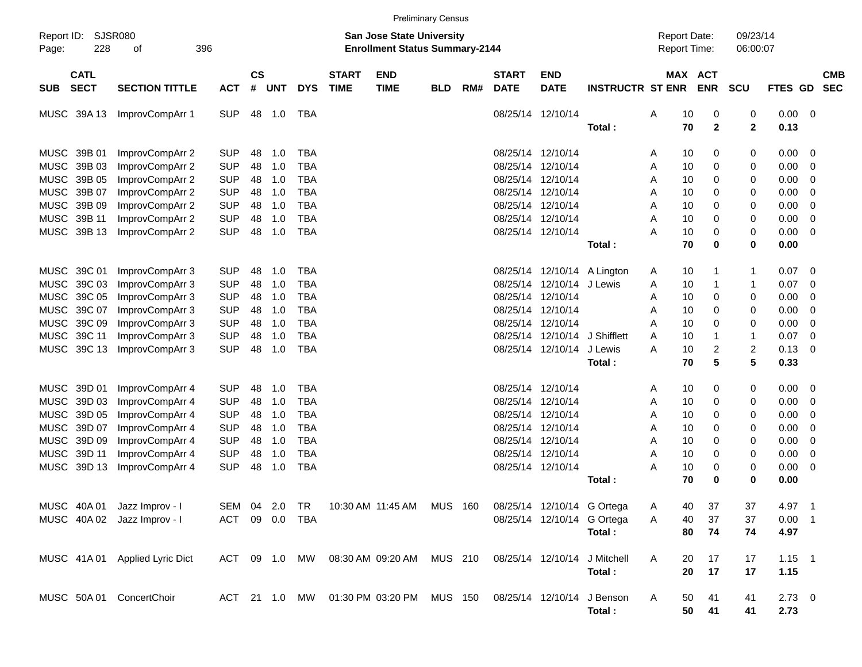|                                          | <b>Preliminary Census</b>      |                                                                    |                |            |               |                             |                           |            |     |                             |                                     |                               |                      |                       |                |             |                          |            |
|------------------------------------------|--------------------------------|--------------------------------------------------------------------|----------------|------------|---------------|-----------------------------|---------------------------|------------|-----|-----------------------------|-------------------------------------|-------------------------------|----------------------|-----------------------|----------------|-------------|--------------------------|------------|
| Report ID: SJSR080<br>228<br>Page:       | 396                            | San Jose State University<br><b>Enrollment Status Summary-2144</b> |                |            |               |                             |                           |            |     |                             | <b>Report Date:</b><br>Report Time: |                               | 09/23/14<br>06:00:07 |                       |                |             |                          |            |
| <b>CATL</b><br><b>SECT</b><br><b>SUB</b> | <b>SECTION TITTLE</b>          | <b>ACT</b>                                                         | <b>CS</b><br># | <b>UNT</b> | <b>DYS</b>    | <b>START</b><br><b>TIME</b> | <b>END</b><br><b>TIME</b> | <b>BLD</b> | RM# | <b>START</b><br><b>DATE</b> | <b>END</b><br><b>DATE</b>           | <b>INSTRUCTR ST ENR</b>       |                      | MAX ACT<br><b>ENR</b> | <b>SCU</b>     | FTES GD SEC |                          | <b>CMB</b> |
| MUSC 39A 13                              | ImprovCompArr 1                | <b>SUP</b>                                                         | 48             | 1.0        | TBA           |                             |                           |            |     |                             | 08/25/14 12/10/14                   |                               | 10<br>Α              | 0                     | 0              | $0.00 \t 0$ |                          |            |
|                                          |                                |                                                                    |                |            |               |                             |                           |            |     |                             |                                     | Total:                        | 70                   | $\mathbf{2}$          | $\mathbf{2}$   | 0.13        |                          |            |
| MUSC 39B 01                              | ImprovCompArr 2                | <b>SUP</b>                                                         | 48             | 1.0        | <b>TBA</b>    |                             |                           |            |     | 08/25/14 12/10/14           |                                     |                               | 10<br>A              | 0                     | 0              | 0.00        | $\overline{\mathbf{0}}$  |            |
| MUSC 39B 03                              | ImprovCompArr 2                | <b>SUP</b>                                                         | 48             | 1.0        | <b>TBA</b>    |                             |                           |            |     | 08/25/14 12/10/14           |                                     |                               | 10<br>Α              | 0                     | 0              | 0.00        | $\overline{0}$           |            |
| MUSC 39B 05                              | ImprovCompArr 2                | <b>SUP</b>                                                         | 48             | 1.0        | <b>TBA</b>    |                             |                           |            |     | 08/25/14 12/10/14           |                                     |                               | A<br>10              | 0                     | 0              | 0.00        | 0                        |            |
| MUSC 39B 07                              | ImprovCompArr 2                | <b>SUP</b>                                                         | 48             | 1.0        | <b>TBA</b>    |                             |                           |            |     | 08/25/14 12/10/14           |                                     |                               | Α<br>10              | 0                     | 0              | 0.00        | 0                        |            |
| MUSC 39B 09                              | ImprovCompArr 2                | <b>SUP</b>                                                         | 48             | 1.0        | <b>TBA</b>    |                             |                           |            |     | 08/25/14 12/10/14           |                                     |                               | 10<br>Α              | 0                     | 0              | 0.00        | 0                        |            |
| MUSC 39B 11                              | ImprovCompArr 2                | <b>SUP</b>                                                         | 48             | 1.0        | <b>TBA</b>    |                             |                           |            |     | 08/25/14 12/10/14           |                                     |                               | 10<br>Α              | 0                     | 0              | 0.00        | 0                        |            |
| MUSC 39B 13                              | ImprovCompArr 2                | <b>SUP</b>                                                         | 48             | 1.0        | <b>TBA</b>    |                             |                           |            |     | 08/25/14 12/10/14           |                                     |                               | 10<br>А              | $\Omega$              | 0              | 0.00        | $\overline{\mathbf{0}}$  |            |
|                                          |                                |                                                                    |                |            |               |                             |                           |            |     |                             |                                     | Total:                        | 70                   | $\bf{0}$              | 0              | 0.00        |                          |            |
|                                          |                                |                                                                    |                |            |               |                             |                           |            |     |                             |                                     |                               |                      |                       |                |             |                          |            |
| MUSC 39C 01                              | ImprovCompArr 3                | <b>SUP</b>                                                         | 48             | 1.0        | <b>TBA</b>    |                             |                           |            |     |                             |                                     | 08/25/14 12/10/14 A Lington   | 10<br>A              | 1                     | 1              | 0.07        | $\overline{\phantom{0}}$ |            |
| MUSC 39C 03                              | ImprovCompArr 3                | <b>SUP</b>                                                         | 48             | 1.0        | <b>TBA</b>    |                             |                           |            |     |                             | 08/25/14 12/10/14 J Lewis           |                               | 10<br>Α              | 1                     | 1              | 0.07        | - 0                      |            |
| MUSC 39C 05                              | ImprovCompArr 3                | <b>SUP</b>                                                         | 48             | 1.0        | <b>TBA</b>    |                             |                           |            |     | 08/25/14 12/10/14           |                                     |                               | Α<br>10              | 0                     | 0              | 0.00        | 0                        |            |
| MUSC 39C 07                              | ImprovCompArr 3                | <b>SUP</b>                                                         | 48             | 1.0        | <b>TBA</b>    |                             |                           |            |     | 08/25/14 12/10/14           |                                     |                               | 10<br>A              | 0                     | 0              | 0.00        | 0                        |            |
| MUSC 39C 09                              | ImprovCompArr 3                | <b>SUP</b>                                                         | 48             | 1.0        | <b>TBA</b>    |                             |                           |            |     | 08/25/14 12/10/14           |                                     |                               | 10<br>Α              | $\Omega$              | 0              | 0.00        | 0                        |            |
| MUSC 39C 11                              | ImprovCompArr 3                | <b>SUP</b>                                                         | 48             | 1.0        | <b>TBA</b>    |                             |                           |            |     |                             |                                     | 08/25/14 12/10/14 J Shifflett | 10<br>A              | 1                     | $\mathbf{1}$   | 0.07        | - 0                      |            |
| MUSC 39C 13                              | ImprovCompArr 3                | <b>SUP</b>                                                         | 48             | 1.0        | <b>TBA</b>    |                             |                           |            |     |                             | 08/25/14 12/10/14                   | J Lewis                       | 10<br>А              | 2                     | $\overline{2}$ | 0.13        | - 0                      |            |
|                                          |                                |                                                                    |                |            |               |                             |                           |            |     |                             |                                     | Total:                        | 70                   | 5                     | 5              | 0.33        |                          |            |
|                                          |                                |                                                                    |                |            |               |                             |                           |            |     |                             |                                     |                               |                      |                       |                |             |                          |            |
| MUSC 39D 01                              | ImprovCompArr 4                | <b>SUP</b>                                                         | 48             | 1.0        | <b>TBA</b>    |                             |                           |            |     | 08/25/14 12/10/14           |                                     |                               | 10<br>A              | 0                     | 0              | 0.00        | $\overline{\phantom{0}}$ |            |
| MUSC 39D 03                              | ImprovCompArr 4                | <b>SUP</b>                                                         | 48             | 1.0        | <b>TBA</b>    |                             |                           |            |     | 08/25/14 12/10/14           |                                     |                               | 10<br>Α              | 0                     | 0              | 0.00        | 0                        |            |
| MUSC 39D 05                              | ImprovCompArr 4                | <b>SUP</b>                                                         | 48             | 1.0        | <b>TBA</b>    |                             |                           |            |     | 08/25/14 12/10/14           |                                     |                               | Α<br>10              | 0                     | 0              | 0.00        | 0                        |            |
| MUSC 39D 07                              | ImprovCompArr 4                | <b>SUP</b>                                                         | 48             | 1.0        | <b>TBA</b>    |                             |                           |            |     | 08/25/14 12/10/14           |                                     |                               | Α<br>10              | 0                     | 0              | 0.00        | 0                        |            |
| MUSC 39D 09                              | ImprovCompArr 4                | <b>SUP</b>                                                         | 48             | 1.0        | <b>TBA</b>    |                             |                           |            |     | 08/25/14 12/10/14           |                                     |                               | A<br>10              | 0                     | 0              | 0.00        | 0                        |            |
| MUSC 39D 11                              | ImprovCompArr 4                | <b>SUP</b>                                                         | 48             | 1.0        | <b>TBA</b>    |                             |                           |            |     | 08/25/14 12/10/14           |                                     |                               | 10<br>Α              | 0                     | 0              | 0.00        | 0                        |            |
| MUSC 39D 13                              | ImprovCompArr 4                | <b>SUP</b>                                                         | 48             | 1.0        | <b>TBA</b>    |                             |                           |            |     | 08/25/14 12/10/14           |                                     |                               | 10<br>Α              | 0                     | 0              | 0.00        | $\overline{\mathbf{0}}$  |            |
|                                          |                                |                                                                    |                |            |               |                             |                           |            |     |                             |                                     | Total:                        | 70                   | 0                     | 0              | 0.00        |                          |            |
|                                          | MUSC 40A 01 Jazz Improv - I    | SEM 04 2.0 TR                                                      |                |            |               |                             | 10:30 AM 11:45 AM MUS 160 |            |     |                             |                                     | 08/25/14 12/10/14 G Ortega    | 40<br>Α              | 37                    | 37             | 4.97 1      |                          |            |
|                                          | MUSC 40A 02 Jazz Improv - I    | ACT 09 0.0 TBA                                                     |                |            |               |                             |                           |            |     |                             |                                     | 08/25/14 12/10/14 G Ortega    | Α<br>40              | 37                    | 37             | $0.00$ 1    |                          |            |
|                                          |                                |                                                                    |                |            |               |                             |                           |            |     |                             |                                     | Total:                        | 80                   | 74                    | 74             | 4.97        |                          |            |
|                                          |                                |                                                                    |                |            |               |                             |                           |            |     |                             |                                     |                               |                      |                       |                |             |                          |            |
|                                          | MUSC 41A 01 Applied Lyric Dict |                                                                    |                |            | ACT 09 1.0 MW |                             | 08:30 AM 09:20 AM MUS 210 |            |     | 08/25/14 12/10/14           |                                     | J Mitchell                    | A<br>20              | 17                    | 17             | $1.15$ 1    |                          |            |
|                                          |                                |                                                                    |                |            |               |                             |                           |            |     |                             |                                     | Total:                        | 20                   | 17                    | 17             | 1.15        |                          |            |
|                                          | MUSC 50A 01 ConcertChoir       |                                                                    |                |            | ACT 21 1.0 MW |                             | 01:30 PM 03:20 PM         | MUS 150    |     |                             |                                     | 08/25/14 12/10/14 J Benson    | A<br>50              | 41                    | 41             | $2.73 \t 0$ |                          |            |
|                                          |                                |                                                                    |                |            |               |                             |                           |            |     |                             |                                     | Total:                        | 50                   | 41                    | 41             | 2.73        |                          |            |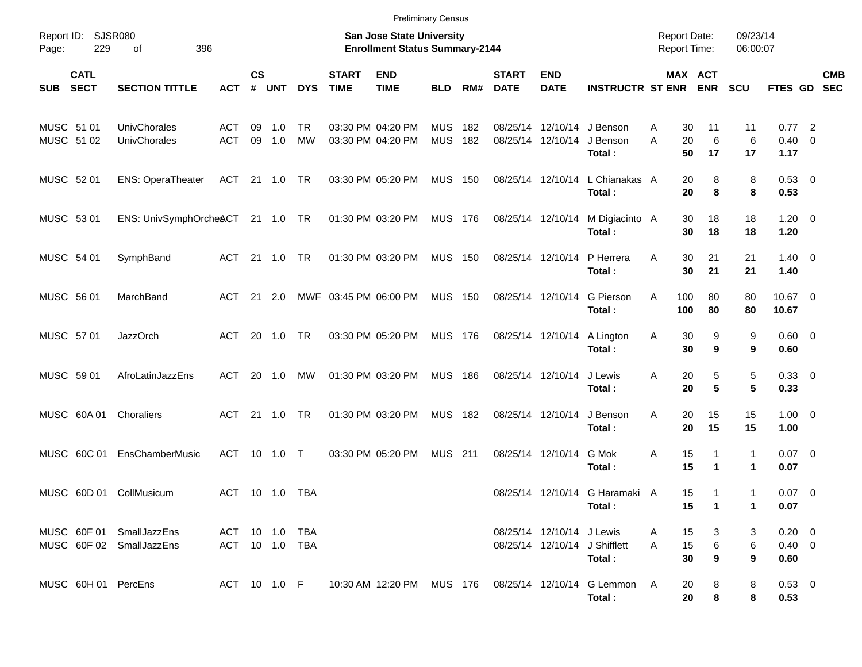| <b>Preliminary Census</b>                                 |                                  |                                  |                                                                    |               |                 |                             |                                        |                          |            |                             |                                                          |                                                                                      |        |                                            |                              |               |                                    |  |            |
|-----------------------------------------------------------|----------------------------------|----------------------------------|--------------------------------------------------------------------|---------------|-----------------|-----------------------------|----------------------------------------|--------------------------|------------|-----------------------------|----------------------------------------------------------|--------------------------------------------------------------------------------------|--------|--------------------------------------------|------------------------------|---------------|------------------------------------|--|------------|
| <b>SJSR080</b><br>Report ID:<br>229<br>396<br>Page:<br>οf |                                  |                                  | San Jose State University<br><b>Enrollment Status Summary-2144</b> |               |                 |                             |                                        |                          |            |                             |                                                          |                                                                                      |        | <b>Report Date:</b><br><b>Report Time:</b> |                              |               | 09/23/14<br>06:00:07               |  |            |
| <b>CATL</b><br><b>SECT</b><br><b>SUB</b>                  | <b>SECTION TITTLE</b>            | <b>ACT</b>                       | $\mathsf{cs}$<br>#                                                 | <b>UNT</b>    | <b>DYS</b>      | <b>START</b><br><b>TIME</b> | <b>END</b><br><b>TIME</b>              | <b>BLD</b>               | RM#        | <b>START</b><br><b>DATE</b> | <b>END</b><br><b>DATE</b>                                | <b>INSTRUCTR ST ENR</b>                                                              |        |                                            | <b>MAX ACT</b><br><b>ENR</b> | <b>SCU</b>    | FTES GD SEC                        |  | <b>CMB</b> |
| MUSC 51 01<br>MUSC 51 02                                  | UnivChorales<br>UnivChorales     | <b>ACT</b><br><b>ACT</b>         | 09<br>09                                                           | $-1.0$<br>1.0 | TR<br><b>MW</b> |                             | 03:30 PM 04:20 PM<br>03:30 PM 04:20 PM | <b>MUS</b><br><b>MUS</b> | 182<br>182 |                             | 08/25/14 12/10/14 J Benson<br>08/25/14 12/10/14 J Benson | Total:                                                                               | A<br>A | 30<br>20<br>50                             | 11<br>6<br>17                | 11<br>6<br>17 | $0.77$ 2<br>$0.40 \quad 0$<br>1.17 |  |            |
| MUSC 52 01                                                | <b>ENS: OperaTheater</b>         | ACT 21 1.0 TR                    |                                                                    |               |                 |                             | 03:30 PM 05:20 PM                      | <b>MUS 150</b>           |            |                             | 08/25/14 12/10/14                                        | L Chianakas A<br>Total:                                                              |        | 20<br>20                                   | 8<br>8                       | 8<br>8        | 0.53 0<br>0.53                     |  |            |
| MUSC 53 01                                                | ENS: UnivSymphOrcheACT 21 1.0 TR |                                  |                                                                    |               |                 |                             | 01:30 PM 03:20 PM                      | MUS 176                  |            |                             | 08/25/14 12/10/14                                        | M Digiacinto A<br>Total:                                                             |        | 30<br>30                                   | 18<br>18                     | 18<br>18      | $1.20 \t 0$<br>1.20                |  |            |
| MUSC 54 01                                                | SymphBand                        | ACT                              |                                                                    | 21 1.0        | TR              |                             | 01:30 PM 03:20 PM                      | <b>MUS 150</b>           |            |                             | 08/25/14 12/10/14                                        | P Herrera<br>Total:                                                                  | Α      | 30<br>30                                   | 21<br>21                     | 21<br>21      | $1.40 \quad 0$<br>1.40             |  |            |
| MUSC 56 01                                                | MarchBand                        | ACT                              |                                                                    | 21 2.0        |                 | MWF 03:45 PM 06:00 PM       |                                        | <b>MUS 150</b>           |            |                             | 08/25/14 12/10/14                                        | G Pierson<br>Total:                                                                  | Α      | 100<br>100                                 | 80<br>80                     | 80<br>80      | 10.67 0<br>10.67                   |  |            |
| MUSC 57 01                                                | <b>JazzOrch</b>                  | ACT                              |                                                                    | 20 1.0        | <b>TR</b>       |                             | 03:30 PM 05:20 PM                      | MUS 176                  |            |                             | 08/25/14 12/10/14                                        | A Lington<br>Total:                                                                  | A      | 30<br>30                                   | 9<br>9                       | 9<br>9        | $0.60 \quad 0$<br>0.60             |  |            |
| MUSC 59 01                                                | AfroLatinJazzEns                 | ACT                              |                                                                    | 20 1.0        | МW              |                             | 01:30 PM 03:20 PM                      | <b>MUS 186</b>           |            |                             | 08/25/14 12/10/14                                        | J Lewis<br>Total:                                                                    | Α      | 20<br>20                                   | 5<br>5                       | 5<br>5        | 0.33 0<br>0.33                     |  |            |
| MUSC 60A01                                                | Choraliers                       | ACT                              |                                                                    | 21 1.0        | <b>TR</b>       |                             | 01:30 PM 03:20 PM                      | <b>MUS 182</b>           |            |                             | 08/25/14 12/10/14                                        | J Benson<br>Total:                                                                   | Α      | 20<br>20                                   | 15<br>15                     | 15<br>15      | $1.00 \t 0$<br>1.00                |  |            |
| MUSC 60C 01                                               | <b>EnsChamberMusic</b>           | ACT                              |                                                                    | 10 1.0        | $\top$          |                             | 03:30 PM 05:20 PM                      | <b>MUS 211</b>           |            |                             | 08/25/14 12/10/14                                        | G Mok<br>Total:                                                                      | Α      | 15<br>15                                   | 1<br>$\mathbf 1$             | 1<br>1        | $0.07$ 0<br>0.07                   |  |            |
| MUSC 60D 01 CollMusicum                                   |                                  | ACT 10 1.0                       |                                                                    |               | TBA             |                             |                                        |                          |            |                             |                                                          | 08/25/14 12/10/14 G Haramaki A<br>Total :                                            |        | 15<br>15                                   | 1<br>$\overline{1}$          | 1<br>1.       | $0.07$ 0<br>0.07                   |  |            |
| MUSC 60F 01 SmallJazzEns<br>MUSC 60F 02 SmallJazzEns      |                                  | ACT 10 1.0 TBA<br>ACT 10 1.0 TBA |                                                                    |               |                 |                             |                                        |                          |            |                             | 08/25/14 12/10/14 J Lewis                                | 08/25/14 12/10/14 J Shifflett<br>Total:                                              | A<br>A | 15<br>15<br>30                             | 3<br>$\,6$<br>9              | 3<br>6<br>9   | $0.20 \ 0$<br>$0.40 \ 0$<br>0.60   |  |            |
| MUSC 60H 01 PercEns                                       |                                  |                                  |                                                                    |               |                 |                             |                                        |                          |            |                             |                                                          | ACT 10 1.0 F  10:30 AM 12:20 PM  MUS  176  08/25/14  12/10/14  G Lemmon  A<br>Total: |        | 20<br>20                                   | 8<br>8                       | 8<br>8        | 0.53 0<br>0.53                     |  |            |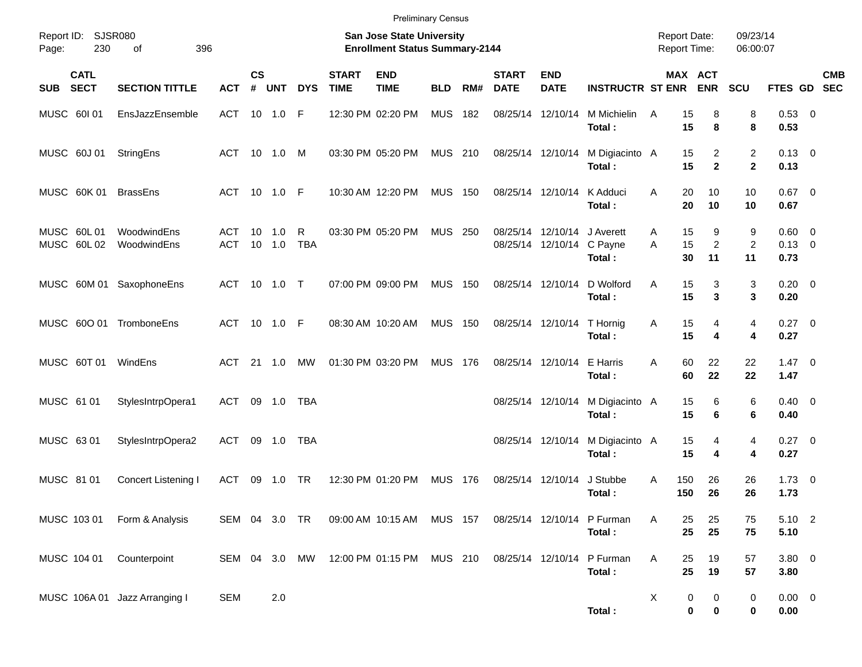| Report ID:<br>230<br>Page:               | SJSR080<br>396<br>οf          |                   |                    |                |                 |                             | <b>Preliminary Census</b><br>San Jose State University<br><b>Enrollment Status Summary-2144</b> |                |       |                             |                                                          |                                            | <b>Report Date:</b><br><b>Report Time:</b> |                           | 09/23/14<br>06:00:07           |                                          |                           |
|------------------------------------------|-------------------------------|-------------------|--------------------|----------------|-----------------|-----------------------------|-------------------------------------------------------------------------------------------------|----------------|-------|-----------------------------|----------------------------------------------------------|--------------------------------------------|--------------------------------------------|---------------------------|--------------------------------|------------------------------------------|---------------------------|
| <b>CATL</b><br><b>SECT</b><br><b>SUB</b> | <b>SECTION TITTLE</b>         | <b>ACT</b>        | $\mathsf{cs}$<br># | <b>UNT</b>     | <b>DYS</b>      | <b>START</b><br><b>TIME</b> | <b>END</b><br><b>TIME</b>                                                                       | <b>BLD</b>     | RM#   | <b>START</b><br><b>DATE</b> | <b>END</b><br><b>DATE</b>                                | <b>INSTRUCTR ST ENR</b>                    |                                            | MAX ACT<br><b>ENR</b>     | <b>SCU</b>                     |                                          | <b>CMB</b><br>FTES GD SEC |
| MUSC 60101                               | EnsJazzEnsemble               | ACT               |                    | 10 1.0         | F               |                             | 12:30 PM 02:20 PM                                                                               | <b>MUS</b>     | 182   |                             | 08/25/14 12/10/14                                        | M Michielin<br>Total:                      | 15<br>A<br>15                              | 8<br>8                    | 8<br>8                         | 0.53 0<br>0.53                           |                           |
| MUSC 60J 01                              | StringEns                     | ACT               |                    | 10 1.0         | M               |                             | 03:30 PM 05:20 PM                                                                               | <b>MUS 210</b> |       |                             | 08/25/14 12/10/14                                        | M Digiacinto A<br>Total:                   | 15<br>15                                   | 2<br>$\mathbf{2}$         | $\overline{c}$<br>$\mathbf{2}$ | $0.13 \quad 0$<br>0.13                   |                           |
| MUSC 60K 01                              | <b>BrassEns</b>               | ACT 10 1.0 F      |                    |                |                 |                             | 10:30 AM 12:20 PM                                                                               | <b>MUS 150</b> |       |                             | 08/25/14 12/10/14                                        | K Adduci<br>Total:                         | 20<br>A<br>20                              | 10<br>10                  | 10<br>10                       | $0.67$ 0<br>0.67                         |                           |
| MUSC 60L01<br>MUSC 60L02                 | WoodwindEns<br>WoodwindEns    | ACT<br><b>ACT</b> | 10                 | 1.0<br>10 1.0  | R<br><b>TBA</b> |                             | 03:30 PM 05:20 PM                                                                               | <b>MUS 250</b> |       |                             | 08/25/14 12/10/14 J Averett<br>08/25/14 12/10/14 C Payne | Total:                                     | 15<br>A<br>15<br>A<br>30                   | 9<br>$\overline{c}$<br>11 | 9<br>$\overline{c}$<br>11      | $0.60 \quad 0$<br>$0.13 \quad 0$<br>0.73 |                           |
| MUSC 60M 01 SaxophoneEns                 |                               | ACT               |                    | 10 1.0         | $\top$          |                             | 07:00 PM 09:00 PM                                                                               | <b>MUS 150</b> |       |                             | 08/25/14 12/10/14                                        | D Wolford<br>Total:                        | 15<br>Α<br>15                              | 3<br>3                    | 3<br>3                         | $0.20 \ 0$<br>0.20                       |                           |
| MUSC 60O 01 TromboneEns                  |                               | ACT 10 1.0 F      |                    |                |                 |                             | 08:30 AM 10:20 AM                                                                               | <b>MUS 150</b> |       |                             | 08/25/14 12/10/14                                        | T Hornig<br>Total:                         | 15<br>Α<br>15                              | 4<br>4                    | 4<br>4                         | $0.27$ 0<br>0.27                         |                           |
| MUSC 60T 01                              | WindEns                       | ACT               |                    | $21 \quad 1.0$ | MW              |                             | 01:30 PM 03:20 PM                                                                               | <b>MUS</b>     | - 176 |                             | 08/25/14 12/10/14 E Harris                               | Total:                                     | 60<br>A<br>60                              | 22<br>22                  | 22<br>22                       | $1.47 \quad 0$<br>1.47                   |                           |
| MUSC 61 01                               | StylesIntrpOpera1             | ACT               |                    | 09 1.0         | TBA             |                             |                                                                                                 |                |       |                             |                                                          | 08/25/14 12/10/14 M Digiacinto A<br>Total: | 15<br>15                                   | 6<br>6                    | 6<br>6                         | $0.40 \quad 0$<br>0.40                   |                           |
| MUSC 63 01                               | StylesIntrpOpera2             | ACT               |                    | 09 1.0         | TBA             |                             |                                                                                                 |                |       |                             |                                                          | 08/25/14 12/10/14 M Digiacinto A<br>Total: | 15<br>15                                   | 4<br>4                    | 4<br>4                         | $0.27$ 0<br>0.27                         |                           |
| MUSC 81 01                               | <b>Concert Listening I</b>    | <b>ACT</b>        | 09                 | 1.0            | <b>TR</b>       |                             | 12:30 PM 01:20 PM                                                                               | <b>MUS</b>     | 176   |                             | 08/25/14 12/10/14                                        | J Stubbe<br>Total:                         | 150<br>A<br>150                            | 26<br>26                  | 26<br>26                       | $1.73 \t 0$<br>1.73                      |                           |
| MUSC 103 01                              | Form & Analysis               |                   |                    |                |                 |                             | SEM 04 3.0 TR  09:00 AM  10:15 AM  MUS  157                                                     |                |       |                             |                                                          | 08/25/14 12/10/14 P Furman<br>Total:       | 25<br>A<br>25                              | 25<br>25                  | 75<br>75                       | 5.10 2<br>5.10                           |                           |
| MUSC 104 01                              | Counterpoint                  |                   |                    |                | SEM 04 3.0 MW   |                             | 12:00 PM 01:15 PM MUS 210                                                                       |                |       |                             |                                                          | 08/25/14 12/10/14 P Furman<br>Total:       | Α<br>25<br>25                              | 19<br>19                  | 57<br>57                       | 3.80 0<br>3.80                           |                           |
|                                          | MUSC 106A 01 Jazz Arranging I | <b>SEM</b>        |                    | 2.0            |                 |                             |                                                                                                 |                |       |                             |                                                          | Total:                                     | X<br>0<br>0                                | 0<br>0                    | $\pmb{0}$<br>0                 | $0.00 \t 0$<br>0.00                      |                           |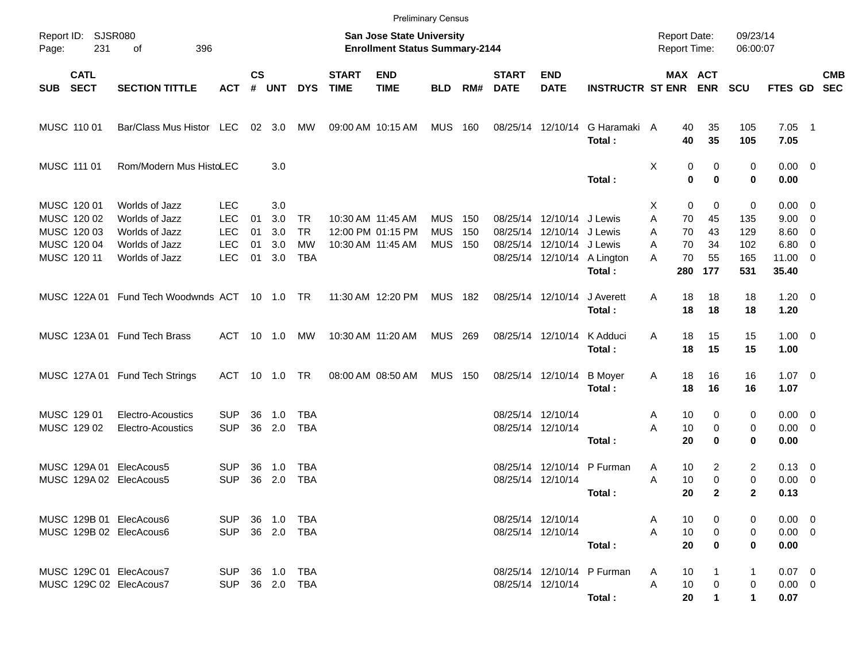|                                                                         |                                                                                        |                                                                    |                      |                                 |                                            |                             | <b>Preliminary Census</b>                                          |                                        |                   |                                        |                                                                                     |                                       |                                            |                                                                 |                                      |                                                                       |                          |            |
|-------------------------------------------------------------------------|----------------------------------------------------------------------------------------|--------------------------------------------------------------------|----------------------|---------------------------------|--------------------------------------------|-----------------------------|--------------------------------------------------------------------|----------------------------------------|-------------------|----------------------------------------|-------------------------------------------------------------------------------------|---------------------------------------|--------------------------------------------|-----------------------------------------------------------------|--------------------------------------|-----------------------------------------------------------------------|--------------------------|------------|
| Report ID: SJSR080<br>231<br>Page:                                      | 396<br>оf                                                                              |                                                                    |                      |                                 |                                            |                             | San Jose State University<br><b>Enrollment Status Summary-2144</b> |                                        |                   |                                        |                                                                                     |                                       | <b>Report Date:</b><br><b>Report Time:</b> |                                                                 | 09/23/14<br>06:00:07                 |                                                                       |                          |            |
| <b>CATL</b><br><b>SECT</b><br><b>SUB</b>                                | <b>SECTION TITTLE</b>                                                                  | <b>ACT</b>                                                         | $\mathsf{cs}$<br>#   | <b>UNT</b>                      | <b>DYS</b>                                 | <b>START</b><br><b>TIME</b> | <b>END</b><br><b>TIME</b>                                          | <b>BLD</b>                             | RM#               | <b>START</b><br><b>DATE</b>            | <b>END</b><br><b>DATE</b>                                                           | <b>INSTRUCTR ST ENR</b>               |                                            | <b>MAX ACT</b><br><b>ENR</b>                                    | <b>SCU</b>                           | FTES GD SEC                                                           |                          | <b>CMB</b> |
| MUSC 110 01                                                             | Bar/Class Mus Histor LEC                                                               |                                                                    |                      | $02 \quad 3.0$                  | МW                                         |                             | 09:00 AM 10:15 AM                                                  | MUS                                    | 160               |                                        | 08/25/14 12/10/14                                                                   | G Haramaki A<br>Total:                |                                            | 40<br>35<br>40<br>35                                            | 105<br>105                           | $7.05$ 1<br>7.05                                                      |                          |            |
| MUSC 111 01                                                             | Rom/Modern Mus HistoLEC                                                                |                                                                    |                      | 3.0                             |                                            |                             |                                                                    |                                        |                   |                                        |                                                                                     | Total:                                | Χ                                          | 0<br>0<br>0<br>$\bf{0}$                                         | 0<br>0                               | $0.00 \t 0$<br>0.00                                                   |                          |            |
| MUSC 120 01<br>MUSC 120 02<br>MUSC 120 03<br>MUSC 120 04<br>MUSC 120 11 | Worlds of Jazz<br>Worlds of Jazz<br>Worlds of Jazz<br>Worlds of Jazz<br>Worlds of Jazz | <b>LEC</b><br><b>LEC</b><br><b>LEC</b><br><b>LEC</b><br><b>LEC</b> | 01<br>01<br>01<br>01 | 3.0<br>3.0<br>3.0<br>3.0<br>3.0 | TR<br><b>TR</b><br><b>MW</b><br><b>TBA</b> |                             | 10:30 AM 11:45 AM<br>12:00 PM 01:15 PM<br>10:30 AM 11:45 AM        | <b>MUS</b><br><b>MUS</b><br><b>MUS</b> | 150<br>150<br>150 |                                        | 08/25/14 12/10/14 J Lewis<br>08/25/14 12/10/14 J Lewis<br>08/25/14 12/10/14 J Lewis | 08/25/14 12/10/14 A Lington<br>Total: | X.<br>A<br>A<br>A<br>А<br>280              | 0<br>0<br>70<br>45<br>70<br>43<br>70<br>34<br>70<br>55<br>177   | 0<br>135<br>129<br>102<br>165<br>531 | $0.00 \quad 0$<br>$9.00 \t 0$<br>$8.60$ 0<br>6.80<br>11.00 0<br>35.40 | $\overline{\phantom{0}}$ |            |
|                                                                         | MUSC 122A 01 Fund Tech Woodwnds ACT 10 1.0 TR                                          |                                                                    |                      |                                 |                                            |                             | 11:30 AM 12:20 PM                                                  | MUS 182                                |                   |                                        | 08/25/14 12/10/14                                                                   | J Averett<br>Total:                   | A                                          | 18<br>18<br>18<br>18                                            | 18<br>18                             | $1.20 \t 0$<br>1.20                                                   |                          |            |
|                                                                         | MUSC 123A 01 Fund Tech Brass                                                           | ACT                                                                |                      | 10 1.0                          | MW                                         |                             | 10:30 AM 11:20 AM                                                  | MUS 269                                |                   |                                        | 08/25/14 12/10/14                                                                   | K Adduci<br>Total:                    | Α                                          | 18<br>15<br>15<br>18                                            | 15<br>15                             | $1.00 \t 0$<br>1.00                                                   |                          |            |
|                                                                         | MUSC 127A 01 Fund Tech Strings                                                         | ACT                                                                |                      | 10 1.0                          | TR                                         |                             | 08:00 AM 08:50 AM                                                  | <b>MUS</b>                             | 150               |                                        | 08/25/14 12/10/14                                                                   | <b>B</b> Moyer<br>Total:              | A                                          | 18<br>16<br>18<br>16                                            | 16<br>16                             | $1.07 \t 0$<br>1.07                                                   |                          |            |
| MUSC 129 01<br>MUSC 129 02                                              | Electro-Acoustics<br>Electro-Acoustics                                                 | <b>SUP</b><br><b>SUP</b>                                           | 36<br>36             | 1.0<br>2.0                      | TBA<br>TBA                                 |                             |                                                                    |                                        |                   | 08/25/14 12/10/14<br>08/25/14 12/10/14 |                                                                                     | Total:                                | Α<br>Α                                     | 10<br>0<br>10<br>0<br>20<br>$\bf{0}$                            | 0<br>0<br>0                          | $0.00 \t 0$<br>$0.00 \t 0$<br>0.00                                    |                          |            |
| MUSC 129A 01 ElecAcous5<br>MUSC 129A 02 ElecAcous5                      |                                                                                        | <b>SUP</b><br><b>SUP</b>                                           | 36<br>36             | 1.0<br>2.0                      | TBA<br><b>TBA</b>                          |                             |                                                                    |                                        |                   | 08/25/14 12/10/14                      | 08/25/14 12/10/14                                                                   | P Furman<br>Total :                   | Α<br>Α                                     | 10<br>$\overline{2}$<br>10<br>$\mathbf 0$<br>20<br>$\mathbf{2}$ | 2<br>0<br>$\mathbf{2}$               | $0.13 \quad 0$<br>$0.00 \t 0$<br>0.13                                 |                          |            |
| MUSC 129B 01 ElecAcous6<br>MUSC 129B 02 ElecAcous6                      |                                                                                        | <b>SUP</b><br><b>SUP</b>                                           |                      |                                 | 36 2.0 TBA                                 |                             |                                                                    |                                        |                   |                                        | 08/25/14 12/10/14<br>08/25/14 12/10/14                                              | Total:                                | Α<br>Α                                     | 10<br>0<br>10<br>0<br>20<br>$\bf{0}$                            | 0<br>0<br>0                          | $0.00 \ 0$<br>$0.00 \t 0$<br>0.00                                     |                          |            |
| MUSC 129C 01 ElecAcous7<br>MUSC 129C 02 ElecAcous7                      |                                                                                        | SUP 36 1.0 TBA<br><b>SUP</b>                                       |                      |                                 | 36  2.0  TBA                               |                             |                                                                    |                                        |                   |                                        | 08/25/14 12/10/14                                                                   | 08/25/14 12/10/14 P Furman<br>Total:  | Α<br>A                                     | 10<br>1<br>10<br>0<br>20                                        | 1<br>0<br>1                          | $0.07$ 0<br>$0.00 \t 0$<br>0.07                                       |                          |            |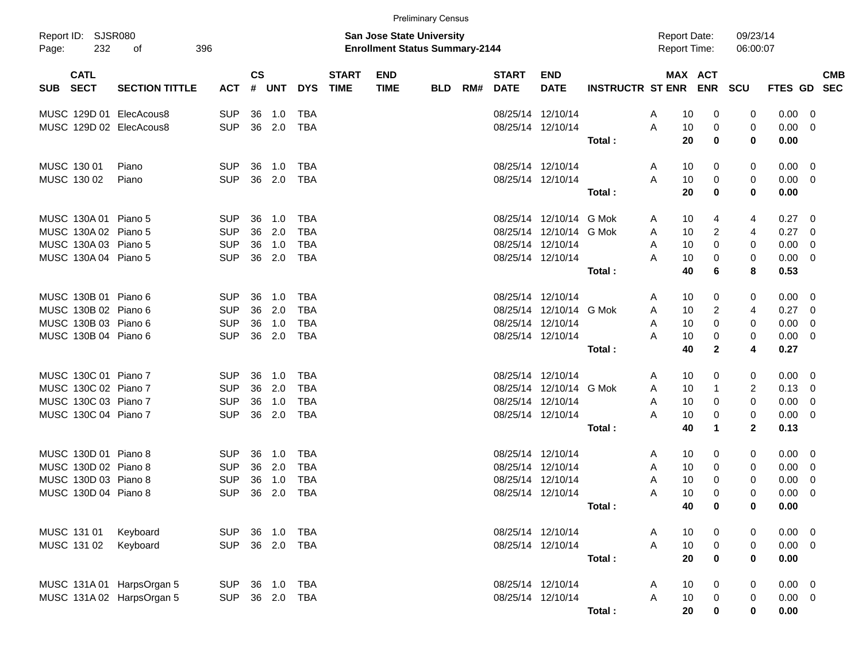|            |                            |                           |            |                    |            |            |                             |                                                                    | <b>Preliminary Census</b> |     |                             |                           |                         |   |                                            |                |                      |             |                         |                          |
|------------|----------------------------|---------------------------|------------|--------------------|------------|------------|-----------------------------|--------------------------------------------------------------------|---------------------------|-----|-----------------------------|---------------------------|-------------------------|---|--------------------------------------------|----------------|----------------------|-------------|-------------------------|--------------------------|
| Page:      | Report ID: SJSR080<br>232  | 396<br>οf                 |            |                    |            |            |                             | San Jose State University<br><b>Enrollment Status Summary-2144</b> |                           |     |                             |                           |                         |   | <b>Report Date:</b><br><b>Report Time:</b> |                | 09/23/14<br>06:00:07 |             |                         |                          |
| <b>SUB</b> | <b>CATL</b><br><b>SECT</b> | <b>SECTION TITTLE</b>     | <b>ACT</b> | $\mathsf{cs}$<br># | <b>UNT</b> | <b>DYS</b> | <b>START</b><br><b>TIME</b> | <b>END</b><br><b>TIME</b>                                          | <b>BLD</b>                | RM# | <b>START</b><br><b>DATE</b> | <b>END</b><br><b>DATE</b> | <b>INSTRUCTR ST ENR</b> |   | MAX ACT                                    | <b>ENR</b>     | <b>SCU</b>           | FTES GD     |                         | <b>CMB</b><br><b>SEC</b> |
|            |                            | MUSC 129D 01 ElecAcous8   | <b>SUP</b> | 36                 | 1.0        | TBA        |                             |                                                                    |                           |     | 08/25/14 12/10/14           |                           |                         | A | 10                                         | 0              | 0                    | 0.00        | $\overline{\mathbf{0}}$ |                          |
|            |                            | MUSC 129D 02 ElecAcous8   | <b>SUP</b> | 36                 | 2.0        | <b>TBA</b> |                             |                                                                    |                           |     |                             | 08/25/14 12/10/14         |                         | A | 10                                         | 0              | 0                    | 0.00        | $\overline{0}$          |                          |
|            |                            |                           |            |                    |            |            |                             |                                                                    |                           |     |                             |                           | Total:                  |   | 20                                         | 0              | 0                    | 0.00        |                         |                          |
|            | MUSC 130 01                | Piano                     | <b>SUP</b> | 36                 | 1.0        | TBA        |                             |                                                                    |                           |     | 08/25/14 12/10/14           |                           |                         | A | 10                                         | 0              | 0                    | 0.00        | $\overline{\mathbf{0}}$ |                          |
|            | MUSC 130 02                | Piano                     | <b>SUP</b> | 36                 | 2.0        | <b>TBA</b> |                             |                                                                    |                           |     | 08/25/14 12/10/14           |                           |                         | A | 10                                         | 0              | 0                    | 0.00        | $\overline{0}$          |                          |
|            |                            |                           |            |                    |            |            |                             |                                                                    |                           |     |                             |                           | Total:                  |   | 20                                         | 0              | 0                    | 0.00        |                         |                          |
|            | MUSC 130A 01 Piano 5       |                           | <b>SUP</b> | 36                 | 1.0        | <b>TBA</b> |                             |                                                                    |                           |     | 08/25/14                    | 12/10/14                  | G Mok                   | A | 10                                         | 4              | 4                    | 0.27        | $\overline{\mathbf{0}}$ |                          |
|            | MUSC 130A02                | Piano 5                   | <b>SUP</b> | 36                 | 2.0        | <b>TBA</b> |                             |                                                                    |                           |     | 08/25/14                    | 12/10/14                  | G Mok                   | A | 10                                         | $\overline{c}$ | 4                    | 0.27        | $\overline{0}$          |                          |
|            | MUSC 130A 03 Piano 5       |                           | <b>SUP</b> | 36                 | 1.0        | <b>TBA</b> |                             |                                                                    |                           |     | 08/25/14 12/10/14           |                           |                         | A | 10                                         | 0              | 0                    | 0.00        | $\overline{0}$          |                          |
|            | MUSC 130A 04 Piano 5       |                           | <b>SUP</b> | 36                 | 2.0        | <b>TBA</b> |                             |                                                                    |                           |     | 08/25/14 12/10/14           |                           |                         | A | 10                                         | 0              | 0                    | 0.00        | $\overline{0}$          |                          |
|            |                            |                           |            |                    |            |            |                             |                                                                    |                           |     |                             |                           | Total:                  |   | 40                                         | 6              | 8                    | 0.53        |                         |                          |
|            | MUSC 130B 01 Piano 6       |                           | <b>SUP</b> | 36                 | 1.0        | <b>TBA</b> |                             |                                                                    |                           |     | 08/25/14 12/10/14           |                           |                         | A | 10                                         | 0              | 0                    | 0.00        | $\overline{\mathbf{0}}$ |                          |
|            | MUSC 130B 02 Piano 6       |                           | <b>SUP</b> | 36                 | 2.0        | <b>TBA</b> |                             |                                                                    |                           |     | 08/25/14                    | 12/10/14                  | G Mok                   | A | 10                                         | $\overline{c}$ | 4                    | 0.27        | $\overline{0}$          |                          |
|            | MUSC 130B 03 Piano 6       |                           | <b>SUP</b> | 36                 | 1.0        | <b>TBA</b> |                             |                                                                    |                           |     | 08/25/14 12/10/14           |                           |                         | A | 10                                         | 0              | 0                    | 0.00        | $\overline{0}$          |                          |
|            | MUSC 130B 04 Piano 6       |                           | <b>SUP</b> | 36                 | 2.0        | <b>TBA</b> |                             |                                                                    |                           |     |                             | 08/25/14 12/10/14         |                         | A | 10                                         | 0              | 0                    | 0.00        | $\overline{\mathbf{0}}$ |                          |
|            |                            |                           |            |                    |            |            |                             |                                                                    |                           |     |                             |                           | Total:                  |   | 40                                         | $\mathbf{2}$   | 4                    | 0.27        |                         |                          |
|            | MUSC 130C 01 Piano 7       |                           | <b>SUP</b> | 36                 | 1.0        | <b>TBA</b> |                             |                                                                    |                           |     | 08/25/14 12/10/14           |                           |                         | A | 10                                         | 0              | 0                    | 0.00        | $\overline{\mathbf{0}}$ |                          |
|            | MUSC 130C 02 Piano 7       |                           | <b>SUP</b> | 36                 | 2.0        | <b>TBA</b> |                             |                                                                    |                           |     | 08/25/14                    | 12/10/14                  | G Mok                   | A | 10                                         | $\overline{1}$ | 2                    | 0.13        | $\overline{0}$          |                          |
|            | MUSC 130C 03 Piano 7       |                           | <b>SUP</b> | 36                 | 1.0        | <b>TBA</b> |                             |                                                                    |                           |     | 08/25/14 12/10/14           |                           |                         | A | 10                                         | 0              | $\mathbf 0$          | 0.00        | $\overline{0}$          |                          |
|            | MUSC 130C 04 Piano 7       |                           | <b>SUP</b> | 36                 | 2.0        | <b>TBA</b> |                             |                                                                    |                           |     |                             | 08/25/14 12/10/14         |                         | A | 10                                         | 0              | 0                    | 0.00        | $\overline{\mathbf{0}}$ |                          |
|            |                            |                           |            |                    |            |            |                             |                                                                    |                           |     |                             |                           | Total:                  |   | 40                                         | $\mathbf 1$    | $\mathbf{2}$         | 0.13        |                         |                          |
|            | MUSC 130D 01 Piano 8       |                           | <b>SUP</b> | 36                 | 1.0        | <b>TBA</b> |                             |                                                                    |                           |     | 08/25/14                    | 12/10/14                  |                         | A | 10                                         | 0              | 0                    | 0.00        | $\overline{\mathbf{0}}$ |                          |
|            | MUSC 130D 02 Piano 8       |                           | <b>SUP</b> | 36                 | 2.0        | <b>TBA</b> |                             |                                                                    |                           |     | 08/25/14                    | 12/10/14                  |                         | A | 10                                         | 0              | 0                    | 0.00        | $\overline{0}$          |                          |
|            | MUSC 130D 03 Piano 8       |                           | <b>SUP</b> | 36                 | 1.0        | <b>TBA</b> |                             |                                                                    |                           |     | 08/25/14                    | 12/10/14                  |                         | A | 10                                         | 0              | 0                    | 0.00        | $\overline{0}$          |                          |
|            | MUSC 130D 04 Piano 8       |                           | <b>SUP</b> | 36                 | 2.0        | <b>TBA</b> |                             |                                                                    |                           |     |                             | 08/25/14 12/10/14         |                         | A | 10                                         | 0              | 0                    | 0.00        | $\overline{0}$          |                          |
|            |                            |                           |            |                    |            |            |                             |                                                                    |                           |     |                             |                           | Total:                  |   | 40                                         | 0              | 0                    | 0.00        |                         |                          |
|            | MUSC 131 01                | Keyboard                  | <b>SUP</b> |                    | 36 1.0     | <b>TBA</b> |                             |                                                                    |                           |     |                             | 08/25/14 12/10/14         |                         | A | 10                                         | 0              | 0                    | $0.00 \t 0$ |                         |                          |
|            | MUSC 131 02                | Keyboard                  | <b>SUP</b> |                    | 36 2.0     | TBA        |                             |                                                                    |                           |     |                             | 08/25/14 12/10/14         |                         | A | 10                                         | $\mathbf 0$    | 0                    | $0.00 \t 0$ |                         |                          |
|            |                            |                           |            |                    |            |            |                             |                                                                    |                           |     |                             |                           | Total:                  |   | 20                                         | $\bf{0}$       | 0                    | 0.00        |                         |                          |
|            |                            | MUSC 131A 01 HarpsOrgan 5 | <b>SUP</b> |                    | 36 1.0     | <b>TBA</b> |                             |                                                                    |                           |     | 08/25/14 12/10/14           |                           |                         | A | 10                                         | 0              | 0                    | $0.00 \t 0$ |                         |                          |
|            |                            | MUSC 131A 02 HarpsOrgan 5 | <b>SUP</b> |                    | 36 2.0 TBA |            |                             |                                                                    |                           |     |                             | 08/25/14 12/10/14         |                         | A | 10                                         | 0              | 0                    | $0.00 \t 0$ |                         |                          |
|            |                            |                           |            |                    |            |            |                             |                                                                    |                           |     |                             |                           | Total:                  |   | 20                                         | $\mathbf 0$    | $\mathbf 0$          | 0.00        |                         |                          |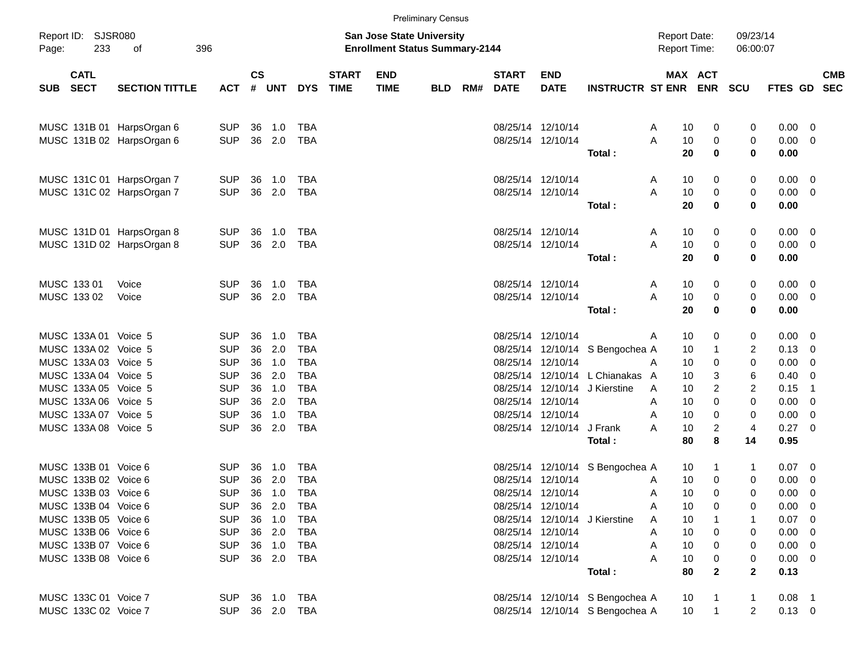|       |                                              |                           |                          |               |                  |                          |                             |                                                                           | <b>Preliminary Census</b> |     |                             |                                        |                                                                    |                                            |                     |                      |                            |                                |                          |
|-------|----------------------------------------------|---------------------------|--------------------------|---------------|------------------|--------------------------|-----------------------------|---------------------------------------------------------------------------|---------------------------|-----|-----------------------------|----------------------------------------|--------------------------------------------------------------------|--------------------------------------------|---------------------|----------------------|----------------------------|--------------------------------|--------------------------|
| Page: | Report ID: SJSR080<br>233                    | 396<br>of                 |                          |               |                  |                          |                             | <b>San Jose State University</b><br><b>Enrollment Status Summary-2144</b> |                           |     |                             |                                        |                                                                    | <b>Report Date:</b><br><b>Report Time:</b> |                     | 09/23/14<br>06:00:07 |                            |                                |                          |
| SUB   | <b>CATL</b><br><b>SECT</b>                   | <b>SECTION TITTLE</b>     | <b>ACT</b>               | $\mathsf{cs}$ | # UNT            | <b>DYS</b>               | <b>START</b><br><b>TIME</b> | <b>END</b><br><b>TIME</b>                                                 | <b>BLD</b>                | RM# | <b>START</b><br><b>DATE</b> | <b>END</b><br><b>DATE</b>              | <b>INSTRUCTR ST ENR</b>                                            |                                            | MAX ACT             | <b>ENR SCU</b>       | <b>FTES GD</b>             |                                | <b>CMB</b><br><b>SEC</b> |
|       |                                              | MUSC 131B 01 HarpsOrgan 6 | SUP                      | 36            | 1.0              | TBA                      |                             |                                                                           |                           |     |                             | 08/25/14 12/10/14                      |                                                                    | 10<br>A                                    | 0                   | 0                    | 0.00                       | $\overline{\phantom{0}}$       |                          |
|       |                                              | MUSC 131B 02 HarpsOrgan 6 | <b>SUP</b>               |               | 36 2.0           | <b>TBA</b>               |                             |                                                                           |                           |     |                             | 08/25/14 12/10/14                      | Total:                                                             | 10<br>A<br>20                              | 0<br>0              | 0<br>0               | 0.00<br>0.00               | - 0                            |                          |
|       |                                              | MUSC 131C 01 HarpsOrgan 7 | <b>SUP</b>               | 36            | 1.0              | TBA                      |                             |                                                                           |                           |     |                             | 08/25/14 12/10/14                      |                                                                    | 10<br>A                                    | 0                   | 0                    | $0.00 \quad 0$             |                                |                          |
|       |                                              | MUSC 131C 02 HarpsOrgan 7 | <b>SUP</b>               |               | 36 2.0           | <b>TBA</b>               |                             |                                                                           |                           |     |                             | 08/25/14 12/10/14                      | Total:                                                             | A<br>10<br>20                              | 0<br>0              | 0<br>0               | 0.00<br>0.00               | - 0                            |                          |
|       |                                              | MUSC 131D 01 HarpsOrgan 8 | <b>SUP</b>               | 36            | 1.0              | TBA                      |                             |                                                                           |                           |     |                             | 08/25/14 12/10/14                      |                                                                    | 10<br>A                                    | 0                   | 0                    | $0.00 \quad 0$             |                                |                          |
|       |                                              | MUSC 131D 02 HarpsOrgan 8 | <b>SUP</b>               |               | 36 2.0           | <b>TBA</b>               |                             |                                                                           |                           |     |                             | 08/25/14 12/10/14                      | Total:                                                             | A<br>10<br>20                              | 0<br>0              | 0<br>0               | 0.00<br>0.00               | - 0                            |                          |
|       | MUSC 133 01                                  | Voice                     | <b>SUP</b>               | 36            | 1.0              | TBA                      |                             |                                                                           |                           |     |                             | 08/25/14 12/10/14                      |                                                                    | 10<br>A                                    | 0                   | 0                    | $0.00 \quad 0$             |                                |                          |
|       | MUSC 133 02                                  | Voice                     | <b>SUP</b>               |               | 36 2.0           | <b>TBA</b>               |                             |                                                                           |                           |     |                             | 08/25/14 12/10/14                      | Total:                                                             | A<br>10<br>20                              | 0<br>0              | 0<br>0               | 0.00<br>0.00               | $\overline{\phantom{0}}$       |                          |
|       | MUSC 133A 01 Voice 5                         |                           | <b>SUP</b>               | 36            | 1.0              | <b>TBA</b>               |                             |                                                                           |                           |     |                             | 08/25/14 12/10/14                      |                                                                    | 10<br>A                                    | 0                   | 0                    | $0.00 \t 0$                |                                |                          |
|       | MUSC 133A 02 Voice 5<br>MUSC 133A 03 Voice 5 |                           | <b>SUP</b><br><b>SUP</b> | 36<br>36      | 2.0<br>1.0       | <b>TBA</b><br><b>TBA</b> |                             |                                                                           |                           |     | 08/25/14                    | 08/25/14 12/10/14                      | 12/10/14 S Bengochea A                                             | 10<br>10<br>A                              | $\mathbf{1}$<br>0   | 2<br>0               | 0.13<br>0.00               | - 0<br>- 0                     |                          |
|       | MUSC 133A 04 Voice 5<br>MUSC 133A 05 Voice 5 |                           | <b>SUP</b><br><b>SUP</b> | 36<br>36      | 2.0<br>1.0       | <b>TBA</b><br><b>TBA</b> |                             |                                                                           |                           |     |                             |                                        | 08/25/14 12/10/14 L Chianakas A<br>08/25/14 12/10/14 J Kierstine   | 10<br>10<br>A                              | 3<br>2              | 6<br>2               | 0.40<br>0.15               | - 0<br>- 1                     |                          |
|       | MUSC 133A 06 Voice 5<br>MUSC 133A 07 Voice 5 |                           | <b>SUP</b><br><b>SUP</b> | 36<br>36      | 2.0<br>1.0       | <b>TBA</b><br><b>TBA</b> |                             |                                                                           |                           |     |                             | 08/25/14 12/10/14<br>08/25/14 12/10/14 |                                                                    | 10<br>A<br>10<br>A                         | 0<br>0              | 0<br>0               | 0.00<br>0.00               | - 0<br>$\overline{\mathbf{0}}$ |                          |
|       | MUSC 133A 08 Voice 5                         |                           | <b>SUP</b>               |               | 36 2.0           | <b>TBA</b>               |                             |                                                                           |                           |     |                             | 08/25/14 12/10/14 J Frank              | Total :                                                            | 10<br>A<br>80                              | $\overline{c}$<br>8 | 4<br>14              | 0.27 0<br>0.95             |                                |                          |
|       | MUSC 133B 01 Voice 6<br>MUSC 133B 02 Voice 6 |                           | <b>SUP</b><br><b>SUP</b> | 36<br>36      | 1.0<br>2.0       | TBA<br><b>TBA</b>        |                             |                                                                           |                           |     |                             | 08/25/14 12/10/14                      | 08/25/14 12/10/14 S Bengochea A                                    | 10<br>10                                   | $\mathbf 1$<br>0    | 1                    | $0.07 \ 0$                 |                                |                          |
|       | MUSC 133B 03 Voice 6                         |                           | <b>SUP</b>               |               | 36 1.0           | <b>TBA</b>               |                             |                                                                           |                           |     |                             | 08/25/14 12/10/14                      |                                                                    | A<br>10<br>A                               | 0                   | 0<br>0               | 0.00<br>0.00               | - 0<br>0                       |                          |
|       | MUSC 133B 04 Voice 6<br>MUSC 133B 05 Voice 6 |                           | <b>SUP</b><br><b>SUP</b> |               | 36 2.0<br>36 1.0 | TBA<br>TBA               |                             |                                                                           |                           |     |                             | 08/25/14 12/10/14                      | 08/25/14 12/10/14 J Kierstine                                      | 10<br>A<br>10<br>A                         | 0                   | 0                    | $0.00 \t 0$<br>$0.07$ 0    |                                |                          |
|       | MUSC 133B 06 Voice 6<br>MUSC 133B 07 Voice 6 |                           | <b>SUP</b><br><b>SUP</b> |               | 36 2.0<br>36 1.0 | TBA<br>TBA               |                             |                                                                           |                           |     |                             | 08/25/14 12/10/14<br>08/25/14 12/10/14 |                                                                    | 10<br>Α<br>10<br>Α                         | 0<br>0              | 0<br>0               | $0.00 \t 0$<br>$0.00 \t 0$ |                                |                          |
|       | MUSC 133B 08 Voice 6                         |                           | <b>SUP</b>               |               | 36 2.0           | TBA                      |                             |                                                                           |                           |     |                             | 08/25/14 12/10/14                      | Total:                                                             | 10<br>80                                   | 0<br>$\mathbf{2}$   | 0<br>$\mathbf 2$     | $0.00 \t 0$<br>0.13        |                                |                          |
|       | MUSC 133C 01 Voice 7<br>MUSC 133C 02 Voice 7 |                           | <b>SUP</b><br>SUP        |               | 36  1.0  TBA     | 36 2.0 TBA               |                             |                                                                           |                           |     |                             |                                        | 08/25/14 12/10/14 S Bengochea A<br>08/25/14 12/10/14 S Bengochea A | 10<br>10                                   |                     | 1<br>$\overline{2}$  | $0.08$ 1<br>$0.13 \ 0$     |                                |                          |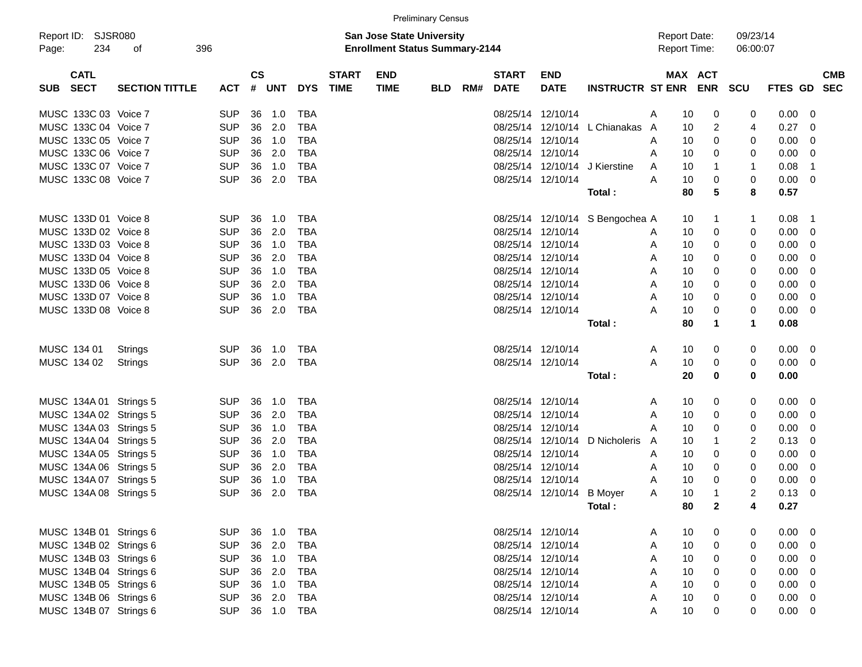|       |                            |                        |            |           |            |            |                             |                                                                           | <b>Preliminary Census</b> |     |                             |                           |                                 |   |                                            |              |                      |             |                          |            |
|-------|----------------------------|------------------------|------------|-----------|------------|------------|-----------------------------|---------------------------------------------------------------------------|---------------------------|-----|-----------------------------|---------------------------|---------------------------------|---|--------------------------------------------|--------------|----------------------|-------------|--------------------------|------------|
| Page: | Report ID: SJSR080<br>234  | of                     | 396        |           |            |            |                             | <b>San Jose State University</b><br><b>Enrollment Status Summary-2144</b> |                           |     |                             |                           |                                 |   | <b>Report Date:</b><br><b>Report Time:</b> |              | 09/23/14<br>06:00:07 |             |                          |            |
| SUB   | <b>CATL</b><br><b>SECT</b> | <b>SECTION TITTLE</b>  | ACT        | <b>CS</b> | # UNT      | <b>DYS</b> | <b>START</b><br><b>TIME</b> | <b>END</b><br><b>TIME</b>                                                 | <b>BLD</b>                | RM# | <b>START</b><br><b>DATE</b> | <b>END</b><br><b>DATE</b> | INSTRUCTR ST ENR ENR            |   | MAX ACT                                    |              | <b>SCU</b>           | FTES GD SEC |                          | <b>CMB</b> |
|       |                            |                        |            |           |            |            |                             |                                                                           |                           |     |                             |                           |                                 |   |                                            |              |                      |             |                          |            |
|       | MUSC 133C 03 Voice 7       |                        | <b>SUP</b> | 36        | 1.0        | <b>TBA</b> |                             |                                                                           |                           |     |                             | 08/25/14 12/10/14         |                                 | A | 10                                         | 0            | 0                    | $0.00 \t 0$ |                          |            |
|       | MUSC 133C 04 Voice 7       |                        | <b>SUP</b> | 36        | 2.0        | <b>TBA</b> |                             |                                                                           |                           |     |                             | 08/25/14 12/10/14         | L Chianakas                     | A | 10                                         | 2            | 4                    | 0.27        | $\overline{\phantom{0}}$ |            |
|       | MUSC 133C 05 Voice 7       |                        | <b>SUP</b> | 36        | 1.0        | <b>TBA</b> |                             |                                                                           |                           |     |                             | 08/25/14 12/10/14         |                                 | A | 10                                         | 0            | 0                    | 0.00        | $\overline{\phantom{0}}$ |            |
|       | MUSC 133C 06 Voice 7       |                        | <b>SUP</b> | 36        | 2.0        | <b>TBA</b> |                             |                                                                           |                           |     |                             | 08/25/14 12/10/14         |                                 | A | 10                                         | 0            | 0                    | $0.00 \t 0$ |                          |            |
|       | MUSC 133C 07 Voice 7       |                        | <b>SUP</b> | 36        | 1.0        | <b>TBA</b> |                             |                                                                           |                           |     |                             |                           | 08/25/14 12/10/14 J Kierstine   | A | 10                                         | 1            | $\mathbf{1}$         | 0.08        | - 1                      |            |
|       | MUSC 133C 08 Voice 7       |                        | <b>SUP</b> | 36        | 2.0        | TBA        |                             |                                                                           |                           |     |                             | 08/25/14 12/10/14         |                                 | Α | 10                                         | 0            | 0                    | $0.00 \t 0$ |                          |            |
|       |                            |                        |            |           |            |            |                             |                                                                           |                           |     |                             |                           | Total :                         |   | 80                                         | 5            | 8                    | 0.57        |                          |            |
|       | MUSC 133D 01 Voice 8       |                        | <b>SUP</b> | 36        | 1.0        | <b>TBA</b> |                             |                                                                           |                           |     |                             |                           | 08/25/14 12/10/14 S Bengochea A |   | 10                                         |              | $\mathbf{1}$         | 0.08        | $\blacksquare$           |            |
|       | MUSC 133D 02 Voice 8       |                        | <b>SUP</b> | 36        | 2.0        | <b>TBA</b> |                             |                                                                           |                           |     |                             | 08/25/14 12/10/14         |                                 | A | 10                                         | 0            | 0                    | $0.00 \t 0$ |                          |            |
|       | MUSC 133D 03 Voice 8       |                        | <b>SUP</b> | 36        | 1.0        | <b>TBA</b> |                             |                                                                           |                           |     |                             | 08/25/14 12/10/14         |                                 | A | 10                                         | 0            | 0                    | 0.00        | $\overline{\phantom{0}}$ |            |
|       | MUSC 133D 04 Voice 8       |                        | <b>SUP</b> | 36        | 2.0        | <b>TBA</b> |                             |                                                                           |                           |     |                             | 08/25/14 12/10/14         |                                 | A | 10                                         | 0            | 0                    | 0.00        | $\overline{\phantom{0}}$ |            |
|       | MUSC 133D 05 Voice 8       |                        | <b>SUP</b> | 36        | 1.0        | <b>TBA</b> |                             |                                                                           |                           |     |                             | 08/25/14 12/10/14         |                                 | A | 10                                         | 0            | 0                    | 0.00        | $\overline{\phantom{0}}$ |            |
|       | MUSC 133D 06 Voice 8       |                        | <b>SUP</b> | 36        | 2.0        | <b>TBA</b> |                             |                                                                           |                           |     |                             | 08/25/14 12/10/14         |                                 | A | 10                                         | 0            | 0                    | 0.00        | $\overline{\phantom{0}}$ |            |
|       | MUSC 133D 07 Voice 8       |                        | <b>SUP</b> | 36        | 1.0        | <b>TBA</b> |                             |                                                                           |                           |     |                             | 08/25/14 12/10/14         |                                 | A | 10                                         | 0            | 0                    | 0.00        | $\overline{\phantom{0}}$ |            |
|       | MUSC 133D 08 Voice 8       |                        | <b>SUP</b> | 36        | 2.0        | <b>TBA</b> |                             |                                                                           |                           |     |                             | 08/25/14 12/10/14         |                                 | Α | 10                                         | 0            | 0                    | $0.00 \t 0$ |                          |            |
|       |                            |                        |            |           |            |            |                             |                                                                           |                           |     |                             |                           | Total :                         |   | 80                                         | 1            | 1                    | 0.08        |                          |            |
|       | MUSC 134 01                | Strings                | <b>SUP</b> | 36        | 1.0        | TBA        |                             |                                                                           |                           |     |                             | 08/25/14 12/10/14         |                                 | A | 10                                         | 0            | 0                    | $0.00 \t 0$ |                          |            |
|       | MUSC 134 02                | Strings                | <b>SUP</b> | 36        | 2.0        | TBA        |                             |                                                                           |                           |     |                             | 08/25/14 12/10/14         |                                 | A | 10                                         | 0            | 0                    | $0.00 \t 0$ |                          |            |
|       |                            |                        |            |           |            |            |                             |                                                                           |                           |     |                             |                           | Total :                         |   | 20                                         | 0            | 0                    | 0.00        |                          |            |
|       |                            | MUSC 134A 01 Strings 5 | <b>SUP</b> | 36        | 1.0        | <b>TBA</b> |                             |                                                                           |                           |     |                             | 08/25/14 12/10/14         |                                 | A | 10                                         | 0            | 0                    | $0.00 \t 0$ |                          |            |
|       |                            | MUSC 134A 02 Strings 5 | <b>SUP</b> | 36        | 2.0        | <b>TBA</b> |                             |                                                                           |                           |     |                             | 08/25/14 12/10/14         |                                 | A | 10                                         | 0            | 0                    | $0.00 \t 0$ |                          |            |
|       |                            | MUSC 134A 03 Strings 5 | <b>SUP</b> | 36        | 1.0        | <b>TBA</b> |                             |                                                                           |                           |     |                             | 08/25/14 12/10/14         |                                 |   | 10                                         | 0            | 0                    | 0.00        | $\overline{\phantom{0}}$ |            |
|       |                            | MUSC 134A 04 Strings 5 | <b>SUP</b> | 36        | 2.0        | <b>TBA</b> |                             |                                                                           |                           |     |                             | 08/25/14 12/10/14         | D Nicholeris                    | A | 10                                         |              | 2                    | 0.13        | - 0                      |            |
|       |                            | MUSC 134A 05 Strings 5 | <b>SUP</b> | 36        | 1.0        | <b>TBA</b> |                             |                                                                           |                           |     |                             | 08/25/14 12/10/14         |                                 | A | 10                                         | 0            | 0                    | 0.00        | $\overline{\phantom{0}}$ |            |
|       |                            | MUSC 134A 06 Strings 5 | <b>SUP</b> | 36        | 2.0        | <b>TBA</b> |                             |                                                                           |                           |     |                             | 08/25/14 12/10/14         |                                 | A | 10                                         | 0            | 0                    | 0.00        | $\overline{\phantom{0}}$ |            |
|       |                            | MUSC 134A 07 Strings 5 | <b>SUP</b> | 36        | 1.0        | <b>TBA</b> |                             |                                                                           |                           |     |                             | 08/25/14 12/10/14         |                                 | A | 10                                         | 0            | 0                    | 0.00        | $\overline{\phantom{0}}$ |            |
|       |                            | MUSC 134A 08 Strings 5 | <b>SUP</b> | 36        | 2.0        | <b>TBA</b> |                             |                                                                           |                           |     |                             | 08/25/14 12/10/14 B Moyer |                                 | A | 10                                         |              | 2                    | 0.13        | $\overline{\mathbf{0}}$  |            |
|       |                            |                        |            |           |            |            |                             |                                                                           |                           |     |                             |                           | Total:                          |   | 80                                         | $\mathbf{2}$ | 4                    | 0.27        |                          |            |
|       |                            | MUSC 134B 01 Strings 6 | <b>SUP</b> |           | 36 1.0     | <b>TBA</b> |                             |                                                                           |                           |     |                             | 08/25/14 12/10/14         |                                 | A | 10                                         | 0            | 0                    | $0.00 \t 0$ |                          |            |
|       |                            | MUSC 134B 02 Strings 6 | <b>SUP</b> |           | 36 2.0     | <b>TBA</b> |                             |                                                                           |                           |     |                             | 08/25/14 12/10/14         |                                 | Α | 10                                         | 0            | 0                    | $0.00 \t 0$ |                          |            |
|       |                            | MUSC 134B 03 Strings 6 | <b>SUP</b> |           | 36 1.0     | <b>TBA</b> |                             |                                                                           |                           |     |                             | 08/25/14 12/10/14         |                                 | Α | 10                                         | 0            | 0                    | $0.00 \t 0$ |                          |            |
|       |                            | MUSC 134B 04 Strings 6 | <b>SUP</b> |           | 36 2.0     | <b>TBA</b> |                             |                                                                           |                           |     |                             | 08/25/14 12/10/14         |                                 | Α | 10                                         | 0            | 0                    | $0.00 \t 0$ |                          |            |
|       |                            | MUSC 134B 05 Strings 6 | <b>SUP</b> |           | 36 1.0     | <b>TBA</b> |                             |                                                                           |                           |     |                             | 08/25/14 12/10/14         |                                 | A | 10                                         | 0            | 0                    | $0.00 \t 0$ |                          |            |
|       |                            | MUSC 134B 06 Strings 6 | <b>SUP</b> |           | 36 2.0 TBA |            |                             |                                                                           |                           |     |                             | 08/25/14 12/10/14         |                                 | Α | 10                                         | 0            | 0                    | $0.00 \t 0$ |                          |            |
|       |                            |                        |            |           |            |            |                             |                                                                           |                           |     |                             |                           |                                 |   |                                            |              |                      |             |                          |            |

MUSC 134B 07 Strings 6 SUP 36 1.0 TBA 08/25/14 12/10/14 A 10 0 0 0 0.00 0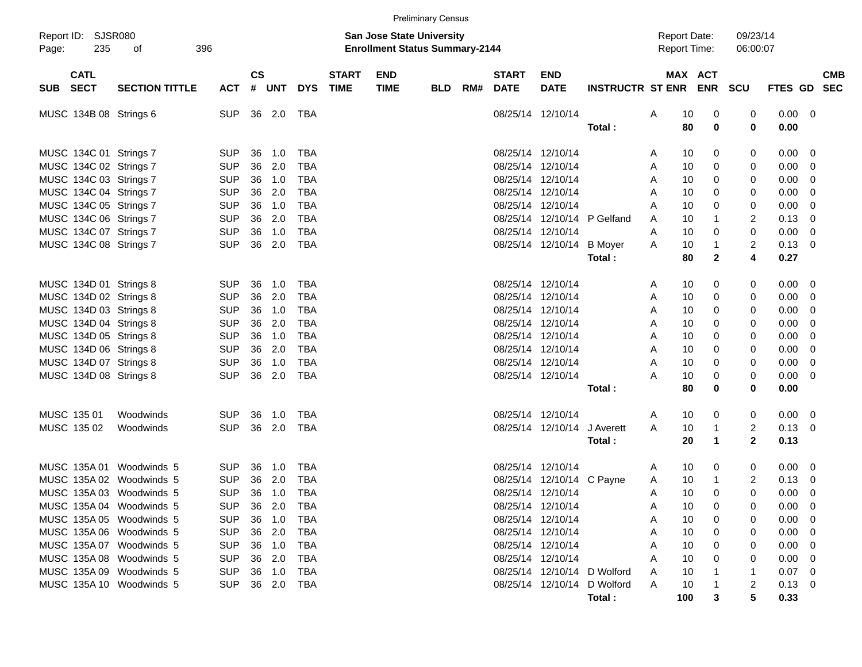|                                                                                                                                                                                    |                        |                                                                                                |                                        |                                                |                                                                                         |                             |                                                                           | <b>Preliminary Census</b> |     |                                                                                                          |                                           |                                       |                                            |                                        |                                 |                                 |                                                                    |                                   |            |
|------------------------------------------------------------------------------------------------------------------------------------------------------------------------------------|------------------------|------------------------------------------------------------------------------------------------|----------------------------------------|------------------------------------------------|-----------------------------------------------------------------------------------------|-----------------------------|---------------------------------------------------------------------------|---------------------------|-----|----------------------------------------------------------------------------------------------------------|-------------------------------------------|---------------------------------------|--------------------------------------------|----------------------------------------|---------------------------------|---------------------------------|--------------------------------------------------------------------|-----------------------------------|------------|
| Report ID: SJSR080<br>235<br>Page:                                                                                                                                                 | 396<br>of              |                                                                                                |                                        |                                                |                                                                                         |                             | <b>San Jose State University</b><br><b>Enrollment Status Summary-2144</b> |                           |     |                                                                                                          |                                           |                                       | <b>Report Date:</b><br><b>Report Time:</b> |                                        |                                 | 09/23/14<br>06:00:07            |                                                                    |                                   |            |
| <b>CATL</b><br>SUB SECT                                                                                                                                                            | <b>SECTION TITTLE</b>  | <b>ACT</b>                                                                                     | $\mathsf{cs}$                          | # UNT                                          | <b>DYS</b>                                                                              | <b>START</b><br><b>TIME</b> | <b>END</b><br><b>TIME</b>                                                 | <b>BLD</b>                | RM# | <b>START</b><br><b>DATE</b>                                                                              | <b>END</b><br><b>DATE</b>                 | <b>INSTRUCTR ST ENR ENR</b>           |                                            | MAX ACT                                |                                 | <b>SCU</b>                      | FTES GD SEC                                                        |                                   | <b>CMB</b> |
| MUSC 134B 08 Strings 6                                                                                                                                                             |                        | <b>SUP</b>                                                                                     |                                        | 36 2.0                                         | TBA                                                                                     |                             |                                                                           |                           |     | 08/25/14 12/10/14                                                                                        |                                           | Total:                                | Α                                          | 10<br>80                               | 0<br>0                          | 0<br>0                          | 0.00<br>0.00                                                       | $\overline{\mathbf{0}}$           |            |
| MUSC 134C 01 Strings 7<br>MUSC 134C 02 Strings 7<br>MUSC 134C 03 Strings 7<br>MUSC 134C 04 Strings 7<br>MUSC 134C 05 Strings 7<br>MUSC 134C 06 Strings 7<br>MUSC 134C 07 Strings 7 |                        | <b>SUP</b><br><b>SUP</b><br><b>SUP</b><br><b>SUP</b><br><b>SUP</b><br><b>SUP</b><br><b>SUP</b> | 36<br>36<br>36<br>36<br>36<br>36<br>36 | 1.0<br>2.0<br>1.0<br>2.0<br>1.0<br>2.0<br>1.0  | TBA<br><b>TBA</b><br><b>TBA</b><br><b>TBA</b><br><b>TBA</b><br><b>TBA</b><br><b>TBA</b> |                             |                                                                           |                           |     | 08/25/14 12/10/14<br>08/25/14<br>08/25/14<br>08/25/14 12/10/14<br>08/25/14 12/10/14<br>08/25/14 12/10/14 | 12/10/14<br>12/10/14<br>08/25/14 12/10/14 | P Gelfand                             | A<br>A<br>A<br>A<br>A<br>A<br>A            | 10<br>10<br>10<br>10<br>10<br>10<br>10 | 0<br>0<br>0<br>0<br>0<br>1<br>0 | 0<br>0<br>0<br>0<br>0<br>2<br>0 | 0.00<br>0.00<br>0.00<br>0.00<br>0.00<br>0.13<br>0.00               | - 0<br>0<br>0<br>0<br>0<br>0<br>0 |            |
| MUSC 134C 08 Strings 7                                                                                                                                                             |                        | <b>SUP</b>                                                                                     | 36                                     | 2.0                                            | TBA                                                                                     |                             |                                                                           |                           |     |                                                                                                          | 08/25/14 12/10/14                         | <b>B</b> Moyer<br>Total:              | A                                          | 10<br>80                               | 1<br>$\mathbf 2$                | $\overline{2}$<br>4             | 0.13<br>0.27                                                       | 0                                 |            |
| MUSC 134D 01 Strings 8<br>MUSC 134D 02 Strings 8<br>MUSC 134D 03 Strings 8<br>MUSC 134D 04 Strings 8                                                                               |                        | <b>SUP</b><br><b>SUP</b><br><b>SUP</b><br><b>SUP</b>                                           | 36<br>36<br>36<br>36                   | 1.0<br>2.0<br>1.0<br>2.0                       | TBA<br><b>TBA</b><br><b>TBA</b><br><b>TBA</b>                                           |                             |                                                                           |                           |     | 08/25/14 12/10/14<br>08/25/14 12/10/14<br>08/25/14 12/10/14<br>08/25/14 12/10/14                         |                                           |                                       | A<br>A<br>A<br>A                           | 10<br>10<br>10<br>10                   | 0<br>0<br>0<br>0                | 0<br>0<br>0<br>0                | 0.00<br>0.00<br>0.00<br>0.00                                       | - 0<br>0<br>0<br>0                |            |
| MUSC 134D 05 Strings 8<br>MUSC 134D 06 Strings 8<br>MUSC 134D 07 Strings 8<br>MUSC 134D 08 Strings 8                                                                               |                        | <b>SUP</b><br><b>SUP</b><br><b>SUP</b><br><b>SUP</b>                                           | 36<br>36<br>36<br>36                   | 1.0<br>2.0<br>1.0<br>2.0                       | <b>TBA</b><br><b>TBA</b><br><b>TBA</b><br>TBA                                           |                             |                                                                           |                           |     | 08/25/14 12/10/14<br>08/25/14 12/10/14<br>08/25/14 12/10/14<br>08/25/14 12/10/14                         |                                           | Total:                                | A<br>A<br>A<br>A                           | 10<br>10<br>10<br>10<br>80             | 0<br>0<br>0<br>0<br>0           | 0<br>0<br>0<br>0<br>0           | 0.00<br>0.00<br>0.00<br>0.00<br>0.00                               | 0<br>0<br>0<br>0                  |            |
| MUSC 135 01<br>MUSC 135 02                                                                                                                                                         | Woodwinds<br>Woodwinds | <b>SUP</b><br><b>SUP</b>                                                                       | 36<br>36                               | 1.0<br>2.0                                     | TBA<br>TBA                                                                              |                             |                                                                           |                           |     | 08/25/14 12/10/14                                                                                        | 08/25/14 12/10/14                         | J Averett<br>Total:                   | A<br>A                                     | 10<br>10<br>20                         | 0<br>1<br>1                     | 0<br>2<br>$\mathbf{2}$          | 0.00<br>0.13<br>0.13                                               | $\overline{\phantom{0}}$<br>0     |            |
| MUSC 135A 01 Woodwinds 5<br>MUSC 135A 02 Woodwinds 5<br>MUSC 135A 03 Woodwinds 5<br>MUSC 135A 04 Woodwinds 5                                                                       |                        | <b>SUP</b><br><b>SUP</b><br><b>SUP</b><br>SUP.                                                 | 36<br>36<br>36                         | 1.0<br>2.0<br>1.0                              | TBA<br>TBA<br>TBA                                                                       |                             |                                                                           |                           |     | 08/25/14 12/10/14<br>08/25/14 12/10/14<br>08/25/14 12/10/14                                              | 08/25/14 12/10/14                         | C Payne                               | A<br>A<br>A<br>A                           | 10<br>10<br>10<br>10                   | 0<br>1<br>$\Omega$<br>0         | 0<br>2<br>0<br>0                | $0.00\,$<br>0.13<br>0.00<br>$0.00 \quad 0$                         | $\overline{0}$<br>0<br>0          |            |
| MUSC 135A 05 Woodwinds 5<br>MUSC 135A 06 Woodwinds 5<br>MUSC 135A 07 Woodwinds 5<br>MUSC 135A 08 Woodwinds 5<br>MUSC 135A 09 Woodwinds 5                                           |                        | SUP.<br><b>SUP</b><br><b>SUP</b><br><b>SUP</b><br><b>SUP</b>                                   |                                        | 36 1.0<br>36 2.0<br>36 1.0<br>36 2.0<br>36 1.0 | TBA<br>TBA<br>TBA<br>TBA<br>TBA                                                         |                             |                                                                           |                           |     | 08/25/14 12/10/14<br>08/25/14 12/10/14<br>08/25/14 12/10/14<br>08/25/14 12/10/14                         |                                           | 08/25/14 12/10/14 D Wolford           | A<br>A<br>A<br>A<br>A                      | 10<br>10<br>10<br>10<br>10             | 0<br>0<br>0<br>0                | 0<br>0<br>0                     | $0.00 \quad 0$<br>$0.00 \quad 0$<br>$0.00 \quad 0$<br>0.00<br>0.07 | - 0<br>$\overline{\phantom{0}}$   |            |
| MUSC 135A 10 Woodwinds 5                                                                                                                                                           |                        | <b>SUP</b>                                                                                     |                                        | 36 2.0                                         | TBA                                                                                     |                             |                                                                           |                           |     |                                                                                                          |                                           | 08/25/14 12/10/14 D Wolford<br>Total: | A                                          | 10<br>100                              | 3                               | 2<br>5                          | $0.13 \quad 0$<br>0.33                                             |                                   |            |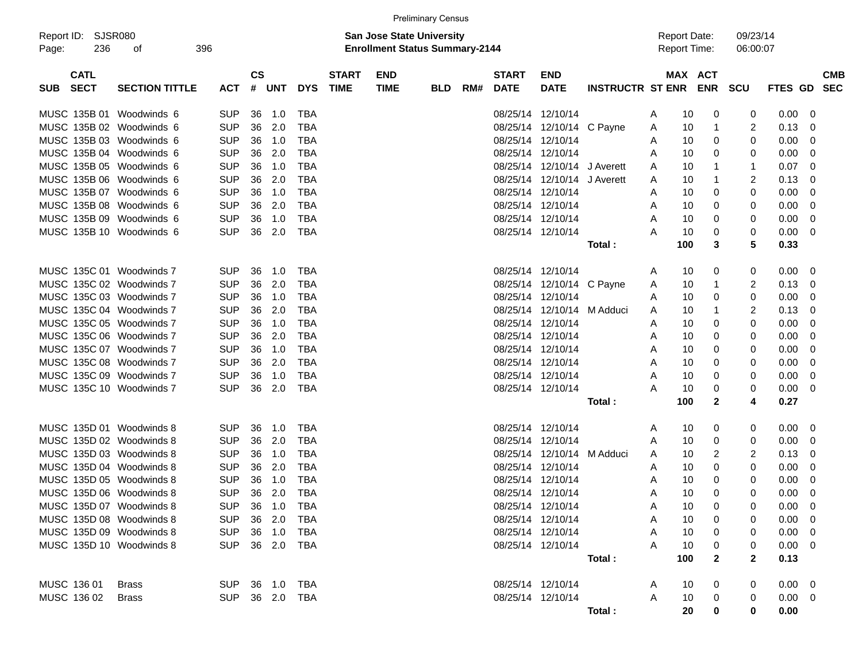|                                    |                       |                |                             |            |            |                             |                                                                           | <b>Preliminary Census</b> |     |                             |                                                |                         |                                     |                   |                      |                |                           |
|------------------------------------|-----------------------|----------------|-----------------------------|------------|------------|-----------------------------|---------------------------------------------------------------------------|---------------------------|-----|-----------------------------|------------------------------------------------|-------------------------|-------------------------------------|-------------------|----------------------|----------------|---------------------------|
| Report ID: SJSR080<br>236<br>Page: | 396<br>οf             |                |                             |            |            |                             | <b>San Jose State University</b><br><b>Enrollment Status Summary-2144</b> |                           |     |                             |                                                |                         | <b>Report Date:</b><br>Report Time: |                   | 09/23/14<br>06:00:07 |                |                           |
| <b>CATL</b><br><b>SECT</b><br>SUB. | <b>SECTION TITTLE</b> | <b>ACT</b>     | $\mathbf{c}\mathbf{s}$<br># | <b>UNT</b> | <b>DYS</b> | <b>START</b><br><b>TIME</b> | <b>END</b><br><b>TIME</b>                                                 | <b>BLD</b>                | RM# | <b>START</b><br><b>DATE</b> | <b>END</b><br><b>DATE</b>                      | <b>INSTRUCTR ST ENR</b> | MAX ACT                             | <b>ENR</b>        | <b>SCU</b>           |                | <b>CMB</b><br>FTES GD SEC |
| MUSC 135B 01 Woodwinds 6           |                       | <b>SUP</b>     | 36                          | 1.0        | TBA        |                             |                                                                           |                           |     |                             | 08/25/14 12/10/14                              |                         | 10<br>A                             | 0                 | 0                    | 0.00           | $\overline{\mathbf{0}}$   |
| MUSC 135B 02 Woodwinds 6           |                       | <b>SUP</b>     | 36                          | 2.0        | TBA        |                             |                                                                           |                           |     |                             | 08/25/14 12/10/14 C Payne                      |                         | 10<br>A                             |                   | 2                    | 0.13           | $\overline{0}$            |
| MUSC 135B 03 Woodwinds 6           |                       | <b>SUP</b>     | 36                          | 1.0        | TBA        |                             |                                                                           |                           |     |                             | 08/25/14 12/10/14                              |                         | 10<br>Α                             | 0                 | 0                    | 0.00           | - 0                       |
| MUSC 135B 04 Woodwinds 6           |                       | <b>SUP</b>     | 36                          | 2.0        | TBA        |                             |                                                                           |                           |     |                             | 08/25/14 12/10/14                              |                         | 10<br>Α                             | 0                 | 0                    | 0.00           | 0                         |
| MUSC 135B 05 Woodwinds 6           |                       | <b>SUP</b>     | 36                          | 1.0        | TBA        |                             |                                                                           |                           |     |                             | 08/25/14 12/10/14 J Averett                    |                         | 10<br>Α                             |                   | 1                    | 0.07           | - 0                       |
| MUSC 135B 06 Woodwinds 6           |                       | <b>SUP</b>     | 36                          | 2.0        | TBA        |                             |                                                                           |                           |     |                             | 08/25/14 12/10/14 J Averett                    |                         | 10<br>A                             |                   | 2                    | 0.13           | 0                         |
| MUSC 135B 07 Woodwinds 6           |                       | <b>SUP</b>     | 36                          | 1.0        | TBA        |                             |                                                                           |                           |     |                             | 08/25/14 12/10/14                              |                         | 10<br>Α                             | 0                 | 0                    | 0.00           | 0                         |
| MUSC 135B 08 Woodwinds 6           |                       | <b>SUP</b>     | 36                          | 2.0        | TBA        |                             |                                                                           |                           |     |                             | 08/25/14 12/10/14                              |                         | 10<br>A                             | 0                 | 0                    | 0.00           | 0                         |
| MUSC 135B 09 Woodwinds 6           |                       | <b>SUP</b>     | 36                          | 1.0        | TBA        |                             |                                                                           |                           |     |                             | 08/25/14 12/10/14                              |                         | 10<br>A                             | 0                 | 0                    | 0.00           | 0                         |
| MUSC 135B 10 Woodwinds 6           |                       | <b>SUP</b>     | 36                          | 2.0        | TBA        |                             |                                                                           |                           |     |                             | 08/25/14 12/10/14                              |                         | 10<br>А                             | 0                 | 0                    | 0.00           | $\overline{\mathbf{0}}$   |
|                                    |                       |                |                             |            |            |                             |                                                                           |                           |     |                             |                                                | Total :                 | 100                                 | 3                 | 5                    | 0.33           |                           |
| MUSC 135C 01 Woodwinds 7           |                       | <b>SUP</b>     | 36                          | 1.0        | TBA        |                             |                                                                           |                           |     |                             | 08/25/14 12/10/14                              |                         |                                     |                   |                      | 0.00           |                           |
| MUSC 135C 02 Woodwinds 7           |                       | <b>SUP</b>     | 36                          | 2.0        | TBA        |                             |                                                                           |                           |     |                             |                                                |                         | 10<br>A<br>10                       | 0                 | 0                    |                | $\overline{\phantom{0}}$  |
| MUSC 135C 03 Woodwinds 7           |                       | <b>SUP</b>     | 36                          | 1.0        | TBA        |                             |                                                                           |                           |     |                             | 08/25/14 12/10/14 C Payne<br>08/25/14 12/10/14 |                         | A<br>10                             |                   | 2                    | 0.13<br>0.00   | 0<br>0                    |
| MUSC 135C 04 Woodwinds 7           |                       | <b>SUP</b>     | 36                          | 2.0        | TBA        |                             |                                                                           |                           |     |                             | 08/25/14 12/10/14 M Adduci                     |                         | Α<br>10                             | 0                 | 0                    | 0.13           |                           |
|                                    |                       |                |                             |            |            |                             |                                                                           |                           |     |                             | 08/25/14 12/10/14                              |                         | A                                   |                   | 2                    |                | 0                         |
| MUSC 135C 05 Woodwinds 7           |                       | <b>SUP</b>     | 36                          | 1.0        | TBA        |                             |                                                                           |                           |     |                             |                                                |                         | 10<br>Α                             | 0                 | 0                    | 0.00           | 0                         |
| MUSC 135C 06 Woodwinds 7           |                       | <b>SUP</b>     | 36                          | 2.0        | TBA        |                             |                                                                           |                           |     |                             | 08/25/14 12/10/14                              |                         | 10<br>Α                             | 0                 | 0                    | 0.00           | 0                         |
| MUSC 135C 07 Woodwinds 7           |                       | <b>SUP</b>     | 36                          | 1.0        | TBA        |                             |                                                                           |                           |     |                             | 08/25/14 12/10/14                              |                         | 10<br>A                             | 0                 | 0                    | 0.00           | 0                         |
| MUSC 135C 08 Woodwinds 7           |                       | <b>SUP</b>     | 36                          | 2.0        | TBA        |                             |                                                                           |                           |     |                             | 08/25/14 12/10/14                              |                         | 10<br>A                             | 0                 | 0                    | 0.00           | 0                         |
| MUSC 135C 09 Woodwinds 7           |                       | <b>SUP</b>     | 36                          | 1.0        | TBA        |                             |                                                                           |                           |     |                             | 08/25/14 12/10/14                              |                         | 10<br>Α                             | 0                 | 0                    | 0.00           | 0                         |
| MUSC 135C 10 Woodwinds 7           |                       | <b>SUP</b>     | 36                          | 2.0        | TBA        |                             |                                                                           |                           |     |                             | 08/25/14 12/10/14                              | Total :                 | 10<br>А<br>100                      | 0<br>$\mathbf{2}$ | 0<br>4               | 0.00<br>0.27   | $\overline{\mathbf{0}}$   |
|                                    |                       |                |                             |            |            |                             |                                                                           |                           |     |                             |                                                |                         |                                     |                   |                      |                |                           |
| MUSC 135D 01 Woodwinds 8           |                       | <b>SUP</b>     | 36                          | 1.0        | TBA        |                             |                                                                           |                           |     |                             | 08/25/14 12/10/14                              |                         | 10<br>A                             | 0                 | 0                    | 0.00           | $\overline{\phantom{0}}$  |
| MUSC 135D 02 Woodwinds 8           |                       | <b>SUP</b>     | 36                          | 2.0        | TBA        |                             |                                                                           |                           |     |                             | 08/25/14 12/10/14                              |                         | 10<br>Α                             | 0                 | 0                    | 0.00           | $\overline{0}$            |
| MUSC 135D 03 Woodwinds 8           |                       | <b>SUP</b>     | 36                          | 1.0        | TBA        |                             |                                                                           |                           |     |                             | 08/25/14 12/10/14 M Adduci                     |                         | 10<br>Α                             | 2                 | 2                    | 0.13           | 0                         |
| MUSC 135D 04 Woodwinds 8           |                       | <b>SUP</b>     | 36                          | 2.0        | TBA        |                             |                                                                           |                           |     |                             | 08/25/14 12/10/14                              |                         | 10<br>Α                             | 0                 | 0                    | 0.00           | 0                         |
| MUSC 135D 05 Woodwinds 8           |                       | <b>SUP</b>     | 36                          | 1.0        | <b>TBA</b> |                             |                                                                           |                           |     |                             | 08/25/14 12/10/14                              |                         | 10<br>A                             | 0                 | 0                    | 0.00           | 0                         |
| MUSC 135D 06 Woodwinds 8           |                       | <b>SUP</b>     | 36                          | 2.0        | TBA        |                             |                                                                           |                           |     |                             | 08/25/14 12/10/14                              |                         | 10<br>A                             | 0                 | 0                    | 0.00           | 0                         |
| MUSC 135D 07 Woodwinds 8           |                       | SUP 36 1.0 TBA |                             |            |            |                             |                                                                           |                           |     |                             | 08/25/14 12/10/14                              |                         | 10<br>A                             | 0                 | 0                    | $0.00 \t 0$    |                           |
| MUSC 135D 08 Woodwinds 8           |                       | <b>SUP</b>     |                             | 36 2.0     | TBA        |                             |                                                                           |                           |     |                             | 08/25/14 12/10/14                              |                         | 10<br>Α                             | 0                 | 0                    | $0.00 \t 0$    |                           |
| MUSC 135D 09 Woodwinds 8           |                       | <b>SUP</b>     |                             | 36 1.0     | TBA        |                             |                                                                           |                           |     |                             | 08/25/14 12/10/14                              |                         | 10<br>Α                             | 0                 | 0                    | $0.00 \t 0$    |                           |
| MUSC 135D 10 Woodwinds 8           |                       | <b>SUP</b>     |                             |            | 36 2.0 TBA |                             |                                                                           |                           |     |                             | 08/25/14 12/10/14                              |                         | Α<br>10                             |                   | 0                    | $0.00 \t 0$    |                           |
|                                    |                       |                |                             |            |            |                             |                                                                           |                           |     |                             |                                                | Total:                  | 100                                 | $\mathbf{2}$      | $\mathbf{2}$         | 0.13           |                           |
| MUSC 136 01                        | <b>Brass</b>          | SUP 36 1.0 TBA |                             |            |            |                             |                                                                           |                           |     |                             | 08/25/14 12/10/14                              |                         | 10<br>A                             |                   | 0                    | $0.00 \t 0$    |                           |
| MUSC 136 02                        | <b>Brass</b>          | SUP 36 2.0 TBA |                             |            |            |                             |                                                                           |                           |     |                             | 08/25/14 12/10/14                              |                         | 10<br>A                             | 0                 | 0                    | $0.00 \quad 0$ |                           |
|                                    |                       |                |                             |            |            |                             |                                                                           |                           |     |                             |                                                | Total:                  | 20                                  | 0                 | 0                    | 0.00           |                           |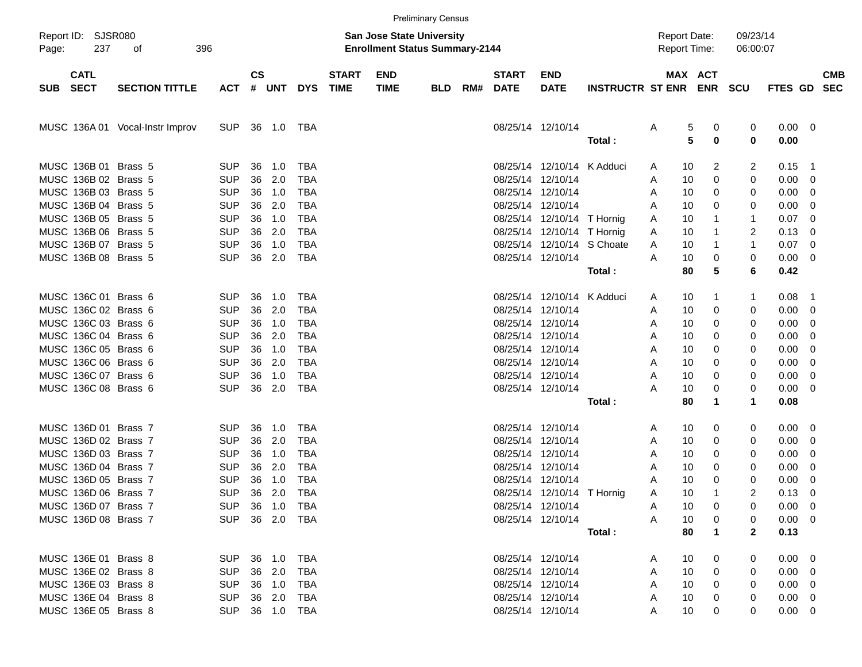|                                                                                                                                                                                                                                                                      |                                 |                                                                                                                                                        |                                                                |                                                                           |                                                                                                                                                        |                             | <b>Preliminary Census</b>                                                 |            |     |                                                                                                                               |                                                                                                                                                       |                         |                                                                                                            |                                                           |                                                          |                                                                                       |                                                                          |                          |
|----------------------------------------------------------------------------------------------------------------------------------------------------------------------------------------------------------------------------------------------------------------------|---------------------------------|--------------------------------------------------------------------------------------------------------------------------------------------------------|----------------------------------------------------------------|---------------------------------------------------------------------------|--------------------------------------------------------------------------------------------------------------------------------------------------------|-----------------------------|---------------------------------------------------------------------------|------------|-----|-------------------------------------------------------------------------------------------------------------------------------|-------------------------------------------------------------------------------------------------------------------------------------------------------|-------------------------|------------------------------------------------------------------------------------------------------------|-----------------------------------------------------------|----------------------------------------------------------|---------------------------------------------------------------------------------------|--------------------------------------------------------------------------|--------------------------|
| Report ID: SJSR080<br>237<br>Page:                                                                                                                                                                                                                                   | 396<br>of                       |                                                                                                                                                        |                                                                |                                                                           |                                                                                                                                                        |                             | <b>San Jose State University</b><br><b>Enrollment Status Summary-2144</b> |            |     |                                                                                                                               |                                                                                                                                                       |                         | <b>Report Date:</b><br><b>Report Time:</b>                                                                 |                                                           | 09/23/14<br>06:00:07                                     |                                                                                       |                                                                          |                          |
| <b>CATL</b><br><b>SECT</b><br><b>SUB</b>                                                                                                                                                                                                                             | <b>SECTION TITTLE</b>           | <b>ACT</b>                                                                                                                                             | $\mathsf{cs}$                                                  | # UNT                                                                     | <b>DYS</b>                                                                                                                                             | <b>START</b><br><b>TIME</b> | <b>END</b><br><b>TIME</b>                                                 | <b>BLD</b> | RM# | <b>START</b><br><b>DATE</b>                                                                                                   | <b>END</b><br><b>DATE</b>                                                                                                                             | <b>INSTRUCTR ST ENR</b> |                                                                                                            | MAX ACT<br><b>ENR</b>                                     | SCU                                                      | <b>FTES GD</b>                                                                        |                                                                          | <b>CMB</b><br><b>SEC</b> |
|                                                                                                                                                                                                                                                                      | MUSC 136A 01 Vocal-Instr Improv | <b>SUP</b>                                                                                                                                             | 36                                                             | 1.0                                                                       | TBA                                                                                                                                                    |                             |                                                                           |            |     | 08/25/14 12/10/14                                                                                                             |                                                                                                                                                       | Total:                  | A                                                                                                          | 5<br>$\boldsymbol{0}$<br>5<br>0                           | 0<br>$\bf{0}$                                            | 0.00<br>0.00                                                                          | $\overline{\phantom{0}}$                                                 |                          |
| MUSC 136B 01 Brass 5<br>MUSC 136B 02 Brass 5<br>MUSC 136B 03 Brass 5<br>MUSC 136B 04 Brass 5<br>MUSC 136B 05 Brass 5<br>MUSC 136B 06 Brass 5<br>MUSC 136B 07 Brass 5<br>MUSC 136B 08 Brass 5<br>MUSC 136C 01 Brass 6<br>MUSC 136C 02 Brass 6<br>MUSC 136C 03 Brass 6 |                                 | <b>SUP</b><br><b>SUP</b><br><b>SUP</b><br><b>SUP</b><br><b>SUP</b><br><b>SUP</b><br><b>SUP</b><br><b>SUP</b><br><b>SUP</b><br><b>SUP</b><br><b>SUP</b> | 36<br>36<br>36<br>36<br>36<br>36<br>36<br>36<br>36<br>36<br>36 | 1.0<br>2.0<br>1.0<br>2.0<br>1.0<br>2.0<br>1.0<br>2.0<br>1.0<br>2.0<br>1.0 | <b>TBA</b><br><b>TBA</b><br><b>TBA</b><br><b>TBA</b><br><b>TBA</b><br><b>TBA</b><br><b>TBA</b><br><b>TBA</b><br><b>TBA</b><br><b>TBA</b><br><b>TBA</b> |                             |                                                                           |            |     | 08/25/14<br>08/25/14<br>08/25/14 12/10/14<br>08/25/14 12/10/14<br>08/25/14 12/10/14<br>08/25/14 12/10/14<br>08/25/14 12/10/14 | 12/10/14 K Adduci<br>12/10/14<br>08/25/14 12/10/14 T Hornig<br>08/25/14 12/10/14 T Hornig<br>08/25/14 12/10/14 S Choate<br>08/25/14 12/10/14 K Adduci | Total:                  | A<br>10<br>A<br>10<br>A<br>10<br>Α<br>10<br>A<br>10<br>A<br>10<br>A<br>10<br>Α<br>80<br>10<br>A<br>10<br>A | 10<br>2<br>0<br>0<br>0<br>1<br>1<br>1<br>0<br>5<br>1<br>0 | 2<br>0<br>0<br>0<br>1<br>2<br>1<br>0<br>6<br>1<br>0<br>0 | 0.15<br>0.00<br>0.00<br>0.00<br>0.07<br>0.13<br>0.07<br>0.00<br>0.42<br>0.08<br>0.00  | $\overline{1}$<br>0<br>0<br>0<br>0<br>0<br>0<br>0<br>$\overline{1}$<br>0 |                          |
| MUSC 136C 04 Brass 6<br>MUSC 136C 05 Brass 6<br>MUSC 136C 06 Brass 6<br>MUSC 136C 07 Brass 6<br>MUSC 136C 08 Brass 6                                                                                                                                                 |                                 | <b>SUP</b><br><b>SUP</b><br><b>SUP</b><br><b>SUP</b><br><b>SUP</b>                                                                                     | 36<br>36<br>36<br>36<br>36                                     | 2.0<br>1.0<br>2.0<br>1.0<br>2.0                                           | <b>TBA</b><br><b>TBA</b><br><b>TBA</b><br><b>TBA</b><br><b>TBA</b>                                                                                     |                             |                                                                           |            |     | 08/25/14 12/10/14<br>08/25/14 12/10/14<br>08/25/14 12/10/14<br>08/25/14 12/10/14<br>08/25/14 12/10/14                         |                                                                                                                                                       | Total:                  | 10<br>A<br>10<br>A<br>10<br>A<br>10<br>A<br>10<br>A<br>10<br>Α<br>80                                       | 0<br>0<br>0<br>0<br>0<br>0<br>1                           | 0<br>0<br>0<br>0<br>0<br>1                               | 0.00<br>0.00<br>0.00<br>0.00<br>0.00<br>0.00<br>0.08                                  | 0<br>0<br>0<br>0<br>0<br>0                                               |                          |
| MUSC 136D 01 Brass 7<br>MUSC 136D 02 Brass 7<br>MUSC 136D 03 Brass 7<br>MUSC 136D 04 Brass 7<br>MUSC 136D 05 Brass 7<br>MUSC 136D 06 Brass 7<br>MUSC 136D 07 Brass 7<br>MUSC 136D 08 Brass 7                                                                         |                                 | <b>SUP</b><br><b>SUP</b><br><b>SUP</b><br><b>SUP</b><br><b>SUP</b><br><b>SUP</b><br>SUP 36 1.0 TBA<br>SUP 36 2.0 TBA                                   | 36<br>36<br>36<br>36<br>36<br>36                               | 1.0<br>2.0<br>1.0<br>2.0<br>1.0<br>2.0                                    | <b>TBA</b><br><b>TBA</b><br><b>TBA</b><br><b>TBA</b><br><b>TBA</b><br><b>TBA</b>                                                                       |                             |                                                                           |            |     | 08/25/14 12/10/14<br>08/25/14 12/10/14<br>08/25/14 12/10/14<br>08/25/14 12/10/14<br>08/25/14 12/10/14                         | 08/25/14 12/10/14 T Hornig<br>08/25/14 12/10/14<br>08/25/14 12/10/14                                                                                  | Total:                  | 10<br>A<br>10<br>A<br>10<br>A<br>10<br>A<br>10<br>Α<br>10<br>A<br>10<br>A<br>10<br>A<br>80                 | 0<br>0<br>0<br>0<br>0<br>1<br>0<br>0<br>1                 | 0<br>0<br>0<br>0<br>0<br>2<br>0<br>0<br>$\mathbf{2}$     | 0.00<br>0.00<br>0.00<br>0.00<br>0.00<br>0.13<br>$0.00 \quad 0$<br>$0.00 \t 0$<br>0.13 | - 0<br>0<br>0<br>0<br>0<br>0                                             |                          |
| MUSC 136E 01 Brass 8<br>MUSC 136E 02 Brass 8<br>MUSC 136E 03 Brass 8<br>MUSC 136E 04 Brass 8<br>MUSC 136E 05 Brass 8                                                                                                                                                 |                                 | <b>SUP</b><br><b>SUP</b><br>SUP<br><b>SUP</b><br>SUP                                                                                                   |                                                                | 36 2.0<br>36 1.0<br>36 2.0                                                | 36 1.0 TBA<br>TBA<br>TBA<br>TBA<br>36 1.0 TBA                                                                                                          |                             |                                                                           |            |     | 08/25/14 12/10/14<br>08/25/14 12/10/14<br>08/25/14 12/10/14<br>08/25/14 12/10/14                                              | 08/25/14 12/10/14                                                                                                                                     |                         | 10<br>A<br>10<br>A<br>10<br>A<br>10<br>A                                                                   | 0<br>0<br>0<br>0<br>10<br>0                               | 0<br>0<br>0<br>0<br>0                                    | $0.00 \t 0$<br>$0.00 \quad 0$<br>$0.00 \t 0$<br>$0.00 \t 0$<br>$0.00 \t 0$            |                                                                          |                          |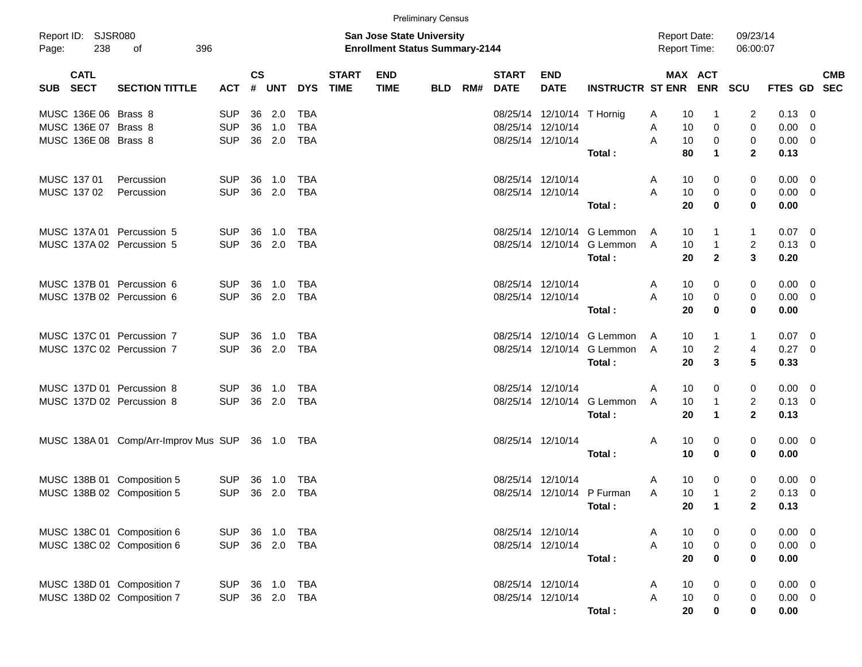|                                    |                                      |            |               |        |            |                             |                                                                           | <b>Preliminary Census</b> |     |                             |                            |                                 |                                            |                |                      |                |            |
|------------------------------------|--------------------------------------|------------|---------------|--------|------------|-----------------------------|---------------------------------------------------------------------------|---------------------------|-----|-----------------------------|----------------------------|---------------------------------|--------------------------------------------|----------------|----------------------|----------------|------------|
| Report ID: SJSR080<br>238<br>Page: | 396<br>оf                            |            |               |        |            |                             | <b>San Jose State University</b><br><b>Enrollment Status Summary-2144</b> |                           |     |                             |                            |                                 | <b>Report Date:</b><br><b>Report Time:</b> |                | 09/23/14<br>06:00:07 |                |            |
| <b>CATL</b><br>SUB SECT            | <b>SECTION TITTLE</b>                | ACT        | $\mathsf{cs}$ | # UNT  | <b>DYS</b> | <b>START</b><br><b>TIME</b> | <b>END</b><br><b>TIME</b>                                                 | <b>BLD</b>                | RM# | <b>START</b><br><b>DATE</b> | <b>END</b><br><b>DATE</b>  | <b>INSTRUCTR ST ENR ENR SCU</b> |                                            | <b>MAX ACT</b> |                      | FTES GD SEC    | <b>CMB</b> |
| MUSC 136E 06 Brass 8               |                                      | <b>SUP</b> | 36            | 2.0    | <b>TBA</b> |                             |                                                                           |                           |     |                             | 08/25/14 12/10/14 T Hornig |                                 | 10<br>Α                                    |                | 2                    | $0.13 \ 0$     |            |
| MUSC 136E 07 Brass 8               |                                      | <b>SUP</b> | 36            | 1.0    | <b>TBA</b> |                             |                                                                           |                           |     |                             | 08/25/14 12/10/14          |                                 | 10<br>Α                                    | $\mathbf 0$    | $\mathbf 0$          | $0.00 \t 0$    |            |
| MUSC 136E 08 Brass 8               |                                      | <b>SUP</b> | 36            | 2.0    | <b>TBA</b> |                             |                                                                           |                           |     | 08/25/14 12/10/14           |                            |                                 | A<br>10                                    | $\mathbf 0$    | 0                    | $0.00 \t 0$    |            |
|                                    |                                      |            |               |        |            |                             |                                                                           |                           |     |                             |                            | Total:                          | 80                                         | $\mathbf 1$    | $\mathbf{2}$         | 0.13           |            |
| MUSC 137 01                        | Percussion                           | <b>SUP</b> | 36            | 1.0    | <b>TBA</b> |                             |                                                                           |                           |     |                             | 08/25/14 12/10/14          |                                 | 10<br>Α                                    | 0              | 0                    | $0.00 \t 0$    |            |
| MUSC 137 02                        | Percussion                           | <b>SUP</b> |               | 36 2.0 | <b>TBA</b> |                             |                                                                           |                           |     | 08/25/14 12/10/14           |                            |                                 | A<br>10                                    | $\mathbf 0$    | 0                    | $0.00 \t 0$    |            |
|                                    |                                      |            |               |        |            |                             |                                                                           |                           |     |                             |                            | Total:                          | 20                                         | $\bf{0}$       | 0                    | 0.00           |            |
| MUSC 137A 01 Percussion 5          |                                      | <b>SUP</b> | 36            | 1.0    | <b>TBA</b> |                             |                                                                           |                           |     |                             |                            | 08/25/14 12/10/14 G Lemmon      | 10<br>A                                    |                | $\mathbf{1}$         | $0.07$ 0       |            |
| MUSC 137A 02 Percussion 5          |                                      | <b>SUP</b> |               | 36 2.0 | <b>TBA</b> |                             |                                                                           |                           |     |                             |                            | 08/25/14 12/10/14 G Lemmon      | 10<br>A                                    | $\mathbf{1}$   | 2                    | $0.13 \ 0$     |            |
|                                    |                                      |            |               |        |            |                             |                                                                           |                           |     |                             |                            | Total:                          | 20                                         | $\overline{2}$ | 3                    | 0.20           |            |
| MUSC 137B 01 Percussion 6          |                                      | <b>SUP</b> | 36            | 1.0    | <b>TBA</b> |                             |                                                                           |                           |     |                             | 08/25/14 12/10/14          |                                 | 10<br>Α                                    | 0              | 0                    | $0.00 \t 0$    |            |
| MUSC 137B 02 Percussion 6          |                                      | <b>SUP</b> |               | 36 2.0 | <b>TBA</b> |                             |                                                                           |                           |     | 08/25/14 12/10/14           |                            |                                 | A<br>10                                    | 0              | 0                    | $0.00 \t 0$    |            |
|                                    |                                      |            |               |        |            |                             |                                                                           |                           |     |                             |                            | Total:                          | 20                                         | $\bf{0}$       | 0                    | 0.00           |            |
| MUSC 137C 01 Percussion 7          |                                      | <b>SUP</b> | 36            | 1.0    | <b>TBA</b> |                             |                                                                           |                           |     |                             |                            | 08/25/14 12/10/14 G Lemmon      | 10<br>A                                    | 1              | $\mathbf{1}$         | $0.07$ 0       |            |
| MUSC 137C 02 Percussion 7          |                                      | <b>SUP</b> | 36            | 2.0    | <b>TBA</b> |                             |                                                                           |                           |     |                             |                            | 08/25/14 12/10/14 G Lemmon      | 10<br>A                                    | $\overline{c}$ | 4                    | $0.27$ 0       |            |
|                                    |                                      |            |               |        |            |                             |                                                                           |                           |     |                             |                            | Total:                          | 20                                         | 3              | 5                    | 0.33           |            |
| MUSC 137D 01 Percussion 8          |                                      | <b>SUP</b> | 36            | 1.0    | <b>TBA</b> |                             |                                                                           |                           |     |                             | 08/25/14 12/10/14          |                                 | 10<br>Α                                    | 0              | 0                    | $0.00 \t 0$    |            |
| MUSC 137D 02 Percussion 8          |                                      | <b>SUP</b> | 36            | 2.0    | <b>TBA</b> |                             |                                                                           |                           |     |                             |                            | 08/25/14 12/10/14 G Lemmon      | 10<br>A                                    | 1              | $\overline{c}$       | $0.13 \ 0$     |            |
|                                    |                                      |            |               |        |            |                             |                                                                           |                           |     |                             |                            | Total:                          | 20                                         | 1              | $\mathbf{2}$         | 0.13           |            |
|                                    | MUSC 138A 01 Comp/Arr-Improv Mus SUP |            |               | 36 1.0 | TBA        |                             |                                                                           |                           |     |                             | 08/25/14 12/10/14          |                                 | 10<br>Α                                    | 0              | 0                    | $0.00 \t 0$    |            |
|                                    |                                      |            |               |        |            |                             |                                                                           |                           |     |                             |                            | Total:                          | 10                                         | 0              | 0                    | 0.00           |            |
| MUSC 138B 01 Composition 5         |                                      | <b>SUP</b> | 36            | 1.0    | TBA        |                             |                                                                           |                           |     | 08/25/14 12/10/14           |                            |                                 | 10<br>Α                                    | 0              | 0                    | $0.00 \quad 0$ |            |
| MUSC 138B 02 Composition 5         |                                      | <b>SUP</b> |               | 36 2.0 | <b>TBA</b> |                             |                                                                           |                           |     |                             |                            | 08/25/14 12/10/14 P Furman      | 10<br>Α                                    | 1              | 2                    | $0.13 \quad 0$ |            |
|                                    |                                      |            |               |        |            |                             |                                                                           |                           |     |                             |                            | Total:                          | 20                                         | $\mathbf{1}$   | $\mathbf{2}$         | 0.13           |            |
| MUSC 138C 01 Composition 6         |                                      | <b>SUP</b> |               | 36 1.0 | TBA        |                             |                                                                           |                           |     |                             | 08/25/14 12/10/14          |                                 | 10<br>A                                    | 0              | 0                    | $0.00 \t 0$    |            |
| MUSC 138C 02 Composition 6         |                                      | <b>SUP</b> |               | 36 2.0 | <b>TBA</b> |                             |                                                                           |                           |     |                             | 08/25/14 12/10/14          |                                 | A<br>10                                    | $\pmb{0}$      | $\mathbf 0$          | $0.00 \t 0$    |            |
|                                    |                                      |            |               |        |            |                             |                                                                           |                           |     |                             |                            | Total:                          | 20                                         | 0              | $\bf{0}$             | 0.00           |            |
| MUSC 138D 01 Composition 7         |                                      | <b>SUP</b> |               |        | 36 1.0 TBA |                             |                                                                           |                           |     |                             | 08/25/14 12/10/14          |                                 | 10<br>A                                    | 0              | 0                    | $0.00 \t 0$    |            |
| MUSC 138D 02 Composition 7         |                                      | <b>SUP</b> |               | 36 2.0 | <b>TBA</b> |                             |                                                                           |                           |     |                             | 08/25/14 12/10/14          |                                 | 10<br>Α                                    | 0              | $\mathbf 0$          | $0.00 \t 0$    |            |
|                                    |                                      |            |               |        |            |                             |                                                                           |                           |     |                             |                            | Total:                          | 20                                         | 0              | $\mathbf 0$          | 0.00           |            |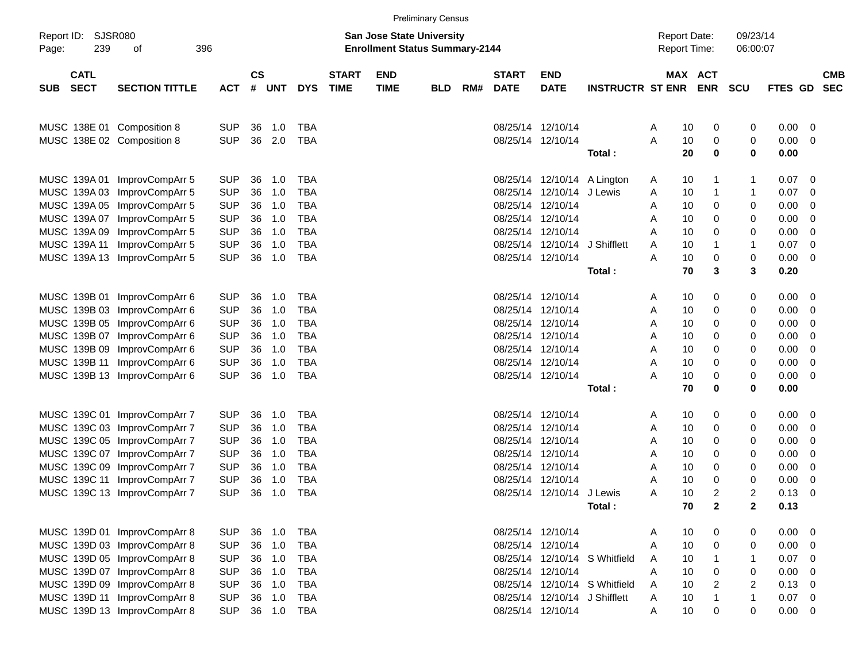|                                          |                                                              |                          |               |               |                          |                             |                                                                           | <b>Preliminary Census</b> |     |                                        |                                                    |                               |                                            |                                 |                      |              |                     |            |
|------------------------------------------|--------------------------------------------------------------|--------------------------|---------------|---------------|--------------------------|-----------------------------|---------------------------------------------------------------------------|---------------------------|-----|----------------------------------------|----------------------------------------------------|-------------------------------|--------------------------------------------|---------------------------------|----------------------|--------------|---------------------|------------|
| Report ID:<br>239<br>Page:               | <b>SJSR080</b><br>396<br>οf                                  |                          |               |               |                          |                             | <b>San Jose State University</b><br><b>Enrollment Status Summary-2144</b> |                           |     |                                        |                                                    |                               | <b>Report Date:</b><br><b>Report Time:</b> |                                 | 09/23/14<br>06:00:07 |              |                     |            |
| <b>CATL</b><br><b>SECT</b><br><b>SUB</b> | <b>SECTION TITTLE</b>                                        | <b>ACT</b>               | $\mathsf{cs}$ | # UNT         | <b>DYS</b>               | <b>START</b><br><b>TIME</b> | <b>END</b><br><b>TIME</b>                                                 | <b>BLD</b>                | RM# | <b>START</b><br><b>DATE</b>            | <b>END</b><br><b>DATE</b>                          | <b>INSTRUCTR ST ENR ENR</b>   |                                            | MAX ACT                         | <b>SCU</b>           | FTES GD SEC  |                     | <b>CMB</b> |
| MUSC 138E 01 Composition 8               |                                                              | <b>SUP</b>               | 36            | 1.0           | <b>TBA</b>               |                             |                                                                           |                           |     | 08/25/14 12/10/14                      |                                                    |                               | A                                          | 10<br>0                         | 0                    | 0.00         | 0                   |            |
| MUSC 138E 02 Composition 8               |                                                              | <b>SUP</b>               | 36            | 2.0           | <b>TBA</b>               |                             |                                                                           |                           |     | 08/25/14 12/10/14                      |                                                    | Total:                        | Α                                          | 10<br>0<br>20<br>0              | 0<br>0               | 0.00<br>0.00 | 0                   |            |
| MUSC 139A 01                             | ImprovCompArr 5                                              | <b>SUP</b>               | 36            | 1.0           | <b>TBA</b>               |                             |                                                                           |                           |     | 08/25/14                               |                                                    | 12/10/14 A Lington            | A                                          | 10<br>1                         | 1                    | 0.07         | 0                   |            |
| MUSC 139A 03<br>MUSC 139A 05             | ImprovCompArr 5<br>ImprovCompArr 5                           | <b>SUP</b><br><b>SUP</b> | 36<br>36      | 1.0<br>1.0    | <b>TBA</b><br><b>TBA</b> |                             |                                                                           |                           |     | 08/25/14<br>08/25/14                   | 12/10/14<br>12/10/14                               | J Lewis                       | Α<br>Α                                     | 10<br>1<br>0<br>10              | 1<br>0               | 0.07<br>0.00 | 0<br>0              |            |
| MUSC 139A 07<br>MUSC 139A 09             | ImprovCompArr 5<br>ImprovCompArr 5                           | <b>SUP</b><br><b>SUP</b> | 36<br>36      | 1.0<br>1.0    | <b>TBA</b><br><b>TBA</b> |                             |                                                                           |                           |     | 08/25/14<br>08/25/14                   | 12/10/14<br>12/10/14                               |                               | Α<br>Α                                     | 0<br>10<br>10<br>0              | 0<br>0               | 0.00<br>0.00 | 0<br>0              |            |
| MUSC 139A 11                             | ImprovCompArr 5<br>MUSC 139A 13 ImprovCompArr 5              | <b>SUP</b><br><b>SUP</b> | 36<br>36      | 1.0<br>1.0    | <b>TBA</b><br><b>TBA</b> |                             |                                                                           |                           |     | 08/25/14<br>08/25/14 12/10/14          | 12/10/14                                           | J Shifflett                   | Α<br>Α                                     | 10<br>1<br>10<br>0              | 1<br>0               | 0.07<br>0.00 | 0<br>0              |            |
|                                          |                                                              |                          |               |               |                          |                             |                                                                           |                           |     |                                        |                                                    | Total:                        |                                            | 70<br>3                         | 3                    | 0.20         |                     |            |
| MUSC 139B 01                             | ImprovCompArr 6<br>MUSC 139B 03 ImprovCompArr 6              | <b>SUP</b><br><b>SUP</b> | 36<br>36      | 1.0<br>1.0    | <b>TBA</b><br><b>TBA</b> |                             |                                                                           |                           |     | 08/25/14<br>08/25/14                   | 12/10/14<br>12/10/14                               |                               | Α<br>Α                                     | 0<br>10<br>10<br>0              | 0<br>0               | 0.00<br>0.00 | 0<br>0              |            |
|                                          | MUSC 139B 05 ImprovCompArr 6<br>MUSC 139B 07 ImprovCompArr 6 | <b>SUP</b><br><b>SUP</b> | 36<br>36      | 1.0<br>1.0    | <b>TBA</b><br><b>TBA</b> |                             |                                                                           |                           |     | 08/25/14<br>08/25/14 12/10/14          | 12/10/14                                           |                               | Α<br>Α                                     | 10<br>0<br>0<br>10              | 0<br>0               | 0.00<br>0.00 | 0<br>0              |            |
| MUSC 139B 11                             | MUSC 139B 09 ImprovCompArr 6<br>ImprovCompArr 6              | <b>SUP</b><br><b>SUP</b> | 36<br>36      | 1.0<br>1.0    | <b>TBA</b><br><b>TBA</b> |                             |                                                                           |                           |     | 08/25/14 12/10/14<br>08/25/14 12/10/14 |                                                    |                               | Α<br>Α                                     | 10<br>0<br>10<br>0              | 0<br>0               | 0.00<br>0.00 | 0<br>0              |            |
|                                          | MUSC 139B 13 ImprovCompArr 6                                 | <b>SUP</b>               | 36            | 1.0           | <b>TBA</b>               |                             |                                                                           |                           |     | 08/25/14 12/10/14                      |                                                    | Total:                        | Α                                          | 10<br>0<br>70<br>0              | 0<br>0               | 0.00<br>0.00 | 0                   |            |
|                                          | MUSC 139C 01 ImprovCompArr 7                                 | <b>SUP</b>               | 36            | 1.0           | <b>TBA</b>               |                             |                                                                           |                           |     | 08/25/14                               | 12/10/14                                           |                               | Α                                          | 0<br>10                         | 0                    | 0.00         | 0                   |            |
|                                          | MUSC 139C 03 ImprovCompArr 7<br>MUSC 139C 05 ImprovCompArr 7 | <b>SUP</b><br><b>SUP</b> | 36<br>36      | 1.0<br>1.0    | <b>TBA</b><br><b>TBA</b> |                             |                                                                           |                           |     | 08/25/14<br>08/25/14                   | 12/10/14<br>12/10/14                               |                               | Α<br>Α                                     | 10<br>0<br>10<br>0              | 0<br>0               | 0.00<br>0.00 | 0<br>0              |            |
|                                          | MUSC 139C 07 ImprovCompArr 7<br>MUSC 139C 09 ImprovCompArr 7 | <b>SUP</b><br><b>SUP</b> | 36<br>36      | 1.0<br>1.0    | <b>TBA</b><br><b>TBA</b> |                             |                                                                           |                           |     | 08/25/14<br>08/25/14 12/10/14          | 12/10/14                                           |                               | Α<br>Α                                     | 0<br>10<br>10<br>0              | 0<br>0               | 0.00<br>0.00 | 0<br>0              |            |
|                                          | MUSC 139C 11 ImprovCompArr 7<br>MUSC 139C 13 ImprovCompArr 7 | <b>SUP</b><br><b>SUP</b> | 36<br>36      | 1.0<br>1.0    | <b>TBA</b><br><b>TBA</b> |                             |                                                                           |                           |     | 08/25/14                               | 12/10/14<br>08/25/14 12/10/14 J Lewis              |                               | Α<br>Α                                     | 10<br>0<br>10<br>2              | 0<br>2               | 0.00<br>0.13 | 0<br>0              |            |
|                                          | MUSC 139D 01 ImprovCompArr 8                                 | <b>SUP</b>               |               | 36 1.0        | <b>TBA</b>               |                             |                                                                           |                           |     | 08/25/14 12/10/14                      |                                                    | Total :                       |                                            | 70<br>$\mathbf{2}$<br>10<br>0   | 2                    | 0.13<br>0.00 | 0                   |            |
|                                          | MUSC 139D 03 ImprovCompArr 8<br>MUSC 139D 05 ImprovCompArr 8 | <b>SUP</b><br><b>SUP</b> | 36<br>36      | 1.0<br>1.0    | <b>TBA</b><br><b>TBA</b> |                             |                                                                           |                           |     | 08/25/14 12/10/14                      |                                                    | 08/25/14 12/10/14 S Whitfield | A<br>A<br>A                                | 10<br>0<br>10<br>1              | 0<br>0<br>1          | 0.00<br>0.07 | 0<br>0              |            |
|                                          | MUSC 139D 07 ImprovCompArr 8<br>MUSC 139D 09 ImprovCompArr 8 | <b>SUP</b><br><b>SUP</b> | 36<br>36      | 1.0<br>1.0    | <b>TBA</b><br><b>TBA</b> |                             |                                                                           |                           |     | 08/25/14 12/10/14                      |                                                    | 08/25/14 12/10/14 S Whitfield | Α<br>Α                                     | 0<br>10<br>$\overline{c}$<br>10 | 0<br>$\overline{2}$  | 0.00<br>0.13 | 0<br>0              |            |
|                                          | MUSC 139D 11 ImprovCompArr 8<br>MUSC 139D 13 ImprovCompArr 8 | <b>SUP</b><br><b>SUP</b> | 36            | 1.0<br>36 1.0 | <b>TBA</b><br>TBA        |                             |                                                                           |                           |     |                                        | 08/25/14 12/10/14 J Shifflett<br>08/25/14 12/10/14 |                               | A<br>A                                     | 10<br>1<br>10<br>0              | $\mathbf{1}$<br>0    | 0.07<br>0.00 | $\overline{0}$<br>0 |            |
|                                          |                                                              |                          |               |               |                          |                             |                                                                           |                           |     |                                        |                                                    |                               |                                            |                                 |                      |              |                     |            |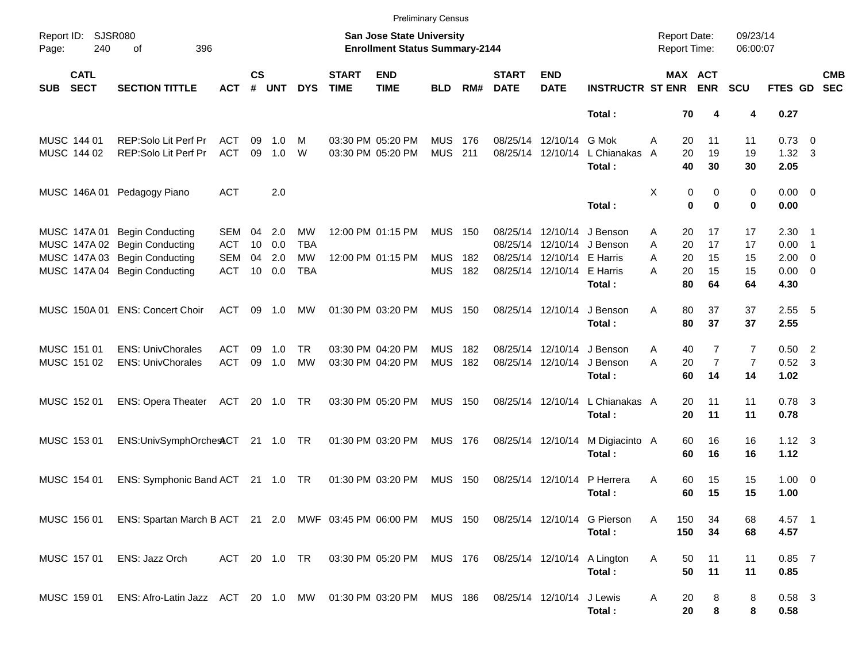|                                          |                                                                                                       |               |                    |            |            |                             |                                                                    | <b>Preliminary Census</b> |       |                             |                            |                             |                                            |                       |                      |                        |                          |                          |
|------------------------------------------|-------------------------------------------------------------------------------------------------------|---------------|--------------------|------------|------------|-----------------------------|--------------------------------------------------------------------|---------------------------|-------|-----------------------------|----------------------------|-----------------------------|--------------------------------------------|-----------------------|----------------------|------------------------|--------------------------|--------------------------|
| Report ID: SJSR080<br>240<br>Page:       | 396<br>of                                                                                             |               |                    |            |            |                             | San Jose State University<br><b>Enrollment Status Summary-2144</b> |                           |       |                             |                            |                             | <b>Report Date:</b><br><b>Report Time:</b> |                       | 09/23/14<br>06:00:07 |                        |                          |                          |
| <b>CATL</b><br><b>SECT</b><br><b>SUB</b> | <b>SECTION TITTLE</b>                                                                                 | <b>ACT</b>    | $\mathsf{cs}$<br># | <b>UNT</b> | <b>DYS</b> | <b>START</b><br><b>TIME</b> | <b>END</b><br><b>TIME</b>                                          | <b>BLD</b>                | RM#   | <b>START</b><br><b>DATE</b> | <b>END</b><br><b>DATE</b>  | <b>INSTRUCTR ST ENR</b>     |                                            | MAX ACT<br><b>ENR</b> | <b>SCU</b>           | FTES GD                |                          | <b>CMB</b><br><b>SEC</b> |
|                                          |                                                                                                       |               |                    |            |            |                             |                                                                    |                           |       |                             |                            | Total:                      | 70                                         | 4                     | 4                    | 0.27                   |                          |                          |
| MUSC 144 01                              | REP:Solo Lit Perf Pr                                                                                  | ACT           | 09                 | 1.0        | м          |                             | 03:30 PM 05:20 PM                                                  | <b>MUS</b>                | - 176 |                             | 08/25/14 12/10/14          | G Mok                       | 20<br>A                                    | 11                    | 11                   | $0.73 \quad 0$         |                          |                          |
| MUSC 144 02                              | REP:Solo Lit Perf Pr                                                                                  | <b>ACT</b>    | 09                 | 1.0        | W          |                             | 03:30 PM 05:20 PM                                                  | <b>MUS</b>                | 211   |                             | 08/25/14 12/10/14          | L Chianakas<br>Total:       | 20<br>A<br>40                              | 19<br>30              | 19<br>30             | $1.32 \quad 3$<br>2.05 |                          |                          |
|                                          | MUSC 146A 01 Pedagogy Piano                                                                           | <b>ACT</b>    |                    | 2.0        |            |                             |                                                                    |                           |       |                             |                            |                             | Χ                                          | 0<br>0                | 0                    | $0.00 \t 0$            |                          |                          |
|                                          |                                                                                                       |               |                    |            |            |                             |                                                                    |                           |       |                             |                            | Total:                      |                                            | $\bf{0}$<br>$\bf{0}$  | 0                    | 0.00                   |                          |                          |
| MUSC 147A 01                             | <b>Begin Conducting</b>                                                                               | SEM           | 04                 | 2.0        | MW         |                             | 12:00 PM 01:15 PM                                                  | MUS                       | 150   |                             | 08/25/14 12/10/14          | J Benson                    | 20<br>Α                                    | 17                    | 17                   | $2.30$ 1               |                          |                          |
|                                          | MUSC 147A 02 Begin Conducting                                                                         | <b>ACT</b>    | 10                 | 0.0        | <b>TBA</b> |                             |                                                                    |                           |       |                             |                            | 08/25/14 12/10/14 J Benson  | A<br>20                                    | 17                    | 17                   | 0.00                   | $\overline{\phantom{0}}$ |                          |
|                                          | MUSC 147A 03 Begin Conducting                                                                         | <b>SEM</b>    | 04                 | 2.0        | <b>MW</b>  |                             | 12:00 PM 01:15 PM                                                  | <b>MUS</b>                | 182   |                             | 08/25/14 12/10/14 E Harris |                             | A<br>20                                    | 15                    | 15                   | $2.00 \t 0$            |                          |                          |
|                                          | MUSC 147A 04 Begin Conducting                                                                         | <b>ACT</b>    |                    | 10 0.0     | <b>TBA</b> |                             |                                                                    | <b>MUS</b>                | 182   |                             | 08/25/14 12/10/14 E Harris |                             | 20<br>А                                    | 15                    | 15                   | $0.00 \t 0$            |                          |                          |
|                                          |                                                                                                       |               |                    |            |            |                             |                                                                    |                           |       |                             |                            | Total:                      | 80                                         | 64                    | 64                   | 4.30                   |                          |                          |
|                                          | MUSC 150A 01 ENS: Concert Choir                                                                       | ACT           | 09                 | 1.0        | MW         |                             | 01:30 PM 03:20 PM                                                  | <b>MUS 150</b>            |       |                             | 08/25/14 12/10/14          | J Benson                    | 80<br>Α                                    | 37                    | 37                   | $2.55$ 5               |                          |                          |
|                                          |                                                                                                       |               |                    |            |            |                             |                                                                    |                           |       |                             |                            | Total:                      | 80                                         | 37                    | 37                   | 2.55                   |                          |                          |
|                                          |                                                                                                       |               |                    |            |            |                             |                                                                    |                           |       |                             |                            |                             |                                            |                       |                      |                        |                          |                          |
| MUSC 151 01                              | <b>ENS: UnivChorales</b>                                                                              | ACT           | 09                 | 1.0        | TR.        |                             | 03:30 PM 04:20 PM                                                  | <b>MUS</b>                | 182   |                             | 08/25/14 12/10/14          | J Benson                    | 40<br>Α                                    | 7                     | $\overline{7}$       | $0.50$ 2               |                          |                          |
| MUSC 151 02                              | <b>ENS: UnivChorales</b>                                                                              | <b>ACT</b>    | 09                 | 1.0        | <b>MW</b>  |                             | 03:30 PM 04:20 PM                                                  | <b>MUS</b>                | 182   |                             | 08/25/14 12/10/14          | J Benson                    | A<br>20                                    | $\overline{7}$        | $\overline{7}$       | $0.52$ 3               |                          |                          |
|                                          |                                                                                                       |               |                    |            |            |                             |                                                                    |                           |       |                             |                            | Total:                      | 60                                         | 14                    | 14                   | 1.02                   |                          |                          |
|                                          |                                                                                                       |               |                    |            |            |                             |                                                                    |                           |       |                             |                            | L Chianakas A               |                                            |                       |                      |                        |                          |                          |
| MUSC 152 01                              | <b>ENS: Opera Theater</b>                                                                             | ACT 20 1.0 TR |                    |            |            |                             | 03:30 PM 05:20 PM                                                  | <b>MUS 150</b>            |       |                             | 08/25/14 12/10/14          | Total:                      | 20<br>20                                   | 11<br>11              | 11<br>11             | $0.78$ 3<br>0.78       |                          |                          |
|                                          |                                                                                                       |               |                    |            |            |                             |                                                                    |                           |       |                             |                            |                             |                                            |                       |                      |                        |                          |                          |
| MUSC 153 01                              | ENS:UnivSymphOrchestCT 21 1.0 TR                                                                      |               |                    |            |            |                             | 01:30 PM 03:20 PM                                                  | <b>MUS 176</b>            |       |                             | 08/25/14 12/10/14          | M Digiacinto A              | 60                                         | 16                    | 16                   | $1.12 \quad 3$         |                          |                          |
|                                          |                                                                                                       |               |                    |            |            |                             |                                                                    |                           |       |                             |                            | Total:                      | 60                                         | 16                    | 16                   | 1.12                   |                          |                          |
|                                          |                                                                                                       |               |                    |            |            |                             |                                                                    |                           |       |                             |                            |                             |                                            |                       |                      |                        |                          |                          |
| MUSC 154 01                              | ENS: Symphonic Band ACT 21 1.0 TR                                                                     |               |                    |            |            |                             | 01:30 PM 03:20 PM                                                  | MUS                       | 150   |                             | 08/25/14 12/10/14          | P Herrera                   | Α<br>60                                    | 15                    | 15                   | $1.00 \t 0$            |                          |                          |
|                                          |                                                                                                       |               |                    |            |            |                             |                                                                    |                           |       |                             |                            | Total:                      | 60                                         | 15                    | 15                   | 1.00                   |                          |                          |
|                                          | MUSC 156 01 ENS: Spartan March B ACT 21 2.0 MWF 03:45 PM 06:00 PM MUS 150 08/25/14 12/10/14 G Pierson |               |                    |            |            |                             |                                                                    |                           |       |                             |                            |                             | 150<br>A                                   | 34                    |                      | 4.57 1                 |                          |                          |
|                                          |                                                                                                       |               |                    |            |            |                             |                                                                    |                           |       |                             |                            | Total:                      | 150                                        | 34                    | 68<br>68             | 4.57                   |                          |                          |
|                                          |                                                                                                       |               |                    |            |            |                             |                                                                    |                           |       |                             |                            |                             |                                            |                       |                      |                        |                          |                          |
| MUSC 157 01                              | ENS: Jazz Orch                                                                                        |               |                    |            |            |                             | ACT 20 1.0 TR 03:30 PM 05:20 PM MUS 176                            |                           |       |                             |                            | 08/25/14 12/10/14 A Lington | 50<br>A                                    | 11                    | 11                   | $0.85$ 7               |                          |                          |
|                                          |                                                                                                       |               |                    |            |            |                             |                                                                    |                           |       |                             |                            | Total:                      | 50                                         | 11                    | 11                   | 0.85                   |                          |                          |
|                                          |                                                                                                       |               |                    |            |            |                             |                                                                    |                           |       |                             |                            |                             |                                            |                       |                      |                        |                          |                          |
| MUSC 159 01                              | ENS: Afro-Latin Jazz ACT 20 1.0 MW 01:30 PM 03:20 PM MUS 186                                          |               |                    |            |            |                             |                                                                    |                           |       | 08/25/14 12/10/14 J Lewis   |                            |                             | A<br>20                                    | 8                     | 8                    | $0.58$ 3               |                          |                          |
|                                          |                                                                                                       |               |                    |            |            |                             |                                                                    |                           |       |                             |                            | Total:                      | 20                                         | 8                     | 8                    | 0.58                   |                          |                          |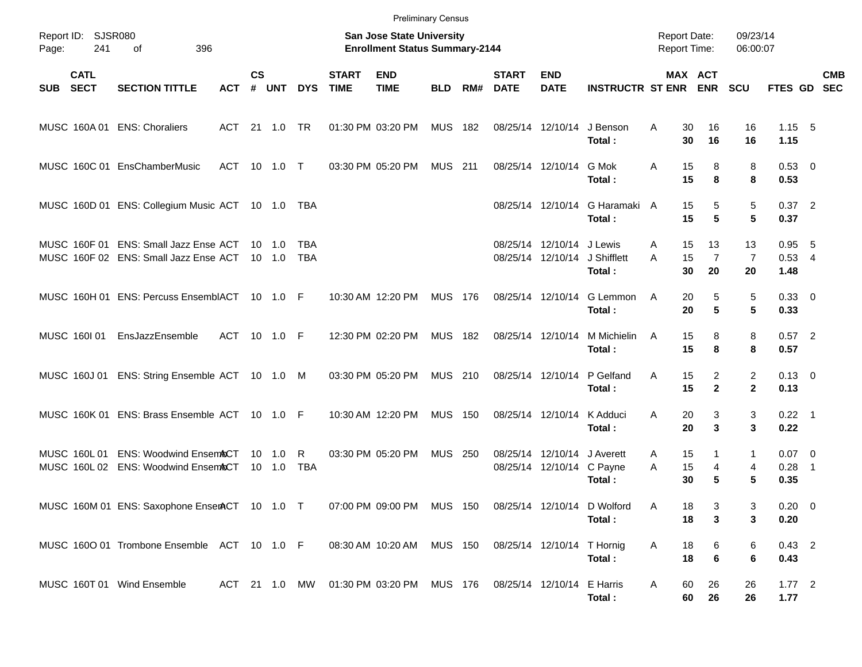|            |                            |                                                                                              |               |                    |                                  |                   |                             | <b>Preliminary Census</b>                                          |                |       |                             |                                                |                         |                                            |                                              |                            |                          |                          |            |
|------------|----------------------------|----------------------------------------------------------------------------------------------|---------------|--------------------|----------------------------------|-------------------|-----------------------------|--------------------------------------------------------------------|----------------|-------|-----------------------------|------------------------------------------------|-------------------------|--------------------------------------------|----------------------------------------------|----------------------------|--------------------------|--------------------------|------------|
| Page:      | Report ID: SJSR080<br>241  | 396<br>оf                                                                                    |               |                    |                                  |                   |                             | San Jose State University<br><b>Enrollment Status Summary-2144</b> |                |       |                             |                                                |                         | <b>Report Date:</b><br><b>Report Time:</b> |                                              | 09/23/14<br>06:00:07       |                          |                          |            |
| <b>SUB</b> | <b>CATL</b><br><b>SECT</b> | <b>SECTION TITTLE</b>                                                                        | <b>ACT</b>    | $\mathsf{cs}$<br># | UNT                              | <b>DYS</b>        | <b>START</b><br><b>TIME</b> | <b>END</b><br><b>TIME</b>                                          | <b>BLD</b>     | RM#   | <b>START</b><br><b>DATE</b> | <b>END</b><br><b>DATE</b>                      | <b>INSTRUCTR ST ENR</b> |                                            | MAX ACT<br><b>ENR</b>                        | <b>SCU</b>                 | FTES GD SEC              |                          | <b>CMB</b> |
|            |                            | MUSC 160A 01 ENS: Choraliers                                                                 | ACT 21 1.0 TR |                    |                                  |                   |                             | 01:30 PM 03:20 PM                                                  | <b>MUS 182</b> |       | 08/25/14 12/10/14           |                                                | J Benson<br>Total:      | A                                          | 30<br>16<br>30<br>16                         | 16<br>16                   | $1.15$ 5<br>1.15         |                          |            |
|            |                            | MUSC 160C 01 EnsChamberMusic                                                                 | ACT 10 1.0 T  |                    |                                  |                   |                             | 03:30 PM 05:20 PM                                                  | <b>MUS</b> 211 |       | 08/25/14 12/10/14           |                                                | G Mok<br>Total:         | A                                          | 15<br>8<br>15<br>8                           | 8<br>8                     | $0.53$ 0<br>0.53         |                          |            |
|            |                            | MUSC 160D 01 ENS: Collegium Music ACT 10 1.0 TBA                                             |               |                    |                                  |                   |                             |                                                                    |                |       |                             | 08/25/14 12/10/14                              | G Haramaki A<br>Total:  |                                            | 15<br>5<br>$5\phantom{1}$<br>15              | 5<br>5                     | $0.37$ 2<br>0.37         |                          |            |
|            |                            | MUSC 160F 01 ENS: Small Jazz Ense ACT 10 1.0<br>MUSC 160F 02 ENS: Small Jazz Ense ACT 10 1.0 |               |                    |                                  | TBA<br><b>TBA</b> |                             |                                                                    |                |       |                             | 08/25/14 12/10/14 J Lewis<br>08/25/14 12/10/14 | J Shifflett<br>Total:   | A<br>A                                     | 15<br>13<br>15<br>$\overline{7}$<br>30<br>20 | 13<br>$\overline{7}$<br>20 | 0.95<br>$0.53$ 4<br>1.48 | - 5                      |            |
|            |                            | MUSC 160H 01 ENS: Percuss EnsemblACT 10 1.0 F                                                |               |                    |                                  |                   |                             | 10:30 AM 12:20 PM                                                  | <b>MUS 176</b> |       | 08/25/14 12/10/14           |                                                | G Lemmon<br>Total:      | A                                          | 5<br>20<br>$5\phantom{1}$<br>20              | 5<br>5                     | 0.33 0<br>0.33           |                          |            |
|            | MUSC 160101                | EnsJazzEnsemble                                                                              | ACT 10 1.0 F  |                    |                                  |                   |                             | 12:30 PM 02:20 PM                                                  | <b>MUS 182</b> |       | 08/25/14 12/10/14           |                                                | M Michielin<br>Total:   | A                                          | 15<br>8<br>15<br>8                           | 8<br>8                     | $0.57$ 2<br>0.57         |                          |            |
|            |                            | MUSC 160J 01 ENS: String Ensemble ACT 10 1.0 M                                               |               |                    |                                  |                   |                             | 03:30 PM 05:20 PM                                                  | <b>MUS 210</b> |       | 08/25/14 12/10/14           |                                                | P Gelfand<br>Total:     | A                                          | 15<br>2<br>$\mathbf{2}$<br>15                | 2<br>$\mathbf{2}$          | $0.13 \quad 0$<br>0.13   |                          |            |
|            |                            | MUSC 160K 01 ENS: Brass Ensemble ACT 10 1.0 F                                                |               |                    |                                  |                   |                             | 10:30 AM 12:20 PM                                                  | <b>MUS</b>     | 150   | 08/25/14 12/10/14           |                                                | K Adduci<br>Total:      | A                                          | 3<br>20<br>3<br>20                           | 3<br>3                     | $0.22$ 1<br>0.22         |                          |            |
|            |                            | MUSC 160L 01 ENS: Woodwind EnsemACT<br>MUSC 160L 02 ENS: Woodwind EnsemACT                   |               |                    | $10 \quad 1.0$<br>$10 \quad 1.0$ | R<br><b>TBA</b>   |                             | 03:30 PM 05:20 PM                                                  | <b>MUS</b>     | - 250 |                             | 08/25/14 12/10/14<br>08/25/14 12/10/14 C Payne | J Averett<br>Total:     | A<br>A                                     | 15<br>1<br>15<br>4<br>5<br>30                | 1<br>4<br>5                | $0.07$ 0<br>0.28<br>0.35 | $\overline{\phantom{1}}$ |            |
|            |                            | MUSC 160M 01 ENS: Saxophone EnserACT 10 1.0 T                                                |               |                    |                                  |                   |                             | 07:00 PM 09:00 PM MUS 150 08/25/14 12/10/14 D Wolford              |                |       |                             |                                                | Total:                  | A                                          | 3<br>18<br>3<br>18                           | 3<br>3                     | $0.20 \ 0$<br>0.20       |                          |            |
|            |                            | MUSC 1600 01 Trombone Ensemble ACT 10 1.0 F                                                  |               |                    |                                  |                   |                             | 08:30 AM 10:20 AM MUS 150 08/25/14 12/10/14 T Hornig               |                |       |                             |                                                | Total:                  | A                                          | 18<br>6<br>18<br>6                           | 6<br>6                     | $0.43$ 2<br>0.43         |                          |            |
|            |                            | MUSC 160T 01 Wind Ensemble                                                                   |               |                    |                                  |                   |                             | ACT 21 1.0 MW 01:30 PM 03:20 PM MUS 176 08/25/14 12/10/14          |                |       |                             |                                                | E Harris<br>Total:      | A                                          | 60<br>26<br>60<br>26                         | 26<br>26                   | 1.772<br>1.77            |                          |            |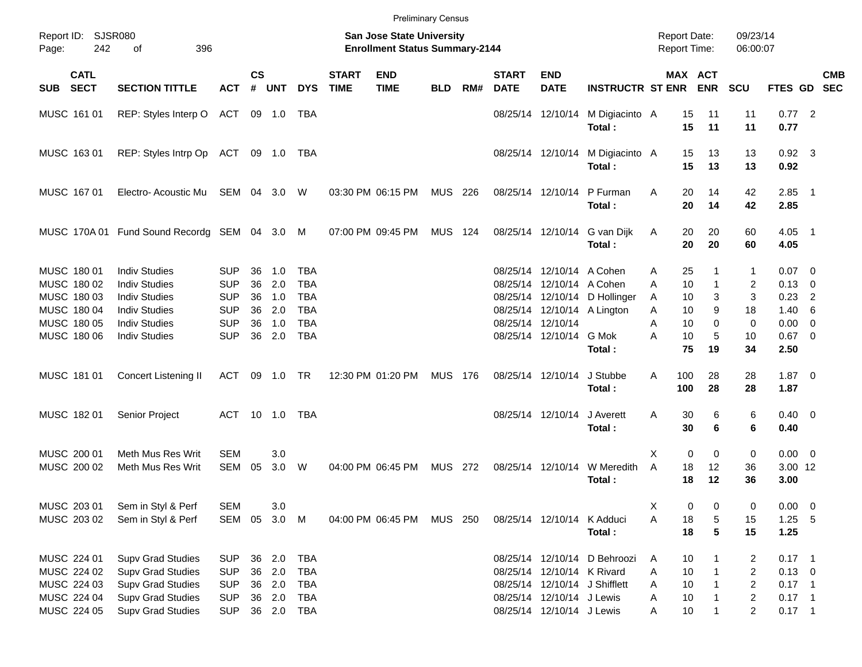|                                                                         |                            |                                                                                                                                          |                                                                    |                            |                                      |                                                             |                             |                                                                    | <b>Preliminary Census</b> |     |                             |                                                                                      |                                                               |                                                     |                                         |                                                                                                      |                                                                |                |            |
|-------------------------------------------------------------------------|----------------------------|------------------------------------------------------------------------------------------------------------------------------------------|--------------------------------------------------------------------|----------------------------|--------------------------------------|-------------------------------------------------------------|-----------------------------|--------------------------------------------------------------------|---------------------------|-----|-----------------------------|--------------------------------------------------------------------------------------|---------------------------------------------------------------|-----------------------------------------------------|-----------------------------------------|------------------------------------------------------------------------------------------------------|----------------------------------------------------------------|----------------|------------|
| Report ID: SJSR080<br>Page:                                             | 242                        | 396<br>of                                                                                                                                |                                                                    |                            |                                      |                                                             |                             | San Jose State University<br><b>Enrollment Status Summary-2144</b> |                           |     |                             |                                                                                      |                                                               | <b>Report Date:</b><br><b>Report Time:</b>          |                                         | 09/23/14<br>06:00:07                                                                                 |                                                                |                |            |
| <b>SUB</b>                                                              | <b>CATL</b><br><b>SECT</b> | <b>SECTION TITTLE</b>                                                                                                                    | <b>ACT</b>                                                         | $\mathsf{cs}$<br>#         | <b>UNT</b>                           | <b>DYS</b>                                                  | <b>START</b><br><b>TIME</b> | <b>END</b><br><b>TIME</b>                                          | <b>BLD</b>                | RM# | <b>START</b><br><b>DATE</b> | <b>END</b><br><b>DATE</b>                                                            | <b>INSTRUCTR ST ENR</b>                                       |                                                     | MAX ACT<br><b>ENR</b>                   | <b>SCU</b>                                                                                           | FTES GD SEC                                                    |                | <b>CMB</b> |
| MUSC 161 01                                                             |                            | REP: Styles Interp O ACT 09 1.0                                                                                                          |                                                                    |                            |                                      | TBA                                                         |                             |                                                                    |                           |     |                             | 08/25/14 12/10/14                                                                    | M Digiacinto A<br>Total:                                      | 15<br>15                                            | 11<br>11                                | 11<br>11                                                                                             | $0.77$ 2<br>0.77                                               |                |            |
| MUSC 163 01                                                             |                            | REP: Styles Intrp Op ACT 09 1.0 TBA                                                                                                      |                                                                    |                            |                                      |                                                             |                             |                                                                    |                           |     |                             | 08/25/14 12/10/14                                                                    | M Digiacinto A<br>Total:                                      | 15<br>15                                            | 13<br>13                                | 13<br>13                                                                                             | $0.92$ 3<br>0.92                                               |                |            |
| MUSC 167 01                                                             |                            | Electro-Acoustic Mu                                                                                                                      | SEM 04 3.0                                                         |                            |                                      | W                                                           |                             | 03:30 PM 06:15 PM                                                  | MUS 226                   |     |                             | 08/25/14 12/10/14                                                                    | P Furman<br>Total:                                            | 20<br>A<br>20                                       | 14<br>14                                | 42<br>42                                                                                             | $2.85$ 1<br>2.85                                               |                |            |
|                                                                         |                            | MUSC 170A 01 Fund Sound Recordg SEM 04 3.0 M                                                                                             |                                                                    |                            |                                      |                                                             |                             | 07:00 PM 09:45 PM                                                  | MUS 124                   |     |                             |                                                                                      | 08/25/14 12/10/14 G van Dijk<br>Total:                        | 20<br>Α<br>20                                       | 20<br>20                                | 60<br>60                                                                                             | $4.05$ 1<br>4.05                                               |                |            |
| MUSC 180 01<br>MUSC 180 02<br>MUSC 180 03<br>MUSC 180 04<br>MUSC 180 05 |                            | <b>Indiv Studies</b><br><b>Indiv Studies</b><br><b>Indiv Studies</b><br><b>Indiv Studies</b><br><b>Indiv Studies</b>                     | <b>SUP</b><br><b>SUP</b><br><b>SUP</b><br><b>SUP</b><br><b>SUP</b> | 36<br>36<br>36<br>36<br>36 | 1.0<br>2.0<br>1.0<br>2.0<br>1.0      | TBA<br><b>TBA</b><br><b>TBA</b><br><b>TBA</b><br><b>TBA</b> |                             |                                                                    |                           |     |                             | 08/25/14 12/10/14 A Cohen<br>08/25/14 12/10/14 A Cohen<br>08/25/14 12/10/14          | 08/25/14 12/10/14 D Hollinger<br>08/25/14 12/10/14 A Lington  | 25<br>Α<br>10<br>A<br>10<br>A<br>A<br>10<br>10<br>Α | 1<br>$\mathbf{1}$<br>3<br>9<br>$\Omega$ | 1<br>2<br>3<br>18<br>0                                                                               | $0.07$ 0<br>$0.13 \quad 0$<br>0.23<br>$1.40\ 6$<br>$0.00 \t 0$ | $\overline{2}$ |            |
| MUSC 180 06                                                             |                            | <b>Indiv Studies</b>                                                                                                                     | <b>SUP</b>                                                         | 36                         | 2.0                                  | <b>TBA</b>                                                  |                             |                                                                    |                           |     |                             | 08/25/14 12/10/14 G Mok                                                              | Total:                                                        | 10<br>А<br>75                                       | 5<br>19                                 | 10<br>34                                                                                             | $0.67$ 0<br>2.50                                               |                |            |
| MUSC 181 01                                                             |                            | Concert Listening II                                                                                                                     | ACT                                                                | 09                         | 1.0 TR                               |                                                             |                             | 12:30 PM 01:20 PM                                                  | <b>MUS 176</b>            |     |                             | 08/25/14 12/10/14                                                                    | J Stubbe<br>Total:                                            | 100<br>A<br>100                                     | 28<br>28                                | 28<br>28                                                                                             | $1.87 \t 0$<br>1.87                                            |                |            |
| MUSC 182 01                                                             |                            | Senior Project                                                                                                                           | ACT 10 1.0                                                         |                            |                                      | TBA                                                         |                             |                                                                    |                           |     |                             | 08/25/14 12/10/14                                                                    | J Averett<br>Total:                                           | A<br>30<br>30                                       | 6<br>6                                  | 6<br>6                                                                                               | $0.40 \quad 0$<br>0.40                                         |                |            |
| MUSC 200 01<br>MUSC 200 02                                              |                            | Meth Mus Res Writ<br>Meth Mus Res Writ                                                                                                   | <b>SEM</b><br><b>SEM</b>                                           | 05                         | 3.0<br>3.0                           | W                                                           |                             | 04:00 PM 06:45 PM                                                  | MUS 272                   |     |                             | 08/25/14 12/10/14                                                                    | W Meredith<br>Total:                                          | 0<br>X<br>A<br>18<br>18                             | 0<br>12<br>12                           | 0<br>36<br>36                                                                                        | $0.00 \t 0$<br>3.00 12<br>3.00                                 |                |            |
| MUSC 203 01<br>MUSC 203 02                                              |                            | Sem in Styl & Perf<br>Sem in Styl & Perf                                                                                                 | <b>SEM</b><br>SEM                                                  | 05                         | 3.0<br>3.0 M                         |                                                             |                             | 04:00 PM 06:45 PM                                                  | MUS 250                   |     |                             | 08/25/14 12/10/14 K Adduci                                                           | Total:                                                        | Χ<br>0<br>Α<br>18<br>18                             | 0<br>5<br>5                             | 0<br>15<br>15                                                                                        | $0.00 \t 0$<br>$1.25 - 5$<br>1.25                              |                |            |
| MUSC 224 01<br>MUSC 224 02<br>MUSC 224 03<br>MUSC 224 04<br>MUSC 224 05 |                            | <b>Supv Grad Studies</b><br><b>Supv Grad Studies</b><br><b>Supv Grad Studies</b><br><b>Supv Grad Studies</b><br><b>Supv Grad Studies</b> | <b>SUP</b><br><b>SUP</b><br><b>SUP</b><br><b>SUP</b><br><b>SUP</b> |                            | 36 2.0<br>36 2.0<br>36 2.0<br>36 2.0 | <b>TBA</b><br>TBA<br>TBA<br>TBA<br>36 2.0 TBA               |                             |                                                                    |                           |     |                             | 08/25/14 12/10/14 K Rivard<br>08/25/14 12/10/14 J Lewis<br>08/25/14 12/10/14 J Lewis | 08/25/14 12/10/14 D Behroozi<br>08/25/14 12/10/14 J Shifflett | 10<br>A<br>10<br>Α<br>10<br>Α<br>Α<br>10<br>10<br>Α | 1                                       | 2<br>$\overline{\mathbf{c}}$<br>$\overline{\mathbf{c}}$<br>$\overline{\mathbf{c}}$<br>$\overline{c}$ | $0.17$ 1<br>$0.13 \ 0$<br>$0.17$ 1<br>$0.17$ 1<br>$0.17$ 1     |                |            |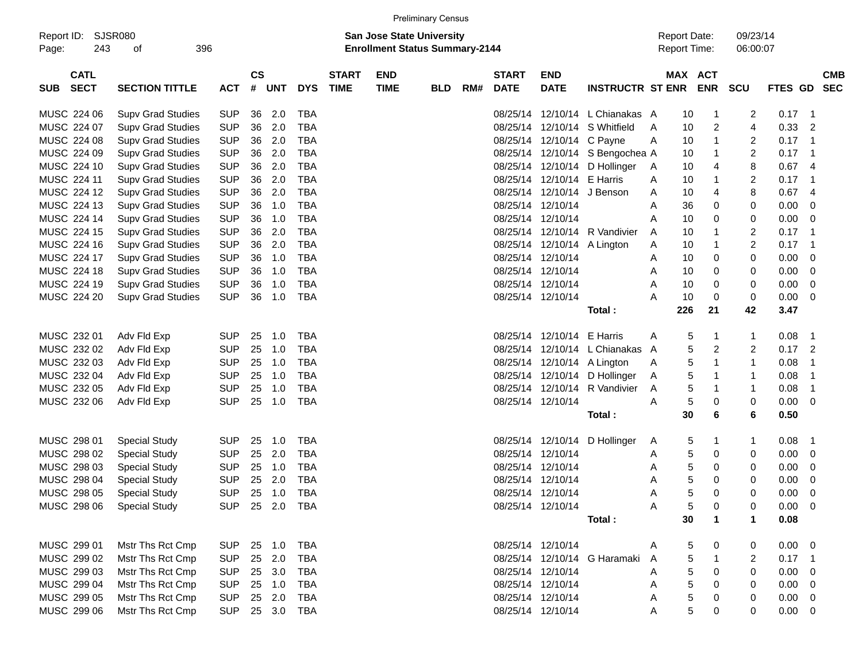|                                          |                             |            |                    |            |                |                             |                                                                           | <b>Preliminary Census</b> |     |                             |                             |                                 |   |                                            |                      |                      |             |                            |            |
|------------------------------------------|-----------------------------|------------|--------------------|------------|----------------|-----------------------------|---------------------------------------------------------------------------|---------------------------|-----|-----------------------------|-----------------------------|---------------------------------|---|--------------------------------------------|----------------------|----------------------|-------------|----------------------------|------------|
| Report ID:<br>Page:                      | SJSR080<br>243<br>396<br>οf |            |                    |            |                |                             | <b>San Jose State University</b><br><b>Enrollment Status Summary-2144</b> |                           |     |                             |                             |                                 |   | <b>Report Date:</b><br><b>Report Time:</b> |                      | 09/23/14<br>06:00:07 |             |                            |            |
| <b>CATL</b><br><b>SECT</b><br><b>SUB</b> | <b>SECTION TITTLE</b>       | <b>ACT</b> | $\mathsf{cs}$<br># | <b>UNT</b> | <b>DYS</b>     | <b>START</b><br><b>TIME</b> | <b>END</b><br><b>TIME</b>                                                 | <b>BLD</b>                | RM# | <b>START</b><br><b>DATE</b> | <b>END</b><br><b>DATE</b>   | <b>INSTRUCTR ST ENR</b>         |   | MAX ACT                                    | <b>ENR</b>           | <b>SCU</b>           | FTES GD SEC |                            | <b>CMB</b> |
| MUSC 224 06                              | <b>Supv Grad Studies</b>    | <b>SUP</b> | 36                 | 2.0        | <b>TBA</b>     |                             |                                                                           |                           |     |                             |                             | 08/25/14 12/10/14 L Chianakas A |   | 10                                         | -1                   | $\overline{c}$       | $0.17$ 1    |                            |            |
| MUSC 224 07                              | <b>Supv Grad Studies</b>    | <b>SUP</b> | 36                 | 2.0        | <b>TBA</b>     |                             |                                                                           |                           |     |                             |                             | 08/25/14 12/10/14 S Whitfield   | Α | 10                                         | 2                    | $\overline{4}$       | 0.33        | $\overline{2}$             |            |
| MUSC 224 08                              | <b>Supv Grad Studies</b>    | <b>SUP</b> | 36                 | 2.0        | <b>TBA</b>     |                             |                                                                           |                           |     |                             | 08/25/14 12/10/14 C Payne   |                                 | A | 10                                         | 1                    | 2                    | 0.17        | $\overline{\phantom{0}}$ 1 |            |
| MUSC 224 09                              | <b>Supv Grad Studies</b>    | <b>SUP</b> | 36                 | 2.0        | <b>TBA</b>     |                             |                                                                           |                           |     |                             |                             | 08/25/14 12/10/14 S Bengochea A |   | 10                                         | 1                    | 2                    | 0.17        | - 1                        |            |
| MUSC 224 10                              | <b>Supv Grad Studies</b>    | <b>SUP</b> | 36                 | 2.0        | <b>TBA</b>     |                             |                                                                           |                           |     |                             |                             | 08/25/14 12/10/14 D Hollinger   | A | 10                                         | 4                    | 8                    | 0.67        | - 4                        |            |
| MUSC 224 11                              | <b>Supv Grad Studies</b>    | <b>SUP</b> | 36                 | 2.0        | <b>TBA</b>     |                             |                                                                           |                           |     |                             | 08/25/14 12/10/14 E Harris  |                                 | A | 10                                         | 1                    | 2                    | 0.17        | - 1                        |            |
| MUSC 224 12                              | <b>Supv Grad Studies</b>    | <b>SUP</b> | 36                 | 2.0        | <b>TBA</b>     |                             |                                                                           |                           |     |                             | 08/25/14 12/10/14 J Benson  |                                 | A | 10                                         | 4                    | 8                    | 0.67        | -4                         |            |
| MUSC 224 13                              | <b>Supv Grad Studies</b>    | <b>SUP</b> | 36                 | 1.0        | <b>TBA</b>     |                             |                                                                           |                           |     |                             | 08/25/14 12/10/14           |                                 | Α | 36                                         | 0                    | 0                    | 0.00        | 0                          |            |
| MUSC 224 14                              | <b>Supv Grad Studies</b>    | <b>SUP</b> | 36                 | 1.0        | <b>TBA</b>     |                             |                                                                           |                           |     |                             | 08/25/14 12/10/14           |                                 | A | 10                                         | 0                    | 0                    | 0.00        | - 0                        |            |
| MUSC 224 15                              | <b>Supv Grad Studies</b>    | <b>SUP</b> | 36                 | 2.0        | <b>TBA</b>     |                             |                                                                           |                           |     |                             |                             | 08/25/14 12/10/14 R Vandivier   | A | 10                                         | -1                   | 2                    | 0.17        | - 1                        |            |
| MUSC 224 16                              | <b>Supv Grad Studies</b>    | <b>SUP</b> | 36                 | 2.0        | <b>TBA</b>     |                             |                                                                           |                           |     |                             | 08/25/14 12/10/14 A Lington |                                 | Α | 10                                         | 1                    | 2                    | 0.17        | - 1                        |            |
| MUSC 224 17                              | <b>Supv Grad Studies</b>    | <b>SUP</b> | 36                 | 1.0        | <b>TBA</b>     |                             |                                                                           |                           |     |                             | 08/25/14 12/10/14           |                                 | Α | 10                                         | 0                    | 0                    | 0.00        | 0                          |            |
| MUSC 224 18                              | <b>Supv Grad Studies</b>    | <b>SUP</b> | 36                 | 1.0        | <b>TBA</b>     |                             |                                                                           |                           |     |                             | 08/25/14 12/10/14           |                                 | A | 10                                         | 0                    | 0                    | 0.00        | 0                          |            |
| MUSC 224 19                              | <b>Supv Grad Studies</b>    | <b>SUP</b> | 36                 | 1.0        | <b>TBA</b>     |                             |                                                                           |                           |     |                             | 08/25/14 12/10/14           |                                 | Α | 10                                         | 0                    | 0                    | 0.00        | 0                          |            |
| MUSC 224 20                              | <b>Supv Grad Studies</b>    | <b>SUP</b> | 36                 | 1.0        | <b>TBA</b>     |                             |                                                                           |                           |     |                             | 08/25/14 12/10/14           |                                 | А | 10                                         | 0                    | 0                    | 0.00        | - 0                        |            |
|                                          |                             |            |                    |            |                |                             |                                                                           |                           |     |                             |                             | Total:                          |   | 226                                        | 21                   | 42                   | 3.47        |                            |            |
| MUSC 232 01                              | Adv Fld Exp                 | <b>SUP</b> | 25                 | 1.0        | <b>TBA</b>     |                             |                                                                           |                           |     |                             | 08/25/14 12/10/14 E Harris  |                                 | A | 5                                          | 1                    | $\mathbf{1}$         | 0.08        | - 1                        |            |
| MUSC 232 02                              | Adv Fld Exp                 | <b>SUP</b> | 25                 | 1.0        | <b>TBA</b>     |                             |                                                                           |                           |     |                             |                             | 08/25/14 12/10/14 L Chianakas   | A | 5                                          | 2                    | 2                    | 0.17        | $\overline{2}$             |            |
| MUSC 232 03                              | Adv Fld Exp                 | <b>SUP</b> | 25                 | 1.0        | <b>TBA</b>     |                             |                                                                           |                           |     |                             | 08/25/14 12/10/14 A Lington |                                 | A | 5                                          | 1                    | $\mathbf{1}$         | 0.08        | -1                         |            |
| MUSC 232 04                              | Adv Fld Exp                 | <b>SUP</b> | 25                 | 1.0        | <b>TBA</b>     |                             |                                                                           |                           |     |                             |                             | 08/25/14 12/10/14 D Hollinger   | A | 5                                          | 1                    | $\mathbf{1}$         | 0.08        | -1                         |            |
| MUSC 232 05                              | Adv Fld Exp                 | <b>SUP</b> | 25                 | 1.0        | <b>TBA</b>     |                             |                                                                           |                           |     |                             |                             | 08/25/14 12/10/14 R Vandivier   | A | 5                                          | 1                    | $\mathbf{1}$         | 0.08        | -1                         |            |
| MUSC 232 06                              | Adv Fld Exp                 | <b>SUP</b> | 25                 | 1.0        | <b>TBA</b>     |                             |                                                                           |                           |     |                             | 08/25/14 12/10/14           |                                 | Α | 5                                          | 0                    | 0                    | 0.00        | $\overline{\mathbf{0}}$    |            |
|                                          |                             |            |                    |            |                |                             |                                                                           |                           |     |                             |                             | Total:                          |   | 30                                         | 6                    | 6                    | 0.50        |                            |            |
| MUSC 298 01                              | <b>Special Study</b>        | <b>SUP</b> | 25                 | 1.0        | <b>TBA</b>     |                             |                                                                           |                           |     |                             |                             | 08/25/14 12/10/14 D Hollinger   | A | 5                                          | 1                    | $\mathbf{1}$         | 0.08        | - 1                        |            |
| MUSC 298 02                              | <b>Special Study</b>        | <b>SUP</b> | 25                 | 2.0        | <b>TBA</b>     |                             |                                                                           |                           |     |                             | 08/25/14 12/10/14           |                                 | Α | 5                                          | 0                    | 0                    | 0.00        | 0                          |            |
| MUSC 298 03                              | <b>Special Study</b>        | <b>SUP</b> | 25                 | 1.0        | <b>TBA</b>     |                             |                                                                           |                           |     |                             | 08/25/14 12/10/14           |                                 | Α | 5                                          | 0                    | 0                    | 0.00        | 0                          |            |
| MUSC 298 04                              | <b>Special Study</b>        | <b>SUP</b> | 25                 | 2.0        | <b>TBA</b>     |                             |                                                                           |                           |     |                             | 08/25/14 12/10/14           |                                 | Α | 5                                          | 0                    | 0                    | 0.00        | 0                          |            |
| MUSC 298 05                              | <b>Special Study</b>        | <b>SUP</b> | 25                 | 1.0        | <b>TBA</b>     |                             |                                                                           |                           |     |                             | 08/25/14 12/10/14           |                                 | Α | 5                                          | 0                    | 0                    | 0.00        | 0                          |            |
| MUSC 298 06                              | <b>Special Study</b>        |            |                    |            | SUP 25 2.0 TBA |                             |                                                                           |                           |     |                             | 08/25/14 12/10/14           |                                 | Α | 5                                          | 0                    | 0                    | $0.00 \t 0$ |                            |            |
|                                          |                             |            |                    |            |                |                             |                                                                           |                           |     |                             |                             | Total:                          |   | 30                                         | $\blacktriangleleft$ | $\mathbf{1}$         | 0.08        |                            |            |
| MUSC 299 01                              | Mstr Ths Rct Cmp            | <b>SUP</b> |                    | 25 1.0     | TBA            |                             |                                                                           |                           |     |                             | 08/25/14 12/10/14           |                                 | A | 5                                          | 0                    | 0                    | $0.00 \t 0$ |                            |            |
| MUSC 299 02                              | Mstr Ths Rct Cmp            | <b>SUP</b> |                    | 25 2.0     | TBA            |                             |                                                                           |                           |     |                             |                             | 08/25/14 12/10/14 G Haramaki    | A | 5                                          |                      | 2                    | $0.17$ 1    |                            |            |
| MUSC 299 03                              | Mstr Ths Rct Cmp            | <b>SUP</b> |                    | 25 3.0     | TBA            |                             |                                                                           |                           |     |                             | 08/25/14 12/10/14           |                                 | A | 5                                          | 0                    | 0                    | $0.00 \t 0$ |                            |            |
| MUSC 299 04                              | Mstr Ths Rct Cmp            | <b>SUP</b> |                    | 25 1.0     | TBA            |                             |                                                                           |                           |     |                             | 08/25/14 12/10/14           |                                 | Α | 5                                          | 0                    | 0                    | $0.00 \t 0$ |                            |            |
| MUSC 299 05                              | Mstr Ths Rct Cmp            | <b>SUP</b> |                    | 25 2.0     | TBA            |                             |                                                                           |                           |     |                             | 08/25/14 12/10/14           |                                 | Α | 5                                          | 0                    | 0                    | $0.00 \t 0$ |                            |            |
| MUSC 299 06                              | Mstr Ths Rct Cmp            | <b>SUP</b> |                    |            | 25 3.0 TBA     |                             |                                                                           |                           |     |                             | 08/25/14 12/10/14           |                                 | A | 5                                          | 0                    | 0                    | $0.00 \t 0$ |                            |            |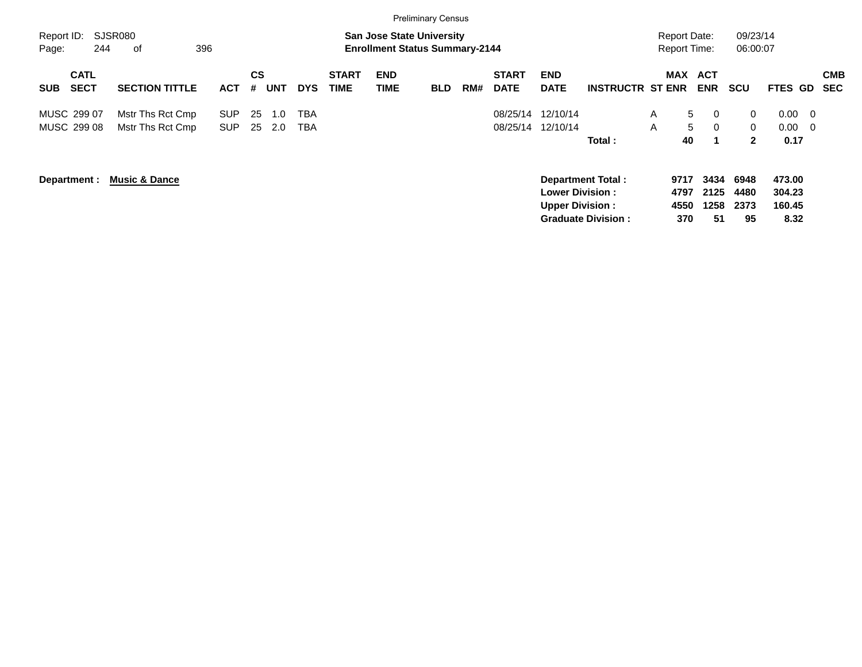|                                          |                                      |                          |          |            |                          |                             |                           | <b>Preliminary Census</b>                                                 |     |                             |                                                  |                                                       |                                            |                                          |                                              |                                                         |                          |
|------------------------------------------|--------------------------------------|--------------------------|----------|------------|--------------------------|-----------------------------|---------------------------|---------------------------------------------------------------------------|-----|-----------------------------|--------------------------------------------------|-------------------------------------------------------|--------------------------------------------|------------------------------------------|----------------------------------------------|---------------------------------------------------------|--------------------------|
| Report ID:<br>244<br>Page:               | SJSR080<br>396<br>οf                 |                          |          |            |                          |                             |                           | <b>San Jose State University</b><br><b>Enrollment Status Summary-2144</b> |     |                             |                                                  |                                                       | <b>Report Date:</b><br><b>Report Time:</b> |                                          | 09/23/14<br>06:00:07                         |                                                         |                          |
| <b>CATL</b><br><b>SECT</b><br><b>SUB</b> | <b>SECTION TITTLE</b>                | <b>ACT</b>               | CS<br>#  | <b>UNT</b> | <b>DYS</b>               | <b>START</b><br><b>TIME</b> | <b>END</b><br><b>TIME</b> | <b>BLD</b>                                                                | RM# | <b>START</b><br><b>DATE</b> | <b>END</b><br><b>DATE</b>                        | <b>INSTRUCTR ST ENR</b>                               | MAX                                        | <b>ACT</b><br><b>ENR</b>                 | <b>SCU</b>                                   | FTES GD                                                 | <b>CMB</b><br><b>SEC</b> |
| MUSC 299 07<br>MUSC 299 08               | Mstr Ths Rct Cmp<br>Mstr Ths Rct Cmp | <b>SUP</b><br><b>SUP</b> | 25<br>25 | 1.0<br>2.0 | <b>TBA</b><br><b>TBA</b> |                             |                           |                                                                           |     | 08/25/14<br>08/25/14        | 12/10/14<br>12/10/14                             | Total:                                                | A<br>A<br>40                               | $5^{\circ}$<br>$\Omega$<br>5<br>$\Omega$ | $\mathbf{0}$<br>$\mathbf{0}$<br>$\mathbf{2}$ | 0.00<br>$\overline{\phantom{0}}$<br>0.00<br>- 0<br>0.17 |                          |
| Department :                             | <b>Music &amp; Dance</b>             |                          |          |            |                          |                             |                           |                                                                           |     |                             | <b>Lower Division:</b><br><b>Upper Division:</b> | <b>Department Total:</b><br><b>Graduate Division:</b> | 9717<br>4797<br>4550<br>370                | 3434<br>2125<br>1258<br>51               | 6948<br>4480<br>2373<br>95                   | 473.00<br>304.23<br>160.45<br>8.32                      |                          |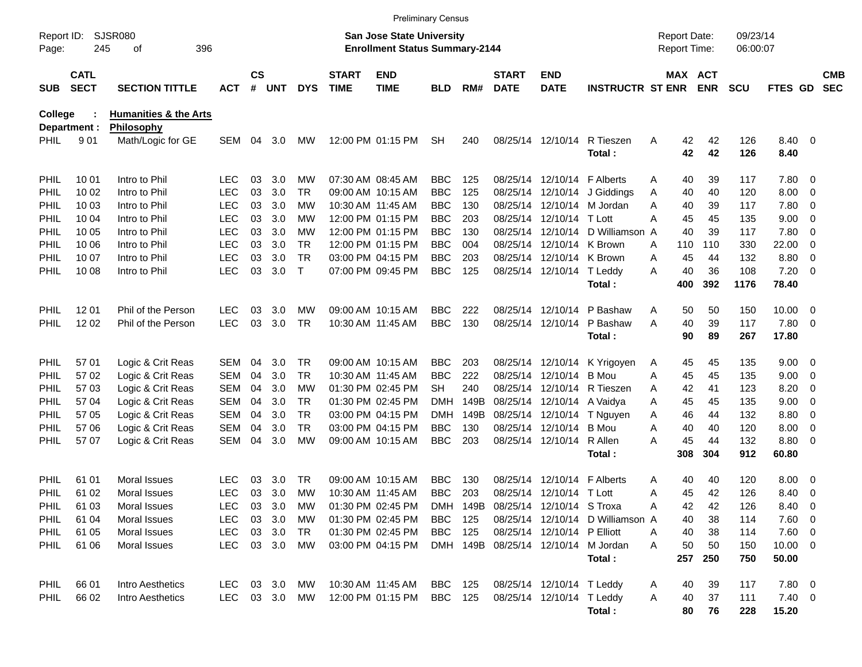|                |                                                  |                                  |            |                    |            |              |                             |                                                                           | <b>Preliminary Census</b> |          |                             |                             |                                     |                                     |                       |                      |                |                          |                          |
|----------------|--------------------------------------------------|----------------------------------|------------|--------------------|------------|--------------|-----------------------------|---------------------------------------------------------------------------|---------------------------|----------|-----------------------------|-----------------------------|-------------------------------------|-------------------------------------|-----------------------|----------------------|----------------|--------------------------|--------------------------|
| Page:          | <b>SJSR080</b><br>Report ID:<br>245<br>396<br>оf |                                  |            |                    |            |              |                             | <b>San Jose State University</b><br><b>Enrollment Status Summary-2144</b> |                           |          |                             |                             |                                     | <b>Report Date:</b><br>Report Time: |                       | 09/23/14<br>06:00:07 |                |                          |                          |
| <b>SUB</b>     | <b>CATL</b><br><b>SECT</b>                       | <b>SECTION TITTLE</b>            | <b>ACT</b> | $\mathsf{cs}$<br># | <b>UNT</b> | <b>DYS</b>   | <b>START</b><br><b>TIME</b> | <b>END</b><br><b>TIME</b>                                                 | <b>BLD</b>                | RM#      | <b>START</b><br><b>DATE</b> | <b>END</b><br><b>DATE</b>   | <b>INSTRUCTR ST ENR</b>             |                                     | MAX ACT<br><b>ENR</b> | <b>SCU</b>           | FTES GD        |                          | <b>CMB</b><br><b>SEC</b> |
| <b>College</b> |                                                  | <b>Humanities &amp; the Arts</b> |            |                    |            |              |                             |                                                                           |                           |          |                             |                             |                                     |                                     |                       |                      |                |                          |                          |
|                | Department :                                     | Philosophy                       |            |                    |            |              |                             |                                                                           |                           |          |                             |                             |                                     |                                     |                       |                      |                |                          |                          |
| PHIL           | 901                                              | Math/Logic for GE                | SEM        | 04                 | 3.0        | <b>MW</b>    |                             | 12:00 PM 01:15 PM                                                         | <b>SH</b>                 | 240      |                             | 08/25/14 12/10/14           | R Tieszen<br>Total:                 | Α                                   | 42<br>42<br>42<br>42  | 126<br>126           | 8.40 0<br>8.40 |                          |                          |
| PHIL           | 10 01                                            | Intro to Phil                    | LEC        | 03                 | 3.0        | MW           |                             | 07:30 AM 08:45 AM                                                         | <b>BBC</b>                | 125      |                             | 08/25/14 12/10/14 F Alberts |                                     | 40<br>Α                             | 39                    | 117                  | 7.80 0         |                          |                          |
| PHIL           | 10 02                                            | Intro to Phil                    | <b>LEC</b> | 03                 | 3.0        | TR           |                             | 09:00 AM 10:15 AM                                                         | <b>BBC</b>                | 125      |                             |                             | 08/25/14 12/10/14 J Giddings        | 40<br>Α                             | 40                    | 120                  | 8.00           | $\overline{\mathbf{0}}$  |                          |
| PHIL           | 10 03                                            | Intro to Phil                    | <b>LEC</b> | 03                 | 3.0        | МW           |                             | 10:30 AM 11:45 AM                                                         | <b>BBC</b>                | 130      |                             |                             | 08/25/14 12/10/14 M Jordan          | Α<br>40                             | 39                    | 117                  | 7.80           | $\overline{\phantom{0}}$ |                          |
| PHIL           | 10 04                                            | Intro to Phil                    | <b>LEC</b> | 03                 | 3.0        | MW           |                             | 12:00 PM 01:15 PM                                                         | <b>BBC</b>                | 203      |                             | 08/25/14 12/10/14 T Lott    |                                     | Α<br>45                             | 45                    | 135                  | 9.00           | 0                        |                          |
| PHIL           | 10 05                                            | Intro to Phil                    | <b>LEC</b> | 03                 | 3.0        | MW           |                             | 12:00 PM 01:15 PM                                                         | <b>BBC</b>                | 130      |                             |                             | 08/25/14 12/10/14 D Williamson A    | 40                                  | 39                    | 117                  | 7.80           | $\overline{\phantom{0}}$ |                          |
| PHIL           | 10 06                                            | Intro to Phil                    | <b>LEC</b> | 03                 | 3.0        | <b>TR</b>    |                             | 12:00 PM 01:15 PM                                                         | <b>BBC</b>                | 004      |                             | 08/25/14 12/10/14 K Brown   |                                     | 110<br>A                            | 110                   | 330                  | 22.00          | $\overline{0}$           |                          |
| PHIL           | 10 07                                            | Intro to Phil                    | <b>LEC</b> | 03                 | 3.0        | <b>TR</b>    |                             | 03:00 PM 04:15 PM                                                         | <b>BBC</b>                | 203      |                             | 08/25/14 12/10/14 K Brown   |                                     | 45<br>Α                             | 44                    | 132                  | 8.80           | 0                        |                          |
| PHIL           | 10 08                                            | Intro to Phil                    | <b>LEC</b> | 03                 | 3.0        | $\mathsf{T}$ |                             | 07:00 PM 09:45 PM                                                         | <b>BBC</b>                | 125      |                             | 08/25/14 12/10/14 T Leddy   |                                     | 40<br>A                             | 36                    | 108                  | 7.20           | $\overline{\phantom{0}}$ |                          |
|                |                                                  |                                  |            |                    |            |              |                             |                                                                           |                           |          |                             |                             | Total:                              | 400                                 | 392                   | 1176                 | 78.40          |                          |                          |
| <b>PHIL</b>    | 12 01                                            | Phil of the Person               | <b>LEC</b> | 03                 | 3.0        | MW           |                             | 09:00 AM 10:15 AM                                                         | <b>BBC</b>                | 222      |                             | 08/25/14 12/10/14           | P Bashaw                            | 50<br>Α                             | 50                    | 150                  | $10.00 \t 0$   |                          |                          |
| <b>PHIL</b>    | 12 02                                            | Phil of the Person               | <b>LEC</b> | 03                 | 3.0        | <b>TR</b>    |                             | 10:30 AM 11:45 AM                                                         | <b>BBC</b>                | 130      |                             | 08/25/14 12/10/14           | P Bashaw                            | A<br>40                             | 39                    | 117                  | 7.80 0         |                          |                          |
|                |                                                  |                                  |            |                    |            |              |                             |                                                                           |                           |          |                             |                             | Total:                              | 90                                  | 89                    | 267                  | 17.80          |                          |                          |
| PHIL           | 57 01                                            | Logic & Crit Reas                | <b>SEM</b> | 04                 | 3.0        | <b>TR</b>    |                             | 09:00 AM 10:15 AM                                                         | <b>BBC</b>                | 203      |                             |                             | 08/25/14 12/10/14 K Yrigoyen        | 45<br>A                             | 45                    | 135                  | $9.00 \t 0$    |                          |                          |
| PHIL           | 57 02                                            | Logic & Crit Reas                | <b>SEM</b> | 04                 | 3.0        | <b>TR</b>    |                             | 10:30 AM 11:45 AM                                                         | <b>BBC</b>                | 222      |                             | 08/25/14 12/10/14           | B Mou                               | Α<br>45                             | 45                    | 135                  | 9.00           | $\overline{\phantom{0}}$ |                          |
| <b>PHIL</b>    | 57 03                                            | Logic & Crit Reas                | <b>SEM</b> | 04                 | 3.0        | МW           |                             | 01:30 PM 02:45 PM                                                         | SН                        | 240      |                             |                             | 08/25/14 12/10/14 R Tieszen         | 42<br>Α                             | 41                    | 123                  | 8.20           | 0                        |                          |
| PHIL           | 57 04                                            | Logic & Crit Reas                | <b>SEM</b> | 04                 | 3.0        | <b>TR</b>    |                             | 01:30 PM 02:45 PM                                                         | DMH                       | 149B     |                             | 08/25/14 12/10/14 A Vaidya  |                                     | Α<br>45                             | 45                    | 135                  | 9.00           | 0                        |                          |
| PHIL           | 57 05                                            | Logic & Crit Reas                | <b>SEM</b> | 04                 | 3.0        | <b>TR</b>    |                             | 03:00 PM 04:15 PM                                                         | <b>DMH</b>                | 149B     |                             |                             | 08/25/14 12/10/14 T Nguyen          | 46<br>Α                             | 44                    | 132                  | 8.80           | 0                        |                          |
| PHIL           | 57 06                                            | Logic & Crit Reas                | <b>SEM</b> | 04                 | 3.0        | <b>TR</b>    |                             | 03:00 PM 04:15 PM                                                         | <b>BBC</b>                | 130      |                             | 08/25/14 12/10/14 B Mou     |                                     | 40<br>Α                             | 40                    | 120                  | 8.00           | $\overline{\mathbf{0}}$  |                          |
| PHIL           | 57 07                                            | Logic & Crit Reas                | <b>SEM</b> | 04                 | 3.0        | <b>MW</b>    |                             | 09:00 AM 10:15 AM                                                         | <b>BBC</b>                | 203      |                             | 08/25/14 12/10/14 R Allen   |                                     | 45<br>А                             | 44                    | 132                  | 8.80           | $\overline{\phantom{0}}$ |                          |
|                |                                                  |                                  |            |                    |            |              |                             |                                                                           |                           |          |                             |                             | Total:                              | 308                                 | 304                   | 912                  | 60.80          |                          |                          |
| PHIL           | 61 01                                            | Moral Issues                     | LEC        | 03                 | 3.0        | TR           |                             | 09:00 AM 10:15 AM                                                         | <b>BBC</b>                | 130      | 08/25/14                    | 12/10/14                    | <b>F</b> Alberts                    | 40<br>Α                             | 40                    | 120                  | 8.00           | $\overline{\phantom{0}}$ |                          |
| PHIL           | 61 02                                            | Moral Issues                     | <b>LEC</b> | 03                 | 3.0        | MW           |                             | 10:30 AM 11:45 AM                                                         | <b>BBC</b>                | 203      |                             | 08/25/14 12/10/14 T Lott    |                                     | 45<br>Α                             | 42                    | 126                  | 8.40           | $\overline{\phantom{0}}$ |                          |
| PHIL           | 61 03                                            | Moral Issues                     | LEC        |                    | 03 3.0     | MW           |                             | 01:30 PM 02:45 PM                                                         |                           | DMH 149B |                             | 08/25/14 12/10/14 S Troxa   |                                     | 42<br>Α                             | 42                    | 126                  | 8.40           | $\overline{\phantom{0}}$ |                          |
| <b>PHIL</b>    | 61 04                                            | Moral Issues                     | <b>LEC</b> |                    | 03 3.0     | МW           |                             | 01:30 PM 02:45 PM                                                         | BBC                       | 125      |                             |                             | 08/25/14 12/10/14 D Williamson A    | 40                                  | 38                    | 114                  | 7.60 0         |                          |                          |
| <b>PHIL</b>    | 61 05                                            | Moral Issues                     | <b>LEC</b> |                    | 03 3.0     | TR           |                             | 01:30 PM 02:45 PM                                                         | BBC 125                   |          |                             | 08/25/14 12/10/14 P Elliott |                                     | 40<br>Α                             | 38                    | 114                  | $7.60$ 0       |                          |                          |
| <b>PHIL</b>    | 61 06                                            | Moral Issues                     | <b>LEC</b> |                    | 03 3.0     | MW           |                             | 03:00 PM 04:15 PM                                                         |                           |          |                             |                             | DMH 149B 08/25/14 12/10/14 M Jordan | 50<br>Α                             | 50                    | 150                  | $10.00 \t 0$   |                          |                          |
|                |                                                  |                                  |            |                    |            |              |                             |                                                                           |                           |          |                             |                             | Total:                              | 257                                 | 250                   | 750                  | 50.00          |                          |                          |
| <b>PHIL</b>    | 66 01                                            | Intro Aesthetics                 | LEC        |                    | 03 3.0     | МW           |                             | 10:30 AM 11:45 AM                                                         | <b>BBC</b> 125            |          |                             | 08/25/14 12/10/14 T Leddy   |                                     | 40<br>Α                             | 39                    | 117                  | 7.80 0         |                          |                          |
| <b>PHIL</b>    | 66 02                                            | Intro Aesthetics                 | <b>LEC</b> |                    | 03 3.0     | МW           |                             | 12:00 PM 01:15 PM                                                         | BBC 125                   |          |                             | 08/25/14 12/10/14 T Leddy   |                                     | 40<br>Α                             | 37                    | 111                  | $7.40 \ 0$     |                          |                          |
|                |                                                  |                                  |            |                    |            |              |                             |                                                                           |                           |          |                             |                             | Total:                              | 80                                  | 76                    | 228                  | 15.20          |                          |                          |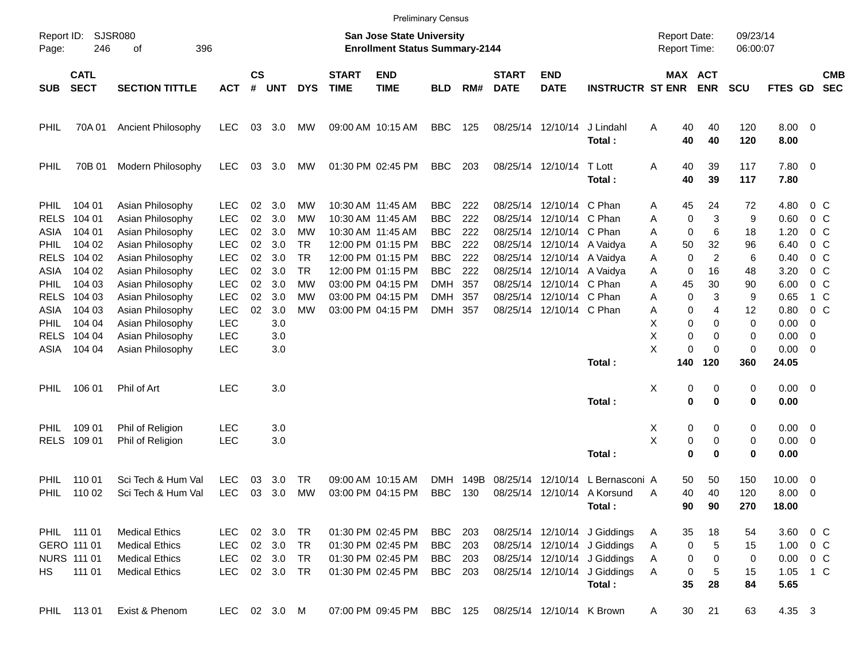|                                    |                                           |                                                                         |                                        |                |                               |                              |                             |                                                                           | <b>Preliminary Census</b>              |                   |                             |                                                                                      |                                                                                              |                                            |                                |                      |                                            |                                                      |                          |
|------------------------------------|-------------------------------------------|-------------------------------------------------------------------------|----------------------------------------|----------------|-------------------------------|------------------------------|-----------------------------|---------------------------------------------------------------------------|----------------------------------------|-------------------|-----------------------------|--------------------------------------------------------------------------------------|----------------------------------------------------------------------------------------------|--------------------------------------------|--------------------------------|----------------------|--------------------------------------------|------------------------------------------------------|--------------------------|
| Report ID:<br>Page:                | 246                                       | SJSR080<br>396<br>οf                                                    |                                        |                |                               |                              |                             | <b>San Jose State University</b><br><b>Enrollment Status Summary-2144</b> |                                        |                   |                             |                                                                                      |                                                                                              | <b>Report Date:</b><br><b>Report Time:</b> |                                | 09/23/14<br>06:00:07 |                                            |                                                      |                          |
| <b>SUB</b>                         | <b>CATL</b><br><b>SECT</b>                | <b>SECTION TITTLE</b>                                                   | <b>ACT</b>                             | <b>CS</b><br># | <b>UNT</b>                    | <b>DYS</b>                   | <b>START</b><br><b>TIME</b> | <b>END</b><br><b>TIME</b>                                                 | <b>BLD</b>                             | RM#               | <b>START</b><br><b>DATE</b> | <b>END</b><br><b>DATE</b>                                                            | <b>INSTRUCTR ST ENR</b>                                                                      | MAX ACT                                    | <b>ENR</b>                     | <b>SCU</b>           | FTES GD                                    |                                                      | <b>CMB</b><br><b>SEC</b> |
| PHIL                               | 70A 01                                    | Ancient Philosophy                                                      | LEC                                    | 03             | 3.0                           | МW                           |                             | 09:00 AM 10:15 AM                                                         | BBC                                    | 125               |                             | 08/25/14 12/10/14                                                                    | J Lindahl<br>Total:                                                                          | 40<br>Α<br>40                              | 40<br>40                       | 120<br>120           | $8.00 \t 0$<br>8.00                        |                                                      |                          |
| PHIL                               | 70B 01                                    | Modern Philosophy                                                       | <b>LEC</b>                             | 03             | 3.0                           | МW                           |                             | 01:30 PM 02:45 PM                                                         | <b>BBC</b>                             | 203               |                             | 08/25/14 12/10/14                                                                    | T Lott<br>Total:                                                                             | 40<br>A<br>40                              | 39<br>39                       | 117<br>117           | 7.80 0<br>7.80                             |                                                      |                          |
| <b>PHIL</b><br><b>RELS</b>         | 104 01<br>104 01                          | Asian Philosophy<br>Asian Philosophy                                    | <b>LEC</b><br><b>LEC</b>               | 02<br>02       | 3.0<br>3.0                    | МW<br>МW                     |                             | 10:30 AM 11:45 AM<br>10:30 AM 11:45 AM                                    | <b>BBC</b><br><b>BBC</b>               | 222<br>222        | 08/25/14                    | 08/25/14 12/10/14 C Phan<br>12/10/14 C Phan                                          |                                                                                              | 45<br>Α<br>0<br>Α                          | 24<br>3                        | 72<br>9              | 4.80<br>0.60                               | 0 C<br>0 C                                           |                          |
| ASIA<br><b>PHIL</b><br><b>RELS</b> | 104 01<br>104 02<br>104 02                | Asian Philosophy<br>Asian Philosophy<br>Asian Philosophy                | <b>LEC</b><br><b>LEC</b><br><b>LEC</b> | 02<br>02<br>02 | 3.0<br>3.0<br>3.0             | MW<br><b>TR</b><br><b>TR</b> |                             | 10:30 AM 11:45 AM<br>12:00 PM 01:15 PM<br>12:00 PM 01:15 PM               | <b>BBC</b><br><b>BBC</b><br><b>BBC</b> | 222<br>222<br>222 |                             | 08/25/14 12/10/14 C Phan<br>08/25/14 12/10/14 A Vaidya<br>08/25/14 12/10/14 A Vaidya |                                                                                              | 0<br>Α<br>50<br>Α<br>0<br>Α                | 6<br>32<br>2                   | 18<br>96<br>6        | 1.20<br>6.40<br>0.40                       | 0 <sup>o</sup><br>0 <sup>o</sup><br>0 <sup>o</sup>   |                          |
| ASIA<br><b>PHIL</b><br><b>RELS</b> | 104 02<br>104 03<br>104 03                | Asian Philosophy<br>Asian Philosophy<br>Asian Philosophy                | <b>LEC</b><br><b>LEC</b><br><b>LEC</b> | 02<br>02<br>02 | 3.0<br>3.0<br>3.0             | <b>TR</b><br>МW<br>МW        |                             | 12:00 PM 01:15 PM<br>03:00 PM 04:15 PM<br>03:00 PM 04:15 PM               | <b>BBC</b><br><b>DMH</b><br><b>DMH</b> | 222<br>357<br>357 |                             | 08/25/14 12/10/14 A Vaidva<br>08/25/14 12/10/14 C Phan<br>08/25/14 12/10/14 C Phan   |                                                                                              | 0<br>Α<br>45<br>Α<br>0<br>Α                | 16<br>30<br>3                  | 48<br>90<br>9        | 3.20<br>6.00<br>0.65                       | 0 <sup>o</sup><br>0 C<br>1 C                         |                          |
| ASIA<br><b>PHIL</b><br><b>RELS</b> | 104 03<br>104 04<br>104 04                | Asian Philosophy<br>Asian Philosophy<br>Asian Philosophy                | <b>LEC</b><br>LEC<br><b>LEC</b>        | 02             | 3.0<br>3.0<br>3.0             | MW                           |                             | 03:00 PM 04:15 PM                                                         | <b>DMH</b>                             | 357               |                             | 08/25/14 12/10/14 C Phan                                                             |                                                                                              | 0<br>Α<br>X<br>0<br>X<br>0                 | 4<br>0<br>0                    | 12<br>0<br>0         | 0.80<br>0.00<br>0.00                       | 0 <sup>o</sup><br>0<br>0                             |                          |
| ASIA                               | 104 04                                    | Asian Philosophy                                                        | <b>LEC</b>                             |                | 3.0                           |                              |                             |                                                                           |                                        |                   |                             |                                                                                      | Total:                                                                                       | X<br>0<br>140                              | 0<br>120                       | 0<br>360             | 0.00<br>24.05                              | $\overline{\phantom{0}}$                             |                          |
| <b>PHIL</b>                        | 106 01                                    | Phil of Art                                                             | <b>LEC</b>                             |                | 3.0                           |                              |                             |                                                                           |                                        |                   |                             |                                                                                      | Total:                                                                                       | х<br>0<br>0                                | 0<br>0                         | 0<br>0               | $0.00 \t 0$<br>0.00                        |                                                      |                          |
| <b>PHIL</b>                        | 109 01<br>RELS 109 01                     | Phil of Religion<br>Phil of Religion                                    | <b>LEC</b><br><b>LEC</b>               |                | 3.0<br>3.0                    |                              |                             |                                                                           |                                        |                   |                             |                                                                                      | Total:                                                                                       | Х<br>0<br>X<br>0<br>0                      | 0<br>0<br>$\bf{0}$             | 0<br>0<br>0          | $0.00 \t 0$<br>$0.00 \t 0$<br>0.00         |                                                      |                          |
| PHIL<br>PHIL                       | 110 01<br>110 02                          | Sci Tech & Hum Val<br>Sci Tech & Hum Val                                | <b>LEC</b><br><b>LEC</b>               | 03<br>03       | 3.0<br>3.0                    | TR<br>МW                     |                             | 09:00 AM 10:15 AM<br>03:00 PM 04:15 PM                                    | <b>DMH</b><br><b>BBC</b>               | 149B<br>130       | 08/25/14                    | 12/10/14                                                                             | L Bernasconi A<br>08/25/14 12/10/14 A Korsund<br>Total:                                      | 50<br>40<br>Α<br>90                        | 50<br>40<br>90                 | 150<br>120<br>270    | 10.00<br>8.00<br>18.00                     | $\overline{\phantom{0}}$<br>$\overline{\phantom{0}}$ |                          |
|                                    | PHIL 111 01<br>GERO 111 01<br>NURS 111 01 | <b>Medical Ethics</b><br><b>Medical Ethics</b><br><b>Medical Ethics</b> | LEC<br>LEC<br>LEC                      |                | 02 3.0 TR<br>02 3.0<br>02 3.0 | <b>TR</b><br><b>TR</b>       |                             | 01:30 PM 02:45 PM<br>01:30 PM 02:45 PM<br>01:30 PM 02:45 PM               | BBC<br><b>BBC</b><br><b>BBC</b>        | 203<br>203<br>203 |                             |                                                                                      | 08/25/14 12/10/14 J Giddings<br>08/25/14 12/10/14 J Giddings<br>08/25/14 12/10/14 J Giddings | 35<br>A<br>0<br>Α<br>0<br>Α                | 18<br>$\,$ 5 $\,$<br>$\pmb{0}$ | 54<br>15<br>0        | 3.60 0 C<br>$1.00 \t 0 C$<br>$0.00 \t 0 C$ |                                                      |                          |
| HS                                 | 111 01<br>PHIL 11301                      | <b>Medical Ethics</b><br>Exist & Phenom                                 | <b>LEC</b><br>LEC 02 3.0 M             |                | 02 3.0 TR                     |                              |                             | 01:30 PM 02:45 PM<br>07:00 PM 09:45 PM BBC 125                            | BBC 203                                |                   |                             | 08/25/14 12/10/14 K Brown                                                            | 08/25/14 12/10/14 J Giddings<br>Total:                                                       | Α<br>0<br>35<br>30<br>A                    | 5<br>28<br>21                  | 15<br>84<br>63       | 1.05 1 C<br>5.65<br>4.35 3                 |                                                      |                          |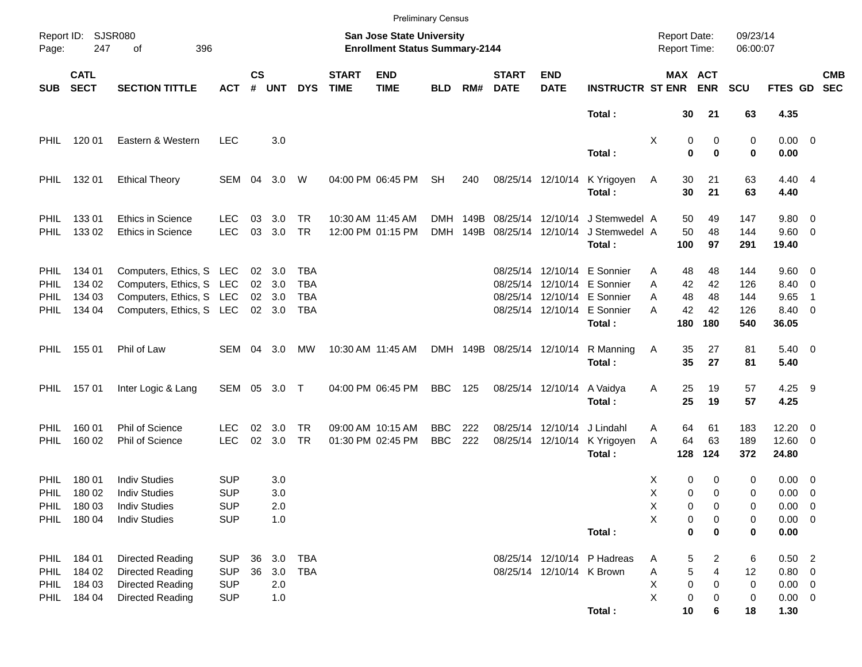|                            |                            |                                        |                   |                    |            |                  |                             |                                                                    | <b>Preliminary Census</b> |              |                             |                                        |                                |                                            |                                |                      |                     |                          |                          |
|----------------------------|----------------------------|----------------------------------------|-------------------|--------------------|------------|------------------|-----------------------------|--------------------------------------------------------------------|---------------------------|--------------|-----------------------------|----------------------------------------|--------------------------------|--------------------------------------------|--------------------------------|----------------------|---------------------|--------------------------|--------------------------|
| Page:                      | Report ID: SJSR080<br>247  | 396<br>οf                              |                   |                    |            |                  |                             | San Jose State University<br><b>Enrollment Status Summary-2144</b> |                           |              |                             |                                        |                                | <b>Report Date:</b><br><b>Report Time:</b> |                                | 09/23/14<br>06:00:07 |                     |                          |                          |
| <b>SUB</b>                 | <b>CATL</b><br><b>SECT</b> | <b>SECTION TITTLE</b>                  | <b>ACT</b>        | $\mathsf{cs}$<br># | <b>UNT</b> | <b>DYS</b>       | <b>START</b><br><b>TIME</b> | <b>END</b><br><b>TIME</b>                                          | <b>BLD</b>                | RM#          | <b>START</b><br><b>DATE</b> | <b>END</b><br><b>DATE</b>              | <b>INSTRUCTR ST ENR</b>        |                                            | MAX ACT<br><b>ENR</b>          | <b>SCU</b>           | FTES GD             |                          | <b>CMB</b><br><b>SEC</b> |
|                            |                            |                                        |                   |                    |            |                  |                             |                                                                    |                           |              |                             |                                        | Total:                         | 30                                         | 21                             | 63                   | 4.35                |                          |                          |
| <b>PHIL</b>                | 120 01                     | Eastern & Western                      | <b>LEC</b>        |                    | 3.0        |                  |                             |                                                                    |                           |              |                             |                                        | Total:                         | Χ                                          | 0<br>0<br>$\bf{0}$<br>$\bf{0}$ | 0<br>0               | $0.00 \t 0$<br>0.00 |                          |                          |
| <b>PHIL</b>                | 132 01                     | <b>Ethical Theory</b>                  | SEM 04            |                    | 3.0        | W                |                             | 04:00 PM 06:45 PM                                                  | <b>SH</b>                 | 240          |                             | 08/25/14 12/10/14                      | K Yrigoyen                     | 30<br>A                                    | 21                             | 63                   | 4.40 4              |                          |                          |
|                            |                            |                                        |                   |                    |            |                  |                             |                                                                    |                           |              |                             |                                        | Total:                         | 30                                         | 21                             | 63                   | 4.40                |                          |                          |
| <b>PHIL</b><br><b>PHIL</b> | 13301<br>133 02            | Ethics in Science<br>Ethics in Science | LEC<br><b>LEC</b> | 03<br>03           | 3.0<br>3.0 | TR.<br><b>TR</b> |                             | 10:30 AM 11:45 AM<br>12:00 PM 01:15 PM                             | DMH<br><b>DMH</b>         | 149B<br>149B |                             | 08/25/14 12/10/14<br>08/25/14 12/10/14 | J Stemwedel A<br>J Stemwedel A | 50<br>50                                   | 49<br>48                       | 147<br>144           | 9.80 0<br>9.60 0    |                          |                          |
|                            |                            |                                        |                   |                    |            |                  |                             |                                                                    |                           |              |                             |                                        | Total:                         | 100                                        | 97                             | 291                  | 19.40               |                          |                          |
| <b>PHIL</b>                | 134 01                     | Computers, Ethics, S LEC               |                   |                    | 02 3.0     | TBA              |                             |                                                                    |                           |              |                             |                                        | 08/25/14 12/10/14 E Sonnier    | 48<br>Α                                    | 48                             | 144                  | $9.60 \quad 0$      |                          |                          |
| <b>PHIL</b>                | 134 02                     | Computers, Ethics, S LEC               |                   |                    | 02 3.0     | TBA              |                             |                                                                    |                           |              |                             |                                        | 08/25/14 12/10/14 E Sonnier    | А<br>42                                    | 42                             | 126                  | 8.40 0              |                          |                          |
| PHIL                       | 134 03                     | Computers, Ethics, S LEC               |                   |                    | 02 3.0     | TBA              |                             |                                                                    |                           |              |                             |                                        | 08/25/14 12/10/14 E Sonnier    | 48<br>Α                                    | 48                             | 144                  | 9.65                | $\overline{1}$           |                          |
| <b>PHIL</b>                | 134 04                     | Computers, Ethics, S LEC               |                   |                    | 02 3.0     | TBA              |                             |                                                                    |                           |              |                             |                                        | 08/25/14 12/10/14 E Sonnier    | 42<br>А                                    | 42                             | 126                  | 8.40 0              |                          |                          |
|                            |                            |                                        |                   |                    |            |                  |                             |                                                                    |                           |              |                             |                                        | Total:                         | 180                                        | 180                            | 540                  | 36.05               |                          |                          |
| PHIL                       | 155 01                     | Phil of Law                            | SEM               |                    | 04 3.0     | MW               |                             | 10:30 AM 11:45 AM                                                  |                           | DMH 149B     | 08/25/14 12/10/14           |                                        | R Manning                      | 35<br>A                                    | 27                             | 81                   | $5.40 \ 0$          |                          |                          |
|                            |                            |                                        |                   |                    |            |                  |                             |                                                                    |                           |              |                             |                                        | Total:                         | 35                                         | 27                             | 81                   | 5.40                |                          |                          |
| PHIL                       | 15701                      | Inter Logic & Lang                     | SEM 05 3.0 T      |                    |            |                  |                             | 04:00 PM 06:45 PM                                                  | <b>BBC</b>                | 125          |                             | 08/25/14 12/10/14                      | A Vaidya                       | Α<br>25                                    | 19                             | 57                   | 4.25 9              |                          |                          |
|                            |                            |                                        |                   |                    |            |                  |                             |                                                                    |                           |              |                             |                                        | Total:                         | 25                                         | 19                             | 57                   | 4.25                |                          |                          |
| <b>PHIL</b>                | 160 01                     | Phil of Science                        | LEC               | 02                 | 3.0        | TR.              |                             | 09:00 AM 10:15 AM                                                  | <b>BBC</b>                | 222          |                             | 08/25/14 12/10/14                      | J Lindahl                      | 64<br>Α                                    | 61                             | 183                  | 12.20               | $\overline{\phantom{0}}$ |                          |
| <b>PHIL</b>                | 160 02                     | Phil of Science                        | <b>LEC</b>        | 02                 | 3.0        | <b>TR</b>        |                             | 01:30 PM 02:45 PM                                                  | <b>BBC</b>                | 222          |                             | 08/25/14 12/10/14                      | K Yrigoyen                     | 64<br>A                                    | 63                             | 189                  | $12.60$ 0           |                          |                          |
|                            |                            |                                        |                   |                    |            |                  |                             |                                                                    |                           |              |                             |                                        | Total:                         | 128                                        | 124                            | 372                  | 24.80               |                          |                          |
| <b>PHIL</b>                | 180 01                     | <b>Indiv Studies</b>                   | <b>SUP</b>        |                    | 3.0        |                  |                             |                                                                    |                           |              |                             |                                        |                                | х                                          | 0<br>0                         | 0                    | $0.00 \t 0$         |                          |                          |
| <b>PHIL</b>                | 180 02                     | <b>Indiv Studies</b>                   | <b>SUP</b>        |                    | 3.0        |                  |                             |                                                                    |                           |              |                             |                                        |                                | х                                          | 0<br>0                         | 0                    | $0.00 \t 0$         |                          |                          |
| PHIL                       | 18003                      | <b>Indiv Studies</b>                   | <b>SUP</b>        |                    | 2.0        |                  |                             |                                                                    |                           |              |                             |                                        |                                | X                                          | 0<br>0                         | 0                    | $0.00 \t 0$         |                          |                          |
| PHIL                       | 180 04                     | <b>Indiv Studies</b>                   | <b>SUP</b>        |                    | 1.0        |                  |                             |                                                                    |                           |              |                             |                                        |                                | Χ                                          | 0<br>0                         | 0                    | $0.00 \t 0$         |                          |                          |
|                            |                            |                                        |                   |                    |            |                  |                             |                                                                    |                           |              |                             |                                        | Total:                         |                                            | 0<br>0                         | 0                    | 0.00                |                          |                          |
| <b>PHIL</b>                | 184 01                     | Directed Reading                       | <b>SUP</b>        | 36                 | 3.0        | <b>TBA</b>       |                             |                                                                    |                           |              |                             |                                        | 08/25/14 12/10/14 P Hadreas    | A                                          | 5<br>2                         | 6                    | $0.50$ 2            |                          |                          |
| <b>PHIL</b>                | 184 02                     | Directed Reading                       | <b>SUP</b>        | 36                 | 3.0        | <b>TBA</b>       |                             |                                                                    |                           |              |                             | 08/25/14 12/10/14 K Brown              |                                | Α                                          | 5<br>4                         | 12                   | 0.80 0              |                          |                          |
| <b>PHIL</b>                | 184 03                     | Directed Reading                       | <b>SUP</b>        |                    | 2.0        |                  |                             |                                                                    |                           |              |                             |                                        |                                | Χ                                          | $\pmb{0}$<br>0                 | 0                    | $0.00 \t 0$         |                          |                          |
| <b>PHIL</b>                | 184 04                     | Directed Reading                       | <b>SUP</b>        |                    | 1.0        |                  |                             |                                                                    |                           |              |                             |                                        |                                | Χ                                          | 0<br>0                         | 0                    | $0.00 \t 0$         |                          |                          |
|                            |                            |                                        |                   |                    |            |                  |                             |                                                                    |                           |              |                             |                                        | Total:                         | 10                                         | 6                              | 18                   | 1.30                |                          |                          |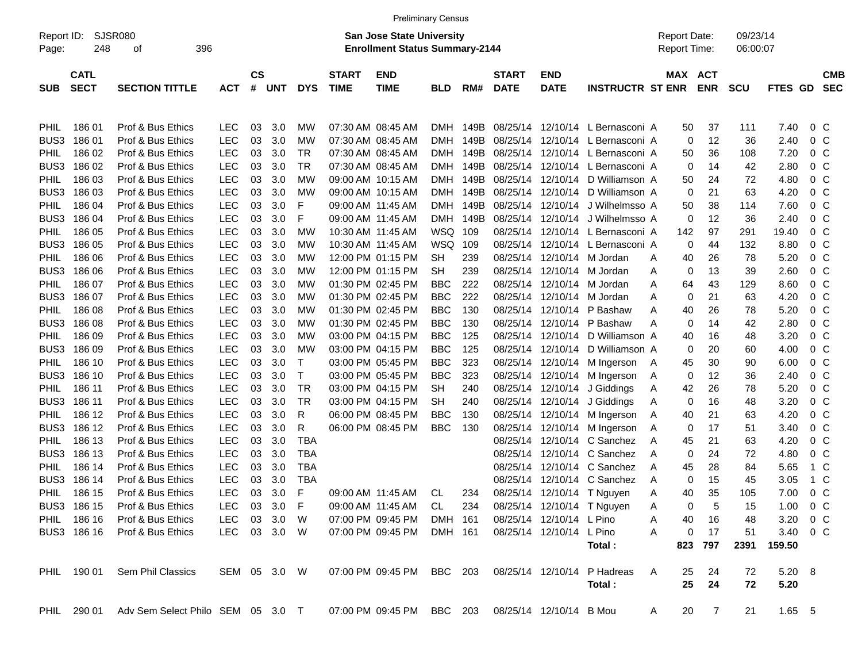| Report ID:<br>Page: | SJSR080<br>248             | 396                   |            |              |               |     |            | <b>San Jose State University</b><br><b>Enrollment Status Summary-2144</b> |                           |            |      |                             |                            |                                  | <b>Report Date:</b><br>Report Time: |             | 09/23/14<br>06:00:07 |            |          |                |                          |
|---------------------|----------------------------|-----------------------|------------|--------------|---------------|-----|------------|---------------------------------------------------------------------------|---------------------------|------------|------|-----------------------------|----------------------------|----------------------------------|-------------------------------------|-------------|----------------------|------------|----------|----------------|--------------------------|
| <b>SUB</b>          | <b>CATL</b><br><b>SECT</b> | <b>SECTION TITTLE</b> | <b>ACT</b> | #            | $\mathsf{cs}$ | UNT | <b>DYS</b> | <b>START</b><br><b>TIME</b>                                               | <b>END</b><br><b>TIME</b> | <b>BLD</b> | RM#  | <b>START</b><br><b>DATE</b> | <b>END</b><br><b>DATE</b>  | <b>INSTRUCTR ST ENR</b>          |                                     | MAX ACT     | <b>ENR</b>           | <b>SCU</b> | FTES GD  |                | <b>CMB</b><br><b>SEC</b> |
| <b>PHIL</b>         | 18601                      | Prof & Bus Ethics     | LEC        |              | 03            | 3.0 | МW         |                                                                           | 07:30 AM 08:45 AM         | DMH        | 149B |                             |                            | 08/25/14 12/10/14 L Bernasconi A |                                     | 50          | 37                   | 111        | 7.40     | 0 C            |                          |
| BUS3                | 18601                      | Prof & Bus Ethics     | <b>LEC</b> |              | 03            | 3.0 | MW         |                                                                           | 07:30 AM 08:45 AM         | DMH        | 149B |                             |                            | 08/25/14 12/10/14 L Bernasconi A |                                     | 0           | 12                   | 36         | 2.40     | 0 <sup>o</sup> |                          |
| PHIL                | 186 02                     | Prof & Bus Ethics     | <b>LEC</b> |              | 03            | 3.0 | TR         |                                                                           | 07:30 AM 08:45 AM         | DMH        | 149B |                             |                            | 08/25/14 12/10/14 L Bernasconi A |                                     | 50          | 36                   | 108        | 7.20     | $0\,$ C        |                          |
| BUS3                | 186 02                     | Prof & Bus Ethics     | <b>LEC</b> |              | 03            | 3.0 | TR         |                                                                           | 07:30 AM 08:45 AM         | DMH        | 149B |                             |                            | 08/25/14 12/10/14 L Bernasconi A |                                     | 0           | 14                   | 42         | 2.80     | 0 <sup>o</sup> |                          |
| PHIL                | 186 03                     | Prof & Bus Ethics     | <b>LEC</b> |              | 03            | 3.0 | MW         |                                                                           | 09:00 AM 10:15 AM         | DMH        | 149B |                             |                            | 08/25/14 12/10/14 D Williamson A |                                     | 50          | 24                   | 72         | 4.80     | $0\,$ C        |                          |
| BUS3                | 186 03                     | Prof & Bus Ethics     | <b>LEC</b> |              | 03            | 3.0 | MW         |                                                                           | 09:00 AM 10:15 AM         | DMH        | 149B |                             |                            | 08/25/14 12/10/14 D Williamson A |                                     | 0           | 21                   | 63         | 4.20     | 0 <sup>o</sup> |                          |
| PHIL                | 186 04                     | Prof & Bus Ethics     | <b>LEC</b> |              | 03            | 3.0 | F          |                                                                           | 09:00 AM 11:45 AM         | DMH        | 149B |                             |                            | 08/25/14 12/10/14 J Wilhelmsso A |                                     | 50          | 38                   | 114        | 7.60     | $0\,$ C        |                          |
| BUS3                | 186 04                     | Prof & Bus Ethics     | <b>LEC</b> |              | 03            | 3.0 | F          | 09:00 AM 11:45 AM                                                         |                           | DMH        | 149B | 08/25/14                    |                            | 12/10/14 J Wilhelmsso A          |                                     | $\mathbf 0$ | 12                   | 36         | 2.40     | $0\,$ C        |                          |
| PHIL                | 186 05                     | Prof & Bus Ethics     | <b>LEC</b> |              | 03            | 3.0 | MW         |                                                                           | 10:30 AM 11:45 AM         | WSQ        | 109  |                             |                            | 08/25/14 12/10/14 L Bernasconi A |                                     | 142         | 97                   | 291        | 19.40    | 0 <sup>o</sup> |                          |
| BUS3                | 186 05                     | Prof & Bus Ethics     | <b>LEC</b> |              | 03            | 3.0 | MW         |                                                                           | 10:30 AM 11:45 AM         | <b>WSQ</b> | 109  |                             |                            | 08/25/14 12/10/14 L Bernasconi A |                                     | 0           | 44                   | 132        | 8.80     | $0\,$ C        |                          |
| PHIL                | 186 06                     | Prof & Bus Ethics     | <b>LEC</b> |              | 03            | 3.0 | MW         |                                                                           | 12:00 PM 01:15 PM         | <b>SH</b>  | 239  |                             | 08/25/14 12/10/14 M Jordan |                                  | Α                                   | 40          | 26                   | 78         | 5.20     | $0\,$ C        |                          |
| BUS3                | 186 06                     | Prof & Bus Ethics     | <b>LEC</b> |              | 03            | 3.0 | МW         |                                                                           | 12:00 PM 01:15 PM         | <b>SH</b>  | 239  |                             | 08/25/14 12/10/14 M Jordan |                                  | Α                                   | 0           | 13                   | 39         | 2.60     | $0\,$ C        |                          |
| PHIL                | 186 07                     | Prof & Bus Ethics     | <b>LEC</b> |              | 03            | 3.0 | МW         |                                                                           | 01:30 PM 02:45 PM         | <b>BBC</b> | 222  |                             | 08/25/14 12/10/14 M Jordan |                                  | A                                   | 64          | 43                   | 129        | 8.60     | $0\,$ C        |                          |
| BUS3                | 186 07                     | Prof & Bus Ethics     | <b>LEC</b> |              | 03            | 3.0 | MW         |                                                                           | 01:30 PM 02:45 PM         | <b>BBC</b> | 222  |                             | 08/25/14 12/10/14 M Jordan |                                  | Α                                   | 0           | 21                   | 63         | 4.20     | $0\,$ C        |                          |
| PHIL                | 186 08                     | Prof & Bus Ethics     | <b>LEC</b> |              | 03            | 3.0 | MW         |                                                                           | 01:30 PM 02:45 PM         | <b>BBC</b> | 130  |                             |                            | 08/25/14 12/10/14 P Bashaw       | Α                                   | 40          | 26                   | 78         | 5.20     | $0\,$ C        |                          |
| BUS3                | 186 08                     | Prof & Bus Ethics     | <b>LEC</b> |              | 03            | 3.0 | МW         |                                                                           | 01:30 PM 02:45 PM         | <b>BBC</b> | 130  |                             |                            | 08/25/14 12/10/14 P Bashaw       | Α                                   | 0           | 14                   | 42         | 2.80     | $0\,$ C        |                          |
| PHIL                | 186 09                     | Prof & Bus Ethics     | <b>LEC</b> |              | 03            | 3.0 | MW         |                                                                           | 03:00 PM 04:15 PM         | <b>BBC</b> | 125  |                             |                            | 08/25/14 12/10/14 D Williamson A |                                     | 40          | 16                   | 48         | 3.20     | $0\,$ C        |                          |
| BUS3                | 186 09                     | Prof & Bus Ethics     | <b>LEC</b> |              | 03            | 3.0 | MW         |                                                                           | 03:00 PM 04:15 PM         | <b>BBC</b> | 125  |                             |                            | 08/25/14 12/10/14 D Williamson A |                                     | 0           | 20                   | 60         | 4.00     | $0\,$ C        |                          |
| PHIL                | 186 10                     | Prof & Bus Ethics     | <b>LEC</b> |              | 03            | 3.0 | Т          |                                                                           | 03:00 PM 05:45 PM         | <b>BBC</b> | 323  |                             |                            | 08/25/14 12/10/14 M Ingerson     | A                                   | 45          | 30                   | 90         | 6.00     | $0\,$ C        |                          |
| BUS3                | 186 10                     | Prof & Bus Ethics     | <b>LEC</b> |              | 03            | 3.0 | Т          |                                                                           | 03:00 PM 05:45 PM         | <b>BBC</b> | 323  |                             |                            | 08/25/14 12/10/14 M Ingerson     | A                                   | 0           | 12                   | 36         | 2.40     | $0\,$ C        |                          |
| PHIL                | 186 11                     | Prof & Bus Ethics     | <b>LEC</b> |              | 03            | 3.0 | TR         |                                                                           | 03:00 PM 04:15 PM         | <b>SH</b>  | 240  |                             |                            | 08/25/14 12/10/14 J Giddings     | Α                                   | 42          | 26                   | 78         | 5.20     | $0\,$ C        |                          |
| BUS3                | 186 11                     | Prof & Bus Ethics     | <b>LEC</b> |              | 03            | 3.0 | TR         |                                                                           | 03:00 PM 04:15 PM         | <b>SH</b>  | 240  |                             |                            | 08/25/14 12/10/14 J Giddings     | Α                                   | 0           | 16                   | 48         | 3.20     | $0\,$ C        |                          |
| PHIL                | 186 12                     | Prof & Bus Ethics     | <b>LEC</b> |              | 03            | 3.0 | R          |                                                                           | 06:00 PM 08:45 PM         | <b>BBC</b> | 130  |                             |                            | 08/25/14 12/10/14 M Ingerson     | A                                   | 40          | 21                   | 63         | 4.20     | $0\,$ C        |                          |
| BUS3                | 186 12                     | Prof & Bus Ethics     | <b>LEC</b> |              | 03            | 3.0 | R          |                                                                           | 06:00 PM 08:45 PM         | <b>BBC</b> | 130  |                             |                            | 08/25/14 12/10/14 M Ingerson     | Α                                   | 0           | 17                   | 51         | 3.40     | $0\,$ C        |                          |
| PHIL                | 186 13                     | Prof & Bus Ethics     | <b>LEC</b> |              | 03            | 3.0 | <b>TBA</b> |                                                                           |                           |            |      |                             |                            | 08/25/14 12/10/14 C Sanchez      | Α                                   | 45          | 21                   | 63         | 4.20     | 0 <sup>o</sup> |                          |
| BUS3                | 186 13                     | Prof & Bus Ethics     | <b>LEC</b> |              | 03            | 3.0 | <b>TBA</b> |                                                                           |                           |            |      | 08/25/14                    |                            | 12/10/14 C Sanchez               | Α                                   | 0           | 24                   | 72         | 4.80     | $0\,$ C        |                          |
| PHIL                | 186 14                     | Prof & Bus Ethics     | <b>LEC</b> |              | 03            | 3.0 | <b>TBA</b> |                                                                           |                           |            |      | 08/25/14                    |                            | 12/10/14 C Sanchez               | Α                                   | 45          | 28                   | 84         | 5.65     | 1 C            |                          |
| BUS3                | 186 14                     | Prof & Bus Ethics     | <b>LEC</b> |              | 03            | 3.0 | <b>TBA</b> |                                                                           |                           |            |      |                             |                            | 08/25/14 12/10/14 C Sanchez      | Α                                   | 0           | 15                   | 45         | 3.05     | 1 C            |                          |
| PHIL                | 186 15                     | Prof & Bus Ethics     | <b>LEC</b> |              | 03            | 3.0 | F          |                                                                           | 09:00 AM 11:45 AM         | CL.        | 234  |                             |                            | 08/25/14 12/10/14 T Nguyen       | Α                                   | 40          | 35                   | 105        | 7.00     | $0\,$ C        |                          |
| BUS3                | 186 15                     | Prof & Bus Ethics     | <b>LEC</b> |              | 03            | 3.0 | F          |                                                                           | 09:00 AM 11:45 AM         | <b>CL</b>  | 234  |                             |                            | 08/25/14 12/10/14 T Nguyen       | Α                                   | 0           | 5                    | 15         | 1.00     | $0\,$ C        |                          |
|                     | PHIL 186 16                | Prof & Bus Ethics     |            | LEC 03 3.0 W |               |     |            |                                                                           | 07:00 PM 09:45 PM         | DMH 161    |      |                             | 08/25/14 12/10/14 L Pino   |                                  | Α                                   | 40          | 16                   | 48         | 3.20 0 C |                |                          |
|                     | BUS3 186 16                | Prof & Bus Ethics     |            | LEC 03 3.0 W |               |     |            |                                                                           | 07:00 PM 09:45 PM         | DMH 161    |      |                             | 08/25/14 12/10/14 L Pino   |                                  | A                                   | 0           | 17                   | 51         | 3.40 0 C |                |                          |
|                     |                            |                       |            |              |               |     |            |                                                                           |                           |            |      |                             |                            | Total:                           |                                     |             | 823 797              | 2391       | 159.50   |                |                          |
|                     | PHIL 190 01                | Sem Phil Classics     |            | SEM 05 3.0 W |               |     |            |                                                                           | 07:00 PM 09:45 PM BBC 203 |            |      |                             |                            | 08/25/14 12/10/14 P Hadreas      | A                                   | 25          | 24                   | 72         | 5.20 8   |                |                          |
|                     |                            |                       |            |              |               |     |            |                                                                           |                           |            |      |                             |                            | Total :                          |                                     | 25          | 24                   | 72         | 5.20     |                |                          |

Preliminary Census

PHIL 290 01 Adv Sem Select Philo SEM 05 3.0 T 07:00 PM 09:45 PM BBC 203 08/25/14 12/10/14 B Mou A 20 7 21 1.65 5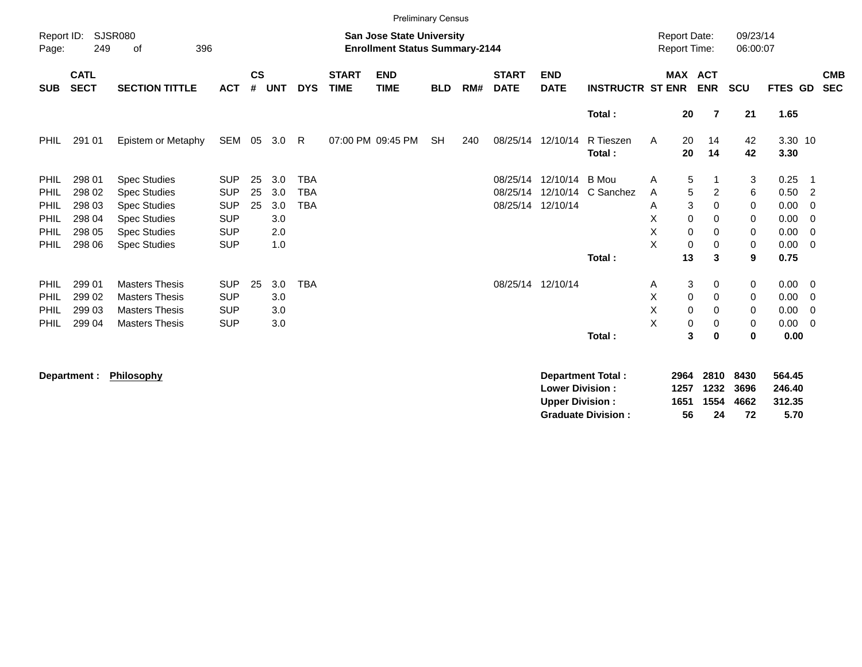|                                                                                                   |                                                                                                  |                                                                                                                                                                                                                                            |                                                                                                                                          |                      |                                                                    |                                                      |                             | <b>Preliminary Census</b>                                                 |            |     |                                           |                                                  |                                                                 |                                                                                                                                          |                                                                              |                                                     |                                                                                      |                                                                                                                                                                            |
|---------------------------------------------------------------------------------------------------|--------------------------------------------------------------------------------------------------|--------------------------------------------------------------------------------------------------------------------------------------------------------------------------------------------------------------------------------------------|------------------------------------------------------------------------------------------------------------------------------------------|----------------------|--------------------------------------------------------------------|------------------------------------------------------|-----------------------------|---------------------------------------------------------------------------|------------|-----|-------------------------------------------|--------------------------------------------------|-----------------------------------------------------------------|------------------------------------------------------------------------------------------------------------------------------------------|------------------------------------------------------------------------------|-----------------------------------------------------|--------------------------------------------------------------------------------------|----------------------------------------------------------------------------------------------------------------------------------------------------------------------------|
| Report ID:<br>Page:                                                                               | 249                                                                                              | <b>SJSR080</b><br>396<br>of                                                                                                                                                                                                                |                                                                                                                                          |                      |                                                                    |                                                      |                             | <b>San Jose State University</b><br><b>Enrollment Status Summary-2144</b> |            |     |                                           |                                                  |                                                                 | <b>Report Date:</b><br>Report Time:                                                                                                      |                                                                              | 09/23/14<br>06:00:07                                |                                                                                      |                                                                                                                                                                            |
| <b>SUB</b>                                                                                        | <b>CATL</b><br><b>SECT</b>                                                                       | <b>SECTION TITTLE</b>                                                                                                                                                                                                                      | <b>ACT</b>                                                                                                                               | $\mathsf{cs}$<br>#   | <b>UNT</b>                                                         | <b>DYS</b>                                           | <b>START</b><br><b>TIME</b> | <b>END</b><br><b>TIME</b>                                                 | <b>BLD</b> | RM# | <b>START</b><br><b>DATE</b>               | <b>END</b><br><b>DATE</b>                        | <b>INSTRUCTR ST ENR</b>                                         |                                                                                                                                          | MAX ACT<br><b>ENR</b>                                                        | <b>SCU</b>                                          | <b>FTES GD</b>                                                                       | <b>CMB</b><br><b>SEC</b>                                                                                                                                                   |
|                                                                                                   |                                                                                                  |                                                                                                                                                                                                                                            |                                                                                                                                          |                      |                                                                    |                                                      |                             |                                                                           |            |     |                                           |                                                  | Total:                                                          | 20                                                                                                                                       | $\overline{7}$                                                               | 21                                                  | 1.65                                                                                 |                                                                                                                                                                            |
| <b>PHIL</b>                                                                                       | 291 01                                                                                           | Epistem or Metaphy                                                                                                                                                                                                                         | SEM                                                                                                                                      |                      | 05 3.0                                                             | R                                                    |                             | 07:00 PM 09:45 PM                                                         | <b>SH</b>  | 240 |                                           | 08/25/14 12/10/14                                | R Tieszen<br>Total:                                             | 20<br>A<br>20                                                                                                                            | 14<br>14                                                                     | 42<br>42                                            | 3.30 10<br>3.30                                                                      |                                                                                                                                                                            |
| <b>PHIL</b><br>PHIL<br>PHIL<br>PHIL<br>PHIL<br>PHIL<br><b>PHIL</b><br>PHIL<br>PHIL<br><b>PHIL</b> | 298 01<br>298 02<br>298 03<br>298 04<br>298 05<br>298 06<br>299 01<br>299 02<br>299 03<br>299 04 | <b>Spec Studies</b><br><b>Spec Studies</b><br><b>Spec Studies</b><br><b>Spec Studies</b><br><b>Spec Studies</b><br><b>Spec Studies</b><br><b>Masters Thesis</b><br><b>Masters Thesis</b><br><b>Masters Thesis</b><br><b>Masters Thesis</b> | <b>SUP</b><br><b>SUP</b><br><b>SUP</b><br><b>SUP</b><br><b>SUP</b><br><b>SUP</b><br><b>SUP</b><br><b>SUP</b><br><b>SUP</b><br><b>SUP</b> | 25<br>25<br>25<br>25 | 3.0<br>3.0<br>3.0<br>3.0<br>2.0<br>1.0<br>3.0<br>3.0<br>3.0<br>3.0 | <b>TBA</b><br><b>TBA</b><br><b>TBA</b><br><b>TBA</b> |                             |                                                                           |            |     | 08/25/14<br>08/25/14<br>08/25/14 12/10/14 | 12/10/14<br>12/10/14<br>08/25/14 12/10/14        | <b>B</b> Mou<br>C Sanchez<br>Total:                             | $\sqrt{5}$<br>Α<br>5<br>A<br>Α<br>X<br>$\mathbf 0$<br>X<br>0<br>X<br>$\mathbf 0$<br>13<br>A<br>Χ<br>$\mathbf 0$<br>X<br>$\mathbf 0$<br>X | 2<br>3<br>0<br>0<br>0<br>$\mathbf 0$<br>3<br>3<br>0<br>0<br>$\mathbf 0$<br>0 | 3<br>6<br>0<br>0<br>0<br>0<br>9<br>0<br>0<br>0<br>0 | 0.25<br>0.50<br>0.00<br>0.00<br>0.00<br>0.00<br>0.75<br>0.00<br>0.00<br>0.00<br>0.00 | - 1<br>$\overline{2}$<br>0<br>$\overline{0}$<br>$\overline{0}$<br>$\overline{0}$<br>$\overline{\mathbf{0}}$<br>$\overline{\mathbf{0}}$<br>$\overline{0}$<br>$\overline{0}$ |
|                                                                                                   | Department :                                                                                     | Philosophy                                                                                                                                                                                                                                 |                                                                                                                                          |                      |                                                                    |                                                      |                             |                                                                           |            |     |                                           | <b>Lower Division:</b><br><b>Upper Division:</b> | Total:<br><b>Department Total:</b><br><b>Graduate Division:</b> | 0<br>2964<br>1257<br>1651<br>56                                                                                                          | 3<br>$\bf{0}$<br>2810<br>1232<br>1554<br>24                                  | $\bf{0}$<br>8430<br>3696<br>4662<br>72              | 0.00<br>564.45<br>246.40<br>312.35<br>5.70                                           |                                                                                                                                                                            |